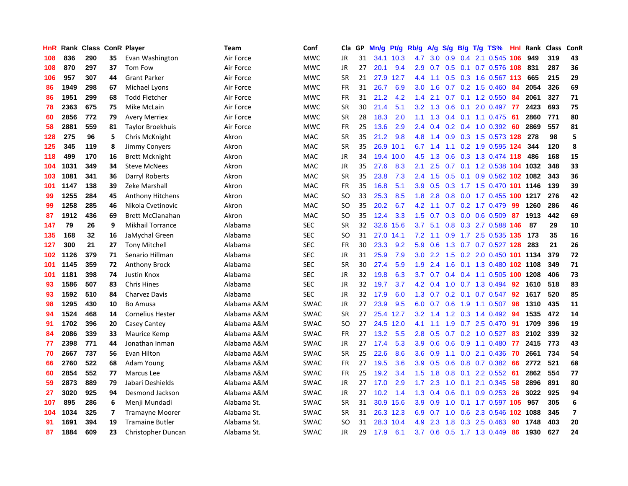| HnR | Rank | <b>Class ConR Player</b> |    |                         | Team        | Conf        | Cla       | GP | Mn/g | <b>Pt/g</b> | Rb/g             | A/g             | S/g              |     | B/g T/g TS%                   | Hnl | Rank | <b>Class</b> | ConR                     |
|-----|------|--------------------------|----|-------------------------|-------------|-------------|-----------|----|------|-------------|------------------|-----------------|------------------|-----|-------------------------------|-----|------|--------------|--------------------------|
| 108 | 836  | 290                      | 35 | Evan Washington         | Air Force   | <b>MWC</b>  | <b>JR</b> | 31 |      | 34.1 10.3   | 4.7              | 3.0             | 0.9              |     | 0.4 2.1 0.545 106             |     | 949  | 319          | 43                       |
| 108 | 870  | 297                      | 37 | Tom Fow                 | Air Force   | <b>MWC</b>  | <b>JR</b> | 27 | 20.1 | 9.4         |                  |                 |                  |     | 2.9 0.7 0.5 0.1 0.7 0.576 108 |     | 831  | 287          | 36                       |
| 106 | 957  | 307                      | 44 | <b>Grant Parker</b>     | Air Force   | <b>MWC</b>  | <b>SR</b> | 21 | 27.9 | 12.7        | 4.4              | 1.1             |                  |     | 0.5 0.3 1.6 0.567 113         |     | 665  | 215          | 29                       |
| 86  | 1949 | 298                      | 67 | Michael Lyons           | Air Force   | <b>MWC</b>  | <b>FR</b> | 31 | 26.7 | 6.9         | 3.0 <sub>2</sub> | 1.6             |                  |     | $0.7$ $0.2$ 1.5 $0.460$       | 84  | 2054 | 326          | 69                       |
| 86  | 1951 | 299                      | 68 | <b>Todd Fletcher</b>    | Air Force   | <b>MWC</b>  | <b>FR</b> | 31 | 21.2 | 4.2         | 1.4              | 2.1             | 0.7              |     | $0.1$ 1.2 0.550               | -84 | 2061 | 327          | 71                       |
| 78  | 2363 | 675                      | 75 | Mike McLain             | Air Force   | <b>MWC</b>  | <b>SR</b> | 30 | 21.4 | 5.1         | 3.2              | 1.3             | 0.6              | 0.1 | 2.0 0.497                     | -77 | 2423 | 693          | 75                       |
| 60  | 2856 | 772                      | 79 | <b>Avery Merriex</b>    | Air Force   | <b>MWC</b>  | <b>SR</b> | 28 | 18.3 | 2.0         | 1.1              | 1.3             | $0.4^{\circ}$    |     | $0.1$ 1.1 0.475               | -61 | 2860 | 771          | 80                       |
| 58  | 2881 | 559                      | 81 | Taylor Broekhuis        | Air Force   | <b>MWC</b>  | FR.       | 25 | 13.6 | 2.9         | $2.4^{\circ}$    | 0.4             | 0.2              |     | $0.4$ 1.0 0.392               | -60 | 2869 | 557          | 81                       |
| 128 | 275  | 96                       | 5  | Chris McKnight          | Akron       | <b>MAC</b>  | <b>SR</b> | 35 | 21.2 | 9.8         | 4.8              | 1.4             | 0.9 <sub>0</sub> |     | 0.3 1.5 0.573 128 278         |     |      | 98           | 5                        |
| 125 | 345  | 119                      | 8  | <b>Jimmy Convers</b>    | Akron       | <b>MAC</b>  | <b>SR</b> | 35 |      | 26.9 10.1   |                  | $6.7 \quad 1.4$ |                  |     | 1.1 0.2 1.9 0.595 124         |     | 344  | 120          | 8                        |
| 118 | 499  | 170                      | 16 | <b>Brett Mcknight</b>   | Akron       | <b>MAC</b>  | <b>JR</b> | 34 |      | 19.4 10.0   | 4.5              | 1.3             |                  |     | 0.6 0.3 1.3 0.474 118         |     | 486  | 168          | 15                       |
| 104 | 1031 | 349                      | 34 | <b>Steve McNees</b>     | Akron       | <b>MAC</b>  | JR        | 35 | 27.6 | 8.3         | 2.1              | 2.5             |                  |     | 0.7 0.1 1.2 0.538 104 1032    |     |      | 348          | 33                       |
| 103 | 1081 | 341                      | 36 | Darryl Roberts          | Akron       | MAC         | <b>SR</b> | 35 | 23.8 | 7.3         | $2.4^{\circ}$    | 1.5             | 0.5              |     | 0.1 0.9 0.562 102 1082        |     |      | 343          | 36                       |
| 101 | 1147 | 138                      | 39 | Zeke Marshall           | Akron       | <b>MAC</b>  | <b>FR</b> | 35 | 16.8 | 5.1         | 3.9 <sup>°</sup> | 0.5             | 0.3              |     | 1.7 1.5 0.470 101 1146        |     |      | 139          | 39                       |
| 99  | 1255 | 284                      | 45 | Anthony Hitchens        | Akron       | <b>MAC</b>  | SO        | 33 | 25.3 | 8.5         | 1.8              | 2.8             | 0.8              |     | 0.0 1.7 0.455 100 1217        |     |      | 276          | 42                       |
| 99  | 1258 | 285                      | 46 | Nikola Cvetinovic       | Akron       | <b>MAC</b>  | SO        | 35 | 20.2 | 6.7         |                  | $4.2$ 1.1       |                  |     | 0.7 0.2 1.7 0.479             | -99 | 1260 | 286          | 46                       |
| 87  | 1912 | 436                      | 69 | <b>Brett McClanahan</b> | Akron       | <b>MAC</b>  | <b>SO</b> | 35 | 12.4 | 3.3         | 1.5              | 0.7             | 0.3              |     | $0.0$ 0.6 0.509               | 87  | 1913 | 442          | 69                       |
| 147 | 79   | 26                       | 9  | <b>Mikhail Torrance</b> | Alabama     | <b>SEC</b>  | <b>SR</b> | 32 |      | 32.6 15.6   | 3.7 <sub>2</sub> | 5.1             |                  |     | 0.8 0.3 2.7 0.588 146         |     | 87   | 29           | 10                       |
| 135 | 168  | 32                       | 16 | JaMychal Green          | Alabama     | <b>SEC</b>  | <b>SO</b> | 31 | 27.0 | 14.1        | 7.2              | 1.1             |                  |     | 0.9 1.7 2.5 0.535 135 173     |     |      | 35           | 16                       |
| 127 | 300  | 21                       | 27 | <b>Tony Mitchell</b>    | Alabama     | <b>SEC</b>  | <b>FR</b> | 30 | 23.3 | 9.2         | 5.9              | 0.6             |                  |     | 1.3 0.7 0.7 0.527 128 283     |     |      | 21           | 26                       |
| 102 | 1126 | 379                      | 71 | Senario Hillman         | Alabama     | <b>SEC</b>  | JR        | 31 | 25.9 | 7.9         | 3.0 <sub>1</sub> | 2.2             |                  |     | 1.5 0.2 2.0 0.450 101 1134    |     |      | 379          | 72                       |
| 101 | 1145 | 359                      | 72 | Anthony Brock           | Alabama     | <b>SEC</b>  | <b>SR</b> | 30 | 27.4 | 5.9         | 1.9 <sup>°</sup> | 2.4             | 1.6              |     | 0.1 1.3 0.480 102 1108        |     |      | 349          | 71                       |
| 101 | 1181 | 398                      | 74 | Justin Knox             | Alabama     | <b>SEC</b>  | JR        | 32 | 19.8 | 6.3         | 3.7 <sub>2</sub> | 0.7             |                  |     | $0.4$ 0.4 1.1 0.505 100 1208  |     |      | 406          | 73                       |
| 93  | 1586 | 507                      | 83 | <b>Chris Hines</b>      | Alabama     | <b>SEC</b>  | JR        | 32 | 19.7 | 3.7         | 4.2              | 0.4             | 1.0              |     | 0.7 1.3 0.494                 | 92  | 1610 | 518          | 83                       |
| 93  | 1592 | 510                      | 84 | <b>Charvez Davis</b>    | Alabama     | <b>SEC</b>  | <b>JR</b> | 32 | 17.9 | 6.0         | 1.3              | 0.7             | 0.2              | 0.1 | $0.7$ 0.547                   | 92  | 1617 | 520          | 85                       |
| 98  | 1295 | 430                      | 10 | <b>Bo Amusa</b>         | Alabama A&M | <b>SWAC</b> | <b>JR</b> | 27 | 23.9 | 9.5         | 6.0              | 0.7             | 0.6              |     | 1.9 1.1 0.507 98              |     | 1310 | 435          | 11                       |
| 94  | 1524 | 468                      | 14 | Cornelius Hester        | Alabama A&M | <b>SWAC</b> | <b>SR</b> | 27 |      | 25.4 12.7   |                  |                 |                  |     | 3.2 1.4 1.2 0.3 1.4 0.492 94  |     | 1535 | 472          | 14                       |
| 91  | 1702 | 396                      | 20 | Casey Cantey            | Alabama A&M | <b>SWAC</b> | <b>SO</b> | 27 | 24.5 | 12.0        | 4.1              | 1.1             |                  |     | 1.9 0.7 2.5 0.470             | 91  | 1709 | 396          | 19                       |
| 84  | 2086 | 339                      | 33 | Maurice Kemp            | Alabama A&M | <b>SWAC</b> | <b>FR</b> | 27 | 13.2 | 5.5         | 2.8              | 0.5             |                  |     | $0.7$ $0.2$ 1.0 $0.527$       | -83 | 2102 | 339          | 32                       |
| 77  | 2398 | 771                      | 44 | Jonathan Inman          | Alabama A&M | <b>SWAC</b> | <b>JR</b> | 27 | 17.4 | 5.3         | 3.9 <sub>2</sub> | 0.6             | 0.6              |     | 0.9 1.1 0.480                 | 77  | 2415 | 773          | 43                       |
| 70  | 2667 | 737                      | 56 | Evan Hilton             | Alabama A&M | <b>SWAC</b> | <b>SR</b> | 25 | 22.6 | 8.6         | 3.6 <sub>2</sub> | 0.9             | 1.1              |     | $0.0$ 2.1 $0.436$             | 70  | 2661 | 734          | 54                       |
| 66  | 2760 | 522                      | 68 | Adam Young              | Alabama A&M | <b>SWAC</b> | <b>FR</b> | 27 | 19.5 | 3.6         | 3.9 <sup>°</sup> | 0.5             | 0.6              |     | 0.8 0.7 0.382                 | 66  | 2772 | 521          | 68                       |
| 60  | 2854 | 552                      | 77 | Marcus Lee              | Alabama A&M | <b>SWAC</b> | FR        | 25 | 19.2 | 3.4         | 1.5              | 1.8             | 0.8              | 0.1 | 2.2 0.552                     | 61  | 2862 | 554          | 77                       |
| 59  | 2873 | 889                      | 79 | Jabari Deshields        | Alabama A&M | <b>SWAC</b> | <b>JR</b> | 27 | 17.0 | 2.9         | 1.7 <sub>z</sub> | 2.3             | 1.0              | 0.1 | 2.1 0.345                     | 58  | 2896 | 891          | 80                       |
| 27  | 3020 | 925                      | 94 | Desmond Jackson         | Alabama A&M | <b>SWAC</b> | JR        | 27 | 10.2 | 1.4         | 1.3              | 0.4             | 0.6              |     | 0.1 0.9 0.253 26              |     | 3022 | 925          | 94                       |
| 107 | 895  | 286                      | 6  | Menji Mundadi           | Alabama St. | <b>SWAC</b> | <b>SR</b> | 31 |      | 30.9 15.6   | 3.9 <sup>°</sup> | 0.9             |                  |     | 1.0 0.1 1.7 0.597 105         |     | 957  | 305          | 6                        |
| 104 | 1034 | 325                      | 7  | <b>Tramayne Moorer</b>  | Alabama St. | <b>SWAC</b> | <b>SR</b> | 31 |      | 26.3 12.3   | 6.9              | 0.7             | 1.0              |     | 0.6 2.3 0.546 102 1088        |     |      | 345          | $\overline{\phantom{a}}$ |
| 91  | 1691 | 394                      | 19 | <b>Tramaine Butler</b>  | Alabama St. | SWAC        | <b>SO</b> | 31 | 28.3 | 10.4        | 4.9              | 2.3             | 1.8              |     | $0.3$ 2.5 0.463               | 90  | 1748 | 403          | 20                       |
| 87  | 1884 | 609                      | 23 | Christopher Duncan      | Alabama St. | <b>SWAC</b> | <b>JR</b> | 29 | 17.9 | 6.1         |                  | $3.7 \quad 0.6$ |                  |     | 0.5 1.7 1.3 0.449             | 86  | 1930 | 627          | 24                       |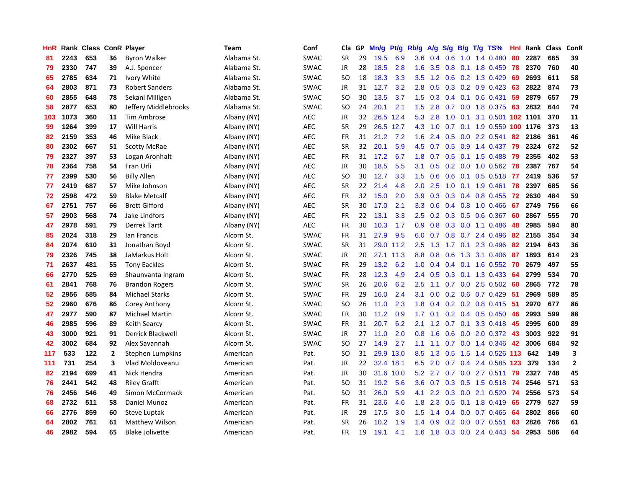| HnR |      | Rank Class ConR Player |              |                        | Team        | Conf        | Cla       | GP | Mn/g      | Pt/g      | Rb/g             | A/g             | S/g |     | $B/g$ T/g TS%                | Hnl | Rank | Class | ConR         |
|-----|------|------------------------|--------------|------------------------|-------------|-------------|-----------|----|-----------|-----------|------------------|-----------------|-----|-----|------------------------------|-----|------|-------|--------------|
| 81  | 2243 | 653                    | 36           | <b>Byron Walker</b>    | Alabama St. | SWAC        | <b>SR</b> | 29 | 19.5      | 6.9       | 3.6 <sub>2</sub> | 0.4             | 0.6 |     | 1.0 1.4 0.480                | 80  | 2287 | 665   | 39           |
| 79  | 2330 | 747                    | 39           | A.J. Spencer           | Alabama St. | <b>SWAC</b> | JR        | 28 | 18.5      | 2.8       | 1.6              | 3.5             |     |     | 0.8 0.1 1.8 0.459 78         |     | 2370 | 760   | 40           |
| 65  | 2785 | 634                    | 71           | Ivory White            | Alabama St. | <b>SWAC</b> | <b>SO</b> | 18 | 18.3      | 3.3       | 3.5              | 1.2             |     |     | $0.6$ $0.2$ 1.3 0.429        | -69 | 2693 | 611   | 58           |
| 64  | 2803 | 871                    | 73           | <b>Robert Sanders</b>  | Alabama St. | <b>SWAC</b> | JR        | 31 | 12.7      | 3.2       | 2.8              | 0.5             |     |     | $0.3$ 0.2 0.9 0.423          | -63 | 2822 | 874   | 73           |
| 60  | 2855 | 648                    | 78           | Sekani Milligen        | Alabama St. | SWAC        | <b>SO</b> | 30 | 13.5      | 3.7       | 1.5              | 0.3             |     |     | $0.4$ 0.1 0.6 0.431          | 59  | 2879 | 657   | 79           |
| 58  | 2877 | 653                    | 80           | Jeffery Middlebrooks   | Alabama St. | <b>SWAC</b> | <b>SO</b> | 24 | 20.1      | 2.1       | 1.5              | 2.8             | 0.7 |     | 0.0 1.8 0.375                | 63  | 2832 | 644   | 74           |
| 103 | 1073 | 360                    | 11           | Tim Ambrose            | Albany (NY) | <b>AEC</b>  | JR        | 32 | 26.5 12.4 |           | 5.3              | 2.8             | 1.0 | 0.1 | 3.1 0.501 102 1101           |     |      | 370   | 11           |
| 99  | 1264 | 399                    | 17           | <b>Will Harris</b>     | Albany (NY) | <b>AEC</b>  | <b>SR</b> | 29 | 26.5      | 12.7      | 4.3              | 1.0             | 0.7 |     | 0.1 1.9 0.559 100 1176       |     |      | 373   | 13           |
| 82  | 2159 | 353                    | 46           | <b>Mike Black</b>      | Albany (NY) | <b>AEC</b>  | <b>FR</b> | 31 | 21.2      | 7.2       | 1.6              | 2.4             | 0.5 |     | $0.0$ 2.2 0.541              | 82  | 2186 | 361   | 46           |
| 80  | 2302 | 667                    | 51           | <b>Scotty McRae</b>    | Albany (NY) | <b>AEC</b>  | <b>SR</b> | 32 | 20.1      | 5.9       |                  | $4.5 \t0.7$     |     |     | 0.5 0.9 1.4 0.437 79         |     | 2324 | 672   | 52           |
| 79  | 2327 | 397                    | 53           | Logan Aronhalt         | Albany (NY) | <b>AEC</b>  | <b>FR</b> | 31 | 17.2      | 6.7       |                  |                 |     |     | 1.8 0.7 0.5 0.1 1.5 0.488 79 |     | 2355 | 402   | 53           |
| 78  | 2364 | 758                    | 54           | Fran Urli              | Albany (NY) | <b>AEC</b>  | JR        | 30 | 18.5      | 5.5       | 3.1              | 0.5             |     |     | 0.2 0.0 1.0 0.562 78         |     | 2387 | 767   | 54           |
| 77  | 2399 | 530                    | 56           | <b>Billy Allen</b>     | Albany (NY) | <b>AEC</b>  | <b>SO</b> | 30 | 12.7      | 3.3       | 1.5              | 0.6             | 0.6 |     | $0.1$ 0.5 0.518              | 77  | 2419 | 536   | 57           |
| 77  | 2419 | 687                    | 57           | Mike Johnson           | Albany (NY) | <b>AEC</b>  | <b>SR</b> | 22 | 21.4      | 4.8       | 2.0              | 2.5             | 1.0 |     | $0.1$ 1.9 0.461              | 78  | 2397 | 685   | 56           |
| 72  | 2598 | 472                    | 59           | <b>Blake Metcalf</b>   | Albany (NY) | <b>AEC</b>  | <b>FR</b> | 32 | 15.0      | 2.0       | 3.9 <sup>°</sup> | 0.3             | 0.3 |     | 0.4 0.8 0.455                | 72  | 2630 | 484   | 59           |
| 67  | 2751 | 757                    | 66           | <b>Brett Gifford</b>   | Albany (NY) | <b>AEC</b>  | <b>SR</b> | 30 | 17.0      | 2.1       |                  | $3.3 \quad 0.6$ |     |     | 0.4 0.8 1.0 0.466            | -67 | 2749 | 756   | 66           |
| 57  | 2903 | 568                    | 74           | Jake Lindfors          | Albany (NY) | <b>AEC</b>  | FR        | 22 | 13.1      | 3.3       | 2.5              | 0.2             | 0.3 |     | 0.5 0.6 0.367                | 60  | 2867 | 555   | 70           |
| 47  | 2978 | 591                    | 79           | <b>Derrek Tartt</b>    | Albany (NY) | <b>AEC</b>  | <b>FR</b> | 30 | 10.3      | 1.7       | 0.9 <sup>°</sup> | 0.8             |     |     | $0.3$ 0.0 1.1 0.486          | -48 | 2985 | 594   | 80           |
| 85  | 2024 | 318                    | 29           | lan Francis            | Alcorn St.  | <b>SWAC</b> | <b>FR</b> | 31 | 27.9      | 9.5       |                  |                 |     |     | 6.0 0.7 0.8 0.7 2.4 0.496    | -82 | 2155 | 354   | 34           |
| 84  | 2074 | 610                    | 31           | Jonathan Boyd          | Alcorn St.  | <b>SWAC</b> | <b>SR</b> | 31 |           | 29.0 11.2 | 2.5              | 1.3             |     |     | 1.7 0.1 2.3 0.496            | -82 | 2194 | 643   | 36           |
| 79  | 2326 | 745                    | 38           | JaMarkus Holt          | Alcorn St.  | <b>SWAC</b> | JR        | 20 | 27.1      | 11.3      | 8.8 <sub>2</sub> | 0.8             | 0.6 |     | 1.3 3.1 0.406                | 87  | 1893 | 614   | 23           |
| 71  | 2637 | 481                    | 55           | <b>Tony Eackles</b>    | Alcorn St.  | <b>SWAC</b> | <b>FR</b> | 29 | 13.2      | 6.2       | 1.0              | 0.4             |     |     | $0.4$ 0.1 1.6 0.552          | 70  | 2679 | 497   | 55           |
| 66  | 2770 | 525                    | 69           | Shaunvanta Ingram      | Alcorn St.  | <b>SWAC</b> | <b>FR</b> | 28 | 12.3      | 4.9       | $2.4^{\circ}$    | 0.5             | 0.3 |     | $0.1$ 1.3 0.433              | -64 | 2799 | 534   | 70           |
| 61  | 2841 | 768                    | 76           | <b>Brandon Rogers</b>  | Alcorn St.  | <b>SWAC</b> | <b>SR</b> | 26 | 20.6      | 6.2       | 2.5              | 1.1             | 0.7 |     | $0.0$ 2.5 0.502              | -60 | 2865 | 772   | 78           |
| 52  | 2956 | 585                    | 84           | <b>Michael Starks</b>  | Alcorn St.  | <b>SWAC</b> | <b>FR</b> | 29 | 16.0      | 2.4       | 3.1              | 0.0             |     |     | 0.2 0.6 0.7 0.429            | -51 | 2969 | 589   | 85           |
| 52  | 2960 | 676                    | 86           | Corey Anthony          | Alcorn St.  | <b>SWAC</b> | SO.       | 26 | 11.0      | 2.3       | 1.8              | 0.4             |     |     | $0.2$ 0.2 0.8 0.415          | -51 | 2970 | 677   | 86           |
| 47  | 2977 | 590                    | 87           | <b>Michael Martin</b>  | Alcorn St.  | <b>SWAC</b> | <b>FR</b> | 30 | 11.2      | 0.9       |                  | $1.7 \quad 0.1$ |     |     | $0.2$ 0.4 0.5 0.450 46       |     | 2993 | 599   | 88           |
| 46  | 2985 | 596                    | 89           | Keith Searcy           | Alcorn St.  | <b>SWAC</b> | <b>FR</b> | 31 | 20.7      | 6.2       | 2.1              | 1.2             |     |     | 0.7 0.1 3.3 0.418 45         |     | 2995 | 600   | 89           |
| 43  | 3000 | 921                    | 91           | Derrick Blackwell      | Alcorn St.  | SWAC        | <b>JR</b> | 27 | 11.0      | 2.0       | 0.8              | 1.6             | 0.6 |     | 0.0 2.0 0.372 43             |     | 3003 | 922   | 91           |
| 42  | 3002 | 684                    | 92           | Alex Savannah          | Alcorn St.  | SWAC        | SO        | 27 | 14.9      | 2.7       | 1.1              | 1.1             | 0.7 |     | $0.0$ 1.4 $0.346$            | 42  | 3006 | 684   | 92           |
| 117 | 533  | 122                    | $\mathbf{2}$ | Stephen Lumpkins       | American    | Pat.        | SO        | 31 | 29.9      | 13.0      | 8.5              | 1.3             | 0.5 |     | 1.5 1.4 0.526 113            |     | 642  | 149   | 3            |
| 111 | 731  | 254                    | 3            | Vlad Moldoveanu        | American    | Pat.        | JR        | 22 | 32.4      | 18.1      | 6.5              | 2.0             | 0.7 |     | 0.4 2.4 0.585                | 123 | 379  | 134   | $\mathbf{2}$ |
| 82  | 2194 | 699                    | 41           | Nick Hendra            | American    | Pat.        | <b>JR</b> | 30 | 31.6      | 10.0      | 5.2              | 2.7             | 0.7 |     | $0.0$ 2.7 $0.511$            | 79  | 2327 | 748   | 45           |
| 76  | 2441 | 542                    | 48           | <b>Riley Grafft</b>    | American    | Pat.        | <b>SO</b> | 31 | 19.2      | 5.6       | 3.6 <sup>°</sup> | 0.7             |     |     | 0.3 0.5 1.5 0.518 74         |     | 2546 | 571   | 53           |
| 76  | 2456 | 546                    | 49           | <b>Simon McCormack</b> | American    | Pat.        | <b>SO</b> | 31 | 26.0      | 5.9       | 4.1              | $2.2^{\circ}$   |     |     | 0.3 0.0 2.1 0.520 74         |     | 2556 | 573   | 54           |
| 68  | 2732 | 511                    | 58           | Daniel Munoz           | American    | Pat.        | <b>FR</b> | 31 | 23.6      | 4.6       | 1.8              | 2.3             |     |     | $0.5$ 0.1 1.8 0.419          | -65 | 2779 | 527   | 59           |
| 66  | 2776 | 859                    | 60           | Steve Luptak           | American    | Pat.        | <b>JR</b> | 29 | 17.5      | 3.0       | 1.5              | 1.4             | 0.4 |     | $0.0$ 0.7 0.465              | 64  | 2802 | 866   | 60           |
| 64  | 2802 | 761                    | 61           | <b>Matthew Wilson</b>  | American    | Pat.        | <b>SR</b> | 26 | 10.2      | 1.9       | 1.4              | 0.9             | 0.2 |     | $0.0$ 0.7 0.551              | 63  | 2826 | 766   | 61           |
| 46  | 2982 | 594                    | 65           | <b>Blake Jolivette</b> | American    | Pat.        | FR        | 19 | 19.1      | 4.1       | 1.6              | 1.8             |     |     | $0.3$ 0.0 2.4 0.443          | -54 | 2953 | 586   | 64           |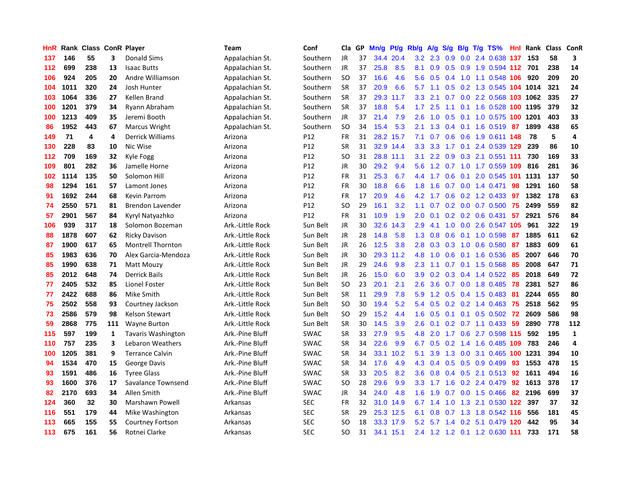| HnR |      | Rank Class ConR Player |     |                           | <b>Team</b>      | Conf            | Cla       | GP. | Mn/g | Pt/g      | Rb/g             | A/g     | S/g |  | $B/g$ T/g TS%                 | Hnl | Rank | Class | ConR           |
|-----|------|------------------------|-----|---------------------------|------------------|-----------------|-----------|-----|------|-----------|------------------|---------|-----|--|-------------------------------|-----|------|-------|----------------|
| 137 | 146  | 55                     | 3   | <b>Donald Sims</b>        | Appalachian St.  | Southern        | <b>JR</b> | 37  | 34.4 | 20.4      | 3.2              | 2.3     | 0.9 |  | $0.0$ 2.4 $0.638$             | 137 | 153  | 58    | 3              |
| 112 | 699  | 238                    | 13  | <b>Isaac Butts</b>        | Appalachian St.  | Southern        | JR        | 37  | 25.8 | 8.5       | 8.1              | 0.9     |     |  | 0.5 0.9 1.9 0.594 112 701     |     |      | 238   | 14             |
| 106 | 924  | 205                    | 20  | Andre Williamson          | Appalachian St.  | Southern        | <b>SO</b> | 37  | 16.6 | 4.6       | 5.6              | 0.5     |     |  | 0.4 1.0 1.1 0.548 106         |     | 920  | 209   | 20             |
| 104 | 1011 | 320                    | 24  | Josh Hunter               | Appalachian St.  | Southern        | <b>SR</b> | 37  | 20.9 | 6.6       | 5.7              | 1.1     |     |  | 0.5 0.2 1.3 0.545 104 1014    |     |      | 321   | 24             |
| 103 | 1064 | 336                    | 27  | Kellen Brand              | Appalachian St.  | Southern        | <b>SR</b> | 37  | 29.3 | 11.7      | 3.3              | 2.1     |     |  | 0.7 0.0 2.2 0.568 103 1062    |     |      | 335   | 27             |
| 100 | 1201 | 379                    | 34  | Ryann Abraham             | Appalachian St.  | Southern        | <b>SR</b> | 37  | 18.8 | 5.4       | 1.7              | 2.5     | 1.1 |  | 0.1 1.6 0.528 100 1195        |     |      | 379   | 32             |
| 100 | 1213 | 409                    | 35  | Jeremi Booth              | Appalachian St.  | Southern        | JR        | 37  | 21.4 | 7.9       | 2.6              | 1.0     |     |  | 0.5 0.1 1.0 0.575 100 1201    |     |      | 403   | 33             |
| 86  | 1952 | 443                    | 67  | Marcus Wright             | Appalachian St.  | Southern        | <b>SO</b> | 34  | 15.4 | 5.3       | 2.1              | 1.3     | 0.4 |  | 0.1 1.6 0.519                 | 87  | 1899 | 438   | 65             |
| 149 | 71   | 4                      | 4   | Derrick Williams          | Arizona          | P12             | FR        | 31  | 28.2 | 15.7      | 7.1              | 0.7     | 0.6 |  | 0.6 1.9 0.611 148             |     | 78   | 5     | $\overline{a}$ |
| 130 | 228  | 83                     | 10  | Nic Wise                  | Arizona          | P <sub>12</sub> | <b>SR</b> | 31  |      | 32.9 14.4 | 3.3 <sub>2</sub> | 3.3     | 1.7 |  | 0.1 2.4 0.539 129             |     | 239  | 86    | 10             |
| 112 | 709  | 169                    | 32  | Kyle Fogg                 | Arizona          | P12             | SO        | 31  |      | 28.8 11.1 | 3.1              |         |     |  | 2.2 0.9 0.3 2.1 0.551 111     |     | 730  | 169   | 33             |
| 109 | 801  | 282                    | 36  | Jamelle Horne             | Arizona          | P <sub>12</sub> | JR        | 30  | 29.2 | 9.4       | 5.6              |         |     |  | 1.2 0.7 1.0 1.7 0.559 109 816 |     |      | 281   | 36             |
| 102 | 1114 | 135                    | 50  | Solomon Hill              | Arizona          | P <sub>12</sub> | <b>FR</b> | 31  | 25.3 | 6.7       | 4.4              | 1.7     |     |  | 0.6 0.1 2.0 0.545 101 1131    |     |      | 137   | 50             |
| 98  | 1294 | 161                    | 57  | Lamont Jones              | Arizona          | P12             | <b>FR</b> | 30  | 18.8 | 6.6       | 1.8              | 1.6     | 0.7 |  | $0.0$ 1.4 $0.471$             | 98  | 1291 | 160   | 58             |
| 91  | 1692 | 244                    | 68  | <b>Kevin Parrom</b>       | Arizona          | P <sub>12</sub> | <b>FR</b> | 17  | 20.9 | 4.6       | 4.2              | 1.7     | 0.6 |  | 0.2 1.2 0.433                 | -97 | 1382 | 178   | 63             |
| 74  | 2550 | 571                    | 81  | Brendon Lavender          | Arizona          | P12             | <b>SO</b> | 29  | 16.1 | 3.2       | 1.1              | 0.7     |     |  | $0.2$ 0.0 0.7 0.500           | 75  | 2499 | 559   | 82             |
| 57  | 2901 | 567                    | 84  | Kyryl Natyazhko           | Arizona          | P <sub>12</sub> | <b>FR</b> | 31  | 10.9 | 1.9       | 2.0              | 0.1     |     |  | $0.2$ 0.2 0.6 0.431           | -57 | 2921 | 576   | 84             |
| 106 | 939  | 317                    | 18  | Solomon Bozeman           | Ark.-Little Rock | Sun Belt        | <b>JR</b> | 30  | 32.6 | 14.3      | 2.9              | 4.1     | 1.0 |  | 0.0 2.6 0.547 105             |     | 961  | 322   | 19             |
| 88  | 1878 | 607                    | 62  | <b>Ricky Davison</b>      | Ark.-Little Rock | Sun Belt        | JR        | 28  | 14.8 | 5.8       | 1.3              | 0.8     |     |  | 0.6 0.1 1.0 0.598 87          |     | 1885 | 611   | 62             |
| 87  | 1900 | 617                    | 65  | <b>Montrell Thornton</b>  | Ark.-Little Rock | Sun Belt        | JR        | 26  | 12.5 | 3.8       | 2.8              | 0.3     |     |  | 0.3 1.0 0.6 0.580 87          |     | 1883 | 609   | 61             |
| 85  | 1983 | 636                    | 70  | Alex Garcia-Mendoza       | Ark.-Little Rock | Sun Belt        | JR        | 30  | 29.3 | 11.2      | 4.8              | 1.0     |     |  | $0.6$ $0.1$ $1.6$ $0.536$     | -85 | 2007 | 646   | 70             |
| 85  | 1990 | 638                    | 71  | Matt Mouzy                | Ark.-Little Rock | Sun Belt        | <b>JR</b> | 29  | 24.6 | 9.8       | 2.3              | 1.1     |     |  | $0.7$ 0.1 1.5 0.568           | -85 | 2008 | 647   | 71             |
| 85  | 2012 | 648                    | 74  | <b>Derrick Bails</b>      | Ark.-Little Rock | Sun Belt        | JR.       | 26  | 15.0 | 6.0       | 3.9 <sup>°</sup> | 0.2     |     |  | $0.3$ 0.4 1.4 0.522           | -85 | 2018 | 649   | 72             |
| 77  | 2405 | 532                    | 85  | Lionel Foster             | Ark.-Little Rock | Sun Belt        | <b>SO</b> | 23  | 20.1 | 2.1       | 2.6              | 3.6     |     |  | $0.7$ $0.0$ 1.8 $0.485$       | 78  | 2381 | 527   | 86             |
| 77  | 2422 | 688                    | 86  | Mike Smith                | Ark.-Little Rock | Sun Belt        | <b>SR</b> | 11  | 29.9 | 7.8       | 5.9              | 1.2     |     |  | $0.5$ 0.4 1.5 0.483           | -81 | 2244 | 655   | 80             |
| 75  | 2502 | 558                    | 93  | Courtney Jackson          | Ark.-Little Rock | Sun Belt        | <b>SO</b> | 30  | 19.4 | 5.2       | 5.4              | 0.5     |     |  | $0.2$ 0.2 1.4 0.463           | 75  | 2518 | 562   | 95             |
| 73  | 2586 | 579                    | 98  | <b>Kelson Stewart</b>     | Ark.-Little Rock | Sun Belt        | <b>SO</b> | 29  | 15.2 | 4.4       | 1.6              | 0.5     |     |  | $0.1$ 0.1 0.5 0.502 72        |     | 2609 | 586   | 98             |
| 59  | 2868 | 775                    | 111 | <b>Wayne Burton</b>       | Ark.-Little Rock | Sun Belt        | <b>SR</b> | 30  | 14.5 | 3.9       | 2.6              | 0.1     |     |  | 0.2 0.7 1.1 0.433 59          |     | 2890 | 778   | 112            |
| 115 | 597  | 199                    | 1   | <b>Tavaris Washington</b> | Ark.-Pine Bluff  | <b>SWAC</b>     | SR.       | 33  | 27.9 | 9.5       | 4.8              |         |     |  | 2.0 1.7 0.6 2.7 0.598 115     |     | 592  | 195   | 1              |
| 110 | 757  | 235                    | 3   | Lebaron Weathers          | Ark.-Pine Bluff  | <b>SWAC</b>     | <b>SR</b> | 34  | 22.6 | 9.9       | 6.7              | 0.5     |     |  | 0.2 1.4 1.6 0.485 109 783     |     |      | 246   | 4              |
| 100 | 1205 | 381                    | 9   | <b>Terrance Calvin</b>    | Ark.-Pine Bluff  | <b>SWAC</b>     | <b>SR</b> | 34  | 33.1 | 10.2      | 5.1              | 3.9     | 1.3 |  | 0.0 3.1 0.465 100 1231        |     |      | 394   | 10             |
| 94  | 1534 | 470                    | 15  | George Davis              | Ark.-Pine Bluff  | <b>SWAC</b>     | <b>SR</b> | 34  | 17.6 | 4.9       | 4.3              | 0.4     |     |  | $0.5$ 0.5 0.9 0.499           | 93  | 1553 | 478   | 15             |
| 93  | 1591 | 486                    | 16  | <b>Tyree Glass</b>        | Ark.-Pine Bluff  | <b>SWAC</b>     | <b>SR</b> | 33  | 20.5 | 8.2       | 3.6              | 0.8     | 0.4 |  | $0.5$ 2.1 0.513               | 92  | 1611 | 494   | 16             |
| 93  | 1600 | 376                    | 17  | Savalance Townsend        | Ark.-Pine Bluff  | <b>SWAC</b>     | SO        | 28  | 29.6 | 9.9       | 3.3 <sub>2</sub> | $-1.7$  | 1.6 |  | 0.2 2.4 0.479                 | 92  | 1613 | 378   | 17             |
| 82  | 2170 | 693                    | 34  | Allen Smith               | Ark.-Pine Bluff  | <b>SWAC</b>     | JR        | 34  | 24.0 | 4.8       | 1.6              | 1.9     | 0.7 |  | 0.0 1.5 0.466                 | 82  | 2196 | 699   | 37             |
| 124 | 360  | 32                     | 30  | Marshawn Powell           | Arkansas         | <b>SEC</b>      | <b>FR</b> | 32  |      | 31.0 14.9 |                  | 6.7 1.4 | 1.0 |  | 1.3 2.1 0.530 122 397         |     |      | 37    | 32             |
| 116 | 551  | 179                    | 44  | Mike Washington           | Arkansas         | <b>SEC</b>      | <b>SR</b> | 29  |      | 25.3 12.5 | 6.1              | 0.8     |     |  | 0.7 1.3 1.8 0.542 116         |     | 556  | 181   | 45             |
| 113 | 665  | 155                    | 55  | <b>Courtney Fortson</b>   | Arkansas         | <b>SEC</b>      | SO        | 18  |      | 33.3 17.9 | 5.2              |         |     |  | 5.7 1.4 0.2 5.1 0.479 120     |     | 442  | 95    | 34             |
| 113 | 675  | 161                    | 56  | Rotnei Clarke             | Arkansas         | <b>SEC</b>      | SO.       | 31  | 34.1 | 15.1      |                  |         |     |  | 2.4 1.2 1.2 0.1 1.2 0.630 111 |     | 733  | 171   | 58             |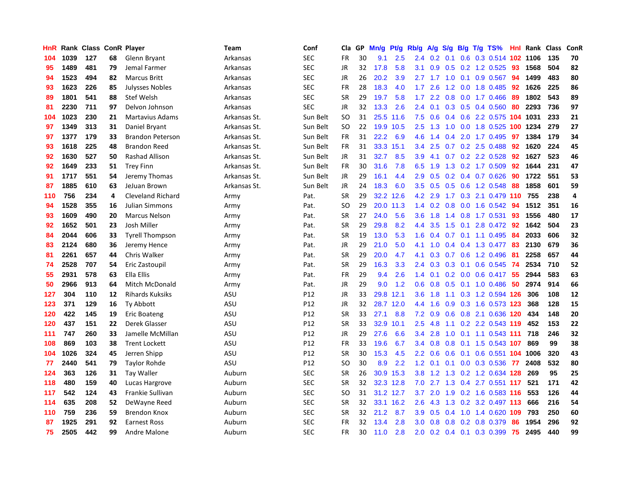| HnR |      | Rank Class ConR Player |    |                          | Team         | Conf       | Cla       | <b>GP</b> | Mn/g      | Pt/g      | Rb/g             | A/g             | S/g |  | B/g T/g TS%               | Hnl | Rank | <b>Class</b> | <b>ConR</b> |
|-----|------|------------------------|----|--------------------------|--------------|------------|-----------|-----------|-----------|-----------|------------------|-----------------|-----|--|---------------------------|-----|------|--------------|-------------|
| 104 | 1039 | 127                    | 68 | Glenn Bryant             | Arkansas     | <b>SEC</b> | FR        | 30        | 9.1       | 2.5       | 2.4              | 0.2             | 0.1 |  | 0.6 0.3 0.514 102 1106    |     |      | 135          | 70          |
| 95  | 1489 | 481                    | 79 | Jemal Farmer             | Arkansas     | <b>SEC</b> | JR        | 32        | 17.8      | 5.8       | 3.1              | 0.9             |     |  | $0.5$ 0.2 1.2 0.525       | -93 | 1568 | 504          | 82          |
| 94  | 1523 | 494                    | 82 | <b>Marcus Britt</b>      | Arkansas     | <b>SEC</b> | JR        | 26        | 20.2      | 3.9       | 2.7              | $1.7 \quad 1.0$ |     |  | $0.1$ 0.9 0.567           | -94 | 1499 | 483          | 80          |
| 93  | 1623 | 226                    | 85 | <b>Julysses Nobles</b>   | Arkansas     | <b>SEC</b> | FR        | 28        | 18.3      | 4.0       | 1.7              | 2.6             | 1.2 |  | 0.0 1.8 0.485             | 92  | 1626 | 225          | 86          |
| 89  | 1801 | 541                    | 88 | Stef Welsh               | Arkansas     | <b>SEC</b> | <b>SR</b> | 29        | 19.7      | 5.8       | 1.7              | 2.2             | 0.8 |  | $0.0$ 1.7 $0.466$         | -89 | 1802 | 543          | 89          |
| 81  | 2230 | 711                    | 97 | Delvon Johnson           | Arkansas     | <b>SEC</b> | JR        | 32        | 13.3      | 2.6       | 2.4              | 0.1             |     |  | $0.3$ 0.5 0.4 0.560       | 80  | 2293 | 736          | 97          |
| 104 | 1023 | 230                    | 21 | <b>Martavius Adams</b>   | Arkansas St. | Sun Belt   | <b>SO</b> | 31        | 25.5      | 11.6      | 7.5              | 0.6             | 0.4 |  | 0.6 2.2 0.575 104         |     | 1031 | 233          | 21          |
| 97  | 1349 | 313                    | 31 | Daniel Bryant            | Arkansas St. | Sun Belt   | <b>SO</b> | 22        | 19.9      | 10.5      | 2.5              | 1.3             | 1.0 |  | 0.0 1.8 0.525 100 1234    |     |      | 279          | 27          |
| 97  | 1377 | 179                    | 33 | <b>Brandon Peterson</b>  | Arkansas St. | Sun Belt   | FR        | 31        | 22.2      | 6.9       | 4.6              | 1.4             | 0.4 |  | 2.0 1.7 0.495             | 97  | 1384 | 179          | 34          |
| 93  | 1618 | 225                    | 48 | <b>Brandon Reed</b>      | Arkansas St. | Sun Belt   | FR        | 31        |           | 33.3 15.1 | $3.4^{\circ}$    | 2.5             |     |  | 0.7 0.2 2.5 0.488 92      |     | 1620 | 224          | 45          |
| 92  | 1630 | 527                    | 50 | Rashad Allison           | Arkansas St. | Sun Belt   | JR.       | 31        | 32.7      | 8.5       | 3.9              | 4.1             |     |  | $0.7$ $0.2$ $2.2$ $0.528$ | -92 | 1627 | 523          | 46          |
| 92  | 1649 | 233                    | 51 | <b>Trey Finn</b>         | Arkansas St. | Sun Belt   | FR        | 30        | 31.6      | 7.8       | 6.5              | 1.9             | 1.3 |  | $0.2$ 1.7 $0.509$         | 92  | 1644 | 231          | 47          |
| 91  | 1717 | 551                    | 54 | Jeremy Thomas            | Arkansas St. | Sun Belt   | JR        | 29        | 16.1      | 4.4       | 2.9              | 0.5             | 0.2 |  | $0.4$ 0.7 0.626           | 90  | 1722 | 551          | 53          |
| 87  | 1885 | 610                    | 63 | JeJuan Brown             | Arkansas St. | Sun Belt   | JR        | 24        | 18.3      | 6.0       | 3.5              | 0.5             | 0.5 |  | 0.6 1.2 0.548             | 88  | 1858 | 601          | 59          |
| 110 | 756  | 234                    | 4  | <b>Cleveland Richard</b> | Army         | Pat.       | <b>SR</b> | 29        | 32.2      | 12.6      | 4.2              | 2.9             | 1.7 |  | 0.3 2.1 0.479 110         |     | 755  | 238          | 4           |
| 94  | 1528 | 355                    | 16 | Julian Simmons           | Army         | Pat.       | SO        | 29        | 20.0      | 11.3      | 1.4              | 0.2             | 0.8 |  | $0.0$ 1.6 $0.542$         | -94 | 1512 | 351          | 16          |
| 93  | 1609 | 490                    | 20 | <b>Marcus Nelson</b>     | Army         | Pat.       | <b>SR</b> | 27        | 24.0      | 5.6       | 3.6              | 1.8             | 1.4 |  | $0.8$ 1.7 0.531           | 93  | 1556 | 480          | 17          |
| 92  | 1652 | 501                    | 23 | Josh Miller              | Army         | Pat.       | <b>SR</b> | 29        | 29.8      | 8.2       | 4.4              | 3.5             |     |  | 1.5 0.1 2.8 0.472 92      |     | 1642 | 504          | 23          |
| 84  | 2044 | 606                    | 33 | <b>Tyrell Thompson</b>   | Army         | Pat.       | <b>SR</b> | 19        | 13.0      | 5.3       | 1.6              |                 |     |  | 0.4 0.7 0.1 1.1 0.495 84  |     | 2033 | 606          | 32          |
| 83  | 2124 | 680                    | 36 | Jeremy Hence             | Army         | Pat.       | JR        | 29        | 21.0      | 5.0       | 4.1              | 1.0             |     |  | 0.4 0.4 1.3 0.477 83      |     | 2130 | 679          | 36          |
| 81  | 2261 | 657                    | 44 | Chris Walker             | Army         | Pat.       | <b>SR</b> | 29        | 20.0      | 4.7       | 4.1              | 0.3             |     |  | 0.7 0.6 1.2 0.496         | 81  | 2258 | 657          | 44          |
| 74  | 2528 | 707                    | 54 | Eric Zastoupil           | Army         | Pat.       | <b>SR</b> | 29        | 16.3      | 3.3       | 2.4              | 0.3             | 0.3 |  | $0.1$ 0.6 0.545           | -74 | 2534 | 710          | 52          |
| 55  | 2931 | 578                    | 63 | Ella Ellis               | Army         | Pat.       | <b>FR</b> | 29        | 9.4       | 2.6       | 1.4              | 0.1             | 0.2 |  | 0.0 0.6 0.417             | 55  | 2944 | 583          | 63          |
| 50  | 2966 | 913                    | 64 | Mitch McDonald           | Army         | Pat.       | JR        | 29        | 9.0       | 1.2       | 0.6              | 0.8             | 0.5 |  | $0.1$ 1.0 0.486           | 50  | 2974 | 914          | 66          |
| 127 | 304  | 110                    | 12 | <b>Rihards Kuksiks</b>   | <b>ASU</b>   | P12        | JR        | 33        | 29.8      | 12.1      | 3.6              | 1.8             | 1.1 |  | 0.3 1.2 0.594 126         |     | 306  | 108          | 12          |
| 123 | 371  | 129                    | 16 | Ty Abbott                | ASU          | P12        | JR        | 32        |           | 28.7 12.0 | 4.4              | 1.6             |     |  | 0.9 0.3 1.6 0.573 123     |     | 368  | 128          | 15          |
| 120 | 422  | 145                    | 19 | <b>Eric Boateng</b>      | ASU          | P12        | <b>SR</b> | 33        | 27.1      | 8.8       | 7.2              | 0.9             |     |  | 0.6 0.8 2.1 0.636 120 434 |     |      | 148          | 20          |
| 120 | 437  | 151                    | 22 | Derek Glasser            | ASU          | P12        | <b>SR</b> | 33        | 32.9      | 10.1      | $2.5\,$          | 4.8             |     |  | 1.1 0.2 2.2 0.543 119     |     | 452  | 153          | 22          |
| 111 | 747  | 260                    | 33 | Jamelle McMillan         | <b>ASU</b>   | P12        | <b>JR</b> | 29        | 27.6      | 6.6       | 3.4              | 2.8             | 1.0 |  | $0.1$ 1.1 0.543 111       |     | 718  | 246          | 32          |
| 108 | 869  | 103                    | 38 | <b>Trent Lockett</b>     | ASU          | P12        | <b>FR</b> | 33        | 19.6      | 6.7       | 3.4              | 0.8             | 0.8 |  | 0.1 1.5 0.543 107         |     | 869  | 99           | 38          |
| 104 | 1026 | 324                    | 45 | Jerren Shipp             | <b>ASU</b>   | P12        | <b>SR</b> | 30        | 15.3      | 4.5       | 2.2              | 0.6             | 0.6 |  | 0.1 0.6 0.551 104         |     | 1006 | 320          | 43          |
| 77  | 2440 | 541                    | 79 | Taylor Rohde             | ASU          | P12        | SO        | 30        | 8.9       | 2.2       | 1.2              | 0.1             | 0.1 |  | 0.0 0.3 0.536             | 77  | 2408 | 532          | 80          |
| 124 | 363  | 126                    | 31 | <b>Tay Waller</b>        | Auburn       | <b>SEC</b> | <b>SR</b> | 26        | 30.9      | 15.3      | 3.8              | 1.2             | 1.3 |  | 0.2 1.2 0.634 128         |     | 269  | 95           | 25          |
| 118 | 480  | 159                    | 40 | Lucas Hargrove           | Auburn       | <b>SEC</b> | <b>SR</b> | 32        |           | 32.3 12.8 | 7.0              | 2.7             |     |  | 1.3 0.4 2.7 0.551 117     |     | 521  | 171          | 42          |
| 117 | 542  | 124                    | 43 | Frankie Sullivan         | Auburn       | <b>SEC</b> | SO        | 31        | 31.2 12.7 |           | 3.7              | 2.0             |     |  | 1.9 0.2 1.6 0.583 116     |     | 553  | 126          | 44          |
| 114 | 635  | 208                    | 52 | DeWayne Reed             | Auburn       | <b>SEC</b> | <b>SR</b> | 32        |           | 33.1 16.2 | 2.6              | 4.3             |     |  | 1.3 0.2 3.2 0.497 113     |     | 666  | 216          | 54          |
| 110 | 759  | 236                    | 59 | <b>Brendon Knox</b>      | Auburn       | <b>SEC</b> | <b>SR</b> | 32        | 21.2      | 8.7       | 3.9 <sub>2</sub> | 0.5             | 0.4 |  | 1.0 1.4 0.620 109         |     | 793  | 250          | 60          |
| 87  | 1925 | 291                    | 92 | <b>Earnest Ross</b>      | Auburn       | <b>SEC</b> | <b>FR</b> | 32        | 13.4      | 2.8       | 3.0              | 0.8             | 0.8 |  | 0.2 0.8 0.379             | 86  | 1954 | 296          | 92          |
| 75  | 2505 | 442                    | 99 | Andre Malone             | Auburn       | <b>SEC</b> | FR        | 30        | 11.0      | 2.8       | 2.0              |                 |     |  | 0.2 0.4 0.1 0.3 0.399     | 75  | 2495 | 440          | 99          |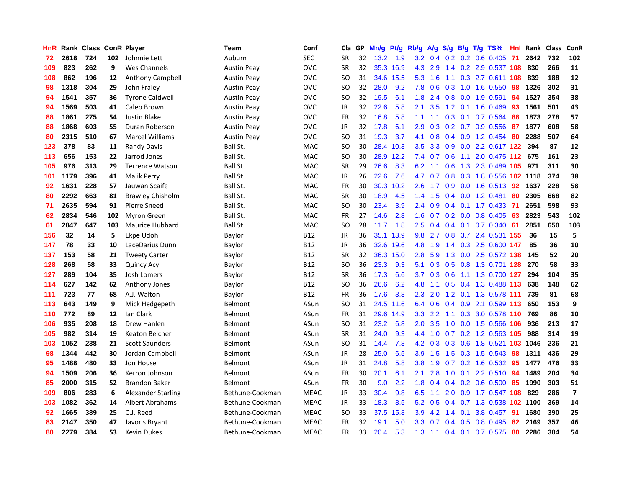| HnR |      | Rank Class |     | <b>ConR Player</b>        | Team               | Conf        | Cla           | <b>GP</b> | Mn/g | <b>Pt/g</b> | Rb/g             | A/g       |               |     | S/g B/g T/g TS%             | Hnl | Rank | <b>Class</b> | ConR                    |
|-----|------|------------|-----|---------------------------|--------------------|-------------|---------------|-----------|------|-------------|------------------|-----------|---------------|-----|-----------------------------|-----|------|--------------|-------------------------|
| 72  | 2618 | 724        | 102 | Johnnie Lett              | Auburn             | <b>SEC</b>  | <b>SR</b>     | 32        | 13.2 | 1.9         |                  |           |               |     | 3.2 0.4 0.2 0.2 0.6 0.405   | -71 | 2642 | 732          | 102                     |
| 109 | 823  | 262        | 9   | Wes Channels              | <b>Austin Peay</b> | OVC         | <b>SR</b>     | 32        |      | 35.3 16.9   |                  | 4.3 2.9   |               |     | 1.4 0.2 2.9 0.537 108       |     | 830  | 266          | 11                      |
| 108 | 862  | 196        | 12  | Anthony Campbell          | <b>Austin Peay</b> | <b>OVC</b>  | SO            | 31        | 34.6 | 15.5        | 5.3              | 1.6       |               |     | 1.1 0.3 2.7 0.611 108       |     | 839  | 188          | 12                      |
| 98  | 1318 | 304        | 29  | John Fraley               | <b>Austin Peay</b> | <b>OVC</b>  | <sub>SO</sub> | 32        | 28.0 | 9.2         | 7.8              | 0.6       | 0.3           |     | 1.0 1.6 0.550               | 98  | 1326 | 302          | 31                      |
| 94  | 1541 | 357        | 36  | <b>Tyrone Caldwell</b>    | <b>Austin Peay</b> | <b>OVC</b>  | <b>SO</b>     | 32        | 19.5 | 6.1         | 1.8              | 2.4       | 0.8           |     | $0.0$ 1.9 $0.591$           | 94  | 1527 | 354          | 38                      |
| 94  | 1569 | 503        | 41  | Caleb Brown               | <b>Austin Peay</b> | <b>OVC</b>  | JR            | 32        | 22.6 | 5.8         | 2.1              | 3.5       |               |     | 1.2 0.1 1.6 0.469           | -93 | 1561 | 501          | 43                      |
| 88  | 1861 | 275        | 54  | <b>Justin Blake</b>       | <b>Austin Peay</b> | <b>OVC</b>  | <b>FR</b>     | 32        | 16.8 | 5.8         | 1.1              | 1.1       | 0.3           |     | $0.1$ 0.7 0.564             | 88  | 1873 | 278          | 57                      |
| 88  | 1868 | 603        | 55  | Duran Roberson            | <b>Austin Peav</b> | <b>OVC</b>  | JR            | 32        | 17.8 | 6.1         | 2.9              | 0.3       |               |     | $0.2$ 0.7 0.9 0.556         | -87 | 1877 | 608          | 58                      |
| 80  | 2315 | 510        | 67  | <b>Marcel Williams</b>    | <b>Austin Peav</b> | <b>OVC</b>  | <sub>SO</sub> | 31        | 19.3 | 3.7         | 4.1              | 0.8       |               |     | 0.4 0.9 1.2 0.454 80        |     | 2288 | 507          | 64                      |
| 123 | 378  | 83         | 11  | <b>Randy Davis</b>        | Ball St.           | <b>MAC</b>  | SO            | 30        |      | 28.4 10.3   | 3.5              | 3.3       |               |     | 0.9 0.0 2.2 0.617 122       |     | 394  | 87           | 12                      |
| 113 | 656  | 153        | 22  | Jarrod Jones              | Ball St.           | <b>MAC</b>  | <b>SO</b>     | 30        |      | 28.9 12.2   | 7.4              | 0.7       |               |     | 0.6 1.1 2.0 0.475 112 675   |     |      | 161          | 23                      |
| 105 | 976  | 313        | 29  | <b>Terrence Watson</b>    | Ball St.           | <b>MAC</b>  | <b>SR</b>     | 29        | 26.6 | 8.3         | 6.2              | 1.1       |               |     | 0.6 1.3 2.3 0.489 105 971   |     |      | 311          | 30                      |
| 101 | 1179 | 396        | 41  | <b>Malik Perry</b>        | Ball St.           | <b>MAC</b>  | <b>JR</b>     | 26        | 22.6 | 7.6         | 4.7              | 0.7       | 0.8           |     | 0.3 1.8 0.556 102 1118      |     |      | 374          | 38                      |
| 92  | 1631 | 228        | 57  | Jauwan Scaife             | Ball St.           | <b>MAC</b>  | FR            | 30        | 30.3 | 10.2        | 2.6              | 1.7       | 0.9           |     | $0.0$ 1.6 0.513             | 92  | 1637 | 228          | 58                      |
| 80  | 2292 | 663        | 81  | <b>Brawley Chisholm</b>   | Ball St.           | <b>MAC</b>  | <b>SR</b>     | 30        | 18.9 | 4.5         | 1.4              | 1.5       |               |     | $0.4$ 0.0 1.2 0.481         | 80  | 2305 | 668          | 82                      |
| 71  | 2635 | 594        | 91  | <b>Pierre Sneed</b>       | Ball St.           | <b>MAC</b>  | SO            | 30        | 23.4 | 3.9         | $2.4^{\circ}$    | 0.9       |               |     | $0.4$ 0.1 1.7 0.433         | -71 | 2651 | 598          | 93                      |
| 62  | 2834 | 546        | 102 | <b>Myron Green</b>        | Ball St.           | <b>MAC</b>  | <b>FR</b>     | 27        | 14.6 | 2.8         | 1.6              | 0.7       | 0.2           |     | $0.0$ 0.8 0.405             | 63  | 2823 | 543          | 102                     |
| 61  | 2847 | 647        | 103 | <b>Maurice Hubbard</b>    | Ball St.           | <b>MAC</b>  | SO            | 28        | 11.7 | 1.8         | $2.5^{\circ}$    | 0.4       |               |     | $0.4$ 0.1 0.7 0.340         | -61 | 2851 | 650          | 103                     |
| 156 | 32   | 14         | 5   | Ekpe Udoh                 | Baylor             | B12         | <b>JR</b>     | 36        |      | 35.1 13.9   |                  | $9.8$ 2.7 |               |     | 0.8 3.7 2.4 0.531 155       |     | 36   | 15           | 5                       |
| 147 | 78   | 33         | 10  | LaceDarius Dunn           | Baylor             | B12         | <b>JR</b>     | 36        | 32.6 | 19.6        | 4.8              | 1.9       |               |     | 1.4 0.3 2.5 0.600 147       |     | 85   | 36           | 10                      |
| 137 | 153  | 58         | 21  | <b>Tweety Carter</b>      | Baylor             | B12         | <b>SR</b>     | 32        | 36.3 | 15.0        | 2.8              | 5.9       | 1.3           |     | 0.0 2.5 0.572 138           |     | 145  | 52           | 20                      |
| 128 | 268  | 58         | 33  | <b>Quincy Acy</b>         | Baylor             | B12         | SO            | 36        | 23.3 | 9.3         | 5.1              | 0.3       | 0.5           |     | 0.8 1.3 0.701 128           |     | 270  | 58           | 33                      |
| 127 | 289  | 104        | 35  | Josh Lomers               | Baylor             | B12         | <b>SR</b>     | 36        | 17.3 | 6.6         | 3.7              | 0.3       | 0.6           |     | 1.1 1.3 0.700               | 127 | 294  | 104          | 35                      |
| 114 | 627  | 142        | 62  | Anthony Jones             | Baylor             | <b>B12</b>  | SO.           | 36        | 26.6 | 6.2         | 4.8              | 1.1       |               |     | $0.5$ 0.4 1.3 0.488 113     |     | 638  | 148          | 62                      |
| 111 | 723  | 77         | 68  | A.J. Walton               | Baylor             | <b>B12</b>  | FR            | 36        | 17.6 | 3.8         | 2.3              | 2.0       | 1.2           |     | 0.1 1.3 0.578 111           |     | 739  | 81           | 68                      |
| 113 | 643  | 149        | 9   | Mick Hedgepeth            | Belmont            | ASun        | SO            | 31        | 24.5 | 11.6        | 6.4              | 0.6       |               |     | $0.4$ 0.9 2.1 0.599 113     |     | 650  | 153          | 9                       |
| 110 | 772  | 89         | 12  | Ian Clark                 | Belmont            | ASun        | <b>FR</b>     | 31        | 29.6 | 14.9        | 3.3 <sub>2</sub> | 2.2       |               |     | 1.1 0.3 3.0 0.578 110 769   |     |      | 86           | 10                      |
| 106 | 935  | 208        | 18  | Drew Hanlen               | Belmont            | ASun        | <sub>SO</sub> | 31        | 23.2 | 6.8         | $2.0^{\circ}$    | 3.5       |               |     | 1.0 0.0 1.5 0.566 106       |     | 936  | 213          | 17                      |
| 105 | 982  | 314        | 19  | Keaton Belcher            | Belmont            | ASun        | <b>SR</b>     | 31        | 24.0 | 9.3         | 4.4              | 1.0       |               |     | $0.7$ $0.2$ 1.2 $0.563$ 105 |     | 988  | 314          | 19                      |
| 103 | 1052 | 238        | 21  | <b>Scott Saunders</b>     | Belmont            | ASun        | <b>SO</b>     | 31        | 14.4 | 7.8         | 4.2              | 0.3       | 0.3           |     | 0.6 1.8 0.521 103 1046      |     |      | 236          | 21                      |
| 98  | 1344 | 442        | 30  | Jordan Campbell           | Belmont            | ASun        | JR            | 28        | 25.0 | 6.5         | 3.9              | 1.5       | 1.5           |     | 0.3 1.5 0.543               | 98  | 1311 | 436          | 29                      |
| 95  | 1488 | 480        | 33  | Jon House                 | Belmont            | ASun        | <b>JR</b>     | 31        | 24.8 | 5.8         | 3.8              | 1.9       | 0.7           |     | $0.2$ 1.6 0.532             | 95  | 1477 | 476          | 33                      |
| 94  | 1509 | 206        | 36  | Kerron Johnson            | Belmont            | ASun        | <b>FR</b>     | 30        | 20.1 | 6.1         | 2.1              | 2.8       | 1.0           | 0.1 | 2.2 0.510                   | -94 | 1489 | 204          | 34                      |
| 85  | 2000 | 315        | 52  | <b>Brandon Baker</b>      | Belmont            | ASun        | <b>FR</b>     | 30        | 9.0  | 2.2         | 1.8              | 0.4       | 0.4           |     | $0.2$ 0.6 0.500             | 85  | 1990 | 303          | 51                      |
| 109 | 806  | 283        | 6   | <b>Alexander Starling</b> | Bethune-Cookman    | <b>MEAC</b> | JR            | 33        | 30.4 | 9.8         | 6.5              | 1.1       | 2.0           |     | 0.9 1.7 0.547 108           |     | 829  | 286          | $\overline{\mathbf{z}}$ |
| 103 | 1082 | 362        | 14  | <b>Albert Abrahams</b>    | Bethune-Cookman    | <b>MEAC</b> | JR            | 33        | 18.3 | 8.5         | 5.2              | 0.5       |               |     | 0.4 0.7 1.3 0.538 102 1100  |     |      | 369          | 14                      |
| 92  | 1665 | 389        | 25  | C.J. Reed                 | Bethune-Cookman    | <b>MEAC</b> | SO            | 33        | 37.5 | 15.8        | 3.9              | 4.2       | $1.4^{\circ}$ | 0.1 | 3.8 0.457                   | -91 | 1680 | 390          | 25                      |
| 83  | 2147 | 350        | 47  | Javoris Bryant            | Bethune-Cookman    | <b>MEAC</b> | <b>FR</b>     | 32        | 19.1 | 5.0         | 3.3              | 0.7       | 0.4           | 0.5 | 0.8 0.495                   | 82  | 2169 | 357          | 46                      |
| 80  | 2279 | 384        | 53  | <b>Kevin Dukes</b>        | Bethune-Cookman    | <b>MEAC</b> | FR            | 33        | 20.4 | 5.3         | 1.3              | 1.1       |               |     | 0.4 0.1 0.7 0.575           | 80  | 2286 | 384          | 54                      |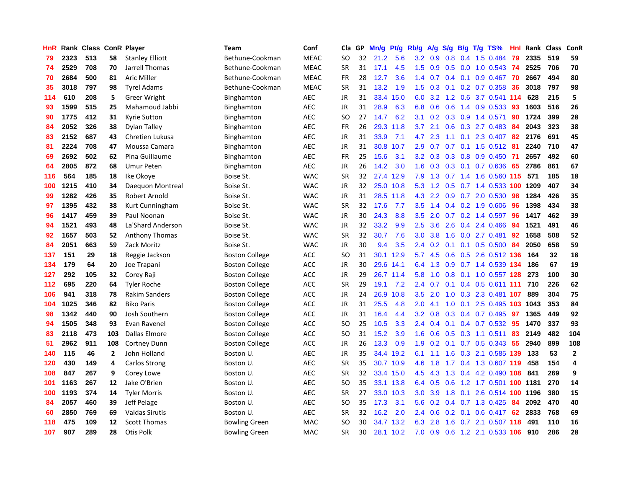| HnR |      | Rank Class ConR Player |                |                        | Team                  | Conf        | Cla       | GP | Mn/g | <b>Pt/g</b> | Rb/g             | A/g |     |  | $S/g$ B/g T/g TS%                    | Hnl | Rank | Class | ConR           |
|-----|------|------------------------|----------------|------------------------|-----------------------|-------------|-----------|----|------|-------------|------------------|-----|-----|--|--------------------------------------|-----|------|-------|----------------|
| 79  | 2323 | 513                    | 58             | <b>Stanley Elliott</b> | Bethune-Cookman       | <b>MEAC</b> | <b>SO</b> | 32 | 21.2 | 5.6         | 3.2              | 0.9 | 0.8 |  | 0.4 1.5 0.484                        | 79  | 2335 | 519   | 59             |
| 74  | 2529 | 708                    | 70             | Jarrell Thomas         | Bethune-Cookman       | <b>MEAC</b> | SR        | 31 | 17.1 | 4.5         | 1.5              |     |     |  | 0.9 0.5 0.0 1.0 0.543 74             |     | 2525 | 706   | 70             |
| 70  | 2684 | 500                    | 81             | <b>Aric Miller</b>     | Bethune-Cookman       | <b>MEAC</b> | <b>FR</b> | 28 | 12.7 | 3.6         | $1.4^{\circ}$    | 0.7 |     |  | 0.4 0.1 0.9 0.467 70                 |     | 2667 | 494   | 80             |
| 35  | 3018 | 797                    | 98             | <b>Tyrel Adams</b>     | Bethune-Cookman       | <b>MEAC</b> | <b>SR</b> | 31 | 13.2 | 1.9         | 1.5              | 0.3 |     |  | $0.1$ 0.2 0.7 0.358                  | 36  | 3018 | 797   | 98             |
| 114 | 610  | 208                    | 5              | <b>Greer Wright</b>    | Binghamton            | <b>AEC</b>  | JR        | 31 | 33.4 | 15.0        | 6.0              | 3.2 |     |  | 1.2 0.6 3.7 0.541 114                |     | 628  | 215   | 5              |
| 93  | 1599 | 515                    | 25             | Mahamoud Jabbi         | Binghamton            | <b>AEC</b>  | JR        | 31 | 28.9 | 6.3         | 6.8              | 0.6 | 0.6 |  | 1.4 0.9 0.533                        | -93 | 1603 | 516   | 26             |
| 90  | 1775 | 412                    | 31             | <b>Kyrie Sutton</b>    | Binghamton            | AEC         | <b>SO</b> | 27 | 14.7 | 6.2         | 3.1              | 0.2 | 0.3 |  | 0.9 1.4 0.571                        | 90  | 1724 | 399   | 28             |
| 84  | 2052 | 326                    | 38             | Dylan Talley           | <b>Binghamton</b>     | AEC         | FR        | 26 | 29.3 | 11.8        | 3.7              | 2.1 | 0.6 |  | $0.3$ 2.7 $0.483$                    | -84 | 2043 | 323   | 38             |
| 83  | 2152 | 687                    | 43             | Chretien Lukusa        | Binghamton            | AEC         | JR        | 31 | 33.9 | 7.1         | 4.7              | 2.3 |     |  | 1.1 0.1 2.3 0.407 82                 |     | 2176 | 691   | 45             |
| 81  | 2224 | 708                    | 47             | Moussa Camara          | Binghamton            | AEC         | JR        | 31 | 30.8 | 10.7        | 2.9              | 0.7 |     |  | 0.7 0.1 1.5 0.512 81                 |     | 2240 | 710   | 47             |
| 69  | 2692 | 502                    | 62             | Pina Guillaume         | Binghamton            | AEC         | FR        | 25 | 15.6 | 3.1         | 3.2              |     |     |  | 0.3 0.3 0.8 0.9 0.450 71             |     | 2657 | 492   | 60             |
| 64  | 2805 | 872                    | 68             | <b>Umur Peten</b>      | Binghamton            | <b>AEC</b>  | JR        | 26 | 14.2 | 3.0         | 1.6              | 0.3 |     |  | 0.3 0.1 0.7 0.636 65                 |     | 2786 | 861   | 67             |
| 116 | 564  | 185                    | 18             | Ike Okoye              | Boise St.             | <b>WAC</b>  | <b>SR</b> | 32 | 27.4 | 12.9        | 7.9              | 1.3 |     |  | 0.7 1.4 1.6 0.560 115                |     | 571  | 185   | 18             |
| 100 | 1215 | 410                    | 34             | Daequon Montreal       | Boise St.             | <b>WAC</b>  | JR        | 32 | 25.0 | 10.8        | 5.3              | 1.2 | 0.5 |  | 0.7 1.4 0.533 100 1209               |     |      | 407   | 34             |
| 99  | 1282 | 426                    | 35             | Robert Arnold          | Boise St.             | <b>WAC</b>  | JR        | 31 | 28.5 | 11.8        | 4.3              | 2.2 |     |  | 0.9 0.7 2.0 0.530                    | 98  | 1284 | 426   | 35             |
| 97  | 1395 | 432                    | 38             | Kurt Cunningham        | Boise St.             | <b>WAC</b>  | <b>SR</b> | 32 | 17.6 | 7.7         | 3.5              | 1.4 |     |  | 0.4 0.2 1.9 0.606                    | 96  | 1398 | 434   | 38             |
| 96  | 1417 | 459                    | 39             | Paul Noonan            | Boise St.             | <b>WAC</b>  | <b>JR</b> | 30 | 24.3 | 8.8         | 3.5              | 2.0 |     |  | 0.7 0.2 1.4 0.597                    | 96  | 1417 | 462   | 39             |
| 94  | 1521 | 493                    | 48             | La'Shard Anderson      | Boise St.             | <b>WAC</b>  | <b>JR</b> | 32 | 33.2 | 9.9         | 2.5              | 3.6 | 2.6 |  | 0.4 2.4 0.466                        | 94  | 1521 | 491   | 46             |
| 92  | 1657 | 503                    | 52             | <b>Anthony Thomas</b>  | Boise St.             | <b>WAC</b>  | <b>SR</b> | 32 | 30.7 | 7.6         | 3.0 <sub>2</sub> | 3.8 |     |  | 1.6 0.0 2.7 0.481 92                 |     | 1658 | 508   | 52             |
| 84  | 2051 | 663                    | 59             | Zack Moritz            | Boise St.             | <b>WAC</b>  | JR        | 30 | 9.4  | 3.5         | $2.4^{\circ}$    | 0.2 |     |  | 0.1 0.1 0.5 0.500 84                 |     | 2050 | 658   | 59             |
| 137 | 151  | 29                     | 18             | Reggie Jackson         | <b>Boston College</b> | ACC         | <b>SO</b> | 31 | 30.1 | 12.9        | 5.7              | 4.5 |     |  | $0.6$ $0.5$ $2.6$ $0.512$ <b>136</b> |     | 164  | 32    | 18             |
| 134 | 179  | 64                     | 20             | Joe Trapani            | <b>Boston College</b> | ACC         | JR        | 30 | 29.6 | 14.1        | 6.4              | 1.3 | 0.9 |  | 0.7 1.4 0.539 134                    |     | 186  | 67    | 19             |
| 127 | 292  | 105                    | 32             | Corey Raji             | <b>Boston College</b> | ACC         | JR        | 29 |      | 26.7 11.4   | 5.8              | 1.0 |     |  | 0.8 0.1 1.0 0.557 128                |     | 273  | 100   | 30             |
| 112 | 695  | 220                    | 64             | <b>Tyler Roche</b>     | <b>Boston College</b> | ACC         | <b>SR</b> | 29 | 19.1 | 7.2         | 2.4              | 0.7 |     |  | $0.1$ 0.4 0.5 0.611 111              |     | 710  | 226   | 62             |
| 106 | 941  | 318                    | 78             | <b>Rakim Sanders</b>   | <b>Boston College</b> | ACC         | JR        | 24 | 26.9 | 10.8        | 3.5              | 2.0 | 1.0 |  | 0.3 2.3 0.481 107                    |     | 889  | 304   | 75             |
| 104 | 1025 | 346                    | 82             | <b>Biko Paris</b>      | <b>Boston College</b> | ACC         | JR        | 31 | 25.5 | 4.8         | 2.0 <sub>1</sub> | 4.1 |     |  | 1.0 0.1 2.5 0.495 103 1043           |     |      | 353   | 84             |
| 98  | 1342 | 440                    | 90             | Josh Southern          | <b>Boston College</b> | ACC         | JR        | 31 | 16.4 | 4.4         | 3.2              | 0.8 |     |  | 0.3 0.4 0.7 0.495 97                 |     | 1365 | 449   | 92             |
| 94  | 1505 | 348                    | 93             | Evan Ravenel           | <b>Boston College</b> | ACC         | <b>SO</b> | 25 | 10.5 | 3.3         | $2.4^{\circ}$    | 0.4 |     |  | 0.1 0.4 0.7 0.532 95                 |     | 1470 | 337   | 93             |
| 83  | 2118 | 473                    | 103            | Dallas Elmore          | <b>Boston College</b> | ACC         | SO        | 31 | 15.2 | 3.9         | 1.6              | 0.6 |     |  | $0.5$ 0.3 1.1 0.511                  | 83  | 2149 | 482   | 104            |
| 51  | 2962 | 911                    | 108            | <b>Cortney Dunn</b>    | <b>Boston College</b> | ACC         | JR        | 26 | 13.3 | 0.9         | 1.9              | 0.2 |     |  | $0.1$ 0.7 0.5 0.343                  | -55 | 2940 | 899   | 108            |
| 140 | 115  | 46                     | $\overline{2}$ | John Holland           | Boston U.             | <b>AEC</b>  | JR        | 35 | 34.4 | 19.2        | 6.1              | 1.1 | 1.6 |  | 0.3 2.1 0.585 139                    |     | 133  | 53    | $\overline{2}$ |
| 120 | 430  | 149                    | 4              | Carlos Strong          | Boston U.             | AEC         | <b>SR</b> | 35 | 30.7 | 10.9        | 4.6              | 1.8 |     |  | 1.7 0.4 1.3 0.607 119                |     | 458  | 154   | $\overline{a}$ |
| 108 | 847  | 267                    | 9              | Corey Lowe             | Boston U.             | <b>AEC</b>  | <b>SR</b> | 32 | 33.4 | 15.0        | 4.5              | 4.3 | 1.3 |  | 0.4 4.2 0.490 108                    |     | 841  | 269   | 9              |
| 101 | 1163 | 267                    | 12             | Jake O'Brien           | Boston U.             | AEC         | SO        | 35 | 33.1 | 13.8        | 6.4              | 0.5 | 0.6 |  | 1.2 1.7 0.501 100 1181               |     |      | 270   | 14             |
| 100 | 1193 | 374                    | 14             | <b>Tyler Morris</b>    | Boston U.             | <b>AEC</b>  | <b>SR</b> | 27 | 33.0 | 10.3        | 3.0 <sub>2</sub> | 3.9 |     |  | 1.8 0.1 2.6 0.514 100 1196           |     |      | 380   | 15             |
| 84  | 2057 | 460                    | 39             | Jeff Pelage            | Boston U.             | AEC         | SO        | 35 | 17.3 | 3.1         | 5.6              | 0.2 |     |  | 0.4 0.7 1.3 0.425 84                 |     | 2092 | 470   | 40             |
| 60  | 2850 | 769                    | 69             | <b>Valdas Sirutis</b>  | Boston U.             | <b>AEC</b>  | SR        | 32 | 16.2 | 2.0         | $2.4^{\circ}$    | 0.6 |     |  | $0.2$ 0.1 0.6 0.417 62               |     | 2833 | 768   | 69             |
| 118 | 475  | 109                    | 12             | <b>Scott Thomas</b>    | <b>Bowling Green</b>  | <b>MAC</b>  | SO        | 30 | 34.7 | 13.2        | 6.3              | 2.8 | 1.6 |  | 0.7 2.1 0.507 118                    |     | 491  | 110   | 16             |
| 107 | 907  | 289                    | 28             | Otis Polk              | <b>Bowling Green</b>  | <b>MAC</b>  | <b>SR</b> | 30 | 28.1 | 10.2        | 7.0              | 0.9 |     |  | 0.6 1.2 2.1 0.533 106                |     | 910  | 286   | 28             |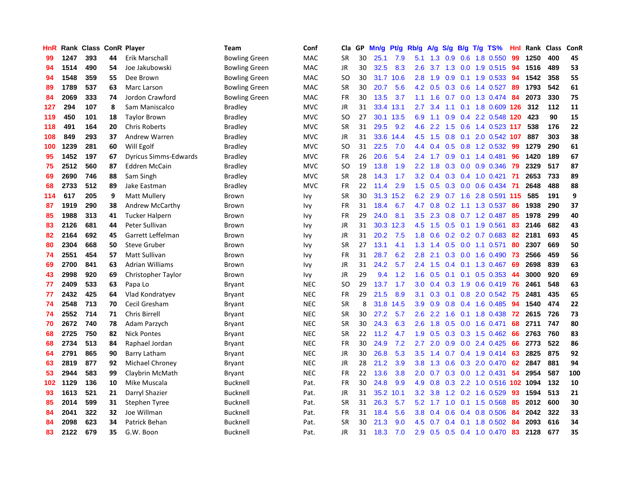| <b>HnR</b> |      | Rank Class ConR Player |    |                              | Team                 | Conf       | Cla       | GP | Mn/g | Pt/g      | Rb/g             | A/g | S/g              |     | $B/g$ T/g TS%              | Hnl | Rank | <b>Class</b> | ConR |
|------------|------|------------------------|----|------------------------------|----------------------|------------|-----------|----|------|-----------|------------------|-----|------------------|-----|----------------------------|-----|------|--------------|------|
| 99         | 1247 | 393                    | 44 | Erik Marschall               | <b>Bowling Green</b> | MAC        | <b>SR</b> | 30 | 25.1 | 7.9       | 5.1              | 1.3 | 0.9              | 0.6 | 1.8 0.550                  | 99  | 1250 | 400          | 45   |
| 94         | 1514 | 490                    | 54 | Joe Jakubowski               | <b>Bowling Green</b> | MAC        | JR        | 30 | 32.5 | 8.3       | 2.6              | 3.7 |                  |     | 1.3 0.0 1.9 0.515 94       |     | 1516 | 489          | 53   |
| 94         | 1548 | 359                    | 55 | Dee Brown                    | <b>Bowling Green</b> | MAC        | <b>SO</b> | 30 |      | 31.7 10.6 | 2.8              | 1.9 |                  |     | $0.9$ 0.1 1.9 0.533        | 94  | 1542 | 358          | 55   |
| 89         | 1789 | 537                    | 63 | Marc Larson                  | <b>Bowling Green</b> | MAC        | <b>SR</b> | 30 | 20.7 | 5.6       | 4.2              | 0.5 |                  |     | 0.3 0.6 1.4 0.527          | 89  | 1793 | 542          | 61   |
| 84         | 2069 | 333                    | 74 | Jordon Crawford              | <b>Bowling Green</b> | MAC        | <b>FR</b> | 30 | 13.5 | 3.7       | 1.1              | 1.6 |                  |     | 0.7 0.0 1.3 0.474          | 84  | 2073 | 330          | 75   |
| 127        | 294  | 107                    | 8  | Sam Maniscalco               | <b>Bradley</b>       | <b>MVC</b> | JR        | 31 | 33.4 | 13.1      | 2.7              | 3.4 | 1.1              |     | 0.1 1.8 0.609 126          |     | 312  | 112          | 11   |
| 119        | 450  | 101                    | 18 | <b>Taylor Brown</b>          | <b>Bradley</b>       | <b>MVC</b> | <b>SO</b> | 27 | 30.1 | 13.5      | 6.9              | 1.1 | 0.9              |     | 0.4 2.2 0.548              | 120 | 423  | 90           | 15   |
| 118        | 491  | 164                    | 20 | <b>Chris Roberts</b>         | <b>Bradley</b>       | <b>MVC</b> | <b>SR</b> | 31 | 29.5 | 9.2       | 4.6              | 2.2 | 1.5              |     | 0.6 1.4 0.523 117          |     | 538  | 176          | 22   |
| 108        | 849  | 293                    | 37 | <b>Andrew Warren</b>         | <b>Bradley</b>       | <b>MVC</b> | <b>JR</b> | 31 | 33.6 | 14.4      | 4.5              | 1.5 | 0.8              | 0.1 | 2.0 0.542                  | 107 | 887  | 303          | 38   |
| 100        | 1239 | 281                    | 60 | Will Egolf                   | <b>Bradley</b>       | <b>MVC</b> | <b>SO</b> | 31 | 22.5 | 7.0       | 4.4              |     |                  |     | 0.4 0.5 0.8 1.2 0.532      | -99 | 1279 | 290          | 61   |
| 95         | 1452 | 197                    | 67 | <b>Dyricus Simms-Edwards</b> | <b>Bradley</b>       | <b>MVC</b> | <b>FR</b> | 26 | 20.6 | 5.4       | $2.4^{\circ}$    | 1.7 |                  |     | $0.9$ 0.1 1.4 0.481        | -96 | 1420 | 189          | 67   |
| 75         | 2512 | 560                    | 87 | <b>Eddren McCain</b>         | <b>Bradley</b>       | <b>MVC</b> | <b>SO</b> | 19 | 13.8 | 1.9       | $2.2\phantom{0}$ | 1.8 |                  |     | $0.3$ 0.0 0.9 0.346        | -79 | 2329 | 517          | 87   |
| 69         | 2690 | 746                    | 88 | Sam Singh                    | <b>Bradley</b>       | <b>MVC</b> | <b>SR</b> | 28 | 14.3 | 1.7       | 3.2              | 0.4 |                  |     | 0.3 0.4 1.0 0.421          | 71  | 2653 | 733          | 89   |
| 68         | 2733 | 512                    | 89 | Jake Eastman                 | <b>Bradley</b>       | <b>MVC</b> | <b>FR</b> | 22 | 11.4 | 2.9       | 1.5              | 0.5 |                  |     | 0.3 0.0 0.6 0.434          | 71  | 2648 | 488          | 88   |
| 114        | 617  | 205                    | 9  | <b>Matt Mullery</b>          | Brown                | Ivy        | <b>SR</b> | 30 | 31.3 | 15.2      | 6.2              | 2.9 |                  |     | 0.7 1.6 2.8 0.591 115      |     | 585  | 191          | 9    |
| 87         | 1919 | 290                    | 38 | Andrew McCarthy              | Brown                | Ivy        | <b>FR</b> | 31 | 18.4 | 6.7       | 4.7              | 0.8 | 0.2              |     | 1.1 1.3 0.537              | 86  | 1938 | 290          | 37   |
| 85         | 1988 | 313                    | 41 | <b>Tucker Halpern</b>        | Brown                | Ivy        | FR        | 29 | 24.0 | 8.1       | 3.5              | 2.3 | 0.8              |     | 0.7 1.2 0.487              | 85  | 1978 | 299          | 40   |
| 83         | 2126 | 681                    | 44 | Peter Sullivan               | <b>Brown</b>         | Ivy        | JR        | 31 | 30.3 | 12.3      | 4.5              | 1.5 |                  |     | $0.5$ 0.1 1.9 0.561        | 83  | 2146 | 682          | 43   |
| 82         | 2164 | 692                    | 45 | Garrett Leffelman            | Brown                | Ivy        | <b>JR</b> | 31 | 20.2 | 7.5       | 1.8              | 0.6 |                  |     | $0.2$ 0.2 0.7 0.683        | -82 | 2181 | 693          | 45   |
| 80         | 2304 | 668                    | 50 | <b>Steve Gruber</b>          | <b>Brown</b>         | Ivy        | <b>SR</b> | 27 | 13.1 | 4.1       | 1.3              | 1.4 |                  |     | $0.5$ 0.0 1.1 0.571        | 80  | 2307 | 669          | 50   |
| 74         | 2551 | 454                    | 57 | Matt Sullivan                | Brown                | Ivy        | <b>FR</b> | 31 | 28.7 | 6.2       | 2.8              | 2.1 | 0.3              |     | 0.0 1.6 0.490              | 73  | 2566 | 459          | 56   |
| 69         | 2700 | 841                    | 63 | Adrian Williams              | <b>Brown</b>         | Ivy        | JR        | 31 | 24.2 | 5.7       | $2.4^{\circ}$    | 1.5 | $0.4^{\circ}$    |     | 0.1 1.3 0.467              | 69  | 2698 | 839          | 63   |
| 43         | 2998 | 920                    | 69 | Christopher Taylor           | Brown                | Ivy        | <b>JR</b> | 29 | 9.4  | 1.2       | 1.6              | 0.5 |                  |     | $0.1$ 0.1 0.5 0.353        | 44  | 3000 | 920          | 69   |
| 77         | 2409 | 533                    | 63 | Papa Lo                      | Bryant               | <b>NEC</b> | SO        | 29 | 13.7 | 1.7       | 3.0 <sub>1</sub> | 0.4 | 0.3              |     | $1.9\quad0.6\quad0.419$    | 76  | 2461 | 548          | 63   |
| 77         | 2432 | 425                    | 64 | Vlad Kondratyev              | Bryant               | <b>NEC</b> | <b>FR</b> | 29 | 21.5 | 8.9       | 3.1              | 0.3 | 0.1              |     | $0.8$ 2.0 $0.542$          | -75 | 2481 | 435          | 65   |
| 74         | 2548 | 713                    | 70 | Cecil Gresham                | Bryant               | <b>NEC</b> | <b>SR</b> | 8  | 31.8 | 14.5      | 3.9 <sup>°</sup> | 0.9 |                  |     | $0.8$ 0.4 1.6 0.485        | -94 | 1540 | 474          | 22   |
| 74         | 2552 | 714                    | 71 | <b>Chris Birrell</b>         | Bryant               | <b>NEC</b> | <b>SR</b> | 30 | 27.2 | 5.7       | 2.6              | 2.2 |                  |     | 1.6 0.1 1.8 0.438 72       |     | 2615 | 726          | 73   |
| 70         | 2672 | 740                    | 78 | Adam Parzych                 | Bryant               | <b>NEC</b> | <b>SR</b> | 30 | 24.3 | 6.3       | 2.6              | 1.8 |                  |     | $0.5$ 0.0 1.6 0.471        | 68  | 2711 | 747          | 80   |
| 68         | 2725 | 750                    | 82 | <b>Nick Pontes</b>           | Bryant               | <b>NEC</b> | <b>SR</b> | 22 | 11.2 | 4.7       | 1.9              | 0.5 |                  |     | $0.3$ $0.3$ $1.5$ $0.462$  | 66  | 2763 | 760          | 83   |
| 68         | 2734 | 513                    | 84 | Raphael Jordan               | Bryant               | <b>NEC</b> | <b>FR</b> | 30 | 24.9 | 7.2       | 2.7              | 2.0 | 0.9 <sup>°</sup> |     | $0.0$ 2.4 $0.425$          | 66  | 2773 | 522          | 86   |
| 64         | 2791 | 865                    | 90 | Barry Latham                 | Bryant               | <b>NEC</b> | JR        | 30 | 26.8 | 5.3       | 3.5              | 1.4 | 0.7              |     | $0.4$ 1.9 0.414            | 63  | 2825 | 875          | 92   |
| 63         | 2819 | 877                    | 92 | Michael Chroney              | Bryant               | <b>NEC</b> | <b>JR</b> | 28 | 21.2 | 3.9       | 3.8 <sub>2</sub> | 1.3 | 0.6              |     | 0.3 2.0 0.470              | 62  | 2847 | 881          | 94   |
| 53         | 2944 | 583                    | 99 | Claybrin McMath              | Bryant               | <b>NEC</b> | FR        | 22 | 13.6 | 3.8       | 2.0 <sub>1</sub> | 0.7 | 0.3              |     | $0.0$ 1.2 0.431            | 54  | 2954 | 587          | 100  |
| 102        | 1129 | 136                    | 10 | Mike Muscala                 | <b>Bucknell</b>      | Pat.       | <b>FR</b> | 30 | 24.8 | 9.9       | 4.9              | 0.8 |                  |     | 0.3 2.2 1.0 0.516 102 1094 |     |      | 132          | 10   |
| 93         | 1613 | 521                    | 21 | Darryl Shazier               | <b>Bucknell</b>      | Pat.       | JR        | 31 | 35.2 | 10.1      | 3.2              | 3.8 |                  |     | 1.2 0.2 1.6 0.529          | 93  | 1594 | 513          | 21   |
| 85         | 2014 | 599                    | 31 | Stephen Tyree                | <b>Bucknell</b>      | Pat.       | <b>SR</b> | 31 | 26.3 | 5.7       | 5.2              | 1.7 |                  |     | 1.0 0.1 1.5 0.568          | 85  | 2012 | 600          | 30   |
| 84         | 2041 | 322                    | 32 | Joe Willman                  | <b>Bucknell</b>      | Pat.       | FR        | 31 | 18.4 | 5.6       | 3.8 <sub>2</sub> | 0.4 | 0.6              |     | 0.4 0.8 0.506              | 84  | 2042 | 322          | 33   |
| 84         | 2098 | 623                    | 34 | Patrick Behan                | <b>Bucknell</b>      | Pat.       | <b>SR</b> | 30 | 21.3 | 9.0       | 4.5              | 0.7 | 0.4              | 0.1 | 1.8 0.502                  | -84 | 2093 | 616          | 34   |
| 83         | 2122 | 679                    | 35 | G.W. Boon                    | <b>Bucknell</b>      | Pat.       | <b>JR</b> | 31 | 18.3 | 7.0       | 2.9 <sup>°</sup> | 0.5 |                  |     | 0.5 0.4 1.0 0.470          | 83  | 2128 | 677          | 35   |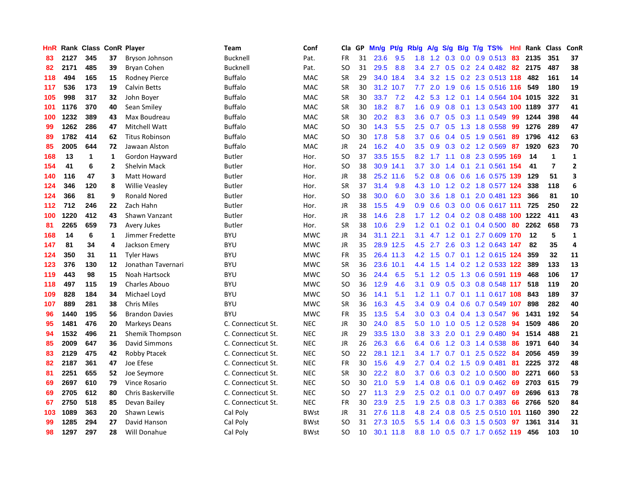| HnR |      | Rank Class ConR Player |              |                       | Team               | Conf        | Cla           | <b>GP</b> | Mn/g      | <b>Pt/g</b> | Rb/g             | A/g             | S/g |     | B/g T/g TS%                 | Hnl | Rank | <b>Class</b>   | <b>ConR</b>    |
|-----|------|------------------------|--------------|-----------------------|--------------------|-------------|---------------|-----------|-----------|-------------|------------------|-----------------|-----|-----|-----------------------------|-----|------|----------------|----------------|
| 83  | 2127 | 345                    | 37           | Bryson Johnson        | Bucknell           | Pat.        | <b>FR</b>     | 31        | 23.6      | 9.5         | 1.8              | 1.2             | 0.3 |     | $0.0 \quad 0.9 \quad 0.513$ | -83 | 2135 | 351            | 37             |
| 82  | 2171 | 485                    | 39           | Bryan Cohen           | Bucknell           | Pat.        | SO            | 31        | 29.5      | 8.8         | $3.4^{\circ}$    | 2.7             |     |     | 0.5 0.2 2.4 0.482 82 2175   |     |      | 487            | 38             |
| 118 | 494  | 165                    | 15           | <b>Rodney Pierce</b>  | <b>Buffalo</b>     | <b>MAC</b>  | <b>SR</b>     | 29        | 34.0      | 18.4        | $3.4^{\circ}$    | 3.2             |     |     | 1.5 0.2 2.3 0.513 118 482   |     |      | 161            | 14             |
| 117 | 536  | 173                    | 19           | <b>Calvin Betts</b>   | <b>Buffalo</b>     | MAC         | <b>SR</b>     | 30        | 31.2      | 10.7        | 7.7              | 2.0             | 1.9 |     | 0.6 1.5 0.516 116           |     | 549  | 180            | 19             |
| 105 | 998  | 317                    | 32           | John Boyer            | <b>Buffalo</b>     | <b>MAC</b>  | <b>SR</b>     | 30        | 33.7      | 7.2         | 4.2              | 5.3             | 1.2 |     | 0.1 1.4 0.564 104 1015      |     |      | 322            | 31             |
| 101 | 1176 | 370                    | 40           | Sean Smiley           | <b>Buffalo</b>     | MAC         | <b>SR</b>     | 30        | 18.2      | 8.7         | 1.6              | 0.9             | 0.8 |     | 0.1 1.3 0.543 100 1189      |     |      | 377            | 41             |
| 100 | 1232 | 389                    | 43           | Max Boudreau          | <b>Buffalo</b>     | <b>MAC</b>  | <b>SR</b>     | 30        | 20.2      | 8.3         | 3.6              | 0.7             |     |     | $0.5$ 0.3 1.1 0.549         | 99  | 1244 | 398            | 44             |
| 99  | 1262 | 286                    | 47           | Mitchell Watt         | <b>Buffalo</b>     | <b>MAC</b>  | SO            | 30        | 14.3      | 5.5         | $2.5^{\circ}$    | 0.7             |     |     | 0.5 1.3 1.8 0.558           | -99 | 1276 | 289            | 47             |
| 89  | 1782 | 414                    | 62           | <b>Titus Robinson</b> | <b>Buffalo</b>     | <b>MAC</b>  | <sub>SO</sub> | 30        | 17.8      | 5.8         | 3.7              | 0.6             |     |     | $0.4$ 0.5 1.9 0.561         | 89  | 1796 | 412            | 63             |
| 85  | 2005 | 644                    | 72           | Jawaan Alston         | <b>Buffalo</b>     | <b>MAC</b>  | JR            | 24        | 16.2      | 4.0         | 3.5              | 0.9             |     |     | 0.3 0.2 1.2 0.569 87        |     | 1920 | 623            | 70             |
| 168 | 13   | 1                      | 1            | Gordon Hayward        | <b>Butler</b>      | Hor.        | <b>SO</b>     | 37        |           | 33.5 15.5   | 8.2              |                 |     |     | 1.7 1.1 0.8 2.3 0.595 169   |     | 14   | 1              | 1              |
| 154 | 41   | 6                      | $\mathbf{2}$ | <b>Shelvin Mack</b>   | Butler             | Hor.        | SO            | 38        |           | 30.9 14.1   | 3.7              | 3.0             |     |     | 1.4 0.1 2.1 0.561 154       |     | 41   | $\overline{7}$ | $\overline{2}$ |
| 140 | 116  | 47                     | 3            | Matt Howard           | Butler             | Hor.        | JR            | 38        | 25.2      | 11.6        | 5.2              | 0.8             | 0.6 |     | 0.6 1.6 0.575 139           |     | 129  | 51             | 3              |
| 124 | 346  | 120                    | 8            | <b>Willie Veasley</b> | Butler             | Hor.        | <b>SR</b>     | 37        | 31.4      | 9.8         | 4.3              | 1.0             |     |     | 1.2 0.2 1.8 0.577 124       |     | 338  | 118            | 6              |
| 124 | 366  | 81                     | 9            | <b>Ronald Nored</b>   | Butler             | Hor.        | <b>SO</b>     | 38        | 30.0      | 6.0         | 3.0              | 3.6             | 1.8 |     | 0.1 2.0 0.481 123           |     | 366  | 81             | 10             |
| 112 | 712  | 246                    | 22           | Zach Hahn             | Butler             | Hor.        | JR            | 38        | 15.5      | 4.9         | 0.9 <sup>°</sup> | 0.6             |     |     | $0.3$ 0.0 0.6 0.617 111     |     | 725  | 250            | 22             |
| 100 | 1220 | 412                    | 43           | Shawn Vanzant         | <b>Butler</b>      | Hor.        | <b>JR</b>     | 38        | 14.6      | 2.8         | 1.7              | 1.2             |     |     | 0.4 0.2 0.8 0.488 100 1222  |     |      | 411            | 43             |
| 81  | 2265 | 659                    | 73           | <b>Avery Jukes</b>    | Butler             | Hor.        | <b>SR</b>     | 38        | 10.6      | 2.9         | $1.2^{\circ}$    | 0.1             |     |     | $0.2$ 0.1 0.4 0.500 80      |     | 2262 | 658            | 73             |
| 168 | 14   | 6                      | 1            | Jimmer Fredette       | <b>BYU</b>         | <b>MWC</b>  | <b>JR</b>     | 34        | 31.1 22.1 |             | 3.1              |                 |     |     | 4.7 1.2 0.1 2.7 0.609 170   |     | 12   | 5              | $\mathbf{1}$   |
| 147 | 81   | 34                     | 4            | Jackson Emery         | <b>BYU</b>         | <b>MWC</b>  | <b>JR</b>     | 35        |           | 28.9 12.5   | 4.5              | 2.7             |     |     | 2.6 0.3 1.2 0.643 147       |     | 82   | 35             | 4              |
| 124 | 350  | 31                     | 11           | <b>Tyler Haws</b>     | <b>BYU</b>         | <b>MWC</b>  | <b>FR</b>     | 35        |           | 26.4 11.3   |                  | $4.2 \quad 1.5$ |     |     | $0.7$ 0.1 1.2 0.615 124     |     | 359  | 32             | 11             |
| 123 | 376  | 130                    | 12           | Jonathan Tavernari    | <b>BYU</b>         | <b>MWC</b>  | <b>SR</b>     | 36        | 23.6      | 10.1        | 4.4              | 1.5             |     |     | 1.4 0.2 1.2 0.533 122       |     | 389  | 133            | 13             |
| 119 | 443  | 98                     | 15           | Noah Hartsock         | <b>BYU</b>         | <b>MWC</b>  | SO.           | 36        | 24.4      | 6.5         | 5.1              | 1.2             | 0.5 |     | 1.3 0.6 0.591 119           |     | 468  | 106            | 17             |
| 118 | 497  | 115                    | 19           | Charles Abouo         | <b>BYU</b>         | <b>MWC</b>  | SO.           | 36        | 12.9      | 4.6         | 3.1              | 0.9             |     |     | 0.5 0.3 0.8 0.548 117       |     | 518  | 119            | 20             |
| 109 | 828  | 184                    | 34           | Michael Loyd          | <b>BYU</b>         | <b>MWC</b>  | SO            | 36        | 14.1      | 5.1         | 1.2              | 1.1             |     |     | $0.7$ 0.1 1.1 0.617 108     |     | 843  | 189            | 37             |
| 107 | 889  | 281                    | 38           | <b>Chris Miles</b>    | <b>BYU</b>         | <b>MWC</b>  | <b>SR</b>     | 36        | 16.3      | 4.5         | $3.4^{\circ}$    | 0.9             |     |     | 0.4 0.6 0.7 0.549 107       |     | 898  | 282            | 40             |
| 96  | 1440 | 195                    | 56           | <b>Brandon Davies</b> | <b>BYU</b>         | <b>MWC</b>  | <b>FR</b>     | 35        | 13.5      | 5.4         | 3.0 <sub>1</sub> | 0.3             |     |     | 0.4 0.4 1.3 0.547 96        |     | 1431 | 192            | 54             |
| 95  | 1481 | 476                    | 20           | <b>Markeys Deans</b>  | C. Connecticut St. | <b>NEC</b>  | <b>JR</b>     | 30        | 24.0      | 8.5         | 5.0              | 1.0             |     |     | 1.0 0.5 1.2 0.528           | -94 | 1509 | 486            | 20             |
| 94  | 1532 | 496                    | 21           | Shemik Thompson       | C. Connecticut St. | <b>NEC</b>  | <b>JR</b>     | 29        | 33.5      | 13.0        | 3.8              | 3.3             | 2.0 |     | $0.1$ 2.9 0.480             | 94  | 1514 | 488            | 21             |
| 85  | 2009 | 647                    | 36           | David Simmons         | C. Connecticut St. | <b>NEC</b>  | <b>JR</b>     | 26        | 26.3      | 6.6         | 6.4              | 0.6             | 1.2 |     | 0.3 1.4 0.538               | -86 | 1971 | 640            | 34             |
| 83  | 2129 | 475                    | 42           | Robby Ptacek          | C. Connecticut St. | <b>NEC</b>  | SO.           | 22        | 28.1      | 12.1        | 3.4              | 1.7             |     |     | 0.7 0.1 2.5 0.522 84        |     | 2056 | 459            | 39             |
| 82  | 2187 | 361                    | 47           | Joe Efese             | C. Connecticut St. | <b>NEC</b>  | <b>FR</b>     | 30        | 15.6      | 4.9         | 2.7              | 0.4             | 0.2 |     | 1.5 0.9 0.481               | -81 | 2225 | 372            | 48             |
| 81  | 2251 | 655                    | 52           | Joe Seymore           | C. Connecticut St. | <b>NEC</b>  | <b>SR</b>     | 30        | 22.2      | 8.0         | 3.7              | 0.6             | 0.3 |     | $0.2$ 1.0 0.500             | -80 | 2271 | 660            | 53             |
| 69  | 2697 | 610                    | 79           | <b>Vince Rosario</b>  | C. Connecticut St. | <b>NEC</b>  | <sub>SO</sub> | 30        | 21.0      | 5.9         | 1.4              | 0.8             | 0.6 | 0.1 | $0.9$ $0.462$               | 69  | 2703 | 615            | 79             |
| 69  | 2705 | 612                    | 80           | Chris Baskerville     | C. Connecticut St. | <b>NEC</b>  | SO            | 27        | 11.3      | 2.9         | 2.5              | 0.2             |     |     | $0.1$ 0.0 0.7 0.497         | -69 | 2696 | 613            | 78             |
| 67  | 2750 | 518                    | 85           | Devan Bailey          | C. Connecticut St. | <b>NEC</b>  | <b>FR</b>     | 30        | 23.9      | 2.5         | 1.9              | 2.5             |     |     | 0.8 0.3 1.7 0.383           | 66  | 2766 | 520            | 84             |
| 103 | 1089 | 363                    | 20           | Shawn Lewis           | Cal Poly           | <b>BWst</b> | JR            | 31        | 27.6      | 11.8        | 4.8              | 2.4             | 0.8 |     | 0.5 2.5 0.510 101 1160      |     |      | 390            | 22             |
| 99  | 1285 | 294                    | 27           | David Hanson          | Cal Poly           | <b>BWst</b> | <sub>SO</sub> | 31        |           | 27.3 10.5   | 5.5              | 1.4             | 0.6 |     | 0.3 1.5 0.503               | 97  | 1361 | 314            | 31             |
| 98  | 1297 | 297                    | 28           | Will Donahue          | Cal Poly           | <b>BWst</b> | SO            | 10        |           | 30.1 11.8   | 8.8              | 1.0             |     |     | 0.5 0.7 1.7 0.652 119       |     | 456  | 103            | 10             |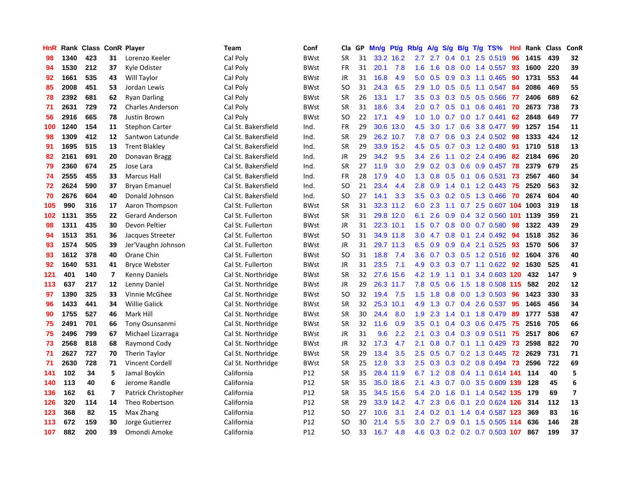| HnR |      | Rank Class ConR Player |                         |                         | <b>Team</b>         | Conf            | Cla           | <b>GP</b> | Mn/g | <b>Pt/g</b> | Rb/g             | A/g             | S/g              | B/g             | $T/g$ TS%                     | Hnl | Rank | <b>Class</b> | ConR                    |
|-----|------|------------------------|-------------------------|-------------------------|---------------------|-----------------|---------------|-----------|------|-------------|------------------|-----------------|------------------|-----------------|-------------------------------|-----|------|--------------|-------------------------|
| 98  | 1340 | 423                    | 31                      | Lorenzo Keeler          | Cal Poly            | <b>BWst</b>     | <b>SR</b>     | 31        |      | 33.2 16.2   |                  | $2.7$ 2.7       |                  |                 | $0.4$ 0.1 2.5 0.519           | 96  | 1415 | 439          | 32                      |
| 94  | 1530 | 212                    | 37                      | Kyle Odister            | Cal Poly            | BWst            | <b>FR</b>     | 31        | 20.1 | 7.8         | 1.6              | 1.6             |                  |                 | 0.8 0.0 1.4 0.557 93          |     | 1600 | 220          | 39                      |
| 92  | 1661 | 535                    | 43                      | Will Taylor             | Cal Poly            | <b>BWst</b>     | JR            | 31        | 16.8 | 4.9         | 5.0              | 0.5             |                  |                 | $0.9$ $0.3$ 1.1 $0.465$       | 90  | 1731 | 553          | 44                      |
| 85  | 2008 | 451                    | 53                      | Jordan Lewis            | Cal Poly            | <b>BWst</b>     | <b>SO</b>     | 31        | 24.3 | 6.5         | 2.9              | 1.0             |                  |                 | $0.5$ $0.5$ 1.1 $0.547$       | 84  | 2086 | 469          | 55                      |
| 78  | 2392 | 681                    | 62                      | <b>Ryan Darling</b>     | Cal Poly            | <b>BWst</b>     | <b>SR</b>     | 26        | 13.1 | 1.7         | 3.5              | 0.3             |                  |                 | $0.3$ 0.5 0.5 0.566           | 77  | 2406 | 689          | 62                      |
| 71  | 2631 | 729                    | 72                      | <b>Charles Anderson</b> | Cal Poly            | BWst            | <b>SR</b>     | 31        | 18.6 | 3.4         | 2.0              | 0.7             |                  |                 | $0.5$ 0.1 0.6 0.461           | 70  | 2673 | 738          | 73                      |
| 56  | 2916 | 665                    | 78                      | Justin Brown            | Cal Poly            | <b>BWst</b>     | SO            | 22        | 17.1 | 4.9         | 1.0              | 1.0             | 0.7              |                 | $0.0$ 1.7 $0.441$             | 62  | 2848 | 649          | 77                      |
| 100 | 1240 | 154                    | 11                      | <b>Stephon Carter</b>   | Cal St. Bakersfield | Ind.            | <b>FR</b>     | 29        | 30.6 | 13.0        | 4.5              | 3.0             | 1.7              |                 | 0.6 3.8 0.477                 | 99  | 1257 | 154          | 11                      |
| 98  | 1309 | 412                    | 12                      | Santwon Latunde         | Cal St. Bakersfield | Ind.            | <b>SR</b>     | 29        | 26.2 | 10.7        | 7.8              | 0.7             | 0.6              |                 | $0.3$ 2.4 0.502               | -98 | 1333 | 424          | 12                      |
| 91  | 1695 | 515                    | 13                      | <b>Trent Blakley</b>    | Cal St. Bakersfield | Ind.            | <b>SR</b>     | 29        |      | 33.9 15.2   | 4.5              | 0.5             |                  |                 | 0.7 0.3 1.2 0.480 91          |     | 1710 | 518          | 13                      |
| 82  | 2161 | 691                    | 20                      | Donavan Bragg           | Cal St. Bakersfield | Ind.            | JR            | 29        | 34.2 | 9.5         | $3.4^{\circ}$    | 2.6             |                  |                 | $1.1$ 0.2 2.4 0.496           | -82 | 2184 | 696          | 20                      |
| 79  | 2360 | 674                    | 25                      | Jose Lara               | Cal St. Bakersfield | Ind.            | <b>SR</b>     | 27        | 11.9 | 3.0         | 2.9              | 0.2             |                  |                 | 0.3 0.6 0.9 0.457 78          |     | 2379 | 679          | 25                      |
| 74  | 2555 | 455                    | 33                      | <b>Marcus Hall</b>      | Cal St. Bakersfield | Ind.            | <b>FR</b>     | 28        | 17.9 | 4.0         | 1.3              | 0.8             | 0.5              |                 | $0.1$ 0.6 0.531               | 73  | 2567 | 460          | 34                      |
| 72  | 2624 | 590                    | 37                      | <b>Bryan Emanuel</b>    | Cal St. Bakersfield | Ind.            | <b>SO</b>     | 21        | 23.4 | 4.4         | 2.8              | 0.9             |                  |                 | 1.4 0.1 1.2 0.443             | 75  | 2520 | 563          | 32                      |
| 70  | 2676 | 604                    | 40                      | Donald Johnson          | Cal St. Bakersfield | Ind.            | <b>SO</b>     | 27        | 14.1 | 3.3         | 3.5              | 0.3             |                  |                 | 0.2 0.5 1.3 0.466             | 70  | 2674 | 604          | 40                      |
| 105 | 990  | 316                    | 17                      | Aaron Thompson          | Cal St. Fullerton   | <b>BWst</b>     | <b>SR</b>     | 31        | 32.3 | 11.2        | 6.0              | 2.3             |                  |                 | 1.1 0.7 2.5 0.607 104         |     | 1003 | 319          | 18                      |
| 102 | 1131 | 355                    | 22                      | Gerard Anderson         | Cal St. Fullerton   | <b>BWst</b>     | <b>SR</b>     | 31        | 29.8 | 12.0        | 6.1              | 2.6             | 0.9              |                 | 0.4 3.2 0.560 101 1139        |     |      | 359          | 21                      |
| 98  | 1311 | 435                    | 30                      | Devon Peltier           | Cal St. Fullerton   | <b>BWst</b>     | <b>JR</b>     | 31        |      | 22.3 10.1   | 1.5              | 0.7             |                  |                 | 0.8 0.0 0.7 0.580             | 98  | 1322 | 439          | 29                      |
| 94  | 1513 | 351                    | 36                      | Jacques Streeter        | Cal St. Fullerton   | <b>BWst</b>     | <b>SO</b>     | 31        |      | 34.9 11.8   |                  | $3.0 \quad 4.7$ |                  |                 | 0.8 0.1 2.4 0.492 94          |     | 1518 | 352          | 36                      |
| 93  | 1574 | 505                    | 39                      | Jer'Vaughn Johnson      | Cal St. Fullerton   | <b>BWst</b>     | JR            | 31        |      | 29.7 11.3   | 6.5              | 0.9             |                  |                 | 0.9 0.4 2.1 0.525             | -93 | 1570 | 506          | 37                      |
| 93  | 1612 | 378                    | 40                      | Orane Chin              | Cal St. Fullerton   | <b>BWst</b>     | <sub>SO</sub> | 31        | 18.8 | 7.4         | 3.6              | 0.7             |                  |                 | 0.3 0.5 1.2 0.516 92          |     | 1604 | 376          | 40                      |
| 92  | 1640 | 531                    | 41                      | <b>Bryce Webster</b>    | Cal St. Fullerton   | <b>BWst</b>     | JR            | 31        | 23.5 | 7.1         | 4.9              | 0.3             |                  |                 | $0.3$ 0.7 1.1 0.622           | 92  | 1630 | 525          | 41                      |
| 121 | 401  | 140                    | $\overline{\mathbf{z}}$ | <b>Kenny Daniels</b>    | Cal St. Northridge  | <b>BWst</b>     | <b>SR</b>     | 32        | 27.6 | 15.6        | 4.2              | 1.9             |                  | $1.1 \quad 0.1$ | 3.4 0.603 120                 |     | 432  | 147          | 9                       |
| 113 | 637  | 217                    | 12                      | Lenny Daniel            | Cal St. Northridge  | <b>BWst</b>     | JR            | 29        | 26.3 | 11.7        | 7.8              | 0.5             | 0.6              |                 | 1.5 1.8 0.508 115             |     | 582  | 202          | 12                      |
| 97  | 1390 | 325                    | 33                      | Vinnie McGhee           | Cal St. Northridge  | <b>BWst</b>     | <b>SO</b>     | 32        | 19.4 | 7.5         | 1.5              | 1.8             | 0.8              |                 | 0.0 1.3 0.503                 | -96 | 1423 | 330          | 33                      |
| 96  | 1433 | 441                    | 34                      | <b>Willie Galick</b>    | Cal St. Northridge  | <b>BWst</b>     | <b>SR</b>     | 32        | 25.3 | 10.1        | 4.9              | 1.3             |                  |                 | $0.7$ 0.4 2.6 0.537           | -95 | 1465 | 456          | 34                      |
| 90  | 1755 | 527                    | 46                      | Mark Hill               | Cal St. Northridge  | <b>BWst</b>     | <b>SR</b>     | 30        | 24.4 | 8.0         | 1.9              | 2.3             |                  |                 | 1.4 0.1 1.8 0.479 89          |     | 1777 | 538          | 47                      |
| 75  | 2491 | 701                    | 66                      | Tony Osunsanmi          | Cal St. Northridge  | <b>BWst</b>     | <b>SR</b>     | 32        | 11.6 | 0.9         | 3.5              | 0.1             |                  |                 | 0.4 0.3 0.6 0.475 75          |     | 2516 | 705          | 66                      |
| 75  | 2496 | 799                    | 67                      | Michael Lizarraga       | Cal St. Northridge  | BWst            | JR            | 31        | 9.6  | 2.2         | 2.1              | 0.3             |                  |                 | $0.4$ 0.3 0.9 0.511           | 75  | 2517 | 806          | 67                      |
| 73  | 2568 | 818                    | 68                      | Raymond Cody            | Cal St. Northridge  | <b>BWst</b>     | JR            | 32        | 17.3 | 4.7         | 2.1              | 0.8             |                  |                 | $0.7$ 0.1 1.1 0.429           | -73 | 2598 | 822          | 70                      |
| 71  | 2627 | 727                    | 70                      | Therin Taylor           | Cal St. Northridge  | <b>BWst</b>     | <b>SR</b>     | 29        | 13.4 | 3.5         | 2.5              | 0.5             | 0.7              |                 | $0.2$ 1.3 0.445               | 72  | 2629 | 731          | 71                      |
| 71  | 2630 | 728                    | 71                      | Vincent Cordell         | Cal St. Northridge  | <b>BWst</b>     | <b>SR</b>     | 25        | 12.8 | 3.3         | 2.5              | 0.3             | 0.3              |                 | 0.2 0.8 0.494                 | 73  | 2596 | 722          | 69                      |
| 141 | 102  | 34                     | 5                       | Jamal Boykin            | California          | P12             | <b>SR</b>     | 35        | 28.4 | 11.9        | 6.7              | 1.2             | 0.8              |                 | 0.4 1.1 0.614 141             |     | 114  | 40           | 5                       |
| 140 | 113  | 40                     | 6                       | Jerome Randle           | California          | P12             | <b>SR</b>     | 35        | 35.0 | 18.6        | 2.1              | 4.3             |                  |                 | 0.7 0.0 3.5 0.609 139         |     | 128  | 45           | $\bf 6$                 |
| 136 | 162  | 61                     | $\overline{7}$          | Patrick Christopher     | California          | P <sub>12</sub> | <b>SR</b>     | 35        | 34.5 | 15.6        | 5.4              | 2.0             | 1.6              |                 | 0.1 1.4 0.542 135             |     | 179  | 69           | $\overline{\mathbf{z}}$ |
| 126 | 320  | 114                    | 14                      | Theo Robertson          | California          | P12             | <b>SR</b>     | 29        |      | 33.9 14.2   | 4.7              | 2.3             |                  |                 | $0.6$ $0.1$ $2.0$ $0.624$ 126 |     | -314 | 112          | 13                      |
| 123 | 368  | 82                     | 15                      | Max Zhang               | California          | P12             | SO            | 27        | 10.6 | 3.1         | $2.4^{\circ}$    | 0.2             |                  |                 | $0.1$ 1.4 0.4 0.587 123       |     | 369  | 83           | 16                      |
| 113 | 672  | 159                    | 30                      | Jorge Gutierrez         | California          | P12             | <b>SO</b>     | 30        | 21.4 | 5.5         | 3.0 <sub>2</sub> | 2.7             | 0.9 <sub>0</sub> |                 | 0.1 1.5 0.505 114             |     | 636  | 146          | 28                      |
| 107 | 882  | 200                    | 39                      | Omondi Amoke            | California          | P <sub>12</sub> | SO            | 33        | 16.7 | 4.8         | 4.6              |                 |                  |                 | 0.3 0.2 0.2 0.7 0.503 107     |     | 867  | 199          | 37                      |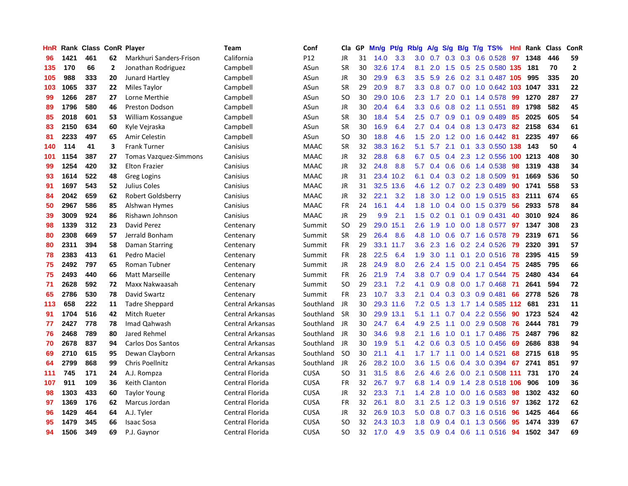| HnR |      | Rank Class ConR Player |    |                              | Team                    | Conf        | Cla       | GP | Mn/g | <b>Pt/g</b> | Rb/g             | A/g           | S/g              |     | $B/g$ T/g TS%              | Hnl | Rank | <b>Class</b> | ConR           |
|-----|------|------------------------|----|------------------------------|-------------------------|-------------|-----------|----|------|-------------|------------------|---------------|------------------|-----|----------------------------|-----|------|--------------|----------------|
| 96  | 1421 | 461                    | 62 | Markhuri Sanders-Frison      | California              | P12         | JR        | 31 | 14.0 | 3.3         | 3.0              | 0.7           | 0.3              |     | $0.3$ 0.6 0.528            | 97  | 1348 | 446          | 59             |
| 135 | 170  | 66                     | 2  | Jonathan Rodriguez           | Campbell                | ASun        | <b>SR</b> | 30 |      | 32.6 17.4   | 8.1              | 2.0           |                  |     | 1.5 0.5 2.5 0.580 135      |     | 181  | 70           | $\overline{2}$ |
| 105 | 988  | 333                    | 20 | Junard Hartley               | Campbell                | ASun        | <b>JR</b> | 30 | 29.9 | 6.3         | 3.5              | 5.9           |                  |     | 2.6 0.2 3.1 0.487 105      |     | 995  | 335          | 20             |
| 103 | 1065 | 337                    | 22 | Miles Taylor                 | Campbell                | ASun        | <b>SR</b> | 29 | 20.9 | 8.7         | 3.3 <sub>1</sub> | 0.8           |                  |     | 0.7 0.0 1.0 0.642 103 1047 |     |      | 331          | 22             |
| 99  | 1266 | 287                    | 27 | Lorne Merthie                | Campbell                | ASun        | <b>SO</b> | 30 | 29.0 | 10.6        | 2.3              | 1.7           | 2.0              |     | 0.1 1.4 0.578              | -99 | 1270 | 287          | 27             |
| 89  | 1796 | 580                    | 46 | <b>Preston Dodson</b>        | Campbell                | ASun        | JR        | 30 | 20.4 | 6.4         | 3.3              | 0.6           | 0.8              |     | $0.2$ 1.1 $0.551$          | 89  | 1798 | 582          | 45             |
| 85  | 2018 | 601                    | 53 | William Kossangue            | Campbell                | ASun        | <b>SR</b> | 30 | 18.4 | 5.4         | 2.5              | 0.7           | 0.9 <sup>°</sup> |     | $0.1$ 0.9 0.489            | 85  | 2025 | 605          | 54             |
| 83  | 2150 | 634                    | 60 | Kyle Vejraska                | Campbell                | ASun        | <b>SR</b> | 30 | 16.9 | 6.4         | $2.7^{\circ}$    | 0.4           | $0.4^{\circ}$    |     | $0.8$ 1.3 0.473            | -82 | 2158 | 634          | 61             |
| 81  | 2233 | 497                    | 65 | Amir Celestin                | Campbell                | ASun        | <b>SO</b> | 30 | 18.8 | 4.6         | 1.5              | 2.0           | 1.2              |     | $0.0$ 1.6 $0.442$          | -81 | 2235 | 497          | 66             |
| 140 | 114  | 41                     | 3  | <b>Frank Turner</b>          | Canisius                | <b>MAAC</b> | <b>SR</b> | 32 | 38.3 | 16.2        | 5.1              | 5.7           | 2.1              |     | 0.1 3.3 0.550 138          |     | 143  | 50           | 4              |
| 101 | 1154 | 387                    | 27 | <b>Tomas Vazquez-Simmons</b> | Canisius                | <b>MAAC</b> | <b>JR</b> | 32 | 28.8 | 6.8         | 6.7              | 0.5           |                  |     | 0.4 2.3 1.2 0.556 100 1213 |     |      | 408          | 30             |
| 99  | 1254 | 420                    | 32 | <b>Elton Frazier</b>         | Canisius                | <b>MAAC</b> | JR        | 32 | 24.8 | 8.8         | 5.7              | $0.4^{\circ}$ |                  |     | $0.6$ $0.6$ 1.4 0.538      | -98 | 1319 | 438          | 34             |
| 93  | 1614 | 522                    | 48 | <b>Greg Logins</b>           | Canisius                | <b>MAAC</b> | <b>JR</b> | 31 | 23.4 | 10.2        | 6.1              | 0.4           |                  |     | 0.3 0.2 1.8 0.509          | 91  | 1669 | 536          | 50             |
| 91  | 1697 | 543                    | 52 | Julius Coles                 | Canisius                | <b>MAAC</b> | <b>JR</b> | 31 | 32.5 | 13.6        | 4.6              | 1.2           |                  |     | 0.7 0.2 2.3 0.489          | 90  | 1741 | 558          | 53             |
| 84  | 2042 | 659                    | 62 | Robert Goldsberry            | Canisius                | <b>MAAC</b> | <b>JR</b> | 32 | 22.1 | 3.2         | 1.8              | 3.0           |                  |     | 1.2 0.0 1.9 0.515          | 83  | 2111 | 674          | 65             |
| 50  | 2967 | 586                    | 85 | Alshwan Hymes                | Canisius                | <b>MAAC</b> | <b>FR</b> | 24 | 16.1 | 4.4         | 1.8              | 1.0           | 0.4              |     | 0.0 1.5 0.379              | 56  | 2933 | 578          | 84             |
| 39  | 3009 | 924                    | 86 | Rishawn Johnson              | Canisius                | <b>MAAC</b> | JR        | 29 | 9.9  | 2.1         | 1.5              | 0.2           | 0.1              | 0.1 | $0.9$ 0.431                | 40  | 3010 | 924          | 86             |
| 98  | 1339 | 312                    | 23 | David Perez                  | Centenary               | Summit      | <b>SO</b> | 29 | 29.0 | 15.1        | 2.6              | 1.9           | 1.0              |     | $0.0$ 1.8 $0.577$          | 97  | 1347 | 308          | 23             |
| 80  | 2308 | 669                    | 57 | Jerrald Bonham               | Centenary               | Summit      | <b>SR</b> | 29 | 26.4 | 8.6         | 4.8              | 1.0           |                  |     | 0.6 0.7 1.6 0.578          | -79 | 2319 | 671          | 56             |
| 80  | 2311 | 394                    | 58 | <b>Daman Starring</b>        | Centenary               | Summit      | <b>FR</b> | 29 |      | 33.1 11.7   | 3.6 <sup>°</sup> | 2.3           |                  |     | 1.6 0.2 2.4 0.526          | -79 | 2320 | 391          | 57             |
| 78  | 2383 | 413                    | 61 | Pedro Maciel                 | Centenary               | Summit      | <b>FR</b> | 28 | 22.5 | 6.4         | 1.9              | 3.0           | 1.1              |     | $0.1$ 2.0 0.516            | -78 | 2395 | 415          | 59             |
| 75  | 2492 | 797                    | 65 | <b>Roman Tubner</b>          | Centenary               | Summit      | <b>JR</b> | 28 | 24.9 | 8.0         | 2.6              | 2.4           | 1.5              |     | $0.0$ 2.1 $0.454$          | 75  | 2485 | 795          | 66             |
| 75  | 2493 | 440                    | 66 | Matt Marseille               | Centenary               | Summit      | FR        | 26 | 21.9 | 7.4         | 3.8              | 0.7           | 0.9              |     | 0.4 1.7 0.544              | 75  | 2480 | 434          | 64             |
| 71  | 2628 | 592                    | 72 | Maxx Nakwaasah               | Centenary               | Summit      | <b>SO</b> | 29 | 23.1 | 7.2         | 4.1              | 0.9           | 0.8              |     | $0.0$ 1.7 $0.468$          | 71  | 2641 | 594          | 72             |
| 65  | 2786 | 530                    | 78 | David Swartz                 | Centenary               | Summit      | <b>FR</b> | 23 | 10.7 | 3.3         | 2.1              | 0.4           | 0.3              |     | $0.3$ 0.9 0.481            | 66  | 2778 | 526          | 78             |
| 113 | 658  | 222                    | 11 | <b>Tadre Sheppard</b>        | Central Arkansas        | Southland   | <b>JR</b> | 30 | 29.3 | 11.6        | 7.2              | 0.5           | 1.3              |     | 1.7 1.4 0.585              | 112 | 681  | 231          | 11             |
| 91  | 1704 | 516                    | 42 | Mitch Rueter                 | Central Arkansas        | Southland   | <b>SR</b> | 30 |      | 29.9 13.1   | 5.1              | 1.1           |                  |     | $0.7$ 0.4 2.2 0.556        | 90  | 1723 | 524          | 42             |
| 77  | 2427 | 778                    | 78 | Imad Qahwash                 | Central Arkansas        | Southland   | JR        | 30 | 24.7 | 6.4         | 4.9              | 2.5           |                  |     | 1.1 0.0 2.9 0.508 76       |     | 2444 | 781          | 79             |
| 76  | 2468 | 789                    | 80 | Jared Rehmel                 | Central Arkansas        | Southland   | JR        | 30 | 34.6 | 9.8         | 2.1              | 1.6           | 1.0              |     | 0.1 1.7 0.486 75           |     | 2487 | 796          | 82             |
| 70  | 2678 | 837                    | 94 | <b>Carlos Dos Santos</b>     | <b>Central Arkansas</b> | Southland   | JR        | 30 | 19.9 | 5.1         | 4.2              | 0.6           |                  |     | $0.3$ $0.5$ 1.0 $0.456$    | -69 | 2686 | 838          | 94             |
| 69  | 2710 | 615                    | 95 | Dewan Clayborn               | <b>Central Arkansas</b> | Southland   | <b>SO</b> | 30 | 21.1 | 4.1         | 1.7              | 1.7           | 1.1              |     | $0.0$ 1.4 $0.521$          | 68  | 2715 | 618          | 95             |
| 64  | 2799 | 868                    | 99 | Chris Poellnitz              | Central Arkansas        | Southland   | JR        | 26 | 28.2 | 10.0        | 3.6 <sup>°</sup> | 1.5           | 0.6              |     | 0.4 3.0 0.394              | 67  | 2741 | 851          | 97             |
| 111 | 745  | 171                    | 24 | A.J. Rompza                  | Central Florida         | <b>CUSA</b> | <b>SO</b> | 31 | 31.5 | 8.6         | 2.6              | 4.6           | 2.6              | 0.0 | 2.1 0.508                  | 111 | 731  | 170          | 24             |
| 107 | 911  | 109                    | 36 | Keith Clanton                | Central Florida         | <b>CUSA</b> | <b>FR</b> | 32 | 26.7 | 9.7         | 6.8              | 1.4           | 0.9              | 1.4 | 2.8 0.518 106              |     | 906  | 109          | 36             |
| 98  | 1303 | 433                    | 60 | Taylor Young                 | Central Florida         | <b>CUSA</b> | <b>JR</b> | 32 | 23.3 | 7.1         | $1.4^{\circ}$    | 2.8           | 1.0              |     | $0.0$ 1.6 0.583            | 98  | 1302 | 432          | 60             |
| 97  | 1369 | 176                    | 62 | Marcus Jordan                | Central Florida         | <b>CUSA</b> | <b>FR</b> | 32 | 26.1 | 8.0         | 3.1              | 2.5           |                  |     | 1.2 0.3 1.9 0.516 97       |     | 1362 | 172          | 62             |
| 96  | 1429 | 464                    | 64 | A.J. Tyler                   | Central Florida         | <b>CUSA</b> | JR        | 32 | 26.9 | 10.3        | 5.0              | 0.8           |                  |     | $0.7$ $0.3$ 1.6 $0.516$    | -96 | 1425 | 464          | 66             |
| 95  | 1479 | 345                    | 66 | <b>Isaac Sosa</b>            | Central Florida         | <b>CUSA</b> | SO        | 32 | 24.3 | 10.3        | 1.8              | 0.9           |                  |     | 0.4 0.1 1.3 0.566          | -95 | 1474 | 339          | 67             |
| 94  | 1506 | 349                    | 69 | P.J. Gavnor                  | <b>Central Florida</b>  | <b>CUSA</b> | <b>SO</b> | 32 | 17.0 | 4.9         | 3.5              | 0.9           |                  |     | $0.4$ 0.6 1.1 0.516        | 94  | 1502 | 347          | 69             |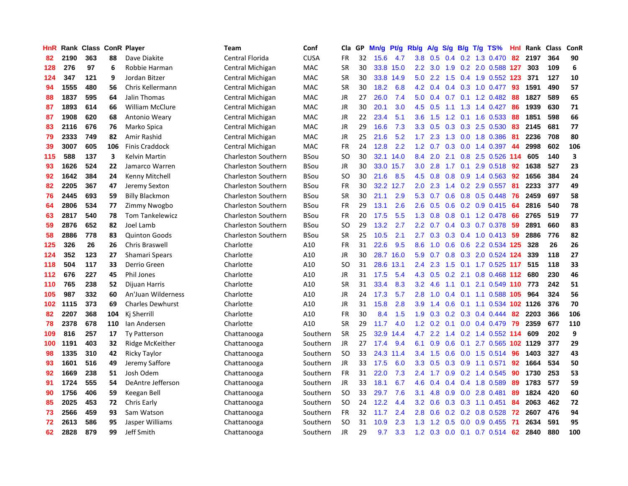| HnR | Rank | <b>Class ConR Player</b> |     |                         | <b>Team</b>                | Conf        | Cla           | GP | Mn/g | <b>Pt/g</b> | Rb/g             | A/g | S/g              |                 | $B/g$ T/g TS%             | Hnl | Rank | <b>Class</b> | ConR                    |
|-----|------|--------------------------|-----|-------------------------|----------------------------|-------------|---------------|----|------|-------------|------------------|-----|------------------|-----------------|---------------------------|-----|------|--------------|-------------------------|
| 82  | 2190 | 363                      | 88  | Dave Diakite            | <b>Central Florida</b>     | <b>CUSA</b> | FR            | 32 | 15.6 | 4.7         | 3.8              | 0.5 | $0.4^{\circ}$    |                 | 0.2 1.3 0.470             | 82  | 2197 | 364          | 90                      |
| 128 | 276  | 97                       | 6   | Robbie Harman           | Central Michigan           | <b>MAC</b>  | <b>SR</b>     | 30 | 33.8 | 15.0        | 2.2              |     |                  |                 | 3.0 1.9 0.2 2.0 0.588 127 |     | 303  | 109          | $\bf 6$                 |
| 124 | 347  | 121                      | 9   | Jordan Bitzer           | Central Michigan           | <b>MAC</b>  | <b>SR</b>     | 30 | 33.8 | 14.9        | 5.0              | 2.2 |                  |                 | 1.5 0.4 1.9 0.552 123     |     | 371  | 127          | 10                      |
| 94  | 1555 | 480                      | 56  | Chris Kellermann        | Central Michigan           | MAC         | <b>SR</b>     | 30 | 18.2 | 6.8         | 4.2              | 0.4 |                  |                 | $0.4$ 0.3 1.0 0.477       | -93 | 1591 | 490          | 57                      |
| 88  | 1837 | 595                      | 64  | Jalin Thomas            | Central Michigan           | MAC         | JR            | 27 | 26.0 | 7.4         | 5.0              | 0.4 |                  |                 | 0.7 0.1 1.2 0.482         | 88  | 1827 | 589          | 65                      |
| 87  | 1893 | 614                      | 66  | <b>William McClure</b>  | Central Michigan           | MAC         | JR            | 30 | 20.1 | 3.0         | 4.5              | 0.5 | 1.1              |                 | 1.3 1.4 0.427             | 86  | 1939 | 630          | 71                      |
| 87  | 1908 | 620                      | 68  | Antonio Weary           | Central Michigan           | <b>MAC</b>  | JR            | 22 | 23.4 | 5.1         | 3.6              | 1.5 |                  |                 | 1.2 0.1 1.6 0.533         | 88  | 1851 | 598          | 66                      |
| 83  | 2116 | 676                      | 76  | Marko Spica             | Central Michigan           | <b>MAC</b>  | JR            | 29 | 16.6 | 7.3         | 3.3 <sub>2</sub> | 0.5 | 0.3              |                 | 0.3 2.5 0.530             | 83  | 2145 | 681          | 77                      |
| 79  | 2333 | 749                      | 82  | Amir Rashid             | Central Michigan           | <b>MAC</b>  | JR            | 25 | 21.6 | 5.2         | $1.7^{\circ}$    | 2.3 | 1.3              |                 | 0.0 1.8 0.386             | -81 | 2236 | 708          | 80                      |
| 39  | 3007 | 605                      | 106 | <b>Finis Craddock</b>   | Central Michigan           | <b>MAC</b>  | <b>FR</b>     | 24 | 12.8 | 2.2         | $1.2^{\circ}$    | 0.7 |                  |                 | 0.3 0.0 1.4 0.397 44      |     | 2998 | 602          | 106                     |
| 115 | 588  | 137                      | 3   | Kelvin Martin           | <b>Charleston Southern</b> | <b>BSou</b> | SO            | 30 | 32.1 | 14.0        | 8.4              | 2.0 |                  |                 | 2.1 0.8 2.5 0.526 114     |     | 605  | 140          | $\overline{\mathbf{3}}$ |
| 93  | 1626 | 524                      | 22  | Jamarco Warren          | <b>Charleston Southern</b> | <b>BSou</b> | JR            | 30 | 33.0 | 15.7        | 3.0 <sub>2</sub> | 2.8 |                  |                 | 1.7 0.1 2.9 0.518 92      |     | 1638 | 527          | 23                      |
| 92  | 1642 | 384                      | 24  | Kenny Mitchell          | Charleston Southern        | <b>BSou</b> | <sub>SO</sub> | 30 | 21.6 | 8.5         | 4.5              | 0.8 | 0.8 <sub>0</sub> |                 | 0.9 1.4 0.563             | 92  | 1656 | 384          | 24                      |
| 82  | 2205 | 367                      | 47  | Jeremy Sexton           | <b>Charleston Southern</b> | <b>BSou</b> | <b>FR</b>     | 30 | 32.2 | 12.7        | 2.0              | 2.3 | $1.4^{\circ}$    |                 | $0.2$ 2.9 $0.557$         | 81  | 2233 | 377          | 49                      |
| 76  | 2445 | 693                      | 59  | <b>Billy Blackmon</b>   | <b>Charleston Southern</b> | <b>BSou</b> | <b>SR</b>     | 30 | 21.1 | 2.9         | 5.3              | 0.7 | 0.6              |                 | 0.8 0.5 0.448             | 76  | 2459 | 697          | 58                      |
| 64  | 2806 | 534                      | 77  | Zimmy Nwogbo            | <b>Charleston Southern</b> | <b>BSou</b> | <b>FR</b>     | 29 | 13.1 | 2.6         | 2.6              | 0.5 | 0.6              |                 | $0.2$ 0.9 0.415           | 64  | 2816 | 540          | 78                      |
| 63  | 2817 | 540                      | 78  | <b>Tom Tankelewicz</b>  | <b>Charleston Southern</b> | <b>BSou</b> | FR            | 20 | 17.5 | 5.5         | 1.3              | 0.8 | 0.8              |                 | $0.1$ 1.2 0.478           | 66  | 2765 | 519          | 77                      |
| 59  | 2876 | 652                      | 82  | Joel Lamb               | <b>Charleston Southern</b> | <b>BSou</b> | <b>SO</b>     | 29 | 13.2 | 2.7         | 2.2              | 0.7 | $0.4^{\circ}$    |                 | 0.3 0.7 0.378             | 59  | 2891 | 660          | 83                      |
| 58  | 2886 | 778                      | 83  | <b>Quinton Goods</b>    | <b>Charleston Southern</b> | <b>BSou</b> | <b>SR</b>     | 25 | 10.5 | 2.1         | 2.7              | 0.3 |                  |                 | 0.3 0.4 1.0 0.413 59      |     | 2886 | 776          | 82                      |
| 125 | 326  | 26                       | 26  | <b>Chris Braswell</b>   | Charlotte                  | A10         | FR            | 31 | 22.6 | 9.5         | 8.6              | 1.0 |                  |                 | 0.6 0.6 2.2 0.534 125     |     | 328  | 26           | 26                      |
| 124 | 352  | 123                      | 27  | Shamari Spears          | Charlotte                  | A10         | JR            | 30 | 28.7 | 16.0        | 5.9              | 0.7 |                  |                 | 0.8 0.3 2.0 0.524 124     |     | 339  | 118          | 27                      |
| 118 | 504  | 117                      | 33  | Derrio Green            | Charlotte                  | A10         | <sub>SO</sub> | 31 | 28.6 | 13.1        | 2.4              | 2.3 | 1.5              |                 | 0.1 1.7 0.525 117         |     | 515  | 118          | 33                      |
| 112 | 676  | 227                      | 45  | Phil Jones              | Charlotte                  | A10         | JR            | 31 | 17.5 | 5.4         | 4.3              | 0.5 | 0.2              |                 | 2.1 0.8 0.468 112         |     | 680  | 230          | 46                      |
| 110 | 765  | 238                      | 52  | Dijuan Harris           | Charlotte                  | A10         | <b>SR</b>     | 31 | 33.4 | 8.3         | 3.2              | 4.6 |                  | $1.1 \quad 0.1$ | 2.1 0.549                 | 110 | 773  | 242          | 51                      |
| 105 | 987  | 332                      | 60  | An'Juan Wilderness      | Charlotte                  | A10         | JR            | 24 | 17.3 | 5.7         | 2.8              | 1.0 | 0.4              |                 | 0.1 1.1 0.588 105         |     | 964  | 324          | 56                      |
| 102 | 1115 | 373                      | 69  | <b>Charles Dewhurst</b> | Charlotte                  | A10         | <b>JR</b>     | 31 | 15.8 | 2.8         | 3.9              | 1.4 | 0.6              |                 | 0.1 1.1 0.534 102 1126    |     |      | 376          | 70                      |
| 82  | 2207 | 368                      | 104 | Kj Sherrill             | Charlotte                  | A10         | FR            | 30 | 8.4  | 1.5         | 1.9              | 0.3 |                  |                 | $0.2$ 0.3 0.4 0.444       | -82 | 2203 | 366          | 106                     |
| 78  | 2378 | 678                      | 110 | Ian Andersen            | Charlotte                  | A10         | <b>SR</b>     | 29 | 11.7 | 4.0         | 1.2 <sub>1</sub> | 0.2 |                  |                 | $0.1$ 0.0 0.4 0.479 79    |     | 2359 | 677          | 110                     |
| 109 | 816  | 257                      | 17  | <b>Ty Patterson</b>     | Chattanooga                | Southern    | <b>SR</b>     | 25 | 32.9 | 14.4        | 4.7              | 2.2 |                  |                 | 1.4 0.2 1.4 0.552 114     |     | 609  | 202          | 9                       |
| 100 | 1191 | 403                      | 32  | Ridge McKeither         | Chattanooga                | Southern    | <b>JR</b>     | 27 | 17.4 | 9.4         | 6.1              | 0.9 | 0.6              |                 | 0.1 2.7 0.565 102 1129    |     |      | 377          | 29                      |
| 98  | 1335 | 310                      | 42  | <b>Ricky Taylor</b>     | Chattanooga                | Southern    | <b>SO</b>     | 33 | 24.3 | 11.4        | 3.4              | 1.5 | 0.6              |                 | $0.0$ 1.5 0.514           | 96  | 1403 | 327          | 43                      |
| 93  | 1601 | 516                      | 49  | Jeremy Saffore          | Chattanooga                | Southern    | JR            | 33 | 17.5 | 6.0         | 3.3 <sub>2</sub> | 0.5 | 0.3              |                 | $0.9$ 1.1 0.571           | 92  | 1664 | 534          | 50                      |
| 92  | 1669 | 238                      | 51  | Josh Odem               | Chattanooga                | Southern    | <b>FR</b>     | 31 | 22.0 | 7.3         | 2.4              | 1.7 | 0.9 <sub>0</sub> |                 | 0.2 1.4 0.545             | 90  | 1730 | 253          | 53                      |
| 91  | 1724 | 555                      | 54  | DeAntre Jefferson       | Chattanooga                | Southern    | <b>JR</b>     | 33 | 18.1 | 6.7         | 4.6              | 0.4 | $0.4^{\circ}$    |                 | 0.4 1.8 0.589             | 89  | 1783 | 577          | 59                      |
| 90  | 1756 | 406                      | 59  | Keegan Bell             | Chattanooga                | Southern    | <b>SO</b>     | 33 | 29.7 | 7.6         | 3.1              | 4.8 | 0.9              |                 | $0.0$ 2.8 $0.481$         | 89  | 1824 | 420          | 60                      |
| 85  | 2025 | 453                      | 72  | Chris Early             | Chattanooga                | Southern    | SO            | 24 | 12.2 | 4.4         | 3.2              | 0.6 |                  |                 | $0.3$ $0.3$ 1.1 $0.451$   | 84  | 2063 | 462          | 72                      |
| 73  | 2566 | 459                      | 93  | Sam Watson              | Chattanooga                | Southern    | <b>FR</b>     | 32 | 11.7 | 2.4         | 2.8              | 0.6 |                  |                 | $0.2$ 0.2 0.8 0.528       | 72  | 2607 | 476          | 94                      |
| 72  | 2613 | 586                      | 95  | Jasper Williams         | Chattanooga                | Southern    | SO.           | 31 | 10.9 | 2.3         | 1.3              | 1.2 | 0.5              |                 | 0.0 0.9 0.455             | -71 | 2634 | 591          | 95                      |
| 62  | 2828 | 879                      | 99  | Jeff Smith              | Chattanooga                | Southern    | <b>JR</b>     | 29 | 9.7  | 3.3         | 1.2              | 0.3 | 0.0              |                 | $0.1$ 0.7 0.514           | 62  | 2840 | 880          | 100                     |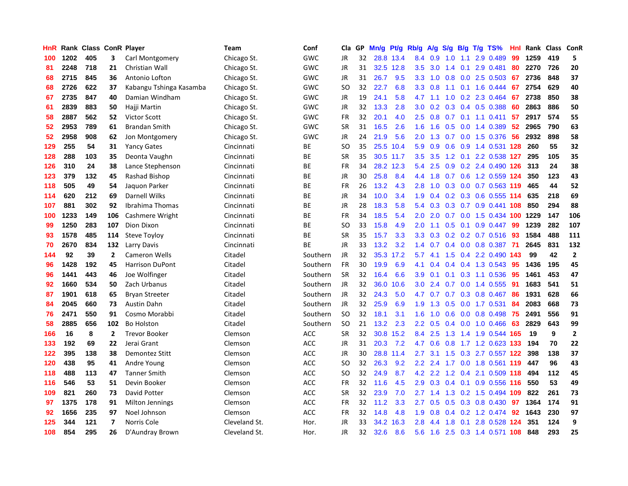| HnR |      | Rank Class ConR Player |                          |                         | <b>Team</b>   | Conf       | Cla.          | <b>GP</b> | Mn/g | Pt/g      | Rb/g             | A/g | S/g | B/g | $T/g$ TS%                  | Hnl | Rank | <b>Class</b> | <b>ConR</b>    |
|-----|------|------------------------|--------------------------|-------------------------|---------------|------------|---------------|-----------|------|-----------|------------------|-----|-----|-----|----------------------------|-----|------|--------------|----------------|
| 100 | 1202 | 405                    | 3                        | Carl Montgomery         | Chicago St.   | GWC        | <b>JR</b>     | 32        |      | 28.8 13.4 | 8.4              | 0.9 | 1.0 | 1.1 | 2.9 0.489                  | 99  | 1259 | 419          | 5              |
| 81  | 2248 | 718                    | 21                       | Christian Wall          | Chicago St.   | GWC        | <b>JR</b>     | 31        | 32.5 | 12.8      | 3.5              | 3.0 |     |     | 1.4 0.1 2.9 0.481          | -80 | 2270 | 726          | 20             |
| 68  | 2715 | 845                    | 36                       | Antonio Lofton          | Chicago St.   | <b>GWC</b> | JR            | 31        | 26.7 | 9.5       | 3.3 <sub>2</sub> | 1.0 |     |     | $0.8$ 0.0 2.5 0.503        | 67  | 2736 | 848          | 37             |
| 68  | 2726 | 622                    | 37                       | Kabangu Tshinga Kasamba | Chicago St.   | GWC        | <sub>SO</sub> | 32        | 22.7 | 6.8       | 3.3 <sub>2</sub> | 0.8 |     |     | $1.1$ 0.1 1.6 0.444        | 67  | 2754 | 629          | 40             |
| 67  | 2735 | 847                    | 40                       | Damian Windham          | Chicago St.   | GWC        | <b>JR</b>     | 19        | 24.1 | 5.8       | 4.7              | 1.1 | 1.0 |     | 0.2 2.3 0.464              | 67  | 2738 | 850          | 38             |
| 61  | 2839 | 883                    | 50                       | Hajji Martin            | Chicago St.   | <b>GWC</b> | JR            | 32        | 13.3 | 2.8       | 3.0 <sub>2</sub> | 0.2 |     |     | 0.3 0.4 0.5 0.388          | -60 | 2863 | 886          | 50             |
| 58  | 2887 | 562                    | 52                       | <b>Victor Scott</b>     | Chicago St.   | <b>GWC</b> | <b>FR</b>     | 32        | 20.1 | 4.0       | 2.5              | 0.8 | 0.7 |     | $0.1$ 1.1 0.411            | 57  | 2917 | 574          | 55             |
| 52  | 2953 | 789                    | 61                       | <b>Brandan Smith</b>    | Chicago St.   | <b>GWC</b> | <b>SR</b>     | 31        | 16.5 | 2.6       | 1.6              | 1.6 | 0.5 |     | $0.0$ 1.4 0.389            | 52  | 2965 | 790          | 63             |
| 52  | 2958 | 908                    | 62                       | Jon Montgomery          | Chicago St.   | GWC        | <b>JR</b>     | 24        | 21.9 | 5.6       | 2.0              | 1.3 | 0.7 |     | $0.0$ 1.5 0.376            | -56 | 2932 | 898          | 58             |
| 129 | 255  | 54                     | 31                       | <b>Yancy Gates</b>      | Cincinnati    | <b>BE</b>  | SO            | 35        |      | 25.5 10.4 | 5.9              | 0.9 |     |     | 0.6 0.9 1.4 0.531 128      |     | 260  | 55           | 32             |
| 128 | 288  | 103                    | 35                       | Deonta Vaughn           | Cincinnati    | <b>BE</b>  | <b>SR</b>     | 35        |      | 30.5 11.7 | 3.5              | 3.5 |     |     | 1.2 0.1 2.2 0.538 127      |     | 295  | 105          | 35             |
| 126 | 310  | 24                     | 38                       | Lance Stephenson        | Cincinnati    | <b>BE</b>  | <b>FR</b>     | 34        | 28.2 | 12.3      | 5.4              | 2.5 |     |     | 0.9 0.2 2.4 0.490 126 313  |     |      | 24           | 38             |
| 123 | 379  | 132                    | 45                       | Rashad Bishop           | Cincinnati    | ВE         | <b>JR</b>     | 30        | 25.8 | 8.4       | 4.4              | 1.8 |     |     | 0.7 0.6 1.2 0.559 124      |     | 350  | 123          | 43             |
| 118 | 505  | 49                     | 54                       | Jaguon Parker           | Cincinnati    | ВE         | FR            | 26        | 13.2 | 4.3       | 2.8              | 1.0 | 0.3 |     | 0.0 0.7 0.563 119          |     | 465  | 44           | 52             |
| 114 | 620  | 212                    | 69                       | Darnell Wilks           | Cincinnati    | <b>BE</b>  | <b>JR</b>     | 34        | 10.0 | 3.4       | 1.9              | 0.4 |     |     | 0.2 0.3 0.6 0.555 114      |     | 635  | 218          | 69             |
| 107 | 881  | 302                    | 92                       | Ibrahima Thomas         | Cincinnati    | BE         | JR            | 28        | 18.3 | 5.8       | 5.4              | 0.3 | 0.3 |     | 0.7 0.9 0.441 108          |     | 850  | 294          | 88             |
| 100 | 1233 | 149                    | 106                      | Cashmere Wright         | Cincinnati    | <b>BE</b>  | <b>FR</b>     | 34        | 18.5 | 5.4       | 2.0              | 2.0 |     |     | 0.7 0.0 1.5 0.434 100 1229 |     |      | 147          | 106            |
| 99  | 1250 | 283                    | 107                      | Dion Dixon              | Cincinnati    | ВE         | SO            | 33        | 15.8 | 4.9       | 2.0              | 1.1 |     |     | $0.5$ 0.1 0.9 0.447        | -99 | 1239 | 282          | 107            |
| 93  | 1578 | 485                    | 114                      | <b>Steve Toyloy</b>     | Cincinnati    | <b>BE</b>  | <b>SR</b>     | 35        | 15.7 | 3.3       | 3.3 <sub>2</sub> | 0.3 |     |     | 0.2 0.2 0.7 0.516 93       |     | 1584 | 488          | 111            |
| 70  | 2670 | 834                    | 132                      | Larry Davis             | Cincinnati    | <b>BE</b>  | <b>JR</b>     | 33        | 13.2 | 3.2       | 1.4              | 0.7 |     |     | $0.4$ 0.0 0.8 0.387        | -71 | 2645 | 831          | 132            |
| 144 | 92   | 39                     | $\mathbf{2}$             | Cameron Wells           | Citadel       | Southern   | <b>JR</b>     | 32        | 35.3 | 17.2      | 5.7              | 4.1 | 1.5 |     | $0.4$ 2.2 0.490            | 143 | 99   | 42           | $\overline{2}$ |
| 96  | 1428 | 192                    | 45                       | <b>Harrison DuPont</b>  | Citadel       | Southern   | <b>FR</b>     | 30        | 19.9 | 6.9       | 4.1              | 0.4 |     |     | $0.4$ 0.4 1.3 0.543        | -95 | 1436 | 195          | 45             |
| 96  | 1441 | 443                    | 46                       | Joe Wolfinger           | Citadel       | Southern   | <b>SR</b>     | 32        | 16.4 | 6.6       | 3.9 <sup>°</sup> | 0.1 |     |     | $0.1$ $0.3$ $1.1$ $0.536$  | 95  | 1461 | 453          | 47             |
| 92  | 1660 | 534                    | 50                       | Zach Urbanus            | Citadel       | Southern   | <b>JR</b>     | 32        | 36.0 | 10.6      | 3.0 <sub>2</sub> | 2.4 | 0.7 |     | $0.0$ 1.4 $0.555$          | 91  | 1683 | 541          | 51             |
| 87  | 1901 | 618                    | 65                       | <b>Bryan Streeter</b>   | Citadel       | Southern   | <b>JR</b>     | 32        | 24.3 | 5.0       | 4.7              | 0.7 |     |     | 0.7 0.3 0.8 0.467          | 86  | 1931 | 628          | 66             |
| 84  | 2045 | 660                    | 73                       | <b>Austin Dahn</b>      | Citadel       | Southern   | <b>JR</b>     | 32        | 25.9 | 6.9       | 1.9              | 1.3 |     |     | 0.5 0.0 1.7 0.531          | 84  | 2083 | 668          | 73             |
| 76  | 2471 | 550                    | 91                       | Cosmo Morabbi           | Citadel       | Southern   | SO.           | 32        | 18.1 | 3.1       | 1.6              | 1.0 |     |     | 0.6 0.0 0.8 0.498 75       |     | 2491 | 556          | 91             |
| 58  | 2885 | 656                    | 102                      | <b>Bo Holston</b>       | Citadel       | Southern   | <b>SO</b>     | 21        | 13.2 | 2.3       | 2.2              | 0.5 |     |     | $0.4$ 0.0 1.0 0.466        | -63 | 2829 | 643          | 99             |
| 166 | 16   | 8                      | $\mathbf{2}$             | <b>Trevor Booker</b>    | Clemson       | <b>ACC</b> | <b>SR</b>     | 32        | 30.8 | 15.2      | 8.4              | 2.5 |     |     | 1.3 1.4 1.9 0.544 165      |     | 19   | 9            | $\overline{2}$ |
| 133 | 192  | 69                     | 22                       | Jerai Grant             | Clemson       | ACC        | JR            | 31        | 20.3 | 7.2       | 4.7              | 0.6 | 0.8 |     | 1.7 1.2 0.623 133          |     | 194  | 70           | 22             |
| 122 | 395  | 138                    | 38                       | Demontez Stitt          | Clemson       | <b>ACC</b> | JR            | 30        |      | 28.8 11.4 | 2.7              | 3.1 | 1.5 |     | 0.3 2.7 0.557 122          |     | 398  | 138          | 37             |
| 120 | 438  | 95                     | 41                       | Andre Young             | Clemson       | <b>ACC</b> | <b>SO</b>     | 32        | 26.3 | 9.2       | 2.2              | 2.4 | 1.7 |     | 0.0 1.8 0.561 119          |     | 447  | 96           | 43             |
| 118 | 488  | 113                    | 47                       | <b>Tanner Smith</b>     | Clemson       | <b>ACC</b> | SO            | 32        | 24.9 | 8.7       | 4.2              | 2.2 | 1.2 | 0.4 | 2.1 0.509 118              |     | 494  | 112          | 45             |
| 116 | 546  | 53                     | 51                       | Devin Booker            | Clemson       | <b>ACC</b> | <b>FR</b>     | 32        | 11.6 | 4.5       | 2.9              | 0.3 | 0.4 | 0.1 | 0.9 0.556 116              |     | 550  | 53           | 49             |
| 109 | 821  | 260                    | 73                       | David Potter            | Clemson       | <b>ACC</b> | <b>SR</b>     | 32        | 23.9 | 7.0       | 2.7              | 1.4 |     |     | 1.3 0.2 1.5 0.494 109      |     | 822  | 261          | 73             |
| 97  | 1375 | 178                    | 91                       | Milton Jennings         | Clemson       | <b>ACC</b> | <b>FR</b>     | 32        | 11.2 | 3.3       | $2.7^{\circ}$    | 0.5 |     |     | 0.5 0.3 0.8 0.430 97       |     | 1364 | 174          | 91             |
| 92  | 1656 | 235                    | 97                       | Noel Johnson            | Clemson       | <b>ACC</b> | FR            | 32        | 14.8 | 4.8       | 1.9              | 0.8 |     |     | $0.4$ 0.2 1.2 0.474        | 92  | 1643 | 230          | 97             |
| 125 | 344  | 121                    | $\overline{\phantom{a}}$ | Norris Cole             | Cleveland St. | Hor.       | <b>JR</b>     | 33        | 34.2 | 16.3      | 2.8              | 4.4 | 1.8 | 0.1 | 2.8 0.528 124              |     | 351  | 124          | 9              |
| 108 | 854  | 295                    | 26                       | D'Aundray Brown         | Cleveland St. | Hor.       | JR            | 32        | 32.6 | 8.6       | 5.6              | 1.6 |     |     | 2.5 0.3 1.4 0.571 108      |     | 848  | 293          | 25             |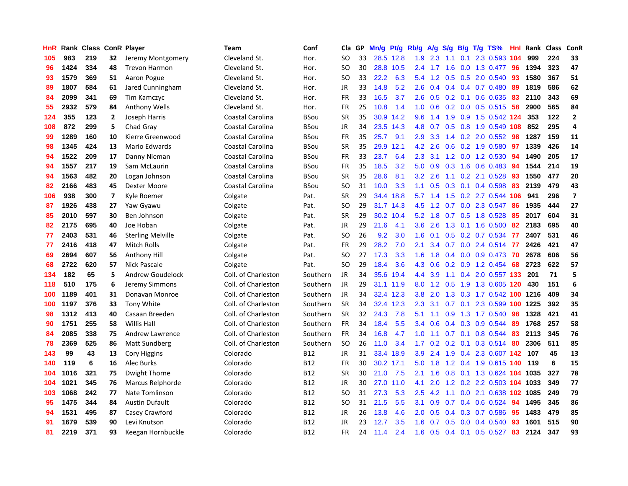| HnR |      | Rank Class ConR Player |                         |                          | Team                | Conf        | Cla       | <b>GP</b> | Mn/g | <b>Pt/g</b> | Rb/g             | A/g |     |                 | S/g B/g T/g TS%           | Hnl | Rank     | <b>Class</b> | <b>ConR</b>             |
|-----|------|------------------------|-------------------------|--------------------------|---------------------|-------------|-----------|-----------|------|-------------|------------------|-----|-----|-----------------|---------------------------|-----|----------|--------------|-------------------------|
| 105 | 983  | 219                    | 32                      | Jeremy Montgomery        | Cleveland St.       | Hor.        | <b>SO</b> | 33        |      | 28.5 12.8   | 1.9              | 2.3 | 1.1 | 0.1             | 2.3 0.593 104             |     | 999      | 224          | 33                      |
| 96  | 1424 | 334                    | 48                      | <b>Trevon Harmon</b>     | Cleveland St.       | Hor.        | <b>SO</b> | 30        |      | 28.8 10.5   | $2.4^{\circ}$    | 1.7 |     |                 | 1.6 0.0 1.3 0.477 96      |     | 1394     | 323          | 47                      |
| 93  | 1579 | 369                    | 51                      | Aaron Pogue              | Cleveland St.       | Hor.        | <b>SO</b> | 33        | 22.2 | 6.3         | 5.4              | 1.2 |     |                 | $0.5$ $0.5$ $2.0$ $0.540$ | -93 | 1580     | 367          | 51                      |
| 89  | 1807 | 584                    | 61                      | Jared Cunningham         | Cleveland St.       | Hor.        | JR        | 33        | 14.8 | 5.2         | 2.6              | 0.4 |     |                 | $0.4$ 0.4 0.7 0.480       | 89  | 1819     | 586          | 62                      |
| 84  | 2099 | 341                    | 69                      | Tim Kamczyc              | Cleveland St.       | Hor.        | <b>FR</b> | 33        | 16.5 | 3.7         | 2.6              | 0.5 |     |                 | $0.2$ 0.1 0.6 0.635       | 83  | 2110     | 343          | 69                      |
| 55  | 2932 | 579                    | 84                      | <b>Anthony Wells</b>     | Cleveland St.       | Hor.        | <b>FR</b> | 25        | 10.8 | 1.4         | 1.0              | 0.6 |     |                 | $0.2$ 0.0 0.5 0.515       | 58  | 2900     | 565          | 84                      |
| 124 | 355  | 123                    | $\overline{2}$          | Joseph Harris            | Coastal Carolina    | <b>BSou</b> | <b>SR</b> | 35        | 30.9 | 14.2        | 9.6              | 1.4 | 1.9 |                 | 0.9 1.5 0.542 124         |     | 353      | 122          | $\overline{2}$          |
| 108 | 872  | 299                    | 5                       | Chad Gray                | Coastal Carolina    | <b>BSou</b> | JR        | 34        | 23.5 | 14.3        | 4.8              | 0.7 | 0.5 |                 | 0.8 1.9 0.549 108         |     | 852      | 295          | 4                       |
| 99  | 1289 | 160                    | 10                      | Kierre Greenwood         | Coastal Carolina    | <b>BSou</b> | <b>FR</b> | 35        | 25.7 | 9.1         | 2.9              | 3.3 |     |                 | 1.4 0.2 2.0 0.552         | 98  | 1287     | 159          | 11                      |
| 98  | 1345 | 424                    | 13                      | Mario Edwards            | Coastal Carolina    | <b>BSou</b> | <b>SR</b> | 35        | 29.9 | 12.1        | 4.2              | 2.6 |     |                 | $0.6$ 0.2 1.9 0.580       | 97  | 1339     | 426          | 14                      |
| 94  | 1522 | 209                    | 17                      | Danny Nieman             | Coastal Carolina    | <b>BSou</b> | <b>FR</b> | 33        | 23.7 | 6.4         | 2.3              |     |     |                 | 3.1 1.2 0.0 1.2 0.530 94  |     | 1490     | 205          | 17                      |
| 94  | 1557 | 217                    | 19                      | Sam McLaurin             | Coastal Carolina    | <b>BSou</b> | <b>FR</b> | 35        | 18.5 | 3.2         | 5.0              | 0.9 |     |                 | $0.3$ 1.6 0.6 0.483       | -94 | 1544     | 214          | 19                      |
| 94  | 1563 | 482                    | 20                      | Logan Johnson            | Coastal Carolina    | <b>BSou</b> | <b>SR</b> | 35        | 28.6 | 8.1         | 3.2              | 2.6 |     |                 | 1.1 0.2 2.1 0.528         | 93  | 1550     | 477          | 20                      |
| 82  | 2166 | 483                    | 45                      | Dexter Moore             | Coastal Carolina    | <b>BSou</b> | <b>SO</b> | 31        | 10.0 | 3.3         | 1.1              | 0.5 | 0.3 |                 | $0.1$ 0.4 0.598           | 83  | 2139     | 479          | 43                      |
| 106 | 938  | 300                    | $\overline{\mathbf{z}}$ | Kyle Roemer              | Colgate             | Pat.        | <b>SR</b> | 29        | 34.4 | 18.8        | 5.7              | 1.4 | 1.5 |                 | 0.2 2.7 0.544 106         |     | 941      | 296          | $\overline{\mathbf{z}}$ |
| 87  | 1926 | 438                    | 27                      | Yaw Gyawu                | Colgate             | Pat.        | <b>SO</b> | 29        | 31.7 | 14.3        | 4.5              | 1.2 | 0.7 |                 | 0.0 2.3 0.547             | 86  | 1935     | 444          | 27                      |
| 85  | 2010 | 597                    | 30                      | Ben Johnson              | Colgate             | Pat.        | <b>SR</b> | 29        | 30.2 | 10.4        | 5.2              | 1.8 | 0.7 |                 | 0.5 1.8 0.528             | 85  | 2017     | 604          | 31                      |
| 82  | 2175 | 695                    | 40                      | Joe Hoban                | Colgate             | Pat.        | <b>JR</b> | 29        | 21.6 | 4.1         | 3.6              | 2.6 | 1.3 |                 | $0.1$ 1.6 0.500           | 82  | 2183     | 695          | 40                      |
| 77  | 2403 | 531                    | 46                      | <b>Sterling Melville</b> | Colgate             | Pat.        | <b>SO</b> | 26        | 9.2  | 3.0         | 1.6              | 0.1 |     |                 | 0.5 0.2 0.7 0.534         | 77  | 2407     | 531          | 46                      |
| 77  | 2416 | 418                    | 47                      | <b>Mitch Rolls</b>       | Colgate             | Pat.        | FR        | 29        | 28.2 | 7.0         | 2.1              | 3.4 |     |                 | 0.7 0.0 2.4 0.514 77      |     | 2426     | 421          | 47                      |
| 69  | 2694 | 607                    | 56                      | Anthony Hill             | Colgate             | Pat.        | <b>SO</b> | 27        | 17.3 | 3.3         | 1.6              | 1.8 |     |                 | $0.4$ 0.0 0.9 0.473       | 70  | 2678     | 606          | 56                      |
| 68  | 2722 | 620                    | 57                      | <b>Nick Pascale</b>      | Colgate             | Pat.        | <b>SO</b> | 29        | 18.4 | 3.6         | 4.3              | 0.6 | 0.2 |                 | 0.9 1.2 0.454             | 68  | 2723     | 622          | 57                      |
| 134 | 182  | 65                     | 5                       | Andrew Goudelock         | Coll. of Charleston | Southern    | JR        | 34        | 35.6 | 19.4        | 4.4              | 3.9 |     |                 | 1.1 0.4 2.0 0.557 133     |     | 201      | 71           | 5                       |
| 118 | 510  | 175                    | 6                       | Jeremy Simmons           | Coll. of Charleston | Southern    | <b>JR</b> | 29        | 31.1 | 11.9        | 8.0              | 1.2 | 0.5 |                 | 1.9 1.3 0.605 120         |     | 430      | 151          | 6                       |
| 100 | 1189 | 401                    | 31                      | Donavan Monroe           | Coll. of Charleston | Southern    | <b>JR</b> | 34        | 32.4 | 12.3        | 3.8              | 2.0 | 1.3 |                 | 0.3 1.7 0.542 100 1216    |     |          | 409          | 34                      |
| 100 | 1197 | 376                    | 33                      | Tony White               | Coll. of Charleston | Southern    | <b>SR</b> | 34        | 32.4 | 12.3        | 2.3              | 3.1 |     | $0.7 \quad 0.1$ | 2.3 0.599                 |     | 100 1225 | 392          | 35                      |
| 98  | 1312 | 413                    | 40                      | Casaan Breeden           | Coll. of Charleston | Southern    | <b>SR</b> | 32        | 24.3 | 7.8         | 5.1              | 1.1 |     |                 | 0.9 1.3 1.7 0.540         | -98 | 1328     | 421          | 41                      |
| 90  | 1751 | 255                    | 58                      | <b>Willis Hall</b>       | Coll. of Charleston | Southern    | <b>FR</b> | 34        | 18.4 | 5.5         | 3.4              | 0.6 |     |                 | $0.4$ 0.3 0.9 0.544       | -89 | 1768     | 257          | 58                      |
| 84  | 2085 | 338                    | 75                      | Andrew Lawrence          | Coll. of Charleston | Southern    | <b>FR</b> | 34        | 16.8 | 4.7         | 1.0              | 1.1 |     |                 | 0.7 0.1 0.8 0.544 83      |     | 2113     | 345          | 76                      |
| 78  | 2369 | 525                    | 86                      | <b>Matt Sundberg</b>     | Coll. of Charleston | Southern    | <b>SO</b> | 26        | 11.0 | 3.4         | $1.7^{\circ}$    | 0.2 |     |                 | $0.2$ 0.1 0.3 0.514 80    |     | 2306     | 511          | 85                      |
| 143 | 99   | 43                     | 13                      | <b>Cory Higgins</b>      | Colorado            | <b>B12</b>  | JR        | 31        | 33.4 | 18.9        | 3.9 <sup>°</sup> | 2.4 | 1.9 |                 | 0.4 2.3 0.607 142         |     | 107      | 45           | 13                      |
| 140 | 119  | 6                      | 16                      | Alec Burks               | Colorado            | <b>B12</b>  | <b>FR</b> | 30        | 30.2 | 17.1        | 5.0              | 1.8 |     |                 | 1.2 0.4 1.9 0.615 140     |     | 119      | 6            | 15                      |
| 104 | 1016 | 321                    | 75                      | Dwight Thorne            | Colorado            | <b>B12</b>  | <b>SR</b> | 30        | 21.0 | 7.5         | 2.1              | 1.6 | 0.8 |                 | $0.1$ 1.3 0.624 104       |     | 1035     | 327          | 78                      |
| 104 | 1021 | 345                    | 76                      | Marcus Relphorde         | Colorado            | <b>B12</b>  | JR        | 30        | 27.0 | 11.0        | 4.1              | 2.0 | 1.2 |                 | 0.2 2.2 0.503 104 1033    |     |          | 349          | 77                      |
| 103 | 1068 | 242                    | 77                      | Nate Tomlinson           | Colorado            | <b>B12</b>  | <b>SO</b> | 31        | 27.3 | 5.3         | 2.5              | 4.2 | 1.1 |                 | 0.0 2.1 0.638 102 1085    |     |          | 249          | 79                      |
| 95  | 1475 | 344                    | 84                      | <b>Austin Dufault</b>    | Colorado            | <b>B12</b>  | SO        | 31        | 21.5 | 5.5         | 3.1              | 0.9 |     |                 | $0.7$ 0.4 0.6 0.524       | 94  | 1495     | 345          | 86                      |
| 94  | 1531 | 495                    | 87                      | Casey Crawford           | Colorado            | <b>B12</b>  | JR        | 26        | 13.8 | 4.6         | 2.0 <sub>2</sub> | 0.5 |     |                 | $0.4$ 0.3 0.7 0.586       | 95  | 1483     | 479          | 85                      |
| 91  | 1679 | 539                    | 90                      | Levi Knutson             | Colorado            | <b>B12</b>  | JR        | 23        | 12.7 | 3.5         | 1.6              | 0.7 |     |                 | 0.5 0.0 0.4 0.540         | 93  | 1601     | 515          | 90                      |
| 81  | 2219 | 371                    | 93                      | Keegan Hornbuckle        | Colorado            | <b>B12</b>  | <b>FR</b> | 24        | 11.4 | 2.4         | 1.6              | 0.5 |     |                 | $0.4$ 0.1 0.5 0.527       | 83  | 2124     | 347          | 93                      |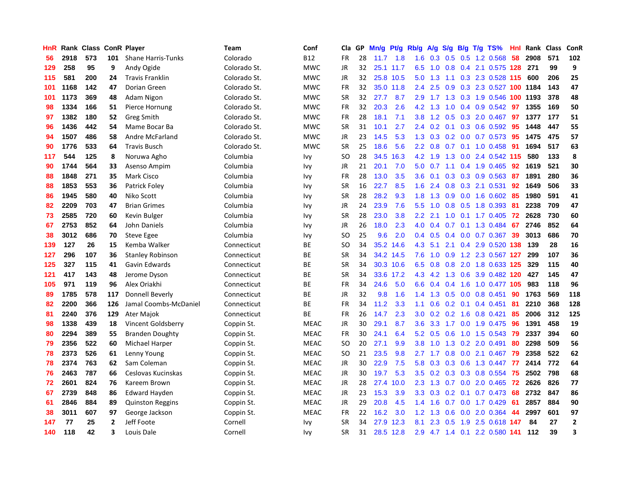| HnR | Rank | <b>Class ConR Player</b> |     |                           | Team         | Conf        | Cla       | GP | Mn/g | Pt/g      | Rb/g             | A/g             | S/g |  | B/g T/g TS%               | Hnl | Rank     | <b>Class</b> | <b>ConR</b>  |
|-----|------|--------------------------|-----|---------------------------|--------------|-------------|-----------|----|------|-----------|------------------|-----------------|-----|--|---------------------------|-----|----------|--------------|--------------|
| 56  | 2918 | 573                      | 101 | <b>Shane Harris-Tunks</b> | Colorado     | <b>B12</b>  | FR        | 28 | 11.7 | 1.8       | 1.6              | 0.3             |     |  | 0.5 0.5 1.2 0.568         | 58  | 2908     | 571          | 102          |
| 129 | 258  | 95                       | 9   | Andy Ogide                | Colorado St. | <b>MWC</b>  | JR        | 32 |      | 25.1 11.7 | 6.5              | 1.0             |     |  | 0.8 0.4 2.1 0.575 128 271 |     |          | 99           | 9            |
| 115 | 581  | 200                      | 24  | <b>Travis Franklin</b>    | Colorado St. | <b>MWC</b>  | JR        | 32 |      | 25.8 10.5 | 5.0              | 1.3             |     |  | 1.1 0.3 2.3 0.528 115 600 |     |          | 206          | 25           |
| 101 | 1168 | 142                      | 47  | Dorian Green              | Colorado St. | <b>MWC</b>  | <b>FR</b> | 32 |      | 35.0 11.8 | 2.4              | 2.5             | 0.9 |  | 0.3 2.3 0.527 100 1184    |     |          | 143          | 47           |
| 101 | 1173 | 369                      | 48  | Adam Nigon                | Colorado St. | <b>MWC</b>  | <b>SR</b> | 32 | 27.7 | 8.7       | 2.9              | 1.7             | 1.3 |  | 0.3 1.9 0.546             |     | 100 1193 | 378          | 48           |
| 98  | 1334 | 166                      | 51  | Pierce Hornung            | Colorado St. | <b>MWC</b>  | FR        | 32 | 20.3 | 2.6       | 4.2              | 1.3             | 1.0 |  | $0.4$ 0.9 0.542           | 97  | 1355     | 169          | 50           |
| 97  | 1382 | 180                      | 52  | Greg Smith                | Colorado St. | <b>MWC</b>  | <b>FR</b> | 28 | 18.1 | 7.1       | 3.8              | 1.2             | 0.5 |  | 0.3 2.0 0.467             | 97  | 1377     | 177          | 51           |
| 96  | 1436 | 442                      | 54  | Mame Bocar Ba             | Colorado St. | <b>MWC</b>  | <b>SR</b> | 31 | 10.1 | 2.7       | 2.4              | 0.2             | 0.1 |  | 0.3 0.6 0.592             | -95 | 1448     | 447          | 55           |
| 94  | 1507 | 486                      | 58  | Andre McFarland           | Colorado St. | <b>MWC</b>  | JR        | 23 | 14.5 | 5.3       | 1.3              | 0.3             |     |  | 0.2 0.0 0.7 0.573 95      |     | 1475     | 475          | 57           |
| 90  | 1776 | 533                      | 64  | <b>Travis Busch</b>       | Colorado St. | <b>MWC</b>  | <b>SR</b> | 25 | 18.6 | 5.6       |                  | $2.2 \quad 0.8$ |     |  | 0.7 0.1 1.0 0.458 91      |     | 1694     | 517          | 63           |
| 117 | 544  | 125                      | 8   | Noruwa Agho               | Columbia     | Ivy         | SO        | 28 | 34.5 | 16.3      |                  | 4.2 1.9         |     |  | 1.3 0.0 2.4 0.542 115     |     | 580      | 133          | 8            |
| 90  | 1744 | 564                      | 33  | Asenso Ampim              | Columbia     | Ivy         | JR        | 21 | 20.1 | 7.0       | 5.0              | 0.7             |     |  | 1.1 0.4 1.9 0.465         | 92  | 1619     | 521          | 30           |
| 88  | 1848 | 271                      | 35  | Mark Cisco                | Columbia     | Ivy         | FR        | 28 | 13.0 | 3.5       | 3.6              | 0.1             |     |  | $0.3$ $0.3$ $0.9$ $0.563$ | 87  | 1891     | 280          | 36           |
| 88  | 1853 | 553                      | 36  | Patrick Foley             | Columbia     | Ivy         | <b>SR</b> | 16 | 22.7 | 8.5       | 1.6              | 2.4             |     |  | 0.8 0.3 2.1 0.531         | 92  | 1649     | 506          | 33           |
| 86  | 1945 | 580                      | 40  | Niko Scott                | Columbia     | Ivy         | <b>SR</b> | 28 | 28.2 | 9.3       | 1.8              | 1.3             | 0.9 |  | $0.0$ 1.6 $0.602$         | -85 | 1980     | 591          | 41           |
| 82  | 2209 | 703                      | 47  | <b>Brian Grimes</b>       | Columbia     | Ivy         | JR        | 24 | 23.9 | 7.6       | 5.5              | 1.0             | 0.8 |  | 0.5 1.8 0.393             | -81 | 2238     | 709          | 47           |
| 73  | 2585 | 720                      | 60  | Kevin Bulger              | Columbia     | Ivy         | <b>SR</b> | 28 | 23.0 | 3.8       | $2.2\phantom{0}$ | 2.1             | 1.0 |  | $0.1$ 1.7 0.405           | 72  | 2628     | 730          | 60           |
| 67  | 2753 | 852                      | 64  | John Daniels              | Columbia     | Ivy         | JR        | 26 | 18.0 | 2.3       | 4.0              |                 |     |  | 0.4 0.7 0.1 1.3 0.484     | 67  | 2746     | 852          | 64           |
| 38  | 3012 | 686                      | 70  | <b>Steve Egee</b>         | Columbia     | Ivy         | <b>SO</b> | 25 | 9.6  | 2.0       | 0.4              | 0.5             |     |  | 0.4 0.0 0.7 0.367 39      |     | 3013     | 686          | 70           |
| 139 | 127  | 26                       | 15  | Kemba Walker              | Connecticut  | ВE          | <b>SO</b> | 34 | 35.2 | 14.6      | 4.3              | 5.1             |     |  | 2.1 0.4 2.9 0.520 138     |     | 139      | 28           | 16           |
| 127 | 296  | 107                      | 36  | <b>Stanley Robinson</b>   | Connecticut  | ВE          | <b>SR</b> | 34 | 34.2 | 14.5      | 7.6              | 1.0             | 0.9 |  | 1.2 2.3 0.567 127         |     | 299      | 107          | 36           |
| 125 | 327  | 115                      | 41  | Gavin Edwards             | Connecticut  | ВE          | <b>SR</b> | 34 |      | 30.3 10.6 | 6.5              | 0.8             |     |  | 0.8 2.0 1.8 0.633 125     |     | 329      | 115          | 40           |
| 121 | 417  | 143                      | 48  | Jerome Dyson              | Connecticut  | ВE          | <b>SR</b> | 34 | 33.6 | 17.2      | 4.3              | 4.2             | 1.3 |  | 0.6 3.9 0.482 120         |     | 427      | 145          | 47           |
| 105 | 971  | 119                      | 96  | Alex Oriakhi              | Connecticut  | ВE          | FR        | 34 | 24.6 | 5.0       | 6.6              | 0.4             | 0.4 |  | 1.6 1.0 0.477 105         |     | 983      | 118          | 96           |
| 89  | 1785 | 578                      | 117 | Donnell Beverly           | Connecticut  | ВE          | <b>JR</b> | 32 | 9.8  | 1.6       | 1.4              | 1.3             | 0.5 |  | $0.0$ 0.8 0.451           | 90  | 1763     | 569          | 118          |
| 82  | 2200 | 366                      | 126 | Jamal Coombs-McDaniel     | Connecticut  | ВE          | FR        | 34 | 11.2 | 3.3       | 1.1              | 0.6             |     |  | $0.2$ 0.1 0.4 0.451       | 81  | 2210     | 368          | 128          |
| 81  | 2240 | 376                      | 129 | Ater Majok                | Connecticut  | <b>BE</b>   | FR        | 26 | 14.7 | 2.3       | 3.0 <sub>1</sub> | 0.2             |     |  | 0.2 1.6 0.8 0.421         | -85 | 2006     | 312          | 125          |
| 98  | 1338 | 439                      | 18  | Vincent Goldsberry        | Coppin St.   | <b>MEAC</b> | JR        | 30 | 29.1 | 8.7       | 3.6 <sup>°</sup> | 3.3             |     |  | 1.7 0.0 1.9 0.475         | -96 | 1391     | 458          | 19           |
| 80  | 2294 | 389                      | 55  | <b>Branden Doughty</b>    | Coppin St.   | <b>MEAC</b> | <b>FR</b> | 30 | 24.1 | 6.4       | 5.2              | 0.5             | 0.6 |  | 1.0 1.5 0.543 79          |     | 2337     | 394          | 60           |
| 79  | 2356 | 522                      | 60  | Michael Harper            | Coppin St.   | <b>MEAC</b> | <b>SO</b> | 20 | 27.1 | 9.9       | 3.8              | 1.0             | 1.3 |  | $0.2$ 2.0 0.491           | 80  | 2298     | 509          | 56           |
| 78  | 2373 | 526                      | 61  | Lenny Young               | Coppin St.   | <b>MEAC</b> | <b>SO</b> | 21 | 23.5 | 9.8       | 2.7 <sub>2</sub> | 1.7             | 0.8 |  | $0.0$ 2.1 $0.467$         | 79  | 2358     | 522          | 62           |
| 78  | 2374 | 763                      | 62  | Sam Coleman               | Coppin St.   | <b>MEAC</b> | JR        | 30 | 22.9 | 7.5       | 5.8              | 0.3             | 0.3 |  | $0.6$ 1.3 0.447           | -77 | 2414     | 772          | 64           |
| 76  | 2463 | 787                      | 66  | Ceslovas Kucinskas        | Coppin St.   | <b>MEAC</b> | <b>JR</b> | 30 | 19.7 | 5.3       | 3.5              | 0.2             | 0.3 |  | 0.3 0.8 0.554             | 75  | 2502     | 798          | 68           |
| 72  | 2601 | 824                      | 76  | Kareem Brown              | Coppin St.   | <b>MEAC</b> | JR        | 28 | 27.4 | 10.0      | 2.3              | 1.3             |     |  | 0.7 0.0 2.0 0.465         | 72  | 2626     | 826          | 77           |
| 67  | 2739 | 848                      | 86  | <b>Edward Hayden</b>      | Coppin St.   | <b>MEAC</b> | JR        | 23 | 15.3 | 3.9       |                  | $3.3 \quad 0.3$ |     |  | 0.2 0.1 0.7 0.473 68      |     | 2732     | 847          | 86           |
| 61  | 2846 | 884                      | 89  | <b>Quinston Reggins</b>   | Coppin St.   | <b>MEAC</b> | <b>JR</b> | 29 | 20.8 | 4.5       | $1.4^{\circ}$    | 1.6             |     |  | $0.7$ 0.0 1.7 0.429       | -61 | 2857     | 884          | 90           |
| 38  | 3011 | 607                      | 97  | George Jackson            | Coppin St.   | <b>MEAC</b> | FR        | 22 | 16.2 | 3.0       | 1.2              | 1.3             | 0.6 |  | $0.0$ 2.0 $0.364$         | 44  | 2997     | 601          | 97           |
| 147 | 77   | 25                       | 2   | Jeff Foote                | Cornell      | Ivy         | <b>SR</b> | 34 | 27.9 | 12.3      | 8.1              | 2.3             | 0.5 |  | 1.9 2.5 0.618 147         |     | 84       | 27           | $\mathbf{2}$ |
| 140 | 118  | 42                       | 3   | Louis Dale                | Cornell      | Ivy         | <b>SR</b> | 31 |      | 28.5 12.8 | 2.9 <sup>°</sup> |                 |     |  | 4.7 1.4 0.1 2.2 0.580 141 |     | 112      | 39           | 3            |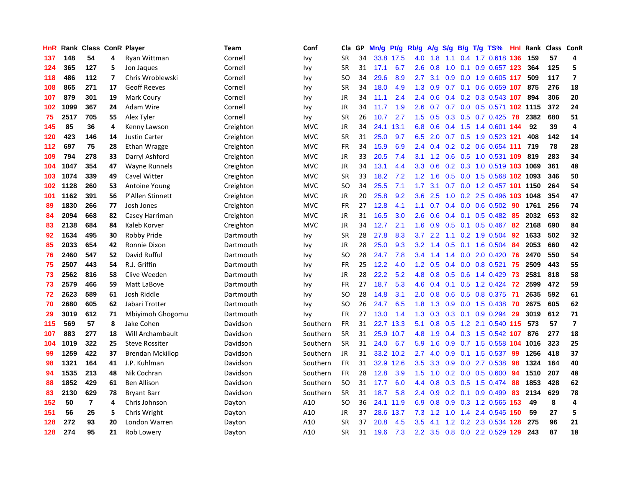| HnR | Rank | <b>Class ConR Player</b> |                          |                         | Team      | Conf       | Cla       | <b>GP</b> | Mn/g | <b>Pt/g</b> | Rb/g             | A/g | S/g             | B/g | $T/g$ TS%                   | Hnl | Rank | <b>Class</b> | <b>ConR</b>    |
|-----|------|--------------------------|--------------------------|-------------------------|-----------|------------|-----------|-----------|------|-------------|------------------|-----|-----------------|-----|-----------------------------|-----|------|--------------|----------------|
| 137 | 148  | 54                       | 4                        | Ryan Wittman            | Cornell   | Ivy        | <b>SR</b> | 34        |      | 33.8 17.5   | 4.0              | 1.8 | 1.1             |     | 0.4 1.7 0.618 136           |     | 159  | 57           | 4              |
| 124 | 365  | 127                      | 5                        | Jon Jaques              | Cornell   | Ivy        | <b>SR</b> | 31        | 17.1 | 6.7         | 2.6              | 0.8 | 1.0             |     | $0.1$ 0.9 0.657 123         |     | 364  | 125          | 5              |
| 118 | 486  | 112                      | $\overline{\phantom{a}}$ | Chris Wroblewski        | Cornell   | Ivy        | SO        | 34        | 29.6 | 8.9         | $2.7^{\circ}$    | 3.1 |                 |     | 0.9 0.0 1.9 0.605 117       |     | 509  | 117          | $\overline{7}$ |
| 108 | 865  | 271                      | 17                       | <b>Geoff Reeves</b>     | Cornell   | Ivy        | <b>SR</b> | 34        | 18.0 | 4.9         | 1.3              | 0.9 |                 |     | $0.7$ 0.1 0.6 0.659 107     |     | 875  | 276          | 18             |
| 107 | 879  | 301                      | 19                       | Mark Coury              | Cornell   | Ivy        | JR        | 34        | 11.1 | 2.4         | 2.4              | 0.6 | $0.4^{\circ}$   |     | 0.2 0.3 0.543 107           |     | 894  | 306          | 20             |
| 102 | 1099 | 367                      | 24                       | Adam Wire               | Cornell   | Ivy        | JR        | 34        | 11.7 | 1.9         | 2.6              | 0.7 |                 |     | 0.7 0.0 0.5 0.571 102 1115  |     |      | 372          | 24             |
| 75  | 2517 | 705                      | 55                       | Alex Tyler              | Cornell   | Ivy        | <b>SR</b> | 26        | 10.7 | 2.7         | 1.5              | 0.5 | 0.3             |     | $0.5$ 0.7 0.425             | 78  | 2382 | 680          | 51             |
| 145 | 85   | 36                       | 4                        | Kenny Lawson            | Creighton | <b>MVC</b> | JR        | 34        | 24.1 | 13.1        | 6.8              | 0.6 |                 |     | 0.4 1.5 1.4 0.601 144       |     | 92   | 39           | $\overline{a}$ |
| 120 | 423  | 146                      | 14                       | <b>Justin Carter</b>    | Creighton | <b>MVC</b> | <b>SR</b> | 31        | 25.0 | 9.7         | 6.5              | 2.0 |                 |     | 0.7 0.5 1.9 0.523 121       |     | 408  | 142          | 14             |
| 112 | 697  | 75                       | 28                       | Ethan Wragge            | Creighton | <b>MVC</b> | <b>FR</b> | 34        | 15.9 | 6.9         | $2.4^{\circ}$    |     |                 |     | $0.4$ 0.2 0.2 0.6 0.654 111 |     | 719  | 78           | 28             |
| 109 | 794  | 278                      | 33                       | Darryl Ashford          | Creighton | <b>MVC</b> | JR        | 33        | 20.5 | 7.4         | 3.1              | 1.2 |                 |     | 0.6 0.5 1.0 0.531 109 819   |     |      | 283          | 34             |
| 104 | 1047 | 354                      | 47                       | Wayne Runnels           | Creighton | <b>MVC</b> | JR        | 34        | 13.1 | 4.4         | 3.3 <sub>2</sub> | 0.6 |                 |     | 0.2 0.3 1.0 0.519 103 1069  |     |      | 361          | 48             |
| 103 | 1074 | 339                      | 49                       | Cavel Witter            | Creighton | <b>MVC</b> | <b>SR</b> | 33        | 18.2 | 7.2         | 1.2              | 1.6 | 0.5             |     | 0.0 1.5 0.568 102 1093      |     |      | 346          | 50             |
| 102 | 1128 | 260                      | 53                       | <b>Antoine Young</b>    | Creighton | <b>MVC</b> | SO        | 34        | 25.5 | 7.1         | 1.7              | 3.1 | 0.7             |     | 0.0 1.2 0.457 101 1150      |     |      | 264          | 54             |
| 101 | 1162 | 391                      | 56                       | P'Allen Stinnett        | Creighton | <b>MVC</b> | JR        | 20        | 25.8 | 9.2         | 3.6              | 2.5 | 1.0             |     | $0.2$ 2.5 0.496 103         |     | 1048 | 354          | 47             |
| 89  | 1830 | 266                      | 77                       | Josh Jones              | Creighton | <b>MVC</b> | <b>FR</b> | 27        | 12.8 | 4.1         | 1.1              | 0.7 |                 |     | $0.4$ 0.0 0.6 0.502         | -90 | 1761 | 256          | 74             |
| 84  | 2094 | 668                      | 82                       | Casey Harriman          | Creighton | <b>MVC</b> | JR        | 31        | 16.5 | 3.0         | 2.6              | 0.6 | $0.4^{\circ}$   | 0.1 | $0.5$ 0.482                 | -85 | 2032 | 653          | 82             |
| 83  | 2138 | 684                      | 84                       | Kaleb Korver            | Creighton | <b>MVC</b> | JR        | 34        | 12.7 | 2.1         | 1.6              | 0.9 | 0.5             |     | $0.1$ 0.5 0.467             | -82 | 2168 | 690          | 84             |
| 92  | 1634 | 495                      | 30                       | Robby Pride             | Dartmouth | Ivy        | <b>SR</b> | 28        | 27.8 | 8.3         | 3.7              | 2.2 |                 |     | 1.1 0.2 1.9 0.504 92        |     | 1633 | 502          | 32             |
| 85  | 2033 | 654                      | 42                       | Ronnie Dixon            | Dartmouth | Ivy        | JR        | 28        | 25.0 | 9.3         | 3.2 <sub>2</sub> | 1.4 |                 |     | $0.5$ 0.1 1.6 0.504         | -84 | 2053 | 660          | 42             |
| 76  | 2460 | 547                      | 52                       | David Rufful            | Dartmouth | Ivy        | SO        | 28        | 24.7 | 7.8         | $3.4^{\circ}$    | 1.4 |                 |     | 1.4 0.0 2.0 0.420           | 76  | 2470 | 550          | 54             |
| 75  | 2507 | 443                      | 54                       | R.J. Griffin            | Dartmouth | Ivy        | <b>FR</b> | 25        | 12.2 | 4.0         | 1.2              | 0.5 | 0.4             |     | $0.0$ 0.8 0.521             | 75  | 2509 | 443          | 55             |
| 73  | 2562 | 816                      | 58                       | Clive Weeden            | Dartmouth | Ivy        | JR        | 28        | 22.2 | 5.2         | 4.8              | 0.8 | 0.5             |     | 0.6 1.4 0.429               | 73  | 2581 | 818          | 58             |
| 73  | 2579 | 466                      | 59                       | Matt LaBove             | Dartmouth | Ivy        | <b>FR</b> | 27        | 18.7 | 5.3         | 4.6              | 0.4 | 0.1             |     | $0.5$ 1.2 0.424             | 72  | 2599 | 472          | 59             |
| 72  | 2623 | 589                      | 61                       | Josh Riddle             | Dartmouth | Ivy        | <b>SO</b> | 28        | 14.8 | 3.1         | 2.0              | 0.8 | 0.6             |     | 0.5 0.8 0.375               | -71 | 2635 | 592          | 61             |
| 70  | 2680 | 605                      | 62                       | Jabari Trotter          | Dartmouth | Ivy        | <b>SO</b> | 26        | 24.7 | 6.5         | 1.8              | 1.3 | 0.9             |     | $0.0$ 1.5 0.438             | 70  | 2675 | 605          | 62             |
| 29  | 3019 | 612                      | 71                       | Mbiyimoh Ghogomu        | Dartmouth | Ivy        | <b>FR</b> | 27        | 13.0 | 1.4         | 1.3              | 0.3 |                 |     | $0.3$ 0.1 0.9 0.294         | -29 | 3019 | 612          | 71             |
| 115 | 569  | 57                       | 8                        | Jake Cohen              | Davidson  | Southern   | <b>FR</b> | 31        | 22.7 | 13.3        | 5.1              | 0.8 |                 |     | 0.5 1.2 2.1 0.540 115       |     | 573  | 57           | $\overline{7}$ |
| 107 | 883  | 277                      | 18                       | Will Archambault        | Davidson  | Southern   | SR        | 31        | 25.9 | 10.7        | 4.8              | 1.9 |                 |     | 0.4 0.3 1.5 0.542 107       |     | 876  | 277          | 18             |
| 104 | 1019 | 322                      | 25                       | <b>Steve Rossiter</b>   | Davidson  | Southern   | <b>SR</b> | 31        | 24.0 | 6.7         | 5.9              | 1.6 | 0.9             |     | 0.7 1.5 0.558 104           |     | 1016 | 323          | 25             |
| 99  | 1259 | 422                      | 37                       | <b>Brendan Mckillop</b> | Davidson  | Southern   | <b>JR</b> | 31        |      | 33.2 10.2   | 2.7              | 4.0 | 0.9             |     | $0.1$ 1.5 0.537             | 99  | 1256 | 418          | 37             |
| 98  | 1321 | 164                      | 41                       | J.P. Kuhlman            | Davidson  | Southern   | <b>FR</b> | 31        | 32.9 | 12.6        | 3.5              | 3.3 | 0.9             |     | $0.0$ 2.7 $0.538$           | 98  | 1324 | 164          | 40             |
| 94  | 1535 | 213                      | 48                       | Nik Cochran             | Davidson  | Southern   | <b>FR</b> | 28        | 12.8 | 3.9         | 1.5              | 1.0 |                 |     | $0.2$ 0.0 0.5 0.600         | 94  | 1510 | 207          | 48             |
| 88  | 1852 | 429                      | 61                       | <b>Ben Allison</b>      | Davidson  | Southern   | <b>SO</b> | 31        | 17.7 | 6.0         | 4.4              | 0.8 | 0.3             |     | $0.5$ 1.5 0.474             | 88  | 1853 | 428          | 62             |
| 83  | 2130 | 629                      | 78                       | <b>Bryant Barr</b>      | Davidson  | Southern   | <b>SR</b> | 31        | 18.7 | 5.8         | 2.4              | 0.9 |                 |     | $0.2$ 0.1 0.9 0.499         | 83  | 2134 | 629          | 78             |
| 152 | 50   | $\overline{7}$           | 4                        | Chris Johnson           | Dayton    | A10        | <b>SO</b> | 36        | 24.1 | 11.9        | 6.9              | 0.8 |                 |     | 0.9 0.3 1.2 0.565 153       |     | 49   | 8            | $\overline{4}$ |
| 151 | 56   | 25                       | 5                        | Chris Wright            | Dayton    | A10        | JR        | 37        | 28.6 | 13.7        | 7.3              |     | $1.2 \quad 1.0$ |     | 1.4 2.4 0.545 150           |     | 59   | 27           | 5              |
| 128 | 272  | 93                       | 20                       | London Warren           | Dayton    | A10        | <b>SR</b> | 37        | 20.8 | 4.5         | 3.5              | 4.1 | 1.2             |     | 0.2 2.3 0.534 128           |     | 275  | 96           | 21             |
| 128 | 274  | 95                       | 21                       | Rob Lowery              | Dayton    | A10        | SR        | 31        | 19.6 | 7.3         | 2.2              | 3.5 |                 |     | 0.8 0.0 2.2 0.529 129       |     | 243  | 87           | 18             |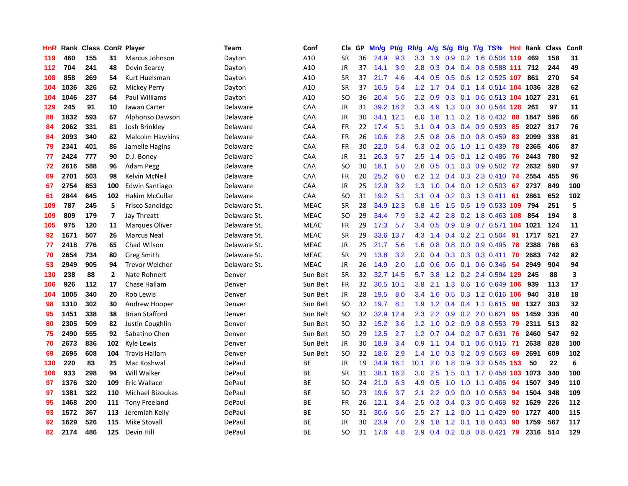| HnR | Rank | Class |                | <b>ConR Player</b>     | Team         | Conf        | Cla           | GP. | Mn/g | Pt/g      | Rb/g             | A/g | S/g           |  | B/g T/g TS%                  | <b>Hnl</b> | Rank | <b>Class</b> | ConR                    |
|-----|------|-------|----------------|------------------------|--------------|-------------|---------------|-----|------|-----------|------------------|-----|---------------|--|------------------------------|------------|------|--------------|-------------------------|
| 119 | 460  | 155   | 31             | Marcus Johnson         | Dayton       | A10         | <b>SR</b>     | 36  | 24.9 | 9.3       | 3.3 <sub>2</sub> | 1.9 |               |  | 0.9 0.2 1.6 0.504 119        |            | 469  | 158          | 31                      |
| 112 | 704  | 241   | 48             | Devin Searcy           | Dayton       | A10         | <b>JR</b>     | 37  | 14.1 | 3.9       | 2.8              | 0.3 |               |  | 0.4 0.4 0.8 0.588 111 712    |            |      | 244          | 49                      |
| 108 | 858  | 269   | 54             | Kurt Huelsman          | Dayton       | A10         | <b>SR</b>     | 37  | 21.7 | 4.6       | 4.4              | 0.5 |               |  | $0.5$ 0.6 1.2 0.525 107      |            | 861  | 270          | 54                      |
| 104 | 1036 | 326   | 62             | Mickey Perry           | Dayton       | A10         | <b>SR</b>     | 37  | 16.5 | 5.4       | 1.2              | 1.7 | 0.4           |  | 0.1 1.4 0.514 104 1036       |            |      | 328          | 62                      |
| 104 | 1046 | 237   | 64             | Paul Williams          | Dayton       | A10         | SO            | 36  | 20.4 | 5.6       | $2.2^{\circ}$    | 0.9 | 0.3           |  | 0.1 0.6 0.513 104 1027       |            |      | 231          | 61                      |
| 129 | 245  | 91    | 10             | Jawan Carter           | Delaware     | CAA         | JR            | 31  |      | 39.2 18.2 | 3.3              | 4.9 |               |  | 1.3 0.0 3.0 0.544 128        |            | 261  | 97           | 11                      |
| 88  | 1832 | 593   | 67             | <b>Alphonso Dawson</b> | Delaware     | CAA         | JR            | 30  |      | 34.1 12.1 | 6.0              | 1.8 | 1.1           |  | 0.2 1.8 0.432                | 88         | 1847 | 596          | 66                      |
| 84  | 2062 | 331   | 81             | Josh Brinkley          | Delaware     | CAA         | FR            | 22  | 17.4 | 5.1       | 3.1              | 0.4 | 0.3           |  | $0.4$ 0.9 0.593              | 85         | 2027 | 317          | 76                      |
| 84  | 2093 | 340   | 82             | <b>Malcolm Hawkins</b> | Delaware     | CAA         | <b>FR</b>     | 26  | 10.6 | 2.8       | 2.5              | 0.8 | 0.6           |  | $0.0$ 0.8 0.459              | -83        | 2099 | 338          | 81                      |
| 79  | 2341 | 401   | 86             | Jamelle Hagins         | Delaware     | CAA         | <b>FR</b>     | 30  | 22.0 | 5.4       |                  |     |               |  | 5.3 0.2 0.5 1.0 1.1 0.439 78 |            | 2365 | 406          | 87                      |
| 77  | 2424 | 777   | 90             | D.J. Boney             | Delaware     | CAA         | JR            | 31  | 26.3 | 5.7       | $2.5^{\circ}$    | 1.4 |               |  | 0.5 0.1 1.2 0.486 76         |            | 2443 | 780          | 92                      |
| 72  | 2616 | 588   | 96             | Adam Pegg              | Delaware     | CAA         | <sub>SO</sub> | 30  | 18.1 | 5.0       | 2.6              | 0.5 |               |  | 0.1 0.3 0.9 0.502 72         |            | 2632 | 590          | 97                      |
| 69  | 2701 | 503   | 98             | Kelvin McNeil          | Delaware     | CAA         | FR            | 20  | 25.2 | 6.0       | 6.2              | 1.2 |               |  | $0.4$ 0.3 2.3 0.410          | 74         | 2554 | 455          | 96                      |
| 67  | 2754 | 853   | 100            | Edwin Santiago         | Delaware     | CAA         | JR            | 25  | 12.9 | 3.2       | 1.3              | 1.0 |               |  | $0.4$ 0.0 1.2 0.503          | 67         | 2737 | 849          | 100                     |
| 61  | 2844 | 645   | 102            | Hakim McCullar         | Delaware     | CAA         | <b>SO</b>     | 31  | 19.2 | 5.1       | 3.1              | 0.4 |               |  | $0.2$ $0.3$ 1.3 $0.411$      | 61         | 2861 | 652          | 102                     |
| 109 | 787  | 245   | 5              | <b>Frisco Sandidge</b> | Delaware St. | <b>MEAC</b> | <b>SR</b>     | 28  | 34.9 | 12.3      | 5.8              | 1.5 | 1.5           |  | 0.6 1.9 0.533 109            |            | 794  | 251          | 5                       |
| 109 | 809  | 179   | $\overline{ }$ | Jay Threatt            | Delaware St. | <b>MEAC</b> | <sub>SO</sub> | 29  | 34.4 | 7.9       | 3.2              | 4.2 | 2.8           |  | 0.2 1.8 0.463 108            |            | 854  | 194          | 8                       |
| 105 | 975  | 120   | 11             | <b>Marques Oliver</b>  | Delaware St. | <b>MEAC</b> | <b>FR</b>     | 29  | 17.3 | 5.7       | 3.4              | 0.5 |               |  | 0.9 0.9 0.7 0.571 104 1021   |            |      | 124          | 11                      |
| 92  | 1671 | 507   | 26             | <b>Marcus Neal</b>     | Delaware St. | <b>MEAC</b> | <b>SR</b>     | 29  | 33.6 | 13.7      |                  |     |               |  | 4.3 1.4 0.4 0.2 2.1 0.504 91 |            | 1717 | 521          | 27                      |
| 77  | 2418 | 776   | 65             | Chad Wilson            | Delaware St. | <b>MEAC</b> | JR            | 25  | 21.7 | 5.6       | 1.6              | 0.8 |               |  | $0.8$ 0.0 0.9 0.495          | 78         | 2388 | 768          | 63                      |
| 70  | 2654 | 734   | 80             | Greg Smith             | Delaware St. | <b>MEAC</b> | <b>SR</b>     | 29  | 13.8 | 3.2       | 2.0              | 0.4 |               |  | $0.3$ 0.3 0.3 0.411          | 70         | 2683 | 742          | 82                      |
| 53  | 2949 | 905   | 94             | <b>Trevor Welcher</b>  | Delaware St. | <b>MEAC</b> | <b>JR</b>     | 26  | 14.9 | 2.0       | 1.0              | 0.6 | 0.6           |  | $0.1$ 0.6 0.346              | -54        | 2949 | 904          | 94                      |
| 130 | 238  | 88    | $\mathbf{2}$   | Nate Rohnert           | Denver       | Sun Belt    | <b>SR</b>     | 32  |      | 32.7 14.5 | 5.7              | 3.8 |               |  | 1.2 0.2 2.4 0.594 129        |            | 245  | 88           | $\overline{\mathbf{3}}$ |
| 106 | 926  | 112   | 17             | Chase Hallam           | Denver       | Sun Belt    | <b>FR</b>     | 32  | 30.5 | 10.1      | 3.8              | 2.1 | 1.3           |  | 0.6 1.6 0.649 106            |            | 939  | 113          | 17                      |
| 104 | 1005 | 340   | 20             | <b>Rob Lewis</b>       | Denver       | Sun Belt    | <b>JR</b>     | 28  | 19.5 | 8.0       | $3.4^{\circ}$    | 1.6 | 0.5           |  | 0.3 1.2 0.616 106            |            | 940  | 318          | 18                      |
| 98  | 1310 | 302   | 30             | Andrew Hooper          | Denver       | Sun Belt    | <b>SO</b>     | 32  | 19.7 | 8.1       | 1.9              | 1.2 |               |  | $0.4$ 0.4 1.1 0.615          | -98        | 1327 | 303          | 32                      |
| 95  | 1451 | 338   | 38             | <b>Brian Stafford</b>  | Denver       | Sun Belt    | <b>SO</b>     | 32  |      | 32.9 12.4 |                  |     |               |  | 2.3 2.2 0.9 0.2 2.0 0.621    | 95         | 1459 | 336          | 40                      |
| 80  | 2305 | 509   | 82             | Justin Coughlin        | Denver       | Sun Belt    | <b>SO</b>     | 32  | 15.2 | 3.6       | 1.2              | 1.0 |               |  | $0.2$ 0.9 0.8 0.553          | -79        | 2311 | 513          | 82                      |
| 75  | 2490 | 555   | 92             | Sabatino Chen          | Denver       | Sun Belt    | <b>SO</b>     | 29  | 12.5 | 2.7       | 1.2 <sub>2</sub> | 0.7 |               |  | $0.4$ 0.2 0.7 0.631          | -76        | 2460 | 547          | 92                      |
| 70  | 2673 | 836   | 102            | Kyle Lewis             | Denver       | Sun Belt    | <b>JR</b>     | 30  | 18.9 | 3.4       | 0.9              | 1.1 |               |  | $0.4$ 0.1 0.6 0.515          | -71        | 2638 | 828          | 100                     |
| 69  | 2695 | 608   | 104            | <b>Travis Hallam</b>   | Denver       | Sun Belt    | <b>SO</b>     | 32  | 18.6 | 2.9       | 1.4              | 1.0 |               |  | $0.3$ 0.2 0.9 0.563          | 69         | 2691 | 609          | 102                     |
| 130 | 220  | 83    | 25             | Mac Koshwal            | DePaul       | BE          | <b>JR</b>     | 19  |      | 34.9 16.1 | 10.1             | 2.0 | 1.8           |  | 0.9 3.2 0.545                | 153        | 50   | 22           | 6                       |
| 106 | 933  | 298   | 94             | Will Walker            | DePaul       | <b>BE</b>   | <b>SR</b>     | 31  | 38.1 | 16.2      | 3.0              | 2.5 | $1.5^{\circ}$ |  | 0.1 1.7 0.458 103 1073       |            |      | 340          | 100                     |
| 97  | 1376 | 320   | 109            | Eric Wallace           | DePaul       | <b>BE</b>   | <sub>SO</sub> | 24  | 21.0 | 6.3       | 4.9              | 0.5 | 1.0           |  | $1.0$ 1.1 $0.406$            | 94         | 1507 | 349          | 110                     |
| 97  | 1381 | 322   | 110            | Michael Bizoukas       | DePaul       | ВE          | <sub>SO</sub> | 23  | 19.6 | 3.7       | 2.1              | 2.2 | 0.9           |  | $0.0 \quad 1.0 \quad 0.563$  | -94        | 1504 | 348          | 109                     |
| 95  | 1468 | 200   | 111            | Tony Freeland          | DePaul       | <b>BE</b>   | <b>FR</b>     | 26  | 12.1 | 3.4       | $2.5^{\circ}$    | 0.3 |               |  | 0.4 0.3 0.5 0.468 92         |            | 1629 | 226          | 112                     |
| 93  | 1572 | 367   | 113            | Jeremiah Kelly         | DePaul       | ВE          | SO            | 31  | 30.6 | 5.6       | $2.5^{\circ}$    | 2.7 |               |  | 1.2 0.0 1.1 0.429            | 90         | 1727 | 400          | 115                     |
| 92  | 1629 | 526   | 115            | <b>Mike Stovall</b>    | DePaul       | <b>BE</b>   | <b>JR</b>     | 30  | 23.9 | 7.0       | 2.9              | 1.8 | 1.2           |  | $0.1$ 1.8 0.443              | 90         | 1759 | 567          | 117                     |
| 82  | 2174 | 486   | 125            | Devin Hill             | DePaul       | <b>BE</b>   | SO            | 31  | 17.6 | 4.8       | $2.9^{\circ}$    |     |               |  | $0.4$ 0.2 0.8 0.8 0.421      | 79         | 2316 | 514          | 129                     |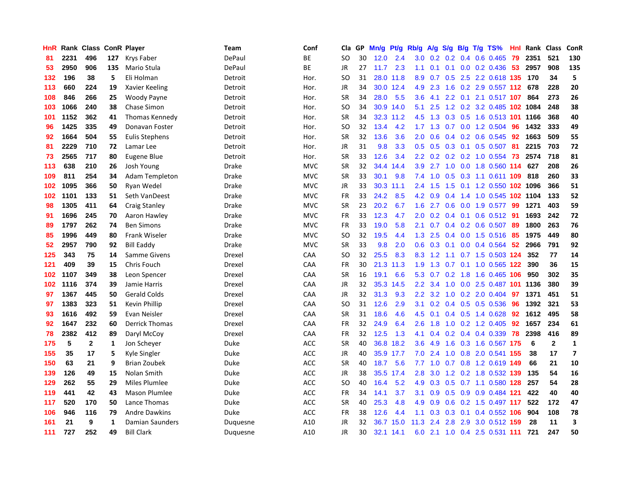| HnR |      | Rank Class   |     | <b>ConR Player</b>    | Team     | Conf       | Cla           | GP. | Mn/g | <b>Pt/g</b> | Rb/g             | A/g |                  |                 | S/g B/g T/g TS%               | Hnl | Rank | <b>Class</b>   | ConR           |
|-----|------|--------------|-----|-----------------------|----------|------------|---------------|-----|------|-------------|------------------|-----|------------------|-----------------|-------------------------------|-----|------|----------------|----------------|
| 81  | 2231 | 496          | 127 | Krys Faber            | DePaul   | <b>BE</b>  | SO            | 30  | 12.0 | 2.4         | 3.0 <sub>1</sub> |     |                  |                 | $0.2$ 0.2 0.4 0.6 0.465       | -79 | 2351 | 521            | 130            |
| 53  | 2950 | 906          | 135 | Mario Stula           | DePaul   | <b>BE</b>  | <b>JR</b>     | 27  | 11.7 | 2.3         | 1.1              | 0.1 |                  |                 | $0.1$ 0.0 0.2 0.436 53        |     | 2957 | 908            | 135            |
| 132 | 196  | 38           | 5   | Eli Holman            | Detroit  | Hor.       | SO            | 31  |      | 28.0 11.8   | 8.9              | 0.7 |                  |                 | 0.5 2.5 2.2 0.618 135 170     |     |      | 34             | 5              |
| 113 | 660  | 224          | 19  | Xavier Keeling        | Detroit  | Hor.       | JR            | 34  |      | 30.0 12.4   | 4.9              | 2.3 | 1.6              |                 | 0.2 2.9 0.557 112 678         |     |      | 228            | 20             |
| 108 | 846  | 266          | 25  | Woody Payne           | Detroit  | Hor.       | <b>SR</b>     | 34  | 28.0 | 5.5         | 3.6              | 4.1 |                  |                 | 2.2 0.1 2.1 0.517 107         |     | 864  | 273            | 26             |
| 103 | 1066 | 240          | 38  | Chase Simon           | Detroit  | Hor.       | SO.           | 34  |      | 30.9 14.0   | 5.1              | 2.5 |                  |                 | 1.2 0.2 3.2 0.485 102 1084    |     |      | 248            | 38             |
| 101 | 1152 | 362          | 41  | Thomas Kennedy        | Detroit  | Hor.       | <b>SR</b>     | 34  | 32.3 | 11.2        | 4.5              | 1.3 |                  |                 | 0.3 0.5 1.6 0.513 101 1166    |     |      | 368            | 40             |
| 96  | 1425 | 335          | 49  | Donavan Foster        | Detroit  | Hor.       | SO            | 32  | 13.4 | 4.2         | $1.7^{\circ}$    | 1.3 |                  |                 | $0.7$ 0.0 1.2 0.504           | -96 | 1432 | 333            | 49             |
| 92  | 1664 | 504          | 55  | <b>Eulis Stephens</b> | Detroit  | Hor.       | <b>SR</b>     | 32  | 13.6 | 3.6         | 2.0              | 0.6 |                  |                 | 0.4 0.2 0.6 0.545 92          |     | 1663 | 509            | 55             |
| 81  | 2229 | 710          | 72  | Lamar Lee             | Detroit  | Hor.       | <b>JR</b>     | 31  | 9.8  | 3.3         | 0.5              | 0.5 |                  |                 | 0.3 0.1 0.5 0.507 81          |     | 2215 | 703            | 72             |
| 73  | 2565 | 717          | 80  | Eugene Blue           | Detroit  | Hor.       | <b>SR</b>     | 33  | 12.6 | 3.4         | $2.2^{\circ}$    | 0.2 |                  |                 | 0.2 0.2 1.0 0.554 73          |     | 2574 | 718            | 81             |
| 113 | 638  | 210          | 26  | Josh Young            | Drake    | <b>MVC</b> | <b>SR</b>     | 32  | 34.4 | 14.4        | 3.9 <sub>2</sub> | 2.7 | 1.0              |                 | 0.0 1.8 0.560 114             |     | 627  | 208            | 26             |
| 109 | 811  | 254          | 34  | Adam Templeton        | Drake    | <b>MVC</b> | <b>SR</b>     | 33  | 30.1 | 9.8         | 7.4              | 1.0 | 0.5              |                 | 0.3 1.1 0.611 109             |     | 818  | 260            | 33             |
| 102 | 1095 | 366          | 50  | Ryan Wedel            | Drake    | <b>MVC</b> | JR            | 33  | 30.3 | 11.1        | 2.4              | 1.5 | 1.5              |                 | 0.1 1.2 0.550 102 1096        |     |      | 366            | 51             |
| 102 | 1101 | 133          | 51  | Seth VanDeest         | Drake    | <b>MVC</b> | <b>FR</b>     | 33  | 24.2 | 8.5         | 4.2              | 0.9 |                  |                 | 0.4 1.4 1.0 0.545 102 1104    |     |      | 133            | 52             |
| 98  | 1305 | 411          | 64  | Craig Stanley         | Drake    | <b>MVC</b> | <b>SR</b>     | 23  | 20.2 | 6.7         | 1.6              | 2.7 | 0.6              |                 | $0.0$ 1.9 $0.577$             | -99 | 1271 | 403            | 59             |
| 91  | 1696 | 245          | 70  | Aaron Hawley          | Drake    | <b>MVC</b> | <b>FR</b>     | 33  | 12.3 | 4.7         | 2.0              | 0.2 |                  |                 | 0.4 0.1 0.6 0.512 91          |     | 1693 | 242            | 72             |
| 89  | 1797 | 262          | 74  | <b>Ben Simons</b>     | Drake    | <b>MVC</b> | <b>FR</b>     | 33  | 19.0 | 5.8         | 2.1              | 0.7 |                  |                 | $0.4$ 0.2 0.6 0.507 89        |     | 1800 | 263            | 76             |
| 85  | 1996 | 449          | 80  | <b>Frank Wiseler</b>  | Drake    | <b>MVC</b> | SO            | 32  | 19.5 | 4.4         | 1.3              | 2.5 |                  |                 | 0.4 0.0 1.5 0.516 85          |     | 1975 | 449            | 80             |
| 52  | 2957 | 790          | 92  | Bill Eaddy            | Drake    | <b>MVC</b> | SR            | 33  | 9.8  | 2.0         | 0.6              | 0.3 |                  |                 | $0.1$ 0.0 0.4 0.564 52        |     | 2966 | 791            | 92             |
| 125 | 343  | 75           | 14  | Samme Givens          | Drexel   | CAA        | <sub>SO</sub> | 32  | 25.5 | 8.3         | 8.3              | 1.2 | 1.1              |                 | 0.7 1.5 0.503 124             |     | 352  | 77             | 14             |
| 121 | 409  | 39           | 15  | Chris Fouch           | Drexel   | CAA        | <b>FR</b>     | 30  | 21.3 | 11.3        | 1.9              | 1.3 | 0.7              |                 | 0.1 1.0 0.565 122             |     | 390  | 36             | 15             |
| 102 | 1107 | 349          | 38  | Leon Spencer          | Drexel   | CAA        | <b>SR</b>     | 16  | 19.1 | 6.6         | 5.3              | 0.7 | 0.2 <sub>0</sub> |                 | 1.8 1.6 0.465 106             |     | 950  | 302            | 35             |
| 102 | 1116 | 374          | 39  | Jamie Harris          | Drexel   | CAA        | JR            | 32  | 35.3 | 14.5        | 2.2              | 3.4 | 1.0              |                 | 0.0 2.5 0.487 101 1136        |     |      | 380            | 39             |
| 97  | 1367 | 445          | 50  | <b>Gerald Colds</b>   | Drexel   | CAA        | <b>JR</b>     | 32  | 31.3 | 9.3         | 2.2              | 3.2 | 1.0              |                 | $0.2$ 2.0 0.404               | -97 | 1371 | 451            | 51             |
| 97  | 1383 | 323          | 51  | Kevin Phillip         | Drexel   | CAA        | <sub>SO</sub> | 31  | 12.6 | 2.9         | 3.1              |     |                  |                 | 0.2 0.4 0.5 0.5 0.536 96      |     | 1392 | 321            | 53             |
| 93  | 1616 | 492          | 59  | Evan Neisler          | Drexel   | CAA        | <b>SR</b>     | 31  | 18.6 | 4.6         | 4.5              | 0.1 |                  |                 | 0.4 0.5 1.4 0.628 92          |     | 1612 | 495            | 58             |
| 92  | 1647 | 232          | 60  | <b>Derrick Thomas</b> | Drexel   | CAA        | <b>FR</b>     | 32  | 24.9 | 6.4         | $2.6\,$          | 1.8 |                  |                 | 1.0 0.2 1.2 0.405 92          |     | 1657 | 234            | 61             |
| 78  | 2382 | 412          | 89  | Daryl McCoy           | Drexel   | CAA        | <b>FR</b>     | 32  | 12.5 | 1.3         | 4.1              | 0.4 |                  |                 | $0.2$ 0.4 0.4 0.339           | 78  | 2398 | 416            | 89             |
| 175 | 5    | $\mathbf{2}$ | 1   | Jon Scheyer           | Duke     | <b>ACC</b> | <b>SR</b>     | 40  | 36.8 | 18.2        | 3.6              | 4.9 | 1.6              |                 | 0.3 1.6 0.567 175             |     | 6    | $\overline{2}$ | $\mathbf{1}$   |
| 155 | 35   | 17           | 5   | Kyle Singler          | Duke     | <b>ACC</b> | JR            | 40  |      | 35.9 17.7   | 7.0              | 2.4 |                  |                 | 1.0 0.8 2.0 0.541 155         |     | 38   | 17             | $\overline{7}$ |
| 150 | 63   | 21           | 9   | <b>Brian Zoubek</b>   | Duke     | <b>ACC</b> | <b>SR</b>     | 40  | 18.7 | 5.6         | 7.7              | 1.0 |                  |                 | 0.7 0.8 1.2 0.619 149         |     | 66   | 21             | 10             |
| 139 | 126  | 49           | 15  | Nolan Smith           | Duke     | <b>ACC</b> | <b>JR</b>     | 38  | 35.5 | 17.4        | 2.8              | 3.0 | 1.2              |                 | 0.2 1.8 0.532 139             |     | 135  | 54             | 16             |
| 129 | 262  | 55           | 29  | Miles Plumlee         | Duke     | <b>ACC</b> | <sub>SO</sub> | 40  | 16.4 | 5.2         | 4.9              | 0.3 |                  |                 | $0.5$ 0.7 1.1 0.580 128       |     | 257  | 54             | 28             |
| 119 | 441  | 42           | 43  | <b>Mason Plumlee</b>  | Duke     | <b>ACC</b> | <b>FR</b>     | 34  | 14.1 | 3.7         | 3.1              |     |                  |                 | 0.9 0.5 0.9 0.9 0.484 121     |     | 422  | 40             | 40             |
| 117 | 520  | 170          | 50  | Lance Thomas          | Duke     | <b>ACC</b> | <b>SR</b>     | 40  | 25.3 | 4.8         | 4.9              | 0.9 |                  |                 | $0.6$ $0.2$ $1.5$ $0.497$ 117 |     | 522  | 172            | 47             |
| 106 | 946  | 116          | 79  | <b>Andre Dawkins</b>  | Duke     | <b>ACC</b> | FR            | 38  | 12.6 | 4.4         | 1.1              | 0.3 |                  | $0.3 \quad 0.1$ | 0.4 0.552 106                 |     | 904  | 108            | 78             |
| 161 | 21   | 9            | 1   | Damian Saunders       | Duquesne | A10        | JR            | 32  | 36.7 | 15.0        | 11.3             | 2.4 | 2.8              |                 | 2.9 3.0 0.512 159             |     | 28   | 11             | 3              |
| 111 | 727  | 252          | 49  | <b>Bill Clark</b>     | Duquesne | A10        | <b>JR</b>     | 30  |      | 32.1 14.1   | 6.0              |     |                  |                 | 2.1 1.0 0.4 2.5 0.531 111     |     | 721  | 247            | 50             |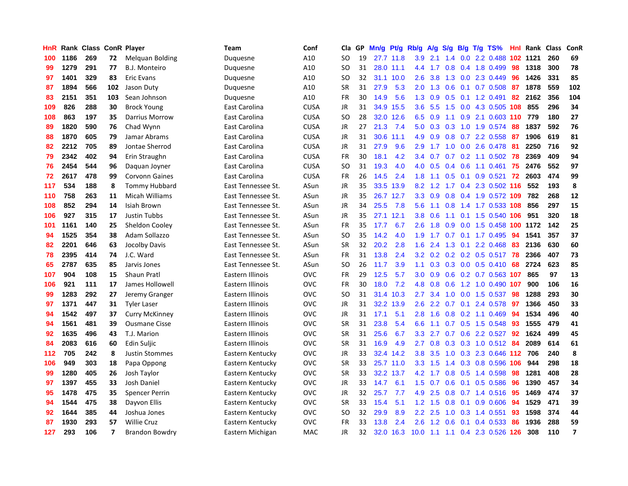| HnR |      | <b>Rank Class</b> |                         | <b>ConR Player</b>     | Team               | Conf        | Cla       | <b>GP</b> | Mn/g | <b>Pt/g</b> | Rb/g             | A/g             | S/g              |                 | B/g T/g TS%                    | Hnl | Rank | <b>Class</b> | <b>ConR</b>    |
|-----|------|-------------------|-------------------------|------------------------|--------------------|-------------|-----------|-----------|------|-------------|------------------|-----------------|------------------|-----------------|--------------------------------|-----|------|--------------|----------------|
| 100 | 1186 | 269               | 72                      | <b>Melquan Bolding</b> | Duguesne           | A10         | <b>SO</b> | 19        |      | 27.7 11.8   |                  | $3.9$ 2.1       |                  |                 | 1.4 0.0 2.2 0.488 102 1121     |     |      | 260          | 69             |
| 99  | 1279 | 291               | 77                      | B.J. Monteiro          | Duquesne           | A10         | <b>SO</b> | 31        |      | 28.0 11.1   | 4.4              | $-1.7$          |                  |                 | 0.8 0.4 1.8 0.499              | 98  | 1318 | 300          | 78             |
| 97  | 1401 | 329               | 83                      | <b>Eric Evans</b>      | Duquesne           | A10         | SO.       | 32        | 31.1 | 10.0        | 2.6              | 3.8             |                  |                 | 1.3 0.0 2.3 0.449              | 96  | 1426 | 331          | 85             |
| 87  | 1894 | 566               | 102                     | Jason Duty             | Duquesne           | A10         | <b>SR</b> | 31        | 27.9 | 5.3         | 2.0              | 1.3             | 0.6              |                 | $0.1$ 0.7 0.508                | -87 | 1878 | 559          | 102            |
| 83  | 2151 | 351               | 103                     | Sean Johnson           | Duguesne           | A10         | <b>FR</b> | 30        | 14.9 | 5.6         | 1.3              | 0.9             | 0.5              |                 | $0.1$ 1.2 0.491                | 82  | 2162 | 356          | 104            |
| 109 | 826  | 288               | 30                      | <b>Brock Young</b>     | East Carolina      | <b>CUSA</b> | JR        | 31        | 34.9 | 15.5        | 3.6              | 5.5             | 1.5              |                 | 0.0 4.3 0.505 108              |     | 855  | 296          | 34             |
| 108 | 863  | 197               | 35                      | <b>Darrius Morrow</b>  | East Carolina      | <b>CUSA</b> | SO.       | 28        | 32.0 | 12.6        | 6.5              | 0.9             |                  |                 | 1.1 0.9 2.1 0.603 110          |     | 779  | 180          | 27             |
| 89  | 1820 | 590               | 76                      | Chad Wynn              | East Carolina      | <b>CUSA</b> | JR        | 27        | 21.3 | 7.4         | 5.0              | 0.3             |                  |                 | 0.3 1.0 1.9 0.574              | -88 | 1837 | 592          | 76             |
| 88  | 1870 | 605               | 79                      | Jamar Abrams           | East Carolina      | <b>CUSA</b> | JR        | 31        | 30.6 | 11.1        | 4.9              | 0.9             | 0.8              |                 | $0.7$ 2.2 $0.558$              | -87 | 1906 | 619          | 81             |
| 82  | 2212 | 705               | 89                      | Jontae Sherrod         | East Carolina      | <b>CUSA</b> | JR        | 31        | 27.9 | 9.6         | 2.9              |                 |                  |                 | 1.7 1.0 0.0 2.6 0.478 81       |     | 2250 | 716          | 92             |
| 79  | 2342 | 402               | 94                      | Erin Straughn          | East Carolina      | <b>CUSA</b> | FR        | 30        | 18.1 | 4.2         | $3.4^{\circ}$    | 0.7             |                  |                 | 0.7 0.2 1.1 0.502 78           |     | 2369 | 409          | 94             |
| 76  | 2454 | 544               | 96                      | Daquan Joyner          | East Carolina      | <b>CUSA</b> | SO        | 31        | 19.3 | 4.0         | 4.0              | 0.5             |                  |                 | $0.4$ 0.6 1.1 0.461            | 75  | 2476 | 552          | 97             |
| 72  | 2617 | 478               | 99                      | <b>Corvonn Gaines</b>  | East Carolina      | <b>CUSA</b> | FR        | 26        | 14.5 | 2.4         | 1.8              | 1.1             | 0.5              |                 | $0.1$ 0.9 0.521                | 72  | 2603 | 474          | 99             |
| 117 | 534  | 188               | 8                       | <b>Tommy Hubbard</b>   | East Tennessee St. | ASun        | JR        | 35        | 33.5 | 13.9        | 8.2              | 1.2             |                  |                 | 1.7 0.4 2.3 0.502 116          |     | 552  | 193          | 8              |
| 110 | 758  | 263               | 11                      | Micah Williams         | East Tennessee St. | ASun        | JR        | 35        | 26.7 | 12.7        | 3.3              | 0.9             |                  |                 | 0.8 0.4 1.9 0.572 109          |     | 782  | 268          | 12             |
| 108 | 852  | 294               | 14                      | Isiah Brown            | East Tennessee St. | ASun        | JR        | 34        | 25.5 | 7.8         | 5.6              | $-1.1$          |                  |                 | 0.8 1.4 1.7 0.533 108          |     | 856  | 297          | 15             |
| 106 | 927  | 315               | 17                      | <b>Justin Tubbs</b>    | East Tennessee St. | ASun        | JR        | 35        | 27.1 | 12.1        | 3.8 <sub>2</sub> | 0.6             | 1.1              |                 | 0.1 1.5 0.540 106              |     | 951  | 320          | 18             |
| 101 | 1161 | 140               | 25                      | Sheldon Cooley         | East Tennessee St. | ASun        | <b>FR</b> | 35        | 17.7 | 6.7         | 2.6              | 1.8             | 0.9 <sup>°</sup> |                 | 0.0 1.5 0.458 100 1172         |     |      | 142          | 25             |
| 94  | 1525 | 354               | 38                      | Adam Sollazzo          | East Tennessee St. | ASun        | SO        | 35        | 14.2 | 4.0         |                  | $1.9$ 1.7       |                  |                 | 0.7 0.1 1.7 0.495 94           |     | 1541 | 357          | 37             |
| 82  | 2201 | 646               | 63                      | Jocolby Davis          | East Tennessee St. | ASun        | <b>SR</b> | 32        | 20.2 | 2.8         | 1.6              | 2.4             |                  |                 | 1.3 0.1 2.2 0.468 83           |     | 2136 | 630          | 60             |
| 78  | 2395 | 414               | 74                      | J.C. Ward              | East Tennessee St. | ASun        | <b>FR</b> | 31        | 13.8 | 2.4         | 3.2              | 0.2             |                  |                 | 0.2 0.2 0.5 0.517 78           |     | 2366 | 407          | 73             |
| 65  | 2787 | 635               | 85                      | Jarvis Jones           | East Tennessee St. | ASun        | <b>SO</b> | 26        | 11.7 | 3.9         | 1.1              | 0.3             |                  |                 | $0.3$ 0.0 0.5 0.410            | 68  | 2724 | 623          | 85             |
| 107 | 904  | 108               | 15                      | <b>Shaun Pratl</b>     | Eastern Illinois   | OVC         | FR        | 29        | 12.5 | 5.7         | 3.0 <sub>2</sub> | 0.9             |                  |                 | $0.6$ 0.2 0.7 0.563 107        |     | 865  | 97           | 13             |
| 106 | 921  | 111               | 17                      | James Hollowell        | Eastern Illinois   | OVC         | <b>FR</b> | 30        | 18.0 | 7.2         | 4.8              | 0.8             | 0.6              |                 | 1.2 1.0 0.490                  | 107 | 900  | 106          | 16             |
| 99  | 1283 | 292               | 27                      | Jeremy Granger         | Eastern Illinois   | OVC         | <b>SO</b> | 31        | 31.4 | 10.3        | 2.7              | 3.4             | 1.0              |                 | $0.0$ 1.5 0.537                | 98  | 1288 | 293          | 30             |
| 97  | 1371 | 447               | 31                      | <b>Tyler Laser</b>     | Eastern Illinois   | OVC         | JR        | 31        | 32.2 | 13.9        | 2.6              | 2.2             |                  | $0.7 \quad 0.1$ | 2.4 0.578                      | 97  | 1366 | 450          | 33             |
| 94  | 1542 | 497               | 37                      | <b>Curry McKinney</b>  | Eastern Illinois   | OVC         | JR        | 31        | 17.1 | 5.1         | 2.8              | 1.6             |                  |                 | $0.8$ 0.2 1.1 0.469            | -94 | 1534 | 496          | 40             |
| 94  | 1561 | 481               | 39                      | <b>Ousmane Cisse</b>   | Eastern Illinois   | OVC         | <b>SR</b> | 31        | 23.8 | 5.4         | 6.6              |                 |                  |                 | 1.1 0.7 0.5 1.5 0.548 93       |     | 1555 | 479          | 41             |
| 92  | 1635 | 496               | 43                      | T.J. Marion            | Eastern Illinois   | OVC         | <b>SR</b> | 31        | 25.6 | 6.7         | 3.3 <sub>2</sub> | 2.7             |                  |                 | 0.7 0.6 2.2 0.527 92           |     | 1624 | 499          | 45             |
| 84  | 2083 | 616               | 60                      | Edin Suljic            | Eastern Illinois   | OVC         | <b>SR</b> | 31        | 16.9 | 4.9         | $2.7^{\circ}$    | 0.8             |                  |                 | 0.3 0.3 1.0 0.512 84           |     | 2089 | 614          | 61             |
| 112 | 705  | 242               | 8                       | <b>Justin Stommes</b>  | Eastern Kentucky   | OVC         | JR        | 33        | 32.4 | 14.2        | 3.8              | 3.5             | 1.0              |                 | 0.3 2.3 0.646 112 706          |     |      | 240          | 8              |
| 106 | 949  | 303               | 18                      | Papa Oppong            | Eastern Kentucky   | OVC         | SR        | 33        | 25.7 | 11.0        |                  | $3.3$ 1.5       |                  |                 | 1.4 0.3 0.8 0.596 106          |     | 944  | 298          | 18             |
| 99  | 1280 | 405               | 26                      | Josh Taylor            | Eastern Kentucky   | OVC         | <b>SR</b> | 33        | 32.2 | 13.7        | 4.2              | $-1.7$          | 0.8              |                 | 0.5 1.4 0.598                  | 98  | 1281 | 408          | 28             |
| 97  | 1397 | 455               | 33                      | Josh Daniel            | Eastern Kentucky   | OVC         | JR        | 33        | 14.7 | 6.1         | 1.5              | 0.7             | 0.6              | 0.1             | $0.5$ 0.586                    | -96 | 1390 | 457          | 34             |
| 95  | 1478 | 475               | 35                      | Spencer Perrin         | Eastern Kentucky   | OVC         | JR        | 32        | 25.7 | 7.7         | 4.9              | 2.5             | 0.8              |                 | $0.7$ 1.4 0.516                | 95  | 1469 | 474          | 37             |
| 94  | 1544 | 475               | 38                      | Dayvon Ellis           | Eastern Kentucky   | OVC         | <b>SR</b> | 33        | 15.4 | 5.1         |                  | $1.2 \quad 1.5$ |                  |                 | 0.8 0.1 0.9 0.606 94           |     | 1529 | 471          | 39             |
| 92  | 1644 | 385               | 44                      | Joshua Jones           | Eastern Kentucky   | OVC         | SO        | 32        | 29.9 | 8.9         | $2.2^{\circ}$    | 2.5             | 1.0              |                 | 0.3 1.4 0.551                  | -93 | 1598 | 374          | 44             |
| 87  | 1930 | 293               | 57                      | <b>Willie Cruz</b>     | Eastern Kentucky   | OVC         | FR        | 33        | 13.8 | 2.4         | 2.6              | 1.2             | 0.6              |                 | $0.1$ 0.4 0.533                | 86  | 1936 | 288          | 59             |
| 127 | 293  | 106               | $\overline{\mathbf{z}}$ | Brandon Bowdry         | Eastern Michigan   | <b>MAC</b>  | <b>JR</b> | 32        |      | 32.0 16.3   |                  |                 |                  |                 | 10.0 1.1 1.1 0.4 2.3 0.526 126 |     | 308  | 110          | $\overline{7}$ |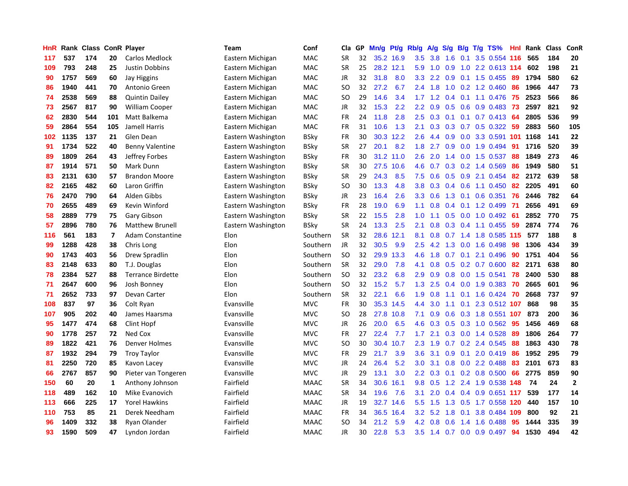| HnR | Rank | <b>Class ConR Player</b> |                |                          | Team               | Conf        | Cla       | GP | Mn/g | <b>Pt/g</b> | Rb/g             | A/g | S/g              |     | B/g T/g TS%             | Hnl | Rank | <b>Class</b> | ConR                    |
|-----|------|--------------------------|----------------|--------------------------|--------------------|-------------|-----------|----|------|-------------|------------------|-----|------------------|-----|-------------------------|-----|------|--------------|-------------------------|
| 117 | 537  | 174                      | 20             | <b>Carlos Medlock</b>    | Eastern Michigan   | MAC         | <b>SR</b> | 32 |      | 35.2 16.9   | 3.5              | 3.8 | 1.6              | 0.1 | 3.5 0.554 116           |     | 565  | 184          | 20                      |
| 109 | 793  | 248                      | 25             | Justin Dobbins           | Eastern Michigan   | <b>MAC</b>  | <b>SR</b> | 25 |      | 28.2 12.1   | 5.9              | 1.0 | 0.9              |     | 1.0 2.2 0.613 114       |     | 602  | 198          | 21                      |
| 90  | 1757 | 569                      | 60             | Jay Higgins              | Eastern Michigan   | <b>MAC</b>  | <b>JR</b> | 32 | 31.8 | 8.0         | 3.3              | 2.2 | 0.9 <sup>°</sup> |     | $0.1$ 1.5 0.455         | -89 | 1794 | 580          | 62                      |
| 86  | 1940 | 441                      | 70             | Antonio Green            | Eastern Michigan   | <b>MAC</b>  | SO        | 32 | 27.2 | 6.7         | $2.4^{\circ}$    | 1.8 | 1.0              |     | $0.2$ 1.2 0.460         | 86  | 1966 | 447          | 73                      |
| 74  | 2538 | 569                      | 88             | <b>Quintin Dailey</b>    | Eastern Michigan   | <b>MAC</b>  | <b>SO</b> | 29 | 14.6 | 3.4         | 1.7              | 1.2 | 0.4              |     | $0.1$ 1.1 0.476         | 75  | 2523 | 566          | 86                      |
| 73  | 2567 | 817                      | 90             | <b>William Cooper</b>    | Eastern Michigan   | <b>MAC</b>  | <b>JR</b> | 32 | 15.3 | 2.2         | 2.2              | 0.9 | 0.5              |     | $0.6$ 0.9 0.483         | 73  | 2597 | 821          | 92                      |
| 62  | 2830 | 544                      | 101            | Matt Balkema             | Eastern Michigan   | <b>MAC</b>  | <b>FR</b> | 24 | 11.8 | 2.8         | 2.5              | 0.3 |                  |     | $0.1$ 0.1 0.7 0.413     | -64 | 2805 | 536          | 99                      |
| 59  | 2864 | 554                      | 105            | Jamell Harris            | Eastern Michigan   | <b>MAC</b>  | <b>FR</b> | 31 | 10.6 | 1.3         | 2.1              | 0.3 | 0.3              |     | $0.7$ $0.5$ $0.322$     | -59 | 2883 | 560          | 105                     |
| 102 | 1135 | 137                      | 21             | Glen Dean                | Eastern Washington | <b>BSky</b> | <b>FR</b> | 30 | 30.3 | 12.2        | 2.6              | 4.4 | 0.9              |     | 0.0 3.3 0.591 101       |     | 1168 | 141          | 22                      |
| 91  | 1734 | 522                      | 40             | <b>Benny Valentine</b>   | Eastern Washington | <b>BSky</b> | <b>SR</b> | 27 | 20.1 | 8.2         | 1.8              | 2.7 | 0.9              |     | $0.0$ 1.9 0.494         | -91 | 1716 | 520          | 39                      |
| 89  | 1809 | 264                      | 43             | Jeffrey Forbes           | Eastern Washington | BSky        | FR        | 30 | 31.2 | 11.0        | 2.6              | 2.0 |                  |     | 1.4 0.0 1.5 0.537       | -88 | 1849 | 273          | 46                      |
| 87  | 1914 | 571                      | 50             | Mark Dunn                | Eastern Washington | <b>BSky</b> | <b>SR</b> | 30 | 27.5 | 10.6        | 4.6              | 0.7 |                  |     | $0.3$ 0.2 1.4 0.569     | 86  | 1949 | 580          | 51                      |
| 83  | 2131 | 630                      | 57             | <b>Brandon Moore</b>     | Eastern Washington | <b>BSky</b> | <b>SR</b> | 29 | 24.3 | 8.5         | 7.5              | 0.6 | 0.5              |     | 0.9 2.1 0.454           | 82  | 2172 | 639          | 58                      |
| 82  | 2165 | 482                      | 60             | Laron Griffin            | Eastern Washington | <b>BSky</b> | <b>SO</b> | 30 | 13.3 | 4.8         | 3.8              | 0.3 | 0.4              |     | $0.6$ 1.1 $0.450$       | 82  | 2205 | 491          | 60                      |
| 76  | 2470 | 790                      | 64             | Alden Gibbs              | Eastern Washington | <b>BSky</b> | JR        | 23 | 16.4 | 2.6         | 3.3              | 0.6 | 1.3              |     | $0.1$ 0.6 0.351         | 76  | 2446 | 782          | 64                      |
| 70  | 2655 | 489                      | 69             | Kevin Winford            | Eastern Washington | <b>BSky</b> | <b>FR</b> | 28 | 19.0 | 6.9         | 1.1              | 0.8 | 0.4              |     | $0.1$ 1.2 0.499         | 71  | 2656 | 491          | 69                      |
| 58  | 2889 | 779                      | 75             | Gary Gibson              | Eastern Washington | <b>BSky</b> | <b>SR</b> | 22 | 15.5 | 2.8         | 1.0              | 1.1 | 0.5              |     | $0.0$ 1.0 $0.492$       | -61 | 2852 | 770          | 75                      |
| 57  | 2896 | 780                      | 76             | <b>Matthew Brunell</b>   | Eastern Washington | <b>BSky</b> | <b>SR</b> | 24 | 13.3 | 2.5         | 2.1              | 0.8 | 0.3              |     | $0.4$ 1.1 0.455         | 59  | 2874 | 774          | 76                      |
| 116 | 561  | 183                      | $\overline{ }$ | Adam Constantine         | Elon               | Southern    | <b>SR</b> | 32 | 28.6 | 12.1        | 8.1              | 0.8 |                  |     | 0.7 1.4 1.8 0.585 115   |     | 577  | 188          | 8                       |
| 99  | 1288 | 428                      | 38             | Chris Long               | Elon               | Southern    | JR.       | 32 | 30.5 | 9.9         | 2.5              | 4.2 |                  |     | 1.3 0.0 1.6 0.498       | 98  | 1306 | 434          | 39                      |
| 90  | 1743 | 403                      | 56             | Drew Spradlin            | Elon               | Southern    | <b>SO</b> | 32 | 29.9 | 13.3        | 4.6              | 1.8 |                  |     | $0.7$ 0.1 2.1 0.496     | 90  | 1751 | 404          | 56                      |
| 83  | 2148 | 633                      | 80             | T.J. Douglas             | Elon               | Southern    | <b>SR</b> | 32 | 29.0 | 7.8         | 4.1              | 0.8 | 0.5              |     | $0.2$ 0.7 0.600         | 82  | 2171 | 638          | 80                      |
| 78  | 2384 | 527                      | 88             | <b>Terrance Birdette</b> | Elon               | Southern    | <b>SO</b> | 32 | 23.2 | 6.8         | 2.9              | 0.9 | 0.8              |     | 0.0 1.5 0.541           | 78  | 2400 | 530          | 88                      |
| 71  | 2647 | 600                      | 96             | Josh Bonney              | Elon               | Southern    | <b>SO</b> | 32 | 15.2 | 5.7         | 1.3              | 2.5 | 0.4              |     | $0.0$ 1.9 0.383         | 70  | 2665 | 601          | 96                      |
| 71  | 2652 | 733                      | 97             | Devan Carter             | Elon               | Southern    | <b>SR</b> | 32 | 22.1 | 6.6         | 1.9              | 0.8 | 1.1              |     | $0.1$ 1.6 0.424         | 70  | 2668 | 737          | 97                      |
| 108 | 837  | 97                       | 36             | Colt Ryan                | Evansville         | <b>MVC</b>  | <b>FR</b> | 30 | 35.3 | 14.5        | 4.4              | 3.0 | 1.1              |     | 0.1 2.3 0.512 107       |     | 868  | 98           | 35                      |
| 107 | 905  | 202                      | 40             | James Haarsma            | Evansville         | <b>MVC</b>  | <b>SO</b> | 28 | 27.8 | 10.8        | 7.1              | 0.9 |                  |     | 0.6 0.3 1.8 0.551 107   |     | 873  | 200          | 36                      |
| 95  | 1477 | 474                      | 68             | Clint Hopf               | Evansville         | <b>MVC</b>  | <b>JR</b> | 26 | 20.0 | 6.5         | 4.6              | 0.3 |                  |     | $0.5$ $0.3$ 1.0 $0.562$ | -95 | 1456 | 469          | 68                      |
| 90  | 1778 | 257                      | 72             | Ned Cox                  | Evansville         | <b>MVC</b>  | <b>FR</b> | 27 | 22.4 | 7.7         | 1.7 <sub>2</sub> | 2.1 |                  |     | $0.3$ 0.0 1.4 0.528     | -89 | 1806 | 264          | $77$                    |
| 89  | 1822 | 421                      | 76             | Denver Holmes            | Evansville         | <b>MVC</b>  | <b>SO</b> | 30 | 30.4 | 10.7        | 2.3              | 1.9 |                  |     | $0.7$ $0.2$ 2.4 $0.545$ | -88 | 1863 | 430          | 78                      |
| 87  | 1932 | 294                      | 79             | <b>Troy Taylor</b>       | Evansville         | <b>MVC</b>  | <b>FR</b> | 29 | 21.7 | 3.9         | 3.6              | 3.1 | 0.9              | 0.1 | 2.0 0.419               | 86  | 1952 | 295          | 79                      |
| 81  | 2250 | 720                      | 85             | Kavon Lacey              | Evansville         | <b>MVC</b>  | <b>JR</b> | 24 | 26.4 | 5.2         | 3.0 <sub>2</sub> | 3.1 | 0.8              |     | 0.0 2.2 0.488           | -83 | 2101 | 673          | 83                      |
| 66  | 2767 | 857                      | 90             | Pieter van Tongeren      | Evansville         | <b>MVC</b>  | <b>JR</b> | 29 | 13.1 | 3.0         | $2.2\phantom{0}$ | 0.3 | 0.1              |     | $0.2$ 0.8 0.500         | 66  | 2775 | 859          | 90                      |
| 150 | 60   | 20                       | 1              | Anthony Johnson          | Fairfield          | <b>MAAC</b> | <b>SR</b> | 34 | 30.6 | 16.1        | 9.8              | 0.5 | 1.2              |     | 2.4 1.9 0.538           | 148 | 74   | 24           | $\overline{\mathbf{2}}$ |
| 118 | 489  | 162                      | 10             | Mike Evanovich           | Fairfield          | <b>MAAC</b> | <b>SR</b> | 34 | 19.6 | 7.6         | 3.1              | 2.0 | $0.4^{\circ}$    |     | 0.4 0.9 0.651 117       |     | 539  | 177          | 14                      |
| 113 | 666  | 225                      | 17             | <b>Yorel Hawkins</b>     | Fairfield          | <b>MAAC</b> | <b>JR</b> | 19 | 32.7 | 14.6        | 5.5              | 1.5 | 1.3              |     | 0.5 1.7 0.558 120       |     | 440  | 157          | ${\bf 10}$              |
| 110 | 753  | 85                       | 21             | Derek Needham            | Fairfield          | <b>MAAC</b> | <b>FR</b> | 34 | 36.5 | 16.4        | 3.2 <sub>2</sub> | 5.2 | 1.8              | 0.1 | 3.8 0.484 109           |     | 800  | 92           | 21                      |
| 96  | 1409 | 332                      | 38             | Ryan Olander             | Fairfield          | MAAC        | SO        | 34 | 21.2 | 5.9         | 4.2              | 0.8 | 0.6 <sup>°</sup> |     | 1.4 1.6 0.488           | -95 | 1444 | 335          | 39                      |
| 93  | 1590 | 509                      | 47             | Lyndon Jordan            | Fairfield          | <b>MAAC</b> | <b>JR</b> | 30 | 22.8 | 5.3         | 3.5              | 1.4 |                  |     | 0.7 0.0 0.9 0.497       | 94  | 1530 | 494          | 42                      |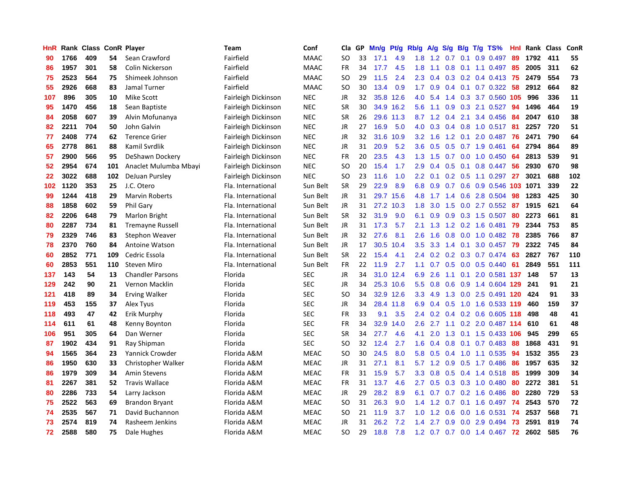| HnR |      | Rank Class ConR Player |     |                         | Team                | Conf        | Cla       | GP | Mn/g | <b>Pt/g</b> | Rb/g             | A/g         |               |     | $S/g$ B/g T/g TS%            | Hnl |      | Rank Class | <b>ConR</b> |
|-----|------|------------------------|-----|-------------------------|---------------------|-------------|-----------|----|------|-------------|------------------|-------------|---------------|-----|------------------------------|-----|------|------------|-------------|
| 90  | 1766 | 409                    | 54  | Sean Crawford           | Fairfield           | <b>MAAC</b> | <b>SO</b> | 33 | 17.1 | 4.9         | 1.8              | 1.2         | 0.7           | 0.1 | 0.9 0.497                    | 89  | 1792 | 411        | 55          |
| 86  | 1957 | 301                    | 58  | Colin Nickerson         | Fairfield           | <b>MAAC</b> | <b>FR</b> | 34 | 17.7 | 4.5         | 1.8              | 1.1         |               |     | $0.8$ 0.1 1.1 0.497          | -85 | 2005 | 311        | 62          |
| 75  | 2523 | 564                    | 75  | Shimeek Johnson         | Fairfield           | <b>MAAC</b> | <b>SO</b> | 29 | 11.5 | 2.4         | 2.3              | 0.4         |               |     | 0.3 0.2 0.4 0.413 75         |     | 2479 | 554        | 73          |
| 55  | 2926 | 668                    | 83  | Jamal Turner            | Fairfield           | <b>MAAC</b> | <b>SO</b> | 30 | 13.4 | 0.9         | 1.7 <sub>z</sub> | 0.9         |               |     | $0.4$ 0.1 0.7 0.322          | -58 | 2912 | 664        | 82          |
| 107 | 896  | 305                    | 10  | Mike Scott              | Fairleigh Dickinson | <b>NEC</b>  | <b>JR</b> | 32 | 35.8 | 12.6        | 4.0              | 5.4         |               |     | 1.4 0.3 3.7 0.560            | 105 | 996  | 336        | 11          |
| 95  | 1470 | 456                    | 18  | Sean Baptiste           | Fairleigh Dickinson | <b>NEC</b>  | <b>SR</b> | 30 |      | 34.9 16.2   | 5.6              | 1.1         | 0.9           |     | 0.3 2.1 0.527                | 94  | 1496 | 464        | 19          |
| 84  | 2058 | 607                    | 39  | Alvin Mofunanya         | Fairleigh Dickinson | <b>NEC</b>  | <b>SR</b> | 26 | 29.6 | 11.3        | 8.7              | 1.2         | 0.4           | 2.1 | 3.4 0.456                    | 84  | 2047 | 610        | 38          |
| 82  | 2211 | 704                    | 50  | John Galvin             | Fairleigh Dickinson | <b>NEC</b>  | JR        | 27 | 16.9 | 5.0         | 4.0              | 0.3         |               |     | $0.4$ 0.8 1.0 0.517          | -81 | 2257 | 720        | 51          |
| 77  | 2408 | 774                    | 62  | <b>Terence Grier</b>    | Fairleigh Dickinson | <b>NEC</b>  | JR        | 32 | 31.6 | 10.9        | 3.2              | 1.6         | 1.2           | 0.1 | 2.0 0.487                    | 76  | 2471 | 790        | 64          |
| 65  | 2778 | 861                    | 88  | Kamil Svrdlik           | Fairleigh Dickinson | <b>NEC</b>  | JR        | 31 | 20.9 | 5.2         | 3.6              | 0.5         |               |     | 0.5 0.7 1.9 0.461            | 64  | 2794 | 864        | 89          |
| 57  | 2900 | 566                    | 95  | DeShawn Dockery         | Fairleigh Dickinson | <b>NEC</b>  | <b>FR</b> | 20 | 23.5 | 4.3         |                  | $1.3 \t1.5$ |               |     | 0.7 0.0 1.0 0.450 64         |     | 2813 | 539        | 91          |
| 52  | 2954 | 674                    | 101 | Anaclet Mulumba Mbayi   | Fairleigh Dickinson | <b>NEC</b>  | <b>SO</b> | 20 | 15.4 | 1.7         | 2.9              | 0.4         |               |     | 0.5 0.1 0.8 0.447 56         |     | 2930 | 670        | 98          |
| 22  | 3022 | 688                    | 102 | DeJuan Pursley          | Fairleigh Dickinson | <b>NEC</b>  | <b>SO</b> | 23 | 11.6 | 1.0         | $2.2^{\circ}$    | 0.1         |               |     | $0.2$ 0.5 1.1 0.297          | 27  | 3021 | 688        | 102         |
| 102 | 1120 | 353                    | 25  | J.C. Otero              | Fla. International  | Sun Belt    | SR        | 29 | 22.9 | 8.9         | 6.8              | 0.9         | 0.7           |     | 0.6 0.9 0.546 103 1071       |     |      | 339        | 22          |
| 99  | 1244 | 418                    | 29  | <b>Marvin Roberts</b>   | Fla. International  | Sun Belt    | JR        | 31 | 29.7 | 15.6        | 4.8              | 1.7         | $1.4^{\circ}$ |     | 0.6 2.8 0.504                | 98  | 1283 | 425        | 30          |
| 88  | 1858 | 602                    | 59  | <b>Phil Gary</b>        | Fla. International  | Sun Belt    | JR        | 31 | 27.2 | 10.3        | 1.8              | 3.0         | 1.5           |     | $0.0$ 2.7 $0.552$            | -87 | 1915 | 621        | 64          |
| 82  | 2206 | 648                    | 79  | Marlon Bright           | Fla. International  | Sun Belt    | <b>SR</b> | 32 | 31.9 | 9.0         | 6.1              | 0.9         | 0.9           |     | 0.3 1.5 0.507                | 80  | 2273 | 661        | 81          |
| 80  | 2287 | 734                    | 81  | <b>Tremayne Russell</b> | Fla. International  | Sun Belt    | JR        | 31 | 17.3 | 5.7         | 2.1              | 1.3         |               |     | 1.2 0.2 1.6 0.481            | 79  | 2344 | 753        | 85          |
| 79  | 2329 | 746                    | 83  | <b>Stephon Weaver</b>   | Fla. International  | Sun Belt    | <b>JR</b> | 32 | 27.6 | 8.1         | 2.6              | 1.6         |               |     | 0.8 0.0 1.0 0.482 78         |     | 2385 | 766        | 87          |
| 78  | 2370 | 760                    | 84  | <b>Antoine Watson</b>   | Fla. International  | Sun Belt    | JR        | 17 | 30.5 | 10.4        | 3.5              | 3.3         |               |     | 1.4 0.1 3.0 0.457 79         |     | 2322 | 745        | 84          |
| 60  | 2852 | 771                    | 109 | Cedric Essola           | Fla. International  | Sun Belt    | <b>SR</b> | 22 | 15.4 | 4.1         | $2.4^{\circ}$    | 0.2         |               |     | 0.2 0.3 0.7 0.474            | -63 | 2827 | 767        | 110         |
| 60  | 2853 | 551                    | 110 | <b>Steven Miro</b>      | Fla. International  | Sun Belt    | <b>FR</b> | 22 | 11.9 | 2.7         | 1.1              | 0.7         | 0.5           |     | $0.0$ 0.5 0.440              | 61  | 2849 | 551        | 111         |
| 137 | 143  | 54                     | 13  | <b>Chandler Parsons</b> | Florida             | <b>SEC</b>  | JR        | 34 |      | 31.0 12.4   | 6.9              | 2.6         | 1.1           |     | 0.1 2.0 0.581 137            |     | 148  | 57         | 13          |
| 129 | 242  | 90                     | 21  | Vernon Macklin          | Florida             | <b>SEC</b>  | <b>JR</b> | 34 |      | 25.3 10.6   | 5.5              | 0.8         | 0.6           |     | 0.9 1.4 0.604 129            |     | 241  | 91         | 21          |
| 121 | 418  | 89                     | 34  | <b>Erving Walker</b>    | Florida             | <b>SEC</b>  | <b>SO</b> | 34 |      | 32.9 12.6   | 3.3              | 4.9         | 1.3           |     | 0.0 2.5 0.491 120            |     | 424  | 91         | 33          |
| 119 | 453  | 155                    | 37  | Alex Tyus               | Florida             | <b>SEC</b>  | JR        | 34 | 28.4 | 11.8        | 6.9              | 0.4         | 0.5           |     | 1.0 1.6 0.533 119            |     | 460  | 159        | 37          |
| 118 | 493  | 47                     | 42  | Erik Murphy             | Florida             | <b>SEC</b>  | <b>FR</b> | 33 | 9.1  | 3.5         | 2.4              |             |               |     | 0.2 0.4 0.2 0.6 0.605 118    |     | 498  | 48         | 41          |
| 114 | 611  | 61                     | 48  | Kenny Boynton           | Florida             | <b>SEC</b>  | <b>FR</b> | 34 | 32.9 | 14.0        | 2.6              | 2.7         |               |     | 1.1 0.2 2.0 0.487 114        |     | 610  | 61         | 48          |
| 106 | 951  | 305                    | 64  | Dan Werner              | Florida             | <b>SEC</b>  | <b>SR</b> | 34 | 27.7 | 4.6         | 4.1              | 2.0         |               |     | 1.3 0.1 1.5 0.433 106        |     | 945  | 299        | 65          |
| 87  | 1902 | 434                    | 91  | Ray Shipman             | Florida             | <b>SEC</b>  | <b>SO</b> | 32 | 12.4 | 2.7         | 1.6              | 0.4         | 0.8           |     | $0.1$ 0.7 0.483              | 88  | 1868 | 431        | 91          |
| 94  | 1565 | 364                    | 23  | Yannick Crowder         | Florida A&M         | <b>MEAC</b> | <b>SO</b> | 30 | 24.5 | 8.0         | 5.8              | 0.5         | 0.4           |     | 1.0 1.1 0.535                | 94  | 1532 | 355        | 23          |
| 86  | 1950 | 630                    | 33  | Christopher Walker      | Florida A&M         | <b>MEAC</b> | JR        | 31 | 27.1 | 8.1         | 5.7              | 1.2         | 0.9           |     | $0.5$ 1.7 0.486              | 86  | 1957 | 635        | 32          |
| 86  | 1979 | 309                    | 34  | Amin Stevens            | Florida A&M         | <b>MEAC</b> | FR        | 31 | 15.9 | 5.7         | 3.3              | 0.8         | 0.5           |     | $0.4$ 1.4 0.518              | 85  | 1999 | 309        | 34          |
| 81  | 2267 | 381                    | 52  | <b>Travis Wallace</b>   | Florida A&M         | <b>MEAC</b> | <b>FR</b> | 31 | 13.7 | 4.6         | $2.7^{\circ}$    | 0.5         |               |     | 0.3 0.3 1.0 0.480            | 80  | 2272 | 381        | 51          |
| 80  | 2286 | 733                    | 54  | Larry Jackson           | Florida A&M         | <b>MEAC</b> | JR        | 29 | 28.2 | 8.9         | 6.1              | 0.7         |               |     | 0.7 0.2 1.6 0.486            | -80 | 2280 | 729        | 53          |
| 75  | 2522 | 563                    | 69  | <b>Brandon Bryant</b>   | Florida A&M         | <b>MEAC</b> | <b>SO</b> | 31 | 26.3 | 9.0         | $1.4^{\circ}$    | 1.2         |               |     | 0.7 0.1 1.6 0.497 74         |     | 2543 | 570        | 72          |
| 74  | 2535 | 567                    | 71  | David Buchannon         | Florida A&M         | <b>MEAC</b> | SO        | 21 | 11.9 | 3.7         | 1.0              | 1.2         | 0.6           |     | 0.0 1.6 0.531                | -74 | 2537 | 568        | 71          |
| 73  | 2574 | 819                    | 74  | Rasheem Jenkins         | Florida A&M         | <b>MEAC</b> | <b>JR</b> | 31 | 26.2 | 7.2         | 1.4              | 2.7         | 0.9           | 0.0 | 2.9 0.494                    | 73  | 2591 | 819        | 74          |
| 72  | 2588 | 580                    | 75  | Dale Hughes             | Florida A&M         | <b>MEAC</b> | SO.       | 29 | 18.8 | 7.8         |                  |             |               |     | 1.2 0.7 0.7 0.0 1.4 0.467 72 |     | 2602 | 585        | 76          |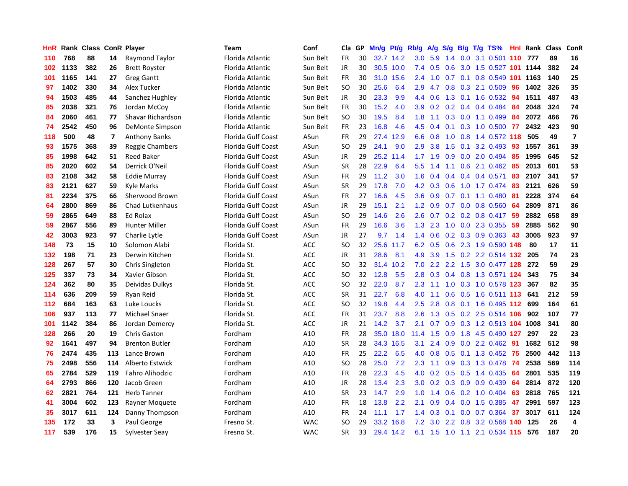| HnR |      | Rank Class ConR Player |     |                       | <b>Team</b>        | Conf       | Cla       | GP | Mn/g | <b>Pt/g</b> | Rb/g             | A/g | S/g |  | $B/g$ T/g TS%                  | Hnl | Rank | <b>Class</b> | ConR                    |
|-----|------|------------------------|-----|-----------------------|--------------------|------------|-----------|----|------|-------------|------------------|-----|-----|--|--------------------------------|-----|------|--------------|-------------------------|
| 110 | 768  | 88                     | 14  | Raymond Taylor        | Florida Atlantic   | Sun Belt   | FR        | 30 | 32.7 | 14.2        | 3.0              | 5.9 | 1.4 |  | $0.0$ 3.1 0.501 110            |     | 777  | 89           | 16                      |
| 102 | 1133 | 382                    | 26  | <b>Brett Royster</b>  | Florida Atlantic   | Sun Belt   | <b>JR</b> | 30 |      | 30.5 10.0   | 7.4              | 0.5 |     |  | 0.6 3.0 1.5 0.527 101 1144     |     |      | 382          | 24                      |
| 101 | 1165 | 141                    | 27  | <b>Greg Gantt</b>     | Florida Atlantic   | Sun Belt   | FR        | 30 | 31.0 | 15.6        | $2.4^{\circ}$    |     |     |  | 1.0 0.7 0.1 0.8 0.549 101 1163 |     |      | 140          | 25                      |
| 97  | 1402 | 330                    | 34  | Alex Tucker           | Florida Atlantic   | Sun Belt   | <b>SO</b> | 30 | 25.6 | 6.4         | 2.9              | 4.7 |     |  | 0.8 0.3 2.1 0.509              | 96  | 1402 | 326          | 35                      |
| 94  | 1503 | 485                    | 44  | Sanchez Hughley       | Florida Atlantic   | Sun Belt   | JR        | 30 | 23.3 | 9.9         | 4.4              | 0.6 | 1.3 |  | 0.1 1.6 0.532                  | -94 | 1511 | 487          | 43                      |
| 85  | 2038 | 321                    | 76  | Jordan McCoy          | Florida Atlantic   | Sun Belt   | FR        | 30 | 15.2 | 4.0         | 3.9              | 0.2 |     |  | $0.2$ 0.4 0.4 0.484            | -84 | 2048 | 324          | 74                      |
| 84  | 2060 | 461                    | 77  | Shavar Richardson     | Florida Atlantic   | Sun Belt   | <b>SO</b> | 30 | 19.5 | 8.4         | 1.8              | 1.1 |     |  | 0.3 0.0 1.1 0.499              | 84  | 2072 | 466          | 76                      |
| 74  | 2542 | 450                    | 96  | DeMonte Simpson       | Florida Atlantic   | Sun Belt   | FR        | 23 | 16.8 | 4.6         | 4.5              | 0.4 |     |  | $0.1$ $0.3$ $1.0$ $0.500$      | 77  | 2432 | 423          | 90                      |
| 118 | 500  | 48                     | 7   | <b>Anthony Banks</b>  | Florida Gulf Coast | ASun       | FR        | 29 | 27.4 | 12.9        | 6.6              | 0.8 | 1.0 |  | 0.8 1.4 0.572 118              |     | 505  | 49           | $\overline{\mathbf{z}}$ |
| 93  | 1575 | 368                    | 39  | Reggie Chambers       | Florida Gulf Coast | ASun       | <b>SO</b> | 29 | 24.1 | 9.0         | 2.9              | 3.8 |     |  | 1.5 0.1 3.2 0.493 93           |     | 1557 | 361          | 39                      |
| 85  | 1998 | 642                    | 51  | <b>Reed Baker</b>     | Florida Gulf Coast | ASun       | JR        | 29 | 25.2 | 11.4        |                  |     |     |  | 1.7 1.9 0.9 0.0 2.0 0.494 85   |     | 1995 | 645          | 52                      |
| 85  | 2020 | 602                    | 54  | Derrick O'Neil        | Florida Gulf Coast | ASun       | <b>SR</b> | 28 | 22.9 | 6.4         | 5.5 <sub>1</sub> | 1.4 |     |  | 1.1 0.6 2.1 0.462 85           |     | 2013 | 601          | 53                      |
| 83  | 2108 | 342                    | 58  | <b>Eddie Murray</b>   | Florida Gulf Coast | ASun       | FR        | 29 | 11.2 | 3.0         | 1.6              | 0.4 | 0.4 |  | $0.4$ 0.4 0.571                | 83  | 2107 | 341          | 57                      |
| 83  | 2121 | 627                    | 59  | Kyle Marks            | Florida Gulf Coast | ASun       | <b>SR</b> | 29 | 17.8 | 7.0         | 4.2              | 0.3 | 0.6 |  | 1.0 1.7 0.474 83               |     | 2121 | 626          | 59                      |
| 81  | 2234 | 375                    | 66  | Sherwood Brown        | Florida Gulf Coast | ASun       | FR        | 27 | 16.6 | 4.5         | 3.6              | 0.9 | 0.7 |  | $0.1$ 1.1 0.480                | -81 | 2228 | 374          | 64                      |
| 64  | 2800 | 869                    | 86  | Chad Lutkenhaus       | Florida Gulf Coast | ASun       | JR        | 29 | 15.1 | 2.1         | 1.2              | 0.9 |     |  | $0.7$ 0.0 0.8 0.560            | -64 | 2809 | 871          | 86                      |
| 59  | 2865 | 649                    | 88  | Ed Rolax              | Florida Gulf Coast | ASun       | <b>SO</b> | 29 | 14.6 | 2.6         | 2.6              | 0.7 |     |  | 0.2 0.2 0.8 0.417 59           |     | 2882 | 658          | 89                      |
| 59  | 2867 | 556                    | 89  | <b>Hunter Miller</b>  | Florida Gulf Coast | ASun       | FR        | 29 | 16.6 | 3.6         | 1.3              | 2.3 |     |  | 1.0 0.0 2.3 0.355 59           |     | 2885 | 562          | 90                      |
| 42  | 3003 | 923                    | 97  | Charlie Lytle         | Florida Gulf Coast | ASun       | <b>JR</b> | 27 | 9.7  | 1.4         | $1.4^{\circ}$    |     |     |  | 0.6 0.2 0.3 0.9 0.363 43       |     | 3005 | 923          | 97                      |
| 148 | 73   | 15                     | 10  | Solomon Alabi         | Florida St.        | ACC        | <b>SO</b> | 32 |      | 25.6 11.7   | 6.2              | 0.5 |     |  | 0.6 2.3 1.9 0.590 148          |     | 80   | 17           | 11                      |
| 132 | 198  | 71                     | 23  | Derwin Kitchen        | Florida St.        | ACC        | <b>JR</b> | 31 | 28.6 | 8.1         | 4.9              | 3.9 |     |  | 1.5 0.2 2.2 0.514 132          |     | 205  | 74           | 23                      |
| 128 | 267  | 57                     | 30  | Chris Singleton       | Florida St.        | ACC        | <b>SO</b> | 32 | 31.4 | 10.2        | 7.0              | 2.2 |     |  | 2.2 1.5 3.0 0.477 128          |     | 272  | 59           | 29                      |
| 125 | 337  | 73                     | 34  | Xavier Gibson         | Florida St.        | ACC        | SO        | 32 | 12.8 | 5.5         | 2.8              | 0.3 |     |  | 0.4 0.8 1.3 0.571 124          |     | 343  | 75           | 34                      |
| 124 | 362  | 80                     | 35  | Deividas Dulkys       | Florida St.        | ACC        | <b>SO</b> | 32 | 22.0 | 8.7         | 2.3              | 1.1 | 1.0 |  | 0.3 1.0 0.578 123              |     | 367  | 82           | 35                      |
| 114 | 636  | 209                    | 59  | Ryan Reid             | Florida St.        | ACC        | <b>SR</b> | 31 | 22.7 | 6.8         | 4.0              | 1.1 | 0.6 |  | 0.5 1.6 0.511 113              |     | 641  | 212          | 59                      |
| 112 | 684  | 163                    | 63  | Luke Loucks           | Florida St.        | ACC        | <b>SO</b> | 32 | 19.8 | 4.4         | 2.5              | 2.8 |     |  | 0.8 0.1 1.6 0.495 112          |     | 699  | 164          | 61                      |
| 106 | 937  | 113                    | 77  | Michael Snaer         | Florida St.        | ACC        | FR        | 31 | 23.7 | 8.8         | 2.6              |     |     |  | 1.3 0.5 0.2 2.5 0.514 106 902  |     |      | 107          | 77                      |
| 101 | 1142 | 384                    | 86  | Jordan Demercy        | Florida St.        | ACC        | JR        | 21 | 14.2 | 3.7         | 2.1              | 0.7 |     |  | 0.9 0.3 1.2 0.513 104 1008     |     |      | 341          | 80                      |
| 128 | 266  | 20                     | 19  | <b>Chris Gaston</b>   | Fordham            | A10        | FR        | 28 | 35.0 | 18.0        | 11.4             | 1.5 |     |  | 0.9 1.8 4.5 0.490 127          |     | 297  | 22           | 23                      |
| 92  | 1641 | 497                    | 94  | <b>Brenton Butler</b> | Fordham            | A10        | <b>SR</b> | 28 | 34.3 | 16.5        | 3.1              | 2.4 | 0.9 |  | $0.0$ 2.2 0.462                | -91 | 1682 | 512          | 98                      |
| 76  | 2474 | 435                    | 113 | Lance Brown           | Fordham            | A10        | FR        | 25 | 22.2 | 6.5         | 4.0              | 0.8 | 0.5 |  | $0.1$ 1.3 0.452                | 75  | 2500 | 442          | 113                     |
| 75  | 2498 | 556                    | 114 | Alberto Estwick       | Fordham            | A10        | <b>SO</b> | 28 | 25.0 | 7.2         | 2.3              | 1.1 | 0.9 |  | 0.3 1.3 0.478                  | 74  | 2538 | 569          | 114                     |
| 65  | 2784 | 529                    | 119 | Fahro Alihodzic       | Fordham            | A10        | FR        | 28 | 22.3 | 4.5         | 4.0              | 0.2 | 0.5 |  | $0.5$ 1.4 0.435                | -64 | 2801 | 535          | 119                     |
| 64  | 2793 | 866                    | 120 | Jacob Green           | Fordham            | A10        | <b>JR</b> | 28 | 13.4 | 2.3         | 3.0              | 0.2 | 0.3 |  | $0.9$ 0.9 0.439                | 64  | 2814 | 872          | 120                     |
| 62  | 2821 | 764                    | 121 | <b>Herb Tanner</b>    | Fordham            | A10        | <b>SR</b> | 23 | 14.7 | 2.9         | 1.0              | 1.4 |     |  | 0.6 0.2 1.0 0.404 63           |     | 2818 | 765          | 121                     |
| 41  | 3004 | 602                    | 123 | Rayner Moquete        | Fordham            | A10        | <b>FR</b> | 18 | 13.8 | 2.2         | 2.1              | 0.9 |     |  | 0.4 0.0 1.5 0.385              | 47  | 2991 | 597          | 123                     |
| 35  | 3017 | 611                    | 124 | Danny Thompson        | Fordham            | A10        | FR        | 24 | 11.1 | 1.7         | 1.4              | 0.3 |     |  | $0.1$ 0.0 0.7 0.364            | 37  | 3017 | 611          | 124                     |
| 135 | 172  | 33                     | 3   | Paul George           | Fresno St.         | <b>WAC</b> | SO        | 29 | 33.2 | 16.8        | 7.2              | 3.0 |     |  | 2.2 0.8 3.2 0.568 140          |     | 125  | 26           | $\overline{4}$          |
| 117 | 539  | 176                    | 15  | Sylvester Seay        | Fresno St.         | <b>WAC</b> | <b>SR</b> | 33 |      | 29.4 14.2   | 6.1              |     |     |  | 1.5 1.0 1.1 2.1 0.534 115      |     | 576  | 187          | 20                      |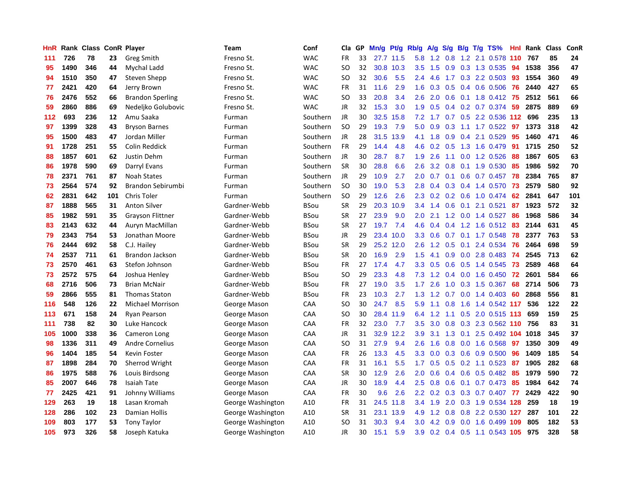| HnR |      | Rank Class ConR Player |     |                         | Team              | Conf        | Cla       | <b>GP</b> | Mn/g | <b>Pt/g</b> | Rb/g             | A/g | S/g              |     | $B/g$ T/g TS%              | Hnl | Rank | <b>Class</b> | <b>ConR</b> |
|-----|------|------------------------|-----|-------------------------|-------------------|-------------|-----------|-----------|------|-------------|------------------|-----|------------------|-----|----------------------------|-----|------|--------------|-------------|
| 111 | 726  | 78                     | 23  | Greg Smith              | Fresno St.        | <b>WAC</b>  | <b>FR</b> | 33        | 27.7 | 11.5        | 5.8              | 1.2 | 0.8              |     | 1.2 2.1 0.578              | 110 | 767  | 85           | 24          |
| 95  | 1490 | 346                    | 44  | Mychal Ladd             | Fresno St.        | <b>WAC</b>  | SO        | 32        |      | 30.8 10.3   | 3.5              | 1.5 |                  |     | 0.9 0.3 1.3 0.535          | -94 | 1538 | 356          | 47          |
| 94  | 1510 | 350                    | 47  | Steven Shepp            | Fresno St.        | <b>WAC</b>  | SO.       | 32        | 30.6 | 5.5         | $2.4^{\circ}$    | 4.6 |                  |     | 1.7 0.3 2.2 0.503          | -93 | 1554 | 360          | 49          |
| 77  | 2421 | 420                    | 64  | Jerry Brown             | Fresno St.        | <b>WAC</b>  | <b>FR</b> | 31        | 11.6 | 2.9         | 1.6              | 0.3 |                  |     | $0.5$ 0.4 0.6 0.506        | -76 | 2440 | 427          | 65          |
| 76  | 2476 | 552                    | 66  | <b>Brandon Sperling</b> | Fresno St.        | <b>WAC</b>  | <b>SO</b> | 33        | 20.8 | 3.4         | 2.6              | 2.0 | 0.6              |     | 0.1 1.8 0.412 75           |     | 2512 | 561          | 66          |
| 59  | 2860 | 886                    | 69  | Nedeljko Golubovic      | Fresno St.        | <b>WAC</b>  | JR        | 32        | 15.3 | 3.0         | 1.9              | 0.5 |                  |     | $0.4$ 0.2 0.7 0.374        | -59 | 2875 | 889          | 69          |
| 112 | 693  | 236                    | 12  | Amu Saaka               | Furman            | Southern    | JR        | 30        | 32.5 | 15.8        | 7.2              | 1.7 |                  |     | 0.7 0.5 2.2 0.536          | 112 | 696  | 235          | 13          |
| 97  | 1399 | 328                    | 43  | <b>Bryson Barnes</b>    | Furman            | Southern    | <b>SO</b> | 29        | 19.3 | 7.9         | 5.0              | 0.9 | 0.3              |     | $1.1$ 1.7 0.522            | 97  | 1373 | 318          | 42          |
| 95  | 1500 | 483                    | 47  | Jordan Miller           | Furman            | Southern    | <b>JR</b> | 28        | 31.5 | 13.9        | 4.1              | 1.8 | 0.9              |     | 0.4 2.1 0.529              | 95  | 1460 | 471          | 46          |
| 91  | 1728 | 251                    | 55  | Colin Reddick           | Furman            | Southern    | <b>FR</b> | 29        | 14.4 | 4.8         | 4.6              | 0.2 | 0.5              |     | 1.3 1.6 0.479              | -91 | 1715 | 250          | 52          |
| 88  | 1857 | 601                    | 62  | Justin Dehm             | Furman            | Southern    | <b>JR</b> | 30        | 28.7 | 8.7         | 1.9              | 2.6 |                  |     | 1.1 0.0 1.2 0.526          | -88 | 1867 | 605          | 63          |
| 86  | 1978 | 590                    | 69  | Darryl Evans            | Furman            | Southern    | <b>SR</b> | 30        | 28.8 | 6.6         | 2.6              | 3.2 | 0.8              |     | $0.1$ 1.9 0.530            | -85 | 1986 | 592          | 70          |
| 78  | 2371 | 761                    | 87  | <b>Noah States</b>      | Furman            | Southern    | <b>JR</b> | 29        | 10.9 | 2.7         | 2.0 <sub>2</sub> | 0.7 |                  |     | $0.1$ 0.6 0.7 0.457        | 78  | 2384 | 765          | 87          |
| 73  | 2564 | 574                    | 92  | Brandon Sebirumbi       | Furman            | Southern    | <b>SO</b> | 30        | 19.0 | 5.3         | 2.8              | 0.4 | 0.3              |     | 0.4 1.4 0.570              | 73  | 2579 | 580          | 92          |
| 62  | 2831 | 642                    | 101 | Chris Toler             | Furman            | Southern    | <b>SO</b> | 29        | 12.6 | 2.6         | 2.3              | 0.2 | 0.2              |     | 0.6 1.0 0.474              | 62  | 2841 | 647          | 101         |
| 87  | 1888 | 565                    | 31  | <b>Anton Silver</b>     | Gardner-Webb      | <b>BSou</b> | <b>SR</b> | 29        | 20.3 | 10.9        | $3.4^{\circ}$    | 1.4 | 0.6              | 0.1 | 2.1 0.521                  | 87  | 1923 | 572          | 32          |
| 85  | 1982 | 591                    | 35  | <b>Grayson Flittner</b> | Gardner-Webb      | <b>BSou</b> | <b>SR</b> | 27        | 23.9 | 9.0         | 2.0 <sub>2</sub> | 2.1 | 1.2              |     | $0.0$ 1.4 $0.527$          | 86  | 1968 | 586          | 34          |
| 83  | 2143 | 632                    | 44  | Auryn MacMillan         | Gardner-Webb      | <b>BSou</b> | <b>SR</b> | 27        | 19.7 | 7.4         | 4.6              | 0.4 | 0.4              |     | $1.2$ 1.6 0.512            | -83 | 2144 | 631          | 45          |
| 79  | 2343 | 754                    | 53  | Jonathan Moore          | Gardner-Webb      | <b>BSou</b> | JR        | 29        | 23.4 | 10.0        | 3.3 <sub>2</sub> | 0.6 |                  |     | $0.7$ 0.1 1.7 0.548        | 78  | 2377 | 763          | 53          |
| 76  | 2444 | 692                    | 58  | C.J. Hailey             | Gardner-Webb      | <b>BSou</b> | <b>SR</b> | 29        | 25.2 | 12.0        | 2.6              | 1.2 |                  |     | $0.5$ 0.1 2.4 0.534        | -76 | 2464 | 698          | 59          |
| 74  | 2537 | 711                    | 61  | Brandon Jackson         | Gardner-Webb      | BSou        | <b>SR</b> | 20        | 16.9 | 2.9         | 1.5              | 4.1 | 0.9 <sup>°</sup> |     | $0.0$ 2.8 0.483            | 74  | 2545 | 713          | 62          |
| 73  | 2570 | 461                    | 63  | Stefon Johnson          | Gardner-Webb      | <b>BSou</b> | <b>FR</b> | 27        | 17.4 | 4.7         | 3.3 <sub>2</sub> | 0.5 | 0.6              |     | 0.5 1.4 0.545              | 73  | 2589 | 468          | 64          |
| 73  | 2572 | 575                    | 64  | Joshua Henley           | Gardner-Webb      | BSou        | SO        | 29        | 23.3 | 4.8         | 7.3              | 1.2 |                  |     | $0.4$ 0.0 1.6 0.450        | 72  | 2601 | 584          | 66          |
| 68  | 2716 | 506                    | 73  | <b>Brian McNair</b>     | Gardner-Webb      | <b>BSou</b> | <b>FR</b> | 27        | 19.0 | 3.5         | 1.7              | 2.6 | 1.0              |     | $0.3$ 1.5 0.367            | 68  | 2714 | 506          | 73          |
| 59  | 2866 | 555                    | 81  | <b>Thomas Staton</b>    | Gardner-Webb      | BSou        | <b>FR</b> | 23        | 10.3 | 2.7         | 1.3              | 1.2 | 0.7              |     | $0.0$ 1.4 0.403            | 60  | 2868 | 556          | 81          |
| 116 | 548  | 126                    | 22  | <b>Michael Morrison</b> | George Mason      | CAA         | <b>SO</b> | 30        | 24.7 | 8.5         | 5.9              | 1.1 | 0.8              |     | 1.6 1.4 0.542 117          |     | 536  | 122          | 22          |
| 113 | 671  | 158                    | 24  | Ryan Pearson            | George Mason      | CAA         | SO        | 30        | 28.4 | 11.9        | 6.4              |     |                  |     | 1.2 1.1 0.5 2.0 0.515 113  |     | 659  | 159          | 25          |
| 111 | 738  | 82                     | 30  | Luke Hancock            | George Mason      | CAA         | <b>FR</b> | 32        | 23.0 | 7.7         | 3.5              | 3.0 |                  |     | 0.8 0.3 2.3 0.562 110 756  |     |      | 83           | 31          |
| 105 | 1000 | 338                    | 36  | Cameron Long            | George Mason      | CAA         | <b>JR</b> | 31        | 32.9 | 12.2        | 3.9              | 3.1 |                  |     | 1.3 0.1 2.5 0.492 104 1018 |     |      | 345          | 37          |
| 98  | 1336 | 311                    | 49  | <b>Andre Cornelius</b>  | George Mason      | CAA         | <b>SO</b> | 31        | 27.9 | 9.4         | 2.6              | 1.6 | 0.8 <sub>0</sub> |     | $0.0$ 1.6 $0.568$          | 97  | 1350 | 309          | 49          |
| 96  | 1404 | 185                    | 54  | Kevin Foster            | George Mason      | CAA         | <b>FR</b> | 26        | 13.3 | 4.5         | 3.3 <sub>2</sub> | 0.0 | 0.3              |     | $0.6$ 0.9 0.500            | 96  | 1409 | 185          | 54          |
| 87  | 1898 | 284                    | 70  | Sherrod Wright          | George Mason      | CAA         | <b>FR</b> | 31        | 16.1 | 5.5         | 1.7              | 0.5 | 0.5              |     | $0.2$ 1.1 0.523            | 87  | 1905 | 282          | 68          |
| 86  | 1975 | 588                    | 76  | Louis Birdsong          | George Mason      | CAA         | <b>SR</b> | 30        | 12.9 | 2.6         | 2.0              | 0.6 | $0.4^{\circ}$    |     | $0.6$ 0.5 0.482            | 85  | 1979 | 590          | 72          |
| 85  | 2007 | 646                    | 78  | <b>Isaiah Tate</b>      | George Mason      | CAA         | <b>JR</b> | 30        | 18.9 | 4.4         | $2.5^{\circ}$    | 0.8 | 0.6              | 0.1 | 0.7 0.473                  | 85  | 1984 | 642          | 74          |
| 77  | 2425 | 421                    | 91  | Johnny Williams         | George Mason      | CAA         | <b>FR</b> | 30        | 9.6  | 2.6         | $2.2^{\circ}$    | 0.2 | 0.3              |     | 0.3 0.7 0.407 77           |     | 2429 | 422          | 90          |
| 129 | 263  | 19                     | 18  | Lasan Kromah            | George Washington | A10         | <b>FR</b> | 31        | 24.5 | 11.8        | $3.4^{\circ}$    | 1.9 |                  |     | 2.0 0.3 1.9 0.534 128      |     | 259  | 18           | 19          |
| 128 | 286  | 102                    | 23  | Damian Hollis           | George Washington | A10         | <b>SR</b> | 31        | 23.1 | 13.9        | 4.9              | 1.2 | 0.8              |     | 0.8 2.2 0.530 127          |     | 287  | 101          | 22          |
| 109 | 803  | 177                    | 53  | <b>Tony Taylor</b>      | George Washington | A10         | <b>SO</b> | 31        | 30.3 | 9.4         | 3.0              | 4.2 | 0.9              |     | 0.0 1.6 0.499              | 109 | 805  | 182          | 53          |
| 105 | 973  | 326                    | 58  | Joseph Katuka           | George Washington | A10         | <b>JR</b> | 30        | 15.1 | 5.9         | 3.9              | 0.2 |                  |     | 0.4 0.5 1.1 0.543 105      |     | 975  | 328          | 58          |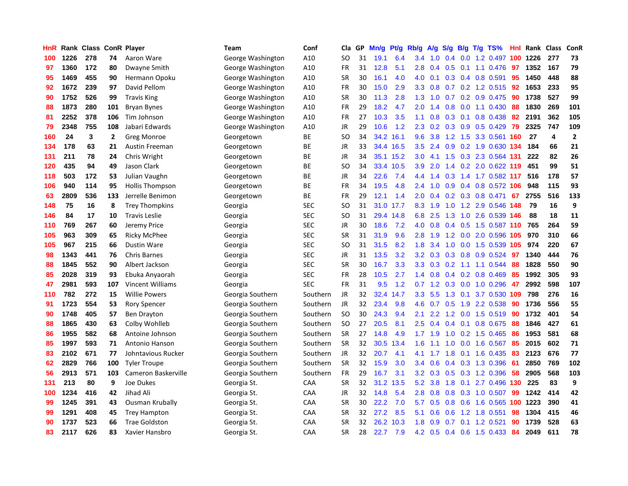| HnR |      | Rank Class ConR Player |              |                        | Team              | Conf       | Cla       | GP | Mn/g | Pt/g      | Rb/g             | A/g | S/g              |     | $B/g$ T/g TS%              | Hnl | Rank | Class | ConR           |
|-----|------|------------------------|--------------|------------------------|-------------------|------------|-----------|----|------|-----------|------------------|-----|------------------|-----|----------------------------|-----|------|-------|----------------|
| 100 | 1226 | 278                    | 74           | Aaron Ware             | George Washington | A10        | SO        | 31 | 19.1 | 6.4       | 3.4              | 1.0 | 0.4              |     | $0.0$ 1.2 0.497 100        |     | 1226 | 277   | 73             |
| 97  | 1360 | 172                    | 80           | Dwayne Smith           | George Washington | A10        | <b>FR</b> | 31 | 12.8 | 5.1       | 2.8              | 0.4 |                  |     | 0.5 0.1 1.1 0.476 97       |     | 1352 | 167   | 79             |
| 95  | 1469 | 455                    | 90           | Hermann Opoku          | George Washington | A10        | <b>SR</b> | 30 | 16.1 | 4.0       | 4.0              | 0.1 |                  |     | $0.3$ 0.4 0.8 0.591        | 95  | 1450 | 448   | 88             |
| 92  | 1672 | 239                    | 97           | David Pellom           | George Washington | A10        | FR        | 30 | 15.0 | 2.9       | 3.3 <sub>2</sub> | 0.8 |                  |     | $0.7$ $0.2$ $1.2$ $0.515$  | 92  | 1653 | 233   | 95             |
| 90  | 1752 | 526                    | 99           | <b>Travis King</b>     | George Washington | A10        | <b>SR</b> | 30 | 11.3 | 2.8       | 1.3              | 1.0 |                  |     | 0.7 0.2 0.9 0.475          | 90  | 1738 | 527   | 99             |
| 88  | 1873 | 280                    | 101          | <b>Bryan Bynes</b>     | George Washington | A10        | <b>FR</b> | 29 | 18.2 | 4.7       | 2.0              | 1.4 | 0.8              |     | $0.0$ 1.1 $0.430$          | 88  | 1830 | 269   | 101            |
| 81  | 2252 | 378                    | 106          | Tim Johnson            | George Washington | A10        | <b>FR</b> | 27 | 10.3 | 3.5       | 1.1              | 0.8 | 0.3              |     | $0.1$ 0.8 0.438            | 82  | 2191 | 362   | 105            |
| 79  | 2348 | 755                    | 108          | Jabari Edwards         | George Washington | A10        | <b>JR</b> | 29 | 10.6 | 1.2       | 2.3              | 0.2 | 0.3              |     | $0.9$ 0.5 0.429            | 79  | 2325 | 747   | 109            |
| 160 | 24   | 3                      | $\mathbf{2}$ | Greg Monroe            | Georgetown        | <b>BE</b>  | <b>SO</b> | 34 | 34.2 | 16.1      | 9.6              | 3.8 | 1.2              |     | 1.5 3.3 0.561              | 160 | 27   | 4     | $\overline{2}$ |
| 134 | 178  | 63                     | 21           | Austin Freeman         | Georgetown        | ВE         | <b>JR</b> | 33 |      | 34.4 16.5 | 3.5              | 2.4 |                  |     | 0.9 0.2 1.9 0.630 134      |     | 184  | 66    | 21             |
| 131 | 211  | 78                     | 24           | Chris Wright           | Georgetown        | <b>BE</b>  | JR        | 34 | 35.1 | 15.2      | 3.0 <sub>2</sub> |     |                  |     | 4.1 1.5 0.3 2.3 0.564 131  |     | 222  | 82    | 26             |
| 120 | 435  | 94                     | 49           | Jason Clark            | Georgetown        | <b>BE</b>  | SO        | 34 | 33.4 | 10.5      | 3.9 <sup>°</sup> | 2.0 |                  |     | 1.4 0.2 2.0 0.622 119      |     | 451  | 99    | 51             |
| 118 | 503  | 172                    | 53           | Julian Vaughn          | Georgetown        | <b>BE</b>  | <b>JR</b> | 34 | 22.6 | 7.4       | 4.4              | 1.4 | 0.3              |     | 1.4 1.7 0.582 117          |     | 516  | 178   | 57             |
| 106 | 940  | 114                    | 95           | <b>Hollis Thompson</b> | Georgetown        | ВE         | <b>FR</b> | 34 | 19.5 | 4.8       | 2.4              | 1.0 | 0.9 <sub>0</sub> |     | 0.4 0.8 0.572 106          |     | 948  | 115   | 93             |
| 63  | 2809 | 536                    | 133          | Jerrelle Benimon       | Georgetown        | ВE         | <b>FR</b> | 29 | 12.1 | 1.4       | 2.0              | 0.4 |                  |     | 0.2 0.3 0.8 0.471          | 67  | 2755 | 516   | 133            |
| 148 | 75   | 16                     | 8            | <b>Trey Thompkins</b>  | Georgia           | <b>SEC</b> | SO        | 31 | 31.0 | 17.7      | 8.3              | 1.9 | 1.0              |     | 1.2 2.9 0.546              | 148 | 79   | 16    | 9              |
| 146 | 84   | 17                     | 10           | <b>Travis Leslie</b>   | Georgia           | SEC        | SO        | 31 | 29.4 | 14.8      | 6.8              | 2.5 | 1.3              |     | 1.0 2.6 0.539              | 146 | 88   | 18    | 11             |
| 110 | 769  | 267                    | 60           | Jeremy Price           | Georgia           | <b>SEC</b> | <b>JR</b> | 30 | 18.6 | 7.2       | 4.0              | 0.8 | 0.4              |     | 0.5 1.5 0.587 110          |     | 765  | 264   | 59             |
| 105 | 963  | 309                    | 65           | <b>Ricky McPhee</b>    | Georgia           | SEC        | <b>SR</b> | 31 | 31.9 | 9.6       | 2.8              | 1.9 |                  |     | 1.2 0.0 2.0 0.596 105      |     | 970  | 310   | 66             |
| 105 | 967  | 215                    | 66           | <b>Dustin Ware</b>     | Georgia           | SEC        | <b>SO</b> | 31 | 31.5 | 8.2       | 1.8              | 3.4 | 1.0              |     | 0.0 1.5 0.539 105          |     | 974  | 220   | 67             |
| 98  | 1343 | 441                    | 76           | <b>Chris Barnes</b>    | Georgia           | SEC        | JR        | 31 | 13.5 | 3.2       | 3.2              | 0.3 | 0.3              |     | 0.8 0.9 0.524              | 97  | 1340 | 444   | 76             |
| 88  | 1845 | 552                    | 90           | Albert Jackson         | Georgia           | <b>SEC</b> | <b>SR</b> | 30 | 16.7 | 3.3       | 3.3              | 0.3 | 0.2              |     | 1.1 1.1 0.544              | 88  | 1828 | 550   | 90             |
| 85  | 2028 | 319                    | 93           | Ebuka Anyaorah         | Georgia           | <b>SEC</b> | FR        | 28 | 10.5 | 2.7       | 1.4              | 0.8 | 0.4              |     | $0.2$ 0.8 0.469            | 85  | 1992 | 305   | 93             |
| 47  | 2981 | 593                    | 107          | Vincent Williams       | Georgia           | <b>SEC</b> | <b>FR</b> | 31 | 9.5  | 1.2       | 0.7              | 1.2 | 0.3              |     | $0.0$ 1.0 $0.296$          | 47  | 2992 | 598   | 107            |
| 110 | 782  | 272                    | 15           | <b>Willie Powers</b>   | Georgia Southern  | Southern   | JR        | 32 | 32.4 | 14.7      | 3.3              | 5.5 | 1.3              | 0.1 | 3.7 0.530                  | 109 | 798  | 276   | 16             |
| 91  | 1723 | 554                    | 53           | <b>Rory Spencer</b>    | Georgia Southern  | Southern   | <b>JR</b> | 32 | 23.4 | 9.8       | 4.6              | 0.7 | 0.5              |     | 1.9 2.2 0.538              | 90  | 1736 | 556   | 55             |
| 90  | 1748 | 405                    | 57           | Ben Drayton            | Georgia Southern  | Southern   | <b>SO</b> | 30 | 24.3 | 9.4       | 2.1              | 2.2 |                  |     | 1.2 0.0 1.5 0.519          | 90  | 1732 | 401   | 54             |
| 88  | 1865 | 430                    | 63           | Colby Wohlleb          | Georgia Southern  | Southern   | <b>SO</b> | 27 | 20.5 | 8.1       | 2.5              | 0.4 |                  |     | $0.4$ 0.1 0.8 0.675        | -88 | 1846 | 427   | 61             |
| 86  | 1955 | 582                    | 68           | Antoine Johnson        | Georgia Southern  | Southern   | <b>SR</b> | 27 | 14.8 | 4.9       | 1.7              | 1.9 |                  |     | $1.0$ 0.2 1.5 0.465        | -86 | 1953 | 581   | 68             |
| 85  | 1997 | 593                    | 71           | <b>Antonio Hanson</b>  | Georgia Southern  | Southern   | <b>SR</b> | 32 | 30.5 | 13.4      | 1.6              | 1.1 | 1.0              |     | $0.0$ 1.6 $0.567$          | -85 | 2015 | 602   | 71             |
| 83  | 2102 | 671                    | 77           | Johntavious Rucker     | Georgia Southern  | Southern   | <b>JR</b> | 32 | 20.7 | 4.1       | 4.1              | 1.7 | 1.8              |     | $0.1$ 1.6 0.435            | -83 | 2123 | 676   | 77             |
| 62  | 2829 | 766                    | 100          | <b>Tyler Troupe</b>    | Georgia Southern  | Southern   | <b>SR</b> | 32 | 15.9 | 3.0       | $3.4^{\circ}$    | 0.6 | 0.4              |     | 0.3 1.3 0.396              | -61 | 2850 | 769   | 102            |
| 56  | 2913 | 571                    | 103          | Cameron Baskerville    | Georgia Southern  | Southern   | <b>FR</b> | 29 | 16.7 | 3.1       | 3.2              | 0.3 | 0.5              |     | 0.3 1.2 0.396              | 58  | 2905 | 568   | 103            |
| 131 | 213  | 80                     | 9            | Joe Dukes              | Georgia St.       | CAA        | <b>SR</b> | 32 | 31.2 | 13.5      | 5.2              | 3.8 | 1.8              | 0.1 | 2.7 0.496                  | 130 | 225  | 83    | 9              |
| 100 | 1234 | 416                    | 42           | Jihad Ali              | Georgia St.       | CAA        | JR        | 32 | 14.8 | 5.4       | 2.8              | 0.8 | 0.8              |     | 0.3 1.0 0.507              | 99  | 1242 | 414   | 42             |
| 99  | 1245 | 391                    | 43           | Ousman Krubally        | Georgia St.       | CAA        | <b>SR</b> | 30 | 22.2 | 7.0       | 5.7              | 0.5 |                  |     | 0.8 0.6 1.6 0.565 100 1223 |     |      | 390   | 41             |
| 99  | 1291 | 408                    | 45           | <b>Trey Hampton</b>    | Georgia St.       | CAA        | <b>SR</b> | 32 | 27.2 | 8.5       | 5.1              | 0.6 | 0.6              |     | 1.2 1.8 0.551              | 98  | 1304 | 415   | 46             |
| 90  | 1737 | 523                    | 66           | <b>Trae Goldston</b>   | Georgia St.       | CAA        | SR        | 32 | 26.2 | 10.3      | 1.8              | 0.9 | 0.7              |     | $0.1$ 1.2 0.521            | 90  | 1739 | 528   | 63             |
| 83  | 2117 | 626                    | 83           | Xavier Hansbro         | Georgia St.       | CAA        | <b>SR</b> | 28 | 22.7 | 7.9       | 4.2              | 0.5 |                  |     | 0.4 0.6 1.5 0.433          | 84  | 2049 | 611   | 78             |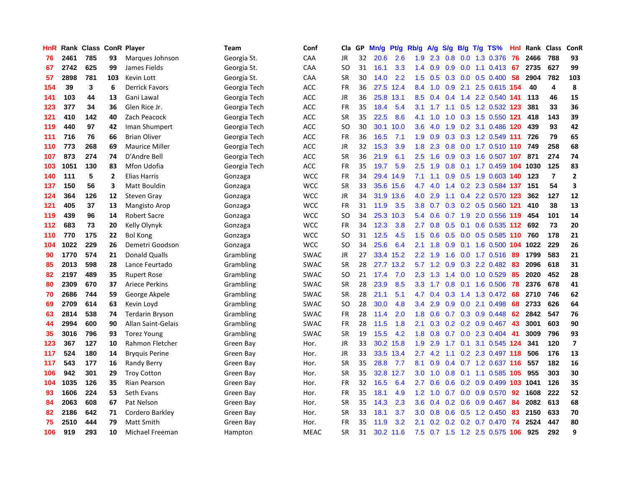| HnR |      | <b>Rank Class</b> |                | <b>ConR Player</b>    | Team         | Conf        | Cla       | GP | Mn/g | <b>Pt/g</b> | Rb/g             | A/g | S/g              |  | B/g T/g TS%                | Hnl | Rank | <b>Class</b>   | ConR                    |
|-----|------|-------------------|----------------|-----------------------|--------------|-------------|-----------|----|------|-------------|------------------|-----|------------------|--|----------------------------|-----|------|----------------|-------------------------|
| 76  | 2461 | 785               | 93             | Marques Johnson       | Georgia St.  | CAA         | <b>JR</b> | 32 | 20.6 | 2.6         | 1.9 <sup>°</sup> | 2.3 | 0.8              |  | 0.0 1.3 0.376              | -76 | 2466 | 788            | 93                      |
| 67  | 2742 | 625               | 99             | James Fields          | Georgia St.  | CAA         | SO        | 31 | 16.1 | 3.3         | 1.4              | 0.9 |                  |  | $0.9$ 0.0 1.1 0.413 67     |     | 2735 | 627            | 99                      |
| 57  | 2898 | 781               | 103            | Kevin Lott            | Georgia St.  | CAA         | <b>SR</b> | 30 | 14.0 | 2.2         | 1.5              | 0.5 |                  |  | $0.3$ 0.0 0.5 0.400        | -58 | 2904 | 782            | 103                     |
| 154 | 39   | 3                 | 6              | <b>Derrick Favors</b> | Georgia Tech | ACC         | <b>FR</b> | 36 | 27.5 | 12.4        | 8.4              | 1.0 | 0.9              |  | 2.1 2.5 0.615 154          |     | 40   | 4              | 8                       |
| 141 | 103  | 44                | 13             | Gani Lawal            | Georgia Tech | <b>ACC</b>  | JR        | 36 | 25.8 | 13.1        | 8.5              | 0.4 | 0.4              |  | 1.4 2.2 0.540              | 141 | 113  | 46             | 15                      |
| 123 | 377  | 34                | 36             | Glen Rice Jr.         | Georgia Tech | <b>ACC</b>  | <b>FR</b> | 35 | 18.4 | 5.4         | 3.1              | 1.7 |                  |  | 1.1 0.5 1.2 0.532 123      |     | 381  | 33             | 36                      |
| 121 | 410  | 142               | 40             | Zach Peacock          | Georgia Tech | ACC         | <b>SR</b> | 35 | 22.5 | 8.6         | 4.1              | 1.0 | 1.0              |  | $0.3$ 1.5 $0.550$          | 121 | 418  | 143            | 39                      |
| 119 | 440  | 97                | 42             | Iman Shumpert         | Georgia Tech | <b>ACC</b>  | SO        | 30 | 30.1 | 10.0        | 3.6              | 4.0 | 1.9              |  | 0.2 3.1 0.486 120          |     | 439  | 93             | 42                      |
| 111 | 716  | 76                | 66             | <b>Brian Oliver</b>   | Georgia Tech | <b>ACC</b>  | <b>FR</b> | 36 | 16.5 | 7.1         | 1.9              | 0.9 |                  |  | 0.3 0.3 1.2 0.549 111      |     | 726  | 79             | 65                      |
| 110 | 773  | 268               | 69             | <b>Maurice Miller</b> | Georgia Tech | <b>ACC</b>  | JR        | 32 | 15.3 | 3.9         | 1.8              | 2.3 |                  |  | 0.8 0.0 1.7 0.510 110 749  |     |      | 258            | 68                      |
| 107 | 873  | 274               | 74             | D'Andre Bell          | Georgia Tech | <b>ACC</b>  | <b>SR</b> | 36 | 21.9 | 6.1         | $2.5^{\circ}$    | 1.6 |                  |  | 0.9 0.3 1.6 0.507 107      |     | 871  | 274            | 74                      |
| 103 | 1051 | 130               | 83             | Mfon Udofia           | Georgia Tech | ACC         | <b>FR</b> | 35 | 19.7 | 5.9         | 2.5              | 1.9 |                  |  | 0.8 0.1 1.7 0.459 104 1030 |     |      | 125            | 83                      |
| 140 | 111  | 5                 | $\overline{2}$ | Elias Harris          | Gonzaga      | <b>WCC</b>  | <b>FR</b> | 34 | 29.4 | 14.9        | 7.1              | 1.1 | 0.9 <sub>0</sub> |  | 0.5 1.9 0.603 140          |     | 123  | $\overline{7}$ | $\overline{2}$          |
| 137 | 150  | 56                | 3              | <b>Matt Bouldin</b>   | Gonzaga      | <b>WCC</b>  | <b>SR</b> | 33 | 35.6 | 15.6        | 4.7              | 4.0 |                  |  | 1.4 0.2 2.3 0.584 137      |     | 151  | 54             | 3                       |
| 124 | 364  | 126               | 12             | <b>Steven Gray</b>    | Gonzaga      | <b>WCC</b>  | JR        | 34 | 31.9 | 13.6        | 4.0              | 2.9 |                  |  | 1.1 0.4 2.2 0.570          | 123 | 362  | 127            | 12                      |
| 121 | 405  | 37                | 13             | Mangisto Arop         | Gonzaga      | <b>WCC</b>  | <b>FR</b> | 31 | 11.9 | 3.5         | 3.8 <sub>1</sub> | 0.7 | 0.3              |  | 0.2 0.5 0.560 121          |     | 410  | 38             | 13                      |
| 119 | 439  | 96                | 14             | <b>Robert Sacre</b>   | Gonzaga      | <b>WCC</b>  | <b>SO</b> | 34 | 25.3 | 10.3        | 5.4              | 0.6 | 0.7              |  | 1.9 2.0 0.556 119          |     | 454  | 101            | 14                      |
| 112 | 683  | 73                | 20             | Kelly Olynyk          | Gonzaga      | <b>WCC</b>  | <b>FR</b> | 34 | 12.3 | 3.8         | 2.7              | 0.8 |                  |  | 0.5 0.1 0.6 0.535 112 692  |     |      | 73             | 20                      |
| 110 | 770  | 175               | 22             | <b>Bol Kong</b>       | Gonzaga      | <b>WCC</b>  | <b>SO</b> | 31 | 12.5 | 4.5         | 1.5              | 0.6 |                  |  | 0.5 0.0 0.5 0.585 110 760  |     |      | 178            | 21                      |
| 104 | 1022 | 229               | 26             | Demetri Goodson       | Gonzaga      | <b>WCC</b>  | SO        | 34 | 25.6 | 6.4         | 2.1              | 1.8 | 0.9              |  | 0.1 1.6 0.500 104 1022     |     |      | 229            | 26                      |
| 90  | 1770 | 574               | 21             | Donald Qualls         | Grambling    | <b>SWAC</b> | JR        | 27 |      | 33.4 15.2   | 2.2              | 1.9 | 1.6              |  | 0.0 1.7 0.516              | -89 | 1799 | 583            | 21                      |
| 85  | 2013 | 598               | 28             | Lance Feurtado        | Grambling    | <b>SWAC</b> | <b>SR</b> | 28 | 27.7 | 13.2        | 5.7              | 1.2 | 0.9              |  | $0.3$ 2.2 0.482            | -83 | 2096 | 618            | 31                      |
| 82  | 2197 | 489               | 35             | <b>Rupert Rose</b>    | Grambling    | <b>SWAC</b> | SO        | 21 | 17.4 | 7.0         | 2.3              | 1.3 |                  |  | 1.4 0.0 1.0 0.529          | 85  | 2020 | 452            | 28                      |
| 80  | 2309 | 670               | 37             | <b>Ariece Perkins</b> | Grambling    | <b>SWAC</b> | <b>SR</b> | 28 | 23.9 | 8.5         | 3.3              | 1.7 | 0.8 <sub>0</sub> |  | $0.1$ 1.6 $0.506$          | 78  | 2376 | 678            | 41                      |
| 70  | 2686 | 744               | 59             | George Akpele         | Grambling    | <b>SWAC</b> | <b>SR</b> | 28 | 21.1 | 5.1         | 4.7              | 0.4 | 0.3              |  | 1.4 1.3 0.472              | 68  | 2710 | 746            | 62                      |
| 69  | 2709 | 614               | 63             | Kevin Loyd            | Grambling    | <b>SWAC</b> | SO.       | 28 | 30.0 | 4.8         | $3.4^{\circ}$    | 2.9 |                  |  | 0.9 0.0 2.1 0.498          | 68  | 2733 | 626            | 64                      |
| 63  | 2814 | 538               | 74             | Terdarin Bryson       | Grambling    | <b>SWAC</b> | <b>FR</b> | 28 | 11.4 | 2.0         | 1.8              | 0.6 |                  |  | 0.7 0.3 0.9 0.448          | -62 | 2842 | 547            | 76                      |
| 44  | 2994 | 600               | 90             | Allan Saint-Gelais    | Grambling    | <b>SWAC</b> | <b>FR</b> | 28 | 11.5 | 1.8         | 2.1              | 0.3 |                  |  | 0.2 0.2 0.9 0.467 43       |     | 3001 | 603            | 90                      |
| 35  | 3016 | 796               | 93             | <b>Torez Young</b>    | Grambling    | <b>SWAC</b> | <b>SR</b> | 19 | 15.5 | 4.2         | 1.8              | 0.8 |                  |  | 0.7 0.0 2.3 0.404          | -41 | 3009 | 796            | 93                      |
| 123 | 367  | 127               | 10             | Rahmon Fletcher       | Green Bay    | Hor.        | <b>JR</b> | 33 | 30.2 | 15.8        | 1.9              | 2.9 | $1.7^{\circ}$    |  | 0.1 3.1 0.545 124          |     | 341  | 120            | $\overline{\mathbf{z}}$ |
| 117 | 524  | 180               | 14             | <b>Bryquis Perine</b> | Green Bay    | Hor.        | JR        | 33 | 33.5 | 13.4        | 2.7              | 4.2 | 1.1              |  | 0.2 2.3 0.497 118          |     | 506  | 176            | 13                      |
| 117 | 543  | 177               | 16             | <b>Randy Berry</b>    | Green Bay    | Hor.        | <b>SR</b> | 35 | 28.8 | 7.7         | 8.1              | 0.9 | 0.4              |  | 0.7 1.2 0.637 116          |     | 557  | 182            | 16                      |
| 106 | 942  | 301               | 29             | <b>Troy Cotton</b>    | Green Bay    | Hor.        | <b>SR</b> | 35 | 32.8 | 12.7        | 3.0              | 1.0 | 0.8              |  | 0.1 1.1 0.585 105          |     | 955  | 303            | 30                      |
| 104 | 1035 | 126               | 35             | <b>Rian Pearson</b>   | Green Bay    | Hor.        | <b>FR</b> | 32 | 16.5 | 6.4         | 2.7              | 0.6 | 0.6              |  | $0.2$ 0.9 0.499 103        |     | 1041 | 126            | 35                      |
| 93  | 1606 | 224               | 53             | Seth Evans            | Green Bay    | Hor.        | <b>FR</b> | 35 | 18.1 | 4.9         | 1.2              | 1.0 |                  |  | 0.7 0.0 0.9 0.570          | 92  | 1608 | 222            | 52                      |
| 84  | 2063 | 608               | 67             | Pat Nelson            | Green Bay    | Hor.        | <b>SR</b> | 35 | 14.3 | 2.3         | 3.6              | 0.4 |                  |  | 0.2 0.6 0.9 0.467 84       |     | 2082 | 613            | 68                      |
| 82  | 2186 | 642               | 71             | Cordero Barkley       | Green Bay    | Hor.        | SR        | 33 | 18.1 | 3.7         | 3.0 <sub>2</sub> | 0.8 | 0.6              |  | $0.5$ 1.2 0.450            | 83  | 2150 | 633            | 70                      |
| 75  | 2510 | 444               | 79             | Matt Smith            | Green Bay    | Hor.        | <b>FR</b> | 35 | 11.9 | 3.2         | 2.1              | 0.2 | 0.2 <sub>0</sub> |  | $0.2$ 0.7 0.470            | 74  | 2524 | 447            | 80                      |
| 106 | 919  | 293               | 10             | Michael Freeman       | Hampton      | <b>MEAC</b> | SR        | 31 |      | 30.2 11.6   | 7.5              |     |                  |  | 0.7 1.5 1.2 2.5 0.575 106  |     | 925  | 292            | 9                       |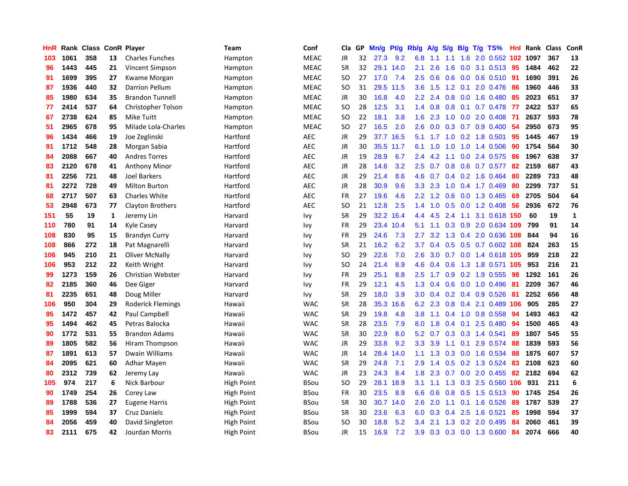| HnR |      | Rank Class ConR Player |    |                         | Team              | Conf        | Cla       | GP | Mn/g | <b>Pt/g</b> | Rb/g             | A/g     | S/g           |     | $B/g$ T/g TS%            | Hnl | Rank | Class | <b>ConR</b>  |
|-----|------|------------------------|----|-------------------------|-------------------|-------------|-----------|----|------|-------------|------------------|---------|---------------|-----|--------------------------|-----|------|-------|--------------|
| 103 | 1061 | 358                    | 13 | <b>Charles Funches</b>  | Hampton           | <b>MEAC</b> | JR        | 32 | 27.3 | 9.2         | 6.8              | 1.1     | 1.1           | 1.6 | 2.0 0.552 102            |     | 1097 | 367   | 13           |
| 96  | 1443 | 445                    | 21 | Vincent Simpson         | Hampton           | <b>MEAC</b> | <b>SR</b> | 32 |      | 29.1 14.0   | 2.1              | 2.6     | 1.6           |     | 0.0 3.1 0.513 95         |     | 1484 | 462   | 22           |
| 91  | 1699 | 395                    | 27 | Kwame Morgan            | Hampton           | <b>MEAC</b> | <b>SO</b> | 27 | 17.0 | 7.4         | 2.5              | 0.6     |               |     | 0.6 0.0 0.6 0.510        | -91 | 1690 | 391   | 26           |
| 87  | 1936 | 440                    | 32 | <b>Darrion Pellum</b>   | Hampton           | <b>MEAC</b> | <b>SO</b> | 31 | 29.5 | 11.5        | 3.6 <sub>2</sub> | 1.5     |               |     | 1.2 0.1 2.0 0.476        | -86 | 1960 | 446   | 33           |
| 85  | 1980 | 634                    | 35 | <b>Brandon Tunnell</b>  | Hampton           | <b>MEAC</b> | <b>JR</b> | 30 | 16.8 | 4.0         | $2.2\phantom{0}$ | 2.4     | 0.8           |     | $0.0$ 1.6 $0.480$        | 85  | 2023 | 651   | 37           |
| 77  | 2414 | 537                    | 64 | Christopher Tolson      | Hampton           | <b>MEAC</b> | <b>SO</b> | 28 | 12.5 | 3.1         | 1.4              | 0.8     | 0.8           |     | $0.1$ 0.7 0.478          | 77  | 2422 | 537   | 65           |
| 67  | 2738 | 624                    | 85 | Mike Tuitt              | Hampton           | <b>MEAC</b> | <b>SO</b> | 22 | 18.1 | 3.8         | 1.6              | 2.3     | 1.0           |     | $0.0$ 2.0 $0.408$        | -71 | 2637 | 593   | 78           |
| 51  | 2965 | 678                    | 95 | Milade Lola-Charles     | Hampton           | <b>MEAC</b> | <b>SO</b> | 27 | 16.5 | 2.0         | 2.6              | 0.0     | 0.3           |     | $0.7$ 0.9 0.400          | 54  | 2950 | 673   | 95           |
| 96  | 1434 | 466                    | 19 | Joe Zeglinski           | Hartford          | <b>AEC</b>  | <b>JR</b> | 29 | 37.7 | 16.5        | 5.1              | 1.7     | 1.0           |     | $0.2$ 1.8 $0.501$        | 95  | 1445 | 467   | 19           |
| 91  | 1712 | 548                    | 28 | Morgan Sabia            | Hartford          | <b>AEC</b>  | JR        | 30 |      | 35.5 11.7   | 6.1              | 1.0     |               |     | 1.0 1.0 1.4 0.506        | 90  | 1754 | 564   | 30           |
| 84  | 2088 | 667                    | 40 | <b>Andres Torres</b>    | Hartford          | <b>AEC</b>  | <b>JR</b> | 19 | 28.9 | 6.7         | $2.4^{\circ}$    | 4.2     | 1.1           |     | 0.0 2.4 0.575 86         |     | 1967 | 638   | 37           |
| 83  | 2120 | 678                    | 41 | <b>Anthony Minor</b>    | Hartford          | <b>AEC</b>  | JR        | 28 | 14.6 | 3.2         | 2.5              | 0.7     |               |     | 0.8 0.6 0.7 0.577 82     |     | 2159 | 687   | 43           |
| 81  | 2256 | 721                    | 48 | <b>Joel Barkers</b>     | Hartford          | <b>AEC</b>  | <b>JR</b> | 29 | 21.4 | 8.6         | 4.6              | 0.7     |               |     | 0.4 0.2 1.6 0.464        | 80  | 2289 | 733   | 48           |
| 81  | 2272 | 728                    | 49 | <b>Milton Burton</b>    | Hartford          | AEC         | JR        | 28 | 30.9 | 9.6         | 3.3              | 2.3     | 1.0           |     | 0.4 1.7 0.469            | 80  | 2299 | 737   | 51           |
| 68  | 2717 | 507                    | 63 | <b>Charles White</b>    | Hartford          | <b>AEC</b>  | <b>FR</b> | 27 | 19.6 | 4.6         | 2.2              | 1.2     | 0.6           |     | $0.0$ 1.3 $0.465$        | 69  | 2705 | 504   | 64           |
| 53  | 2948 | 673                    | 77 | <b>Clayton Brothers</b> | Hartford          | <b>AEC</b>  | SO        | 21 | 12.8 | 2.5         | $1.4^{\circ}$    | 1.0     | 0.5           |     | $0.0$ 1.2 0.408          | -56 | 2936 | 672   | 76           |
| 151 | 55   | 19                     | 1  | Jeremy Lin              | Harvard           | Ivy         | <b>SR</b> | 29 | 32.2 | 16.4        | $4.4^{\circ}$    | 4.5     | $2.4^{\circ}$ | 1.1 | 3.1 0.618 150            |     | 60   | 19    | $\mathbf{1}$ |
| 110 | 780  | 91                     | 14 | Kyle Casey              | Harvard           | Ivy         | <b>FR</b> | 29 |      | 23.4 10.4   | 5.1              | 1.1     |               |     | 0.3 0.9 2.0 0.634 109    |     | 799  | 91    | 14           |
| 108 | 830  | 95                     | 15 | <b>Brandyn Curry</b>    | Harvard           | Ivy         | <b>FR</b> | 29 | 24.6 | 7.3         | $2.7^{\circ}$    | 3.2     |               |     | 1.3 0.4 2.0 0.636 108    |     | 844  | 94    | 16           |
| 108 | 866  | 272                    | 18 | Pat Magnarelli          | Harvard           | Ivy         | <b>SR</b> | 21 | 16.2 | 6.2         | 3.7 <sub>2</sub> | 0.4     |               |     | 0.5 0.5 0.7 0.602 108    |     | 824  | 263   | 15           |
| 106 | 945  | 210                    | 21 | Oliver McNally          | Harvard           | Ivy         | <b>SO</b> | 29 | 22.6 | 7.0         | 2.6              | 3.0     |               |     | 0.7 0.0 1.4 0.618 105    |     | 959  | 218   | 22           |
| 106 | 953  | 212                    | 22 | Keith Wright            | Harvard           | Ivy         | SO        | 24 | 21.4 | 8.9         | 4.6              | 0.4     | 0.6           |     | 1.3 1.8 0.571 105        |     | 953  | 216   | 21           |
| 99  | 1273 | 159                    | 26 | Christian Webster       | Harvard           | Ivy         | FR.       | 29 | 25.1 | 8.8         | 2.5              | 1.7     | 0.9           |     | $0.2$ 1.9 $0.555$        | 98  | 1292 | 161   | 26           |
| 82  | 2185 | 360                    | 46 | Dee Giger               | Harvard           | Ivy         | FR.       | 29 | 12.1 | 4.5         | 1.3              | 0.4     | 0.6           |     | $0.0$ 1.0 0.496          | -81 | 2209 | 367   | 46           |
| 81  | 2235 | 651                    | 48 | Doug Miller             | Harvard           | Ivy         | <b>SR</b> | 29 | 18.0 | 3.9         | 3.0 <sub>1</sub> | 0.4     |               |     | $0.2$ 0.4 0.9 0.526      | 81  | 2252 | 656   | 48           |
| 106 | 950  | 304                    | 29 | Roderick Flemings       | Hawaii            | <b>WAC</b>  | <b>SR</b> | 28 | 35.3 | 16.6        |                  | 6.2 2.3 |               |     | 0.8 0.4 2.1 0.489 106    |     | 905  | 285   | 27           |
| 95  | 1472 | 457                    | 42 | Paul Campbell           | Hawaii            | <b>WAC</b>  | <b>SR</b> | 29 | 19.8 | 4.8         | 3.8 <sub>1</sub> |         |               |     | 1.1 0.4 1.0 0.8 0.558 94 |     | 1493 | 463   | 42           |
| 95  | 1494 | 462                    | 45 | Petras Balocka          | Hawaii            | <b>WAC</b>  | <b>SR</b> | 28 | 23.5 | 7.9         | 8.0              | 1.8     |               |     | $0.4$ 0.1 2.5 0.480      | -94 | 1500 | 465   | 43           |
| 90  | 1772 | 531                    | 55 | <b>Brandon Adams</b>    | Hawaii            | <b>WAC</b>  | <b>SR</b> | 30 | 22.9 | 8.0         | 5.2              | 0.7     |               |     | $0.3$ 0.3 1.4 0.541      | -89 | 1807 | 545   | 55           |
| 89  | 1805 | 582                    | 56 | Hiram Thompson          | Hawaii            | <b>WAC</b>  | JR        | 29 | 33.8 | 9.2         | 3.3              | 3.9     | 1.1           | 0.1 | 2.9 0.574                | 88  | 1839 | 593   | 56           |
| 87  | 1891 | 613                    | 57 | Dwain Williams          | Hawaii            | <b>WAC</b>  | JR        | 14 | 28.4 | 14.0        | 1.1              | 1.3     |               |     | 0.3 0.0 1.6 0.534        | 88  | 1875 | 607   | 57           |
| 84  | 2095 | 621                    | 60 | Adhar Mayen             | Hawaii            | <b>WAC</b>  | <b>SR</b> | 29 | 24.8 | 7.1         | 2.9              | 1.4     | 0.5           |     | 0.2 1.3 0.524            | 83  | 2108 | 623   | 60           |
| 80  | 2312 | 739                    | 62 | Jeremy Lay              | Hawaii            | <b>WAC</b>  | <b>JR</b> | 23 | 24.3 | 8.4         | 1.8              | 2.3     | 0.7           |     | $0.0$ 2.0 $0.455$        | 82  | 2182 | 694   | 62           |
| 105 | 974  | 217                    | 6  | Nick Barbour            | <b>High Point</b> | <b>BSou</b> | <b>SO</b> | 29 | 28.1 | 18.9        | 3.1              | 1.1     | 1.3           |     | 0.3 2.5 0.560            | 106 | 931  | 211   | 6            |
| 90  | 1749 | 254                    | 26 | Corey Law               | High Point        | BSou        | FR        | 30 | 23.5 | 8.9         | 6.6              | 0.6     |               |     | 0.8 0.5 1.5 0.513 90     |     | 1745 | 254   | 26           |
| 89  | 1788 | 536                    | 27 | <b>Eugene Harris</b>    | High Point        | <b>BSou</b> | <b>SR</b> | 30 | 30.7 | 14.0        | 2.6              | 2.0     | 1.1           |     | $0.1$ 1.6 0.526          | -89 | 1787 | 539   | 27           |
| 85  | 1999 | 594                    | 37 | <b>Cruz Daniels</b>     | High Point        | <b>BSou</b> | <b>SR</b> | 30 | 23.6 | 6.3         | 6.0              | 0.3     | 0.4           |     | 2.5 1.6 0.521            | 85  | 1998 | 594   | 37           |
| 84  | 2056 | 459                    | 40 | David Singleton         | High Point        | <b>BSou</b> | <b>SO</b> | 30 | 18.8 | 5.2         | 3.4              | 2.1     | 1.3           |     | 0.2 2.0 0.495            | -84 | 2060 | 461   | 39           |
| 83  | 2111 | 675                    | 42 | Jourdan Morris          | <b>High Point</b> | <b>BSou</b> | <b>JR</b> | 15 | 16.9 | 7.2         | 3.9 <sup>°</sup> | 0.3     |               |     | 0.3 0.0 1.3 0.600        | 84  | 2074 | 666   | 40           |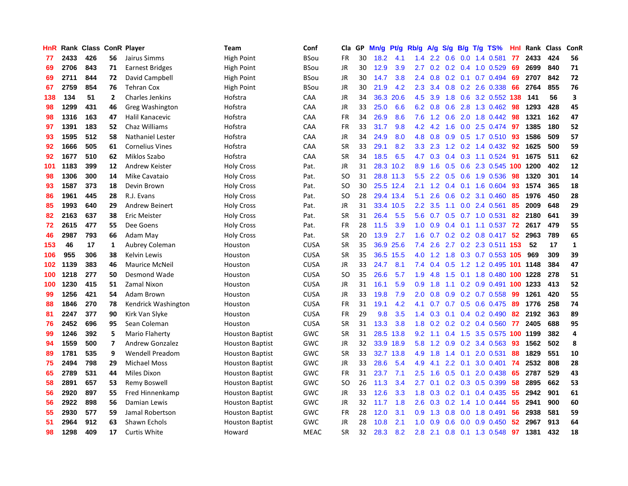| HnR |      | Rank Class ConR Player |                         |                         | Team                   | Conf        | Cla       | GP | Mn/g | <b>Pt/g</b> | Rb/g             | A/g           | S/g              |     | B/g T/g TS%                | Hnl | Rank | <b>Class</b> | ConR         |
|-----|------|------------------------|-------------------------|-------------------------|------------------------|-------------|-----------|----|------|-------------|------------------|---------------|------------------|-----|----------------------------|-----|------|--------------|--------------|
| 77  | 2433 | 426                    | 56                      | Jairus Simms            | <b>High Point</b>      | <b>BSou</b> | <b>FR</b> | 30 | 18.2 | 4.1         | $1.4^{\circ}$    | $2.2^{\circ}$ | 0.6              |     | $0.0$ 1.4 0.581            | 77  | 2433 | 424          | 56           |
| 69  | 2706 | 843                    | 71                      | <b>Earnest Bridges</b>  | <b>High Point</b>      | <b>BSou</b> | <b>JR</b> | 30 | 12.9 | 3.9         | $2.7^{\circ}$    |               |                  |     | $0.2$ 0.2 0.4 1.0 0.529    | 69  | 2699 | 840          | 71           |
| 69  | 2711 | 844                    | 72                      | David Campbell          | High Point             | BSou        | <b>JR</b> | 30 | 14.7 | 3.8         | $2.4^{\circ}$    | 0.8           |                  |     | $0.2$ 0.1 0.7 0.494        | 69  | 2707 | 842          | 72           |
| 67  | 2759 | 854                    | 76                      | <b>Tehran Cox</b>       | High Point             | BSou        | JR        | 30 | 21.9 | 4.2         | 2.3              | 3.4           |                  |     | 0.8 0.2 2.6 0.338          | 66  | 2764 | 855          | 76           |
| 138 | 134  | 51                     | $\overline{2}$          | <b>Charles Jenkins</b>  | Hofstra                | CAA         | JR        | 34 | 36.3 | 20.6        | 4.5              | 3.9           | 1.8              |     | 0.6 3.2 0.552              | 138 | 141  | 56           | 3            |
| 98  | 1299 | 431                    | 46                      | Greg Washington         | Hofstra                | CAA         | JR        | 33 | 25.0 | 6.6         | 6.2              | 0.8           | 0.6              |     | 2.8 1.3 0.462              | 98  | 1293 | 428          | 45           |
| 98  | 1316 | 163                    | 47                      | Halil Kanacevic         | Hofstra                | CAA         | <b>FR</b> | 34 | 26.9 | 8.6         | 7.6              | 1.2           | 0.6              |     | 2.0 1.8 0.442              | 98  | 1321 | 162          | 47           |
| 97  | 1391 | 183                    | 52                      | Chaz Williams           | Hofstra                | CAA         | <b>FR</b> | 33 | 31.7 | 9.8         | 4.2              | 4.2           | 1.6              |     | 0.0 2.5 0.474              | 97  | 1385 | 180          | 52           |
| 93  | 1595 | 512                    | 58                      | <b>Nathaniel Lester</b> | Hofstra                | CAA         | <b>JR</b> | 34 | 24.9 | 8.0         | 4.8              | 0.8           | 0.9              |     | 0.5 1.7 0.510 93           |     | 1586 | 509          | 57           |
| 92  | 1666 | 505                    | 61                      | <b>Cornelius Vines</b>  | Hofstra                | CAA         | <b>SR</b> | 33 | 29.1 | 8.2         |                  | $3.3$ $2.3$   |                  |     | 1.2 0.2 1.4 0.432 92       |     | 1625 | 500          | 59           |
| 92  | 1677 | 510                    | 62                      | Miklos Szabo            | Hofstra                | CAA         | <b>SR</b> | 34 | 18.5 | 6.5         | 4.7              | 0.3           |                  |     | $0.4$ 0.3 1.1 0.524        | -91 | 1675 | 511          | 62           |
| 101 | 1183 | 399                    | 12                      | Andrew Keister          | <b>Holy Cross</b>      | Pat.        | JR        | 31 |      | 28.3 10.2   | 8.9              | 1.6           |                  |     | 0.5 0.6 2.3 0.545 100 1200 |     |      | 402          | 12           |
| 98  | 1306 | 300                    | 14                      | Mike Cavataio           | <b>Holy Cross</b>      | Pat.        | <b>SO</b> | 31 |      | 28.8 11.3   | 5.5              | 2.2           | 0.5              |     | 0.6 1.9 0.536              | 98  | 1320 | 301          | 14           |
| 93  | 1587 | 373                    | 18                      | Devin Brown             | <b>Holy Cross</b>      | Pat.        | SO        | 30 |      | 25.5 12.4   | 2.1              | 1.2           |                  |     | $0.4$ 0.1 1.6 0.604        | -93 | 1574 | 365          | 18           |
| 86  | 1961 | 445                    | 28                      | R.J. Evans              | <b>Holy Cross</b>      | Pat.        | SO        | 28 |      | 29.4 13.4   | 5.1              | 2.6           | 0.6              |     | $0.2$ 3.1 $0.460$          | 85  | 1976 | 450          | 28           |
| 85  | 1993 | 640                    | 29                      | <b>Andrew Beinert</b>   | <b>Holy Cross</b>      | Pat.        | <b>JR</b> | 31 |      | 33.4 10.5   | $2.2^{\circ}$    | 3.5           | 1.1              |     | $0.0$ 2.4 $0.561$          | 85  | 2009 | 648          | 29           |
| 82  | 2163 | 637                    | 38                      | Eric Meister            | <b>Holy Cross</b>      | Pat.        | <b>SR</b> | 31 | 26.4 | 5.5         | 5.6              | 0.7           | 0.5              |     | $0.7$ 1.0 0.531            | 82  | 2180 | 641          | 39           |
| 72  | 2615 | 477                    | 55                      | Dee Goens               | <b>Holy Cross</b>      | Pat.        | <b>FR</b> | 28 | 11.5 | 3.9         | 1.0 <sub>1</sub> | 0.9           |                  |     | $0.4$ 0.1 1.1 0.537        | 72  | 2617 | 479          | 55           |
| 46  | 2987 | 793                    | 66                      | Adam May                | <b>Holy Cross</b>      | Pat.        | <b>SR</b> | 20 | 13.9 | 2.7         |                  | $1.6 \t0.7$   |                  |     | 0.2 0.2 0.8 0.417 52       |     | 2963 | 789          | 65           |
| 153 | 46   | 17                     | 1                       | Aubrey Coleman          | Houston                | <b>CUSA</b> | <b>SR</b> | 35 | 36.9 | 25.6        | 7.4              | 2.6           |                  |     | 2.7 0.2 2.3 0.511 153      |     | 52   | 17           | $\mathbf{1}$ |
| 106 | 955  | 306                    | 38                      | Kelvin Lewis            | Houston                | CUSA        | <b>SR</b> | 35 | 36.5 | 15.5        | 4.0              | 1.2           | 1.8              |     | 0.3 0.7 0.553 105          |     | 969  | 309          | 39           |
| 102 | 1139 | 383                    | 46                      | <b>Maurice McNeil</b>   | Houston                | <b>CUSA</b> | JR        | 33 | 24.7 | 8.1         | 7.4              | 0.4           | 0.5              |     | 1.2 1.2 0.495              | 101 | 1148 | 384          | 47           |
| 100 | 1218 | 277                    | 50                      | Desmond Wade            | Houston                | CUSA        | SO        | 35 | 26.6 | 5.7         | 1.9              | 4.8           | 1.5              |     | 0.1 1.8 0.480              | 100 | 1228 | 278          | 51           |
| 100 | 1230 | 415                    | 51                      | Zamal Nixon             | Houston                | <b>CUSA</b> | JR        | 31 | 16.1 | 5.9         | 0.9 <sup>°</sup> | 1.8           | 1.1              |     | $0.2$ 0.9 0.491 100        |     | 1233 | 413          | 52           |
| 99  | 1256 | 421                    | 54                      | Adam Brown              | Houston                | CUSA        | <b>JR</b> | 33 | 19.8 | 7.9         | 2.0              | 0.8           | 0.9              |     | 0.2 0.7 0.558              | -99 | 1261 | 420          | 55           |
| 88  | 1846 | 270                    | 78                      | Kendrick Washington     | Houston                | <b>CUSA</b> | <b>FR</b> | 31 | 19.1 | 4.2         | 4.1              | 0.7           |                  |     | $0.7$ $0.5$ $0.6$ $0.475$  | -89 | 1776 | 258          | 74           |
| 81  | 2247 | 377                    | 90                      | Kirk Van Slyke          | Houston                | <b>CUSA</b> | <b>FR</b> | 29 | 9.8  | 3.5         | $1.4^{\circ}$    | 0.3           |                  |     | $0.1$ 0.4 0.2 0.490        | -82 | 2192 | 363          | 89           |
| 76  | 2452 | 696                    | 95                      | Sean Coleman            | Houston                | <b>CUSA</b> | <b>SR</b> | 31 | 13.3 | 3.8         | 1.8              | 0.2           |                  |     | $0.2$ 0.2 0.4 0.560        | 77  | 2405 | 688          | 95           |
| 99  | 1246 | 392                    | 5                       | Mario Flaherty          | <b>Houston Baptist</b> | GWC         | <b>SR</b> | 31 | 28.5 | 13.8        | 9.2              | 1.1           |                  |     | 0.4 1.5 3.5 0.575 100 1199 |     |      | 382          | 4            |
| 94  | 1559 | 500                    | $\overline{\mathbf{z}}$ | <b>Andrew Gonzalez</b>  | <b>Houston Baptist</b> | GWC         | <b>JR</b> | 32 |      | 33.9 18.9   | 5.8              | 1.2           | 0.9 <sup>°</sup> |     | 0.2 3.4 0.563              | 93  | 1562 | 502          | 8            |
| 89  | 1781 | 535                    | 9                       | <b>Wendell Preadom</b>  | <b>Houston Baptist</b> | GWC         | <b>SR</b> | 33 | 32.7 | 13.8        | 4.9              | 1.8           | $1.4^{\circ}$    | 0.1 | 2.0 0.531                  | 88  | 1829 | 551          | 10           |
| 75  | 2494 | 798                    | 29                      | <b>Michael Moss</b>     | <b>Houston Baptist</b> | GWC         | <b>JR</b> | 33 | 28.6 | 5.4         | 4.9              | 4.1           | 2.2              | 0.1 | 3.0 0.401                  | -74 | 2532 | 808          | 28           |
| 65  | 2789 | 531                    | 44                      | <b>Miles Dixon</b>      | <b>Houston Baptist</b> | GWC         | <b>FR</b> | 31 | 23.7 | 7.1         | $2.5\,$          | 1.6           | 0.5              | 0.1 | 2.0 0.438                  | 65  | 2787 | 529          | 43           |
| 58  | 2891 | 657                    | 53                      | Remy Boswell            | <b>Houston Baptist</b> | GWC         | <b>SO</b> | 26 | 11.3 | 3.4         | $2.7^{\circ}$    | 0.1           |                  |     | $0.2$ 0.3 0.5 0.399        | 58  | 2895 | 662          | 53           |
| 56  | 2920 | 897                    | 55                      | Fred Hinnenkamp         | <b>Houston Baptist</b> | GWC         | <b>JR</b> | 33 | 12.6 | 3.3         | 1.8              | 0.3           |                  |     | $0.2$ 0.1 0.4 0.435        | -55 | 2942 | 901          | 61           |
| 56  | 2922 | 898                    | 56                      | Damian Lewis            | <b>Houston Baptist</b> | GWC         | <b>JR</b> | 32 | 11.7 | 1.8         | 2.6              | 0.3           |                  |     | $0.2$ 1.4 1.0 0.444        | 55  | 2941 | 900          | 60           |
| 55  | 2930 | 577                    | 59                      | Jamal Robertson         | <b>Houston Baptist</b> | GWC         | <b>FR</b> | 28 | 12.0 | 3.1         | 0.9              | 1.3           | 0.8              |     | $0.0$ 1.8 $0.491$          | 56  | 2938 | 581          | 59           |
| 51  | 2964 | 912                    | 63                      | Shawn Echols            | <b>Houston Baptist</b> | GWC         | <b>JR</b> | 28 | 10.8 | 2.1         | 1.0              | 0.9           | 0.6              |     | $0.0$ $0.9$ $0.450$        | 52  | 2967 | 913          | 64           |
| 98  | 1298 | 409                    | 17                      | Curtis White            | Howard                 | <b>MEAC</b> | <b>SR</b> | 32 | 28.3 | 8.2         | 2.8              | 2.1           |                  |     | 0.8 0.1 1.3 0.548          | 97  | 1381 | 432          | 18           |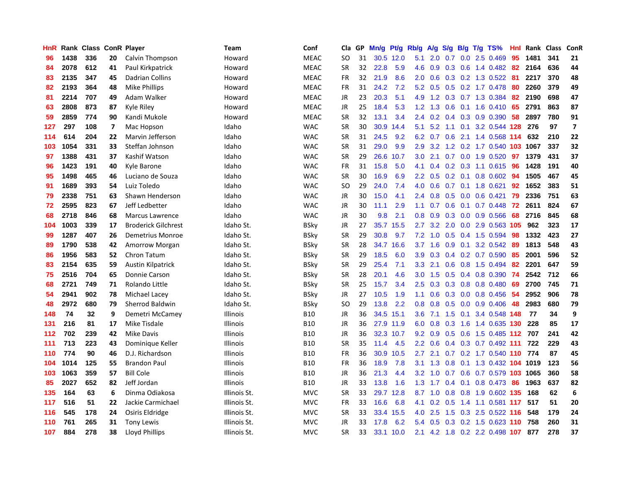| HnR |      | Rank Class ConR Player |    |                            | Team            | Conf        | Cla       | <b>GP</b> | Mn/g | Pt/g      | Rb/g             | A/g |     |               | S/g B/g T/g TS%                | Hnl | Rank | <b>Class</b> | ConR                    |
|-----|------|------------------------|----|----------------------------|-----------------|-------------|-----------|-----------|------|-----------|------------------|-----|-----|---------------|--------------------------------|-----|------|--------------|-------------------------|
| 96  | 1438 | 336                    | 20 | Calvin Thompson            | Howard          | <b>MEAC</b> | <b>SO</b> | 31        |      | 30.5 12.0 | 5.1              | 2.0 | 0.7 |               | $0.0$ 2.5 $0.469$              | 95  | 1481 | 341          | 21                      |
| 84  | 2078 | 612                    | 41 | Paul Kirkpatrick           | Howard          | <b>MEAC</b> | SR        | 32        | 22.8 | 5.9       | 4.6              | 0.9 |     |               | 0.3 0.6 1.4 0.482 82           |     | 2164 | 636          | 44                      |
| 83  | 2135 | 347                    | 45 | Dadrian Collins            | Howard          | <b>MEAC</b> | <b>FR</b> | 32        | 21.9 | 8.6       | 2.0              | 0.6 |     |               | 0.3 0.2 1.3 0.522 81           |     | 2217 | 370          | 48                      |
| 82  | 2193 | 364                    | 48 | Mike Phillips              | Howard          | <b>MEAC</b> | FR        | 31        | 24.2 | 7.2       | 5.2              | 0.5 |     |               | 0.5 0.2 1.7 0.478              | -80 | 2260 | 379          | 49                      |
| 81  | 2214 | 707                    | 49 | Adam Walker                | Howard          | MEAC        | <b>JR</b> | 23        | 20.3 | 5.1       | 4.9              | 1.2 |     |               | 0.3 0.7 1.3 0.384              | 82  | 2190 | 698          | 47                      |
| 63  | 2808 | 873                    | 87 | Kyle Riley                 | Howard          | <b>MEAC</b> | JR        | 25        | 18.4 | 5.3       | 1.2              | 1.3 |     |               | $0.6$ 0.1 1.6 0.410            | 65  | 2791 | 863          | 87                      |
| 59  | 2859 | 774                    | 90 | Kandi Mukole               | Howard          | <b>MEAC</b> | <b>SR</b> | 32        | 13.1 | 3.4       | 2.4              | 0.2 |     |               | $0.4$ 0.3 0.9 0.390            | 58  | 2897 | 780          | 91                      |
| 127 | 297  | 108                    | 7  | Mac Hopson                 | Idaho           | <b>WAC</b>  | <b>SR</b> | 30        | 30.9 | 14.4      | 5.1              |     |     | $5.2$ 1.1 0.1 | 3.2 0.544 128                  |     | 276  | 97           | $\overline{\mathbf{z}}$ |
| 114 | 614  | 204                    | 22 | Marvin Jefferson           | Idaho           | <b>WAC</b>  | <b>SR</b> | 31        | 24.5 | 9.2       | 6.2              | 0.7 | 0.6 |               | 2.1 1.4 0.568 114              |     | 632  | 210          | 22                      |
| 103 | 1054 | 331                    | 33 | Steffan Johnson            | Idaho           | <b>WAC</b>  | <b>SR</b> | 31        | 29.0 | 9.9       | 2.9              |     |     |               | 3.2 1.2 0.2 1.7 0.540 103 1067 |     |      | 337          | 32                      |
| 97  | 1388 | 431                    | 37 | Kashif Watson              | Idaho           | <b>WAC</b>  | <b>SR</b> | 29        | 26.6 | 10.7      | 3.0 <sub>2</sub> | 2.1 |     |               | 0.7 0.0 1.9 0.520 97           |     | 1379 | 431          | 37                      |
| 96  | 1423 | 191                    | 40 | Kyle Barone                | Idaho           | <b>WAC</b>  | FR        | 31        | 15.8 | 5.0       | 4.1              | 0.4 |     |               | 0.2 0.3 1.1 0.615 96           |     | 1428 | 191          | 40                      |
| 95  | 1498 | 465                    | 46 | Luciano de Souza           | Idaho           | <b>WAC</b>  | <b>SR</b> | 30        | 16.9 | 6.9       | 2.2              | 0.5 | 0.2 |               | $0.1$ 0.8 0.602                | -94 | 1505 | 467          | 45                      |
| 91  | 1689 | 393                    | 54 | Luiz Toledo                | Idaho           | <b>WAC</b>  | <b>SO</b> | 29        | 24.0 | 7.4       | 4.0              | 0.6 |     |               | 0.7 0.1 1.8 0.621              | 92  | 1652 | 383          | 51                      |
| 79  | 2338 | 751                    | 63 | Shawn Henderson            | Idaho           | <b>WAC</b>  | <b>JR</b> | 30        | 15.0 | 4.1       | 2.4              | 0.8 | 0.5 |               | $0.0$ 0.6 0.421                | 79  | 2336 | 751          | 63                      |
| 72  | 2595 | 823                    | 67 | Jeff Ledbetter             | Idaho           | <b>WAC</b>  | JR        | 30        | 11.1 | 2.9       | 1.1              | 0.7 | 0.6 |               | $0.1$ 0.7 0.448                | -72 | 2611 | 824          | 67                      |
| 68  | 2718 | 846                    | 68 | <b>Marcus Lawrence</b>     | Idaho           | <b>WAC</b>  | JR        | 30        | 9.8  | 2.1       | 0.8              | 0.9 | 0.3 |               | $0.0$ $0.9$ $0.566$            | 68  | 2716 | 845          | 68                      |
| 104 | 1003 | 339                    | 17 | <b>Broderick Gilchrest</b> | Idaho St.       | <b>BSky</b> | JR        | 27        | 35.7 | 15.5      | 2.7              | 3.2 | 2.0 |               | 0.0 2.9 0.563 105              |     | 962  | 323          | 17                      |
| 99  | 1287 | 407                    | 26 | Demetrius Monroe           | Idaho St.       | <b>BSky</b> | <b>SR</b> | 29        | 30.8 | 9.7       | 7.2              |     |     |               | 1.0 0.5 0.4 1.5 0.594          | -98 | 1332 | 423          | 27                      |
| 89  | 1790 | 538                    | 42 | Amorrow Morgan             | Idaho St.       | BSky        | <b>SR</b> | 28        | 34.7 | 16.6      | 3.7              | 1.6 |     |               | $0.9$ 0.1 3.2 0.542            | -89 | 1813 | 548          | 43                      |
| 86  | 1956 | 583                    | 52 | Chron Tatum                | Idaho St.       | <b>BSky</b> | <b>SR</b> | 29        | 18.5 | 6.0       | 3.9 <sup>°</sup> | 0.3 |     |               | $0.4$ 0.2 0.7 0.590            | 85  | 2001 | 596          | 52                      |
| 83  | 2154 | 635                    | 59 | <b>Austin Kilpatrick</b>   | Idaho St.       | BSky        | <b>SR</b> | 29        | 25.4 | 7.1       | 3.3 <sub>2</sub> | 2.1 | 0.6 |               | $0.8$ 1.5 0.494                | -82 | 2201 | 647          | 59                      |
| 75  | 2516 | 704                    | 65 | Donnie Carson              | Idaho St.       | <b>BSky</b> | <b>SR</b> | 28        | 20.1 | 4.6       | 3.0 <sub>2</sub> | 1.5 | 0.5 |               | $0.4$ 0.8 0.390                | -74 | 2542 | 712          | 66                      |
| 68  | 2721 | 749                    | 71 | Rolando Little             | Idaho St.       | BSky        | <b>SR</b> | 25        | 15.7 | 3.4       | $2.5^{\circ}$    | 0.3 | 0.3 |               | $0.8$ 0.8 0.480                | 69  | 2700 | 745          | 71                      |
| 54  | 2941 | 902                    | 78 | Michael Lacey              | Idaho St.       | <b>BSky</b> | JR        | 27        | 10.5 | 1.9       | 1.1              | 0.6 | 0.3 |               | $0.0$ 0.8 0.456                | -54 | 2952 | 906          | 78                      |
| 48  | 2972 | 680                    | 79 | <b>Sherrod Baldwin</b>     | Idaho St.       | BSky        | SO        | 29        | 13.8 | 2.2       | 0.8              | 0.8 |     |               | $0.5$ 0.0 0.9 0.406            | -48 | 2983 | 680          | 79                      |
| 148 | 74   | 32                     | 9  | Demetri McCamey            | <b>Illinois</b> | <b>B10</b>  | JR        | 36        | 34.5 | 15.1      | 3.6              | 7.1 |     |               | 1.5 0.1 3.4 0.548 148          |     | 77   | 34           | 9                       |
| 131 | 216  | 81                     | 17 | Mike Tisdale               | <b>Illinois</b> | <b>B10</b>  | JR        | 36        |      | 27.9 11.9 | 6.0              | 0.8 |     |               | 0.3 1.6 1.4 0.635 130          |     | 228  | 85           | 17                      |
| 112 | 702  | 239                    | 42 | <b>Mike Davis</b>          | <b>Illinois</b> | <b>B10</b>  | JR        | 36        |      | 32.3 10.7 | 9.2              | 0.9 |     |               | 0.5 0.6 1.5 0.485 112 707      |     |      | 241          | 42                      |
| 111 | 713  | 223                    | 43 | Dominique Keller           | Illinois        | <b>B10</b>  | <b>SR</b> | 35        | 11.4 | 4.5       | 2.2              | 0.6 |     |               | $0.4$ 0.3 0.7 0.492 111        |     | 722  | 229          | 43                      |
| 110 | 774  | 90                     | 46 | D.J. Richardson            | Illinois        | <b>B10</b>  | FR        | 36        | 30.9 | 10.5      | 2.7              | 2.1 |     |               | $0.7$ $0.2$ 1.7 $0.540$ 110    |     | 774  | 87           | 45                      |
| 104 | 1014 | 125                    | 55 | <b>Brandon Paul</b>        | Illinois        | <b>B10</b>  | <b>FR</b> | 36        | 18.9 | 7.8       | 3.1              | 1.3 | 0.8 |               | 0.1 1.3 0.432 104 1019         |     |      | 123          | 56                      |
| 103 | 1063 | 359                    | 57 | <b>Bill Cole</b>           | Illinois        | <b>B10</b>  | JR        | 36        | 21.3 | 4.4       | 3.2              | 1.0 |     |               | 0.7 0.6 0.7 0.579 103 1065     |     |      | 360          | 58                      |
| 85  | 2027 | 652                    | 82 | Jeff Jordan                | Illinois        | <b>B10</b>  | JR        | 33        | 13.8 | 1.6       | 1.3              | 1.7 | 0.4 |               | 0.1 0.8 0.473 86               |     | 1963 | 637          | 82                      |
| 135 | 164  | 63                     | 6  | Dinma Odiakosa             | Illinois St.    | <b>MVC</b>  | <b>SR</b> | 33        |      | 29.7 12.8 |                  |     |     |               | 8.7 1.0 0.8 0.8 1.9 0.602 135  |     | 168  | 62           | 6                       |
| 117 | 516  | 51                     | 22 | Jackie Carmichael          | Illinois St.    | <b>MVC</b>  | FR        | 33        | 16.6 | 6.8       | 4.1              | 0.2 |     |               | 0.5 1.4 1.1 0.581 117 517      |     |      | 51           | 20                      |
| 116 | 545  | 178                    | 24 | Osiris Eldridge            | Illinois St.    | <b>MVC</b>  | <b>SR</b> | 33        | 33.4 | 15.5      | 4.0              | 2.5 | 1.5 |               | 0.3 2.5 0.522 116              |     | 548  | 179          | 24                      |
| 110 | 761  | 265                    | 31 | <b>Tony Lewis</b>          | Illinois St.    | <b>MVC</b>  | JR        | 33        | 17.8 | 6.2       | 5.4              | 0.5 | 0.3 |               | 0.2 1.5 0.623 110              |     | 758  | 260          | 31                      |
| 107 | 884  | 278                    | 38 | Lloyd Phillips             | Illinois St.    | <b>MVC</b>  | <b>SR</b> | 33        |      | 33.1 10.0 | 2.1              |     |     |               | 4.2 1.8 0.2 2.2 0.498 107      |     | 877  | 278          | 37                      |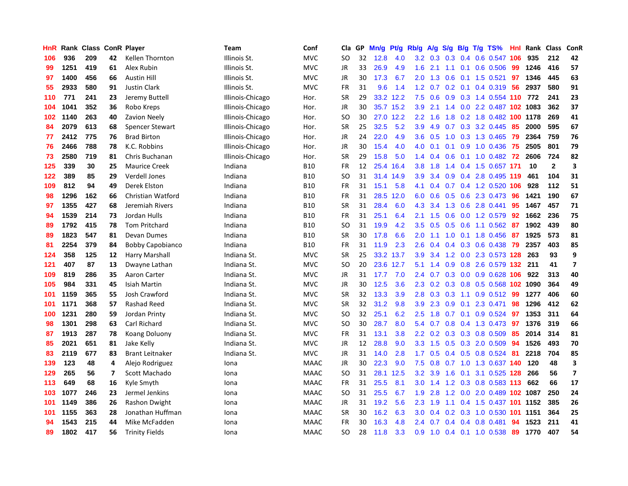| HnR |      | Rank Class ConR Player |    |                         | Team             | Conf        | Cla           | <b>GP</b> | Mn/g | <b>Pt/g</b> | Rb/g             | A/g             | S/g              |     | B/g T/g TS%                | Hnl | Rank | <b>Class</b>   | <b>ConR</b>             |
|-----|------|------------------------|----|-------------------------|------------------|-------------|---------------|-----------|------|-------------|------------------|-----------------|------------------|-----|----------------------------|-----|------|----------------|-------------------------|
| 106 | 936  | 209                    | 42 | Kellen Thornton         | Illinois St.     | <b>MVC</b>  | SO            | 32        | 12.8 | 4.0         |                  | $3.2 \quad 0.3$ |                  |     | 0.3 0.4 0.6 0.547 106      |     | 935  | 212            | 42                      |
| 99  | 1251 | 419                    | 61 | Alex Rubin              | Illinois St.     | <b>MVC</b>  | JR            | 33        | 26.9 | 4.9         | 1.6              | 2.1             |                  |     | 1.1 0.1 0.6 0.506          | -99 | 1246 | 416            | 57                      |
| 97  | 1400 | 456                    | 66 | <b>Austin Hill</b>      | Illinois St.     | <b>MVC</b>  | JR            | 30        | 17.3 | 6.7         | 2.0              | 1.3             |                  |     | $0.6$ 0.1 1.5 0.521        | 97  | 1346 | 445            | 63                      |
| 55  | 2933 | 580                    | 91 | <b>Justin Clark</b>     | Illinois St.     | <b>MVC</b>  | <b>FR</b>     | 31        | 9.6  | 1.4         | 1.2              | 0.7             |                  |     | $0.2$ 0.1 0.4 0.319        | -56 | 2937 | 580            | 91                      |
| 110 | 771  | 241                    | 23 | Jeremy Buttell          | Illinois-Chicago | Hor.        | <b>SR</b>     | 29        |      | 33.2 12.2   | 7.5              | 0.6             | 0.9              |     | 0.3 1.4 0.554 110 772      |     |      | 241            | 23                      |
| 104 | 1041 | 352                    | 36 | Robo Kreps              | Illinois-Chicago | Hor.        | JR            | 30        |      | 35.7 15.2   | 3.9              | 2.1             |                  |     | 1.4 0.0 2.2 0.487 102 1083 |     |      | 362            | 37                      |
| 102 | 1140 | 263                    | 40 | Zavion Neely            | Illinois-Chicago | Hor.        | <b>SO</b>     | 30        |      | 27.0 12.2   | 2.2              | 1.6             | 1.8              |     | 0.2 1.8 0.482 100 1178     |     |      | 269            | 41                      |
| 84  | 2079 | 613                    | 68 | <b>Spencer Stewart</b>  | Illinois-Chicago | Hor.        | <b>SR</b>     | 25        | 32.5 | 5.2         | 3.9              | 4.9             |                  |     | 0.7 0.3 3.2 0.445          | 85  | 2000 | 595            | 67                      |
| 77  | 2412 | 775                    | 76 | <b>Brad Birton</b>      | Illinois-Chicago | Hor.        | JR            | 24        | 22.0 | 4.9         | 3.6              | 0.5             | 1.0              |     | 0.3 1.3 0.465 79           |     | 2364 | 759            | 76                      |
| 76  | 2466 | 788                    | 78 | K.C. Robbins            | Illinois-Chicago | Hor.        | JR            | 30        | 15.4 | 4.0         |                  | $4.0 \quad 0.1$ |                  |     | 0.1 0.9 1.0 0.436 75       |     | 2505 | 801            | 79                      |
| 73  | 2580 | 719                    | 81 | Chris Buchanan          | Illinois-Chicago | Hor.        | <b>SR</b>     | 29        | 15.8 | 5.0         | $1.4^{\circ}$    | 0.4             |                  |     | 0.6 0.1 1.0 0.482 72       |     | 2606 | 724            | 82                      |
| 125 | 339  | 30                     | 25 | <b>Maurice Creek</b>    | Indiana          | <b>B10</b>  | FR            | 12        | 25.4 | 16.4        | 3.8 <sub>2</sub> | 1.8             |                  |     | 1.4 0.4 1.5 0.657 171      |     | 10   | $\overline{2}$ | 3                       |
| 122 | 389  | 85                     | 29 | <b>Verdell Jones</b>    | Indiana          | <b>B10</b>  | <b>SO</b>     | 31        | 31.4 | 14.9        | 3.9              | 3.4             | 0.9 <sub>0</sub> |     | 0.4 2.8 0.495 119          |     | 461  | 104            | 31                      |
| 109 | 812  | 94                     | 49 | Derek Elston            | Indiana          | <b>B10</b>  | FR            | 31        | 15.1 | 5.8         | 4.1              | 0.4             |                  |     | 0.7 0.4 1.2 0.520 106      |     | 928  | 112            | 51                      |
| 98  | 1296 | 162                    | 66 | Christian Watford       | Indiana          | <b>B10</b>  | <b>FR</b>     | 31        | 28.5 | 12.0        | 6.0              | 0.6             |                  |     | $0.5$ 0.6 2.3 0.473        | -96 | 1421 | 190            | 67                      |
| 97  | 1355 | 427                    | 68 | Jeremiah Rivers         | Indiana          | <b>B10</b>  | <b>SR</b>     | 31        | 28.4 | 6.0         | 4.3              | 3.4             | 1.3              |     | 0.6 2.8 0.441              | 95  | 1467 | 457            | 71                      |
| 94  | 1539 | 214                    | 73 | Jordan Hulls            | Indiana          | <b>B10</b>  | <b>FR</b>     | 31        | 25.1 | 6.4         | 2.1              | 1.5             | 0.6              |     | $0.0$ 1.2 0.579            | 92  | 1662 | 236            | 75                      |
| 89  | 1792 | 415                    | 78 | <b>Tom Pritchard</b>    | Indiana          | <b>B10</b>  | <sub>SO</sub> | 31        | 19.9 | 4.2         | 3.5              | 0.5             |                  |     | 0.5 0.6 1.1 0.562 87       |     | 1902 | 439            | 80                      |
| 89  | 1823 | 547                    | 81 | Devan Dumes             | Indiana          | <b>B10</b>  | <b>SR</b>     | 30        | 17.8 | 6.6         | 2.0              |                 |                  |     | 1.1 1.0 0.1 1.8 0.456 87   |     | 1925 | 573            | 81                      |
| 81  | 2254 | 379                    | 84 | <b>Bobby Capobianco</b> | Indiana          | <b>B10</b>  | FR            | 31        | 11.9 | 2.3         | 2.6              | 0.4             |                  |     | $0.4$ 0.3 0.6 0.438        | 79  | 2357 | 403            | 85                      |
| 124 | 358  | 125                    | 12 | Harry Marshall          | Indiana St.      | <b>MVC</b>  | <b>SR</b>     | 25        | 33.2 | 13.7        | 3.9              | 3.4             |                  |     | 1.2 0.0 2.3 0.573 128      |     | 263  | 93             | 9                       |
| 121 | 407  | 87                     | 13 | Dwayne Lathan           | Indiana St.      | <b>MVC</b>  | <b>SO</b>     | 20        | 23.6 | 12.7        | 5.1              | 1.4             | 0.9              |     | 0.8 2.6 0.579 132 211      |     |      | 41             | $\overline{\mathbf{z}}$ |
| 109 | 819  | 286                    | 35 | Aaron Carter            | Indiana St.      | <b>MVC</b>  | JR            | 31        | 17.7 | 7.0         | $2.4^{\circ}$    | 0.7             | 0.3              |     | 0.0 0.9 0.628 106          |     | 922  | 313            | 40                      |
| 105 | 984  | 331                    | 45 | Isiah Martin            | Indiana St.      | <b>MVC</b>  | JR            | 30        | 12.5 | 3.6         | 2.3              | 0.2             | 0.3              |     | 0.8 0.5 0.568 102 1090     |     |      | 364            | 49                      |
| 101 | 1159 | 365                    | 55 | <b>Josh Crawford</b>    | Indiana St.      | <b>MVC</b>  | <b>SR</b>     | 32        | 13.3 | 3.9         | 2.8              | 0.3             | 0.3              | 1.1 | 0.9 0.512 99               |     | 1277 | 406            | 60                      |
| 101 | 1171 | 368                    | 57 | Rashad Reed             | Indiana St.      | <b>MVC</b>  | <b>SR</b>     | 32        | 31.2 | 9.8         | 3.9              | 2.3             | 0.9              |     | $0.1$ 2.3 0.471            | 98  | 1296 | 412            | 62                      |
| 100 | 1231 | 280                    | 59 | Jordan Printy           | Indiana St.      | <b>MVC</b>  | <b>SO</b>     | 32        | 25.1 | 6.2         | 2.5              | 1.8             |                  |     | 0.7 0.1 0.9 0.524 97       |     | 1353 | 311            | 64                      |
| 98  | 1301 | 298                    | 63 | Carl Richard            | Indiana St.      | <b>MVC</b>  | <sub>SO</sub> | 30        | 28.7 | 8.0         | 5.4              | 0.7             |                  |     | 0.8 0.4 1.3 0.473          | 97  | 1376 | 319            | 66                      |
| 87  | 1913 | 287                    | 78 | Koang Doluony           | Indiana St.      | <b>MVC</b>  | FR            | 31        | 13.1 | 3.8         | 2.2              | 0.2             |                  |     | $0.3$ 0.3 0.8 0.509        | 85  | 2014 | 314            | 81                      |
| 85  | 2021 | 651                    | 81 | Jake Kelly              | Indiana St.      | <b>MVC</b>  | JR            | 12        | 28.8 | 9.0         | 3.3              | 1.5             |                  |     | $0.5$ 0.3 2.0 0.509        | 94  | 1526 | 493            | 70                      |
| 83  | 2119 | 677                    | 83 | <b>Brant Leitnaker</b>  | Indiana St.      | <b>MVC</b>  | JR            | 31        | 14.0 | 2.8         | 1.7 <sub>z</sub> | 0.5             |                  |     | 0.4 0.5 0.8 0.524          | -81 | 2218 | 704            | 85                      |
| 139 | 123  | 48                     | 4  | Alejo Rodriguez         | Iona             | <b>MAAC</b> | JR            | 30        | 22.3 | 9.0         | 7.5              | 0.8             |                  |     | 0.7 1.0 1.3 0.637 140      |     | 120  | 48             | 3                       |
| 129 | 265  | 56                     | 7  | Scott Machado           | Iona             | <b>MAAC</b> | <b>SO</b>     | 31        | 28.1 | 12.5        | 3.2              | 3.9             | 1.6              | 0.1 | 3.1 0.525 128              |     | 266  | 56             | $\overline{\mathbf{z}}$ |
| 113 | 649  | 68                     | 16 | Kyle Smyth              | Iona             | <b>MAAC</b> | FR            | 31        | 25.5 | 8.1         | 3.0 <sub>2</sub> | 1.4             |                  |     | 1.2 0.3 0.8 0.583 113      |     | 662  | 66             | 17                      |
| 103 | 1077 | 246                    | 23 | Jermel Jenkins          | Iona             | <b>MAAC</b> | <sub>SO</sub> | 31        | 25.5 | 6.7         |                  | $1.9$ 2.8       |                  |     | 1.2 0.0 2.0 0.489 102 1087 |     |      | 250            | 24                      |
| 101 | 1149 | 386                    | 26 | Rashon Dwight           | Iona             | <b>MAAC</b> | <b>JR</b>     | 31        | 19.2 | 5.6         | 2.3              | 1.9             |                  |     | 1.1 0.4 1.5 0.437 101 1152 |     |      | 385            | 26                      |
| 101 | 1155 | 363                    | 28 | Jonathan Huffman        | Iona             | <b>MAAC</b> | <b>SR</b>     | 30        | 16.2 | 6.3         | 3.0 <sub>2</sub> | 0.4             |                  |     | 0.2 0.3 1.0 0.530 101 1151 |     |      | 364            | 25                      |
| 94  | 1543 | 215                    | 44 | Mike McFadden           | Iona             | <b>MAAC</b> | FR            | 30        | 16.3 | 4.8         | 2.4              | 0.7             |                  |     | 0.4 0.4 0.8 0.481          | 94  | 1523 | 211            | 41                      |
| 89  | 1802 | 417                    | 56 | <b>Trinity Fields</b>   | Iona             | <b>MAAC</b> | SO            | 28        | 11.8 | 3.3         | 0.9 <sub>0</sub> |                 |                  |     | 1.0 0.4 0.1 1.0 0.538 89   |     | 1770 | 407            | 54                      |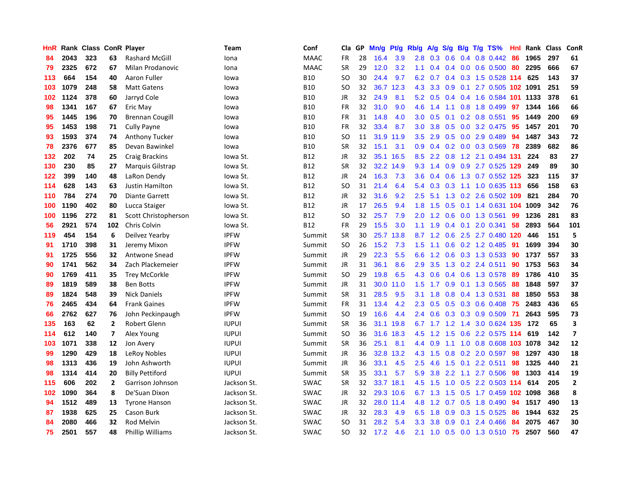| HnR |      | Rank Class ConR Player |                          |                         | Team         | Conf        | Cla       | GP | Mn/g      | <b>Pt/g</b> | Rb/g             | A/g             | S/g           |     | B/g T/g TS%                       | Hnl | Rank | <b>Class</b> | ConR                     |
|-----|------|------------------------|--------------------------|-------------------------|--------------|-------------|-----------|----|-----------|-------------|------------------|-----------------|---------------|-----|-----------------------------------|-----|------|--------------|--------------------------|
| 84  | 2043 | 323                    | 63                       | <b>Rashard McGill</b>   | Iona         | <b>MAAC</b> | FR.       | 28 | 16.4      | 3.9         | 2.8 <sub>1</sub> | 0.3             | 0.6           |     | $0.4$ 0.8 0.442                   | -86 | 1965 | 297          | 61                       |
| 79  | 2325 | 672                    | 67                       | Milan Prodanovic        | Iona         | <b>MAAC</b> | <b>SR</b> | 29 | 12.0      | 3.2         | 1.1              |                 |               |     | $0.4$ 0.4 0.0 0.6 0.500 80        |     | 2295 | 666          | 67                       |
| 113 | 664  | 154                    | 40                       | Aaron Fuller            | lowa         | <b>B10</b>  | SO        | 30 | 24.4      | 9.7         | 6.2              | 0.7             |               |     | 0.4 0.3 1.5 0.528 114             |     | 625  | 143          | 37                       |
| 103 | 1079 | 248                    | 58                       | <b>Matt Gatens</b>      | lowa         | <b>B10</b>  | <b>SO</b> | 32 | 36.7      | 12.3        | 4.3              | 3.3             | 0.9           |     | 0.1 2.7 0.505 102 1091            |     |      | 251          | 59                       |
| 102 | 1124 | 378                    | 60                       | Jarryd Cole             | lowa         | <b>B10</b>  | <b>JR</b> | 32 | 24.9      | 8.1         | 5.2              | 0.5             | $0.4^{\circ}$ |     | 0.4 1.6 0.584 101 1133            |     |      | 378          | 61                       |
| 98  | 1341 | 167                    | 67                       | Eric May                | lowa         | <b>B10</b>  | <b>FR</b> | 32 | 31.0      | 9.0         | 4.6              | 1.4             | 1.1           |     | 0.8 1.8 0.499                     | 97  | 1344 | 166          | 66                       |
| 95  | 1445 | 196                    | 70                       | <b>Brennan Cougill</b>  | lowa         | <b>B10</b>  | <b>FR</b> | 31 | 14.8      | 4.0         | 3.0 <sub>1</sub> | 0.5             | 0.1           |     | $0.2$ 0.8 0.551                   | 95  | 1449 | 200          | 69                       |
| 95  | 1453 | 198                    | 71                       | <b>Cully Payne</b>      | lowa         | <b>B10</b>  | <b>FR</b> | 32 | 33.4      | 8.7         | 3.0 <sub>1</sub> | 3.8             | 0.5           |     | 0.0 3.2 0.475                     | -95 | 1457 | 201          | 70                       |
| 93  | 1593 | 374                    | 74                       | <b>Anthony Tucker</b>   | lowa         | <b>B10</b>  | <b>SO</b> | 11 | 31.9      | 11.9        | $3.5^{\circ}$    | 2.9             | 0.5           |     | 0.0 2.9 0.489                     | -94 | 1487 | 343          | 72                       |
| 78  | 2376 | 677                    | 85                       | Devan Bawinkel          | lowa         | <b>B10</b>  | <b>SR</b> | 32 | 15.1      | 3.1         |                  |                 |               |     | 0.9 0.4 0.2 0.0 0.3 0.569 78      |     | 2389 | 682          | 86                       |
| 132 | 202  | 74                     | 25                       | <b>Craig Brackins</b>   | lowa St.     | <b>B12</b>  | <b>JR</b> | 32 |           | 35.1 16.5   | 8.5              | $2.2^{\circ}$   |               |     | 0.8 1.2 2.1 0.494 131             |     | 224  | 83           | 27                       |
| 130 | 230  | 85                     | 27                       | Marquis Gilstrap        | lowa St.     | <b>B12</b>  | <b>SR</b> | 32 | 32.2      | 14.9        | 9.3              | 1.4             |               |     | 0.9 0.9 2.7 0.525 129 249         |     |      | 89           | 30                       |
| 122 | 399  | 140                    | 48                       | LaRon Dendy             | Iowa St.     | <b>B12</b>  | JR        | 24 | 16.3      | 7.3         | 3.6              | 0.4             | 0.6           |     | 1.3 0.7 0.552 125                 |     | 323  | 115          | 37                       |
| 114 | 628  | 143                    | 63                       | <b>Justin Hamilton</b>  | lowa St.     | B12         | SO        | 31 | 21.4      | 6.4         | 5.4              | 0.3             | 0.3           |     | 1.1 1.0 0.635 113                 |     | 656  | 158          | 63                       |
| 110 | 784  | 274                    | 70                       | Diante Garrett          | lowa St.     | B12         | JR        | 32 | 31.6      | 9.2         | 2.5              | 5.1             | 1.3           |     | $0.2$ 2.6 0.502 109               |     | 821  | 284          | 70                       |
| 100 | 1190 | 402                    | 80                       | Lucca Staiger           | lowa St.     | B12         | JR        | 17 | 26.5      | 9.4         | 1.8              | 1.5             | 0.5           |     | 0.1 1.4 0.631 104                 |     | 1009 | 342          | 76                       |
| 100 | 1196 | 272                    | 81                       | Scott Christopherson    | Iowa St.     | <b>B12</b>  | <b>SO</b> | 32 | 25.7      | 7.9         | 2.0              | 1.2             | 0.6           |     | $0.0$ 1.3 0.561                   | 99  | 1236 | 281          | 83                       |
| 56  | 2921 | 574                    | 102                      | Chris Colvin            | Iowa St.     | <b>B12</b>  | <b>FR</b> | 29 | 15.5      | 3.0         | 1.1              | 1.9             |               |     | $0.4$ 0.1 2.0 0.341               | 58  | 2893 | 564          | 101                      |
| 119 | 454  | 154                    | 6                        | Deilvez Yearby          | <b>IPFW</b>  | Summit      | SR        | 30 |           | 25.7 13.8   |                  | $8.7 \quad 1.2$ |               |     | 0.6 2.5 2.7 0.480 120             |     | 446  | 151          | 5                        |
| 91  | 1710 | 398                    | 31                       | Jeremy Mixon            | <b>IPFW</b>  | Summit      | SO        | 26 | 15.2      | 7.3         | 1.5              | 1.1             |               |     | $0.6$ $0.2$ 1.2 $0.485$           | -91 | 1699 | 394          | 30                       |
| 91  | 1725 | 556                    | 32                       | Antwone Snead           | <b>IPFW</b>  | Summit      | JR        | 29 | 22.3      | 5.5         | 6.6              | 1.2             |               |     | $0.6$ $0.3$ $1.3$ $0.533$         | -90 | 1737 | 557          | 33                       |
| 90  | 1741 | 562                    | 34                       | Zach Plackemeier        | <b>IPFW</b>  | Summit      | JR        | 31 | 36.1      | 8.6         | 2.9              | 3.5             |               |     | 1.3 0.2 2.4 0.511                 | 90  | 1753 | 563          | 34                       |
| 90  | 1769 | 411                    | 35                       | <b>Trey McCorkle</b>    | <b>IPFW</b>  | Summit      | <b>SO</b> | 29 | 19.8      | 6.5         | 4.3              | 0.6             |               |     | 0.4 0.6 1.3 0.578                 | -89 | 1786 | 410          | 35                       |
| 89  | 1819 | 589                    | 38                       | <b>Ben Botts</b>        | <b>IPFW</b>  | Summit      | JR        | 31 | 30.0      | 11.0        | 1.5              | 1.7             | 0.9           |     | $0.1$ 1.3 0.565                   | -88 | 1848 | 597          | 37                       |
| 89  | 1824 | 548                    | 39                       | <b>Nick Daniels</b>     | <b>IPFW</b>  | Summit      | <b>SR</b> | 31 | 28.5      | 9.5         | 3.1              | 1.8             | 0.8           |     | 0.4 1.3 0.531                     | 88  | 1850 | 553          | 38                       |
| 76  | 2465 | 434                    | 64                       | <b>Frank Gaines</b>     | <b>IPFW</b>  | Summit      | <b>FR</b> | 31 | 13.4      | 4.2         | $2.3^{\circ}$    | 0.5             |               |     | 0.5 0.3 0.6 0.408 75              |     | 2483 | 436          | 65                       |
| 66  | 2762 | 627                    | 76                       | John Peckinpaugh        | <b>IPFW</b>  | Summit      | SO        | 19 | 16.6      | 4.4         | 2.4              | 0.6             |               |     | 0.3 0.3 0.9 0.509 71              |     | 2643 | 595          | 73                       |
| 135 | 163  | 62                     | 2                        | Robert Glenn            | <b>IUPUI</b> | Summit      | <b>SR</b> | 36 |           | 31.1 19.8   |                  |                 |               |     | 6.7 1.7 1.2 1.4 3.0 0.624 135 172 |     |      | 65           | 3                        |
| 114 | 612  | 140                    | $\overline{\phantom{a}}$ | Alex Young              | <b>IUPUI</b> | Summit      | <b>SO</b> | 36 | 31.6      | 18.3        | 4.5              | 1.2             | 1.5           |     | 0.6 2.2 0.575 114 619             |     |      | 142          | $\overline{\phantom{a}}$ |
| 103 | 1071 | 338                    | 12                       | Jon Avery               | <b>IUPUI</b> | Summit      | <b>SR</b> | 36 | 25.1      | 8.1         | $4.4^{\circ}$    | 0.9             | 1.1           |     | 1.0 0.8 0.608 103 1078            |     |      | 342          | 12                       |
| 99  | 1290 | 429                    | 18                       | LeRoy Nobles            | <b>IUPUI</b> | Summit      | JR        | 36 | 32.8      | 13.2        | 4.3              | 1.5             | 0.8           |     | $0.2$ 2.0 0.597                   | 98  | 1297 | 430          | 18                       |
| 98  | 1313 | 436                    | 19                       | John Ashworth           | <b>IUPUI</b> | Summit      | <b>JR</b> | 36 | 33.1      | 4.5         | 2.5              | 4.6             | 1.5           | 0.1 | 2.2 0.511                         | 98  | 1325 | 440          | 21                       |
| 98  | 1314 | 414                    | 20                       | <b>Billy Pettiford</b>  | <b>IUPUI</b> | Summit      | <b>SR</b> | 35 | 33.1      | 5.7         | 5.9              | 3.8             | $2.2^{\circ}$ | 1.1 | 2.7 0.506                         | -98 | 1303 | 414          | 19                       |
| 115 | 606  | 202                    | 2                        | Garrison Johnson        | Jackson St.  | <b>SWAC</b> | <b>SR</b> | 32 | 33.7 18.1 |             | 4.5              | 1.5             | 1.0           |     | 0.5 2.2 0.503 114                 |     | 614  | 205          | $\mathbf{2}$             |
| 102 | 1090 | 364                    | 8                        | De'Suan Dixon           | Jackson St.  | <b>SWAC</b> | JR        | 32 |           | 29.3 10.6   |                  | 6.7 1.3         | 1.5           |     | 0.5 1.7 0.459 102 1098            |     |      | 368          | 8                        |
| 94  | 1512 | 489                    | 13                       | <b>Tyrone Hanson</b>    | Jackson St.  | <b>SWAC</b> | JR        | 32 |           | 28.0 11.4   | 4.8              | 1.2             |               |     | 0.7 0.5 1.8 0.490                 | 94  | 1517 | 490          | 13                       |
| 87  | 1938 | 625                    | 25                       | Cason Burk              | Jackson St.  | <b>SWAC</b> | JR        | 32 | 28.3      | 4.9         | 6.5              | 1.8             | 0.9           |     | $0.3$ 1.5 0.525                   | 86  | 1944 | 632          | 25                       |
| 84  | 2080 | 466                    | 32                       | Rod Melvin              | Jackson St.  | SWAC        | <b>SO</b> | 31 | 28.2      | 5.4         | 3.3              | 3.8             | 0.9           | 0.1 | 2.4 0.466                         | 84  | 2075 | 467          | 30                       |
| 75  | 2501 | 557                    | 48                       | <b>Phillip Williams</b> | Jackson St.  | <b>SWAC</b> | SO        | 32 | 17.2      | 4.6         | 2.1              | 1.0             |               |     | $0.5$ 0.0 1.3 0.510               | 75  | 2507 | 560          | 47                       |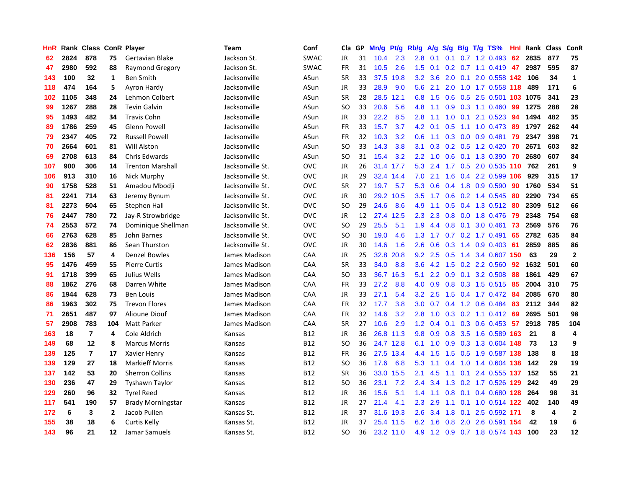| HnR |      | Rank Class ConR Player |                |                          | Team             | Conf        | Cla           | GP | Mn/g      | <b>Pt/g</b> | Rb/g             | A/g             | S/g              |     | $B/g$ T/g TS%             | Hnl | Rank | <b>Class</b> | ConR           |
|-----|------|------------------------|----------------|--------------------------|------------------|-------------|---------------|----|-----------|-------------|------------------|-----------------|------------------|-----|---------------------------|-----|------|--------------|----------------|
| 62  | 2824 | 878                    | 75             | Gertavian Blake          | Jackson St.      | <b>SWAC</b> | JR            | 31 | 10.4      | 2.3         | 2.8              | 0.1             | 0.1              |     | $0.7$ 1.2 0.493           | 62  | 2835 | 877          | 75             |
| 47  | 2980 | 592                    | 88             | <b>Raymond Gregory</b>   | Jackson St.      | <b>SWAC</b> | FR            | 31 | 10.5      | 2.6         | 1.5              | 0.1             |                  |     | $0.2$ 0.7 1.1 0.419 47    |     | 2987 | 595          | 87             |
| 143 | 100  | 32                     | 1              | <b>Ben Smith</b>         | Jacksonville     | ASun        | <b>SR</b>     | 33 | 37.5      | 19.8        | 3.2              | 3.6             |                  |     | 2.0 0.1 2.0 0.558 142     |     | 106  | 34           | $\mathbf{1}$   |
| 118 | 474  | 164                    | 5              | Ayron Hardy              | Jacksonville     | ASun        | JR            | 33 | 28.9      | 9.0         | 5.6              | 2.1             |                  |     | 2.0 1.0 1.7 0.558 118     |     | 489  | 171          | 6              |
| 102 | 1105 | 348                    | 24             | Lehmon Colbert           | Jacksonville     | ASun        | <b>SR</b>     | 28 | 28.5      | 12.1        | 6.8              | 1.5             | 0.6              |     | 0.5 2.5 0.501 103 1075    |     |      | 341          | 23             |
| 99  | 1267 | 288                    | 28             | <b>Tevin Galvin</b>      | Jacksonville     | ASun        | SO.           | 33 | 20.6      | 5.6         | 4.8              | 1.1             | 0.9              |     | $0.3$ 1.1 $0.460$         | 99  | 1275 | 288          | 28             |
| 95  | 1493 | 482                    | 34             | <b>Travis Cohn</b>       | Jacksonville     | ASun        | JR            | 33 | 22.2      | 8.5         | 2.8              | 1.1             | 1.0              | 0.1 | 2.1 0.523                 | 94  | 1494 | 482          | 35             |
| 89  | 1786 | 259                    | 45             | Glenn Powell             | Jacksonville     | ASun        | FR            | 33 | 15.7      | 3.7         | 4.2              | 0.1             | 0.5              |     | 1.1 1.0 0.473             | -89 | 1797 | 262          | 44             |
| 79  | 2347 | 405                    | 72             | <b>Russell Powell</b>    | Jacksonville     | ASun        | FR            | 32 | 10.3      | 3.2         | 0.6              | 1.1             | 0.3              |     | $0.0$ 0.9 0.481           | 79  | 2347 | 398          | 71             |
| 70  | 2664 | 601                    | 81             | <b>Will Alston</b>       | Jacksonville     | ASun        | SO            | 33 | 14.3      | 3.8         | 3.1              | 0.3             |                  |     | $0.2$ $0.5$ 1.2 $0.420$   | 70  | 2671 | 603          | 82             |
| 69  | 2708 | 613                    | 84             | Chris Edwards            | Jacksonville     | ASun        | <sub>SO</sub> | 31 | 15.4      | 3.2         | 2.2              | 1.0             |                  |     | 0.6 0.1 1.3 0.390 70      |     | 2680 | 607          | 84             |
| 107 | 900  | 306                    | 14             | <b>Trenton Marshall</b>  | Jacksonville St. | <b>OVC</b>  | JR            | 26 | 31.4 17.7 |             | 5.3              | 2.4             |                  |     | 1.7 0.5 2.0 0.535 110 762 |     |      | 261          | 9              |
| 106 | 913  | 310                    | 16             | Nick Murphy              | Jacksonville St. | <b>OVC</b>  | JR            | 29 |           | 32.4 14.4   | 7.0              | 2.1             | 1.6              |     | 0.4 2.2 0.599 106         |     | 929  | 315          | 17             |
| 90  | 1758 | 528                    | 51             | Amadou Mbodji            | Jacksonville St. | <b>OVC</b>  | <b>SR</b>     | 27 | 19.7      | 5.7         | 5.3              | 0.6             | 0.4              |     | 1.8 0.9 0.590             | 90  | 1760 | 534          | 51             |
| 81  | 2241 | 714                    | 63             | Jeremy Bynum             | Jacksonville St. | <b>OVC</b>  | JR            | 30 | 29.2      | 10.5        | 3.5              | 1.7             | 0.6              |     | 0.2 1.4 0.545             | 80  | 2290 | 734          | 65             |
| 81  | 2273 | 504                    | 65             | Stephen Hall             | Jacksonville St. | <b>OVC</b>  | SO            | 29 | 24.6      | 8.6         | 4.9              | $-1.1$          |                  |     | 0.5 0.4 1.3 0.512         | -80 | 2309 | 512          | 66             |
| 76  | 2447 | 780                    | 72             | Jay-R Strowbridge        | Jacksonville St. | <b>OVC</b>  | JR            | 12 | 27.4      | 12.5        | 2.3              | 2.3             | 0.8              |     | 0.0 1.8 0.476             | -79 | 2348 | 754          | 68             |
| 74  | 2553 | 572                    | 74             | Dominique Shellman       | Jacksonville St. | <b>OVC</b>  | <sub>SO</sub> | 29 | 25.5      | 5.1         | 1.9              | 4.4             | 0.8              | 0.1 | 3.0 0.461                 | 73  | 2569 | 576          | 76             |
| 66  | 2763 | 628                    | 85             | John Barnes              | Jacksonville St. | <b>OVC</b>  | <sub>SO</sub> | 30 | 19.0      | 4.6         |                  | $1.3 \quad 1.7$ |                  |     | $0.7$ $0.2$ 1.7 $0.491$   | 65  | 2782 | 635          | 84             |
| 62  | 2836 | 881                    | 86             | Sean Thurston            | Jacksonville St. | <b>OVC</b>  | JR            | 30 | 14.6      | 1.6         | 2.6              | 0.6             |                  |     | $0.3$ 1.4 0.9 0.403       | -61 | 2859 | 885          | 86             |
| 136 | 156  | 57                     | 4              | <b>Denzel Bowles</b>     | James Madison    | CAA         | JR            | 25 | 32.8      | 20.8        | 9.2              | 2.5             |                  |     | 0.5 1.4 3.4 0.607 150     |     | 63   | 29           | $\overline{2}$ |
| 95  | 1476 | 459                    | 55             | <b>Pierre Curtis</b>     | James Madison    | CAA         | <b>SR</b>     | 33 | 34.0      | 8.8         | 3.6              | 4.2             | 1.5              |     | 0.2 2.2 0.560             | 92  | 1632 | 501          | 60             |
| 91  | 1718 | 399                    | 65             | Julius Wells             | James Madison    | CAA         | <sub>SO</sub> | 33 | 36.7      | 16.3        | 5.1              | 2.2             | 0.9              |     | 0.1 3.2 0.508             | 88  | 1861 | 429          | 67             |
| 88  | 1862 | 276                    | 68             | Darren White             | James Madison    | CAA         | <b>FR</b>     | 33 | 27.2      | 8.8         | 4.0              | 0.9             | 0.8              |     | $0.3$ 1.5 0.515           | -85 | 2004 | 310          | 75             |
| 86  | 1944 | 628                    | 73             | <b>Ben Louis</b>         | James Madison    | CAA         | JR            | 33 | 27.1      | 5.4         | 3.2              | 2.5             | 1.5              |     | 0.4 1.7 0.472 84          |     | 2085 | 670          | 80             |
| 86  | 1963 | 302                    | 75             | <b>Trevon Flores</b>     | James Madison    | CAA         | <b>FR</b>     | 32 | 17.7      | 3.8         | 3.0 <sub>2</sub> | 0.7             |                  |     | 0.4 1.2 0.6 0.484         | -83 | 2112 | 344          | 82             |
| 71  | 2651 | 487                    | 97             | <b>Alioune Diouf</b>     | James Madison    | CAA         | FR            | 32 | 14.6      | 3.2         | 2.8              | 1.0             |                  |     | 0.3 0.2 1.1 0.412 69      |     | 2695 | 501          | 98             |
| 57  | 2908 | 783                    | 104            | Matt Parker              | James Madison    | CAA         | <b>SR</b>     | 27 | 10.6      | 2.9         | 1.2              | 0.4             |                  |     | $0.1$ 0.3 0.6 0.453 57    |     | 2918 | 785          | 104            |
| 163 | 18   | $\overline{7}$         | 4              | Cole Aldrich             | Kansas           | <b>B12</b>  | JR            | 36 |           | 26.8 11.3   | 9.8              | 0.9             |                  |     | 0.8 3.5 1.6 0.589 163     |     | 21   | 8            | $\overline{a}$ |
| 149 | 68   | 12                     | 8              | <b>Marcus Morris</b>     | Kansas           | <b>B12</b>  | <sub>SO</sub> | 36 |           | 24.7 12.8   | 6.1              | 1.0             | 0.9 <sub>0</sub> |     | 0.3 1.3 0.604 148         |     | 73   | 13           | 9              |
| 139 | 125  | $\overline{7}$         | 17             | Xavier Henry             | Kansas           | B12         | <b>FR</b>     | 36 | 27.5      | 13.4        | 4.4              | 1.5             | 1.5              |     | 0.5 1.9 0.587 138         |     | 138  | 8            | 18             |
| 139 | 129  | 27                     | 18             | <b>Markieff Morris</b>   | Kansas           | <b>B12</b>  | <b>SO</b>     | 36 | 17.6      | 6.8         | 5.3              | 1.1             | 0.4              |     | 1.0 1.4 0.604 138         |     | 142  | 29           | 19             |
| 137 | 142  | 53                     | 20             | <b>Sherron Collins</b>   | Kansas           | B12         | <b>SR</b>     | 36 | 33.0      | 15.5        | 2.1              | 4.5             | 1.1              | 0.1 | 2.4 0.555 137             |     | 152  | 55           | 21             |
| 130 | 236  | 47                     | 29             | <b>Tyshawn Taylor</b>    | Kansas           | <b>B12</b>  | <sub>SO</sub> | 36 | 23.1      | 7.2         | 2.4              | 3.4             | 1.3              |     | $0.2$ 1.7 $0.526$         | 129 | 242  | 49           | 29             |
| 129 | 260  | 96                     | 32             | <b>Tyrel Reed</b>        | Kansas           | <b>B12</b>  | JR            | 36 | 15.6      | 5.1         | 1.4              | 1.1             |                  |     | 0.8 0.1 0.4 0.680 128     |     | 264  | 98           | 31             |
| 117 | 541  | 190                    | 57             | <b>Brady Morningstar</b> | Kansas           | <b>B12</b>  | JR            | 27 | 21.4      | 4.1         | 2.3              | 2.9             |                  |     | 1.1 0.1 1.0 0.514 122     |     | 402  | 140          | 49             |
| 172 | 6    | 3                      | $\overline{2}$ | Jacob Pullen             | Kansas St.       | B12         | JR            | 37 |           | 31.6 19.3   | $2.6\,$          | 3.4             | 1.8              |     | 0.1 2.5 0.592 171         |     | 8    | 4            | $\overline{2}$ |
| 155 | 38   | 18                     | 6              | Curtis Kelly             | Kansas St.       | <b>B12</b>  | <b>JR</b>     | 37 |           | 25.4 11.5   | 6.2              | 1.6             | 0.8              |     | 2.0 2.6 0.591 154         |     | 42   | 19           | 6              |
| 143 | 96   | 21                     | 12             | Jamar Samuels            | Kansas St.       | B12         | SO.           | 36 |           | 23.2 11.0   | 4.9              |                 |                  |     | 1.2 0.9 0.7 1.8 0.574 143 |     | 100  | 23           | 12             |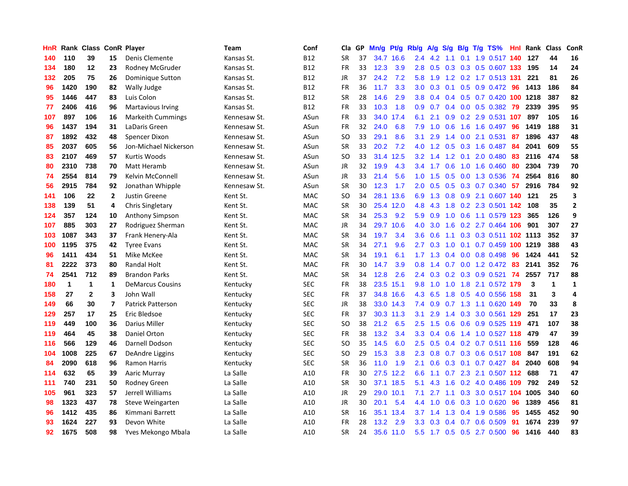| HnR |      | Rank Class ConR Player |              |                          | <b>Team</b>  | Conf       | Cla       | <b>GP</b> | Mn/g | Pt/g      | Rb/g             | A/g | S/g              |  | B/g T/g TS%                  | Hnl | Rank     | <b>Class</b> | <b>ConR</b>             |
|-----|------|------------------------|--------------|--------------------------|--------------|------------|-----------|-----------|------|-----------|------------------|-----|------------------|--|------------------------------|-----|----------|--------------|-------------------------|
| 140 | 110  | 39                     | 15           | Denis Clemente           | Kansas St.   | <b>B12</b> | <b>SR</b> | 37        |      | 34.7 16.6 | $2.4^{\circ}$    | 4.2 | 1.1              |  | 0.1 1.9 0.517 140            |     | 127      | 44           | 16                      |
| 134 | 180  | 12                     | 23           | Rodney McGruder          | Kansas St.   | <b>B12</b> | FR        | 33        | 12.3 | 3.9       | 2.8              | 0.5 |                  |  | 0.3 0.3 0.5 0.607 133        |     | 195      | 14           | 24                      |
| 132 | 205  | 75                     | 26           | Dominique Sutton         | Kansas St.   | <b>B12</b> | <b>JR</b> | 37        | 24.2 | 7.2       | 5.8              | 1.9 |                  |  | 1.2 0.2 1.7 0.513 131        |     | 221      | 81           | 26                      |
| 96  | 1420 | 190                    | 82           | Wally Judge              | Kansas St.   | <b>B12</b> | <b>FR</b> | 36        | 11.7 | 3.3       | 3.0 <sub>1</sub> | 0.3 |                  |  | 0.1 0.5 0.9 0.472 96         |     | 1413     | 186          | 84                      |
| 95  | 1446 | 447                    | 83           | Luis Colon               | Kansas St.   | <b>B12</b> | <b>SR</b> | 28        | 14.6 | 2.9       | 3.8 <sub>2</sub> | 0.4 |                  |  | $0.4$ 0.5 0.7 0.420          |     | 100 1218 | 387          | 82                      |
| 77  | 2406 | 416                    | 96           | Martavious Irving        | Kansas St.   | <b>B12</b> | <b>FR</b> | 33        | 10.3 | 1.8       | 0.9 <sub>0</sub> | 0.7 |                  |  | $0.4$ 0.0 0.5 0.382          | -79 | 2339     | 395          | 95                      |
| 107 | 897  | 106                    | 16           | <b>Markeith Cummings</b> | Kennesaw St. | ASun       | <b>FR</b> | 33        | 34.0 | 17.4      | 6.1              | 2.1 | 0.9 <sup>°</sup> |  | 0.2 2.9 0.531 107            |     | 897      | 105          | 16                      |
| 96  | 1437 | 194                    | 31           | LaDaris Green            | Kennesaw St. | ASun       | <b>FR</b> | 32        | 24.0 | 6.8       | 7.9              | 1.0 | 0.6              |  | 1.6 1.6 0.497                | -96 | 1419     | 188          | 31                      |
| 87  | 1892 | 432                    | 48           | Spencer Dixon            | Kennesaw St. | ASun       | <b>SO</b> | 33        | 29.1 | 8.6       | 3.1              | 2.9 | 1.4              |  | $0.0$ 2.1 0.531              | 87  | 1896     | 437          | 48                      |
| 85  | 2037 | 605                    | 56           | Jon-Michael Nickerson    | Kennesaw St. | ASun       | <b>SR</b> | 33        | 20.2 | 7.2       |                  |     |                  |  | 4.0 1.2 0.5 0.3 1.6 0.487 84 |     | 2041     | 609          | 55                      |
| 83  | 2107 | 469                    | 57           | Kurtis Woods             | Kennesaw St. | ASun       | <b>SO</b> | 33        |      | 31.4 12.5 | 3.2              | 1.4 |                  |  | 1.2 0.1 2.0 0.480            | -83 | 2116     | 474          | 58                      |
| 80  | 2310 | 738                    | 70           | Matt Heramb              | Kennesaw St. | ASun       | JR        | 32        | 19.9 | 4.3       | $3.4^{\circ}$    | 1.7 |                  |  | $0.6$ 1.0 1.6 0.460          | -80 | 2304     | 739          | 70                      |
| 74  | 2554 | 814                    | 79           | Kelvin McConnell         | Kennesaw St. | ASun       | JR        | 33        | 21.4 | 5.6       | 1.0              | 1.5 | 0.5              |  | 0.0 1.3 0.536                | -74 | 2564     | 816          | 80                      |
| 56  | 2915 | 784                    | 92           | Jonathan Whipple         | Kennesaw St. | ASun       | <b>SR</b> | 30        | 12.3 | 1.7       | 2.0 <sub>1</sub> | 0.5 |                  |  | $0.5$ $0.3$ $0.7$ $0.340$    | 57  | 2916     | 784          | 92                      |
| 141 | 106  | 22                     | $\mathbf{2}$ | Justin Greene            | Kent St.     | <b>MAC</b> | <b>SO</b> | 34        | 28.1 | 13.6      | 6.9              | 1.3 | 0.8              |  | 0.9 2.1 0.607 140            |     | 121      | 25           | $\overline{\mathbf{3}}$ |
| 138 | 139  | 51                     | 4            | Chris Singletary         | Kent St.     | <b>MAC</b> | <b>SR</b> | 30        |      | 25.4 12.0 | 4.8              | 4.3 | 1.8              |  | 0.2 2.3 0.501 142            |     | 108      | 35           | $\mathbf{2}$            |
| 124 | 357  | 124                    | 10           | Anthony Simpson          | Kent St.     | <b>MAC</b> | SR        | 34        | 25.3 | 9.2       | 5.9              | 0.9 | 1.0              |  | 0.6 1.1 0.579 123            |     | 365      | 126          | 9                       |
| 107 | 885  | 303                    | 27           | Rodriguez Sherman        | Kent St.     | <b>MAC</b> | JR        | 34        |      | 29.7 10.6 | 4.0              | 3.0 |                  |  | 1.6 0.2 2.7 0.464 106 901    |     |          | 307          | 27                      |
| 103 | 1087 | 343                    | 37           | Frank Henery-Ala         | Kent St.     | <b>MAC</b> | <b>SR</b> | 34        | 19.7 | 3.4       | 3.6              | 0.6 |                  |  | 1.1 0.3 0.3 0.511 102 1113   |     |          | 352          | 37                      |
| 100 | 1195 | 375                    | 42           | <b>Tyree Evans</b>       | Kent St.     | <b>MAC</b> | <b>SR</b> | 34        | 27.1 | 9.6       | $2.7^{\circ}$    | 0.3 | 1.0              |  | 0.1 0.7 0.459 100 1219       |     |          | 388          | 43                      |
| 96  | 1411 | 434                    | 51           | Mike McKee               | Kent St.     | MAC        | SR        | 34        | 19.1 | 6.1       | 1.7 <sub>z</sub> | 1.3 |                  |  | $0.4$ 0.0 0.8 0.498          | -96 | 1424     | 441          | 52                      |
| 81  | 2222 | 373                    | 80           | <b>Randal Holt</b>       | Kent St.     | <b>MAC</b> | <b>FR</b> | 30        | 14.7 | 3.9       | 0.8              | 1.4 | 0.7              |  | $0.0$ 1.2 $0.472$            | -83 | 2141     | 352          | 76                      |
| 74  | 2541 | 712                    | 89           | <b>Brandon Parks</b>     | Kent St.     | MAC        | <b>SR</b> | 34        | 12.8 | 2.6       | $2.4^{\circ}$    | 0.3 |                  |  | $0.2$ 0.3 0.9 0.521          | 74  | 2557     | 717          | 88                      |
| 180 | 1    | 1                      | $\mathbf{1}$ | <b>DeMarcus Cousins</b>  | Kentucky     | <b>SEC</b> | <b>FR</b> | 38        | 23.5 | 15.1      | 9.8              | 1.0 | 1.0              |  | 1.8 2.1 0.572 179            |     | 3        | $\mathbf{1}$ | $\mathbf{1}$            |
| 158 | 27   | $\mathbf{2}$           | 3            | John Wall                | Kentucky     | <b>SEC</b> | <b>FR</b> | 37        | 34.8 | 16.6      | 4.3              | 6.5 | 1.8              |  | 0.5 4.0 0.556 158            |     | 31       | 3            | 4                       |
| 149 | 66   | 30                     | 7            | <b>Patrick Patterson</b> | Kentucky     | <b>SEC</b> | <b>JR</b> | 38        |      | 33.0 14.3 | 7.4              | 0.9 |                  |  | 0.7 1.3 1.1 0.620 149        |     | 70       | 33           | 8                       |
| 129 | 257  | 17                     | 25           | Eric Bledsoe             | Kentucky     | <b>SEC</b> | <b>FR</b> | 37        |      | 30.3 11.3 | 3.1              | 2.9 |                  |  | 1.4 0.3 3.0 0.561 129 251    |     |          | 17           | 23                      |
| 119 | 449  | 100                    | 36           | Darius Miller            | Kentucky     | <b>SEC</b> | <b>SO</b> | 38        | 21.2 | 6.5       | 2.5              | 1.5 |                  |  | 0.6 0.6 0.9 0.525 119 471    |     |          | 107          | 38                      |
| 119 | 464  | 45                     | 38           | <b>Daniel Orton</b>      | Kentucky     | <b>SEC</b> | <b>FR</b> | 38        | 13.2 | 3.4       | 3.3 <sub>2</sub> | 0.4 | 0.6              |  | 1.4 1.0 0.527 118            |     | 479      | 47           | 39                      |
| 116 | 566  | 129                    | 46           | Darnell Dodson           | Kentucky     | <b>SEC</b> | <b>SO</b> | 35        | 14.5 | 6.0       | 2.5              | 0.5 |                  |  | 0.4 0.2 0.7 0.511 116        |     | 559      | 128          | 46                      |
| 104 | 1008 | 225                    | 67           | DeAndre Liggins          | Kentucky     | <b>SEC</b> | SO        | 29        | 15.3 | 3.8       | 2.3              | 0.8 | 0.7              |  | 0.3 0.6 0.517 108            |     | 847      | 191          | 62                      |
| 84  | 2090 | 618                    | 96           | <b>Ramon Harris</b>      | Kentucky     | <b>SEC</b> | <b>SR</b> | 36        | 11.0 | 1.9       | 2.1              | 0.6 | 0.3              |  | $0.1$ 0.7 0.427              | -84 | 2040     | 608          | 94                      |
| 114 | 632  | 65                     | 39           | Aaric Murray             | La Salle     | A10        | <b>FR</b> | 30        | 27.5 | 12.2      | 6.6              | 1.1 | 0.7              |  | 2.3 2.1 0.507 112 688        |     |          | 71           | 47                      |
| 111 | 740  | 231                    | 50           | Rodney Green             | La Salle     | A10        | <b>SR</b> | 30        |      | 37.1 18.5 | 5.1              | 4.3 | 1.6              |  | 0.2 4.0 0.486 109            |     | 792      | 249          | 52                      |
| 105 | 961  | 323                    | 57           | Jerrell Williams         | La Salle     | A10        | <b>JR</b> | 29        |      | 29.0 10.1 | 7.1              | 2.7 |                  |  | 1.1 0.3 3.0 0.517 104 1005   |     |          | 340          | 60                      |
| 98  | 1323 | 437                    | 78           | Steve Weingarten         | La Salle     | A10        | <b>JR</b> | 30        | 20.1 | 5.4       | $4.4^{\circ}$    | 1.0 |                  |  | $0.6$ $0.3$ $1.0$ $0.620$    | -96 | 1389     | 456          | 81                      |
| 96  | 1412 | 435                    | 86           | Kimmani Barrett          | La Salle     | A10        | <b>SR</b> | 16        |      | 35.1 13.4 | 3.7              | 1.4 | 1.3              |  | 0.4 1.9 0.586                | -95 | 1455     | 452          | 90                      |
| 93  | 1624 | 227                    | 93           | Devon White              | La Salle     | A10        | <b>FR</b> | 28        | 13.2 | 2.9       | 3.3 <sub>2</sub> | 0.3 | $0.4^{\circ}$    |  | $0.7$ 0.6 0.509              | 91  | 1674     | 239          | 97                      |
| 92  | 1675 | 508                    | 98           | Yves Mekongo Mbala       | La Salle     | A10        | <b>SR</b> | 24        |      | 35.6 11.0 | 5.5              |     |                  |  | 1.7 0.5 0.5 2.7 0.500        | 96  | 1416     | 440          | 83                      |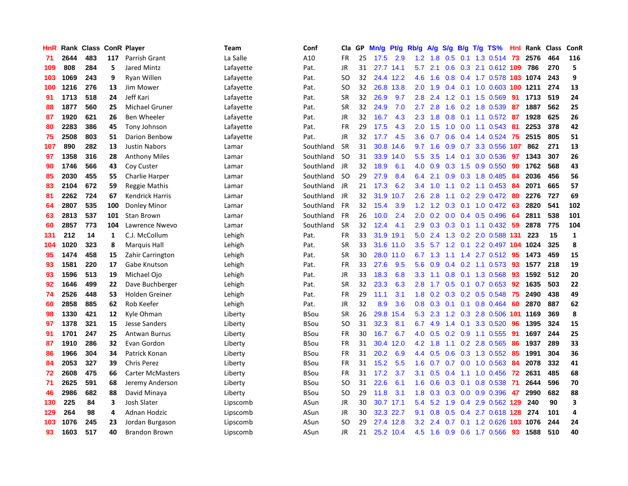| HnR |      | Rank Class ConR Player |     |                         | Team      | Conf        | Cla       | GP | Mn/g      | Pt/g      | Rb/g             | A/g       | S/g              |     | B/g T/g TS%                | Hnl | Rank | <b>Class</b> | ConR         |
|-----|------|------------------------|-----|-------------------------|-----------|-------------|-----------|----|-----------|-----------|------------------|-----------|------------------|-----|----------------------------|-----|------|--------------|--------------|
| 71  | 2644 | 483                    | 117 | Parrish Grant           | La Salle  | A10         | FR        | 25 | 17.5      | 2.9       |                  | $1.2$ 1.8 | 0.5              |     | $0.1$ 1.3 0.514            | -73 | 2576 | 464          | 116          |
| 109 | 808  | 284                    | 5   | <b>Jared Mintz</b>      | Lafayette | Pat.        | JR        | 31 | 27.7 14.1 |           | 5.7              | 2.1       |                  |     | 0.6 0.3 2.1 0.612 109      |     | 786  | 270          | 5            |
| 103 | 1069 | 243                    | 9   | Ryan Willen             | Lafayette | Pat.        | SO        | 32 |           | 24.4 12.2 | 4.6              | 1.6       |                  |     | 0.8 0.4 1.7 0.578 103 1074 |     |      | 243          | 9            |
| 100 | 1216 | 276                    | 13  | Jim Mower               | Lafayette | Pat.        | <b>SO</b> | 32 | 26.8      | 13.8      | 2.0 <sub>1</sub> | 1.9       |                  |     | 0.4 0.1 1.0 0.603 100 1211 |     |      | 274          | 13           |
| 91  | 1713 | 518                    | 24  | Jeff Kari               | Lafayette | Pat.        | <b>SR</b> | 32 | 26.9      | 9.7       | 2.8              | 2.4       | 1.2              |     | $0.1$ 1.5 0.569            | 91  | 1713 | 519          | 24           |
| 88  | 1877 | 560                    | 25  | Michael Gruner          | Lafayette | Pat.        | <b>SR</b> | 32 | 24.9      | 7.0       | 2.7              | 2.8       | 1.6              |     | 0.2 1.8 0.539              | 87  | 1887 | 562          | 25           |
| 87  | 1920 | 621                    | 26  | Ben Wheeler             | Lafayette | Pat.        | <b>JR</b> | 32 | 16.7      | 4.3       | 2.3              | 1.8       | 0.8              |     | $0.1$ 1.1 0.572            | -87 | 1928 | 625          | 26           |
| 80  | 2283 | 386                    | 45  | Tony Johnson            | Lafayette | Pat.        | FR        | 29 | 17.5      | 4.3       | 2.0              | 1.5       | 1.0              |     | $0.0$ 1.1 0.543            | -81 | 2253 | 378          | 42           |
| 75  | 2508 | 803                    | 51  | Darion Benbow           | Lafayette | Pat.        | JR        | 32 | 17.7      | 4.5       | 3.6 <sub>2</sub> | 0.7       | 0.6              |     | $0.4$ 1.4 0.524            | 75  | 2515 | 805          | 51           |
| 107 | 890  | 282                    | 13  | <b>Justin Nabors</b>    | Lamar     | Southland   | SR        | 31 | 30.8      | 14.6      |                  | $9.7$ 1.6 |                  |     | 0.9 0.7 3.3 0.556 107      |     | 862  | 271          | 13           |
| 97  | 1358 | 316                    | 28  | <b>Anthony Miles</b>    | Lamar     | Southland   | <b>SO</b> | 31 | 33.9      | 14.0      | 5.5              | 3.5       |                  |     | 1.4 0.1 3.0 0.536          | -97 | 1343 | 307          | 26           |
| 90  | 1746 | 566                    | 43  | Coy Custer              | Lamar     | Southland   | JR        | 32 | 18.9      | 6.1       | 4.0              | 0.9       |                  |     | 0.3 1.5 0.9 0.550          | -90 | 1762 | 568          | 43           |
| 85  | 2030 | 455                    | 55  | <b>Charlie Harper</b>   | Lamar     | Southland   | <b>SO</b> | 29 | 27.9      | 8.4       | 6.4              | 2.1       | 0.9 <sub>0</sub> |     | 0.3 1.8 0.485              | -84 | 2036 | 456          | 56           |
| 83  | 2104 | 672                    | 59  | Reggie Mathis           | Lamar     | Southland   | JR        | 21 | 17.3      | 6.2       | 3.4              | 1.0       | 1.1              |     | $0.2$ 1.1 0.453            | -84 | 2071 | 665          | 57           |
| 81  | 2262 | 724                    | 67  | <b>Kendrick Harris</b>  | Lamar     | Southland   | JR        | 32 | 31.9      | 10.7      | 2.6              | 2.8       | 1.1              |     | $0.2$ 2.9 $0.472$          | -80 | 2276 | 727          | 69           |
| 64  | 2807 | 535                    | 100 | Donley Minor            | Lamar     | Southland   | <b>FR</b> | 32 | 15.4      | 3.9       | 1.2              | 1.2       | 0.3              |     | $0.1$ 1.0 0.472            | -63 | 2820 | 541          | 102          |
| 63  | 2813 | 537                    | 101 | <b>Stan Brown</b>       | Lamar     | Southland   | <b>FR</b> | 26 | 10.0      | 2.4       | 2.0 <sub>1</sub> | 0.2       | 0.0 <sub>1</sub> |     | $0.4$ 0.5 0.496            | 64  | 2811 | 538          | 101          |
| 60  | 2857 | 773                    | 104 | Lawrence Nwevo          | Lamar     | Southland   | <b>SR</b> | 32 | 12.4      | 4.1       | 2.9              | 0.3       |                  |     | 0.3 0.1 1.1 0.432 59       |     | 2878 | 775          | 104          |
| 131 | 212  | 14                     | 1   | C.J. McCollum           | Lehigh    | Pat.        | <b>FR</b> | 33 | 31.9 19.1 |           | 5.0              | 2.4       |                  |     | 1.3 0.2 2.0 0.588 131      |     | 223  | 15           | $\mathbf{1}$ |
| 104 | 1020 | 323                    | 8   | <b>Marquis Hall</b>     | Lehigh    | Pat.        | <b>SR</b> | 33 |           | 31.6 11.0 | 3.5              | 5.7       |                  |     | 1.2 0.1 2.2 0.497 104 1024 |     |      | 325          | 8            |
| 95  | 1474 | 458                    | 15  | Zahir Carrington        | Lehigh    | Pat.        | <b>SR</b> | 30 | 28.0      | 11.0      | 6.7              | 1.3       | 1.1              | 1.4 | 2.7 0.512                  | -95 | 1473 | 459          | 15           |
| 93  | 1581 | 220                    | 17  | Gabe Knutson            | Lehigh    | Pat.        | FR        | 33 | 27.6      | 9.5       | 5.6              | 0.9       |                  |     | $0.4$ 0.2 1.1 0.573        | 93  | 1577 | 218          | 19           |
| 93  | 1596 | 513                    | 19  | Michael Ojo             | Lehigh    | Pat.        | JR        | 33 | 18.3      | 6.8       | 3.3              | 1.1       | 0.8              |     | 0.1 1.3 0.568              | 93  | 1592 | 512          | 20           |
| 92  | 1646 | 499                    | 22  | Dave Buchberger         | Lehigh    | Pat.        | <b>SR</b> | 32 | 23.3      | 6.3       | 2.8              | 1.7       | 0.5              |     | $0.1$ 0.7 0.653            | 92  | 1635 | 503          | 22           |
| 74  | 2526 | 448                    | 53  | <b>Holden Greiner</b>   | Lehigh    | Pat.        | FR        | 29 | 11.1      | 3.1       | 1.8              | 0.2       | 0.3              |     | $0.2$ 0.5 0.548            | 75  | 2490 | 438          | 49           |
| 60  | 2858 | 885                    | 62  | Rob Keefer              | Lehigh    | Pat.        | JR        | 32 | 8.9       | 3.6       | 0.8              | 0.3       |                  |     | $0.1$ 0.1 0.8 0.464        | 60  | 2870 | 887          | 62           |
| 98  | 1330 | 421                    | 12  | Kyle Ohman              | Liberty   | <b>BSou</b> | <b>SR</b> | 26 | 29.8      | 15.4      | 5.3              | 2.3       |                  |     | 1.2 0.3 2.8 0.506 101 1169 |     |      | 369          | 8            |
| 97  | 1378 | 321                    | 15  | Jesse Sanders           | Liberty   | BSou        | SO        | 31 | 32.3      | 8.1       | 6.7              | 4.9       |                  |     | 1.4 0.1 3.3 0.520          | 96  | 1395 | 324          | 15           |
| 91  | 1701 | 247                    | 25  | <b>Antwan Burrus</b>    | Liberty   | <b>BSou</b> | <b>FR</b> | 30 | 16.7      | 6.7       | 4.0              | 0.5       |                  |     | $0.2$ 0.9 1.1 0.555        | 91  | 1697 | 244          | 25           |
| 87  | 1910 | 286                    | 32  | Evan Gordon             | Liberty   | <b>BSou</b> | <b>FR</b> | 31 | 30.4      | 12.0      | 4.2              | 1.8       | 1.1              |     | 0.2 2.8 0.565              | 86  | 1937 | 289          | 33           |
| 86  | 1966 | 304                    | 34  | Patrick Konan           | Liberty   | <b>BSou</b> | FR        | 31 | 20.2      | 6.9       | 4.4              | 0.5       | 0.6              |     | 0.3 1.3 0.552              | 85  | 1991 | 304          | 36           |
| 84  | 2053 | 327                    | 39  | <b>Chris Perez</b>      | Liberty   | <b>BSou</b> | <b>FR</b> | 31 | 15.2      | 5.5       | 1.6              | 0.7       | 0.7              |     | $0.0$ 1.0 0.563            | -84 | 2078 | 332          | 41           |
| 72  | 2608 | 475                    | 66  | <b>Carter McMasters</b> | Liberty   | <b>BSou</b> | <b>FR</b> | 31 | 17.2      | 3.7       | 3.1              | 0.5       | 0.4              |     | 1.1 1.0 0.456              | 72  | 2631 | 485          | 68           |
| 71  | 2625 | 591                    | 68  | Jeremy Anderson         | Liberty   | <b>BSou</b> | <b>SO</b> | 31 | 22.6      | 6.1       | 1.6              | 0.6       | 0.3              | 0.1 | 0.8 0.538                  | -71 | 2644 | 596          | 70           |
| 46  | 2986 | 682                    | 88  | David Minaya            | Liberty   | BSou        | <b>SO</b> | 29 | 11.8      | 3.1       | 1.8              | 0.3       |                  |     | $0.3$ 0.0 0.9 0.396        | -47 | 2990 | 682          | 88           |
| 130 | 225  | 84                     | 3   | <b>Josh Slater</b>      | Lipscomb  | ASun        | <b>JR</b> | 30 |           | 30.7 17.1 | 5.4              | 5.2       | 1.9              |     | 0.4 2.9 0.562 129          |     | 240  | 90           | 3            |
| 129 | 264  | 98                     | 4   | Adnan Hodzic            | Lipscomb  | ASun        | JR        | 30 | 32.3      | 22.7      | 9.1              | 0.8       | 0.5              |     | 0.4 2.7 0.618 128          |     | 274  | 101          | 4            |
| 103 | 1076 | 245                    | 23  | Jordan Burgason         | Lipscomb  | ASun        | <b>SO</b> | 29 | 27.4      | 12.8      | 3.2              | 2.4       | 0.7              | 0.1 | 1.2 0.626                  | 103 | 1076 | 244          | 24           |
| 93  | 1603 | 517                    | 40  | <b>Brandon Brown</b>    | Lipscomb  | ASun        | <b>JR</b> | 21 |           | 25.2 10.4 | 4.5              | 1.6       | 0.9              |     | 0.6 1.7 0.566              | 93  | 1588 | 510          | 40           |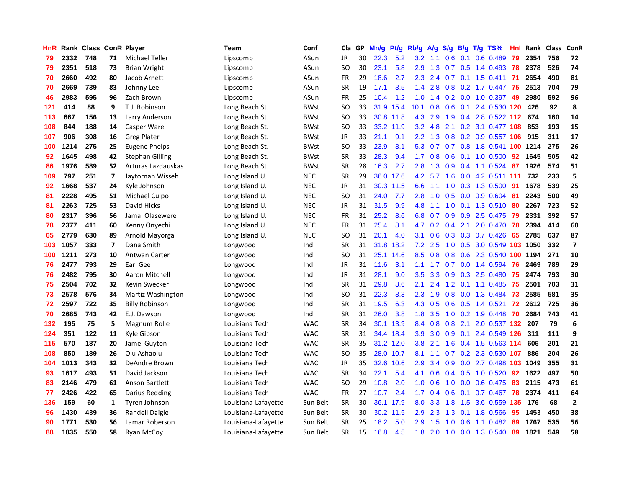| HnR |      | Rank Class ConR Player |                |                        | Team                | Conf        | Cla           | <b>GP</b> | Mn/g | <b>Pt/g</b> | Rb/g             | A/g |                  |     | $S/g$ B/g T/g TS%          | Hnl | Rank | Class | ConR           |
|-----|------|------------------------|----------------|------------------------|---------------------|-------------|---------------|-----------|------|-------------|------------------|-----|------------------|-----|----------------------------|-----|------|-------|----------------|
| 79  | 2332 | 748                    | 71             | Michael Teller         | Lipscomb            | ASun        | JR            | 30        | 22.3 | 5.2         | 3.2              | 1.1 | 0.6              | 0.1 | $0.6$ 0.489                | 79  | 2354 | 756   | 72             |
| 79  | 2351 | 518                    | 73             | <b>Brian Wright</b>    | Lipscomb            | ASun        | SO            | 30        | 23.1 | 5.8         | 2.9              | 1.3 |                  |     | 0.7 0.5 1.4 0.493 78       |     | 2378 | 526   | 74             |
| 70  | 2660 | 492                    | 80             | Jacob Arnett           | Lipscomb            | ASun        | <b>FR</b>     | 29        | 18.6 | 2.7         | 2.3              | 2.4 |                  |     | $0.7$ 0.1 1.5 0.411        | -71 | 2654 | 490   | 81             |
| 70  | 2669 | 739                    | 83             | Johnny Lee             | Lipscomb            | ASun        | SR            | 19        | 17.1 | 3.5         | 1.4              | 2.8 |                  |     | 0.8 0.2 1.7 0.447 75       |     | 2513 | 704   | 79             |
| 46  | 2983 | 595                    | 96             | Zach Brown             | Lipscomb            | ASun        | <b>FR</b>     | 25        | 10.4 | 1.2         | 1.0              | 1.4 |                  |     | 0.2 0.0 1.0 0.397          | 49  | 2980 | 592   | 96             |
| 121 | 414  | 88                     | 9              | T.J. Robinson          | Long Beach St.      | <b>BWst</b> | SO            | 33        | 31.9 | 15.4        | 10.1             | 0.8 | 0.6              |     | 0.1 2.4 0.530 120          |     | 426  | 92    | 8              |
| 113 | 667  | 156                    | 13             | Larry Anderson         | Long Beach St.      | BWst        | SO            | 33        | 30.8 | 11.8        | 4.3              | 2.9 | 1.9              |     | 0.4 2.8 0.522              | 112 | 674  | 160   | 14             |
| 108 | 844  | 188                    | 14             | Casper Ware            | Long Beach St.      | <b>BWst</b> | SO            | 33        | 33.2 | 11.9        | 3.2              | 4.8 |                  |     | 2.1 0.2 3.1 0.477 108      |     | 853  | 193   | 15             |
| 107 | 906  | 308                    | 16             | <b>Greg Plater</b>     | Long Beach St.      | <b>BWst</b> | JR            | 33        | 21.1 | 9.1         | 2.2              | 1.3 | 0.8              |     | 0.2 0.9 0.557 106          |     | 915  | 311   | 17             |
| 100 | 1214 | 275                    | 25             | Eugene Phelps          | Long Beach St.      | <b>BWst</b> | <sub>SO</sub> | 33        | 23.9 | 8.1         | 5.3              | 0.7 |                  |     | 0.7 0.8 1.8 0.541 100 1214 |     |      | 275   | 26             |
| 92  | 1645 | 498                    | 42             | <b>Stephan Gilling</b> | Long Beach St.      | <b>BWst</b> | <b>SR</b>     | 33        | 28.3 | 9.4         | 1.7 <sub>z</sub> | 0.8 |                  |     | $0.6$ 0.1 1.0 0.500        | 92  | 1645 | 505   | 42             |
| 86  | 1976 | 589                    | 52             | Arturas Lazdauskas     | Long Beach St.      | <b>BWst</b> | <b>SR</b>     | 28        | 16.3 | 2.7         | 2.8              | 1.3 |                  |     | 0.9 0.4 1.1 0.524 87       |     | 1926 | 574   | 51             |
| 109 | 797  | 251                    | 7              | Jaytornah Wisseh       | Long Island U.      | <b>NEC</b>  | <b>SR</b>     | 29        | 36.0 | 17.6        | 4.2              | 5.7 | 1.6              |     | 0.0 4.2 0.511 111          |     | 732  | 233   | 5              |
| 92  | 1668 | 537                    | 24             | Kyle Johnson           | Long Island U.      | <b>NEC</b>  | JR            | 31        | 30.3 | 11.5        | 6.6              | 1.1 | 1.0              |     | 0.3 1.3 0.500              | -91 | 1678 | 539   | 25             |
| 81  | 2228 | 495                    | 51             | Michael Culpo          | Long Island U.      | <b>NEC</b>  | <sub>SO</sub> | 31        | 24.0 | 7.7         | 2.8              | 1.0 | 0.5              |     | $0.0$ 0.9 0.604            | -81 | 2243 | 500   | 49             |
| 81  | 2263 | 725                    | 53             | David Hicks            | Long Island U.      | <b>NEC</b>  | JR            | 31        | 31.5 | 9.9         | 4.8              | 1.1 | 1.0              |     | $0.1$ 1.3 0.510            | -80 | 2267 | 723   | 52             |
| 80  | 2317 | 396                    | 56             | Jamal Olasewere        | Long Island U.      | <b>NEC</b>  | FR            | 31        | 25.2 | 8.6         | 6.8              | 0.7 | 0.9              |     | 0.9 2.5 0.475              | 79  | 2331 | 392   | 57             |
| 78  | 2377 | 411                    | 60             | Kenny Onyechi          | Long Island U.      | <b>NEC</b>  | <b>FR</b>     | 31        | 25.4 | 8.1         | 4.7              | 0.2 | 0.4              |     | 2.1 2.0 0.470              | 78  | 2394 | 414   | 60             |
| 65  | 2779 | 630                    | 89             | Arnold Mayorga         | Long Island U.      | <b>NEC</b>  | SO            | 31        | 20.1 | 4.0         | 3.1              | 0.6 |                  |     | 0.3 0.3 0.7 0.426          | 65  | 2785 | 637   | 87             |
| 103 | 1057 | 333                    | $\overline{7}$ | Dana Smith             | Longwood            | Ind.        | <b>SR</b>     | 31        |      | 31.8 18.2   | 7.2              | 2.5 |                  |     | 1.0 0.5 3.0 0.549 103 1050 |     |      | 332   | $\overline{7}$ |
| 100 | 1211 | 273                    | 10             | Antwan Carter          | Longwood            | Ind.        | <sub>SO</sub> | 31        | 25.1 | 14.6        | 8.5              | 0.8 | 0.8              |     | 0.6 2.3 0.540 100 1194     |     |      | 271   | 10             |
| 76  | 2477 | 793                    | 29             | Earl Gee               | Longwood            | Ind.        | JR            | 31        | 11.6 | 3.1         | 1.1              | 1.7 | 0.7              |     | $0.0$ 1.4 0.594            | 76  | 2469 | 789   | 29             |
| 76  | 2482 | 795                    | 30             | Aaron Mitchell         | Longwood            | Ind.        | JR            | 31        | 28.1 | 9.0         | 3.5              | 3.3 | 0.9              |     | 0.3 2.5 0.480              | 75  | 2474 | 793   | 30             |
| 75  | 2504 | 702                    | 32             | Kevin Swecker          | Longwood            | Ind.        | <b>SR</b>     | 31        | 29.8 | 8.6         | 2.1              | 2.4 | 1.2              |     | $0.1$ 1.1 0.485            | 75  | 2501 | 703   | 31             |
| 73  | 2578 | 576                    | 34             | Martiz Washington      | Longwood            | Ind.        | <sub>SO</sub> | 31        | 22.3 | 8.3         | 2.3              | 1.9 | 0.8              |     | 0.0 1.3 0.484              | 73  | 2585 | 581   | 35             |
| 72  | 2597 | 722                    | 35             | <b>Billy Robinson</b>  | Longwood            | Ind.        | <b>SR</b>     | 31        | 19.5 | 6.3         | 4.3              | 0.5 | 0.6              |     | $0.5$ 1.4 0.521            | 72  | 2612 | 725   | 36             |
| 70  | 2685 | 743                    | 42             | E.J. Dawson            | Longwood            | Ind.        | SR            | 31        | 26.0 | 3.8         | 1.8              | 3.5 |                  |     | 1.0 0.2 1.9 0.448 70       |     | 2684 | 743   | 41             |
| 132 | 195  | 75                     | 5              | Magnum Rolle           | Louisiana Tech      | <b>WAC</b>  | <b>SR</b>     | 34        |      | 30.1 13.9   | 8.4              | 0.8 |                  |     | 0.8 2.1 2.0 0.537 132 207  |     |      | 79    | 6              |
| 124 | 351  | 122                    | 11             | Kyle Gibson            | Louisiana Tech      | <b>WAC</b>  | <b>SR</b>     | 31        | 34.4 | 18.4        | 3.9              | 3.0 | 0.9 <sub>0</sub> |     | 0.1 2.4 0.549 126 311      |     |      | 111   | 9              |
| 115 | 570  | 187                    | 20             | Jamel Guyton           | Louisiana Tech      | <b>WAC</b>  | <b>SR</b>     | 35        |      | 31.2 12.0   | 3.8              | 2.1 | 1.6              |     | 0.4 1.5 0.563 114          |     | 606  | 201   | 21             |
| 108 | 850  | 189                    | 26             | Olu Ashaolu            | Louisiana Tech      | <b>WAC</b>  | <b>SO</b>     | 35        |      | 28.0 10.7   | 8.1              | 1.1 | 0.7              |     | 0.2 2.3 0.530 107          |     | 886  | 204   | 26             |
| 104 | 1013 | 343                    | 32             | DeAndre Brown          | Louisiana Tech      | <b>WAC</b>  | JR            | 35        | 32.6 | 10.6        | 2.9              | 3.4 | 0.9              |     | 0.0 2.7 0.498 103          |     | 1049 | 355   | 31             |
| 93  | 1617 | 493                    | 51             | David Jackson          | Louisiana Tech      | <b>WAC</b>  | <b>SR</b>     | 34        | 22.1 | 5.4         | 4.1              | 0.6 |                  |     | 0.4 0.5 1.0 0.520          | 92  | 1622 | 497   | 50             |
| 83  | 2146 | 479                    | 61             | Anson Bartlett         | Louisiana Tech      | <b>WAC</b>  | <b>SO</b>     | 29        | 10.8 | 2.0         | 1.0              | 0.6 | 1.0              |     | 0.0 0.6 0.475              | 83  | 2115 | 473   | 61             |
| 77  | 2426 | 422                    | 65             | Darius Redding         | Louisiana Tech      | <b>WAC</b>  | <b>FR</b>     | 27        | 10.7 | 2.4         | 1.7              | 0.4 | 0.6              |     | $0.1$ 0.7 0.467            | 78  | 2374 | 411   | 64             |
| 136 | 159  | 60                     | 1              | Tyren Johnson          | Louisiana-Lafayette | Sun Belt    | <b>SR</b>     | 30        |      | 36.1 17.9   | 8.0              | 3.3 | 1.8              |     | 1.5 3.6 0.559 135          |     | 176  | 68    | $\overline{2}$ |
| 96  | 1430 | 439                    | 36             | Randell Daigle         | Louisiana-Lafayette | Sun Belt    | SR            | 30        | 30.2 | 11.5        | 2.9              | 2.3 | 1.3              |     | $0.1$ 1.8 $0.566$          | 95  | 1453 | 450   | 38             |
| 90  | 1771 | 530                    | 56             | Lamar Roberson         | Louisiana-Lafayette | Sun Belt    | <b>SR</b>     | 25        | 18.2 | 5.0         | 2.9              | 1.5 | 1.0              | 0.6 | 1.1 0.482                  | 89  | 1767 | 535   | 56             |
| 88  | 1835 | 550                    | 58             | <b>Ryan McCov</b>      | Louisiana-Lafayette | Sun Belt    | SR            | 15        | 16.8 | 4.5         | 1.8              | 2.0 | 1.0              |     | 0.0 1.3 0.540              | 89  | 1821 | 549   | 58             |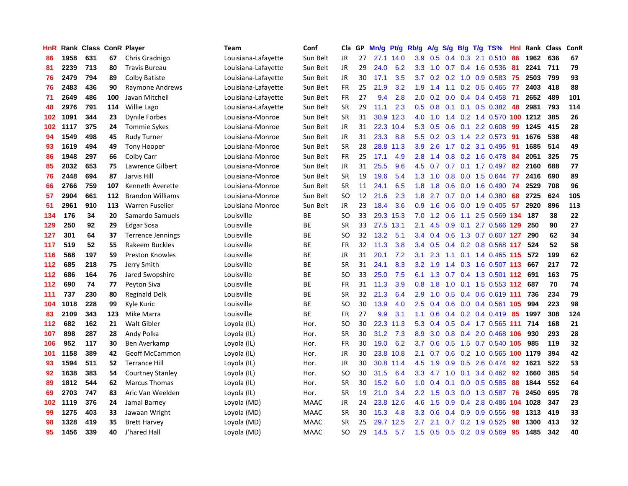| HnR |      | Rank Class ConR Player |     |                          | Team                | Conf        | Cla       | GP | Mn/g | Pt/g      | Rb/g             | A/g              | S/g           |     | $B/g$ T/g TS%              | Hnl |      | Rank Class | ConR |
|-----|------|------------------------|-----|--------------------------|---------------------|-------------|-----------|----|------|-----------|------------------|------------------|---------------|-----|----------------------------|-----|------|------------|------|
| 86  | 1958 | 631                    | 67  | Chris Gradnigo           | Louisiana-Lafayette | Sun Belt    | <b>JR</b> | 27 | 27.1 | 14.0      | 3.9              | 0.5              | 0.4           | 0.3 | 2.1 0.510                  | 86  | 1962 | 636        | 67   |
| 81  | 2239 | 713                    | 80  | <b>Travis Bureau</b>     | Louisiana-Lafayette | Sun Belt    | JR        | 29 | 24.0 | 6.2       | 3.3              | 1.0              |               |     | 0.7 0.4 1.6 0.536          | -81 | 2241 | 711        | 79   |
| 76  | 2479 | 794                    | 89  | <b>Colby Batiste</b>     | Louisiana-Lafayette | Sun Belt    | JR        | 30 | 17.1 | 3.5       | 3.7              |                  |               |     | 0.2 0.2 1.0 0.9 0.583 75   |     | 2503 | 799        | 93   |
| 76  | 2483 | 436                    | 90  | Raymone Andrews          | Louisiana-Lafayette | Sun Belt    | FR        | 25 | 21.9 | 3.2       | 1.9              | 1.4              |               |     | 1.1 0.2 0.5 0.465 77       |     | 2403 | 418        | 88   |
| 71  | 2649 | 486                    | 100 | Javan Mitchell           | Louisiana-Lafayette | Sun Belt    | FR        | 27 | 9.4  | 2.8       | 2.0              | 0.2              | 0.0           |     | $0.4$ 0.4 0.458            | -71 | 2652 | 489        | 101  |
| 48  | 2976 | 791                    | 114 | <b>Willie Lago</b>       | Louisiana-Lafayette | Sun Belt    | <b>SR</b> | 29 | 11.1 | 2.3       | 0.5              | 0.8              | 0.1           |     | $0.1$ 0.5 0.382            | 48  | 2981 | 793        | 114  |
| 102 | 1091 | 344                    | 23  | <b>Dynile Forbes</b>     | Louisiana-Monroe    | Sun Belt    | <b>SR</b> | 31 |      | 30.9 12.3 | 4.0              | 1.0              |               |     | 1.4 0.2 1.4 0.570 100 1212 |     |      | 385        | 26   |
| 102 | 1117 | 375                    | 24  | <b>Tommie Sykes</b>      | Louisiana-Monroe    | Sun Belt    | JR        | 31 | 22.3 | 10.4      | 5.3              | 0.5              | 0.6           |     | 0.1 2.2 0.608              | 99  | 1245 | 415        | 28   |
| 94  | 1549 | 498                    | 45  | <b>Rudy Turner</b>       | Louisiana-Monroe    | Sun Belt    | JR        | 31 | 23.3 | 8.8       | 5.5              | 0.2              | 0.3           |     | 1.4 2.2 0.573              | -91 | 1676 | 538        | 48   |
| 93  | 1619 | 494                    | 49  | <b>Tony Hooper</b>       | Louisiana-Monroe    | Sun Belt    | <b>SR</b> | 28 | 28.8 | 11.3      | 3.9              | 2.6              |               |     | 1.7 0.2 3.1 0.496          | 91  | 1685 | 514        | 49   |
| 86  | 1948 | 297                    | 66  | Colby Carr               | Louisiana-Monroe    | Sun Belt    | FR        | 25 | 17.1 | 4.9       | 2.8              |                  |               |     | 1.4 0.8 0.2 1.6 0.478 84   |     | 2051 | 325        | 75   |
| 85  | 2032 | 653                    | 75  | Lawrence Gilbert         | Louisiana-Monroe    | Sun Belt    | JR        | 31 | 25.5 | 9.6       | 4.5              | 0.7              |               |     | 0.7 0.1 1.7 0.497 82       |     | 2160 | 688        | 77   |
| 76  | 2448 | 694                    | 87  | Jarvis Hill              | Louisiana-Monroe    | Sun Belt    | <b>SR</b> | 19 | 19.6 | 5.4       | 1.3              | 1.0              | 0.8           |     | 0.0 1.5 0.644              | 77  | 2416 | 690        | 89   |
| 66  | 2766 | 759                    | 107 | Kenneth Averette         | Louisiana-Monroe    | Sun Belt    | <b>SR</b> | 11 | 24.1 | 6.5       | 1.8              | 1.8              | 0.6           |     | $0.0$ 1.6 $0.490$          | -74 | 2529 | 708        | 96   |
| 57  | 2904 | 661                    | 112 | <b>Brandon Williams</b>  | Louisiana-Monroe    | Sun Belt    | <b>SO</b> | 12 | 21.6 | 2.3       | 1.8              | 2.7              |               |     | $0.7$ $0.0$ 1.4 $0.380$    | 68  | 2725 | 624        | 105  |
| 51  | 2961 | 910                    | 113 | <b>Warren Fuselier</b>   | Louisiana-Monroe    | Sun Belt    | JR        | 23 | 18.4 | 3.6       | 0.9 <sub>0</sub> | 1.6              | 0.6           |     | $0.0$ 1.9 $0.405$          | -57 | 2920 | 896        | 113  |
| 134 | 176  | 34                     | 20  | Samardo Samuels          | Louisville          | ВE          | <b>SO</b> | 33 | 29.3 | 15.3      | 7.0              | 1.2              | 0.6           | 1.1 | 2.5 0.569 134              |     | 187  | 38         | 22   |
| 129 | 250  | 92                     | 29  | <b>Edgar Sosa</b>        | Louisville          | <b>BE</b>   | <b>SR</b> | 33 | 27.5 | 13.1      | 2.1              | 4.5              | 0.9           | 0.1 | 2.7 0.566 129              |     | 250  | 90         | 27   |
| 127 | 301  | 64                     | 37  | <b>Terrence Jennings</b> | Louisville          | ВE          | <b>SO</b> | 32 | 13.2 | 5.1       | $3.4^{\circ}$    | 0.4              | 0.6           |     | 1.3 0.7 0.607 127          |     | 290  | 62         | 34   |
| 117 | 519  | 52                     | 55  | Rakeem Buckles           | Louisville          | <b>BE</b>   | <b>FR</b> | 32 | 11.3 | 3.8       | $3.4^{\circ}$    | 0.5              |               |     | 0.4 0.2 0.8 0.568 117      |     | 524  | 52         | 58   |
| 116 | 568  | 197                    | 59  | <b>Preston Knowles</b>   | Louisville          | ВE          | <b>JR</b> | 31 | 20.1 | 7.2       | 3.1              | 2.3              |               |     | 1.1 0.1 1.4 0.465 115      |     | 572  | 199        | 62   |
| 112 | 685  | 218                    | 75  | Jerry Smith              | Louisville          | <b>BE</b>   | <b>SR</b> | 31 | 24.1 | 8.3       | 3.2              | 1.9              | $1.4^{\circ}$ |     | 0.3 1.6 0.507 113          |     | 667  | 217        | 72   |
| 112 | 686  | 164                    | 76  | Jared Swopshire          | Louisville          | ВE          | <b>SO</b> | 33 | 25.0 | 7.5       | 6.1              | 1.3              | 0.7           |     | 0.4 1.3 0.501 112          |     | 691  | 163        | 75   |
| 112 | 690  | 74                     | 77  | Peyton Siva              | Louisville          | <b>BE</b>   | FR        | 31 | 11.3 | 3.9       | 0.8              | 1.8              | 1.0           |     | 0.1 1.5 0.553 112          |     | 687  | 70         | 74   |
| 111 | 737  | 230                    | 80  | Reginald Delk            | Louisville          | ВE          | <b>SR</b> | 32 | 21.3 | 6.4       | 2.9 <sup>°</sup> | 1.0              | 0.5           |     | $0.4$ 0.6 0.619 111        |     | 736  | 234        | 79   |
| 104 | 1018 | 228                    | 99  | Kyle Kuric               | Louisville          | <b>BE</b>   | <b>SO</b> | 30 | 13.9 | 4.0       | 2.5              | 0.4              | 0.6           |     | 0.0 0.4 0.561 105          |     | 994  | 223        | 98   |
| 83  | 2109 | 343                    | 123 | Mike Marra               | Louisville          | ВE          | <b>FR</b> | 27 | 9.9  | 3.1       | 1.1              | 0.6              |               |     | $0.4$ 0.2 0.4 0.419 85     |     | 1997 | 308        | 124  |
| 112 | 682  | 162                    | 21  | <b>Walt Gibler</b>       | Loyola (IL)         | Hor.        | SO        | 30 | 22.3 | 11.3      | 5.3              | 0.4              |               |     | 0.5 0.4 1.7 0.565 111 714  |     |      | 168        | 21   |
| 107 | 898  | 287                    | 28  | Andy Polka               | Loyola (IL)         | Hor.        | <b>SR</b> | 30 | 31.2 | 7.3       | 8.9              | 3.0 <sub>2</sub> |               |     | 0.8 0.4 2.0 0.468 106      |     | 930  | 293        | 28   |
| 106 | 952  | 117                    | 30  | Ben Averkamp             | Loyola (IL)         | Hor.        | FR        | 30 | 19.0 | 6.2       | 3.7              | 0.6              |               |     | $0.5$ 1.5 0.7 0.540 105    |     | 985  | 119        | 32   |
| 101 | 1158 | 389                    | 42  | <b>Geoff McCammon</b>    | Loyola (IL)         | Hor.        | JR        | 30 | 23.8 | 10.8      | 2.1              | 0.7              | 0.6           |     | 0.2 1.0 0.565 100 1179     |     |      | 394        | 42   |
| 93  | 1594 | 511                    | 52  | <b>Terrance Hill</b>     | Loyola (IL)         | Hor.        | JR        | 30 | 30.8 | 11.4      | 4.5              | 1.9              | 0.9           |     | 0.5 2.6 0.474              | 92  | 1621 | 522        | 53   |
| 92  | 1638 | 383                    | 54  | <b>Courtney Stanley</b>  | Loyola (IL)         | Hor.        | SO        | 30 | 31.5 | 6.4       | 3.3              | 4.7              | 1.0           | 0.1 | 3.4 0.462                  | 92  | 1660 | 385        | 54   |
| 89  | 1812 | 544                    | 62  | <b>Marcus Thomas</b>     | Loyola (IL)         | Hor.        | <b>SR</b> | 30 | 15.2 | 6.0       | 1.0              | 0.4              | 0.1           |     | $0.0$ $0.5$ $0.585$        | 88  | 1844 | 552        | 64   |
| 69  | 2703 | 747                    | 83  | Aric Van Weelden         | Loyola (IL)         | Hor.        | <b>SR</b> | 19 | 21.0 | 3.4       | $2.2^{\circ}$    | 1.5              | 0.3           |     | 0.0 1.3 0.587              | 76  | 2450 | 695        | 78   |
| 102 | 1119 | 376                    | 24  | Jamal Barney             | Loyola (MD)         | MAAC        | <b>JR</b> | 24 | 23.8 | 12.6      | 4.6              | 1.5              | 0.9           |     | 0.4 2.8 0.486 104 1028     |     |      | 347        | 23   |
| 99  | 1275 | 403                    | 33  | Jawaan Wright            | Loyola (MD)         | <b>MAAC</b> | <b>SR</b> | 30 | 15.3 | 4.8       | 3.3 <sub>2</sub> | 0.6              | $0.4^{\circ}$ |     | 0.9 0.9 0.556              | 98  | 1313 | 419        | 33   |
| 98  | 1328 | 419                    | 35  | <b>Brett Harvey</b>      | Loyola (MD)         | MAAC        | SR        | 25 | 29.7 | 12.5      | $2.7^{\circ}$    | 2.1              |               |     | 0.7 0.2 1.9 0.525          | 98  | 1300 | 413        | 32   |
| 95  | 1456 | 339                    | 40  | J'hared Hall             | Loyola (MD)         | <b>MAAC</b> | <b>SO</b> | 29 | 14.5 | 5.7       | 1.5              | 0.5              |               |     | $0.5$ 0.2 0.9 0.569        | 95  | 1485 | 342        | 40   |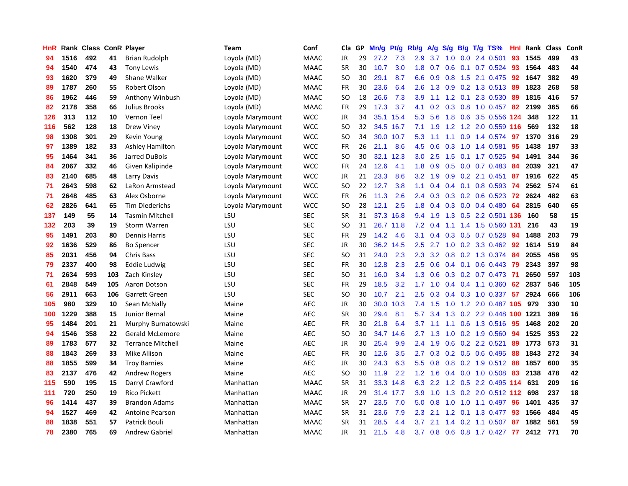| HnR |      | Rank Class ConR Player |     |                          | Team             | Conf        | Cla           | <b>GP</b> | Mn/g | <b>Pt/g</b> | Rb/g             | A/g | S/g | B/g | $T/g$ TS%                  | Hnl | Rank | <b>Class</b> | <b>ConR</b> |
|-----|------|------------------------|-----|--------------------------|------------------|-------------|---------------|-----------|------|-------------|------------------|-----|-----|-----|----------------------------|-----|------|--------------|-------------|
| 94  | 1516 | 492                    | 41  | <b>Brian Rudolph</b>     | Loyola (MD)      | <b>MAAC</b> | JR            | 29        | 27.2 | 7.3         | 2.9              | 3.7 | 1.0 |     | 0.0 2.4 0.501              | 93  | 1545 | 499          | 43          |
| 94  | 1540 | 474                    | 43  | Tony Lewis               | Loyola (MD)      | <b>MAAC</b> | <b>SR</b>     | 30        | 10.7 | 3.0         | 1.8              | 0.7 |     |     | $0.6$ 0.1 0.7 0.524        | -93 | 1564 | 483          | 44          |
| 93  | 1620 | 379                    | 49  | Shane Walker             | Loyola (MD)      | MAAC        | SO            | 30        | 29.1 | 8.7         | 6.6              | 0.9 |     |     | $0.8$ 1.5 2.1 0.475        | 92  | 1647 | 382          | 49          |
| 89  | 1787 | 260                    | 55  | Robert Olson             | Loyola (MD)      | MAAC        | FR            | 30        | 23.6 | 6.4         | 2.6              | 1.3 |     |     | 0.9 0.2 1.3 0.513          | -89 | 1823 | 268          | 58          |
| 86  | 1962 | 446                    | 59  | Anthony Winbush          | Loyola (MD)      | <b>MAAC</b> | <b>SO</b>     | 18        | 26.6 | 7.3         | 3.9              | 1.1 | 1.2 | 0.1 | 2.3 0.530                  | 89  | 1815 | 416          | 57          |
| 82  | 2178 | 358                    | 66  | Julius Brooks            | Loyola (MD)      | <b>MAAC</b> | FR            | 29        | 17.3 | 3.7         | 4.1              | 0.2 |     |     | 0.3 0.8 1.0 0.457          | 82  | 2199 | 365          | 66          |
| 126 | 313  | 112                    | 10  | Vernon Teel              | Loyola Marymount | <b>WCC</b>  | JR            | 34        | 35.1 | 15.4        | 5.3              | 5.6 | 1.8 |     | 0.6 3.5 0.556              | 124 | 348  | 122          | 11          |
| 116 | 562  | 128                    | 18  | <b>Drew Viney</b>        | Loyola Marymount | <b>WCC</b>  | SO            | 32        | 34.5 | 16.7        | 7.1              | 1.9 | 1.2 |     | 1.2 2.0 0.559 116          |     | 569  | 132          | 18          |
| 98  | 1308 | 301                    | 29  | Kevin Young              | Loyola Marymount | <b>WCC</b>  | <sub>SO</sub> | 34        |      | 30.0 10.7   | 5.3              | 1.1 | 1.1 |     | 0.9 1.4 0.574              | 97  | 1370 | 316          | 29          |
| 97  | 1389 | 182                    | 33  | <b>Ashley Hamilton</b>   | Loyola Marymount | <b>WCC</b>  | FR            | 26        | 21.1 | 8.6         | 4.5              | 0.6 |     |     | $0.3$ 1.0 1.4 0.581        | -95 | 1438 | 197          | 33          |
| 95  | 1464 | 341                    | 36  | Jarred DuBois            | Loyola Marymount | <b>WCC</b>  | <b>SO</b>     | 30        | 32.1 | 12.3        | 3.0 <sub>2</sub> | 2.5 |     |     | 1.5 0.1 1.7 0.525          | -94 | 1491 | 344          | 36          |
| 84  | 2067 | 332                    | 46  | Given Kalipinde          | Loyola Marymount | <b>WCC</b>  | FR            | 24        | 12.6 | 4.1         | 1.8              | 0.9 | 0.5 |     | $0.0$ 0.7 0.483            | 84  | 2039 | 321          | 47          |
| 83  | 2140 | 685                    | 48  | Larry Davis              | Loyola Marymount | <b>WCC</b>  | JR            | 21        | 23.3 | 8.6         | 3.2              | 1.9 | 0.9 |     | $0.2$ 2.1 $0.451$          | 87  | 1916 | 622          | 45          |
| 71  | 2643 | 598                    | 62  | LaRon Armstead           | Loyola Marymount | <b>WCC</b>  | SO            | 22        | 12.7 | 3.8         | 1.1              | 0.4 |     |     | $0.4$ 0.1 0.8 0.593        | -74 | 2562 | 574          | 61          |
| 71  | 2648 | 485                    | 63  | Alex Osborne             | Loyola Marymount | <b>WCC</b>  | <b>FR</b>     | 26        | 11.3 | 2.6         | 2.4              | 0.3 |     |     | 0.3 0.2 0.6 0.523          | 72  | 2624 | 482          | 63          |
| 62  | 2826 | 641                    | 65  | <b>Tim Diederichs</b>    | Loyola Marymount | <b>WCC</b>  | SO            | 28        | 12.1 | 2.5         | 1.8              | 0.4 | 0.3 |     | $0.0$ 0.4 0.480            | 64  | 2815 | 640          | 65          |
| 137 | 149  | 55                     | 14  | <b>Tasmin Mitchell</b>   | LSU              | <b>SEC</b>  | <b>SR</b>     | 31        | 37.3 | 16.8        | 9.4              | 1.9 | 1.3 |     | 0.5 2.2 0.501 136          |     | 160  | 58           | 15          |
| 132 | 203  | 39                     | 19  | <b>Storm Warren</b>      | LSU              | <b>SEC</b>  | <sub>SO</sub> | 31        |      | 26.7 11.8   | 7.2              | 0.4 |     |     | 1.1 1.4 1.5 0.560 131      |     | 216  | 43           | 19          |
| 95  | 1491 | 203                    | 80  | <b>Dennis Harris</b>     | LSU              | <b>SEC</b>  | <b>FR</b>     | 29        | 14.2 | 4.6         | 3.1              | 0.4 |     |     | $0.3$ 0.5 0.7 0.528        | 94  | 1488 | 203          | 79          |
| 92  | 1636 | 529                    | 86  | <b>Bo Spencer</b>        | LSU              | <b>SEC</b>  | JR            | 30        | 36.2 | 14.5        | $2.5\,$          | 2.7 |     |     | 1.0 0.2 3.3 0.462          | 92  | 1614 | 519          | 84          |
| 85  | 2031 | 456                    | 94  | <b>Chris Bass</b>        | LSU              | <b>SEC</b>  | <sub>SO</sub> | 31        | 24.0 | 2.3         | 2.3              | 3.2 | 0.8 |     | 0.2 1.3 0.374              | 84  | 2055 | 458          | 95          |
| 79  | 2337 | 400                    | 98  | Eddie Ludwig             | LSU              | <b>SEC</b>  | FR            | 30        | 12.8 | 2.3         | 2.5              | 0.6 |     |     | $0.4$ 0.1 0.6 0.443        | 79  | 2343 | 397          | 98          |
| 71  | 2634 | 593                    | 103 | Zach Kinsley             | LSU              | <b>SEC</b>  | <sub>SO</sub> | 31        | 16.0 | 3.4         | 1.3              | 0.6 | 0.3 |     | $0.2$ 0.7 0.473            | -71 | 2650 | 597          | 103         |
| 61  | 2848 | 549                    | 105 | Aaron Dotson             | LSU              | <b>SEC</b>  | FR            | 29        | 18.5 | 3.2         | 1.7              | 1.0 |     |     | $0.4$ 0.4 1.1 0.360        | 62  | 2837 | 546          | 105         |
| 56  | 2911 | 663                    | 106 | <b>Garrett Green</b>     | LSU              | <b>SEC</b>  | <sub>SO</sub> | 30        | 10.7 | 2.1         | 2.5              | 0.3 |     |     | 0.4 0.3 1.0 0.337          | 57  | 2924 | 666          | 106         |
| 105 | 980  | 329                    | 10  | Sean McNally             | Maine            | <b>AEC</b>  | JR            | 30        | 30.0 | 10.3        | 7.4              | 1.5 |     |     | 1.0 1.2 2.0 0.487 105      |     | 979  | 330          | 10          |
| 100 | 1229 | 388                    | 15  | Junior Bernal            | Maine            | <b>AEC</b>  | <b>SR</b>     | 30        | 29.4 | 8.1         | 5.7              | 3.4 |     |     | 1.3 0.2 2.2 0.448 100 1221 |     |      | 389          | 16          |
| 95  | 1484 | 201                    | 21  | Murphy Burnatowski       | Maine            | <b>AEC</b>  | FR            | 30        | 21.8 | 6.4         | 3.7              | 1.1 |     |     | 1.1 0.6 1.3 0.516          | -95 | 1468 | 202          | 20          |
| 94  | 1546 | 358                    | 22  | Gerald McLemore          | Maine            | <b>AEC</b>  | <sub>SO</sub> | 30        | 34.7 | 14.6        | $2.7^{\circ}$    | 1.3 | 1.0 |     | 0.2 1.9 0.560              | 94  | 1525 | 353          | 22          |
| 89  | 1783 | 577                    | 32  | <b>Terrance Mitchell</b> | Maine            | <b>AEC</b>  | JR            | 30        | 25.4 | 9.9         | 2.4              | 1.9 | 0.6 |     | 0.2 2.2 0.521              | 89  | 1773 | 573          | 31          |
| 88  | 1843 | 269                    | 33  | <b>Mike Allison</b>      | Maine            | <b>AEC</b>  | FR            | 30        | 12.6 | 3.5         | 2.7              | 0.3 |     |     | 0.2 0.5 0.6 0.495          | 88  | 1843 | 272          | 34          |
| 88  | 1855 | 599                    | 34  | <b>Troy Barnies</b>      | Maine            | <b>AEC</b>  | <b>JR</b>     | 30        | 24.3 | 6.3         | 5.5              | 0.8 | 0.8 |     | $0.2$ 1.9 0.512            | 88  | 1857 | 600          | 35          |
| 83  | 2137 | 476                    | 42  | <b>Andrew Rogers</b>     | Maine            | <b>AEC</b>  | <sub>SO</sub> | 30        | 11.9 | 2.2         | 1.2              | 1.6 |     |     | 0.4 0.0 1.0 0.508          | 83  | 2138 | 478          | 42          |
| 115 | 590  | 195                    | 15  | Darryl Crawford          | Manhattan        | <b>MAAC</b> | <b>SR</b>     | 31        | 33.3 | 14.8        | 6.3              | 2.2 |     |     | 1.2 0.5 2.2 0.495 114      |     | 631  | 209          | 16          |
| 111 | 720  | 250                    | 19  | <b>Rico Pickett</b>      | Manhattan        | <b>MAAC</b> | JR            | 29        |      | 31.4 17.7   | 3.9              | 1.0 |     |     | 1.3 0.2 2.0 0.512 112      |     | 698  | 237          | 18          |
| 96  | 1414 | 437                    | 39  | <b>Brandon Adams</b>     | Manhattan        | <b>MAAC</b> | <b>SR</b>     | 27        | 23.5 | 7.0         | 5.0              | 0.8 |     |     | 1.0 1.0 1.1 0.497          | -96 | 1401 | 435          | 37          |
| 94  | 1527 | 469                    | 42  | <b>Antoine Pearson</b>   | Manhattan        | <b>MAAC</b> | SR            | 31        | 23.6 | 7.9         | 2.3              | 2.1 | 1.2 |     | $0.1$ 1.3 0.477            | 93  | 1566 | 484          | 45          |
| 88  | 1838 | 551                    | 57  | Patrick Bouli            | Manhattan        | <b>MAAC</b> | <b>SR</b>     | 31        | 28.5 | 4.4         | 3.7              | 2.1 | 1.4 |     | $0.2$ 1.1 0.507            | 87  | 1882 | 561          | 59          |
| 78  | 2380 | 765                    | 69  | <b>Andrew Gabriel</b>    | Manhattan        | <b>MAAC</b> | JR            | 31        | 21.5 | 4.8         | 3.7              | 0.8 |     |     | 0.6 0.8 1.7 0.427          | 77  | 2412 | 771          | 70          |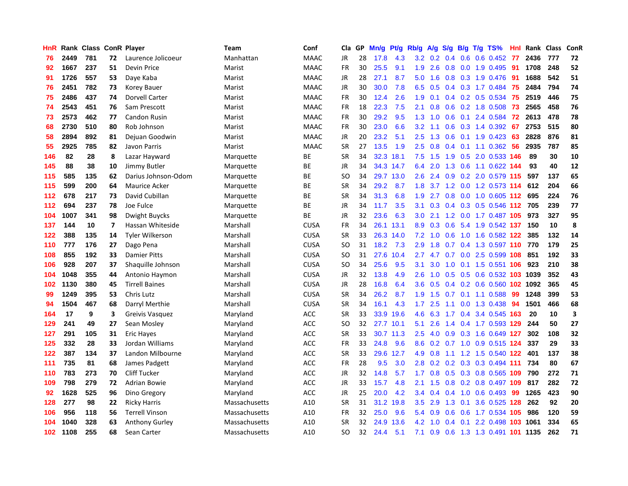| HnR              |      | Rank Class ConR Player |                          |                        | Team          | Conf        | Cla           | <b>GP</b> | Mn/g | <b>Pt/g</b> | Rb/g             | A/g | S/g              |     | $B/g$ T/g TS%              | Hnl | Rank | Class | <b>ConR</b> |
|------------------|------|------------------------|--------------------------|------------------------|---------------|-------------|---------------|-----------|------|-------------|------------------|-----|------------------|-----|----------------------------|-----|------|-------|-------------|
| 76               | 2449 | 781                    | 72                       | Laurence Jolicoeur     | Manhattan     | <b>MAAC</b> | JR            | 28        | 17.8 | 4.3         | 3.2              | 0.2 | 0.4              | 0.6 | $0.6$ 0.452                | -77 | 2436 | 777   | 72          |
| 92               | 1667 | 237                    | 51                       | Devin Price            | Marist        | <b>MAAC</b> | FR            | 30        | 25.5 | 9.1         | 1.9              | 2.6 |                  |     | 0.8 0.0 1.9 0.495 91       |     | 1708 | 248   | 52          |
| 91               | 1726 | 557                    | 53                       | Daye Kaba              | Marist        | <b>MAAC</b> | JR            | 28        | 27.1 | 8.7         | 5.0              | 1.6 |                  |     | $0.8$ 0.3 1.9 0.476        | -91 | 1688 | 542   | 51          |
| 76               | 2451 | 782                    | 73                       | Korey Bauer            | Marist        | <b>MAAC</b> | JR            | 30        | 30.0 | 7.8         | 6.5              | 0.5 |                  |     | 0.4 0.3 1.7 0.484          | -75 | 2484 | 794   | 74          |
| 75               | 2486 | 437                    | 74                       | Dorvell Carter         | Marist        | <b>MAAC</b> | <b>FR</b>     | 30        | 12.4 | 2.6         | 1.9              | 0.1 |                  |     | 0.4 0.2 0.5 0.534          | 75  | 2519 | 446   | 75          |
| 74               | 2543 | 451                    | 76                       | Sam Prescott           | Marist        | <b>MAAC</b> | FR            | 18        | 22.3 | 7.5         | 2.1              | 0.8 | 0.6              |     | 0.2 1.8 0.508              | 73  | 2565 | 458   | 76          |
| 73               | 2573 | 462                    | 77                       | Candon Rusin           | Marist        | <b>MAAC</b> | <b>FR</b>     | 30        | 29.2 | 9.5         | 1.3              | 1.0 | 0.6              |     | 0.1 2.4 0.584              | 72  | 2613 | 478   | 78          |
| 68               | 2730 | 510                    | 80                       | Rob Johnson            | Marist        | <b>MAAC</b> | FR            | 30        | 23.0 | 6.6         | 3.2              | 1.1 | 0.6              |     | 0.3 1.4 0.392              | 67  | 2753 | 515   | 80          |
| 58               | 2894 | 892                    | 81                       | Dejuan Goodwin         | Marist        | <b>MAAC</b> | JR            | 20        | 23.2 | 5.1         | 2.5              | 1.3 | 0.6              |     | $0.1$ 1.9 0.423            | 63  | 2828 | 876   | 81          |
| 55               | 2925 | 785                    | 82                       | Javon Parris           | Marist        | <b>MAAC</b> | <b>SR</b>     | 27        | 13.5 | 1.9         | 2.5              | 0.8 |                  |     | 0.4 0.1 1.1 0.362 56       |     | 2935 | 787   | 85          |
| 146              | 82   | 28                     | 8                        | Lazar Hayward          | Marquette     | ВE          | <b>SR</b>     | 34        | 32.3 | 18.1        | 7.5              | 1.5 |                  |     | 1.9 0.5 2.0 0.533 146      |     | 89   | 30    | 10          |
| 145              | 88   | 38                     | 10                       | Jimmy Butler           | Marquette     | ВE          | JR            | 34        | 34.3 | 14.7        | 6.4              | 2.0 |                  |     | 1.3 0.6 1.1 0.622 144      |     | 93   | 40    | 12          |
| 115              | 585  | 135                    | 62                       | Darius Johnson-Odom    | Marquette     | <b>BE</b>   | <sub>SO</sub> | 34        | 29.7 | 13.0        | 2.6              | 2.4 | 0.9 <sub>0</sub> |     | 0.2 2.0 0.579 115          |     | 597  | 137   | 65          |
| 115              | 599  | 200                    | 64                       | <b>Maurice Acker</b>   | Marquette     | ВE          | <b>SR</b>     | 34        | 29.2 | 8.7         | 1.8              | 3.7 |                  |     | 1.2 0.0 1.2 0.573 114      |     | 612  | 204   | 66          |
| 112              | 678  | 217                    | 73                       | David Cubillan         | Marquette     | ВE          | <b>SR</b>     | 34        | 31.3 | 6.8         | 1.9              | 2.7 | 0.8              |     | 0.0 1.0 0.605              | 112 | 695  | 224   | 76          |
| 112              | 694  | 237                    | 78                       | Joe Fulce              | Marquette     | ВE          | JR            | 34        | 11.7 | 3.5         | 3.1              | 0.3 |                  |     | $0.4$ 0.3 0.5 0.546 112    |     | 705  | 239   | 77          |
| 104              | 1007 | 341                    | 98                       | Dwight Buycks          | Marquette     | BE          | <b>JR</b>     | 32        | 23.6 | 6.3         | 3.0 <sub>2</sub> | 2.1 | 1.2              |     | 0.0 1.7 0.487 105          |     | 973  | 327   | 95          |
| 137              | 144  | 10                     | $\overline{\phantom{a}}$ | Hassan Whiteside       | Marshall      | <b>CUSA</b> | <b>FR</b>     | 34        | 26.1 | 13.1        | 8.9              | 0.3 | 0.6              |     | 5.4 1.9 0.542 137          |     | 150  | 10    | 8           |
| 122              | 388  | 135                    | 14                       | <b>Tyler Wilkerson</b> | Marshall      | CUSA        | <b>SR</b>     | 33        |      | 26.3 14.0   | 7.2              | 1.0 |                  |     | 0.6 1.0 1.6 0.582 122      |     | 385  | 132   | 14          |
| 110              | 777  | 176                    | 27                       | Dago Pena              | Marshall      | <b>CUSA</b> | SO            | 31        | 18.2 | 7.3         | 2.9              | 1.8 |                  |     | 0.7 0.4 1.3 0.597 110 770  |     |      | 179   | 25          |
| 108              | 855  | 192                    | 33                       | <b>Damier Pitts</b>    | Marshall      | <b>CUSA</b> | <sub>SO</sub> | 31        | 27.6 | 10.4        | 2.7              |     |                  |     | 4.7 0.7 0.0 2.5 0.599 108  |     | 851  | 192   | 33          |
| 106              | 928  | 207                    | 37                       | Shaquille Johnson      | Marshall      | <b>CUSA</b> | <b>SO</b>     | 34        | 25.6 | 9.5         | 3.1              | 3.0 | 1.0              |     | 0.1 1.5 0.551 106          |     | 923  | 210   | 38          |
| 104              | 1048 | 355                    | 44                       | Antonio Haymon         | Marshall      | <b>CUSA</b> | JR            | 32        | 13.8 | 4.9         | 2.6              | 1.0 |                  |     | 0.5 0.5 0.6 0.532 103 1039 |     |      | 352   | 43          |
| 102              | 1130 | 380                    | 45                       | <b>Tirrell Baines</b>  | Marshall      | <b>CUSA</b> | JR            | 28        | 16.8 | 6.4         | 3.6              | 0.5 |                  |     | $0.4$ 0.2 0.6 0.560        | 102 | 1092 | 365   | 45          |
| 99               | 1249 | 395                    | 53                       | Chris Lutz             | Marshall      | <b>CUSA</b> | <b>SR</b>     | 34        | 26.2 | 8.7         | 1.9              | 1.5 | 0.7              |     | $0.1$ 1.1 0.588            | 99  | 1248 | 399   | 53          |
| 94               | 1504 | 467                    | 68                       | Darryl Merthie         | Marshall      | <b>CUSA</b> | <b>SR</b>     | 34        | 16.1 | 4.3         | 1.7              | 2.5 | 1.1              |     | 0.0 1.3 0.438              | 94  | 1501 | 466   | 68          |
| 164              | 17   | 9                      | 3                        | Greivis Vasquez        | Maryland      | <b>ACC</b>  | <b>SR</b>     | 33        |      | 33.9 19.6   | 4.6              |     |                  |     | 6.3 1.7 0.4 3.4 0.545 163  |     | 20   | 10    | 3           |
| 129              | 241  | 49                     | 27                       | Sean Mosley            | Maryland      | <b>ACC</b>  | <sub>SO</sub> | 32        |      | 27.7 10.1   | 5.1              | 2.6 |                  |     | 1.4 0.4 1.7 0.593 129      |     | 244  | 50    | 27          |
| 127              | 291  | 105                    | 31                       | <b>Eric Hayes</b>      | Maryland      | <b>ACC</b>  | <b>SR</b>     | 33        | 30.7 | 11.3        | 2.5              | 4.0 | 0.9              |     | 0.3 1.6 0.649 127          |     | 302  | 108   | 32          |
| 125              | 332  | 28                     | 33                       | Jordan Williams        | Maryland      | <b>ACC</b>  | <b>FR</b>     | 33        | 24.8 | 9.6         | 8.6              | 0.2 |                  |     | 0.7 1.0 0.9 0.515 124      |     | 337  | 29    | 33          |
| 122              | 387  | 134                    | 37                       | Landon Milbourne       | Maryland      | <b>ACC</b>  | <b>SR</b>     | 33        | 29.6 | 12.7        | 4.9              | 0.8 | 1.1              |     | 1.2 1.5 0.540 122          |     | 401  | 137   | 38          |
| 111              | 735  | 81                     | 68                       | James Padgett          | Maryland      | <b>ACC</b>  | <b>FR</b>     | 28        | 9.5  | 3.0         | 2.8              | 0.2 | 0.2              |     | 0.3 0.3 0.494 111          |     | 734  | 80    | 67          |
| 110              | 783  | 273                    | 70                       | <b>Cliff Tucker</b>    | Maryland      | <b>ACC</b>  | JR            | 32        | 14.8 | 5.7         | 1.7              | 0.8 | 0.5              |     | 0.3 0.8 0.565 109          |     | 790  | 272   | 71          |
| 109              | 798  | 279                    | 72                       | <b>Adrian Bowie</b>    | Maryland      | <b>ACC</b>  | <b>JR</b>     | 33        | 15.7 | 4.8         | 2.1              | 1.5 | 0.8              |     | 0.2 0.8 0.497 109          |     | 817  | 282   | 72          |
| 92               | 1628 | 525                    | 96                       | Dino Gregory           | Maryland      | <b>ACC</b>  | JR            | 25        | 20.0 | 4.2         | 3.4              | 0.4 |                  |     | $0.4$ 1.0 0.6 0.493        | -99 | 1265 | 423   | 90          |
| 128              | 277  | 98                     | 22                       | <b>Ricky Harris</b>    | Massachusetts | A10         | <b>SR</b>     | 31        | 31.2 | 19.8        | 3.5              | 2.9 |                  |     | 1.3 0.1 3.6 0.525 128      |     | 262  | 92    | 20          |
| 106              | 956  | 118                    | 56                       | <b>Terrell Vinson</b>  | Massachusetts | A10         | FR            | 32        | 25.0 | 9.6         | 5.4              | 0.9 | 0.6              |     | 0.6 1.7 0.534 105          |     | 986  | 120   | 59          |
| 104              | 1040 | 328                    | 63                       | <b>Anthony Gurley</b>  | Massachusetts | A10         | <b>SR</b>     | 32        | 24.9 | 13.6        | 4.2              | 1.0 | 0.4              | 0.1 | 2.2 0.498 103              |     | 1061 | 334   | 65          |
| 102 <sub>1</sub> | 1108 | 255                    | 68                       | Sean Carter            | Massachusetts | A10         | SO            | 32        | 24.4 | 5.1         | 7.1              | 0.9 | 0.6              |     | 1.3 1.3 0.491 101 1135     |     |      | 262   | 71          |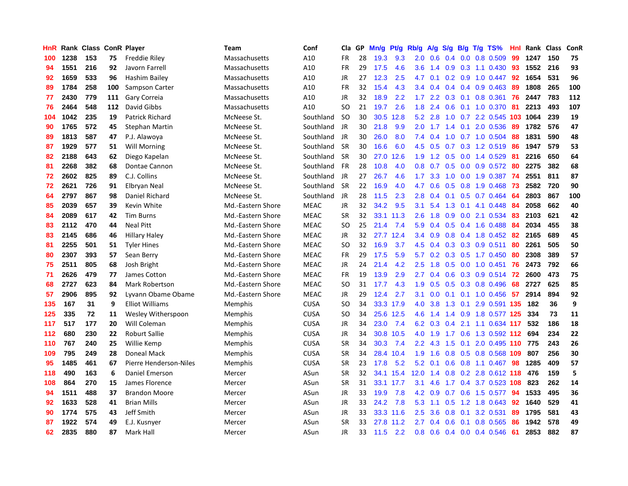| HnR |      | Rank Class ConR Player |     |                        | Team              | Conf        | Cla           | GP | Mn/g | <b>Pt/g</b> | Rb/g             | A/g | S/g           |                 | $B/g$ T/g TS%             | Hnl | Rank | Class | ConR |
|-----|------|------------------------|-----|------------------------|-------------------|-------------|---------------|----|------|-------------|------------------|-----|---------------|-----------------|---------------------------|-----|------|-------|------|
| 100 | 1238 | 153                    | 75  | <b>Freddie Riley</b>   | Massachusetts     | A10         | FR            | 28 | 19.3 | 9.3         | 2.0              | 0.6 | 0.4           |                 | $0.0$ 0.8 0.509           | 99  | 1247 | 150   | 75   |
| 94  | 1551 | 216                    | 92  | Javorn Farrell         | Massachusetts     | A10         | FR            | 29 | 17.5 | 4.6         | 3.6              |     |               |                 | 1.4 0.9 0.3 1.1 0.430 93  |     | 1552 | 216   | 93   |
| 92  | 1659 | 533                    | 96  | Hashim Bailey          | Massachusetts     | A10         | <b>JR</b>     | 27 | 12.3 | 2.5         | 4.7              | 0.1 |               |                 | $0.2$ $0.9$ $1.0$ $0.447$ | -92 | 1654 | 531   | 96   |
| 89  | 1784 | 258                    | 100 | Sampson Carter         | Massachusetts     | A10         | FR            | 32 | 15.4 | 4.3         | $3.4^{\circ}$    | 0.4 |               |                 | $0.4$ 0.4 0.9 0.463       | -89 | 1808 | 265   | 100  |
| 77  | 2430 | 779                    | 111 | Gary Correia           | Massachusetts     | A10         | JR            | 32 | 18.9 | 2.2         | 1.7              | 2.2 | 0.3           |                 | $0.1$ 0.8 0.361           | 76  | 2447 | 783   | 112  |
| 76  | 2464 | 548                    | 112 | David Gibbs            | Massachusetts     | A10         | <b>SO</b>     | 21 | 19.7 | 2.6         | 1.8              | 2.4 | 0.6           |                 | $0.1$ 1.0 0.370           | 81  | 2213 | 493   | 107  |
| 104 | 1042 | 235                    | 19  | <b>Patrick Richard</b> | McNeese St.       | Southland   | <b>SO</b>     | 30 | 30.5 | 12.8        | 5.2              | 2.8 | 1.0           |                 | $0.7$ 2.2 $0.545$         | 103 | 1064 | 239   | 19   |
| 90  | 1765 | 572                    | 45  | Stephan Martin         | McNeese St.       | Southland   | JR            | 30 | 21.8 | 9.9         | 2.0              | 1.7 |               | $1.4 \quad 0.1$ | 2.0 0.536                 | -89 | 1782 | 576   | 47   |
| 89  | 1813 | 587                    | 47  | P.J. Alawoya           | McNeese St.       | Southland   | <b>JR</b>     | 30 | 26.0 | 8.0         | 7.4              | 0.4 | 1.0           |                 | 0.7 1.0 0.504             | 88  | 1831 | 590   | 48   |
| 87  | 1929 | 577                    | 51  | <b>Will Morning</b>    | McNeese St.       | Southland   | <b>SR</b>     | 30 | 16.6 | 6.0         | 4.5              | 0.5 |               |                 | 0.7 0.3 1.2 0.519 86      |     | 1947 | 579   | 53   |
| 82  | 2188 | 643                    | 62  | Diego Kapelan          | McNeese St.       | Southland   | <b>SR</b>     | 30 | 27.0 | 12.6        | 1.9              | 1.2 |               |                 | 0.5 0.0 1.4 0.529 81      |     | 2216 | 650   | 64   |
| 81  | 2268 | 382                    | 68  | Dontae Cannon          | McNeese St.       | Southland   | <b>FR</b>     | 28 | 10.8 | 4.0         | 0.8              | 0.7 |               |                 | $0.5$ 0.0 0.9 0.572 80    |     | 2275 | 382   | 68   |
| 72  | 2602 | 825                    | 89  | C.J. Collins           | McNeese St.       | Southland   | <b>JR</b>     | 27 | 26.7 | 4.6         | 1.7 <sup>2</sup> | 3.3 | 1.0           |                 | $0.0$ 1.9 $0.387$         | -74 | 2551 | 811   | 87   |
| 72  | 2621 | 726                    | 91  | Elbryan Neal           | McNeese St.       | Southland   | <b>SR</b>     | 22 | 16.9 | 4.0         | 4.7              | 0.6 | 0.5           |                 | 0.8 1.9 0.468             | 73  | 2582 | 720   | 90   |
| 64  | 2797 | 867                    | 98  | Daniel Richard         | McNeese St.       | Southland   | JR            | 28 | 11.5 | 2.3         | 2.8              | 0.4 | 0.1           |                 | 0.5 0.7 0.464             | 64  | 2803 | 867   | 100  |
| 85  | 2039 | 657                    | 39  | Kevin White            | Md.-Eastern Shore | <b>MEAC</b> | JR            | 32 | 34.2 | 9.5         | 3.1              | 5.4 | 1.3           | 0.1             | 4.1 0.448                 | 84  | 2058 | 662   | 40   |
| 84  | 2089 | 617                    | 42  | <b>Tim Burns</b>       | Md.-Eastern Shore | <b>MEAC</b> | <b>SR</b>     | 32 |      | 33.1 11.3   | 2.6              | 1.8 | 0.9           |                 | 0.0 2.1 0.534             | 83  | 2103 | 621   | 42   |
| 83  | 2112 | 470                    | 44  | <b>Neal Pitt</b>       | Md.-Eastern Shore | <b>MEAC</b> | <sub>SO</sub> | 25 | 21.4 | 7.4         | 5.9              | 0.4 | 0.5           |                 | 0.4 1.6 0.488             | -84 | 2034 | 455   | 38   |
| 83  | 2145 | 686                    | 46  | <b>Hillary Haley</b>   | Md.-Eastern Shore | <b>MEAC</b> | JR            | 32 |      | 27.7 12.4   | 3.4              | 0.9 |               |                 | 0.8 0.4 1.8 0.452 82      |     | 2165 | 689   | 45   |
| 81  | 2255 | 501                    | 51  | <b>Tyler Hines</b>     | Md.-Eastern Shore | <b>MEAC</b> | <b>SO</b>     | 32 | 16.9 | 3.7         | 4.5              | 0.4 |               |                 | $0.3$ 0.3 0.9 0.511       | -80 | 2261 | 505   | 50   |
| 80  | 2307 | 393                    | 57  | Sean Berry             | Md.-Eastern Shore | <b>MEAC</b> | FR            | 29 | 17.5 | 5.9         | 5.7              | 0.2 |               |                 | 0.3 0.5 1.7 0.450         | 80  | 2308 | 389   | 57   |
| 75  | 2511 | 805                    | 68  | Josh Bright            | Md.-Eastern Shore | <b>MEAC</b> | JR            | 24 | 21.4 | 4.2         | 2.5              | 1.8 | 0.5           |                 | $0.0$ 1.0 0.451           | 76  | 2473 | 792   | 66   |
| 71  | 2626 | 479                    | 77  | James Cotton           | Md.-Eastern Shore | <b>MEAC</b> | <b>FR</b>     | 19 | 13.9 | 2.9         | 2.7              | 0.4 |               |                 | 0.6 0.3 0.9 0.514         | 72  | 2600 | 473   | 75   |
| 68  | 2727 | 623                    | 84  | <b>Mark Robertson</b>  | Md.-Eastern Shore | <b>MEAC</b> | <b>SO</b>     | 31 | 17.7 | 4.3         | 1.9              | 0.5 | 0.5           |                 | 0.3 0.8 0.496             | 68  | 2727 | 625   | 85   |
| 57  | 2906 | 895                    | 92  | Lyvann Obame Obame     | Md.-Eastern Shore | <b>MEAC</b> | JR            | 29 | 12.4 | 2.7         | 3.1              | 0.0 | 0.1           |                 | $0.1$ 1.0 0.456           | 57  | 2914 | 894   | 92   |
| 135 | 167  | 31                     | 9   | <b>Elliot Williams</b> | Memphis           | <b>CUSA</b> | <sub>SO</sub> | 34 |      | 33.3 17.9   | 4.0              | 3.8 |               |                 | 1.3 0.1 2.9 0.591 135     |     | 182  | 36    | 9    |
| 125 | 335  | 72                     | 11  | Wesley Witherspoon     | Memphis           | <b>CUSA</b> | <sub>SO</sub> | 34 |      | 25.6 12.5   | 4.6              |     |               |                 | 1.4 1.4 0.9 1.8 0.577 125 |     | 334  | 73    | 11   |
| 117 | 517  | 177                    | 20  | Will Coleman           | Memphis           | <b>CUSA</b> | JR            | 34 | 23.0 | 7.4         | 6.2              | 0.3 | 0.4           |                 | 2.1 1.1 0.634 117         |     | 532  | 186   | 18   |
| 112 | 680  | 230                    | 22  | <b>Roburt Sallie</b>   | Memphis           | <b>CUSA</b> | <b>JR</b>     | 34 | 30.8 | 10.5        | 4.0              | 1.9 |               |                 | 1.7 0.6 1.3 0.592 112     |     | 694  | 234   | 22   |
| 110 | 767  | 240                    | 25  | Willie Kemp            | Memphis           | <b>CUSA</b> | <b>SR</b>     | 34 | 30.3 | 7.4         | 2.2              | 4.3 | $1.5^{\circ}$ | 0.1             | 2.0 0.495 110 775         |     |      | 243   | 26   |
| 109 | 795  | 249                    | 28  | <b>Doneal Mack</b>     | Memphis           | <b>CUSA</b> | <b>SR</b>     | 34 | 28.4 | 10.4        | 1.9              | 1.6 | 0.8           |                 | 0.5 0.8 0.568 109         |     | 807  | 256   | 30   |
| 95  | 1485 | 461                    | 67  | Pierre Henderson-Niles | Memphis           | <b>CUSA</b> | <b>SR</b>     | 23 | 17.8 | 5.2         | 5.2              | 0.1 | 0.6           |                 | $0.8$ 1.1 0.467           | 98  | 1285 | 409   | 57   |
| 118 | 490  | 163                    | 6   | Daniel Emerson         | Mercer            | ASun        | <b>SR</b>     | 32 |      | 34.1 15.4   | 12.0             | 1.4 | 0.8           |                 | 0.2 2.8 0.612 118         |     | 476  | 159   | 5    |
| 108 | 864  | 270                    | 15  | James Florence         | Mercer            | ASun        | <b>SR</b>     | 31 |      | 33.1 17.7   | 3.1              | 4.6 | 1.7           |                 | 0.4 3.7 0.523 108         |     | 823  | 262   | 14   |
| 94  | 1511 | 488                    | 37  | <b>Brandon Moore</b>   | Mercer            | ASun        | JR            | 33 | 19.9 | 7.8         | 4.2              | 0.9 |               |                 | 0.7 0.6 1.5 0.577         | 94  | 1533 | 495   | 36   |
| 92  | 1633 | 528                    | 41  | <b>Brian Mills</b>     | Mercer            | ASun        | JR            | 33 | 24.2 | 7.8         | 5.3              | 1.1 |               |                 | 0.5 1.2 1.8 0.643         | -92 | 1640 | 529   | 41   |
| 90  | 1774 | 575                    | 43  | Jeff Smith             | Mercer            | ASun        | JR            | 33 | 33.3 | 11.6        | 2.5              | 3.6 | 0.8           | 0.1             | 3.2 0.531                 | 89  | 1795 | 581   | 43   |
| 87  | 1922 | 574                    | 49  | E.J. Kusnyer           | Mercer            | ASun        | <b>SR</b>     | 33 | 27.8 | 11.2        | 2.7              | 0.4 | 0.6           | 0.1             | 0.8 0.565                 | 86  | 1942 | 578   | 49   |
| 62  | 2835 | 880                    | 87  | Mark Hall              | Mercer            | ASun        | JR            | 33 | 11.5 | 2.2         | 0.8              | 0.6 |               |                 | 0.4 0.0 0.4 0.546         | -61 | 2853 | 882   | 87   |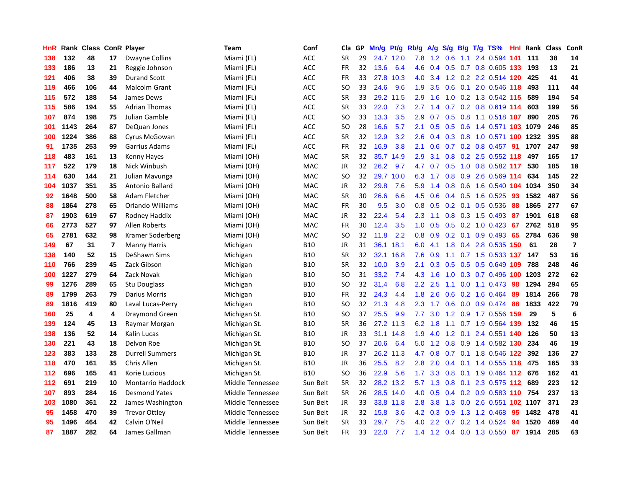| HnR |      | Rank Class |    | <b>ConR Player</b>       | Team             | Conf       | Cla           | <b>GP</b> | Mn/g | Pt/g      | Rb/g             | A/g            | S/g              |     | B/g T/g TS%                | Hnl | Rank | <b>Class</b> | ConR                    |
|-----|------|------------|----|--------------------------|------------------|------------|---------------|-----------|------|-----------|------------------|----------------|------------------|-----|----------------------------|-----|------|--------------|-------------------------|
| 138 | 132  | 48         | 17 | Dwayne Collins           | Miami (FL)       | <b>ACC</b> | <b>SR</b>     | 29        |      | 24.7 12.0 | 7.8              | 1.2            | 0.6              | 1.1 | 2.4 0.594 141              |     | 111  | 38           | 14                      |
| 133 | 186  | 13         | 21 | Reggie Johnson           | Miami (FL)       | <b>ACC</b> | <b>FR</b>     | 32        | 13.6 | 6.4       | 4.6              |                |                  |     | 0.4 0.5 0.7 0.8 0.605 133  |     | 193  | 13           | 21                      |
| 121 | 406  | 38         | 39 | <b>Durand Scott</b>      | Miami (FL)       | <b>ACC</b> | <b>FR</b>     | 33        | 27.8 | 10.3      | 4.0              | 3.4            |                  |     | 1.2 0.2 2.2 0.514 120      |     | 425  | 41           | 41                      |
| 119 | 466  | 106        | 44 | <b>Malcolm Grant</b>     | Miami (FL)       | ACC        | <sub>SO</sub> | 33        | 24.6 | 9.6       | 1.9              | 3.5            | 0.6              |     | 0.1 2.0 0.546 118          |     | 493  | 111          | 44                      |
| 115 | 572  | 188        | 54 | James Dews               | Miami (FL)       | <b>ACC</b> | <b>SR</b>     | 33        | 29.2 | 11.5      | 2.9              | 1.6            | 1.0              |     | 0.2 1.3 0.542 115          |     | 589  | 194          | 54                      |
| 115 | 586  | 194        | 55 | <b>Adrian Thomas</b>     | Miami (FL)       | <b>ACC</b> | <b>SR</b>     | 33        | 22.0 | 7.3       | 2.7              | 1.4            |                  |     | 0.7 0.2 0.8 0.619 114      |     | 603  | 199          | 56                      |
| 107 | 874  | 198        | 75 | Julian Gamble            | Miami (FL)       | <b>ACC</b> | SO.           | 33        | 13.3 | 3.5       | 2.9              | 0.7            | 0.5              |     | 0.8 1.1 0.518 107          |     | 890  | 205          | 76                      |
| 101 | 1143 | 264        | 87 | DeQuan Jones             | Miami (FL)       | <b>ACC</b> | SO            | 28        | 16.6 | 5.7       | 2.1              | 0.5            | 0.5              |     | 0.6 1.4 0.571 103 1079     |     |      | 246          | 85                      |
| 100 | 1224 | 386        | 88 | Cyrus McGowan            | Miami (FL)       | <b>ACC</b> | <b>SR</b>     | 32        | 12.9 | 3.2       | 2.6              | 0.4            |                  |     | 0.3 0.8 1.0 0.571 100 1232 |     |      | 395          | 88                      |
| 91  | 1735 | 253        | 99 | Garrius Adams            | Miami (FL)       | <b>ACC</b> | <b>FR</b>     | 32        | 16.9 | 3.8       | 2.1              | 0.6            |                  |     | 0.7 0.2 0.8 0.457 91       |     | 1707 | 247          | 98                      |
| 118 | 483  | 161        | 13 | <b>Kenny Hayes</b>       | Miami (OH)       | <b>MAC</b> | <b>SR</b>     | 32        | 35.7 | 14.9      | 2.9              | 3.1            |                  |     | $0.8$ 0.2 2.5 0.552 118    |     | 497  | 165          | 17                      |
| 117 | 522  | 179        | 18 | Nick Winbush             | Miami (OH)       | <b>MAC</b> | <b>JR</b>     | 32        | 26.2 | 9.7       | 4.7              | 0.7            |                  |     | $0.5$ 1.0 0.8 0.582 117    |     | 530  | 185          | 18                      |
| 114 | 630  | 144        | 21 | Julian Mavunga           | Miami (OH)       | <b>MAC</b> | <b>SO</b>     | 32        | 29.7 | 10.0      | 6.3              | 1.7            | 0.8              |     | 0.9 2.6 0.569 114          |     | 634  | 145          | 22                      |
| 104 | 1037 | 351        | 35 | Antonio Ballard          | Miami (OH)       | MAC        | JR            | 32        | 29.8 | 7.6       | 5.9              | 1.4            | 0.8              |     | 0.6 1.6 0.540 104          |     | 1034 | 350          | 34                      |
| 92  | 1648 | 500        | 58 | Adam Fletcher            | Miami (OH)       | <b>MAC</b> | <b>SR</b>     | 30        | 26.6 | 6.6       | 4.5              | 0.6            |                  |     | $0.4$ 0.5 1.6 0.525        | 93  | 1582 | 487          | 56                      |
| 88  | 1864 | 278        | 65 | Orlando Williams         | Miami (OH)       | <b>MAC</b> | <b>FR</b>     | 30        | 9.5  | 3.0       | 0.8              | 0.5            | 0.2              | 0.1 | $0.5$ 0.536                | -88 | 1865 | 277          | 67                      |
| 87  | 1903 | 619        | 67 | Rodney Haddix            | Miami (OH)       | <b>MAC</b> | <b>JR</b>     | 32        | 22.4 | 5.4       | 2.3              | 1.1            | 0.8              |     | $0.3$ 1.5 0.493            | -87 | 1901 | 618          | 68                      |
| 66  | 2773 | 527        | 97 | Allen Roberts            | Miami (OH)       | <b>MAC</b> | <b>FR</b>     | 30        | 12.4 | 3.5       | 1.0              | 0.5            |                  |     | $0.5$ $0.2$ $1.0$ $0.423$  | 67  | 2762 | 518          | 95                      |
| 65  | 2781 | 632        | 98 | Kramer Soderberg         | Miami (OH)       | <b>MAC</b> | <sub>SO</sub> | 32        | 11.8 | 2.2       | 0.8 <sub>0</sub> | 0.9            |                  |     | $0.2$ 0.1 0.9 0.493 65     |     | 2784 | 636          | 98                      |
| 149 | 67   | 31         | 7  | <b>Manny Harris</b>      | Michigan         | <b>B10</b> | <b>JR</b>     | 31        | 36.1 | 18.1      | 6.0              | 4.1            |                  |     | 1.8 0.4 2.8 0.535 150      |     | 61   | 28           | $\overline{\mathbf{z}}$ |
| 138 | 140  | 52         | 15 | DeShawn Sims             | Michigan         | <b>B10</b> | <b>SR</b>     | 32        | 32.1 | 16.8      | 7.6              | 0.9            |                  |     | 1.1 0.7 1.5 0.533 137      |     | 147  | 53           | 16                      |
| 110 | 766  | 239        | 45 | Zack Gibson              | Michigan         | <b>B10</b> | <b>SR</b>     | 32        | 10.0 | 3.9       | 2.1              | 0.3            | 0.5              |     | 0.5 0.5 0.649 109          |     | 788  | 248          | 46                      |
| 100 | 1227 | 279        | 64 | Zack Novak               | Michigan         | <b>B10</b> | SO.           | 31        | 33.2 | 7.4       | 4.3              | 1.6            | 1.0              |     | 0.3 0.7 0.496 100          |     | 1203 | 272          | 62                      |
| 99  | 1276 | 289        | 65 | Stu Douglass             | Michigan         | <b>B10</b> | SO.           | 32        | 31.4 | 6.8       | 2.2              | 2.5            | 1.1              |     | $0.0$ 1.1 $0.473$          | 98  | 1294 | 294          | 65                      |
| 89  | 1799 | 263        | 79 | Darius Morris            | Michigan         | <b>B10</b> | <b>FR</b>     | 32        | 24.3 | 4.4       | 1.8              | 2.6            | 0.6              |     | 0.2 1.6 0.464              | -89 | 1814 | 266          | 78                      |
| 89  | 1816 | 419        | 80 | Laval Lucas-Perry        | Michigan         | <b>B10</b> | SO            | 32        | 21.3 | 4.8       | 2.3              | 1.7            |                  |     | 0.6 0.0 0.9 0.474 88       |     | 1833 | 422          | 79                      |
| 160 | 25   | 4          | 4  | <b>Draymond Green</b>    | Michigan St.     | <b>B10</b> | <b>SO</b>     | 37        | 25.5 | 9.9       | 7.7              | 3.0            |                  |     | 1.2 0.9 1.7 0.556 159      |     | 29   | 5            | 6                       |
| 139 | 124  | 45         | 13 | Raymar Morgan            | Michigan St.     | <b>B10</b> | <b>SR</b>     | 36        |      | 27.2 11.3 | 6.2              | 1.8            |                  |     | 1.1 0.7 1.9 0.564 139      |     | 132  | 46           | 15                      |
| 138 | 136  | 52         | 14 | Kalin Lucas              | Michigan St.     | <b>B10</b> | <b>JR</b>     | 33        | 31.1 | 14.8      | 1.9              | 4.0            |                  |     | 1.2 0.1 2.4 0.551 140      |     | 126  | 50           | 13                      |
| 130 | 221  | 43         | 18 | Delvon Roe               | Michigan St.     | <b>B10</b> | <b>SO</b>     | 37        | 20.6 | 6.4       | 5.0              | 1.2            | 0.8              |     | 0.9 1.4 0.582 130          |     | 234  | 46           | 19                      |
| 123 | 383  | 133        | 28 | <b>Durrell Summers</b>   | Michigan St.     | <b>B10</b> | JR            | 37        | 26.2 | 11.3      | 4.7              | 0.8            |                  |     | 0.7 0.1 1.8 0.546 122      |     | 392  | 136          | 27                      |
| 118 | 470  | 161        | 35 | Chris Allen              | Michigan St.     | <b>B10</b> | <b>JR</b>     | 36        | 25.5 | 8.2       | 2.8              | 2.0            | 0.4              |     | 0.1 1.4 0.555 118          |     | 475  | 165          | 33                      |
| 112 | 696  | 165        | 41 | Korie Lucious            | Michigan St.     | <b>B10</b> | <sub>SO</sub> | 36        | 22.9 | 5.6       | 1.7              | 3.3            | 0.8              |     | 0.1 1.9 0.464 112 676      |     |      | 162          | 41                      |
| 112 | 691  | 219        | 10 | <b>Montarrio Haddock</b> | Middle Tennessee | Sun Belt   | <b>SR</b>     | 32        | 28.2 | 13.2      |                  | $5.7$ 1.3      | 0.8              | 0.1 | 2.3 0.575 112 689          |     |      | 223          | 12                      |
| 107 | 893  | 284        | 16 | <b>Desmond Yates</b>     | Middle Tennessee | Sun Belt   | <b>SR</b>     | 26        |      | 28.5 14.0 |                  | $4.0\quad 0.5$ |                  |     | 0.4 0.2 0.9 0.583 110 754  |     |      | 237          | 13                      |
| 103 | 1080 | 361        | 22 | James Washington         | Middle Tennessee | Sun Belt   | JR            | 33        |      | 33.8 11.8 | 2.8              | 3.8            |                  |     | 1.3 0.0 2.6 0.551 102 1107 |     |      | 371          | 23                      |
| 95  | 1458 | 470        | 39 | <b>Trevor Ottley</b>     | Middle Tennessee | Sun Belt   | JR            | 32        | 15.8 | 3.6       | 4.2              | 0.3            | 0.9 <sup>°</sup> |     | 1.3 1.2 0.468              | 95  | 1482 | 478          | 41                      |
| 95  | 1496 | 464        | 42 | Calvin O'Neil            | Middle Tennessee | Sun Belt   | <b>SR</b>     | 33        | 29.7 | 7.5       | 4.0              | 2.2            | 0.7              |     | 0.2 1.4 0.524              | 94  | 1520 | 469          | 44                      |
| 87  | 1887 | 282        | 64 | James Gallman            | Middle Tennessee | Sun Belt   | <b>FR</b>     | 33        | 22.0 | 7.7       | 1.4              | 1.2            |                  |     | 0.4 0.0 1.3 0.550          | 87  | 1914 | 285          | 63                      |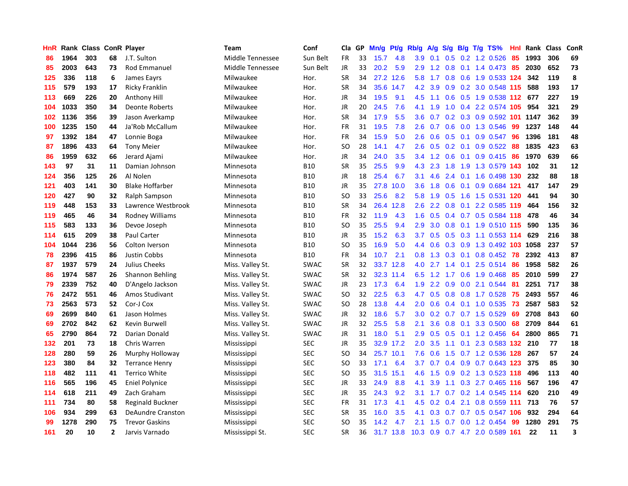| HnR | Rank |     |                | <b>Class ConR Player</b> | <b>Team</b>      | Conf        | Cla       | GP | Mn/g | <b>Pt/g</b> | Rb/g             | A/g | S/g           |  | B/g T/g TS%                 | Hnl | Rank | <b>Class</b> | ConR |
|-----|------|-----|----------------|--------------------------|------------------|-------------|-----------|----|------|-------------|------------------|-----|---------------|--|-----------------------------|-----|------|--------------|------|
| 86  | 1964 | 303 | 68             | J.T. Sulton              | Middle Tennessee | Sun Belt    | FR        | 33 | 15.7 | 4.8         | 3.9              | 0.1 | 0.5           |  | $0.2$ 1.2 0.526             | 85  | 1993 | 306          | 69   |
| 85  | 2003 | 643 | 73             | <b>Rod Emmanuel</b>      | Middle Tennessee | Sun Belt    | <b>JR</b> | 33 | 20.2 | 5.9         | 2.9              |     |               |  | 1.2 0.8 0.1 1.4 0.473 85    |     | 2030 | 652          | 73   |
| 125 | 336  | 118 | 6              | James Eayrs              | Milwaukee        | Hor.        | <b>SR</b> | 34 |      | 27.2 12.6   | 5.8              | 1.7 |               |  | 0.8 0.6 1.9 0.533 124       |     | 342  | 119          | 8    |
| 115 | 579  | 193 | 17             | Ricky Franklin           | Milwaukee        | Hor.        | <b>SR</b> | 34 | 35.6 | 14.7        | 4.2              | 3.9 |               |  | 0.9 0.2 3.0 0.548 115       |     | 588  | 193          | 17   |
| 113 | 669  | 226 | 20             | Anthony Hill             | Milwaukee        | Hor.        | JR        | 34 | 19.5 | 9.1         | 4.5              | 1.1 | 0.6           |  | 0.5 1.9 0.538 112           |     | 677  | 227          | 19   |
| 104 | 1033 | 350 | 34             | Deonte Roberts           | Milwaukee        | Hor.        | JR        | 20 | 24.5 | 7.6         | 4.1              | 1.9 | 1.0           |  | 0.4 2.2 0.574 105           |     | 954  | 321          | 29   |
| 102 | 1136 | 356 | 39             | Jason Averkamp           | Milwaukee        | Hor.        | <b>SR</b> | 34 | 17.9 | 5.5         | 3.6              | 0.7 |               |  | 0.2 0.3 0.9 0.592 101 1147  |     |      | 362          | 39   |
| 100 | 1235 | 150 | 44             | Ja'Rob McCallum          | Milwaukee        | Hor.        | FR        | 31 | 19.5 | 7.8         | 2.6              | 0.7 | 0.6           |  | 0.0 1.3 0.546               | 99  | 1237 | 148          | 44   |
| 97  | 1392 | 184 | 47             | Lonnie Boga              | Milwaukee        | Hor.        | <b>FR</b> | 34 | 15.9 | 5.0         | 2.6              | 0.6 | 0.5           |  | $0.1$ 0.9 0.547             | 96  | 1396 | 181          | 48   |
| 87  | 1896 | 433 | 64             | <b>Tony Meier</b>        | Milwaukee        | Hor.        | SO        | 28 | 14.1 | 4.7         | 2.6              | 0.5 |               |  | 0.2 0.1 0.9 0.522 88        |     | 1835 | 423          | 63   |
| 86  | 1959 | 632 | 66             | Jerard Ajami             | Milwaukee        | Hor.        | JR        | 34 | 24.0 | 3.5         | $3.4^{\circ}$    |     |               |  | 1.2 0.6 0.1 0.9 0.415 86    |     | 1970 | 639          | 66   |
| 143 | 97   | 31  | 11             | Damian Johnson           | Minnesota        | <b>B10</b>  | <b>SR</b> | 35 | 25.5 | 9.9         | 4.3              | 2.3 |               |  | 1.8 1.9 1.3 0.579 143       |     | 102  | 31           | 12   |
| 124 | 356  | 125 | 26             | Al Nolen                 | Minnesota        | <b>B10</b>  | <b>JR</b> | 18 | 25.4 | 6.7         | 3.1              | 4.6 |               |  | 2.4 0.1 1.6 0.498 130       |     | 232  | 88           | 18   |
| 121 | 403  | 141 | 30             | <b>Blake Hoffarber</b>   | Minnesota        | <b>B10</b>  | JR        | 35 | 27.8 | 10.0        | 3.6              | 1.8 | 0.6           |  | 0.1 0.9 0.684 121           |     | 417  | 147          | 29   |
| 120 | 427  | 90  | 32             | Ralph Sampson            | Minnesota        | <b>B10</b>  | <b>SO</b> | 33 | 25.6 | 8.2         | 5.8              | 1.9 | 0.5           |  | 1.6 1.5 0.531 120           |     | 441  | 94           | 30   |
| 119 | 448  | 153 | 33             | Lawrence Westbrook       | Minnesota        | <b>B10</b>  | <b>SR</b> | 34 | 26.4 | 12.8        | 2.6              | 2.2 | 0.8           |  | 0.1 2.2 0.585 119           |     | 464  | 156          | 32   |
| 119 | 465  | 46  | 34             | Rodney Williams          | Minnesota        | <b>B10</b>  | FR        | 32 | 11.9 | 4.3         | 1.6              | 0.5 |               |  | 0.4 0.7 0.5 0.584 118       |     | 478  | 46           | 34   |
| 115 | 583  | 133 | 36             | Devoe Joseph             | Minnesota        | <b>B10</b>  | <b>SO</b> | 35 | 25.5 | 9.4         | 2.9              | 3.0 | 0.8           |  | 0.1 1.9 0.510 115           |     | 590  | 135          | 36   |
| 114 | 615  | 209 | 38             | Paul Carter              | Minnesota        | <b>B10</b>  | JR        | 35 | 15.2 | 6.3         | 3.7              | 0.5 |               |  | $0.5$ $0.3$ 1.1 $0.553$ 114 |     | 629  | 216          | 38   |
| 104 | 1044 | 236 | 56             | Colton Iverson           | Minnesota        | <b>B10</b>  | <b>SO</b> | 35 | 16.9 | 5.0         | $4.4^{\circ}$    | 0.6 |               |  | 0.3 0.9 1.3 0.492 103 1058  |     |      | 237          | 57   |
| 78  | 2396 | 415 | 86             | <b>Justin Cobbs</b>      | Minnesota        | <b>B10</b>  | FR        | 34 | 10.7 | 2.1         | 0.8              | 1.3 |               |  | $0.3$ 0.1 0.8 0.452         | 78  | 2392 | 413          | 87   |
| 87  | 1937 | 579 | 24             | Julius Cheeks            | Miss. Valley St. | SWAC        | <b>SR</b> | 32 | 33.7 | 12.8        | 4.0              | 2.7 | $1.4^{\circ}$ |  | $0.1$ 2.5 0.514             | 86  | 1958 | 582          | 26   |
| 86  | 1974 | 587 | 26             | Shannon Behling          | Miss. Valley St. | SWAC        | <b>SR</b> | 32 | 32.3 | 11.4        | 6.5              | 1.2 | 1.7           |  | $0.6$ 1.9 0.468             | 85  | 2010 | 599          | 27   |
| 79  | 2339 | 752 | 40             | D'Angelo Jackson         | Miss. Valley St. | SWAC        | JR        | 23 | 17.3 | 6.4         | 1.9              | 2.2 | 0.9           |  | 0.0 2.1 0.544               | -81 | 2251 | 717          | 38   |
| 76  | 2472 | 551 | 46             | Amos Studivant           | Miss. Valley St. | SWAC        | SO        | 32 | 22.5 | 6.3         | 4.7              | 0.5 | 0.8           |  | 0.8 1.7 0.528               | 75  | 2493 | 557          | 46   |
| 73  | 2563 | 573 | 52             | Cor-J Cox                | Miss. Valley St. | <b>SWAC</b> | SO        | 28 | 13.8 | 4.4         | 2.0              | 0.6 |               |  | 0.4 0.1 1.0 0.535           | 73  | 2587 | 583          | 52   |
| 69  | 2699 | 840 | 61             | Jason Holmes             | Miss. Valley St. | <b>SWAC</b> | JR        | 32 | 18.6 | 5.7         | 3.0 <sub>2</sub> | 0.2 |               |  | $0.7$ 0.7 1.5 0.529         | -69 | 2708 | 843          | 60   |
| 69  | 2702 | 842 | 62             | Kevin Burwell            | Miss. Valley St. | <b>SWAC</b> | JR        | 32 | 25.5 | 5.8         | 2.1              | 3.6 |               |  | $0.8$ 0.1 3.3 0.500         | 68  | 2709 | 844          | 61   |
| 65  | 2790 | 864 | 72             | Darian Donald            | Miss. Valley St. | SWAC        | <b>JR</b> | 31 | 18.0 | 5.1         | 2.9              | 0.5 |               |  | $0.5$ 0.1 1.2 0.456         | -64 | 2800 | 865          | 71   |
| 132 | 201  | 73  | 18             | Chris Warren             | Mississippi      | <b>SEC</b>  | JR        | 35 | 32.9 | 17.2        | 2.0 <sub>2</sub> | 3.5 |               |  | 1.1 0.1 2.3 0.583 132 210   |     |      | 77           | 18   |
| 128 | 280  | 59  | 26             | Murphy Holloway          | Mississippi      | <b>SEC</b>  | <b>SO</b> | 34 | 25.7 | 10.1        | 7.6              | 0.6 | 1.5           |  | 0.7 1.2 0.536 128           |     | 267  | 57           | 24   |
| 123 | 380  | 84  | 32             | <b>Terrance Henry</b>    | Mississippi      | <b>SEC</b>  | SO        | 33 | 17.1 | 6.4         | 3.7              | 0.7 |               |  | 0.4 0.9 0.7 0.643 123       |     | 375  | 85           | 30   |
| 118 | 482  | 111 | 41             | <b>Terrico White</b>     | Mississippi      | <b>SEC</b>  | SO        | 35 | 31.5 | 15.1        | 4.6              | 1.5 | 0.9           |  | 0.2 1.3 0.523 118           |     | 496  | 113          | 40   |
| 116 | 565  | 196 | 45             | Eniel Polynice           | Mississippi      | SEC         | JR        | 33 | 24.9 | 8.8         | 4.1              | 3.9 | 1.1           |  | 0.3 2.7 0.465 116           |     | 567  | 196          | 47   |
| 114 | 618  | 211 | 49             | Zach Graham              | Mississippi      | <b>SEC</b>  | JR        | 35 | 24.3 | 9.2         | 3.1              | 1.7 | 0.7           |  | 0.2 1.4 0.545 114           |     | 620  | 210          | 49   |
| 111 | 734  | 80  | 58             | <b>Reginald Buckner</b>  | Mississippi      | <b>SEC</b>  | FR        | 31 | 17.3 | 4.1         | 4.5              | 0.2 | 0.4           |  | 2.1 0.8 0.559 111           |     | 713  | 76           | 57   |
| 106 | 934  | 299 | 63             | <b>DeAundre Cranston</b> | Mississippi      | <b>SEC</b>  | <b>SR</b> | 35 | 16.0 | 3.5         | 4.1              | 0.3 |               |  | 0.7 0.7 0.5 0.547 106       |     | 932  | 294          | 64   |
| 99  | 1278 | 290 | 75             | <b>Trevor Gaskins</b>    | Mississippi      | SEC         | SO        | 35 | 14.2 | 4.7         | 2.1              | 1.5 | 0.7           |  | $0.0$ 1.2 0.454             | -99 | 1280 | 291          | 75   |
| 161 | 20   | 10  | $\overline{2}$ | Jarvis Varnado           | Mississippi St.  | <b>SEC</b>  | <b>SR</b> | 36 | 31.7 | 13.8        | 10.3             | 0.9 |               |  | 0.7 4.7 2.0 0.589 161       |     | 22   | 11           | 3    |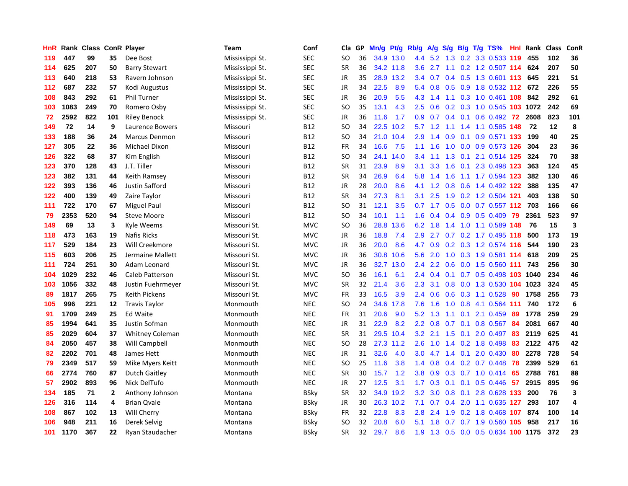| HnR |      | Rank Class ConR Player |                |                        | Team            | Conf        | Cla       | <b>GP</b> | Mn/g | <b>Pt/g</b> | Rb/g             | A/g             | S/g              |     | B/g T/g TS%                 | Hnl | Rank | <b>Class</b> | ConR                    |
|-----|------|------------------------|----------------|------------------------|-----------------|-------------|-----------|-----------|------|-------------|------------------|-----------------|------------------|-----|-----------------------------|-----|------|--------------|-------------------------|
| 119 | 447  | 99                     | 35             | Dee Bost               | Mississippi St. | <b>SEC</b>  | <b>SO</b> | 36        |      | 34.9 13.0   | 4.4              |                 |                  |     | 5.2 1.3 0.2 3.3 0.533 119   |     | 455  | 102          | 36                      |
| 114 | 625  | 207                    | 50             | <b>Barry Stewart</b>   | Mississippi St. | <b>SEC</b>  | <b>SR</b> | 36        |      | 34.2 11.8   | 3.6              |                 |                  |     | 2.7 1.1 0.2 1.2 0.507 114   |     | 624  | 207          | 50                      |
| 113 | 640  | 218                    | 53             | Ravern Johnson         | Mississippi St. | <b>SEC</b>  | JR        | 35        | 28.9 | 13.2        | $3.4^{\circ}$    | 0.7             |                  |     | 0.4 0.5 1.3 0.601 113       |     | 645  | 221          | 51                      |
| 112 | 687  | 232                    | 57             | Kodi Augustus          | Mississippi St. | <b>SEC</b>  | JR        | 34        | 22.5 | 8.9         | 5.4              | 0.8             |                  |     | 0.5 0.9 1.8 0.532 112 672   |     |      | 226          | 55                      |
| 108 | 843  | 292                    | 61             | <b>Phil Turner</b>     | Mississippi St. | <b>SEC</b>  | JR        | 36        | 20.9 | 5.5         | 4.3              | 1.4             |                  |     | 1.1 0.3 1.0 0.461 108       |     | 842  | 292          | 61                      |
| 103 | 1083 | 249                    | 70             | Romero Osby            | Mississippi St. | <b>SEC</b>  | SO        | 35        | 13.1 | 4.3         | 2.5              | 0.6             |                  |     | 0.2 0.3 1.0 0.545 103 1072  |     |      | 242          | 69                      |
| 72  | 2592 | 822                    | 101            | <b>Riley Benock</b>    | Mississippi St. | <b>SEC</b>  | JR        | 36        | 11.6 | 1.7         | 0.9 <sub>0</sub> | 0.7             |                  |     | $0.4$ 0.1 0.6 0.492         | 72  | 2608 | 823          | 101                     |
| 149 | 72   | 14                     | 9              | Laurence Bowers        | Missouri        | <b>B12</b>  | SO.       | 34        | 22.5 | 10.2        | 5.7              | 1.2             |                  |     | 1.1 1.4 1.1 0.585 148       |     | 72   | 12           | 8                       |
| 133 | 188  | 36                     | 24             | <b>Marcus Denmon</b>   | Missouri        | <b>B12</b>  | <b>SO</b> | 34        | 21.0 | 10.4        | 2.9              | 1.4             | 0.9              |     | 0.1 0.9 0.571 133           |     | 199  | 40           | 25                      |
| 127 | 305  | 22                     | 36             | <b>Michael Dixon</b>   | Missouri        | <b>B12</b>  | <b>FR</b> | 34        | 16.6 | 7.5         | 1.1              | 1.6             |                  |     | 1.0 0.0 0.9 0.573 126       |     | 304  | 23           | 36                      |
| 126 | 322  | 68                     | 37             | Kim English            | Missouri        | <b>B12</b>  | <b>SO</b> | 34        | 24.1 | 14.0        | 3.4              | 1.1             |                  |     | 1.3 0.1 2.1 0.514 125       |     | 324  | 70           | 38                      |
| 123 | 370  | 128                    | 43             | J.T. Tiller            | Missouri        | <b>B12</b>  | <b>SR</b> | 31        | 23.9 | 8.9         | 3.1              |                 | $3.3 \quad 1.6$  |     | 0.1 2.3 0.498 123           |     | 363  | 124          | 45                      |
| 123 | 382  | 131                    | 44             | Keith Ramsey           | Missouri        | <b>B12</b>  | <b>SR</b> | 34        | 26.9 | 6.4         | 5.8              | 1.4             | 1.6              |     | 1.1 1.7 0.594 123           |     | 382  | 130          | 46                      |
| 122 | 393  | 136                    | 46             | Justin Safford         | Missouri        | <b>B12</b>  | JR        | 28        | 20.0 | 8.6         | 4.1              | 1.2             | 0.8              |     | 0.6 1.4 0.492 122           |     | 388  | 135          | 47                      |
| 122 | 400  | 139                    | 49             | Zaire Taylor           | Missouri        | <b>B12</b>  | <b>SR</b> | 34        | 27.3 | 8.1         | 3.1              | 2.5             | 1.9              |     | 0.2 1.2 0.504 121           |     | 403  | 138          | 50                      |
| 111 | 722  | 170                    | 67             | <b>Miguel Paul</b>     | Missouri        | B12         | SO        | 31        | 12.1 | 3.5         |                  | $0.7 \quad 1.7$ |                  |     | 0.5 0.0 0.7 0.557 112 703   |     |      | 166          | 66                      |
| 79  | 2353 | 520                    | 94             | <b>Steve Moore</b>     | Missouri        | <b>B12</b>  | <b>SO</b> | 34        | 10.1 | 1.1         | 1.6              | 0.4             |                  |     | $0.4$ 0.9 0.5 0.409         | 79  | 2361 | 523          | 97                      |
| 149 | 69   | 13                     | 3              | Kyle Weems             | Missouri St.    | <b>MVC</b>  | <b>SO</b> | 36        | 28.8 | 13.6        | 6.2              | 1.8             |                  |     | 1.4 1.0 1.1 0.589 148       |     | 76   | 15           | $\overline{\mathbf{3}}$ |
| 118 | 473  | 163                    | 19             | <b>Nafis Ricks</b>     | Missouri St.    | <b>MVC</b>  | JR        | 36        | 18.8 | 7.4         |                  | $2.9$ 2.7       |                  |     | 0.7 0.2 1.7 0.495 118       |     | 500  | 173          | 19                      |
| 117 | 529  | 184                    | 23             | Will Creekmore         | Missouri St.    | <b>MVC</b>  | JR        | 36        | 20.0 | 8.6         | 4.7              | 0.9             |                  |     | $0.2$ $0.3$ 1.2 $0.574$ 116 |     | 544  | 190          | 23                      |
| 115 | 603  | 206                    | 25             | Jermaine Mallett       | Missouri St.    | <b>MVC</b>  | JR        | 36        | 30.8 | 10.6        | 5.6              | 2.0             | 1.0              |     | 0.3 1.9 0.581 114           |     | 618  | 209          | 25                      |
| 111 | 724  | 251                    | 30             | Adam Leonard           | Missouri St.    | <b>MVC</b>  | JR        | 36        | 32.7 | 13.0        | $2.4^{\circ}$    | $2.2^{\circ}$   | 0.6              |     | 0.0 1.5 0.560 111           |     | 743  | 256          | 30                      |
| 104 | 1029 | 232                    | 46             | Caleb Patterson        | Missouri St.    | <b>MVC</b>  | SO        | 36        | 16.1 | 6.1         | $2.4^{\circ}$    | 0.4             |                  |     | 0.1 0.7 0.5 0.498 103 1040  |     |      | 234          | 46                      |
| 103 | 1056 | 332                    | 48             | Justin Fuehrmeyer      | Missouri St.    | <b>MVC</b>  | <b>SR</b> | 32        | 21.4 | 3.6         | 2.3              | 3.1             | 0.8 <sub>0</sub> |     | 0.0 1.3 0.530 104 1023      |     |      | 324          | 45                      |
| 89  | 1817 | 265                    | 75             | <b>Keith Pickens</b>   | Missouri St.    | <b>MVC</b>  | <b>FR</b> | 33        | 16.5 | 3.9         | $2.4^{\circ}$    | 0.6             | 0.6              |     | 0.3 1.1 0.528               | 90  | 1758 | 255          | 73                      |
| 105 | 996  | 221                    | 12             | <b>Travis Taylor</b>   | Monmouth        | <b>NEC</b>  | SO.       | 24        | 34.6 | 17.8        | 7.6              | 1.6             |                  |     | 1.0 0.8 4.1 0.564 111       |     | 740  | 172          | 6                       |
| 91  | 1709 | 249                    | 25             | <b>Ed Waite</b>        | Monmouth        | <b>NEC</b>  | FR        | 31        | 20.6 | 9.0         | 5.2              | 1.3             |                  |     | 1.1 0.1 2.1 0.459 89        |     | 1778 | 259          | 29                      |
| 85  | 1994 | 641                    | 35             | Justin Sofman          | Monmouth        | <b>NEC</b>  | JR        | 31        | 22.9 | 8.2         | $2.2^{\circ}$    | 0.8             |                  |     | 0.7 0.1 0.8 0.567 84        |     | 2081 | 667          | 40                      |
| 85  | 2029 | 604                    | 37             | <b>Whitney Coleman</b> | Monmouth        | <b>NEC</b>  | <b>SR</b> | 31        | 29.5 | 10.4        | 3.2              | 2.1             |                  |     | 1.5 0.1 2.0 0.497 83        |     | 2119 | 625          | 41                      |
| 84  | 2050 | 457                    | 38             | Will Campbell          | Monmouth        | <b>NEC</b>  | SO.       | 28        | 27.3 | 11.2        | 2.6              | 1.0             |                  |     | 1.4 0.2 1.8 0.498           | -83 | 2122 | 475          | 42                      |
| 82  | 2202 | 701                    | 48             | James Hett             | Monmouth        | <b>NEC</b>  | JR        | 31        | 32.6 | 4.0         | 3.0 <sub>2</sub> | 4.7             |                  |     | 1.4 0.1 2.0 0.430           | 80  | 2278 | 728          | 54                      |
| 79  | 2349 | 517                    | 59             | Mike Myers Keitt       | Monmouth        | <b>NEC</b>  | <b>SO</b> | 25        | 11.6 | 3.8         | 1.4              | 0.8             | $0.4^{\circ}$    |     | $0.2$ 0.7 0.448             | 78  | 2399 | 529          | 61                      |
| 66  | 2774 | 760                    | 87             | <b>Dutch Gaitley</b>   | Monmouth        | <b>NEC</b>  | <b>SR</b> | 30        | 15.7 | 1.2         | 3.8              | 0.9             | 0.3              |     | 0.7 1.0 0.414               | 65  | 2788 | 761          | 88                      |
| 57  | 2902 | 893                    | 96             | Nick DelTufo           | Monmouth        | <b>NEC</b>  | <b>JR</b> | 27        | 12.5 | 3.1         | 1.7 <sub>z</sub> | 0.3             | 0.1              | 0.1 | $0.5$ 0.446                 | 57  | 2915 | 895          | 96                      |
| 134 | 185  | 71                     | $\overline{2}$ | Anthony Johnson        | Montana         | <b>BSky</b> | <b>SR</b> | 32        | 34.9 | 19.2        | 3.2              | 3.0             |                  |     | 0.8 0.1 2.8 0.628 133       |     | 200  | 76           | 3                       |
| 126 | 316  | 114                    | 4              | <b>Brian Qvale</b>     | Montana         | <b>BSky</b> | JR        | 30        |      | 26.3 10.2   | 7.1              | 0.7             |                  |     | 0.4 2.0 1.1 0.635 127       |     | 293  | 107          | $\overline{a}$          |
| 108 | 867  | 102                    | 13             | Will Cherry            | Montana         | <b>BSky</b> | FR        | 32        | 22.8 | 8.3         | 2.8              | 2.4             | 1.9              |     | 0.2 1.8 0.468 107           |     | 874  | 100          | 14                      |
| 106 | 948  | 211                    | 16             | Derek Selvig           | Montana         | <b>BSky</b> | <b>SO</b> | 32        | 20.8 | 6.0         | 5.1              | 1.8             | 0.7              |     | 0.7 1.9 0.560 105           |     | 958  | 217          | 16                      |
| 101 | 1170 | 367                    | 22             | Ryan Staudacher        | Montana         | <b>BSky</b> | SR        | 32        | 29.7 | 8.6         | 1.9              | 1.3             |                  |     | 0.5 0.0 0.5 0.634 100 1175  |     |      | 372          | 23                      |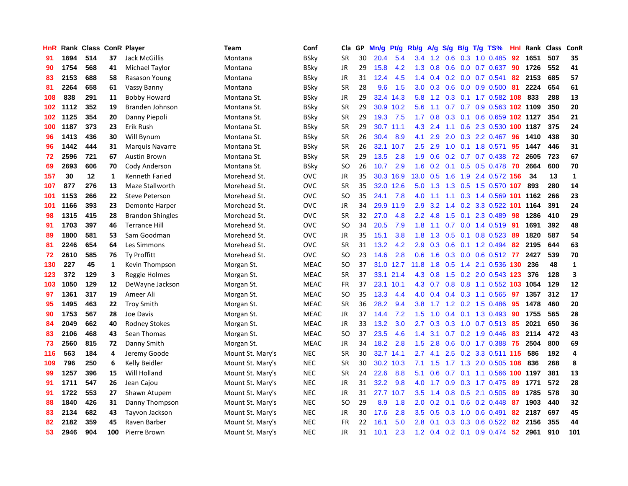| HnR |      | Rank Class ConR Player |              |                         | <b>Team</b>      | Conf        | Cla           | <b>GP</b> | Mn/g | <b>Pt/g</b> | Rb/g             | A/g             | S/g              |     | B/g T/g TS%                | Hnl | Rank     | <b>Class</b> | <b>ConR</b>             |
|-----|------|------------------------|--------------|-------------------------|------------------|-------------|---------------|-----------|------|-------------|------------------|-----------------|------------------|-----|----------------------------|-----|----------|--------------|-------------------------|
| 91  | 1694 | 514                    | 37           | Jack McGillis           | Montana          | BSky        | <b>SR</b>     | 30        | 20.4 | 5.4         | $3.4^{\circ}$    | 1.2             | 0.6              |     | $0.3$ 1.0 0.485            | 92  | 1651     | 507          | 35                      |
| 90  | 1754 | 568                    | 41           | Michael Taylor          | Montana          | BSkv        | <b>JR</b>     | 29        | 15.8 | 4.2         |                  | $1.3 \quad 0.8$ |                  |     | $0.6$ $0.0$ $0.7$ $0.637$  | 90  | 1726     | 552          | 41                      |
| 83  | 2153 | 688                    | 58           | Rasason Young           | Montana          | BSky        | JR            | 31        | 12.4 | 4.5         | 1.4              | 0.4             |                  |     | $0.2$ 0.0 0.7 0.541        | 82  | 2153     | 685          | 57                      |
| 81  | 2264 | 658                    | 61           | Vassy Banny             | Montana          | <b>BSky</b> | <b>SR</b>     | 28        | 9.6  | 1.5         | 3.0 <sub>1</sub> | 0.3             | 0.6              |     | $0.0\quad 0.9\ 0.500$      | 81  | 2224     | 654          | 61                      |
| 108 | 838  | 291                    | 11           | <b>Bobby Howard</b>     | Montana St.      | BSky        | JR            | 29        | 32.4 | 14.3        | 5.8              | 1.2             |                  |     | 0.3 0.1 1.7 0.582 108      |     | 833      | 288          | 13                      |
| 102 | 1112 | 352                    | 19           | Branden Johnson         | Montana St.      | BSky        | SR            | 29        |      | 30.9 10.2   | 5.6              | 1.1             |                  |     | 0.7 0.7 0.9 0.563 102 1109 |     |          | 350          | 20                      |
| 102 | 1125 | 354                    | 20           | Danny Piepoli           | Montana St.      | <b>BSky</b> | SR            | 29        | 19.3 | 7.5         | 1.7              | 0.8             | 0.3              |     | 0.1 0.6 0.659 102 1127     |     |          | 354          | 21                      |
| 100 | 1187 | 373                    | 23           | Erik Rush               | Montana St.      | BSky        | <b>SR</b>     | 29        | 30.7 | 11.1        | 4.3              | 2.4             |                  |     | 1.1 0.6 2.3 0.530 100 1187 |     |          | 375          | 24                      |
| 96  | 1413 | 436                    | 30           | Will Bynum              | Montana St.      | <b>BSky</b> | <b>SR</b>     | 26        | 30.4 | 8.9         | 4.1              | 2.9             | 2.0              |     | 0.3 2.2 0.467              | 96  | 1410     | 438          | 30                      |
| 96  | 1442 | 444                    | 31           | <b>Marquis Navarre</b>  | Montana St.      | BSky        | <b>SR</b>     | 26        | 32.1 | 10.7        | 2.5              | 2.9             |                  |     | 1.0 0.1 1.8 0.571          | 95  | 1447     | 446          | 31                      |
| 72  | 2596 | 721                    | 67           | <b>Austin Brown</b>     | Montana St.      | <b>BSky</b> | <b>SR</b>     | 29        | 13.5 | 2.8         | 1.9              | 0.6             |                  |     | 0.2 0.7 0.7 0.438 72       |     | 2605     | 723          | 67                      |
| 69  | 2693 | 606                    | 70           | Cody Anderson           | Montana St.      | BSky        | <sub>SO</sub> | 26        | 10.7 | 2.9         | 1.6              | 0.2             |                  |     | 0.1 0.5 0.5 0.478 70       |     | 2664     | 600          | 70                      |
| 157 | 30   | 12                     | $\mathbf{1}$ | Kenneth Faried          | Morehead St.     | <b>OVC</b>  | JR            | 35        | 30.3 | 16.9        | 13.0             | 0.5             | 1.6              |     | 1.9 2.4 0.572 156          |     | 34       | 13           | $\mathbf{1}$            |
| 107 | 877  | 276                    | 13           | Maze Stallworth         | Morehead St.     | <b>OVC</b>  | <b>SR</b>     | 35        |      | 32.0 12.6   | 5.0              | 1.3             |                  |     | 1.3 0.5 1.5 0.570 107      |     | 893      | 280          | 14                      |
| 101 | 1153 | 266                    | 22           | <b>Steve Peterson</b>   | Morehead St.     | <b>OVC</b>  | <b>SO</b>     | 35        | 24.1 | 7.8         | 4.0              | 1.1             |                  |     | 1.1 0.3 1.4 0.569 101 1162 |     |          | 266          | 23                      |
| 101 | 1166 | 393                    | 23           | <b>Demonte Harper</b>   | Morehead St.     | <b>OVC</b>  | <b>JR</b>     | 34        | 29.9 | 11.9        | 2.9              | 3.2             |                  |     | 1.4 0.2 3.3 0.522 101      |     | 1164     | 391          | 24                      |
| 98  | 1315 | 415                    | 28           | <b>Brandon Shingles</b> | Morehead St.     | <b>OVC</b>  | <b>SR</b>     | 32        | 27.0 | 4.8         | $2.2^{\circ}$    | 4.8             | 1.5              | 0.1 | 2.3 0.489                  | 98  | 1286     | 410          | 29                      |
| 91  | 1703 | 397                    | 46           | <b>Terrance Hill</b>    | Morehead St.     | <b>OVC</b>  | <sub>SO</sub> | 34        | 20.5 | 7.9         | 1.8              | 1.1             | 0.7              |     | 0.0 1.4 0.519 91           |     | 1691     | 392          | 48                      |
| 89  | 1800 | 581                    | 53           | Sam Goodman             | Morehead St.     | <b>OVC</b>  | JR            | 35        | 15.1 | 3.8         | 1.8              |                 |                  |     | 1.3 0.5 0.1 0.8 0.523 89   |     | 1820     | 587          | 54                      |
| 81  | 2246 | 654                    | 64           | Les Simmons             | Morehead St.     | <b>OVC</b>  | <b>SR</b>     | 31        | 13.2 | 4.2         | 2.9              | 0.3             |                  |     | $0.6$ 0.1 1.2 0.494        | -82 | 2195     | 644          | 63                      |
| 72  | 2610 | 585                    | 76           | <b>Ty Proffitt</b>      | Morehead St.     | <b>OVC</b>  | SO            | 23        | 14.6 | 2.8         | 0.6              | 1.6             |                  |     | 0.3 0.0 0.6 0.512 77       |     | 2427     | 539          | 70                      |
| 130 | 227  | 45                     | 1            | Kevin Thompson          | Morgan St.       | <b>MEAC</b> | <b>SO</b>     | 37        | 31.0 | 12.7        | 11.8             | 1.8             | 0.5              | 1.4 | 2.1 0.536                  | 130 | 236      | 48           | $\mathbf{1}$            |
| 123 | 372  | 129                    | 3            | Reggie Holmes           | Morgan St.       | <b>MEAC</b> | SR            | 37        | 33.1 | 21.4        | 4.3              | 0.8             |                  |     | 1.5 0.2 2.0 0.543 123      |     | 376      | 128          | $\overline{\mathbf{3}}$ |
| 103 | 1050 | 129                    | 12           | DeWayne Jackson         | Morgan St.       | <b>MEAC</b> | <b>FR</b>     | 37        | 23.1 | 10.1        | 4.3              | 0.7             | 0.8              |     | 0.8 1.1 0.552 103          |     | 1054     | 129          | 12                      |
| 97  | 1361 | 317                    | 19           | Ameer Ali               | Morgan St.       | <b>MEAC</b> | <b>SO</b>     | 35        | 13.3 | 4.4         | 4.0              | 0.4             |                  |     | 0.4 0.3 1.1 0.565          | 97  | 1357     | 312          | 17                      |
| 95  | 1495 | 463                    | 22           | <b>Troy Smith</b>       | Morgan St.       | <b>MEAC</b> | <b>SR</b>     | 36        | 28.2 | 9.4         | 3.8              | 1.7             |                  |     | 1.2 0.2 1.5 0.486          | 95  | 1478     | 460          | 20                      |
| 90  | 1753 | 567                    | 28           | Joe Davis               | Morgan St.       | <b>MEAC</b> | JR            | 37        | 14.4 | 7.2         | 1.5              | 1.0             |                  |     | 0.4 0.1 1.3 0.493 90       |     | 1755     | 565          | 28                      |
| 84  | 2049 | 662                    | 40           | <b>Rodney Stokes</b>    | Morgan St.       | <b>MEAC</b> | JR            | 33        | 13.2 | 3.0         | $2.7^{\circ}$    | 0.3             |                  |     | 0.3 1.0 0.7 0.513 85       |     | 2021     | 650          | 36                      |
| 83  | 2106 | 468                    | 43           | Sean Thomas             | Morgan St.       | <b>MEAC</b> | <b>SO</b>     | 37        | 23.5 | 4.6         | 1.4              | 3.1             |                  |     | $0.7$ $0.2$ $1.9$ $0.446$  | -83 | 2114     | 472          | 43                      |
| 73  | 2560 | 815                    | 72           | Danny Smith             | Morgan St.       | MEAC        | JR            | 34        | 18.2 | 2.8         | 1.5              | 2.8             |                  |     | 0.6 0.0 1.7 0.388 75       |     | 2504     | 800          | 69                      |
| 116 | 563  | 184                    | 4            | Jeremy Goode            | Mount St. Mary's | <b>NEC</b>  | <b>SR</b>     | 30        | 32.7 | 14.1        | 2.7              | 4.1             | 2.5              |     | 0.2 3.3 0.511 115          |     | 586      | 192          | $\overline{4}$          |
| 109 | 796  | 250                    | 6            | Kelly Beidler           | Mount St. Mary's | <b>NEC</b>  | <b>SR</b>     | 30        | 30.2 | 10.3        | 7.1              | 1.5             | 1.7 <sub>z</sub> |     | 1.3 2.0 0.505 108          |     | 836      | 268          | 8                       |
| 99  | 1257 | 396                    | 15           | Will Holland            | Mount St. Mary's | <b>NEC</b>  | <b>SR</b>     | 24        | 22.6 | 8.8         | 5.1              | 0.6             | 0.7              |     | $0.1$ 1.1 0.566            |     | 100 1197 | 381          | 13                      |
| 91  | 1711 | 547                    | 26           | Jean Cajou              | Mount St. Mary's | <b>NEC</b>  | <b>JR</b>     | 31        | 32.2 | 9.8         | 4.0              | 1.7             | 0.9              |     | 0.3 1.7 0.475              | 89  | 1771     | 572          | 28                      |
| 91  | 1722 | 553                    | 27           | Shawn Atupem            | Mount St. Mary's | <b>NEC</b>  | JR            | 31        | 27.7 | 10.7        | 3.5              | 1.4             | 0.8              |     | 0.5 2.1 0.505              | -89 | 1785     | 578          | 30                      |
| 88  | 1840 | 426                    | 31           | Danny Thompson          | Mount St. Mary's | <b>NEC</b>  | SO            | 29        | 8.9  | 1.8         | 2.0 <sub>1</sub> | 0.2             |                  |     | $0.1$ 0.6 0.2 0.448        | -87 | 1903     | 440          | 32                      |
| 83  | 2134 | 682                    | 43           | Tayvon Jackson          | Mount St. Mary's | <b>NEC</b>  | JR            | 30        | 17.6 | 2.8         | 3.5              | 0.5             |                  |     | $0.3$ 1.0 0.6 0.491        | -82 | 2187     | 697          | 45                      |
| 82  | 2182 | 359                    | 45           | Raven Barber            | Mount St. Mary's | <b>NEC</b>  | <b>FR</b>     | 22        | 16.1 | 5.0         | 2.8              | 0.1             |                  |     | $0.3$ 0.3 0.6 0.522        | 82  | 2156     | 355          | 44                      |
| 53  | 2946 | 904                    | 100          | Pierre Brown            | Mount St. Mary's | <b>NEC</b>  | <b>JR</b>     | 31        | 10.1 | 2.3         | 1.2              |                 |                  |     | $0.4$ 0.2 0.1 0.9 0.474    | 52  | 2961     | 910          | 101                     |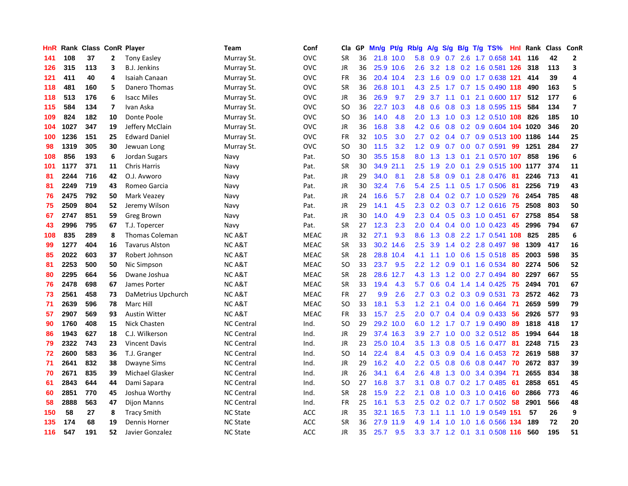| HnR |      | Rank Class ConR Player |                         |                       | Team              | Conf        | Cla           | <b>GP</b> | Mn/g | Pt/g      | Rb/g | A/g     |     |     | S/g B/g T/g TS%               | Hnl | Rank | Class | <b>ConR</b>             |
|-----|------|------------------------|-------------------------|-----------------------|-------------------|-------------|---------------|-----------|------|-----------|------|---------|-----|-----|-------------------------------|-----|------|-------|-------------------------|
| 141 | 108  | 37                     | 2                       | <b>Tony Easley</b>    | Murray St.        | <b>OVC</b>  | SR            | 36        |      | 21.8 10.0 |      | 5.8 0.9 |     |     | 0.7 2.6 1.7 0.658 141         |     | 116  | 42    | 2                       |
| 126 | 315  | 113                    | 3                       | <b>B.J. Jenkins</b>   | Murray St.        | ovc         | JR            | 36        |      | 25.9 10.6 | 2.6  |         |     |     | 3.2 1.8 0.2 1.6 0.581 126     |     | 318  | 113   | 3                       |
| 121 | 411  | 40                     | 4                       | Isaiah Canaan         | Murray St.        | <b>OVC</b>  | FR            | 36        |      | 20.4 10.4 | 2.3  | 1.6     |     |     | 0.9 0.0 1.7 0.638 121         |     | 414  | 39    | 4                       |
| 118 | 481  | 160                    | 5                       | Danero Thomas         | Murray St.        | <b>OVC</b>  | <b>SR</b>     | 36        | 26.8 | 10.1      | 4.3  | 2.5     |     |     | 1.7 0.7 1.5 0.490 118         |     | 490  | 163   | 5                       |
| 118 | 513  | 176                    | 6                       | <b>Isacc Miles</b>    | Murray St.        | <b>OVC</b>  | JR            | 36        | 26.9 | 9.7       | 2.9  | 3.7     | 1.1 | 0.1 | 2.1 0.600 117                 |     | 512  | 177   | 6                       |
| 115 | 584  | 134                    | $\overline{\mathbf{z}}$ | Ivan Aska             | Murray St.        | <b>OVC</b>  | SO            | 36        | 22.7 | 10.3      | 4.8  | 0.6     |     |     | 0.8 0.3 1.8 0.595 115         |     | 584  | 134   | $\overline{\mathbf{z}}$ |
| 109 | 824  | 182                    | 10                      | Donte Poole           | Murray St.        | <b>OVC</b>  | <b>SO</b>     | 36        | 14.0 | 4.8       | 2.0  | 1.3     |     |     | 1.0 0.3 1.2 0.510 108         |     | 826  | 185   | 10                      |
| 104 | 1027 | 347                    | 19                      | Jeffery McClain       | Murray St.        | <b>OVC</b>  | JR            | 36        | 16.8 | 3.8       | 4.2  | 0.6     | 0.8 |     | 0.2 0.9 0.604 104 1020        |     |      | 346   | 20                      |
| 100 | 1236 | 151                    | 25                      | <b>Edward Daniel</b>  | Murray St.        | <b>OVC</b>  | <b>FR</b>     | 32        | 10.5 | 3.0       | 2.7  | 0.2     |     |     | 0.4 0.7 0.9 0.513 100 1186    |     |      | 144   | 25                      |
| 98  | 1319 | 305                    | 30                      | Jewuan Long           | Murray St.        | <b>OVC</b>  | <sub>SO</sub> | 30        | 11.5 | 3.2       |      |         |     |     | 1.2 0.9 0.7 0.0 0.7 0.591 99  |     | 1251 | 284   | 27                      |
| 108 | 856  | 193                    | 6                       | Jordan Sugars         | Navy              | Pat.        | <b>SO</b>     | 30        |      | 35.5 15.8 | 8.0  | 1.3     |     |     | 1.3 0.1 2.1 0.570 107         |     | 858  | 196   | 6                       |
| 101 | 1177 | 371                    | 11                      | <b>Chris Harris</b>   | Navy              | Pat.        | <b>SR</b>     | 30        | 34.9 | 21.1      | 2.5  | 1.9     | 2.0 |     | 0.1 2.9 0.515 100 1177        |     |      | 374   | 11                      |
| 81  | 2244 | 716                    | 42                      | O.J. Avworo           | Navy              | Pat.        | JR            | 29        | 34.0 | 8.1       | 2.8  | 5.8     | 0.9 | 0.1 | 2.8 0.476                     | -81 | 2246 | 713   | 41                      |
| 81  | 2249 | 719                    | 43                      | Romeo Garcia          | Navy              | Pat.        | JR            | 30        | 32.4 | 7.6       | 5.4  | 2.5     |     |     | 1.1 0.5 1.7 0.506             | -81 | 2256 | 719   | 43                      |
| 76  | 2475 | 792                    | 50                      | Mark Veazey           | Navy              | Pat.        | JR            | 24        | 16.6 | 5.7       | 2.8  | 0.4     |     |     | 0.2 0.7 1.0 0.529             | 76  | 2454 | 785   | 48                      |
| 75  | 2509 | 804                    | 52                      | Jeremy Wilson         | Navy              | Pat.        | JR            | 29        | 14.1 | 4.5       | 2.3  | 0.2     |     |     | 0.3 0.7 1.2 0.616             | 75  | 2508 | 803   | 50                      |
| 67  | 2747 | 851                    | 59                      | Greg Brown            | Navy              | Pat.        | <b>JR</b>     | 30        | 14.0 | 4.9       | 2.3  | 0.4     |     |     | $0.5$ 0.3 1.0 0.451           | 67  | 2758 | 854   | 58                      |
| 43  | 2996 | 795                    | 67                      | T.J. Topercer         | Navy              | Pat.        | <b>SR</b>     | 27        | 12.3 | 2.3       | 2.0  | 0.4     |     |     | 0.4 0.0 1.0 0.423 45          |     | 2996 | 794   | 67                      |
| 108 | 835  | 289                    | 8                       | <b>Thomas Coleman</b> | <b>NC A&amp;T</b> | <b>MEAC</b> | JR            | 32        | 27.1 | 9.3       | 8.6  | 1.3     |     |     | 0.8 2.2 1.7 0.541 108         |     | 825  | 285   | 6                       |
| 99  | 1277 | 404                    | 16                      | <b>Tavarus Alston</b> | <b>NC A&amp;T</b> | <b>MEAC</b> | <b>SR</b>     | 33        | 30.2 | 14.6      | 2.5  | 3.9     |     |     | 1.4 0.2 2.8 0.497 98          |     | 1309 | 417   | 16                      |
| 85  | 2022 | 603                    | 37                      | Robert Johnson        | <b>NC A&amp;T</b> | MEAC        | <b>SR</b>     | 28        | 28.8 | 10.4      | 4.1  | 1.1     | 1.0 |     | $0.6$ 1.5 0.518               | -85 | 2003 | 598   | 35                      |
| 81  | 2253 | 500                    | 50                      | Nic Simpson           | <b>NCA&amp;T</b>  | <b>MEAC</b> | <b>SO</b>     | 33        | 23.7 | 9.5       | 2.2  | 1.2     | 0.9 |     | 0.1 1.6 0.534                 | 80  | 2274 | 506   | 52                      |
| 80  | 2295 | 664                    | 56                      | Dwane Joshua          | <b>NCA&amp;T</b>  | <b>MEAC</b> | <b>SR</b>     | 28        | 28.6 | 12.7      | 4.3  | 1.3     |     |     | 1.2 0.0 2.7 0.494             | 80  | 2297 | 667   | 55                      |
| 76  | 2478 | 698                    | 67                      | James Porter          | <b>NCA&amp;T</b>  | <b>MEAC</b> | <b>SR</b>     | 33        | 19.4 | 4.3       | 5.7  | 0.6     |     |     | $0.4$ 1.4 1.4 0.425           | 75  | 2494 | 701   | 67                      |
| 73  | 2561 | 458                    | 73                      | DaMetrius Upchurch    | <b>NCA&amp;T</b>  | <b>MEAC</b> | <b>FR</b>     | 27        | 9.9  | 2.6       | 2.7  | 0.3     |     |     | $0.2$ $0.3$ $0.9$ $0.531$     | 73  | 2572 | 462   | 73                      |
| 71  | 2639 | 596                    | 78                      | Marc Hill             | <b>NCA&amp;T</b>  | <b>MEAC</b> | <b>SO</b>     | 33        | 18.1 | 5.3       | 1.2  | 2.1     |     |     | 0.4 0.0 1.6 0.464 71          |     | 2659 | 599   | 79                      |
| 57  | 2907 | 569                    | 93                      | <b>Austin Witter</b>  | <b>NCA&amp;T</b>  | <b>MEAC</b> | FR            | 33        | 15.7 | 2.5       |      |         |     |     | 2.0 0.7 0.4 0.4 0.9 0.433 56  |     | 2926 | 577   | 93                      |
| 90  | 1760 | 408                    | 15                      | Nick Chasten          | <b>NC Central</b> | Ind.        | <sub>SO</sub> | 29        |      | 29.2 10.0 | 6.0  |         |     |     | 1.2 1.7 0.7 1.9 0.490         | -89 | 1818 | 418   | 17                      |
| 86  | 1943 | 627                    | 18                      | C.J. Wilkerson        | <b>NC Central</b> | Ind.        | JR            | 29        |      | 37.4 16.3 | 3.9  | 2.7     | 1.0 |     | 0.0 3.2 0.512 85              |     | 1994 | 644   | 18                      |
| 79  | 2322 | 743                    | 23                      | <b>Vincent Davis</b>  | <b>NC Central</b> | Ind.        | JR            | 23        | 25.0 | 10.4      | 3.5  | 1.3     | 0.8 |     | 0.5 1.6 0.477                 | -81 | 2248 | 715   | 23                      |
| 72  | 2600 | 583                    | 36                      | T.J. Granger          | <b>NC Central</b> | Ind.        | <b>SO</b>     | 14        | 22.4 | 8.4       | 4.5  | 0.3     |     |     | 0.9 0.4 1.6 0.453             | 72  | 2619 | 588   | 37                      |
| 71  | 2641 | 832                    | 38                      | <b>Dwayne Sims</b>    | <b>NC Central</b> | Ind.        | <b>JR</b>     | 29        | 16.2 | 4.0       | 2.2  | 0.5     | 0.8 |     | $0.6$ 0.8 0.447               | 70  | 2672 | 837   | 39                      |
| 70  | 2671 | 835                    | 39                      | Michael Glasker       | <b>NC Central</b> | Ind.        | <b>JR</b>     | 26        | 34.1 | 6.4       | 2.6  | 4.8     | 1.3 |     | $0.0$ 3.4 0.394               | -71 | 2655 | 834   | 38                      |
| 61  | 2843 | 644                    | 44                      | Dami Sapara           | <b>NC Central</b> | Ind.        | <b>SO</b>     | 27        | 16.8 | 3.7       | 3.1  | 0.8     |     |     | 0.7 0.2 1.7 0.485             | -61 | 2858 | 651   | 45                      |
| 60  | 2851 | 770                    | 45                      | Joshua Worthy         | <b>NC Central</b> | Ind.        | <b>SR</b>     | 28        | 15.9 | 2.2       | 2.1  | 0.8     |     |     | 1.0 0.3 1.0 0.416 60          |     | 2866 | 773   | 46                      |
| 58  | 2888 | 563                    | 47                      | <b>Dijon Manns</b>    | <b>NC Central</b> | Ind.        | <b>FR</b>     | 25        | 16.1 | 5.3       | 2.5  | 0.2     |     |     | 0.2 0.7 1.7 0.502 58          |     | 2901 | 566   | 48                      |
| 150 | 58   | 27                     | 8                       | <b>Tracy Smith</b>    | <b>NC State</b>   | <b>ACC</b>  | <b>JR</b>     | 35        | 32.1 | 16.5      | 7.3  | 1.1     |     |     | 1.1 1.0 1.9 0.549 151         |     | 57   | 26    | 9                       |
| 135 | 174  | 68                     | 19                      | Dennis Horner         | <b>NC State</b>   | <b>ACC</b>  | <b>SR</b>     | 36        | 27.9 | 11.9      | 4.9  | 1.4     | 1.0 | 1.0 | 1.6 0.566                     | 134 | 189  | 72    | 20                      |
| 116 | 547  | 191                    | 52                      | Javier Gonzalez       | <b>NC State</b>   | <b>ACC</b>  | <b>JR</b>     | 35        | 25.7 | 9.5       |      |         |     |     | 3.3 3.7 1.2 0.1 3.1 0.508 116 |     | 560  | 195   | 51                      |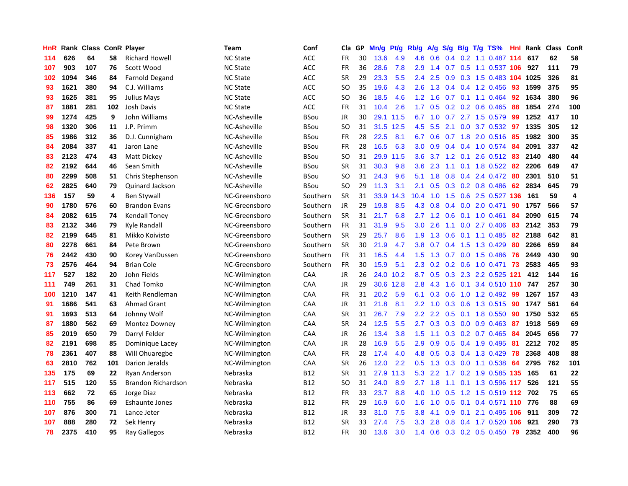| HnR | Rank | <b>Class ConR Player</b> |     |                           | Team            | Conf       | Cla           | <b>GP</b> | Mn/g | <b>Pt/g</b> | Rb/g             | A/g | S/g |     | B/g T/g TS%                | Hnl  | Rank | <b>Class</b> | ConR |
|-----|------|--------------------------|-----|---------------------------|-----------------|------------|---------------|-----------|------|-------------|------------------|-----|-----|-----|----------------------------|------|------|--------------|------|
| 114 | 626  | 64                       | 58  | <b>Richard Howell</b>     | <b>NC State</b> | <b>ACC</b> | <b>FR</b>     | 30        | 13.6 | 4.9         | 4.6              | 0.6 |     |     | $0.4$ 0.2 1.1 0.487 114    |      | 617  | 62           | 58   |
| 107 | 903  | 107                      | 76  | Scott Wood                | <b>NC State</b> | <b>ACC</b> | <b>FR</b>     | 36        | 28.6 | 7.8         | 2.9              |     |     |     | 1.4 0.7 0.5 1.1 0.537 106  |      | 927  | 111          | 79   |
| 102 | 1094 | 346                      | 84  | <b>Farnold Degand</b>     | <b>NC State</b> | <b>ACC</b> | <b>SR</b>     | 29        | 23.3 | 5.5         | $2.4^{\circ}$    | 2.5 |     |     | 0.9 0.3 1.5 0.483 104 1025 |      |      | 326          | 81   |
| 93  | 1621 | 380                      | 94  | C.J. Williams             | <b>NC State</b> | <b>ACC</b> | <sub>SO</sub> | 35        | 19.6 | 4.3         | 2.6              | 1.3 |     |     | $0.4$ 0.4 1.2 0.456        | 93   | 1599 | 375          | 95   |
| 93  | 1625 | 381                      | 95  | <b>Julius Mays</b>        | <b>NC State</b> | <b>ACC</b> | <b>SO</b>     | 36        | 18.5 | 4.6         | 1.2              | 1.6 | 0.7 |     | $0.1$ 1.1 0.464            | 92   | 1634 | 380          | 96   |
| 87  | 1881 | 281                      | 102 | Josh Davis                | <b>NC State</b> | <b>ACC</b> | <b>FR</b>     | 31        | 10.4 | 2.6         | 1.7              | 0.5 |     |     | 0.2 0.2 0.6 0.465          | 88   | 1854 | 274          | 100  |
| 99  | 1274 | 425                      | 9   | John Williams             | NC-Asheville    | BSou       | <b>JR</b>     | 30        | 29.1 | 11.5        | 6.7              | 1.0 | 0.7 |     | 2.7 1.5 0.579              | 99   | 1252 | 417          | 10   |
| 98  | 1320 | 306                      | 11  | J.P. Primm                | NC-Asheville    | BSou       | <sub>SO</sub> | 31        | 31.5 | 12.5        | 4.5              | 5.5 | 2.1 |     | $0.0$ 3.7 $0.532$          | 97   | 1335 | 305          | 12   |
| 85  | 1986 | 312                      | 36  | D.J. Cunnigham            | NC-Asheville    | BSou       | <b>FR</b>     | 28        | 22.5 | 8.1         | 6.7              | 0.6 |     |     | $0.7$ 1.8 2.0 0.516        | -85  | 1982 | 300          | 35   |
| 84  | 2084 | 337                      | 41  | Jaron Lane                | NC-Asheville    | BSou       | <b>FR</b>     | 28        | 16.5 | 6.3         | 3.0 <sub>2</sub> | 0.9 |     |     | 0.4 0.4 1.0 0.574 84       |      | 2091 | 337          | 42   |
| 83  | 2123 | 474                      | 43  | Matt Dickey               | NC-Asheville    | BSou       | <sub>SO</sub> | 31        | 29.9 | 11.5        | 3.6              |     |     |     | 3.7 1.2 0.1 2.6 0.512 83   |      | 2140 | 480          | 44   |
| 82  | 2192 | 644                      | 46  | Sean Smith                | NC-Asheville    | BSou       | SR            | 31        | 30.3 | 9.8         | 3.6              | 2.3 |     |     | 1.1 0.1 1.8 0.522          | -82  | 2206 | 649          | 47   |
| 80  | 2299 | 508                      | 51  | Chris Stephenson          | NC-Asheville    | BSou       | <b>SO</b>     | 31        | 24.3 | 9.6         | 5.1              | 1.8 | 0.8 |     | 0.4 2.4 0.472              | -80  | 2301 | 510          | 51   |
| 62  | 2825 | 640                      | 79  | Quinard Jackson           | NC-Asheville    | BSou       | SO            | 29        | 11.3 | 3.1         | 2.1              | 0.5 |     |     | $0.3$ 0.2 0.8 0.486        | 62   | 2834 | 645          | 79   |
| 136 | 157  | 59                       | 4   | <b>Ben Stywall</b>        | NC-Greensboro   | Southern   | <b>SR</b>     | 31        | 33.9 | 14.3        | 10.4             | 1.0 | 1.5 |     | 0.6 2.5 0.527 136          |      | 161  | 59           | 4    |
| 90  | 1780 | 576                      | 60  | <b>Brandon Evans</b>      | NC-Greensboro   | Southern   | <b>JR</b>     | 29        | 19.8 | 8.5         | 4.3              | 0.8 | 0.4 | 0.0 | 2.0 0.471                  | 90   | 1757 | 566          | 57   |
| 84  | 2082 | 615                      | 74  | <b>Kendall Toney</b>      | NC-Greensboro   | Southern   | <b>SR</b>     | 31        | 21.7 | 6.8         | 2.7              | 1.2 | 0.6 |     | $0.1$ 1.0 0.461            | 84   | 2090 | 615          | 74   |
| 83  | 2132 | 346                      | 79  | Kyle Randall              | NC-Greensboro   | Southern   | <b>FR</b>     | 31        | 31.9 | 9.5         | 3.0 <sub>2</sub> | 2.6 | 1.1 |     | $0.0$ 2.7 0.406            | 83   | 2142 | 353          | 79   |
| 82  | 2199 | 645                      | 81  | Mikko Koivisto            | NC-Greensboro   | Southern   | <b>SR</b>     | 29        | 25.7 | 8.6         | 1.9              | 1.3 |     |     | $0.6$ 0.1 1.1 0.485        | -82  | 2188 | 642          | 81   |
| 80  | 2278 | 661                      | 84  | Pete Brown                | NC-Greensboro   | Southern   | <b>SR</b>     | 30        | 21.9 | 4.7         | 3.8 <sub>2</sub> | 0.7 |     |     | $0.4$ 1.5 1.3 0.429        | 80   | 2266 | 659          | 84   |
| 76  | 2442 | 430                      | 90  | Korey VanDussen           | NC-Greensboro   | Southern   | FR            | 31        | 16.5 | 4.4         | 1.5              | 1.3 |     |     | $0.7$ 0.0 1.5 0.486        | -76  | 2449 | 430          | 90   |
| 73  | 2576 | 464                      | 94  | <b>Brian Cole</b>         | NC-Greensboro   | Southern   | <b>FR</b>     | 30        | 15.9 | 5.1         | 2.3              | 0.2 |     |     | $0.2$ 0.6 1.0 0.471        | 73   | 2583 | 465          | 93   |
| 117 | 527  | 182                      | 20  | John Fields               | NC-Wilmington   | CAA        | JR            | 26        | 24.0 | 10.2        | 8.7              | 0.5 | 0.3 |     | 2.3 2.2 0.525              | -121 | 412  | 144          | 16   |
| 111 | 749  | 261                      | 31  | Chad Tomko                | NC-Wilmington   | CAA        | <b>JR</b>     | 29        | 30.6 | 12.8        | 2.8              | 4.3 | 1.6 | 0.1 | 3.4 0.510                  | 110  | 747  | 257          | 30   |
| 100 | 1210 | 147                      | 41  | Keith Rendleman           | NC-Wilmington   | CAA        | FR            | 31        | 20.2 | 5.9         | 6.1              | 0.3 | 0.6 |     | 1.0 1.2 0.492              | -99  | 1267 | 157          | 43   |
| 91  | 1686 | 541                      | 63  | <b>Ahmad Grant</b>        | NC-Wilmington   | CAA        | JR            | 31        | 21.8 | 8.1         | $2.2^{\circ}$    | 1.0 |     |     | 0.3 0.6 1.3 0.515          | 90   | 1747 | 561          | 64   |
| 91  | 1693 | 513                      | 64  | Johnny Wolf               | NC-Wilmington   | CAA        | <b>SR</b>     | 31        | 26.7 | 7.9         | 2.2              | 2.2 |     |     | $0.5$ 0.1 1.8 0.550        | 90   | 1750 | 532          | 65   |
| 87  | 1880 | 562                      | 69  | Montez Downey             | NC-Wilmington   | CAA        | <b>SR</b>     | 24        | 12.5 | 5.5         | 2.7              | 0.3 |     |     | $0.3$ 0.0 0.9 0.463        | -87  | 1918 | 569          | 69   |
| 85  | 2019 | 650                      | 79  | Darryl Felder             | NC-Wilmington   | CAA        | <b>JR</b>     | 26        | 13.4 | 3.8         | 1.5              | 1.1 |     |     | $0.3$ 0.2 0.7 0.465        | -84  | 2045 | 656          | 77   |
| 82  | 2191 | 698                      | 85  | Dominique Lacey           | NC-Wilmington   | CAA        | <b>JR</b>     | 28        | 16.9 | 5.5         | 2.9              | 0.9 | 0.5 |     | 0.4 1.9 0.495              | -81  | 2212 | 702          | 85   |
| 78  | 2361 | 407                      | 88  | Will Ohuaregbe            | NC-Wilmington   | CAA        | <b>FR</b>     | 28        | 17.4 | 4.0         | 4.8              | 0.5 | 0.3 |     | 0.4 1.3 0.429              | 78   | 2368 | 408          | 88   |
| 63  | 2810 | 762                      | 101 | Darion Jeralds            | NC-Wilmington   | CAA        | <b>SR</b>     | 26        | 12.0 | 2.2         | 0.5              | 1.3 | 0.3 |     | $0.0$ 1.1 $0.538$          | 64   | 2795 | 762          | 101  |
| 135 | 175  | 69                       | 22  | <b>Ryan Anderson</b>      | Nebraska        | B12        | SR            | 31        | 27.9 | 11.3        | 5.3              | 2.2 | 1.7 |     | 0.2 1.9 0.585 135          |      | 165  | 61           | 22   |
| 117 | 515  | 120                      | 55  | <b>Brandon Richardson</b> | Nebraska        | <b>B12</b> | SO            | 31        | 24.0 | 8.9         | 2.7              | 1.8 | 1.1 |     | 0.1 1.3 0.596              | 117  | 526  | 121          | 55   |
| 113 | 662  | 72                       | 65  | Jorge Diaz                | Nebraska        | <b>B12</b> | <b>FR</b>     | 33        | 23.7 | 8.8         | 4.0              | 1.0 | 0.5 |     | 1.2 1.5 0.519 112 702      |      |      | 75           | 65   |
| 110 | 755  | 86                       | 69  | <b>Eshaunte Jones</b>     | Nebraska        | <b>B12</b> | <b>FR</b>     | 29        | 16.9 | 6.0         | 1.6              | 1.0 |     |     | 0.5 0.1 0.4 0.571 110 776  |      |      | 88           | 69   |
| 107 | 876  | 300                      | 71  | Lance Jeter               | Nebraska        | B12        | JR            | 33        | 31.0 | 7.5         | 3.8              | 4.1 | 0.9 | 0.1 | 2.1 0.495 106 911          |      |      | 309          | 72   |
| 107 | 888  | 280                      | 72  | Sek Henry                 | Nebraska        | <b>B12</b> | <b>SR</b>     | 33        | 27.4 | 7.5         | 3.3              | 2.8 | 0.8 |     | $0.4$ 1.7 0.520            | 106  | 921  | 290          | 73   |
| 78  | 2375 | 410                      | 95  | Ray Gallegos              | Nebraska        | B12        | <b>FR</b>     | 30        | 13.6 | 3.0         | 1.4              | 0.6 |     |     | $0.3$ 0.2 0.5 0.450        | 79   | 2352 | 400          | 96   |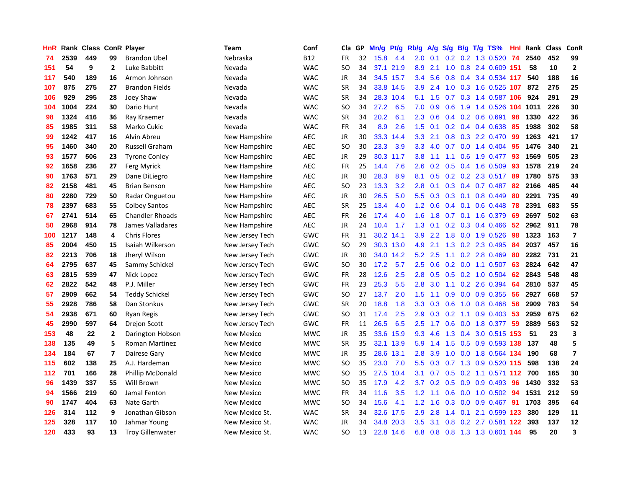| HnR | Rank |     |                         | <b>Class ConR Player</b> | Team              | Conf       | Cla           | GP | Mn/g | <b>Pt/g</b> | Rb/g             | A/g    | S/g |                 | B/g T/g TS%               | Hnl | Rank | <b>Class</b> | <b>ConR</b>             |
|-----|------|-----|-------------------------|--------------------------|-------------------|------------|---------------|----|------|-------------|------------------|--------|-----|-----------------|---------------------------|-----|------|--------------|-------------------------|
| 74  | 2539 | 449 | 99                      | <b>Brandon Ubel</b>      | Nebraska          | <b>B12</b> | <b>FR</b>     | 32 | 15.8 | 4.4         | 2.0              | 0.1    |     |                 | $0.2$ 0.2 1.3 0.520       | -74 | 2540 | 452          | 99                      |
| 151 | 54   | 9   | $\mathbf{2}$            | Luke Babbitt             | Nevada            | <b>WAC</b> | SO            | 34 |      | 37.1 21.9   | 8.9              | 2.1    |     |                 | 1.0 0.8 2.4 0.609 151     |     | 58   | 10           | $\overline{2}$          |
| 117 | 540  | 189 | 16                      | Armon Johnson            | Nevada            | <b>WAC</b> | JR            | 34 |      | 34.5 15.7   | $3.4^{\circ}$    | 5.6    |     |                 | 0.8 0.4 3.4 0.534 117     |     | 540  | 188          | 16                      |
| 107 | 875  | 275 | 27                      | <b>Brandon Fields</b>    | Nevada            | <b>WAC</b> | <b>SR</b>     | 34 |      | 33.8 14.5   | 3.9 <sub>2</sub> | 2.4    |     |                 | 1.0 0.3 1.6 0.525 107     |     | 872  | 275          | 25                      |
| 106 | 929  | 295 | 28                      | Joey Shaw                | Nevada            | <b>WAC</b> | <b>SR</b>     | 34 | 28.3 | 10.4        | 5.1              | 1.5    |     |                 | 0.7 0.3 1.4 0.587 106     |     | 924  | 291          | 29                      |
| 104 | 1004 | 224 | 30                      | Dario Hunt               | Nevada            | <b>WAC</b> | SO            | 34 | 27.2 | 6.5         | 7.0              | 0.9    | 0.6 |                 | 1.9 1.4 0.526 104         |     | 1011 | 226          | 30                      |
| 98  | 1324 | 416 | 36                      | Ray Kraemer              | Nevada            | <b>WAC</b> | <b>SR</b>     | 34 | 20.2 | 6.1         | 2.3              | 0.6    |     |                 | $0.4$ 0.2 0.6 0.691       | 98  | 1330 | 422          | 36                      |
| 85  | 1985 | 311 | 58                      | Marko Cukic              | Nevada            | <b>WAC</b> | FR            | 34 | 8.9  | 2.6         | 1.5              | 0.1    |     |                 | 0.2 0.4 0.4 0.638         | -85 | 1988 | 302          | 58                      |
| 99  | 1242 | 417 | 16                      | Alvin Abreu              | New Hampshire     | <b>AEC</b> | JR            | 30 | 33.3 | 14.4        | 3.3              | 2.1    | 0.8 |                 | 0.3 2.2 0.470             | 99  | 1263 | 421          | 17                      |
| 95  | 1460 | 340 | 20                      | Russell Graham           | New Hampshire     | <b>AEC</b> | <sub>SO</sub> | 30 | 23.3 | 3.9         | 3.3              | 4.0    |     |                 | 0.7 0.0 1.4 0.404 95      |     | 1476 | 340          | 21                      |
| 93  | 1577 | 506 | 23                      | <b>Tyrone Conley</b>     | New Hampshire     | <b>AEC</b> | <b>JR</b>     | 29 | 30.3 | 11.7        | 3.8              | 1.1    |     |                 | 1.1 0.6 1.9 0.477 93      |     | 1569 | 505          | 23                      |
| 92  | 1658 | 236 | 27                      | Ferg Myrick              | New Hampshire     | <b>AEC</b> | FR            | 25 | 14.4 | 7.6         | 2.6              | 0.2    |     |                 | $0.5$ 0.4 1.6 0.509       | 93  | 1578 | 219          | 24                      |
| 90  | 1763 | 571 | 29                      | Dane DiLiegro            | New Hampshire     | <b>AEC</b> | <b>JR</b>     | 30 | 28.3 | 8.9         | 8.1              | 0.5    |     |                 | $0.2$ $0.2$ $2.3$ $0.517$ | -89 | 1780 | 575          | 33                      |
| 82  | 2158 | 481 | 45                      | <b>Brian Benson</b>      | New Hampshire     | <b>AEC</b> | <sub>SO</sub> | 23 | 13.3 | 3.2         | 2.8              | 0.1    |     |                 | 0.3 0.4 0.7 0.487         | 82  | 2166 | 485          | 44                      |
| 80  | 2280 | 729 | 50                      | Radar Onguetou           | New Hampshire     | <b>AEC</b> | <b>JR</b>     | 30 | 26.5 | 5.0         | 5.5              | 0.3    | 0.3 |                 | $0.1$ 0.8 0.449           | 80  | 2291 | 735          | 49                      |
| 78  | 2397 | 683 | 55                      | <b>Colbey Santos</b>     | New Hampshire     | <b>AEC</b> | <b>SR</b>     | 25 | 13.4 | 4.0         | 1.2 <sub>2</sub> | 0.6    |     | $0.4 \quad 0.1$ | $0.6$ 0.448               | 78  | 2391 | 683          | 55                      |
| 67  | 2741 | 514 | 65                      | <b>Chandler Rhoads</b>   | New Hampshire     | <b>AEC</b> | <b>FR</b>     | 26 | 17.4 | 4.0         | 1.6              | 1.8    |     |                 | 0.7 0.1 1.6 0.379         | 69  | 2697 | 502          | 63                      |
| 50  | 2968 | 914 | 78                      | James Valladares         | New Hampshire     | <b>AEC</b> | <b>JR</b>     | 24 | 10.4 | 1.7         | 1.3              | 0.1    |     |                 | $0.2$ 0.3 0.4 0.466       | -52 | 2962 | 911          | 78                      |
| 100 | 1217 | 148 | 4                       | <b>Chris Flores</b>      | New Jersey Tech   | <b>GWC</b> | <b>FR</b>     | 31 |      | 30.2 14.1   | 3.9 <sup>°</sup> | 2.2    |     |                 | 1.8 0.0 1.9 0.526         | -98 | 1323 | 163          | $\overline{7}$          |
| 85  | 2004 | 450 | 15                      | Isaiah Wilkerson         | New Jersey Tech   | <b>GWC</b> | SO            | 29 |      | 30.3 13.0   | 4.9              | 2.1    |     |                 | 1.3 0.2 2.3 0.495         | -84 | 2037 | 457          | 16                      |
| 82  | 2213 | 706 | 18                      | Jheryl Wilson            | New Jersey Tech   | GWC        | JR            | 30 | 34.0 | 14.2        | 5.2              | 2.5    |     |                 | 1.1 0.2 2.8 0.469         | 80  | 2282 | 731          | 21                      |
| 64  | 2795 | 637 | 45                      | Sammy Schickel           | New Jersey Tech   | <b>GWC</b> | SO            | 30 | 17.2 | 5.7         | 2.5              | 0.6    |     |                 | $0.2$ 0.0 1.1 0.507       | 63  | 2824 | 642          | 47                      |
| 63  | 2815 | 539 | 47                      | Nick Lopez               | New Jersey Tech   | <b>GWC</b> | <b>FR</b>     | 28 | 12.6 | 2.5         | 2.8              | 0.5    |     |                 | 0.5 0.2 1.0 0.504         | 62  | 2843 | 548          | 48                      |
| 62  | 2822 | 542 | 48                      | P.J. Miller              | New Jersey Tech   | <b>GWC</b> | <b>FR</b>     | 23 | 25.3 | 5.5         | 2.8              | 3.0    | 1.1 |                 | $0.2$ 2.6 0.394           | 64  | 2810 | 537          | 45                      |
| 57  | 2909 | 662 | 54                      | <b>Teddy Schickel</b>    | New Jersey Tech   | GWC        | SO            | 27 | 13.7 | 2.0         | 1.5              | 1.1    | 0.9 |                 | 0.0 0.9 0.355             | 56  | 2927 | 668          | 57                      |
| 55  | 2928 | 786 | 58                      | Dan Stonkus              | New Jersey Tech   | GWC        | <b>SR</b>     | 20 | 18.8 | 1.8         | 3.3 <sub>2</sub> | 0.3    | 0.6 |                 | 1.0 0.8 0.468             | -58 | 2909 | 783          | 54                      |
| 54  | 2938 | 671 | 60                      | <b>Ryan Regis</b>        | New Jersey Tech   | GWC        | <b>SO</b>     | 31 | 17.4 | 2.5         | 2.9              | 0.3    |     |                 | $0.2$ 1.1 0.9 0.403 53    |     | 2959 | 675          | 62                      |
| 45  | 2990 | 597 | 64                      | <b>Drejon Scott</b>      | New Jersey Tech   | GWC        | <b>FR</b>     | 11 | 26.5 | 6.5         | $2.5^{\circ}$    | 1.7    |     |                 | 0.6 0.0 1.8 0.377 59      |     | 2889 | 563          | 52                      |
| 153 | 48   | 22  | $\overline{2}$          | Darington Hobson         | <b>New Mexico</b> | <b>MWC</b> | <b>JR</b>     | 35 | 33.6 | 15.9        | 9.3              | 4.6    | 1.3 |                 | 0.4 3.0 0.515 153         |     | 51   | 23           | $\overline{\mathbf{3}}$ |
| 138 | 135  | 49  | 5                       | <b>Roman Martinez</b>    | <b>New Mexico</b> | <b>MWC</b> | <b>SR</b>     | 35 | 32.1 | 13.9        | 5.9              | 1.4    | 1.5 |                 | 0.5 0.9 0.593 138         |     | 137  | 48           | 5                       |
| 134 | 184  | 67  | $\overline{\mathbf{z}}$ | Dairese Gary             | <b>New Mexico</b> | <b>MWC</b> | JR            | 35 | 28.6 | 13.1        | 2.8              | 3.9    | 1.0 |                 | 0.0 1.8 0.564 134         |     | 190  | 68           | $\overline{\mathbf{z}}$ |
| 115 | 602  | 138 | 25                      | A.J. Hardeman            | <b>New Mexico</b> | <b>MWC</b> | <b>SO</b>     | 35 | 23.0 | 7.0         | 5.5              | 0.3    | 0.7 |                 | 1.3 0.9 0.520             | 115 | 598  | 138          | 24                      |
| 112 | 701  | 166 | 28                      | Phillip McDonald         | <b>New Mexico</b> | <b>MWC</b> | SO            | 35 | 27.5 | 10.4        | 3.1              | 0.7    | 0.5 |                 | 0.2 1.1 0.571 112         |     | 700  | 165          | 30                      |
| 96  | 1439 | 337 | 55                      | Will Brown               | <b>New Mexico</b> | <b>MWC</b> | SO            | 35 | 17.9 | 4.2         | 3.7              | 0.2    | 0.5 |                 | $0.9$ 0.9 0.493           | 96  | 1430 | 332          | 53                      |
| 94  | 1566 | 219 | 60                      | Jamal Fenton             | <b>New Mexico</b> | <b>MWC</b> | FR            | 34 | 11.6 | 3.5         | 1.2              | $-1.1$ |     |                 | 0.6 0.0 1.0 0.502 94      |     | 1531 | 212          | 59                      |
| 90  | 1747 | 404 | 63                      | Nate Garth               | <b>New Mexico</b> | <b>MWC</b> | <b>SO</b>     | 34 | 15.6 | 4.1         | 1.2              | 1.6    | 0.3 |                 | $0.0$ $0.9$ $0.467$       | -91 | 1703 | 395          | 64                      |
| 126 | 314  | 112 | 9                       | Jonathan Gibson          | New Mexico St.    | <b>WAC</b> | SR            | 34 | 32.6 | 17.5        | 2.9              | 2.8    | 1.4 | 0.1             | 2.1 0.599 123             |     | 380  | 129          | 11                      |
| 125 | 328  | 117 | 10                      | Jahmar Young             | New Mexico St.    | <b>WAC</b> | JR            | 34 | 34.8 | 20.3        | 3.5              | 3.1    | 0.8 |                 | 0.2 2.7 0.581             | 122 | 393  | 137          | 12                      |
| 120 | 433  | 93  | 13                      | <b>Troy Gillenwater</b>  | New Mexico St.    | <b>WAC</b> | SO            | 13 |      | 22.8 14.6   | 6.8              | 0.8    |     |                 | 0.8 1.3 1.3 0.601 144     |     | 95   | 20           | $\overline{\mathbf{3}}$ |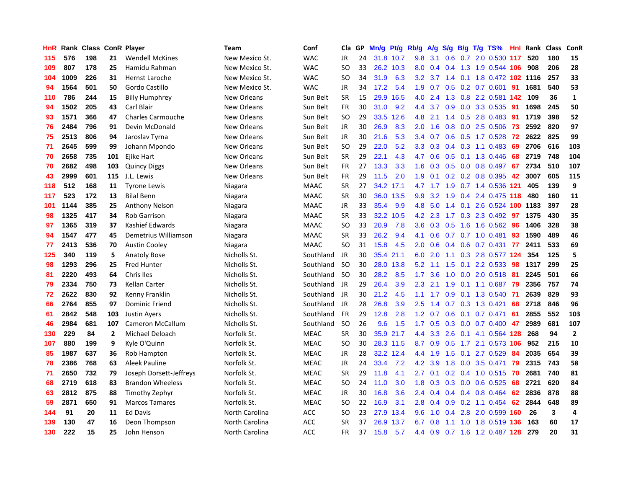| HnR | Rank | <b>Class</b> |              | <b>ConR Player</b>       | Team               | Conf        | Cla.          | <b>GP</b> | Mn/g | <b>Pt/g</b> | Rb/g             | A/g | S/g              |     | B/g T/g TS%                    | Hnl | Rank | <b>Class</b> | <b>ConR</b>    |
|-----|------|--------------|--------------|--------------------------|--------------------|-------------|---------------|-----------|------|-------------|------------------|-----|------------------|-----|--------------------------------|-----|------|--------------|----------------|
| 115 | 576  | 198          | 21           | <b>Wendell McKines</b>   | New Mexico St.     | <b>WAC</b>  | <b>JR</b>     | 24        |      | 31.8 10.7   | 9.8              | 3.1 |                  |     | 0.6 0.7 2.0 0.530 117          |     | 520  | 180          | 15             |
| 109 | 807  | 178          | 25           | Hamidu Rahman            | New Mexico St.     | <b>WAC</b>  | <sub>SO</sub> | 33        |      | 26.2 10.3   | 8.0              |     |                  |     | 0.4 0.4 1.3 1.9 0.544 106      |     | 908  | 206          | 28             |
| 104 | 1009 | 226          | 31           | Hernst Laroche           | New Mexico St.     | <b>WAC</b>  | SO            | 34        | 31.9 | 6.3         | 3.2              |     |                  |     | 3.7 1.4 0.1 1.8 0.472 102 1116 |     |      | 257          | 33             |
| 94  | 1564 | 501          | 50           | Gordo Castillo           | New Mexico St.     | <b>WAC</b>  | JR            | 34        | 17.2 | 5.4         | 1.9              | 0.7 |                  |     | $0.5$ 0.2 0.7 0.601            | -91 | 1681 | 540          | 53             |
| 110 | 786  | 244          | 15           | <b>Billy Humphrey</b>    | New Orleans        | Sun Belt    | <b>SR</b>     | 15        | 29.9 | 16.5        | 4.0              | 2.4 |                  |     | 1.3 0.8 2.2 0.581 142          |     | 109  | 36           | $\mathbf{1}$   |
| 94  | 1502 | 205          | 43           | Carl Blair               | <b>New Orleans</b> | Sun Belt    | <b>FR</b>     | 30        | 31.0 | 9.2         | 4.4              | 3.7 |                  |     | 0.9 0.0 3.3 0.535              | -91 | 1698 | 245          | 50             |
| 93  | 1571 | 366          | 47           | <b>Charles Carmouche</b> | New Orleans        | Sun Belt    | SO.           | 29        | 33.5 | 12.6        | 4.8              | 2.1 |                  |     | 1.4 0.5 2.8 0.483              | -91 | 1719 | 398          | 52             |
| 76  | 2484 | 796          | 91           | Devin McDonald           | New Orleans        | Sun Belt    | JR            | 30        | 26.9 | 8.3         | 2.0              | 1.6 | 0.8              |     | 0.0 2.5 0.506                  | 73  | 2592 | 820          | 97             |
| 75  | 2513 | 806          | 94           | Jaroslav Tyrna           | New Orleans        | Sun Belt    | <b>JR</b>     | 30        | 21.6 | 5.3         | 3.4              | 0.7 | 0.6              |     | $0.5$ 1.7 0.528                | 72  | 2622 | 825          | 99             |
| 71  | 2645 | 599          | 99           | Johann Mpondo            | New Orleans        | Sun Belt    | <b>SO</b>     | 29        | 22.0 | 5.2         | 3.3              | 0.3 |                  |     | $0.4$ 0.3 1.1 0.483            | 69  | 2706 | 616          | 103            |
| 70  | 2658 | 735          | 101          | Ejike Hart               | <b>New Orleans</b> | Sun Belt    | <b>SR</b>     | 29        | 22.1 | 4.3         | 4.7              | 0.6 |                  |     | 0.5 0.1 1.3 0.446              | 68  | 2719 | 748          | 104            |
| 70  | 2682 | 498          | 103          | <b>Quincy Diggs</b>      | New Orleans        | Sun Belt    | FR            | 27        | 13.3 | 3.3         | 1.6              | 0.3 |                  |     | $0.5$ 0.0 0.8 0.497 67         |     | 2734 | 510          | 107            |
| 43  | 2999 | 601          | 115          | J.L. Lewis               | New Orleans        | Sun Belt    | <b>FR</b>     | 29        | 11.5 | 2.0         | 1.9              | 0.1 |                  |     | 0.2 0.2 0.8 0.395              | 42  | 3007 | 605          | 115            |
| 118 | 512  | 168          | 11           | <b>Tyrone Lewis</b>      | Niagara            | <b>MAAC</b> | <b>SR</b>     | 27        | 34.2 | 17.1        | 4.7              | 1.7 |                  |     | 1.9 0.7 1.4 0.536 121          |     | 405  | 139          | 9              |
| 117 | 523  | 172          | 13           | <b>Bilal Benn</b>        | Niagara            | <b>MAAC</b> | <b>SR</b>     | 30        | 36.0 | 13.5        | 9.9              | 3.2 | 1.9              |     | 0.4 2.4 0.475 118              |     | 480  | 160          | 11             |
| 101 | 1144 | 385          | 25           | <b>Anthony Nelson</b>    | Niagara            | <b>MAAC</b> | JR            | 33        | 35.4 | 9.9         | 4.8              | 5.0 |                  |     | 1.4 0.1 2.6 0.524 100 1183     |     |      | 397          | 28             |
| 98  | 1325 | 417          | 34           | <b>Rob Garrison</b>      | Niagara            | <b>MAAC</b> | <b>SR</b>     | 33        | 32.2 | 10.5        | 4.2              | 2.3 | 1.7              |     | 0.3 2.3 0.492                  | 97  | 1375 | 430          | 35             |
| 97  | 1365 | 319          | 37           | Kashief Edwards          | Niagara            | <b>MAAC</b> | <sub>SO</sub> | 33        | 20.9 | 7.8         | 3.6              | 0.3 | 0.5              |     | 1.6 1.6 0.562 96               |     | 1406 | 328          | 38             |
| 94  | 1547 | 477          | 45           | Demetrius Williamson     | Niagara            | <b>MAAC</b> | <b>SR</b>     | 33        | 26.2 | 9.4         | 4.1              | 0.6 |                  |     | 0.7 0.7 1.0 0.481 93           |     | 1590 | 489          | 46             |
| 77  | 2413 | 536          | 70           | <b>Austin Cooley</b>     | Niagara            | <b>MAAC</b> | <b>SO</b>     | 31        | 15.8 | 4.5         | 2.0              | 0.6 |                  |     | 0.4 0.6 0.7 0.431 77           |     | 2411 | 533          | 69             |
| 125 | 340  | 119          | 5            | <b>Anatoly Bose</b>      | Nicholls St.       | Southland   | JR            | 30        | 35.4 | 21.1        | 6.0              | 2.0 |                  |     | 1.1 0.3 2.8 0.577 124          |     | 354  | 125          | 5              |
| 98  | 1293 | 296          | 25           | <b>Fred Hunter</b>       | Nicholls St.       | Southland   | <sub>SO</sub> | 30        | 28.0 | 13.8        | 5.2              | 1.1 | 1.5              | 0.1 | 2.2 0.533                      | -98 | 1317 | 299          | 25             |
| 81  | 2220 | 493          | 64           | Chris Iles               | Nicholls St.       | Southland   | -SO           | 30        | 28.2 | 8.5         | 1.7              | 3.6 | 1.0              |     | $0.0$ 2.0 $0.518$              | -81 | 2245 | 501          | 66             |
| 79  | 2334 | 750          | 73           | <b>Kellan Carter</b>     | Nicholls St.       | Southland   | <b>JR</b>     | 29        | 26.4 | 3.9         | 2.3              | 2.1 | 1.9              |     | $0.1$ 1.1 0.687                | 79  | 2356 | 757          | 74             |
| 72  | 2622 | 830          | 92           | Kenny Franklin           | Nicholls St.       | Southland   | JR            | 30        | 21.2 | 4.5         | 1.1              | 1.7 | 0.9 <sub>0</sub> |     | 0.1 1.3 0.540                  | -71 | 2639 | 829          | 93             |
| 66  | 2764 | 855          | 97           | <b>Dominic Friend</b>    | Nicholls St.       | Southland   | <b>JR</b>     | 28        | 26.8 | 3.9         | 2.5              | 1.4 |                  |     | 0.7 0.3 1.3 0.421              | 68  | 2718 | 846          | 96             |
| 61  | 2842 | 548          | 103          | <b>Justin Ayers</b>      | Nicholls St.       | Southland   | <b>FR</b>     | 29        | 12.8 | 2.8         | 1.2              | 0.7 |                  |     | $0.6$ 0.1 0.7 0.471            | -61 | 2855 | 552          | 103            |
| 46  | 2984 | 681          | 107          | Cameron McCallum         | Nicholls St.       | Southland   | <sub>SO</sub> | 26        | 9.6  | 1.5         | 1.7 <sub>z</sub> | 0.5 |                  |     | $0.3$ 0.0 0.7 0.400 47         |     | 2989 | 681          | 107            |
| 130 | 229  | 84           | $\mathbf{2}$ | Michael Deloach          | Norfolk St.        | <b>MEAC</b> | <b>SR</b>     | 30        | 35.9 | 21.7        | 4.4              | 3.3 |                  |     | 2.6 0.1 4.1 0.564 128 268      |     |      | 94           | $\overline{2}$ |
| 107 | 880  | 199          | 9            | Kyle O'Quinn             | Norfolk St.        | <b>MEAC</b> | <sub>SO</sub> | 30        |      | 28.3 11.5   | 8.7              | 0.9 | 0.5              |     | 1.7 2.1 0.573 106              |     | 952  | 215          | 10             |
| 85  | 1987 | 637          | 36           | Rob Hampton              | Norfolk St.        | <b>MEAC</b> | JR            | 28        |      | 32.2 12.4   | 4.4              | 1.9 | 1.5              | 0.1 | 2.7 0.529                      | -84 | 2035 | 654          | 39             |
| 78  | 2386 | 768          | 63           | Aleek Pauline            | Norfolk St.        | <b>MEAC</b> | JR            | 24        | 33.4 | 7.2         | 4.2              | 3.9 | 1.8              |     | 0.0 3.5 0.471                  | 79  | 2315 | 743          | 58             |
| 71  | 2650 | 732          | 79           | Joseph Dorsett-Jeffreys  | Norfolk St.        | <b>MEAC</b> | <b>SR</b>     | 29        | 11.8 | 4.1         | 2.7              | 0.1 | 0.2              |     | $0.4$ 1.0 0.515                | -70 | 2681 | 740          | 81             |
| 68  | 2719 | 618          | 83           | <b>Brandon Wheeless</b>  | Norfolk St.        | <b>MEAC</b> | SO            | 24        | 11.0 | 3.0         | 1.8              | 0.3 | 0.3              |     | 0.0 0.6 0.525                  | 68  | 2721 | 620          | 84             |
| 63  | 2812 | 875          | 88           | Timothy Zephyr           | Norfolk St.        | <b>MEAC</b> | <b>JR</b>     | 30        | 16.8 | 3.6         | $2.4^{\circ}$    | 0.4 |                  |     | $0.4$ 0.4 0.8 0.464            | 62  | 2836 | 878          | 88             |
| 59  | 2871 | 650          | 91           | <b>Marcos Tamares</b>    | Norfolk St.        | <b>MEAC</b> | SO            | 22        | 16.9 | 3.1         | 2.8              | 0.4 |                  |     | $0.9$ $0.2$ 1.1 $0.454$        | 62  | 2844 | 648          | 89             |
| 144 | 91   | 20           | 11           | <b>Ed Davis</b>          | North Carolina     | <b>ACC</b>  | SO            | 23        | 27.9 | 13.4        | 9.6              | 1.0 |                  |     | 0.4 2.8 2.0 0.599 160          |     | -26  | 3            | 4              |
| 139 | 130  | 47           | 16           | Deon Thompson            | North Carolina     | ACC         | SR            | 37        | 26.9 | 13.7        | 6.7              | 0.8 |                  |     | 1.1 1.0 1.8 0.519 136          |     | 163  | 60           | 17             |
| 130 | 222  | 15           | 25           | John Henson              | North Carolina     | <b>ACC</b>  | <b>FR</b>     | 37        | 15.8 | 5.7         | 4.4              | 0.9 |                  |     | 0.7 1.6 1.2 0.487 128          |     | 279  | 20           | 31             |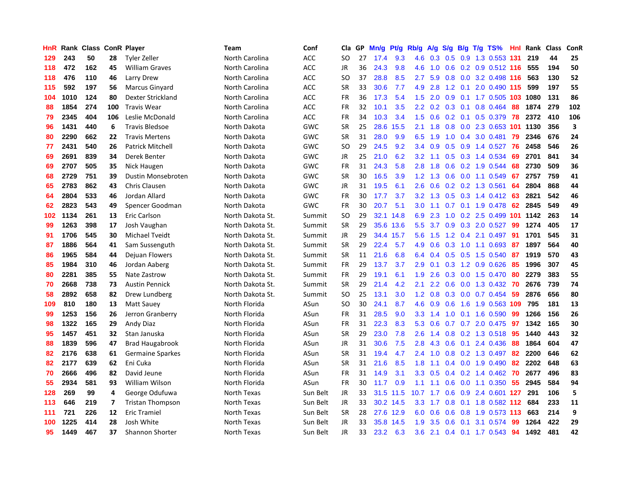| HnR |      | Rank Class ConR Player |     |                         | Team             | Conf       | Cla       | <b>GP</b> | Mn/g | <b>Pt/g</b> | Rb/g             | A/g             | S/g |                 | B/g T/g TS%                  | Hnl | Rank | <b>Class</b> | ConR                    |
|-----|------|------------------------|-----|-------------------------|------------------|------------|-----------|-----------|------|-------------|------------------|-----------------|-----|-----------------|------------------------------|-----|------|--------------|-------------------------|
| 129 | 243  | 50                     | 28  | Tyler Zeller            | North Carolina   | <b>ACC</b> | SO        | 27        | 17.4 | 9.3         | 4.6              | 0.3             |     |                 | 0.5 0.9 1.3 0.553 131        |     | 219  | 44           | 25                      |
| 118 | 472  | 162                    | 45  | <b>William Graves</b>   | North Carolina   | <b>ACC</b> | JR        | 36        | 24.3 | 9.8         | 4.6              |                 |     |                 | 1.0 0.6 0.2 0.9 0.512 116    |     | 555  | 194          | 50                      |
| 118 | 476  | 110                    | 46  | Larry Drew              | North Carolina   | <b>ACC</b> | SO.       | 37        | 28.8 | 8.5         | $2.7^{\circ}$    | 5.9             |     |                 | $0.8$ 0.0 3.2 0.498 116      |     | 563  | 130          | 52                      |
| 115 | 592  | 197                    | 56  | Marcus Ginyard          | North Carolina   | ACC        | <b>SR</b> | 33        | 30.6 | 7.7         | 4.9              | 2.8             |     | $1.2 \quad 0.1$ | 2.0 0.490 115                |     | 599  | 197          | 55                      |
| 104 | 1010 | 124                    | 80  | Dexter Strickland       | North Carolina   | <b>ACC</b> | <b>FR</b> | 36        | 17.3 | 5.4         | 1.5              | 2.0             | 0.9 |                 | 0.1 1.7 0.505 103 1080       |     |      | 131          | 86                      |
| 88  | 1854 | 274                    | 100 | <b>Travis Wear</b>      | North Carolina   | ACC        | <b>FR</b> | 32        | 10.1 | 3.5         | 2.2              | 0.2             |     |                 | $0.3$ 0.1 0.8 0.464          | 88  | 1874 | 279          | 102                     |
| 79  | 2345 | 404                    | 106 | Leslie McDonald         | North Carolina   | ACC        | <b>FR</b> | 34        | 10.3 | 3.4         | 1.5              | 0.6             |     |                 | $0.2$ 0.1 0.5 0.379          | 78  | 2372 | 410          | 106                     |
| 96  | 1431 | 440                    | 6   | <b>Travis Bledsoe</b>   | North Dakota     | GWC        | <b>SR</b> | 25        | 28.6 | 15.5        | 2.1              | 1.8             | 0.8 |                 | 0.0 2.3 0.653 101 1130       |     |      | 356          | $\overline{\mathbf{3}}$ |
| 80  | 2290 | 662                    | 22  | <b>Travis Mertens</b>   | North Dakota     | GWC        | <b>SR</b> | 31        | 28.0 | 9.9         | 6.5              | 1.9             | 1.0 |                 | 0.4 3.0 0.481                | 79  | 2346 | 676          | 24                      |
| 77  | 2431 | 540                    | 26  | Patrick Mitchell        | North Dakota     | GWC        | SO        | 29        | 24.5 | 9.2         | 3.4              | 0.9             |     |                 | $0.5$ 0.9 1.4 0.527          | -76 | 2458 | 546          | 26                      |
| 69  | 2691 | 839                    | 34  | Derek Benter            | North Dakota     | GWC        | JR        | 25        | 21.0 | 6.2         | 3.2              |                 |     |                 | 1.1 0.5 0.3 1.4 0.534        | -69 | 2701 | 841          | 34                      |
| 69  | 2707 | 505                    | 35  | Nick Haugen             | North Dakota     | GWC        | FR        | 31        | 24.3 | 5.8         | 2.8              | 1.8             |     |                 | 0.6 0.2 1.9 0.544            | 68  | 2730 | 509          | 36                      |
| 68  | 2729 | 751                    | 39  | Dustin Monsebroten      | North Dakota     | GWC        | <b>SR</b> | 30        | 16.5 | 3.9         | 1.2              | 1.3             | 0.6 |                 | 0.0 1.1 0.549                | 67  | 2757 | 759          | 41                      |
| 65  | 2783 | 862                    | 43  | Chris Clausen           | North Dakota     | GWC        | JR        | 31        | 19.5 | 6.1         | 2.6              | 0.6             |     |                 | $0.2$ 0.2 1.3 0.561          | 64  | 2804 | 868          | 44                      |
| 64  | 2804 | 533                    | 46  | Jordan Allard           | North Dakota     | GWC        | <b>FR</b> | 30        | 17.7 | 3.7         | 3.2              | 1.3             |     |                 | 0.5 0.3 1.4 0.412 63         |     | 2821 | 542          | 46                      |
| 62  | 2823 | 543                    | 49  | Spencer Goodman         | North Dakota     | <b>GWC</b> | FR        | 30        | 20.7 | 5.1         | 3.0 <sub>2</sub> | 1.1             |     |                 | 0.7 0.1 1.9 0.478            | 62  | 2845 | 549          | 49                      |
| 102 | 1134 | 261                    | 13  | Eric Carlson            | North Dakota St. | Summit     | <b>SO</b> | 29        | 32.1 | 14.8        | 6.9              | 2.3             | 1.0 |                 | 0.2 2.5 0.499 101 1142       |     |      | 263          | 14                      |
| 99  | 1263 | 398                    | 17  | Josh Vaughan            | North Dakota St. | Summit     | <b>SR</b> | 29        | 35.6 | 13.6        | 5.5              | 3.7             |     |                 | $0.9$ $0.3$ $2.0$ $0.527$    | -99 | 1274 | 405          | 17                      |
| 91  | 1706 | 545                    | 30  | Michael Tveidt          | North Dakota St. | Summit     | JR        | 29        | 34.4 | 15.7        | 5.6              |                 |     |                 | 1.5 1.2 0.4 2.1 0.497 91     |     | 1701 | 545          | 31                      |
| 87  | 1886 | 564                    | 41  | Sam Sussenguth          | North Dakota St. | Summit     | <b>SR</b> | 29        | 22.4 | 5.7         | 4.9              | 0.6             |     |                 | 0.3 1.0 1.1 0.693            | -87 | 1897 | 564          | 40                      |
| 86  | 1965 | 584                    | 44  | Dejuan Flowers          | North Dakota St. | Summit     | <b>SR</b> | 11        | 21.6 | 6.8         | 6.4              | 0.4             |     |                 | $0.5$ 0.5 1.5 0.540          | -87 | 1919 | 570          | 43                      |
| 85  | 1984 | 310                    | 46  | Jordan Aaberg           | North Dakota St. | Summit     | FR        | 29        | 13.7 | 3.7         | 2.9              | 0.1             |     |                 | 0.3 1.2 0.9 0.626            | 85  | 1996 | 307          | 45                      |
| 80  | 2281 | 385                    | 55  | Nate Zastrow            | North Dakota St. | Summit     | FR        | 29        | 19.1 | 6.1         | 1.9              | 2.6             |     |                 | 0.3 0.0 1.5 0.470            | 80  | 2279 | 383          | 55                      |
| 70  | 2668 | 738                    | 73  | <b>Austin Pennick</b>   | North Dakota St. | Summit     | <b>SR</b> | 29        | 21.4 | 4.2         | 2.1              | 2.2             | 0.6 |                 | $0.0$ 1.3 0.432              | 70  | 2676 | 739          | 74                      |
| 58  | 2892 | 658                    | 82  | Drew Lundberg           | North Dakota St. | Summit     | <b>SO</b> | 25        | 13.1 | 3.0         | 1.2              | 0.8             | 0.3 |                 | $0.0$ 0.7 0.454              | -59 | 2876 | 656          | 80                      |
| 109 | 810  | 180                    | 13  | <b>Matt Sauey</b>       | North Florida    | ASun       | <b>SO</b> | 30        | 24.1 | 8.7         | 4.6              | 0.9             | 0.6 |                 | 1.6 1.9 0.563 109            |     | 795  | 181          | 13                      |
| 99  | 1253 | 156                    | 26  | Jerron Granberry        | North Florida    | ASun       | <b>FR</b> | 31        | 28.5 | 9.0         |                  |                 |     |                 | 3.3 1.4 1.0 0.1 1.6 0.590 99 |     | 1266 | 156          | 26                      |
| 98  | 1322 | 165                    | 29  | Andy Diaz               | North Florida    | ASun       | <b>FR</b> | 31        | 22.3 | 8.3         | 5.3              | 0.6             |     |                 | 0.7 0.7 2.0 0.475 97         |     | 1342 | 165          | 30                      |
| 95  | 1457 | 451                    | 32  | Stan Januska            | North Florida    | ASun       | <b>SR</b> | 29        | 23.0 | 7.8         | 2.6              | 1.4             |     |                 | 0.8 0.2 1.3 0.518 95         |     | 1440 | 443          | 32                      |
| 88  | 1839 | 596                    | 47  | <b>Brad Haugabrook</b>  | North Florida    | ASun       | JR        | 31        | 30.6 | 7.5         | 2.8              | 4.3             | 0.6 |                 | $0.1$ 2.4 0.436              | -88 | 1864 | 604          | 47                      |
| 82  | 2176 | 638                    | 61  | Germaine Sparkes        | North Florida    | ASun       | <b>SR</b> | 31        | 19.4 | 4.7         | $2.4^{\circ}$    | 1.0             |     |                 | $0.8$ 0.2 1.3 0.497          | -82 | 2200 | 646          | 62                      |
| 82  | 2177 | 639                    | 62  | Eni Cuka                | North Florida    | ASun       | <b>SR</b> | 31        | 21.6 | 8.5         | 1.8              | 1.1             |     |                 | $0.4$ 0.0 1.9 0.490          | 82  | 2202 | 648          | 63                      |
| 70  | 2666 | 496                    | 82  | David Jeune             | North Florida    | ASun       | <b>FR</b> | 31        | 14.9 | 3.1         | 3.3 <sub>2</sub> | 0.5             |     |                 | $0.4$ 0.2 1.4 0.462          | 70  | 2677 | 496          | 83                      |
| 55  | 2934 | 581                    | 93  | <b>William Wilson</b>   | North Florida    | ASun       | <b>FR</b> | 30        | 11.7 | 0.9         | 1.1              | 1.1             | 0.6 |                 | $0.0$ 1.1 $0.350$            | 55  | 2945 | 584          | 94                      |
| 128 | 269  | 99                     | 4   | George Odufuwa          | North Texas      | Sun Belt   | JR        | 33        | 31.5 | 11.5        | 10.7             | 1.7             | 0.6 |                 | 0.9 2.4 0.601 127            |     | 291  | 106          | 5                       |
| 113 | 646  | 219                    | 7   | <b>Tristan Thompson</b> | North Texas      | Sun Belt   | <b>JR</b> | 33        |      | 30.2 14.5   |                  | $3.3 \quad 1.7$ |     |                 | 0.8 0.1 1.8 0.582 112        |     | 684  | 233          | 11                      |
| 111 | 721  | 226                    | 12  | <b>Eric Tramiel</b>     | North Texas      | Sun Belt   | <b>SR</b> | 28        | 27.6 | 12.9        | 6.0              | 0.6             |     |                 | $0.6$ 0.8 1.9 0.573 113      |     | 663  | 214          | 9                       |
| 100 | 1225 | 414                    | 28  | Josh White              | North Texas      | Sun Belt   | <b>JR</b> | 33        | 35.8 | 14.5        | 1.9              | 3.5             | 0.6 | 0.1             | 3.1 0.574                    | 99  | 1264 | 422          | 29                      |
| 95  | 1449 | 467                    | 37  | <b>Shannon Shorter</b>  | North Texas      | Sun Belt   | <b>JR</b> | 33        | 23.2 | 6.3         | 3.6 <sup>°</sup> | 2.1             |     |                 | 0.4 0.1 1.7 0.543 94         |     | 1492 | 481          | 42                      |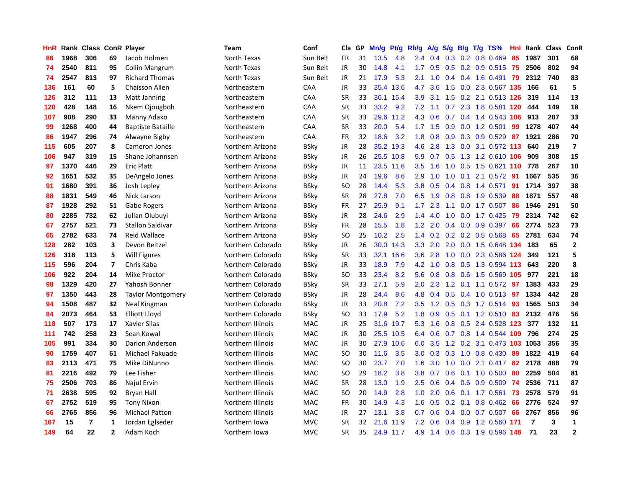| HnR |      | Rank Class ConR Player |                |                          | <b>Team</b>       | Conf        | Cla       | GP | Mn/g | <b>Pt/g</b> | Rb/g             | A/g    | S/g              |  | B/g T/g TS%                   | Hnl  | Rank           | <b>Class</b> | ConR           |
|-----|------|------------------------|----------------|--------------------------|-------------------|-------------|-----------|----|------|-------------|------------------|--------|------------------|--|-------------------------------|------|----------------|--------------|----------------|
| 86  | 1968 | 306                    | 69             | Jacob Holmen             | North Texas       | Sun Belt    | FR        | 31 | 13.5 | 4.8         | 2.4              | 0.4    | 0.3              |  | $0.2$ 0.8 0.469               | -85  | 1987           | 301          | 68             |
| 74  | 2540 | 811                    | 95             | <b>Collin Mangrum</b>    | North Texas       | Sun Belt    | JR        | 30 | 14.8 | 4.1         | 1.7 <sub>z</sub> | 0.5    |                  |  | 0.5 0.2 0.9 0.515 75          |      | 2506           | 802          | 94             |
| 74  | 2547 | 813                    | 97             | <b>Richard Thomas</b>    | North Texas       | Sun Belt    | JR        | 21 | 17.9 | 5.3         | 2.1              | 1.0    |                  |  | 0.4 0.4 1.6 0.491 79          |      | 2312           | 740          | 83             |
| 136 | 161  | 60                     | 5              | <b>Chaisson Allen</b>    | Northeastern      | CAA         | JR        | 33 | 35.4 | 13.6        | 4.7              | 3.6    |                  |  | 1.5 0.0 2.3 0.567 135         |      | 166            | 61           | 5              |
| 126 | 312  | 111                    | 13             | <b>Matt Janning</b>      | Northeastern      | CAA         | <b>SR</b> | 33 | 36.1 | 15.4        | 3.9              | 3.1    |                  |  | 1.5 0.2 2.1 0.513 126         |      | 319            | 114          | 13             |
| 120 | 428  | 148                    | 16             | Nkem Ojougboh            | Northeastern      | CAA         | SR        | 33 | 33.2 | 9.2         | 7.2              | 1.1    |                  |  | 0.7 2.3 1.8 0.581 120         |      | 444            | 149          | 18             |
| 107 | 908  | 290                    | 33             | Manny Adako              | Northeastern      | CAA         | <b>SR</b> | 33 |      | 29.6 11.2   | 4.3              | 0.6    |                  |  | 0.7 0.4 1.4 0.543 106         |      | 913            | 287          | 33             |
| 99  | 1268 | 400                    | 44             | <b>Baptiste Bataille</b> | Northeastern      | CAA         | <b>SR</b> | 33 | 20.0 | 5.4         | 1.7              | 1.5    | 0.9              |  | 0.0 1.2 0.501                 | 99   | 1278           | 407          | 44             |
| 86  | 1947 | 296                    | 74             | Alwayne Bigby            | Northeastern      | CAA         | <b>FR</b> | 32 | 18.6 | 3.2         | 1.8              | 0.8    | 0.9 <sub>0</sub> |  | 0.3 0.9 0.529                 | -87  | 1921           | 286          | 70             |
| 115 | 605  | 207                    | 8              | Cameron Jones            | Northern Arizona  | <b>BSky</b> | JR        | 28 | 35.2 | 19.3        | 4.6              | 2.8    |                  |  | 1.3 0.0 3.1 0.572 113         |      | 640            | 219          | $\overline{7}$ |
| 106 | 947  | 319                    | 15             | Shane Johannsen          | Northern Arizona  | <b>BSky</b> | JR        | 26 |      | 25.5 10.8   |                  |        |                  |  | 5.9 0.7 0.5 1.3 1.2 0.610 106 |      | 909            | 308          | 15             |
| 97  | 1370 | 446                    | 29             | <b>Eric Platt</b>        | Northern Arizona  | <b>BSky</b> | JR        | 11 | 23.5 | 11.6        | 3.5              | 1.6    |                  |  | 1.0 0.5 1.5 0.621 110 778     |      |                | 267          | 10             |
| 92  | 1651 | 532                    | 35             | DeAngelo Jones           | Northern Arizona  | <b>BSky</b> | JR        | 24 | 19.6 | 8.6         | 2.9              | 1.0    | 1.0              |  | 0.1 2.1 0.572 91              |      | 1667           | 535          | 36             |
| 91  | 1680 | 391                    | 36             | Josh Lepley              | Northern Arizona  | <b>BSky</b> | SO.       | 28 | 14.4 | 5.3         | 3.8 <sub>2</sub> | 0.5    |                  |  | $0.4$ 0.8 1.4 0.571           | 91   | 1714           | 397          | 38             |
| 88  | 1831 | 549                    | 46             | Nick Larson              | Northern Arizona  | <b>BSky</b> | <b>SR</b> | 28 | 27.8 | 7.0         | 6.5              | 1.9    | 0.8              |  | 0.8 1.9 0.539                 | 88   | 1871           | 557          | 48             |
| 87  | 1928 | 292                    | 51             | Gabe Rogers              | Northern Arizona  | <b>BSky</b> | <b>FR</b> | 27 | 25.9 | 9.1         | $1.7^{\circ}$    | 2.3    |                  |  | 1.1 0.0 1.7 0.507             | -86  | 1946           | 291          | 50             |
| 80  | 2285 | 732                    | 62             | Julian Olubuvi           | Northern Arizona  | BSky        | JR        | 28 | 24.6 | 2.9         | 1.4              | 4.0    | 1.0              |  | $0.0$ 1.7 $0.425$             | 79   | 2314           | 742          | 62             |
| 67  | 2757 | 521                    | 73             | <b>Stallon Saldivar</b>  | Northern Arizona  | <b>BSky</b> | <b>FR</b> | 28 | 15.5 | 1.8         | 1.2              | 2.0    | 0.4              |  | $0.0$ 0.9 0.397               | 66   | 2774           | 523          | 73             |
| 65  | 2782 | 633                    | 74             | <b>Reid Wallace</b>      | Northern Arizona  | <b>BSky</b> | SO        | 25 | 10.2 | 2.5         | $1.4^{\circ}$    |        |                  |  | $0.2$ 0.2 0.2 0.5 0.568       | 65   | 2781           | 634          | 74             |
| 128 | 282  | 103                    | 3              | Devon Beitzel            | Northern Colorado | <b>BSky</b> | JR        | 26 |      | 30.0 14.3   | 3.3 <sub>2</sub> | 2.0    |                  |  | 2.0 0.0 1.5 0.648 134         |      | 183            | 65           | $\overline{2}$ |
| 126 | 318  | 113                    | 5              | Will Figures             | Northern Colorado | BSky        | SR        | 33 | 32.1 | 16.6        | 3.6 <sup>°</sup> | 2.8    |                  |  | 1.0 0.0 2.3 0.586 124         |      | 349            | 121          | 5              |
| 115 | 596  | 204                    | $\overline{7}$ | Chris Kaba               | Northern Colorado | <b>BSky</b> | JR        | 33 | 18.9 | 7.9         | 4.2              | 1.0    | 0.8              |  | 0.5 1.3 0.594 113             |      | 643            | 220          | 8              |
| 106 | 922  | 204                    | 14             | Mike Proctor             | Northern Colorado | <b>BSky</b> | SO        | 33 | 23.4 | 8.2         | 5.6              | 0.8    |                  |  | 0.8 0.6 1.5 0.569 105         |      | 977            | 221          | 18             |
| 98  | 1329 | 420                    | 27             | Yahosh Bonner            | Northern Colorado | <b>BSky</b> | SR        | 33 | 27.1 | 5.9         | 2.0              | 2.3    |                  |  | 1.2 0.1 1.1 0.572             | 97   | 1383           | 433          | 29             |
| 97  | 1350 | 443                    | 28             | <b>Taylor Montgomery</b> | Northern Colorado | BSky        | JR        | 28 | 24.4 | 8.6         | 4.8              | 0.4    |                  |  | 0.5 0.4 1.0 0.513 97          |      | 1334           | 442          | 28             |
| 94  | 1508 | 487                    | 32             | Neal Kingman             | Northern Colorado | <b>BSky</b> | JR        | 33 | 20.8 | 7.2         | 3.5              | 1.2    |                  |  | 0.5 0.3 1.7 0.514 93          |      | 1565           | 503          | 34             |
| 84  | 2073 | 464                    | 53             | Elliott Lloyd            | Northern Colorado | <b>BSky</b> | SO        | 33 | 17.9 | 5.2         | 1.8              | 0.9    |                  |  | 0.5 0.1 1.2 0.510 83          |      | 2132           | 476          | 56             |
| 118 | 507  | 173                    | 17             | <b>Xavier Silas</b>      | Northern Illinois | <b>MAC</b>  | JR        | 25 |      | 31.6 19.7   | 5.3              | $-1.6$ |                  |  | 0.8 0.5 2.4 0.528 123         |      | 377            | 132          | 11             |
| 111 | 742  | 258                    | 23             | Sean Kowal               | Northern Illinois | <b>MAC</b>  | JR        | 30 | 25.5 | 10.5        | 6.4              | 0.6    |                  |  | 0.7 0.8 1.4 0.544 109         |      | 796            | 274          | 25             |
| 105 | 991  | 334                    | 30             | Darion Anderson          | Northern Illinois | MAC         | JR        | 30 | 27.9 | 10.6        | 6.0              | 3.5    |                  |  | 1.2 0.2 3.1 0.473 103 1053    |      |                | 356          | 35             |
| 90  | 1759 | 407                    | 61             | Michael Fakuade          | Northern Illinois | MAC         | SO.       | 30 | 11.6 | 3.5         | 3.0 <sub>2</sub> | 0.3    | 0.3              |  | 1.0 0.8 0.430                 | -89  | 1822           | 419          | 64             |
| 83  | 2113 | 471                    | 75             | Mike DiNunno             | Northern Illinois | <b>MAC</b>  | <b>SO</b> | 30 | 23.7 | 7.0         | 1.6              | 3.0    | 1.0              |  | 0.0 2.1 0.417 82              |      | 2178           | 488          | 79             |
| 81  | 2216 | 492                    | 79             | Lee Fisher               | Northern Illinois | <b>MAC</b>  | SO.       | 29 | 18.2 | 3.8         | 3.8 <sub>1</sub> | 0.7    | 0.6              |  | $0.1$ 1.0 0.500               | 80   | 2259           | 504          | 81             |
| 75  | 2506 | 703                    | 86             | Najul Ervin              | Northern Illinois | <b>MAC</b>  | <b>SR</b> | 28 | 13.0 | 1.9         | $2.5^{\circ}$    | 0.6    | 0.4              |  | 0.6 0.9 0.509                 | 74   | 2536           | 711          | 87             |
| 71  | 2638 | 595                    | 92             | Bryan Hall               | Northern Illinois | <b>MAC</b>  | SO.       | 20 | 14.9 | 2.8         | 1.0              | 2.0    | 0.6              |  | $0.1$ 1.7 0.561               | 73   | 2578           | 579          | 91             |
| 67  | 2752 | 519                    | 95             | <b>Tony Nixon</b>        | Northern Illinois | <b>MAC</b>  | FR        | 30 | 14.9 | 4.3         | 1.6              | 0.5    |                  |  | 0.2 0.1 0.8 0.462 66          |      | 2776           | 524          | 97             |
| 66  | 2765 | 856                    | 96             | <b>Michael Patton</b>    | Northern Illinois | <b>MAC</b>  | JR        | 27 | 13.1 | 3.8         | 0.7              | 0.6    |                  |  | $0.4$ 0.0 0.7 0.507           | 66   | 2767           | 856          | 96             |
| 167 | 15   | 7                      | 1              | Jordan Eglseder          | Northern Iowa     | <b>MVC</b>  | <b>SR</b> | 32 | 21.6 | 11.9        | 7.2              | 0.6    |                  |  | 0.4 0.9 1.2 0.560             | -171 | $\overline{7}$ | 3            | $\mathbf{1}$   |
| 149 | 64   | 22                     | $\overline{2}$ | Adam Koch                | Northern Iowa     | <b>MVC</b>  | <b>SR</b> | 35 |      | 24.9 11.7   | 4.9              |        |                  |  | 1.4 0.6 0.3 1.9 0.596 148     |      | 71             | 23           | $\overline{2}$ |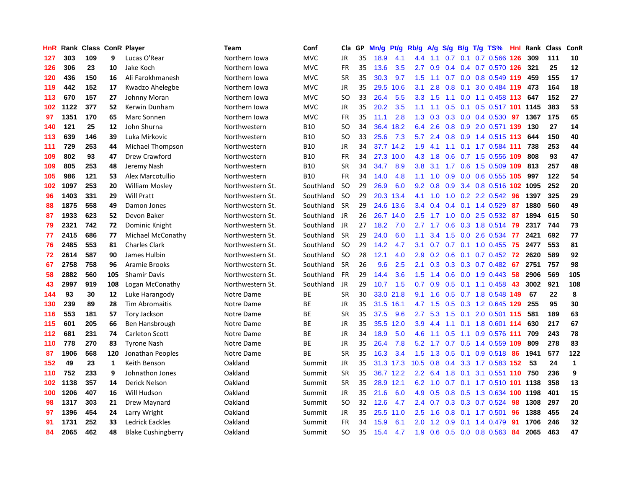| HnR | Rank |     |              | <b>Class ConR Player</b>  | <b>Team</b>      | Conf       | Cla           | GP | Mn/g | <b>Pt/g</b> | Rb/g             | A/g           | S/g           | B/g | $T/g$ TS%                 | Hnl | Rank | <b>Class</b> | ConR         |
|-----|------|-----|--------------|---------------------------|------------------|------------|---------------|----|------|-------------|------------------|---------------|---------------|-----|---------------------------|-----|------|--------------|--------------|
| 127 | 303  | 109 | 9            | Lucas O'Rear              | Northern Iowa    | <b>MVC</b> | JR            | 35 | 18.9 | 4.1         | 4.4              | 1.1           | 0.7           | 0.1 | $0.7$ 0.566               | 126 | 309  | 111          | 10           |
| 126 | 306  | 23  | 10           | Jake Koch                 | Northern Iowa    | <b>MVC</b> | <b>FR</b>     | 35 | 13.6 | 3.5         | 2.7              | 0.9           |               |     | 0.4 0.4 0.7 0.570 126 321 |     |      | 25           | 12           |
| 120 | 436  | 150 | 16           | Ali Farokhmanesh          | Northern Iowa    | <b>MVC</b> | <b>SR</b>     | 35 | 30.3 | 9.7         | $1.5^{\circ}$    |               |               |     | 1.1 0.7 0.0 0.8 0.549 119 |     | 459  | 155          | 17           |
| 119 | 442  | 152 | 17           | Kwadzo Ahelegbe           | Northern Iowa    | <b>MVC</b> | JR            | 35 | 29.5 | 10.6        | 3.1              | 2.8           | 0.8           |     | 0.1 3.0 0.484 119 473     |     |      | 164          | 18           |
| 113 | 670  | 157 | 27           | Johnny Moran              | Northern Iowa    | <b>MVC</b> | <b>SO</b>     | 33 | 26.4 | 5.5         | 3.3 <sub>2</sub> | 1.5           |               |     | 1.1 0.0 1.1 0.458 113     |     | 647  | 152          | 27           |
| 102 | 1122 | 377 | 52           | Kerwin Dunham             | Northern Iowa    | <b>MVC</b> | JR            | 35 | 20.2 | 3.5         | 1.1              | 1.1           | 0.5           |     | 0.1 0.5 0.517 101 1145    |     |      | 383          | 53           |
| 97  | 1351 | 170 | 65           | Marc Sonnen               | Northern Iowa    | <b>MVC</b> | <b>FR</b>     | 35 | 11.1 | 2.8         | 1.3              | 0.3           |               |     | $0.3$ 0.0 0.4 0.530       | 97  | 1367 | 175          | 65           |
| 140 | 121  | 25  | 12           | John Shurna               | Northwestern     | <b>B10</b> | SO.           | 34 | 36.4 | 18.2        | 6.4              | 2.6           | 0.8           |     | 0.9 2.0 0.571 139         |     | 130  | 27           | 14           |
| 113 | 639  | 146 | 39           | Luka Mirkovic             | Northwestern     | <b>B10</b> | <b>SO</b>     | 33 | 25.6 | 7.3         | 5.7              | 2.4           | 0.8           |     | 0.9 1.4 0.515 113         |     | 644  | 150          | 40           |
| 111 | 729  | 253 | 44           | Michael Thompson          | Northwestern     | <b>B10</b> | JR            | 34 |      | 37.7 14.2   | 1.9              | 4.1           |               |     | 1.1 0.1 1.7 0.584 111     |     | 738  | 253          | 44           |
| 109 | 802  | 93  | 47           | Drew Crawford             | Northwestern     | <b>B10</b> | FR            | 34 |      | 27.3 10.0   | 4.3              | 1.8           |               |     | 0.6 0.7 1.5 0.556 109     |     | 808  | 93           | 47           |
| 109 | 805  | 253 | 48           | Jeremy Nash               | Northwestern     | <b>B10</b> | <b>SR</b>     | 34 | 34.7 | 8.9         | 3.8 <sub>2</sub> | 3.1           |               |     | 1.7 0.6 1.5 0.509 109     |     | 813  | 257          | 48           |
| 105 | 986  | 121 | 53           | Alex Marcotullio          | Northwestern     | <b>B10</b> | <b>FR</b>     | 34 | 14.0 | 4.8         | 1.1              | 1.0           | 0.9           |     | $0.0$ 0.6 0.555 105       |     | 997  | 122          | 54           |
| 102 | 1097 | 253 | 20           | <b>William Mosley</b>     | Northwestern St. | Southland  | <sub>SO</sub> | 29 | 26.9 | 6.0         | 9.2              | 0.8           | 0.9           |     | 3.4 0.8 0.516 102 1095    |     |      | 252          | 20           |
| 96  | 1403 | 331 | 29           | <b>Will Pratt</b>         | Northwestern St. | Southland  | -SO           | 29 | 20.3 | 13.4        | 4.1              | 1.0           |               |     | 1.0 0.2 2.2 0.542         | 96  | 1397 | 325          | 29           |
| 88  | 1875 | 558 | 49           | Damon Jones               | Northwestern St. | Southland  | <b>SR</b>     | 29 | 24.6 | 13.6        | 3.4              | 0.4           | $0.4^{\circ}$ |     | $0.1$ 1.4 0.529           | 87  | 1880 | 560          | 49           |
| 87  | 1933 | 623 | 52           | Devon Baker               | Northwestern St. | Southland  | <b>JR</b>     | 26 | 26.7 | 14.0        | 2.5              | 1.7           | 1.0           |     | $0.0$ 2.5 0.532           | -87 | 1894 | 615          | 50           |
| 79  | 2321 | 742 | 72           | Dominic Knight            | Northwestern St. | Southland  | <b>JR</b>     | 27 | 18.2 | 7.0         | 2.7              | 1.7           | 0.6           |     | 0.3 1.8 0.514             | 79  | 2317 | 744          | 73           |
| 77  | 2415 | 686 | 77           | Michael McConathy         | Northwestern St. | Southland  | <b>SR</b>     | 29 | 24.0 | 6.0         | 1.1              | 3.4           |               |     | 1.5 0.0 2.6 0.534         | 77  | 2421 | 692          | 77           |
| 76  | 2485 | 553 | 81           | <b>Charles Clark</b>      | Northwestern St. | Southland  | -SO           | 29 | 14.2 | 4.7         | 3.1              | 0.7           |               |     | 0.7 0.1 1.0 0.455 75      |     | 2477 | 553          | 81           |
| 72  | 2614 | 587 | 90           | James Hulbin              | Northwestern St. | Southland  | <b>SO</b>     | 28 | 12.1 | 4.0         | 2.9              | 0.2           |               |     | $0.6$ 0.1 0.7 0.452       | 72  | 2620 | 589          | 92           |
| 67  | 2758 | 758 | 96           | Aramie Brooks             | Northwestern St. | Southland  | <b>SR</b>     | 26 | 9.6  | 2.5         | 2.1              | 0.3           |               |     | 0.3 0.3 0.7 0.482         | 67  | 2751 | 757          | 98           |
| 58  | 2882 | 560 | 105          | <b>Shamir Davis</b>       | Northwestern St. | Southland  | <b>FR</b>     | 29 | 14.4 | 3.6         | 1.5              | 1.4           | 0.6           |     | $0.0$ 1.9 0.443           | 58  | 2906 | 569          | 105          |
| 43  | 2997 | 919 | 108          | Logan McConathy           | Northwestern St. | Southland  | <b>JR</b>     | 29 | 10.7 | 1.5         | 0.7              | 0.9           | 0.5           |     | $0.1$ 1.1 0.458           | 43  | 3002 | 921          | 108          |
| 144 | 93   | 30  | 12           | Luke Harangody            | Notre Dame       | ВE         | <b>SR</b>     | 30 | 33.0 | 21.8        | 9.1              | 1.6           |               |     | 0.5 0.7 1.8 0.548 149     |     | 67   | 22           | 8            |
| 130 | 239  | 89  | 28           | <b>Tim Abromaitis</b>     | Notre Dame       | ВE         | JR            | 35 | 31.5 | 16.1        |                  | 4.7 1.5       | 0.5           |     | 0.3 1.2 0.645 129         |     | 255  | 95           | 30           |
| 116 | 553  | 181 | 57           | Tory Jackson              | Notre Dame       | ВE         | <b>SR</b>     | 35 | 37.5 | 9.6         | 2.7              | 5.3           |               |     | 1.5 0.1 2.0 0.501 115     |     | 581  | 189          | 63           |
| 115 | 601  | 205 | 66           | Ben Hansbrough            | Notre Dame       | <b>BE</b>  | JR            | 35 | 35.5 | 12.0        | 3.9 <sup>°</sup> | 4.4           |               |     | 1.1 0.1 1.8 0.601 114     |     | 630  | 217          | 67           |
| 112 | 681  | 231 | 74           | Carleton Scott            | Notre Dame       | BE         | JR            | 34 | 18.9 | 5.0         | 4.6              | 1.1           |               |     | $0.5$ 1.1 0.9 0.576 111   |     | 709  | 243          | 78           |
| 110 | 778  | 270 | 83           | <b>Tyrone Nash</b>        | Notre Dame       | BE         | JR            | 35 | 26.4 | 7.8         | 5.2              | 1.7           |               |     | 0.7 0.5 1.4 0.559 109     |     | 809  | 278          | 83           |
| 87  | 1906 | 568 | 120          | Jonathan Peoples          | Notre Dame       | <b>BE</b>  | <b>SR</b>     | 35 | 16.3 | 3.4         | 1.5              | 1.3           | 0.5           |     | $0.1$ 0.9 0.518           | -86 | 1941 | 577          | 122          |
| 152 | 49   | 23  | $\mathbf{1}$ | Keith Benson              | Oakland          | Summit     | JR            | 35 |      | 31.3 17.3   | 10.5             | 0.8           | $0.4^{\circ}$ |     | 3.3 1.7 0.583 152         |     | 53   | 24           | $\mathbf{1}$ |
| 110 | 752  | 233 | 9            | Johnathon Jones           | Oakland          | Summit     | <b>SR</b>     | 35 |      | 36.7 12.2   | 2.2              | 6.4           | 1.8           | 0.1 | 3.1 0.551 110             |     | 750  | 236          | 9            |
| 102 | 1138 | 357 | 14           | Derick Nelson             | Oakland          | Summit     | <b>SR</b>     | 35 | 28.9 | 12.1        | 6.2              | $-1.0$        | 0.7           |     | 0.1 1.7 0.510 101 1138    |     |      | 358          | 13           |
| 100 | 1206 | 407 | 16           | Will Hudson               | Oakland          | Summit     | JR            | 35 | 21.6 | 6.0         | 4.9              | 0.5           | 0.8           |     | 0.5 1.3 0.634 100 1198    |     |      | 401          | 15           |
| 98  | 1317 | 303 | 21           | Drew Maynard              | Oakland          | Summit     | SO.           | 32 | 12.6 | 4.7         | $2.4^{\circ}$    | 0.7           |               |     | 0.3 0.3 0.7 0.524 98      |     | 1308 | 297          | 20           |
| 97  | 1396 | 454 | 24           | Larry Wright              | Oakland          | Summit     | JR            | 35 | 25.5 | 11.0        | $2.5^{\circ}$    | 1.6           |               |     | 0.8 0.1 1.7 0.501         | -96 | 1388 | 455          | 24           |
| 91  | 1731 | 252 | 33           | <b>Ledrick Eackles</b>    | Oakland          | Summit     | FR            | 34 | 15.9 | 6.1         | 2.0              | $1.2^{\circ}$ | 0.9           |     | $0.1$ 1.4 0.479           | -91 | 1706 | 246          | 32           |
| 84  | 2065 | 462 | 48           | <b>Blake Cushingberry</b> | Oakland          | Summit     | SO.           | 35 | 15.4 | 4.7         | 1.9              |               |               |     | 0.6 0.5 0.0 0.8 0.563 84  |     | 2065 | 463          | 47           |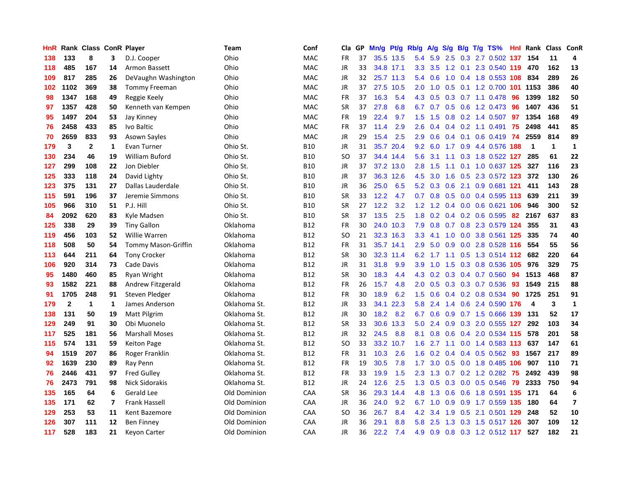| HnR |              | Rank Class ConR Player |                         |                       | Team         | Conf       | Cla       | <b>GP</b> | Mn/g | <b>Pt/g</b> | Rb/g             | A/g | S/g |  | B/g T/g TS%                   | Hnl | Rank        | Class       | <b>ConR</b>             |
|-----|--------------|------------------------|-------------------------|-----------------------|--------------|------------|-----------|-----------|------|-------------|------------------|-----|-----|--|-------------------------------|-----|-------------|-------------|-------------------------|
| 138 | 133          | 8                      | 3                       | D.J. Cooper           | Ohio         | <b>MAC</b> | <b>FR</b> | 37        |      | 35.5 13.5   | 5.4              | 5.9 |     |  | 2.5 0.3 2.7 0.502 137         |     | 154         | 11          | 4                       |
| 118 | 485          | 167                    | 14                      | Armon Bassett         | Ohio         | <b>MAC</b> | <b>JR</b> | 33        |      | 34.8 17.1   | 3.3 <sub>2</sub> |     |     |  | 3.5 1.2 0.1 2.3 0.540 119 470 |     |             | 162         | 13                      |
| 109 | 817          | 285                    | 26                      | DeVaughn Washington   | Ohio         | <b>MAC</b> | JR        | 32        |      | 25.7 11.3   | 5.4              | 0.6 |     |  | 1.0 0.4 1.8 0.553 108 834     |     |             | 289         | 26                      |
| 102 | 1102         | 369                    | 38                      | Tommy Freeman         | Ohio         | MAC        | JR        | 37        |      | 27.5 10.5   | 2.0              | 1.0 | 0.5 |  | 0.1 1.2 0.700 101 1153        |     |             | 386         | 40                      |
| 98  | 1347         | 168                    | 49                      | Reggie Keely          | Ohio         | <b>MAC</b> | <b>FR</b> | 37        | 16.3 | 5.4         | 4.3              | 0.5 |     |  | $0.3$ 0.7 1.1 0.478           | 96  | 1399        | 182         | 50                      |
| 97  | 1357         | 428                    | 50                      | Kenneth van Kempen    | Ohio         | <b>MAC</b> | <b>SR</b> | 37        | 27.8 | 6.8         | 6.7              | 0.7 |     |  | 0.5 0.6 1.2 0.473             | -96 | 1407        | 436         | 51                      |
| 95  | 1497         | 204                    | 53                      | Jay Kinney            | Ohio         | <b>MAC</b> | <b>FR</b> | 19        | 22.4 | 9.7         | 1.5              | 1.5 | 0.8 |  | $0.2$ 1.4 0.507               | 97  | 1354        | 168         | 49                      |
| 76  | 2458         | 433                    | 85                      | Ivo Baltic            | Ohio         | <b>MAC</b> | <b>FR</b> | 37        | 11.4 | 2.9         | 2.6              | 0.4 |     |  | $0.4$ 0.2 1.1 0.491           | 75  | 2498        | 441         | 85                      |
| 70  | 2659         | 833                    | 93                      | <b>Asown Sayles</b>   | Ohio         | <b>MAC</b> | JR        | 29        | 15.4 | 2.5         | 2.9              | 0.6 |     |  | 0.4 0.1 0.6 0.419 74          |     | 2559        | 814         | 89                      |
| 179 | 3            | $\mathbf{2}$           | 1                       | Evan Turner           | Ohio St.     | <b>B10</b> | JR        | 31        | 35.7 | 20.4        | 9.2              |     |     |  | 6.0 1.7 0.9 4.4 0.576 188     |     | $\mathbf 1$ | $\mathbf 1$ | 1                       |
| 130 | 234          | 46                     | 19                      | <b>William Buford</b> | Ohio St.     | <b>B10</b> | <b>SO</b> | 37        |      | 34.4 14.4   | 5.6              | 3.1 |     |  | 1.1 0.3 1.8 0.522 127         |     | 285         | 61          | 22                      |
| 127 | 299          | 108                    | 22                      | Jon Diebler           | Ohio St.     | <b>B10</b> | JR        | 37        | 37.2 | 13.0        | 2.8              | 1.5 |     |  | 1.1 0.1 1.0 0.637 125         |     | 327         | 116         | 23                      |
| 125 | 333          | 118                    | 24                      | David Lighty          | Ohio St.     | <b>B10</b> | JR        | 37        | 36.3 | 12.6        | 4.5              | 3.0 | 1.6 |  | 0.5 2.3 0.572 123             |     | 372         | 130         | 26                      |
| 123 | 375          | 131                    | 27                      | Dallas Lauderdale     | Ohio St.     | <b>B10</b> | JR        | 36        | 25.0 | 6.5         | 5.2              | 0.3 | 0.6 |  | 2.1 0.9 0.681 121             |     | 411         | 143         | 28                      |
| 115 | 591          | 196                    | 37                      | Jeremie Simmons       | Ohio St.     | <b>B10</b> | <b>SR</b> | 33        | 12.2 | 4.7         | 0.7              | 0.8 | 0.5 |  | $0.0$ 0.4 0.595 113           |     | 639         | 211         | 39                      |
| 105 | 966          | 310                    | 51                      | P.J. Hill             | Ohio St.     | <b>B10</b> | <b>SR</b> | 27        | 12.2 | 3.2         | $1.2^{\circ}$    | 1.2 |     |  | 0.4 0.0 0.6 0.621 106         |     | 946         | 300         | 52                      |
| 84  | 2092         | 620                    | 83                      | Kyle Madsen           | Ohio St.     | <b>B10</b> | <b>SR</b> | 37        | 13.5 | 2.5         | 1.8              | 0.2 | 0.4 |  | $0.2$ 0.6 0.595               | -82 | 2167        | 637         | 83                      |
| 125 | 338          | 29                     | 39                      | <b>Tiny Gallon</b>    | Oklahoma     | <b>B12</b> | <b>FR</b> | 30        |      | 24.0 10.3   | 7.9              | 0.8 |     |  | $0.7$ $0.8$ 2.3 $0.579$ 124   |     | 355         | 31          | 43                      |
| 119 | 456          | 103                    | 52                      | Willie Warren         | Oklahoma     | <b>B12</b> | SO        | 21        |      | 32.3 16.3   | 3.3 <sub>2</sub> | 4.1 |     |  | 1.0 0.0 3.8 0.561 125         |     | 335         | 74          | 40                      |
| 118 | 508          | 50                     | 54                      | Tommy Mason-Griffin   | Oklahoma     | <b>B12</b> | <b>FR</b> | 31        |      | 35.7 14.1   | 2.9              | 5.0 |     |  | $0.9$ 0.0 2.8 0.528 116       |     | 554         | 55          | 56                      |
| 113 | 644          | 211                    | 64                      | <b>Tony Crocker</b>   | Oklahoma     | <b>B12</b> | <b>SR</b> | 30        | 32.3 | 11.4        | 6.2              |     |     |  | 1.7 1.1 0.5 1.3 0.514 112     |     | 682         | 220         | 64                      |
| 106 | 920          | 314                    | 73                      | Cade Davis            | Oklahoma     | <b>B12</b> | JR        | 31        | 31.8 | 9.9         | 3.9 <sup>°</sup> | 1.0 | 1.5 |  | 0.3 0.8 0.536 105             |     | 976         | 329         | 75                      |
| 95  | 1480         | 460                    | 85                      | Ryan Wright           | Oklahoma     | <b>B12</b> | <b>SR</b> | 30        | 18.3 | 4.4         | 4.3              | 0.2 |     |  | $0.3$ 0.4 0.7 0.560           | 94  | 1513        | 468         | 87                      |
| 93  | 1582         | 221                    | 88                      | Andrew Fitzgerald     | Oklahoma     | <b>B12</b> | <b>FR</b> | 26        | 15.7 | 4.8         | 2.0              | 0.5 |     |  | 0.3 0.3 0.7 0.536             | 93  | 1549        | 215         | 88                      |
| 91  | 1705         | 248                    | 91                      | Steven Pledger        | Oklahoma     | <b>B12</b> | <b>FR</b> | 30        | 18.9 | 6.2         | 1.5              | 0.6 |     |  | 0.4 0.2 0.8 0.534             | 90  | 1725        | 251         | 91                      |
| 179 | $\mathbf{2}$ | $\mathbf{1}$           | 1                       | James Anderson        | Oklahoma St. | <b>B12</b> | JR        | 33        | 34.1 | 22.3        | 5.8              | 2.4 |     |  | 1.4 0.6 2.4 0.590 176         |     | 4           | 3           | $\mathbf{1}$            |
| 138 | 131          | 50                     | 19                      | <b>Matt Pilgrim</b>   | Oklahoma St. | <b>B12</b> | <b>JR</b> | 30        | 18.2 | 8.2         | 6.7              | 0.6 |     |  | 0.9 0.7 1.5 0.666 139         |     | 131         | 52          | 17                      |
| 129 | 249          | 91                     | 30                      | Obi Muonelo           | Oklahoma St. | <b>B12</b> | <b>SR</b> | 33        | 30.6 | 13.3        | 5.0              | 2.4 |     |  | 0.9 0.3 2.0 0.555 127         |     | 292         | 103         | 34                      |
| 117 | 525          | 181                    | 56                      | <b>Marshall Moses</b> | Oklahoma St. | <b>B12</b> | <b>JR</b> | 32        | 24.5 | 8.8         | 8.1              | 0.8 | 0.6 |  | 0.4 2.0 0.534 115             |     | 578         | 201         | 58                      |
| 115 | 574          | 131                    | 59                      | <b>Keiton Page</b>    | Oklahoma St. | <b>B12</b> | SO.       | 33        | 33.2 | 10.7        | 1.6              | 2.7 | 1.1 |  | 0.0 1.4 0.583 113             |     | 637         | 147         | 61                      |
| 94  | 1519         | 207                    | 86                      | Roger Franklin        | Oklahoma St. | <b>B12</b> | FR        | 31        | 10.3 | 2.6         | 1.6              | 0.2 |     |  | $0.4$ 0.4 0.5 0.562           | -93 | 1567        | 217         | 89                      |
| 92  | 1639         | 230                    | 89                      | Ray Penn              | Oklahoma St. | <b>B12</b> | <b>FR</b> | 19        | 30.5 | 7.8         | 1.7              | 3.0 | 0.5 |  | 0.0 1.8 0.485 106             |     | 907         | 110         | 71                      |
| 76  | 2446         | 431                    | 97                      | <b>Fred Gulley</b>    | Oklahoma St. | <b>B12</b> | FR        | 33        | 19.9 | 1.5         | 2.3              | 1.3 | 0.7 |  | $0.2$ 1.2 0.282               | 75  | 2492        | 439         | 98                      |
| 76  | 2473         | 791                    | 98                      | <b>Nick Sidorakis</b> | Oklahoma St. | <b>B12</b> | <b>JR</b> | 24        | 12.6 | 2.5         | 1.3              | 0.5 | 0.3 |  | $0.0$ $0.5$ $0.546$           | 79  | 2333        | 750         | 94                      |
| 135 | 165          | 64                     | 6                       | <b>Gerald Lee</b>     | Old Dominion | CAA        | <b>SR</b> | 36        | 29.3 | 14.4        | 4.8              | 1.3 |     |  | 0.6 0.6 1.8 0.591 135 171     |     |             | 64          | $\bf 6$                 |
| 135 | 171          | 62                     | $\overline{\mathbf{z}}$ | <b>Frank Hassell</b>  | Old Dominion | CAA        | JR        | 36        | 24.0 | 9.2         | 6.7              | 1.0 |     |  | 0.9 0.9 1.7 0.559 135         |     | 180         | 64          | $\overline{\mathbf{z}}$ |
| 129 | 253          | 53                     | 11                      | Kent Bazemore         | Old Dominion | CAA        | SO        | 36        | 26.7 | 8.4         | 4.2              | 3.4 | 1.9 |  | 0.5 2.1 0.501 129 248         |     |             | 52          | 10                      |
| 126 | 307          | 111                    | 12                      | <b>Ben Finney</b>     | Old Dominion | CAA        | JR        | 36        | 29.1 | 8.8         | 5.8              | 2.5 | 1.3 |  | 0.3 1.5 0.517 126             |     | 307         | 109         | 12                      |
| 117 | 528          | 183                    | 21                      | Keyon Carter          | Old Dominion | CAA        | <b>JR</b> | 36        | 22.2 | 7.4         | 4.9              | 0.9 |     |  | 0.8 0.3 1.2 0.512 117         |     | 527         | 182         | 21                      |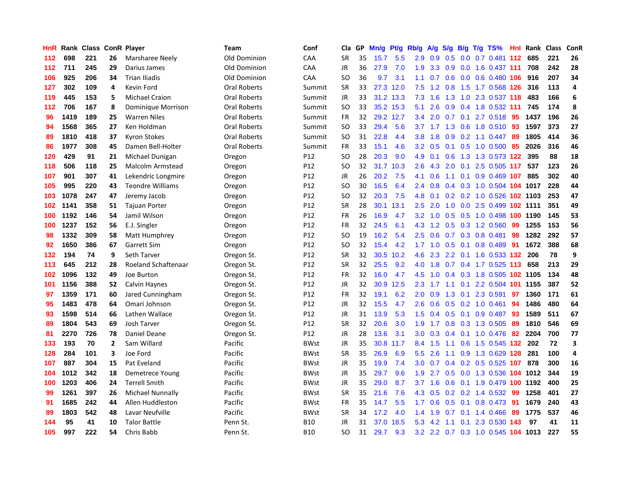| HnR | Rank |     |                | <b>Class ConR Player</b> | Team                | Conf        | Cla       | <b>GP</b> | Mn/g | <b>Pt/g</b> | Rb/g             | A/g | S/g |     | B/g T/g TS%                        | Hnl | Rank | <b>Class</b> | ConR           |
|-----|------|-----|----------------|--------------------------|---------------------|-------------|-----------|-----------|------|-------------|------------------|-----|-----|-----|------------------------------------|-----|------|--------------|----------------|
| 112 | 698  | 221 | 26             | Marsharee Neely          | Old Dominion        | CAA         | <b>SR</b> | 35        | 15.7 | 5.5         | 2.9              | 0.9 | 0.5 |     | 0.0 0.7 0.481 112                  |     | 685  | 221          | 26             |
| 112 | 711  | 245 | 29             | Darius James             | Old Dominion        | CAA         | JR        | 36        | 27.9 | 7.0         | 1.9              | 3.3 |     |     | 0.9 0.0 1.6 0.437 111              |     | 708  | 242          | 28             |
| 106 | 925  | 206 | 34             | <b>Trian Iliadis</b>     | Old Dominion        | CAA         | <b>SO</b> | 36        | 9.7  | 3.1         | 1.1              | 0.7 |     |     | 0.6 0.0 0.6 0.480 106              |     | 916  | 207          | 34             |
| 127 | 302  | 109 | 4              | Kevin Ford               | Oral Roberts        | Summit      | <b>SR</b> | 33        | 27.3 | 12.0        | 7.5              | 1.2 | 0.8 |     | 1.5 1.7 0.568 126                  |     | 316  | 113          | $\overline{a}$ |
| 119 | 445  | 153 | 5              | <b>Michael Craion</b>    | Oral Roberts        | Summit      | JR        | 33        |      | 31.2 13.3   | 7.3              | 1.6 | 1.3 |     | 1.0 2.3 0.537 118                  |     | 483  | 166          | 6              |
| 112 | 706  | 167 | 8              | Dominique Morrison       | Oral Roberts        | Summit      | <b>SO</b> | 33        | 35.2 | 15.3        | 5.1              | 2.6 | 0.9 |     | 0.4 1.8 0.532 111                  |     | 745  | 174          | 8              |
| 96  | 1419 | 189 | 25             | <b>Warren Niles</b>      | <b>Oral Roberts</b> | Summit      | FR        | 32        | 29.2 | 12.7        | 3.4              | 2.0 | 0.7 | 0.1 | 2.7 0.518                          | 95  | 1437 | 196          | 26             |
| 94  | 1568 | 365 | 27             | Ken Holdman              | Oral Roberts        | Summit      | <b>SO</b> | 33        | 29.4 | 5.6         | 3.7              | 1.7 | 1.3 |     | 0.6 1.8 0.510                      | 93  | 1597 | 373          | 27             |
| 89  | 1810 | 418 | 37             | <b>Kyron Stokes</b>      | <b>Oral Roberts</b> | Summit      | <b>SO</b> | 31        | 22.8 | 4.4         | 3.8              | 1.8 | 0.9 |     | $0.2$ 1.1 $0.447$                  | 89  | 1805 | 414          | 36             |
| 86  | 1977 | 308 | 45             | Damen Bell-Holter        | <b>Oral Roberts</b> | Summit      | FR        | 33        | 15.1 | 4.6         | 3.2              | 0.5 |     |     | 0.1 0.5 1.0 0.500 85               |     | 2026 | 316          | 46             |
| 120 | 429  | 91  | 21             | Michael Dunigan          | Oregon              | P12         | <b>SO</b> | 28        | 20.3 | 9.0         | 4.9              | 0.1 |     |     | 0.6 1.3 1.3 0.573 122              |     | 395  | 88           | 18             |
| 118 | 506  | 118 | 25             | Malcolm Armstead         | Oregon              | P12         | SO        | 32        | 31.7 | 10.3        | 2.6              | 4.3 | 2.0 |     | 0.1 2.5 0.505 117                  |     | 537  | 123          | 26             |
| 107 | 901  | 307 | 41             | Lekendric Longmire       | Oregon              | P12         | <b>JR</b> | 26        | 20.2 | 7.5         | 4.1              | 0.6 | 1.1 |     | 0.1 0.9 0.469 107                  |     | 885  | 302          | 40             |
| 105 | 995  | 220 | 43             | <b>Teondre Williams</b>  | Oregon              | P12         | <b>SO</b> | 30        | 16.5 | 6.4         | $2.4^{\circ}$    | 0.8 |     |     | 0.4 0.3 1.0 0.504 104 1017         |     |      | 228          | 44             |
| 103 | 1078 | 247 | 47             | Jeremy Jacob             | Oregon              | P12         | <b>SO</b> | 32        | 20.3 | 7.5         | 4.8              | 0.1 |     |     | 0.2 0.2 1.0 0.526 102 1103         |     |      | 253          | 47             |
| 102 | 1141 | 358 | 51             | <b>Tajuan Porter</b>     | Oregon              | P12         | <b>SR</b> | 28        | 30.1 | 13.1        | 2.5              | 2.0 | 1.0 |     | 0.0 2.5 0.499 102 1111             |     |      | 351          | 49             |
| 100 | 1192 | 146 | 54             | Jamil Wilson             | Oregon              | P12         | FR        | 26        | 16.9 | 4.7         | 3.2              | 1.0 | 0.5 |     | 0.5 1.0 0.498 100 1190             |     |      | 145          | 53             |
| 100 | 1237 | 152 | 56             | E.J. Singler             | Oregon              | P12         | <b>FR</b> | 32        | 24.5 | 6.1         | 4.3              | 1.2 |     |     | 0.5 0.3 1.2 0.560                  | 99  | 1255 | 153          | 56             |
| 98  | 1332 | 309 | 58             | Matt Humphrey            | Oregon              | P12         | <b>SO</b> | 19        | 16.2 | 5.4         | 2.5              | 0.6 |     |     | 0.7 0.3 0.8 0.481                  | 98  | 1282 | 292          | 57             |
| 92  | 1650 | 386 | 67             | Garrett Sim              | Oregon              | P12         | <b>SO</b> | 32        | 15.4 | 4.2         |                  |     |     |     | 1.7 1.0 0.5 0.1 0.8 0.489          | -91 | 1672 | 388          | 68             |
| 132 | 194  | 74  | 9              | Seth Tarver              | Oregon St.          | P12         | <b>SR</b> | 32        | 30.5 | 10.2        | 4.6              | 2.3 |     |     | 2.2 0.1 1.6 0.533 132              |     | 206  | 78           | 9              |
| 113 | 645  | 212 | 28             | Roeland Schaftenaar      | Oregon St.          | P12         | <b>SR</b> | 32        | 25.5 | 9.2         | 4.0              | 1.8 |     |     | 0.7 0.4 1.7 0.525 113              |     | 658  | 213          | 29             |
| 102 | 1096 | 132 | 49             | Joe Burton               | Oregon St.          | P12         | FR        | 32        | 16.0 | 4.7         | 4.5              | 1.0 |     |     | 0.4 0.3 1.8 0.505 102 1105         |     |      | 134          | 48             |
| 101 | 1156 | 388 | 52             | Calvin Haynes            | Oregon St.          | P12         | JR        | 32        | 30.9 | 12.5        | 2.3              | 1.7 | 1.1 | 0.1 | 2.2 0.504 101 1155                 |     |      | 387          | 52             |
| 97  | 1359 | 171 | 60             | Jared Cunningham         | Oregon St.          | P12         | FR        | 32        | 19.1 | 6.2         | 2.0              | 0.9 | 1.3 | 0.1 | 2.3 0.591                          | 97  | 1360 | 171          | 61             |
| 95  | 1483 | 478 | 64             | Omari Johnson            | Oregon St.          | P12         | JR        | 32        | 15.5 | 4.7         | 2.6              | 0.6 |     |     | $0.5$ 0.2 1.0 0.461                | 94  | 1486 | 480          | 64             |
| 93  | 1598 | 514 | 66             | Lathen Wallace           | Oregon St.          | P12         | JR        | 31        | 13.9 | 5.3         | 1.5              |     |     |     | 0.4 0.5 0.1 0.9 0.487 93           |     | 1589 | 511          | 67             |
| 89  | 1804 | 543 | 69             | Josh Tarver              | Oregon St.          | P12         | <b>SR</b> | 32        | 20.6 | 3.0         | 1.9              | 1.7 |     |     | 0.8 0.3 1.3 0.505                  | -89 | 1810 | 546          | 69             |
| 81  | 2270 | 726 | 78             | Daniel Deane             | Oregon St.          | P12         | JR        | 28        | 13.6 | 3.1         | 3.0 <sub>2</sub> | 0.3 |     |     | $0.4$ 0.1 1.0 0.476                | -82 | 2204 | 700          | 77             |
| 133 | 193  | 70  | $\overline{2}$ | Sam Willard              | Pacific             | <b>BWst</b> | <b>JR</b> | 35        | 30.8 | 11.7        | 8.4              | 1.5 | 1.1 |     | 0.6 1.5 0.545 132                  |     | 202  | 72           | 3              |
| 128 | 284  | 101 | 3              | Joe Ford                 | Pacific             | <b>BWst</b> | <b>SR</b> | 35        | 26.9 | 6.9         | 5.5              | 2.6 |     |     | 1.1 0.9 1.3 0.629 128              |     | 281  | 100          | 4              |
| 107 | 887  | 304 | 15             | Pat Eveland              | Pacific             | <b>BWst</b> | JR        | 35        | 19.9 | 7.4         | 3.0 <sub>2</sub> | 0.7 |     |     | $0.4$ 0.2 0.5 0.525                | 107 | 878  | 300          | 16             |
| 104 | 1012 | 342 | 18             | Demetrece Young          | Pacific             | <b>BWst</b> | JR        | 35        | 29.7 | 9.6         | 1.9              | 2.7 | 0.5 |     | 0.0 1.3 0.536 104 1012             |     |      | 344          | 19             |
| 100 | 1203 | 406 | 24             | <b>Terrell Smith</b>     | Pacific             | <b>BWst</b> | <b>JR</b> | 35        | 29.0 | 8.7         | 3.7              | 1.6 | 0.6 |     | 0.1 1.9 0.479 100 1192             |     |      | 400          | 25             |
| 99  | 1261 | 397 | 26             | <b>Michael Nunnally</b>  | Pacific             | <b>BWst</b> | <b>SR</b> | 35        | 21.6 | 7.6         | 4.3              | 0.5 |     |     | $0.2$ 0.2 1.4 0.532                | -99 | 1258 | 401          | 27             |
| 91  | 1685 | 242 | 44             | Allen Huddleston         | Pacific             | <b>BWst</b> | FR        | 35        | 14.7 | 5.5         | 1.7 <sub>z</sub> | 0.6 |     |     | 0.5 0.1 0.8 0.473 91               |     | 1679 | 240          | 43             |
| 89  | 1803 | 542 | 48             | Lavar Neufville          | Pacific             | <b>BWst</b> | <b>SR</b> | 34        | 17.2 | 4.0         | 1.4              | 1.9 |     |     | $0.7$ 0.1 1.4 0.466                | 89  | 1775 | 537          | 46             |
| 144 | 95   | 41  | 10             | <b>Talor Battle</b>      | Penn St.            | <b>B10</b>  | <b>JR</b> | 31        | 37.0 | 18.5        | 5.3              | 4.2 | 1.1 | 0.1 | 2.3 0.530                          | 143 | 97   | 41           | 11             |
| 105 | 997  | 222 | 54             | Chris Babb               | Penn St.            | <b>B10</b>  | SO        | 31        | 29.7 | 9.3         |                  |     |     |     | 3.2 2.2 0.7 0.3 1.0 0.545 104 1013 |     |      | 227          | 55             |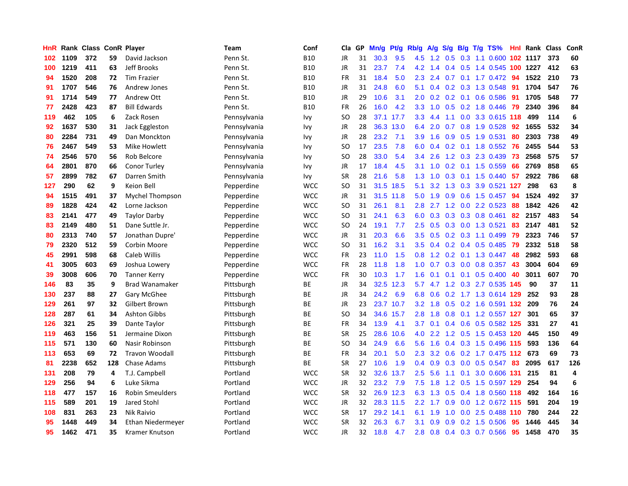| HnR |      | Rank Class ConR Player |     |                        | Team         | Conf       | Cla.          | <b>GP</b> | Mn/g | <b>Pt/g</b> | Rb/g             | A/g | S/g              |     | B/g T/g TS%                |     | <b>Hnl</b> Rank | <b>Class</b> | ConR |
|-----|------|------------------------|-----|------------------------|--------------|------------|---------------|-----------|------|-------------|------------------|-----|------------------|-----|----------------------------|-----|-----------------|--------------|------|
| 102 | 1109 | 372                    | 59  | David Jackson          | Penn St.     | <b>B10</b> | <b>JR</b>     | 31        | 30.3 | 9.5         | 4.5              | 1.2 | 0.5              |     | 0.3 1.1 0.600 102 1117     |     |                 | 373          | 60   |
| 100 | 1219 | 411                    | 63  | <b>Jeff Brooks</b>     | Penn St.     | <b>B10</b> | JR            | 31        | 23.7 | 7.4         | 4.2              | 1.4 |                  |     | 0.4 0.5 1.4 0.545 100 1227 |     |                 | 412          | 63   |
| 94  | 1520 | 208                    | 72  | <b>Tim Frazier</b>     | Penn St.     | <b>B10</b> | FR            | 31        | 18.4 | 5.0         | 2.3              | 2.4 |                  |     | $0.7$ $0.1$ $1.7$ $0.472$  | -94 | 1522            | 210          | 73   |
| 91  | 1707 | 546                    | 76  | Andrew Jones           | Penn St.     | <b>B10</b> | JR            | 31        | 24.8 | 6.0         | 5.1              | 0.4 |                  |     | 0.2 0.3 1.3 0.548          | 91  | 1704            | 547          | 76   |
| 91  | 1714 | 549                    | 77  | Andrew Ott             | Penn St.     | <b>B10</b> | <b>JR</b>     | 29        | 10.6 | 3.1         | 2.0              | 0.2 |                  |     | $0.2$ 0.1 0.6 0.586        | 91  | 1705            | 548          | 77   |
| 77  | 2428 | 423                    | 87  | <b>Bill Edwards</b>    | Penn St.     | <b>B10</b> | FR            | 26        | 16.0 | 4.2         | 3.3 <sub>2</sub> | 1.0 |                  |     | 0.5 0.2 1.8 0.446          | 79  | 2340            | 396          | 84   |
| 119 | 462  | 105                    | 6   | Zack Rosen             | Pennsylvania | Ivy        | SO            | 28        | 37.1 | 17.7        | 3.3 <sub>2</sub> | 4.4 | 1.1              |     | 0.0 3.3 0.615 118          |     | 499             | 114          | 6    |
| 92  | 1637 | 530                    | 31  | Jack Eggleston         | Pennsylvania | Ivy        | JR            | 28        | 36.3 | 13.0        | 6.4              | 2.0 | 0.7              |     | 0.8 1.9 0.528              | 92  | 1655            | 532          | 34   |
| 80  | 2284 | 731                    | 49  | Dan Monckton           | Pennsylvania | Ivy        | JR            | 28        | 23.2 | 7.1         | 3.9              | 1.6 | 0.9 <sub>0</sub> |     | 0.5 1.9 0.531              | 80  | 2303            | 738          | 49   |
| 76  | 2467 | 549                    | 53  | Mike Howlett           | Pennsylvania | Ivv        | SO            | 17        | 23.5 | 7.8         | 6.0              |     |                  |     | 0.4 0.2 0.1 1.8 0.552 76   |     | 2455            | 544          | 53   |
| 74  | 2546 | 570                    | 56  | Rob Belcore            | Pennsylvania | Ivy        | SO            | 28        | 33.0 | 5.4         | 3.4              | 2.6 |                  |     | 1.2 0.3 2.3 0.439          | -73 | 2568            | 575          | 57   |
| 64  | 2801 | 870                    | 66  | <b>Conor Turley</b>    | Pennsylvania | Ivy        | JR            | 17        | 18.4 | 4.5         | 3.1              | 1.0 |                  |     | $0.2$ 0.1 1.5 0.559        | 66  | 2769            | 858          | 65   |
| 57  | 2899 | 782                    | 67  | Darren Smith           | Pennsylvania | Ivy        | <b>SR</b>     | 28        | 21.6 | 5.8         | 1.3              | 1.0 | 0.3              |     | $0.1$ 1.5 0.440            | 57  | 2922            | 786          | 68   |
| 127 | 290  | 62                     | 9   | Keion Bell             | Pepperdine   | <b>WCC</b> | SO            | 31        | 31.5 | 18.5        | 5.1              | 3.2 | 1.3              |     | 0.3 3.9 0.521 127          |     | 298             | 63           | 8    |
| 94  | 1515 | 491                    | 37  | Mychel Thompson        | Pepperdine   | <b>WCC</b> | JR            | 31        | 31.5 | 11.8        | 5.0              | 1.9 | 0.9              |     | $0.6$ 1.5 0.457            | 94  | 1524            | 492          | 37   |
| 89  | 1828 | 424                    | 42  | Lorne Jackson          | Pepperdine   | <b>WCC</b> | SO            | 31        | 26.1 | 8.1         | 2.8              | 2.7 | 1.2              |     | 0.0 2.2 0.523              | 88  | 1842            | 426          | 42   |
| 83  | 2141 | 477                    | 49  | <b>Taylor Darby</b>    | Pepperdine   | <b>WCC</b> | <sub>SO</sub> | 31        | 24.1 | 6.3         | 6.0              | 0.3 | 0.3              |     | $0.3$ 0.8 0.461            | 82  | 2157            | 483          | 54   |
| 83  | 2149 | 480                    | 51  | Dane Suttle Jr.        | Pepperdine   | <b>WCC</b> | <sub>SO</sub> | 24        | 19.1 | 7.7         | $2.5^{\circ}$    | 0.5 |                  |     | $0.3$ 0.0 1.3 0.521        | 83  | 2147            | 481          | 52   |
| 80  | 2313 | 740                    | 57  | Jonathan Dupre'        | Pepperdine   | <b>WCC</b> | <b>JR</b>     | 31        | 20.3 | 6.6         | 3.5              | 0.5 |                  |     | $0.2$ 0.3 1.1 0.499        | -79 | 2323            | 746          | 57   |
| 79  | 2320 | 512                    | 59  | Corbin Moore           | Pepperdine   | <b>WCC</b> | SO            | 31        | 16.2 | 3.1         | 3.5              | 0.4 |                  |     | $0.2$ 0.4 0.5 0.485        | -79 | 2332            | 518          | 58   |
| 45  | 2991 | 598                    | 68  | Caleb Willis           | Pepperdine   | <b>WCC</b> | <b>FR</b>     | 23        | 11.0 | 1.5         | 0.8              | 1.2 |                  |     | $0.2$ 0.1 1.3 0.447        | 48  | 2982            | 593          | 68   |
| 41  | 3005 | 603                    | 69  | Joshua Lowery          | Pepperdine   | <b>WCC</b> | <b>FR</b>     | 28        | 11.8 | 1.8         | 1.0              | 0.7 |                  |     | $0.3$ 0.0 0.8 0.357        | 43  | 3004            | 604          | 69   |
| 39  | 3008 | 606                    | 70  | <b>Tanner Kerry</b>    | Pepperdine   | <b>WCC</b> | <b>FR</b>     | 30        | 10.3 | 1.7         | 1.6              | 0.1 |                  |     | $0.1$ 0.1 0.5 0.400        | 40  | 3011            | 607          | 70   |
| 146 | 83   | 35                     | 9   | <b>Brad Wanamaker</b>  | Pittsburgh   | <b>BE</b>  | JR            | 34        | 32.5 | 12.3        | 5.7              |     |                  |     | 4.7 1.2 0.3 2.7 0.535 145  |     | 90              | 37           | 11   |
| 130 | 237  | 88                     | 27  | Gary McGhee            | Pittsburgh   | <b>BE</b>  | <b>JR</b>     | 34        | 24.2 | 6.9         | 6.8              | 0.6 |                  |     | 0.2 1.7 1.3 0.614 129      |     | 252             | 93           | 28   |
| 129 | 261  | 97                     | 32  | Gilbert Brown          | Pittsburgh   | <b>BE</b>  | JR            | 23        |      | 23.7 10.7   | 3.2              | 1.8 |                  |     | $0.5$ 0.2 1.6 0.591 132    |     | 209             | 76           | 24   |
| 128 | 287  | 61                     | 34  | <b>Ashton Gibbs</b>    | Pittsburgh   | <b>BE</b>  | SO            | 34        |      | 34.6 15.7   | 2.8              | 1.8 |                  |     | 0.8 0.1 1.2 0.557 127      |     | 301             | 65           | 37   |
| 126 | 321  | 25                     | 39  | Dante Taylor           | Pittsburgh   | <b>BE</b>  | <b>FR</b>     | 34        | 13.9 | 4.1         | 3.7              | 0.1 |                  |     | 0.4 0.6 0.5 0.582 125      |     | 331             | 27           | 41   |
| 119 | 463  | 156                    | 51  | Jermaine Dixon         | Pittsburgh   | <b>BE</b>  | <b>SR</b>     | 25        | 28.6 | 10.6        | 4.0              | 2.2 |                  |     | 1.2 0.5 1.5 0.453 120      |     | 445             | 150          | 49   |
| 115 | 571  | 130                    | 60  | Nasir Robinson         | Pittsburgh   | ВE         | SO.           | 34        | 24.9 | 6.6         | 5.6              | 1.6 |                  |     | 0.4 0.3 1.5 0.496 115      |     | 593             | 136          | 64   |
| 113 | 653  | 69                     | 72  | <b>Travon Woodall</b>  | Pittsburgh   | ВE         | <b>FR</b>     | 34        | 20.1 | 5.0         | 2.3              | 3.2 | 0.6              |     | 0.2 1.7 0.475 112          |     | 673             | 69           | 73   |
| 81  | 2238 | 652                    | 128 | Chase Adams            | Pittsburgh   | <b>BE</b>  | <b>SR</b>     | 27        | 10.6 | 1.9         | 0.4              | 0.9 | 0.3              |     | $0.0$ 0.5 0.547            | 83  | 2095            | 617          | 126  |
| 131 | 208  | 79                     | 4   | T.J. Campbell          | Portland     | <b>WCC</b> | <b>SR</b>     | 32        | 32.6 | 13.7        | 2.5              | 5.6 | 1.1              | 0.1 | 3.0 0.606 131              |     | 215             | 81           | 4    |
| 129 | 256  | 94                     | 6   | Luke Sikma             | Portland     | <b>WCC</b> | <b>JR</b>     | 32        | 23.2 | 7.9         | 7.5              | 1.8 | 1.2              |     | 0.5 1.5 0.597 129          |     | 254             | 94           | 6    |
| 118 | 477  | 157                    | 16  | <b>Robin Smeulders</b> | Portland     | <b>WCC</b> | <b>SR</b>     | 32        |      | 26.9 12.3   | 6.3              | 1.3 |                  |     | 0.5 0.4 1.8 0.560 118      |     | 492             | 164          | 16   |
| 115 | 589  | 201                    | 19  | Jared Stohl            | Portland     | <b>WCC</b> | <b>JR</b>     | 32        |      | 28.3 11.5   | 2.2              | 1.7 |                  |     | 0.9 0.0 1.2 0.672 115      |     | 591             | 204          | 19   |
| 108 | 831  | 263                    | 23  | Nik Raivio             | Portland     | <b>WCC</b> | <b>SR</b>     | 17        | 29.2 | 14.1        | 6.1              | 1.9 | 1.0              |     | $0.0$ 2.5 0.488 110        |     | 780             | 244          | 22   |
| 95  | 1448 | 449                    | 34  | Ethan Niedermeyer      | Portland     | <b>WCC</b> | <b>SR</b>     | 32        | 26.3 | 6.7         | 3.1              | 0.9 | 0.9              |     | $0.2$ 1.5 0.506            | 95  | 1446            | 445          | 34   |
| 95  | 1462 | 471                    | 35  | Kramer Knutson         | Portland     | <b>WCC</b> | JR            | 32        | 18.8 | 4.7         | 2.8              | 0.8 |                  |     | 0.4 0.3 0.7 0.566          | 95  | 1458            | 470          | 35   |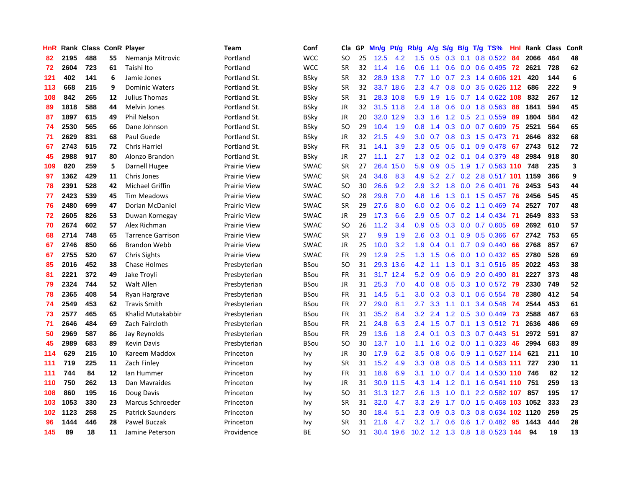| HnR |      | Rank Class ConR Player |    |                          | Team                | Conf        | Cla           | <b>GP</b> | Mn/g | Pt/g      | Rb/g             | A/g    |     |     | S/g B/g T/g TS%                | Hnl | Rank | <b>Class</b> | ConR |
|-----|------|------------------------|----|--------------------------|---------------------|-------------|---------------|-----------|------|-----------|------------------|--------|-----|-----|--------------------------------|-----|------|--------------|------|
| 82  | 2195 | 488                    | 55 | Nemanja Mitrovic         | Portland            | <b>WCC</b>  | SO            | 25        | 12.5 | 4.2       | 1.5              | 0.5    | 0.3 | 0.1 | $0.8$ 0.522                    | -84 | 2066 | 464          | 48   |
| 72  | 2604 | 723                    | 61 | Taishi Ito               | Portland            | <b>WCC</b>  | SR            | 32        | 11.4 | 1.6       | 0.6              | $-1.1$ |     |     | 0.6 0.0 0.6 0.495 72           |     | 2621 | 728          | 62   |
| 121 | 402  | 141                    | 6  | Jamie Jones              | Portland St.        | BSky        | SR            | 32        |      | 28.9 13.8 | 7.7              | 1.0    |     |     | 0.7 2.3 1.4 0.606 121          |     | 420  | 144          | 6    |
| 113 | 668  | 215                    | 9  | <b>Dominic Waters</b>    | Portland St.        | BSky        | <b>SR</b>     | 32        |      | 33.7 18.6 | 2.3              | 4.7    |     |     | $0.8$ 0.0 3.5 0.626 112        |     | 686  | 222          | 9    |
| 108 | 842  | 265                    | 12 | Julius Thomas            | Portland St.        | BSky        | <b>SR</b>     | 31        |      | 28.3 10.8 | 5.9              | 1.9    | 1.5 |     | 0.7 1.4 0.622 108              |     | 832  | 267          | 12   |
| 89  | 1818 | 588                    | 44 | Melvin Jones             | Portland St.        | BSky        | JR            | 32        | 31.5 | 11.8      | 2.4              | 1.8    |     |     | $0.6$ $0.0$ 1.8 $0.563$        | 88  | 1841 | 594          | 45   |
| 87  | 1897 | 615                    | 49 | Phil Nelson              | Portland St.        | <b>BSky</b> | JR            | 20        | 32.0 | 12.9      | 3.3              | 1.6    |     |     | 1.2 0.5 2.1 0.559              | 89  | 1804 | 584          | 42   |
| 74  | 2530 | 565                    | 66 | Dane Johnson             | Portland St.        | BSky        | SO            | 29        | 10.4 | 1.9       | 0.8              | 1.4    |     |     | 0.3 0.0 0.7 0.609              | 75  | 2521 | 564          | 65   |
| 71  | 2629 | 831                    | 68 | Paul Guede               | Portland St.        | BSky        | JR            | 32        | 21.5 | 4.9       | 3.0 <sub>2</sub> | 0.7    | 0.8 |     | 0.3 1.5 0.473 71               |     | 2646 | 832          | 68   |
| 67  | 2743 | 515                    | 72 | <b>Chris Harriel</b>     | Portland St.        | BSky        | FR            | 31        | 14.1 | 3.9       | 2.3              | 0.5    |     |     | $0.5$ 0.1 0.9 0.478 67         |     | 2743 | 512          | 72   |
| 45  | 2988 | 917                    | 80 | Alonzo Brandon           | Portland St.        | BSky        | JR            | 27        | 11.1 | 2.7       |                  |        |     |     | 1.3 0.2 0.2 0.1 0.4 0.379      | 48  | 2984 | 918          | 80   |
| 109 | 820  | 259                    | 5  | Darnell Hugee            | Prairie View        | <b>SWAC</b> | <b>SR</b>     | 27        | 26.4 | 15.0      | 5.9              | 0.9    |     |     | 0.5 1.9 1.7 0.563 110 748      |     |      | 235          | 3    |
| 97  | 1362 | 429                    | 11 | Chris Jones              | <b>Prairie View</b> | <b>SWAC</b> | <b>SR</b>     | 24        | 34.6 | 8.3       | 4.9              | 5.2    |     |     | 2.7 0.2 2.8 0.517 101 1159     |     |      | 366          | 9    |
| 78  | 2391 | 528                    | 42 | Michael Griffin          | <b>Prairie View</b> | <b>SWAC</b> | <b>SO</b>     | 30        | 26.6 | 9.2       | 2.9              | 3.2    | 1.8 |     | $0.0$ 2.6 0.401                | 76  | 2453 | 543          | 44   |
| 77  | 2423 | 539                    | 45 | <b>Tim Meadows</b>       | <b>Prairie View</b> | <b>SWAC</b> | <b>SO</b>     | 28        | 29.8 | 7.0       | 4.8              | 1.6    |     |     | 1.3 0.1 1.5 0.457              | 76  | 2456 | 545          | 45   |
| 76  | 2480 | 699                    | 47 | Dorian McDaniel          | <b>Prairie View</b> | <b>SWAC</b> | <b>SR</b>     | 29        | 27.6 | 8.0       | 6.0              | 0.2    | 0.6 |     | $0.2$ 1.1 0.469                | -74 | 2527 | 707          | 48   |
| 72  | 2605 | 826                    | 53 | Duwan Kornegay           | <b>Prairie View</b> | <b>SWAC</b> | <b>JR</b>     | 29        | 17.3 | 6.6       | 2.9              | 0.5    |     |     | $0.7$ $0.2$ 1.4 $0.434$        | -71 | 2649 | 833          | 53   |
| 70  | 2674 | 602                    | 57 | Alex Richman             | <b>Prairie View</b> | <b>SWAC</b> | <sub>SO</sub> | 26        | 11.2 | 3.4       | 0.9 <sub>0</sub> | 0.5    |     |     | 0.3 0.0 0.7 0.605              | -69 | 2692 | 610          | 57   |
| 68  | 2714 | 748                    | 65 | <b>Tarrence Garrison</b> | <b>Prairie View</b> | <b>SWAC</b> | <b>SR</b>     | 27        | 9.9  | 1.9       | 2.6              |        |     |     | 0.3 0.1 0.9 0.5 0.366          | 67  | 2742 | 753          | 65   |
| 67  | 2746 | 850                    | 66 | <b>Brandon Webb</b>      | <b>Prairie View</b> | <b>SWAC</b> | <b>JR</b>     | 25        | 10.0 | 3.2       | 1.9              | 0.4    |     |     | $0.1$ 0.7 0.9 0.440            | 66  | 2768 | 857          | 67   |
| 67  | 2755 | 520                    | 67 | <b>Chris Sights</b>      | <b>Prairie View</b> | <b>SWAC</b> | FR            | 29        | 12.9 | 2.5       | 1.3              | 1.5    |     |     | $0.6$ $0.0$ $1.0$ $0.432$      | -65 | 2780 | 528          | 69   |
| 85  | 2016 | 452                    | 38 | <b>Chase Holmes</b>      | Presbyterian        | BSou        | <b>SO</b>     | 31        | 29.3 | 13.6      | 4.2              | 1.1    | 1.3 | 0.1 | 3.1 0.516                      | 85  | 2022 | 453          | 38   |
| 81  | 2221 | 372                    | 49 | Jake Troyli              | Presbyterian        | BSou        | FR            | 31        | 31.7 | 12.4      | 5.2              | 0.9    |     |     | 0.6 0.9 2.0 0.490              | 81  | 2227 | 373          | 48   |
| 79  | 2324 | 744                    | 52 | Walt Allen               | Presbyterian        | BSou        | JR            | 31        | 25.3 | 7.0       | 4.0              | 0.8    |     |     | 0.5 0.3 1.0 0.572              | -79 | 2330 | 749          | 52   |
| 78  | 2365 | 408                    | 54 | Ryan Hargrave            | Presbyterian        | BSou        | FR            | 31        | 14.5 | 5.1       | 3.0 <sub>2</sub> | 0.3    | 0.3 | 0.1 | $0.6$ 0.554                    | 78  | 2380 | 412          | 54   |
| 74  | 2549 | 453                    | 62 | <b>Travis Smith</b>      | Presbyterian        | <b>BSou</b> | <b>FR</b>     | 27        | 29.0 | 8.1       | 2.7              | 3.3    | 1.1 |     | 0.1 3.4 0.548                  | -74 | 2544 | 453          | 61   |
| 73  | 2577 | 465                    | 65 | Khalid Mutakabbir        | Presbyterian        | BSou        | FR            | 31        | 35.2 | 8.4       | 3.2              | 2.4    |     |     | 1.2 0.5 3.0 0.449 73           |     | 2588 | 467          | 63   |
| 71  | 2646 | 484                    | 69 | Zach Faircloth           | Presbyterian        | BSou        | <b>FR</b>     | 21        | 24.8 | 6.3       | $2.4^{\circ}$    | 1.5    |     |     | 0.7 0.1 1.3 0.512 71           |     | 2636 | 486          | 69   |
| 50  | 2969 | 587                    | 86 | Jay Reynolds             | Presbyterian        | BSou        | FR            | 29        | 13.6 | 1.8       | 2.4              | 0.1    |     |     | 0.3 0.3 0.7 0.443 51           |     | 2972 | 591          | 87   |
| 45  | 2989 | 683                    | 89 | <b>Kevin Davis</b>       | Presbyterian        | BSou        | <sub>SO</sub> | 30        | 13.7 | 1.0       | 1.1              | 1.6    |     |     | $0.2$ 0.0 1.1 0.323            | 46  | 2994 | 683          | 89   |
| 114 | 629  | 215                    | 10 | Kareem Maddox            | Princeton           | Ivy         | JR            | 30        | 17.9 | 6.2       | 3.5              | 0.8    | 0.6 |     | 0.9 1.1 0.527 114              |     | 621  | 211          | 10   |
| 111 | 719  | 225                    | 11 | Zach Finley              | Princeton           | Ivy         | <b>SR</b>     | 31        | 15.2 | 4.9       | 3.3              | 0.8    |     |     | 0.8 0.5 1.4 0.583 111          |     | 727  | 230          | 11   |
| 111 | 744  | 84                     | 12 | lan Hummer               | Princeton           | Ivy         | FR            | 31        | 18.6 | 6.9       | 3.1              | 1.0    |     |     | 0.7 0.4 1.4 0.530 110 746      |     |      | 82           | 12   |
| 110 | 750  | 262                    | 13 | Dan Mavraides            | Princeton           | Ivy         | JR            | 31        | 30.9 | 11.5      | 4.3              | 1.4    | 1.2 |     | 0.1 1.6 0.541 110              |     | 751  | 259          | 13   |
| 108 | 860  | 195                    | 16 | Doug Davis               | Princeton           | Ivy         | <sub>SO</sub> | 31        |      | 31.3 12.7 | 2.6              | 1.3    | 1.0 |     | 0.1 2.2 0.582 107              |     | 857  | 195          | 17   |
| 103 | 1053 | 330                    | 23 | Marcus Schroeder         | Princeton           | Ivy         | <b>SR</b>     | 31        | 32.0 | 4.7       | 3.3 <sub>2</sub> | 2.9    |     |     | 1.7 0.0 1.5 0.468 103 1052     |     |      | 333          | 23   |
| 102 | 1123 | 258                    | 25 | <b>Patrick Saunders</b>  | Princeton           | Ivy         | SO            | 30        | 18.4 | 5.1       | 2.3              | 0.9    |     |     | 0.3 0.3 0.8 0.634 102 1120     |     |      | 259          | 25   |
| 96  | 1444 | 446                    | 28 | Pawel Buczak             | Princeton           | Ivy         | <b>SR</b>     | 31        | 21.6 | 4.7       | 3.2              | 1.7    | 0.6 |     | 0.6 1.7 0.482                  | 95  | 1443 | 444          | 28   |
| 145 | 89   | 18                     | 11 | Jamine Peterson          | Providence          | <b>BE</b>   | SO            | 31        |      | 30.4 19.6 |                  |        |     |     | 10.2 1.2 1.3 0.8 1.8 0.523 144 |     | 94   | 19           | 13   |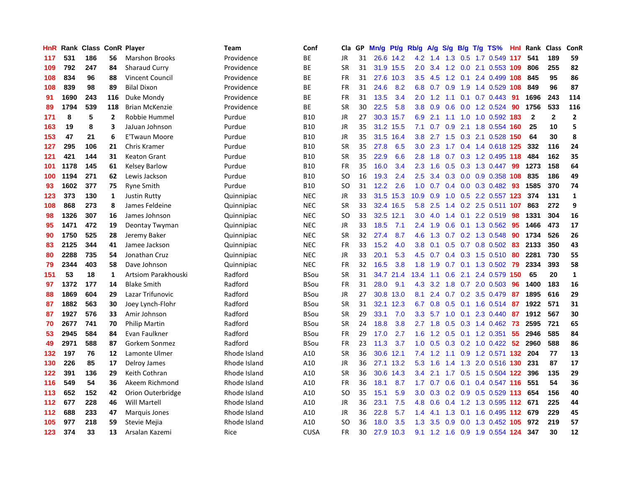| HnR | Rank | Class |                | <b>ConR Player</b>    | <b>Team</b>  | Conf        | Cla       | <b>GP</b> | Mn/g | Pt/g      | Rb/g             | A/g | S/g           | B/g | T/g TS%                       | Hnl | Rank         | <b>Class</b> | ConR           |
|-----|------|-------|----------------|-----------------------|--------------|-------------|-----------|-----------|------|-----------|------------------|-----|---------------|-----|-------------------------------|-----|--------------|--------------|----------------|
| 117 | 531  | 186   | 56             | <b>Marshon Brooks</b> | Providence   | ВE          | <b>JR</b> | 31        |      | 26.6 14.2 | 4.2              | 1.4 |               |     | 1.3 0.5 1.7 0.549 117         |     | 541          | 189          | 59             |
| 109 | 792  | 247   | 84             | Sharaud Curry         | Providence   | ВE          | <b>SR</b> | 31        |      | 31.9 15.5 | 2.0 <sub>2</sub> | 3.4 |               |     | 1.2 0.0 2.1 0.553 109         |     | 806          | 255          | 82             |
| 108 | 834  | 96    | 88             | Vincent Council       | Providence   | ВE          | FR        | 31        | 27.6 | 10.3      | $3.5^{\circ}$    | 4.5 |               |     | 1.2 0.1 2.4 0.499 108         |     | 845          | 95           | 86             |
| 108 | 839  | 98    | 89             | <b>Bilal Dixon</b>    | Providence   | <b>BE</b>   | <b>FR</b> | 31        | 24.6 | 8.2       | 6.8              | 0.7 | 0.9           |     | 1.9 1.4 0.529                 | 108 | 849          | 96           | 87             |
| 91  | 1690 | 243   | 116            | Duke Mondy            | Providence   | ВE          | FR        | 31        | 13.5 | 3.4       | 2.0              | 1.2 | 1.1           |     | $0.1$ 0.7 0.443               | 91  | 1696         | 243          | 114            |
| 89  | 1794 | 539   | 118            | <b>Brian McKenzie</b> | Providence   | BE          | <b>SR</b> | 30        | 22.5 | 5.8       | 3.8              | 0.9 | 0.6           |     | 0.0 1.2 0.524                 | 90  | 1756         | 533          | 116            |
| 171 | 8    | 5     | $\overline{2}$ | Robbie Hummel         | Purdue       | <b>B10</b>  | <b>JR</b> | 27        | 30.3 | 15.7      | 6.9              | 2.1 |               |     | 1.1 1.0 1.0 0.592 183         |     | $\mathbf{2}$ | $\mathbf 2$  | $\overline{2}$ |
| 163 | 19   | 8     | 3              | JaJuan Johnson        | Purdue       | <b>B10</b>  | <b>JR</b> | 35        | 31.2 | 15.5      | 7.1              | 0.7 | 0.9           |     | 2.1 1.8 0.554 160             |     | 25           | 10           | 5              |
| 153 | 47   | 21    | 6              | <b>E'Twaun Moore</b>  | Purdue       | <b>B10</b>  | JR        | 35        | 31.5 | 16.4      | 3.8              | 2.7 | 1.5           |     | 0.3 2.1 0.528 150             |     | 64           | 30           | 8              |
| 127 | 295  | 106   | 21             | Chris Kramer          | Purdue       | <b>B10</b>  | <b>SR</b> | 35        | 27.8 | 6.5       | 3.0 <sub>2</sub> |     |               |     | 2.3 1.7 0.4 1.4 0.618 125     |     | 332          | 116          | 24             |
| 121 | 421  | 144   | 31             | <b>Keaton Grant</b>   | Purdue       | <b>B10</b>  | <b>SR</b> | 35        | 22.9 | 6.6       | 2.8              | 1.8 |               |     | 0.7 0.3 1.2 0.495 118         |     | 484          | 162          | 35             |
| 101 | 1178 | 145   | 61             | <b>Kelsey Barlow</b>  | Purdue       | <b>B10</b>  | FR        | 35        | 16.0 | 3.4       | 2.3              | 1.6 | 0.5           |     | 0.3 1.3 0.447 99              |     | 1273         | 158          | 64             |
| 100 | 1194 | 271   | 62             | Lewis Jackson         | Purdue       | <b>B10</b>  | <b>SO</b> | 16        | 19.3 | 2.4       | 2.5              | 3.4 | 0.3           |     | 0.0 0.9 0.358 108             |     | 835          | 186          | 49             |
| 93  | 1602 | 377   | 75             | <b>Ryne Smith</b>     | Purdue       | <b>B10</b>  | SO        | 31        | 12.2 | 2.6       | 1.0              | 0.7 |               |     | 0.4 0.0 0.3 0.482             | -93 | 1585         | 370          | 74             |
| 123 | 373  | 130   | 1              | <b>Justin Rutty</b>   | Quinnipiac   | <b>NEC</b>  | <b>JR</b> | 33        | 31.5 | 15.3      | 10.9             | 0.9 | 1.0           |     | 0.5 2.2 0.557 123             |     | 374          | 131          | $\mathbf{1}$   |
| 108 | 868  | 273   | 8              | James Feldeine        | Quinnipiac   | <b>NEC</b>  | <b>SR</b> | 33        |      | 32.4 16.5 | 5.8              | 2.5 | $1.4^{\circ}$ |     | 0.2 2.5 0.511 107             |     | 863          | 272          | 9              |
| 98  | 1326 | 307   | 16             | James Johnson         | Quinnipiac   | <b>NEC</b>  | <b>SO</b> | 33        | 32.5 | 12.1      | 3.0              | 4.0 | $1.4^{\circ}$ | 0.1 | 2.2 0.519                     | 98  | 1331         | 304          | 16             |
| 95  | 1471 | 472   | 19             | Deontay Twyman        | Quinnipiac   | <b>NEC</b>  | <b>JR</b> | 33        | 18.5 | 7.1       | $2.4^{\circ}$    | 1.9 | 0.6           |     | 0.1 1.3 0.562 95              |     | 1466         | 473          | 17             |
| 90  | 1750 | 525   | 28             | Jeremy Baker          | Quinnipiac   | <b>NEC</b>  | <b>SR</b> | 32        | 27.4 | 8.7       | 4.6              | 1.3 |               |     | $0.7$ $0.2$ $1.3$ $0.548$     | -90 | 1734         | 526          | 26             |
| 83  | 2125 | 344   | 41             | Jamee Jackson         | Quinnipiac   | <b>NEC</b>  | FR        | 33        | 15.2 | 4.0       | 3.8 <sub>2</sub> | 0.1 |               |     | $0.5$ 0.7 0.8 0.502 83        |     | 2133         | 350          | 43             |
| 80  | 2288 | 735   | 54             | Jonathan Cruz         | Quinnipiac   | <b>NEC</b>  | JR        | 33        | 20.1 | 5.3       | 4.5              | 0.7 |               |     | $0.4$ 0.3 1.5 0.510           | -80 | 2281         | 730          | 55             |
| 79  | 2344 | 403   | 58             | Dave Johnson          | Quinnipiac   | <b>NEC</b>  | FR        | 32        | 16.5 | 3.8       | 1.8              | 1.9 |               |     | 0.7 0.1 1.3 0.502             | 79  | 2334         | 393          | 58             |
| 151 | 53   | 18    | $\mathbf{1}$   | Artsiom Parakhouski   | Radford      | <b>BSou</b> | <b>SR</b> | 31        |      | 34.7 21.4 | 13.4             | 1.1 | 0.6           |     | 2.1 2.4 0.579                 | 150 | 65           | 20           | $\mathbf{1}$   |
| 97  | 1372 | 177   | 14             | <b>Blake Smith</b>    | Radford      | <b>BSou</b> | <b>FR</b> | 31        | 28.0 | 9.1       | 4.3              | 3.2 | 1.8           |     | 0.7 2.0 0.503                 | 96  | 1400         | 183          | 16             |
| 88  | 1869 | 604   | 29             | Lazar Trifunovic      | Radford      | <b>BSou</b> | JR        | 27        | 30.8 | 13.0      | 8.1              | 2.4 |               |     | 0.7 0.2 3.5 0.479             | -87 | 1895         | 616          | 29             |
| 87  | 1882 | 563   | 30             | Joey Lynch-Flohr      | Radford      | <b>BSou</b> | <b>SR</b> | 31        | 32.1 | 12.3      | 6.7              | 0.8 | 0.5           |     | 0.1 1.6 0.514 87              |     | 1922         | 571          | 31             |
| 87  | 1927 | 576   | 33             | Amir Johnson          | Radford      | <b>BSou</b> | <b>SR</b> | 29        | 33.1 | 7.0       | 3.3              |     |               |     | 5.7 1.0 0.1 2.3 0.440 87      |     | 1912         | 567          | 30             |
| 70  | 2677 | 741   | 70             | <b>Philip Martin</b>  | Radford      | <b>BSou</b> | <b>SR</b> | 24        | 18.8 | 3.8       | $2.7^{\circ}$    | 1.8 |               |     | 0.5 0.3 1.4 0.462 73          |     | 2595         | 721          | 65             |
| 53  | 2945 | 584   | 84             | Evan Faulkner         | Radford      | <b>BSou</b> | FR        | 29        | 17.0 | 2.7       | 1.6              | 1.2 |               |     | $0.5$ 0.1 1.2 0.351           | -55 | 2946         | 585          | 84             |
| 49  | 2971 | 588   | 87             | Gorkem Sonmez         | Radford      | <b>BSou</b> | FR        | 23        | 11.3 | 3.7       | 1.0              | 0.5 |               |     | $0.3$ $0.2$ $1.0$ $0.422$     | -52 | 2960         | 588          | 86             |
| 132 | 197  | 76    | 12             | Lamonte Ulmer         | Rhode Island | A10         | <b>SR</b> | 36        | 30.6 | 12.1      | 7.4              | 1.2 |               |     | 1.1 0.9 1.2 0.571 132         |     | 204          | 77           | 13             |
| 130 | 226  | 85    | 17             | Delroy James          | Rhode Island | A10         | JR        | 36        | 27.1 | 13.2      | 5.3              | 1.6 | 1.4           |     | 1.3 2.0 0.516 130             |     | 231          | 87           | 17             |
| 122 | 391  | 136   | 29             | Keith Cothran         | Rhode Island | A10         | <b>SR</b> | 36        | 30.6 | 14.3      | $3.4^{\circ}$    | 2.1 | 1.7           |     | 0.5 1.5 0.504 122             |     | 396          | 135          | 29             |
| 116 | 549  | 54    | 36             | Akeem Richmond        | Rhode Island | A10         | <b>FR</b> | 36        | 18.1 | 8.7       | 1.7 <sub>2</sub> | 0.7 | 0.6           |     | $0.1$ 0.4 0.547 116           |     | 551          | 54           | 36             |
| 113 | 652  | 152   | 42             | Orion Outerbridge     | Rhode Island | A10         | SO        | 35        | 15.1 | 5.9       | 3.0 <sub>2</sub> | 0.3 |               |     | $0.2$ $0.9$ $0.5$ $0.529$ 113 |     | 654          | 156          | 40             |
| 112 | 677  | 228   | 46             | <b>Will Martell</b>   | Rhode Island | A10         | JR        | 36        | 23.1 | 7.5       | 4.8              | 0.6 |               |     | 0.4 1.2 1.3 0.595 112 671     |     |              | 225          | 44             |
| 112 | 688  | 233   | 47             | Marquis Jones         | Rhode Island | A10         | JR        | 36        | 22.8 | 5.7       | $1.4^{\circ}$    | 4.1 | 1.3           |     | 0.1 1.6 0.495 112 679         |     |              | 229          | 45             |
| 105 | 977  | 218   | 59             | Stevie Mejia          | Rhode Island | A10         | SO        | 36        | 18.0 | 3.5       | 1.3              | 3.5 | 0.9           |     | 0.0 1.3 0.452 105             |     | 972          | 219          | 57             |
| 123 | 374  | 33    | 13             | Arsalan Kazemi        | Rice         | <b>CUSA</b> | <b>FR</b> | 30        | 27.9 | 10.3      | 9.1              |     |               |     | 1.2 1.6 0.9 1.9 0.554 124     |     | 347          | 30           | 12             |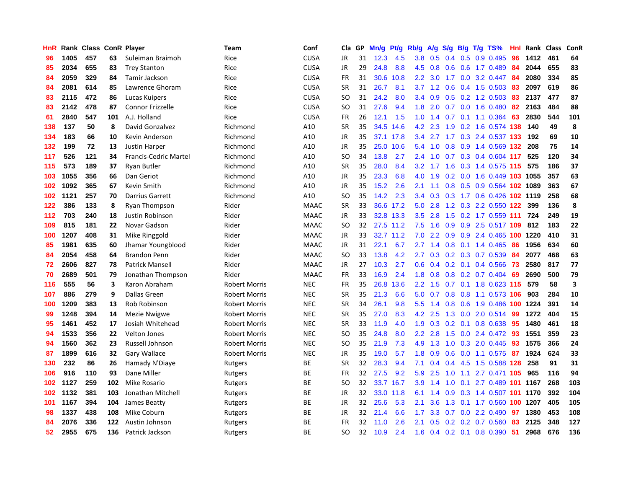| HnR |      | Rank Class ConR Player |     |                              | Team                 | Conf        | Cla.          | <b>GP</b> | Mn/g | Pt/g      | Rb/g             | A/g | S/g           | B/g | $T/g$ TS%                  | Hnl | Rank | <b>Class</b> | <b>ConR</b>             |
|-----|------|------------------------|-----|------------------------------|----------------------|-------------|---------------|-----------|------|-----------|------------------|-----|---------------|-----|----------------------------|-----|------|--------------|-------------------------|
| 96  | 1405 | 457                    | 63  | Suleiman Braimoh             | Rice                 | <b>CUSA</b> | <b>JR</b>     | 31        | 12.3 | 4.5       | 3.8 <sub>2</sub> | 0.5 |               |     | $0.4$ 0.5 0.9 0.495        | 96  | 1412 | 461          | 64                      |
| 85  | 2034 | 655                    | 83  | <b>Trey Stanton</b>          | Rice                 | <b>CUSA</b> | <b>JR</b>     | 29        | 24.8 | 8.8       | 4.5              | 0.8 |               |     | $0.6$ $0.6$ 1.7 $0.489$    | -84 | 2044 | 655          | 83                      |
| 84  | 2059 | 329                    | 84  | <b>Tamir Jackson</b>         | Rice                 | <b>CUSA</b> | <b>FR</b>     | 31        | 30.6 | 10.8      | $2.2\phantom{0}$ | 3.0 |               |     | 1.7 0.0 3.2 0.447          | -84 | 2080 | 334          | 85                      |
| 84  | 2081 | 614                    | 85  | Lawrence Ghoram              | Rice                 | <b>CUSA</b> | <b>SR</b>     | 31        | 26.7 | 8.1       | 3.7              | 1.2 | 0.6           |     | $0.4$ 1.5 0.503            | -83 | 2097 | 619          | 86                      |
| 83  | 2115 | 472                    | 86  | Lucas Kuipers                | Rice                 | <b>CUSA</b> | <b>SO</b>     | 31        | 24.2 | 8.0       | 3.4              | 0.9 | 0.5           |     | $0.2$ 1.2 0.503            | 83  | 2137 | 477          | 87                      |
| 83  | 2142 | 478                    | 87  | <b>Connor Frizzelle</b>      | Rice                 | <b>CUSA</b> | SO            | 31        | 27.6 | 9.4       | 1.8              | 2.0 |               |     | 0.7 0.0 1.6 0.480          | 82  | 2163 | 484          | 88                      |
| 61  | 2840 | 547                    | 101 | A.J. Holland                 | Rice                 | <b>CUSA</b> | <b>FR</b>     | 26        | 12.1 | 1.5       | 1.0              | 1.4 | 0.7           |     | $0.1$ 1.1 0.364            | 63  | 2830 | 544          | 101                     |
| 138 | 137  | 50                     | 8   | David Gonzalvez              | Richmond             | A10         | <b>SR</b>     | 35        | 34.5 | 14.6      | 4.2              | 2.3 | 1.9           |     | 0.2 1.6 0.574 138          |     | 140  | 49           | 8                       |
| 134 | 183  | 66                     | 10  | Kevin Anderson               | Richmond             | A10         | JR            | 35        |      | 37.1 17.8 | $3.4^{\circ}$    | 2.7 | 1.7           |     | 0.3 2.4 0.537 133          |     | 192  | 69           | 10                      |
| 132 | 199  | 72                     | 13  | <b>Justin Harper</b>         | Richmond             | A10         | JR            | 35        |      | 25.0 10.6 | 5.4              | 1.0 |               |     | 0.8 0.9 1.4 0.569 132      |     | 208  | 75           | 14                      |
| 117 | 526  | 121                    | 34  | <b>Francis-Cedric Martel</b> | Richmond             | A10         | SO            | 34        | 13.8 | 2.7       | 2.4              | 1.0 |               |     | 0.7 0.3 0.4 0.604 117      |     | 525  | 120          | 34                      |
| 115 | 573  | 189                    | 37  | Ryan Butler                  | Richmond             | A10         | <b>SR</b>     | 35        | 28.0 | 8.4       | 3.2              | 1.7 | 1.6           |     | 0.3 1.4 0.575 115 575      |     |      | 186          | 37                      |
| 103 | 1055 | 356                    | 66  | Dan Geriot                   | Richmond             | A10         | JR            | 35        | 23.3 | 6.8       | 4.0              | 1.9 | 0.2           |     | 0.0 1.6 0.449 103 1055     |     |      | 357          | 63                      |
| 102 | 1092 | 365                    | 67  | Kevin Smith                  | Richmond             | A10         | JR            | 35        | 15.2 | 2.6       | 2.1              | 1.1 | 0.8           |     | 0.5 0.9 0.564 102 1089     |     |      | 363          | 67                      |
| 102 | 1121 | 257                    | 70  | <b>Darrius Garrett</b>       | Richmond             | A10         | <b>SO</b>     | 35        | 14.2 | 2.3       | $3.4^{\circ}$    | 0.3 | 0.3           |     | 1.7 0.6 0.426 102 1119     |     |      | 258          | 68                      |
| 122 | 386  | 133                    | 8   | Ryan Thompson                | Rider                | <b>MAAC</b> | <b>SR</b>     | 33        | 36.6 | 17.2      | 5.0              | 2.8 | 1.2           |     | 0.3 2.2 0.550 122          |     | 399  | 136          | 8                       |
| 112 | 703  | 240                    | 18  | Justin Robinson              | Rider                | <b>MAAC</b> | <b>JR</b>     | 33        |      | 32.8 13.3 | 3.5              | 2.8 | 1.5           |     | $0.2$ 1.7 0.559 111        |     | 724  | 249          | 19                      |
| 109 | 815  | 181                    | 22  | Novar Gadson                 | Rider                | <b>MAAC</b> | <sub>SO</sub> | 32        |      | 27.5 11.2 | 7.5              | 1.6 | 0.9           |     | 0.9 2.5 0.517 109          |     | -812 | 183          | 22                      |
| 100 | 1207 | 408                    | 31  | Mike Ringgold                | Rider                | <b>MAAC</b> | <b>JR</b>     | 33        |      | 32.7 11.2 | 7.0              | 2.2 |               |     | 0.9 0.9 2.4 0.465 100 1220 |     |      | 410          | 31                      |
| 85  | 1981 | 635                    | 60  | Jhamar Youngblood            | Rider                | <b>MAAC</b> | JR            | 31        | 22.1 | 6.7       | 2.7              | 1.4 |               |     | $0.8$ 0.1 1.4 0.465        | -86 | 1956 | 634          | 60                      |
| 84  | 2054 | 458                    | 64  | <b>Brandon Penn</b>          | Rider                | <b>MAAC</b> | <sub>SO</sub> | 33        | 13.8 | 4.2       | $2.7^{\circ}$    | 0.3 |               |     | $0.2$ $0.3$ $0.7$ $0.539$  | 84  | 2077 | 468          | 63                      |
| 72  | 2606 | 827                    | 78  | <b>Patrick Mansell</b>       | Rider                | <b>MAAC</b> | JR            | 27        | 10.3 | 2.7       | 0.6              | 0.4 |               |     | $0.2$ 0.1 0.4 0.566        | 73  | 2580 | 817          | 77                      |
| 70  | 2689 | 501                    | 79  | Jonathan Thompson            | Rider                | <b>MAAC</b> | <b>FR</b>     | 33        | 16.9 | 2.4       | 1.8              | 0.8 | 0.8           |     | $0.2$ 0.7 0.404            | 69  | 2690 | 500          | 79                      |
| 116 | 555  | 56                     | 3   | Karon Abraham                | <b>Robert Morris</b> | <b>NEC</b>  | <b>FR</b>     | 35        | 26.8 | 13.6      | 2.2              | 1.5 | 0.7           |     | $0.1$ 1.8 0.623 115        |     | 579  | 58           | $\overline{\mathbf{3}}$ |
| 107 | 886  | 279                    | 9   | <b>Dallas Green</b>          | <b>Robert Morris</b> | <b>NEC</b>  | <b>SR</b>     | 35        | 21.3 | 6.6       | 5.0              | 0.7 | 0.8           |     | 0.8 1.1 0.573 106          |     | 903  | 284          | 10                      |
| 100 | 1209 | 383                    | 13  | Rob Robinson                 | <b>Robert Morris</b> | <b>NEC</b>  | <b>SR</b>     | 34        | 26.1 | 9.8       | 5.5 <sub>1</sub> | 1.4 |               |     | 0.8 0.6 1.9 0.486 100 1224 |     |      | 391          | 14                      |
| 99  | 1248 | 394                    | 14  | Mezie Nwigwe                 | <b>Robert Morris</b> | <b>NEC</b>  | <b>SR</b>     | 35        | 27.0 | 8.3       | 4.2              | 2.5 |               |     | 1.3 0.0 2.0 0.514 99       |     | 1272 | 404          | 15                      |
| 95  | 1461 | 452                    | 17  | Josiah Whitehead             | <b>Robert Morris</b> | <b>NEC</b>  | <b>SR</b>     | 33        | 11.9 | 4.0       | 1.9              | 0.3 |               |     | $0.2$ 0.1 0.8 0.638        | -95 | 1480 | 461          | 18                      |
| 94  | 1533 | 356                    | 22  | <b>Velton Jones</b>          | <b>Robert Morris</b> | <b>NEC</b>  | <b>SO</b>     | 35        | 24.8 | 8.0       | 2.2              | 2.8 | 1.5           |     | 0.0 2.4 0.472 93           |     | 1551 | 359          | 23                      |
| 94  | 1560 | 362                    | 23  | Russell Johnson              | <b>Robert Morris</b> | <b>NEC</b>  | SO.           | 35        | 21.9 | 7.3       | 4.9              | 1.3 | 1.0           |     | 0.3 2.0 0.445              | 93  | 1575 | 366          | 24                      |
| 87  | 1899 | 616                    | 32  | Gary Wallace                 | <b>Robert Morris</b> | <b>NEC</b>  | JR            | 35        | 19.0 | 5.7       | 1.8              | 0.9 | 0.6           |     | $0.0$ 1.1 0.575            | 87  | 1924 | 624          | 33                      |
| 130 | 232  | 86                     | 26  | Hamady N'Diaye               | Rutgers              | <b>BE</b>   | <b>SR</b>     | 32        | 28.3 | 9.4       | 7.1              | 0.4 | $0.4^{\circ}$ |     | 4.5 1.5 0.588 128          |     | 258  | 91           | 31                      |
| 106 | 916  | 110                    | 93  | Dane Miller                  | Rutgers              | ВE          | <b>FR</b>     | 32        | 27.5 | 9.2       | 5.9              | 2.5 | 1.0           | 1.1 | 2.7 0.471 105              |     | 965  | 116          | 94                      |
| 102 | 1127 | 259                    | 102 | Mike Rosario                 | Rutgers              | <b>BE</b>   | <sub>SO</sub> | 32        | 33.7 | 16.7      | 3.9 <sup>°</sup> | 1.4 | 1.0           | 0.1 | 2.7 0.489 101 1167         |     |      | 268          | 103                     |
| 102 | 1132 | 381                    | 103 | Jonathan Mitchell            | Rutgers              | <b>BE</b>   | JR            | 32        | 33.0 | 11.8      | 6.1              | 1.4 | 0.9           |     | 0.3 1.4 0.507 101 1170     |     |      | 392          | 104                     |
| 101 | 1167 | 394                    | 104 | James Beatty                 | Rutgers              | <b>BE</b>   | <b>JR</b>     | 32        | 25.6 | 5.3       | 2.1              | 3.6 |               |     | 1.3 0.1 1.7 0.560 100 1207 |     |      | 405          | 105                     |
| 98  | 1337 | 438                    | 108 | Mike Coburn                  | Rutgers              | ВE          | JR            | 32        | 21.4 | 6.6       | 1.7              | 3.3 |               |     | $0.7$ 0.0 2.2 0.490        | 97  | 1380 | 453          | 108                     |
| 84  | 2076 | 336                    | 122 | Austin Johnson               | Rutgers              | <b>BE</b>   | <b>FR</b>     | 32        | 11.0 | 2.6       | 2.1              | 0.5 | 0.2           |     | 0.2 0.7 0.560              | 83  | 2125 | 348          | 127                     |
| 52  | 2955 | 675                    | 136 | Patrick Jackson              | Rutgers              | ВE          | SO            | 32        | 10.9 | 2.4       | 1.6              |     |               |     | $0.4$ 0.2 0.1 0.8 0.390    | -51 | 2968 | 676          | 136                     |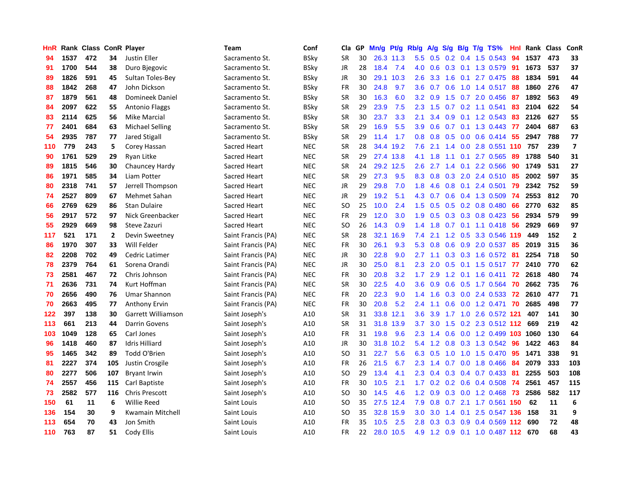| HnR |      | Rank Class ConR Player |              |                        | Team               | Conf        | Cla.          | <b>GP</b> | Mn/g      | <b>Pt/g</b> | Rb/g             | A/g | S/g              |  | B/g T/g TS%                | Hnl | Rank | Class | ConR                    |
|-----|------|------------------------|--------------|------------------------|--------------------|-------------|---------------|-----------|-----------|-------------|------------------|-----|------------------|--|----------------------------|-----|------|-------|-------------------------|
| 94  | 1537 | 472                    | 34           | <b>Justin Eller</b>    | Sacramento St.     | BSky        | <b>SR</b>     | 30        |           | 26.3 11.3   | 5.5              | 0.5 |                  |  | $0.2$ 0.4 1.5 0.543        | 94  | 1537 | 473   | 33                      |
| 91  | 1700 | 544                    | 38           | Duro Bjegovic          | Sacramento St.     | BSky        | <b>JR</b>     | 28        | 18.4      | 7.4         | 4.0              | 0.6 |                  |  | 0.3 0.1 1.3 0.579 91       |     | 1673 | 537   | 37                      |
| 89  | 1826 | 591                    | 45           | Sultan Toles-Bey       | Sacramento St.     | BSky        | JR            | 30        | 29.1      | 10.3        | $2.6^{\circ}$    | 3.3 |                  |  | 1.6 0.1 2.7 0.475          | -88 | 1834 | 591   | 44                      |
| 88  | 1842 | 268                    | 47           | John Dickson           | Sacramento St.     | <b>BSky</b> | <b>FR</b>     | 30        | 24.8      | 9.7         | 3.6              | 0.7 | 0.6              |  | 1.0 1.4 0.517              | -88 | 1860 | 276   | 47                      |
| 87  | 1879 | 561                    | 48           | <b>Domineek Daniel</b> | Sacramento St.     | BSky        | <b>SR</b>     | 30        | 16.3      | 6.0         | 3.2              | 0.9 | 1.5              |  | 0.7 2.0 0.456              | -87 | 1892 | 563   | 49                      |
| 84  | 2097 | 622                    | 55           | <b>Antonio Flaggs</b>  | Sacramento St.     | BSky        | <b>SR</b>     | 29        | 23.9      | 7.5         | 2.3              | 1.5 |                  |  | 0.7 0.2 1.1 0.541          | 83  | 2104 | 622   | 54                      |
| 83  | 2114 | 625                    | 56           | Mike Marcial           | Sacramento St.     | BSky        | <b>SR</b>     | 30        | 23.7      | 3.3         | 2.1              | 3.4 | 0.9 <sub>0</sub> |  | 0.1 1.2 0.543              | 83  | 2126 | 627   | 55                      |
| 77  | 2401 | 684                    | 63           | <b>Michael Selling</b> | Sacramento St.     | BSky        | <b>SR</b>     | 29        | 16.9      | 5.5         | 3.9 <sup>°</sup> | 0.6 |                  |  | 0.7 0.1 1.3 0.443          | -77 | 2404 | 687   | 63                      |
| 54  | 2935 | 787                    | 77           | <b>Jared Stigall</b>   | Sacramento St.     | <b>BSky</b> | <b>SR</b>     | 29        | 11.4      | 1.7         | 0.8              | 0.8 | 0.5              |  | $0.0$ 0.6 0.414 55         |     | 2947 | 788   | 77                      |
| 110 | 779  | 243                    | 5            | Corey Hassan           | Sacred Heart       | <b>NEC</b>  | <b>SR</b>     | 28        | 34.4      | 19.2        | 7.6              | 2.1 |                  |  | 1.4 0.0 2.8 0.551 110 757  |     |      | 239   | $\overline{\mathbf{z}}$ |
| 90  | 1761 | 529                    | 29           | <b>Ryan Litke</b>      | Sacred Heart       | <b>NEC</b>  | <b>SR</b>     | 29        |           | 27.4 13.8   | 4.1              | 1.8 |                  |  | $1.1$ 0.1 2.7 0.565        | -89 | 1788 | 540   | 31                      |
| 89  | 1815 | 546                    | 30           | Chauncey Hardy         | Sacred Heart       | <b>NEC</b>  | <b>SR</b>     | 24        | 29.2      | 12.5        | $2.6^{\circ}$    | 2.7 |                  |  | 1.4 0.1 2.2 0.566          | 90  | 1749 | 531   | 27                      |
| 86  | 1971 | 585                    | 34           | Liam Potter            | Sacred Heart       | <b>NEC</b>  | <b>SR</b>     | 29        | 27.3      | 9.5         | 8.3              | 0.8 | 0.3              |  | 2.0 2.4 0.510              | -85 | 2002 | 597   | 35                      |
| 80  | 2318 | 741                    | 57           | Jerrell Thompson       | Sacred Heart       | <b>NEC</b>  | JR            | 29        | 29.8      | 7.0         | 1.8              | 4.6 | 0.8              |  | 0.1 2.4 0.501              | 79  | 2342 | 752   | 59                      |
| 74  | 2527 | 809                    | 67           | Mehmet Sahan           | Sacred Heart       | <b>NEC</b>  | <b>JR</b>     | 29        | 19.2      | 5.1         | 4.3              | 0.7 | 0.6              |  | 0.4 1.3 0.509              | 74  | 2553 | 812   | 70                      |
| 66  | 2769 | 629                    | 86           | <b>Stan Dulaire</b>    | Sacred Heart       | <b>NEC</b>  | SO            | 25        | 10.0      | 2.4         | $1.5^{\circ}$    | 0.5 | 0.5              |  | 0.2 0.8 0.480              | 66  | 2770 | 632   | 85                      |
| 56  | 2917 | 572                    | 97           | Nick Greenbacker       | Sacred Heart       | <b>NEC</b>  | <b>FR</b>     | 29        | 12.0      | 3.0         | 1.9              | 0.5 | 0.3              |  | $0.3$ 0.8 0.423            | -56 | 2934 | 579   | 99                      |
| 55  | 2929 | 669                    | 98           | Steve Zazuri           | Sacred Heart       | <b>NEC</b>  | <sub>SO</sub> | 26        | 14.3      | 0.9         | 1.4              | 1.8 |                  |  | 0.7 0.1 1.1 0.418 56       |     | 2929 | 669   | 97                      |
| 117 | 521  | 171                    | $\mathbf{2}$ | Devin Sweetney         | Saint Francis (PA) | <b>NEC</b>  | <b>SR</b>     | 28        | 32.1      | 16.9        | 7.4              | 2.1 |                  |  | 1.2 0.5 3.3 0.546 119      |     | 449  | 152   | $\overline{\mathbf{2}}$ |
| 86  | 1970 | 307                    | 33           | Will Felder            | Saint Francis (PA) | <b>NEC</b>  | <b>FR</b>     | 30        | 26.1      | 9.3         | 5.3              | 0.8 |                  |  | 0.6 0.9 2.0 0.537 85       |     | 2019 | 315   | 36                      |
| 82  | 2208 | 702                    | 49           | Cedric Latimer         | Saint Francis (PA) | <b>NEC</b>  | JR            | 30        | 22.8      | 9.0         | $2.7^{\circ}$    | 1.1 |                  |  | 0.3 0.3 1.6 0.572          | -81 | 2254 | 718   | 50                      |
| 78  | 2379 | 764                    | 61           | Sorena Orandi          | Saint Francis (PA) | <b>NEC</b>  | JR            | 30        | 25.0      | 8.1         | 2.3              | 2.0 | 0.5              |  | $0.1$ 1.5 0.517            | 77  | 2410 | 770   | 62                      |
| 73  | 2581 | 467                    | 72           | Chris Johnson          | Saint Francis (PA) | <b>NEC</b>  | <b>FR</b>     | 30        | 20.8      | 3.2         | 1.7 <sub>z</sub> | 2.9 |                  |  | 1.2 0.1 1.6 0.411          | 72  | 2618 | 480   | 74                      |
| 71  | 2636 | 731                    | 74           | Kurt Hoffman           | Saint Francis (PA) | <b>NEC</b>  | <b>SR</b>     | 30        | 22.5      | 4.0         | 3.6              | 0.9 | 0.6              |  | $0.5$ 1.7 0.564            | 70  | 2662 | 735   | 76                      |
| 70  | 2656 | 490                    | 76           | <b>Umar Shannon</b>    | Saint Francis (PA) | <b>NEC</b>  | FR            | 20        | 22.3      | 9.0         | 1.4              | 1.6 |                  |  | $0.3$ 0.0 2.4 0.533        | -72 | 2610 | 477   | 71                      |
| 70  | 2663 | 495                    | 77           | <b>Anthony Ervin</b>   | Saint Francis (PA) | <b>NEC</b>  | <b>FR</b>     | 30        | 20.8      | 5.2         | 2.4              | 1.1 |                  |  | 0.6 0.0 1.2 0.471          | 70  | 2685 | 498   | 77                      |
| 122 | 397  | 138                    | 30           | Garrett Williamson     | Saint Joseph's     | A10         | <b>SR</b>     | 31        | 33.8 12.1 |             | 3.6              | 3.9 |                  |  | 1.7 1.0 2.6 0.572 121      |     | 407  | 141   | 30                      |
| 113 | 661  | 213                    | 44           | <b>Darrin Govens</b>   | Saint Joseph's     | A10         | <b>SR</b>     | 31        | 31.8      | 13.9        | 3.7              | 3.0 |                  |  | 1.5 0.2 2.3 0.512 112      |     | 669  | 219   | 42                      |
| 103 | 1049 | 128                    | 65           | Carl Jones             | Saint Joseph's     | A10         | <b>FR</b>     | 31        | 19.8      | 9.6         | 2.3              | 1.4 |                  |  | 0.6 0.0 1.2 0.499 103 1060 |     |      | 130   | 64                      |
| 96  | 1418 | 460                    | 87           | <b>Idris Hilliard</b>  | Saint Joseph's     | A10         | <b>JR</b>     | 30        | 31.8      | 10.2        | 5.4              | 1.2 | 0.8              |  | 0.3 1.3 0.542              | -96 | 1422 | 463   | 84                      |
| 95  | 1465 | 342                    | 89           | Todd O'Brien           | Saint Joseph's     | A10         | SO            | 31        | 22.7      | 5.6         | 6.3              | 0.5 | 1.0              |  | 1.0 1.5 0.470              | -95 | 1471 | 338   | 91                      |
| 81  | 2227 | 374                    | 105          | Justin Crosgile        | Saint Joseph's     | A10         | <b>FR</b>     | 26        | 21.5      | 6.7         | 2.3              | 1.4 | 0.7              |  | $0.0$ 1.8 $0.466$          | -84 | 2079 | 333   | 103                     |
| 80  | 2277 | 506                    | 107          | <b>Bryant Irwin</b>    | Saint Joseph's     | A10         | <sub>SO</sub> | 29        | 13.4      | 4.1         | 2.3              | 0.4 | 0.3              |  | 0.4 0.7 0.433              | -81 | 2255 | 503   | 108                     |
| 74  | 2557 | 456                    | 115          | Carl Baptiste          | Saint Joseph's     | A10         | <b>FR</b>     | 30        | 10.5      | 2.1         | 1.7              | 0.2 |                  |  | $0.2$ 0.6 0.4 0.508        | -74 | 2561 | 457   | 115                     |
| 73  | 2582 | 577                    | 116          | <b>Chris Prescott</b>  | Saint Joseph's     | A10         | <sub>SO</sub> | 30        | 14.5      | 4.6         | 1.2              | 0.9 |                  |  | 0.3 0.0 1.2 0.468 73       |     | 2586 | 582   | 117                     |
| 150 | 61   | 11                     | 6            | <b>Willie Reed</b>     | Saint Louis        | A10         | <b>SO</b>     | 35        | 27.5      | 12.4        | 7.9              | 0.8 |                  |  | 0.7 2.1 1.7 0.561 150      |     | 62   | 11    | 6                       |
| 136 | 154  | 30                     | 9            | Kwamain Mitchell       | Saint Louis        | A10         | SO            | 35        | 32.8      | 15.9        | 3.0 <sub>2</sub> | 3.0 | $1.4^{\circ}$    |  | 0.1 2.5 0.547 136          |     | 158  | 31    | 9                       |
| 113 | 654  | 70                     | 43           | Jon Smith              | Saint Louis        | A10         | <b>FR</b>     | 35        | 10.5      | 2.5         | 2.8              | 0.3 | 0.3              |  | 0.9 0.4 0.569 112          |     | 690  | 72    | 48                      |
| 110 | 763  | 87                     | 51           | Cody Ellis             | Saint Louis        | A10         | <b>FR</b>     | 22        |           | 28.0 10.5   | 4.9              |     |                  |  | 1.2 0.9 0.1 1.0 0.487 112  |     | 670  | 68    | 43                      |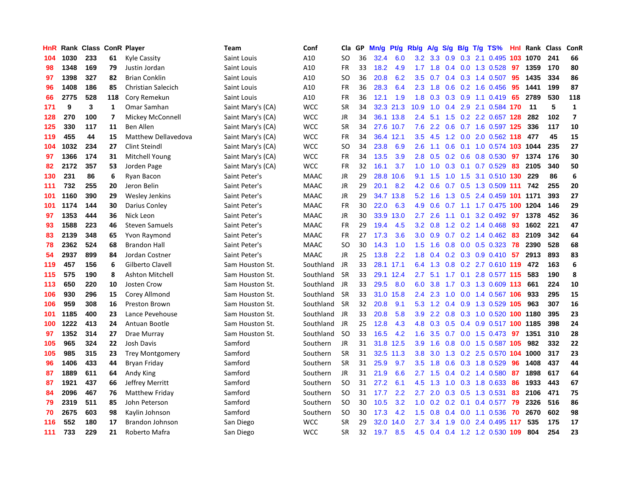| HnR |      | Rank Class ConR Player |                |                            | Team              | Conf        | Cla       | <b>GP</b> | Mn/g | <b>Pt/g</b> | Rb/g             | A/g           | S/g |     | B/g T/g TS%                    | Hnl | Rank | Class | <b>ConR</b>             |
|-----|------|------------------------|----------------|----------------------------|-------------------|-------------|-----------|-----------|------|-------------|------------------|---------------|-----|-----|--------------------------------|-----|------|-------|-------------------------|
| 104 | 1030 | 233                    | 61             | Kyle Cassity               | Saint Louis       | A10         | SO        | 36        | 32.4 | 6.0         |                  | $3.2$ $3.3$   | 0.9 |     | 0.3 2.1 0.495 103 1070         |     |      | 241   | 66                      |
| 98  | 1348 | 169                    | 79             | Justin Jordan              | Saint Louis       | A10         | <b>FR</b> | 33        | 18.2 | 4.9         |                  | $1.7$ 1.8     |     |     | 0.4 0.0 1.3 0.528 97           |     | 1359 | 170   | 80                      |
| 97  | 1398 | 327                    | 82             | <b>Brian Conklin</b>       | Saint Louis       | A10         | SO        | 36        | 20.8 | 6.2         | $3.5^{\circ}$    | 0.7           |     |     | 0.4 0.3 1.4 0.507 95           |     | 1435 | 334   | 86                      |
| 96  | 1408 | 186                    | 85             | <b>Christian Salecich</b>  | Saint Louis       | A10         | FR        | 36        | 28.3 | 6.4         | 2.3              | 1.8           |     |     | $0.6$ $0.2$ 1.6 $0.456$        | 95  | 1441 | 199   | 87                      |
| 66  | 2775 | 528                    | 118            | Cory Remekun               | Saint Louis       | A10         | <b>FR</b> | 36        | 12.1 | 1.9         | 1.8              | 0.3           |     |     | $0.3$ 0.9 1.1 0.419            | 65  | 2789 | 530   | 118                     |
| 171 | 9    | 3                      | 1              | Omar Samhan                | Saint Mary's (CA) | <b>WCC</b>  | SR        | 34        |      | 32.3 21.3   | 10.9             |               |     |     | 1.0 0.4 2.9 2.1 0.584 170      |     | -11  | 5     | $\mathbf{1}$            |
| 128 | 270  | 100                    | $\overline{7}$ | Mickey McConnell           | Saint Mary's (CA) | <b>WCC</b>  | JR        | 34        | 36.1 | 13.8        | 2.4              | 5.1           |     |     | 1.5 0.2 2.2 0.657 128          |     | 282  | 102   | $\overline{\mathbf{z}}$ |
| 125 | 330  | 117                    | 11             | Ben Allen                  | Saint Mary's (CA) | <b>WCC</b>  | <b>SR</b> | 34        | 27.6 | 10.7        | 7.6              | $2.2^{\circ}$ | 0.6 |     | 0.7 1.6 0.597 125              |     | 336  | 117   | 10                      |
| 119 | 455  | 44                     | 15             | <b>Matthew Dellavedova</b> | Saint Mary's (CA) | <b>WCC</b>  | FR        | 34        | 36.4 | 12.1        | 3.5              | 4.5           |     |     | 1.2 0.0 2.0 0.562 118          |     | 477  | 45    | 15                      |
| 104 | 1032 | 234                    | 27             | Clint Steindl              | Saint Mary's (CA) | <b>WCC</b>  | <b>SO</b> | 34        | 23.8 | 6.9         | 2.6              | 1.1           |     |     | 0.6 0.1 1.0 0.574 103 1044     |     |      | 235   | 27                      |
| 97  | 1366 | 174                    | 31             | Mitchell Young             | Saint Mary's (CA) | <b>WCC</b>  | FR        | 34        | 13.5 | 3.9         | 2.8              |               |     |     | 0.5 0.2 0.6 0.8 0.530 97 1374  |     |      | 176   | 30                      |
| 82  | 2172 | 357                    | 53             | Jorden Page                | Saint Mary's (CA) | <b>WCC</b>  | FR        | 32        | 16.1 | 3.7         |                  | $1.0 \t1.0$   |     |     | 0.3 0.1 0.7 0.529 83           |     | 2105 | 340   | 50                      |
| 130 | 231  | 86                     | 6              | Ryan Bacon                 | Saint Peter's     | <b>MAAC</b> | JR        | 29        | 28.8 | 10.6        | 9.1              | 1.5           | 1.0 |     | 1.5 3.1 0.510 130 229          |     |      | 86    | 6                       |
| 111 | 732  | 255                    | 20             | Jeron Belin                | Saint Peter's     | <b>MAAC</b> | JR        | 29        | 20.1 | 8.2         | 4.2              | 0.6           |     |     | 0.7 0.5 1.3 0.509 111          |     | 742  | 255   | 20                      |
| 101 | 1160 | 390                    | 29             | Wesley Jenkins             | Saint Peter's     | <b>MAAC</b> | JR        | 29        | 34.7 | 13.8        | 5.2              | 1.6           |     |     | 1.3 0.5 2.4 0.459 101 1171     |     |      | 393   | 27                      |
| 101 | 1174 | 144                    | 30             | Darius Conley              | Saint Peter's     | <b>MAAC</b> | <b>FR</b> | 30        | 22.0 | 6.3         | 4.9              | 0.6           |     |     | 0.7 1.1 1.7 0.475 100 1204     |     |      | 146   | 29                      |
| 97  | 1353 | 444                    | 36             | Nick Leon                  | Saint Peter's     | <b>MAAC</b> | JR        | 30        | 33.9 | 13.0        | $2.7^{\circ}$    | 2.6           | 1.1 | 0.1 | 3.2 0.492 97                   |     | 1378 | 452   | 36                      |
| 93  | 1588 | 223                    | 46             | <b>Steven Samuels</b>      | Saint Peter's     | <b>MAAC</b> | <b>FR</b> | 29        | 19.4 | 4.5         | 3.2              | 0.8           |     |     | 1.2 0.2 1.4 0.468              | -93 | 1602 | 221   | 47                      |
| 83  | 2139 | 348                    | 65             | Yvon Raymond               | Saint Peter's     | <b>MAAC</b> | <b>FR</b> | 27        | 17.3 | 3.6         |                  |               |     |     | 3.0 0.9 0.7 0.2 1.4 0.462 83   |     | 2109 | 342   | 64                      |
| 78  | 2362 | 524                    | 68             | <b>Brandon Hall</b>        | Saint Peter's     | <b>MAAC</b> | <b>SO</b> | 30        | 14.3 | 1.0         | 1.5              | 1.6           |     |     | 0.8 0.0 0.5 0.323 78           |     | 2390 | 528   | 68                      |
| 54  | 2937 | 899                    | 84             | Jordan Costner             | Saint Peter's     | <b>MAAC</b> | JR        | 25        | 13.8 | 2.2         | 1.8              | 0.4           |     |     | $0.2$ 0.3 0.9 0.410 57         |     | 2913 | 893   | 83                      |
| 119 | 457  | 156                    | 6              | Gilberto Clavell           | Sam Houston St.   | Southland   | JR        | 33        | 28.1 | 17.1        | 6.4              | 1.3           | 0.8 |     | 0.2 2.7 0.610 119              |     | 472  | 163   | 6                       |
| 115 | 575  | 190                    | 8              | Ashton Mitchell            | Sam Houston St.   | Southland   | -SR       | 33        | 29.1 | 12.4        | 2.7              | 5.1           |     |     | 1.7 0.1 2.8 0.577 115          |     | 583  | 190   | 8                       |
| 113 | 650  | 220                    | 10             | <b>Josten Crow</b>         | Sam Houston St.   | Southland   | JR        | 33        | 29.5 | 8.0         | 6.0              | 3.8           | 1.7 |     | 0.3 1.3 0.609 113              |     | 661  | 224   | 10                      |
| 106 | 930  | 296                    | 15             | Corey Allmond              | Sam Houston St.   | Southland   | <b>SR</b> | 33        | 31.0 | 15.8        | 2.4              | 2.3           | 1.0 |     | 0.0 1.4 0.567 106              |     | 933  | 295   | 15                      |
| 106 | 959  | 308                    | 16             | <b>Preston Brown</b>       | Sam Houston St.   | Southland   | <b>SR</b> | 32        | 20.8 | 9.1         | 5.3              | 1.2           |     |     | 0.4 0.9 1.3 0.529 105          |     | 963  | 307   | 16                      |
| 101 | 1185 | 400                    | 23             | Lance Pevehouse            | Sam Houston St.   | Southland   | JR        | 33        | 20.8 | 5.8         | 3.9 <sub>2</sub> | $2.2^{\circ}$ |     |     | 0.8 0.3 1.0 0.520 100 1180     |     |      | 395   | 23                      |
| 100 | 1222 | 413                    | 24             | Antuan Bootle              | Sam Houston St.   | Southland   | JR        | 25        | 12.8 | 4.3         | 4.8              |               |     |     | 0.3 0.5 0.4 0.9 0.517 100 1185 |     |      | 398   | 24                      |
| 97  | 1352 | 314                    | 27             | Drae Murray                | Sam Houston St.   | Southland   | <b>SO</b> | 33        | 16.5 | 4.2         | 1.6              | 3.5           |     |     | 0.7 0.0 1.5 0.473 97 1351      |     |      | 310   | 28                      |
| 105 | 965  | 324                    | 22             | Josh Davis                 | Samford           | Southern    | <b>JR</b> | 31        | 31.8 | 12.5        | 3.9 <sub>2</sub> | 1.6           | 0.8 |     | 0.0 1.5 0.587 105              |     | 982  | 332   | 22                      |
| 105 | 985  | 315                    | 23             | <b>Trey Montgomery</b>     | Samford           | Southern    | <b>SR</b> | 31        | 32.5 | 11.3        | 3.8              | 3.0           | 1.3 |     | 0.2 2.5 0.570 104 1000         |     |      | 317   | 23                      |
| 96  | 1406 | 433                    | 44             | Bryan Friday               | Samford           | Southern    | <b>SR</b> | 31        | 25.9 | 9.7         | 3.5              | 1.8           |     |     | 0.6 0.3 1.8 0.529              | 96  | 1408 | 437   | 44                      |
| 87  | 1889 | 611                    | 64             | Andy King                  | Samford           | Southern    | JR.       | 31        | 21.9 | 6.6         | 2.7              | 1.5           |     |     | $0.4$ 0.2 1.4 0.580            | 87  | 1898 | 617   | 64                      |
| 87  | 1921 | 437                    | 66             | Jeffrey Merritt            | Samford           | Southern    | <b>SO</b> | 31        | 27.2 | 6.1         | 4.5              | 1.3           | 1.0 |     | 0.3 1.8 0.633                  | -86 | 1933 | 443   | 67                      |
| 84  | 2096 | 467                    | 76             | Matthew Friday             | Samford           | Southern    | <b>SO</b> | 31        | 17.7 | 2.2         | 2.7              | 2.0           |     |     | 0.3 0.5 1.3 0.531              | 83  | 2106 | 471   | 75                      |
| 79  | 2319 | 511                    | 85             | John Peterson              | Samford           | Southern    | SO        | 30        | 10.5 | 3.2         |                  |               |     |     | 1.0 0.2 0.2 0.1 0.4 0.577      | 79  | 2326 | 516   | 86                      |
| 70  | 2675 | 603                    | 98             | Kaylin Johnson             | Samford           | Southern    | <b>SO</b> | 30        | 17.3 | 4.2         | $1.5^{\circ}$    | 0.8           |     |     | $0.4$ 0.0 1.1 0.536            | -70 | 2670 | 602   | 98                      |
| 116 | 552  | 180                    | 17             | Brandon Johnson            | San Diego         | WCC         | <b>SR</b> | 29        | 32.0 | 14.0        | $2.7^{\circ}$    | $3.4$ 1.9     |     |     | 0.0 2.4 0.495 117              |     | 535  | 175   | 17                      |
| 111 | 733  | 229                    | 21             | Roberto Mafra              | San Diego         | <b>WCC</b>  | <b>SR</b> | 32        | 19.7 | 8.5         | 4.5              |               |     |     | 0.4 0.4 1.2 1.2 0.530 109      |     | 804  | 254   | 23                      |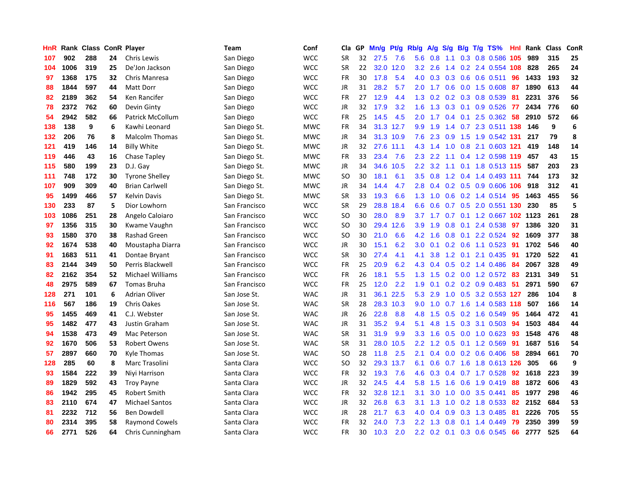| HnR |      | Rank Class |    | <b>ConR Player</b>      | Team          | Conf       | Cla           | <b>GP</b> | Mn/g      | <b>Pt/g</b> | Rb/g             | A/g       | S/g |                 | B/g T/g TS%                   | Hnl | Rank | <b>Class</b> | ConR |
|-----|------|------------|----|-------------------------|---------------|------------|---------------|-----------|-----------|-------------|------------------|-----------|-----|-----------------|-------------------------------|-----|------|--------------|------|
| 107 | 902  | 288        | 24 | Chris Lewis             | San Diego     | <b>WCC</b> | SR            | 32        | 27.5      | 7.6         | 5.6              | 0.8       |     |                 | 1.1 0.3 0.8 0.586 105         |     | 989  | 315          | 25   |
| 104 | 1006 | 319        | 25 | De'Jon Jackson          | San Diego     | <b>WCC</b> | SR            | 22        |           | 32.0 12.0   | 3.2              | 2.6       |     |                 | 1.4 0.2 2.4 0.554 108         |     | 828  | 265          | 24   |
| 97  | 1368 | 175        | 32 | Chris Manresa           | San Diego     | <b>WCC</b> | FR            | 30        | 17.8      | 5.4         | 4.0              | 0.3       |     |                 | 0.3 0.6 0.6 0.511 96          |     | 1433 | 193          | 32   |
| 88  | 1844 | 597        | 44 | Matt Dorr               | San Diego     | <b>WCC</b> | JR            | 31        | 28.2      | 5.7         |                  |           |     |                 | 2.0 1.7 0.6 0.0 1.5 0.608     | 87  | 1890 | 613          | 44   |
| 82  | 2189 | 362        | 54 | Ken Rancifer            | San Diego     | <b>WCC</b> | <b>FR</b>     | 27        | 12.9      | 4.4         | 1.3              | 0.2       |     |                 | 0.2 0.3 0.8 0.539             | -81 | 2231 | 376          | 56   |
| 78  | 2372 | 762        | 60 | Devin Ginty             | San Diego     | <b>WCC</b> | JR            | 32        | 17.9      | 3.2         | 1.6              | 1.3       |     |                 | 0.3 0.1 0.9 0.526             | 77  | 2434 | 776          | 60   |
| 54  | 2942 | 582        | 66 | Patrick McCollum        | San Diego     | <b>WCC</b> | <b>FR</b>     | 25        | 14.5      | 4.5         | 2.0              | 1.7       |     |                 | 0.4 0.1 2.5 0.362 58          |     | 2910 | 572          | 66   |
| 138 | 138  | 9          | 6  | Kawhi Leonard           | San Diego St. | <b>MWC</b> | FR            | 34        | 31.3      | 12.7        | 9.9              | 1.9       |     |                 | 1.4 0.7 2.3 0.511 138         |     | 146  | 9            | 6    |
| 132 | 206  | 76         | 8  | <b>Malcolm Thomas</b>   | San Diego St. | <b>MWC</b> | JR            | 34        |           | 31.3 10.9   |                  | $7.6$ 2.3 |     |                 | 0.9 1.5 1.9 0.542 131         |     | 217  | 79           | 8    |
| 121 | 419  | 146        | 14 | <b>Billy White</b>      | San Diego St. | <b>MWC</b> | JR            | 32        | 27.6 11.1 |             |                  |           |     |                 | 4.3 1.4 1.0 0.8 2.1 0.603 121 |     | 419  | 148          | 14   |
| 119 | 446  | 43         | 16 | <b>Chase Tapley</b>     | San Diego St. | <b>MWC</b> | FR            | 33        | 23.4      | 7.6         |                  | $2.3$ 2.2 |     |                 | 1.1 0.4 1.2 0.598 119 457     |     |      | 43           | 15   |
| 115 | 580  | 199        | 23 | D.J. Gay                | San Diego St. | <b>MWC</b> | JR            | 34        | 34.6      | 10.5        | 2.2 <sub>2</sub> |           |     |                 | 3.2 1.1 0.1 1.8 0.513 115     |     | 587  | 203          | 23   |
| 111 | 748  | 172        | 30 | <b>Tyrone Shelley</b>   | San Diego St. | <b>MWC</b> | <b>SO</b>     | 30        | 18.1      | 6.1         | 3.5              | 0.8       |     |                 | 1.2 0.4 1.4 0.493 111         |     | 744  | 173          | 32   |
| 107 | 909  | 309        | 40 | <b>Brian Carlwell</b>   | San Diego St. | <b>MWC</b> | JR            | 34        | 14.4      | 4.7         | 2.8              | 0.4       |     |                 | 0.2 0.5 0.9 0.606 106         |     | 918  | 312          | 41   |
| 95  | 1499 | 466        | 57 | <b>Kelvin Davis</b>     | San Diego St. | <b>MWC</b> | <b>SR</b>     | 33        | 19.3      | 6.6         | 1.3              | 1.0       |     |                 | 0.6 0.2 1.4 0.514 95          |     | 1463 | 455          | 56   |
| 130 | 233  | 87         | 5  | Dior Lowhorn            | San Francisco | <b>WCC</b> | <b>SR</b>     | 29        | 28.8      | 18.4        | 6.6              | 0.6       |     |                 | 0.7 0.5 2.0 0.551 130         |     | 230  | 85           | 5    |
| 103 | 1086 | 251        | 28 | Angelo Caloiaro         | San Francisco | <b>WCC</b> | <sub>SO</sub> | 30        | 28.0      | 8.9         |                  | $3.7$ 1.7 |     |                 | 0.7 0.1 1.2 0.667 102 1123    |     |      | 261          | 28   |
| 97  | 1356 | 315        | 30 | Kwame Vaughn            | San Francisco | <b>WCC</b> | <sub>SO</sub> | 30        | 29.4      | 12.6        | 3.9              | 1.9       |     |                 | 0.8 0.1 2.4 0.538 97          |     | 1386 | 320          | 31   |
| 93  | 1580 | 370        | 38 | <b>Rashad Green</b>     | San Francisco | <b>WCC</b> | <sub>SO</sub> | 30        | 21.0      | 6.6         | 4.2              | 1.6       |     |                 | 0.8 0.1 2.2 0.524 92          |     | 1609 | 377          | 38   |
| 92  | 1674 | 538        | 40 | Moustapha Diarra        | San Francisco | <b>WCC</b> | JR            | 30        | 15.1      | 6.2         | 3.0 <sub>2</sub> | 0.1       |     |                 | $0.2$ 0.6 1.1 0.523           | 91  | 1702 | 546          | 40   |
| 91  | 1683 | 511        | 41 | Dontae Bryant           | San Francisco | WCC        | <b>SR</b>     | 30        | 27.4      | 4.1         | 4.1              | 3.8       |     | $1.2 \quad 0.1$ | 2.1 0.435                     | 91  | 1720 | 522          | 41   |
| 83  | 2144 | 349        | 50 | Perris Blackwell        | San Francisco | <b>WCC</b> | FR            | 25        | 20.9      | 6.2         | 4.3              | 0.4       |     |                 | 0.5 0.2 1.4 0.486             | -84 | 2067 | 328          | 49   |
| 82  | 2162 | 354        | 52 | <b>Michael Williams</b> | San Francisco | <b>WCC</b> | <b>FR</b>     | 26        | 18.1      | 5.5         | 1.3              | 1.5       |     |                 | 0.2 0.0 1.2 0.572 83          |     | 2131 | 349          | 51   |
| 48  | 2975 | 589        | 67 | <b>Tomas Bruha</b>      | San Francisco | <b>WCC</b> | FR            | 25        | 12.0      | 2.2         | 1.9              | 0.1       |     |                 | $0.2$ 0.2 0.9 0.483           | -51 | 2971 | 590          | 67   |
| 128 | 271  | 101        | 6  | <b>Adrian Oliver</b>    | San Jose St.  | <b>WAC</b> | JR            | 31        | 36.1      | 22.5        | 5.3              | 2.9       | 1.0 |                 | 0.5 3.2 0.553 127             |     | 286  | 104          | 8    |
| 116 | 567  | 186        | 19 | <b>Chris Oakes</b>      | San Jose St.  | <b>WAC</b> | <b>SR</b>     | 28        |           | 28.3 10.3   | 9.0              | 1.0       |     |                 | 0.7 1.6 1.4 0.583 118         |     | 507  | 166          | 14   |
| 95  | 1455 | 469        | 41 | C.J. Webster            | San Jose St.  | <b>WAC</b> | JR            | 26        | 22.8      | 8.8         | 4.8              | 1.5       |     |                 | 0.5 0.2 1.6 0.549 95          |     | 1464 | 472          | 41   |
| 95  | 1482 | 477        | 43 | Justin Graham           | San Jose St.  | <b>WAC</b> | JR            | 31        | 35.2      | 9.4         | 5.1              | 4.8       |     |                 | 1.5 0.3 3.1 0.503             | -94 | 1503 | 484          | 44   |
| 94  | 1538 | 473        | 49 | Mac Peterson            | San Jose St.  | <b>WAC</b> | <b>SR</b>     | 31        | 31.9      | 9.9         | 3.3              | 1.6       |     |                 | 0.5 0.0 1.0 0.623 93          |     | 1548 | 476          | 48   |
| 92  | 1670 | 506        | 53 | <b>Robert Owens</b>     | San Jose St.  | <b>WAC</b> | <b>SR</b>     | 31        | 28.0      | 10.5        | 2.2              | 1.2       |     |                 | 0.5 0.1 1.2 0.569             | 91  | 1687 | 516          | 54   |
| 57  | 2897 | 660        | 70 | Kyle Thomas             | San Jose St.  | <b>WAC</b> | <b>SO</b>     | 28        | 11.8      | 2.5         | 2.1              | 0.4       |     |                 | $0.0$ $0.2$ $0.6$ $0.406$     | 58  | 2894 | 661          | 70   |
| 128 | 285  | 60         | 8  | Marc Trasolini          | Santa Clara   | <b>WCC</b> | <b>SO</b>     | 32        | 29.3      | 13.7        | 6.1              | 0.6       |     |                 | 0.7 1.6 1.8 0.613 126         |     | 305  | 66           | 9    |
| 93  | 1584 | 222        | 39 | Niyi Harrison           | Santa Clara   | <b>WCC</b> | FR            | 32        | 19.3      | 7.6         | 4.6              | 0.3       |     |                 | 0.4 0.7 1.7 0.528             | 92  | 1618 | 223          | 39   |
| 89  | 1829 | 592        | 43 | <b>Troy Payne</b>       | Santa Clara   | <b>WCC</b> | JR            | 32        | 24.5      | 4.4         | 5.8              | 1.5       | 1.6 |                 | 0.6 1.9 0.419                 | -88 | 1872 | 606          | 43   |
| 86  | 1942 | 295        | 45 | Robert Smith            | Santa Clara   | <b>WCC</b> | <b>FR</b>     | 32        | 32.8 12.1 |             | 3.1              | 3.0       |     |                 | 1.0 0.0 3.5 0.441             | 85  | 1977 | 298          | 46   |
| 83  | 2110 | 674        | 47 | <b>Michael Santos</b>   | Santa Clara   | <b>WCC</b> | <b>JR</b>     | 32        | 26.8      | 6.3         | 3.1              | 1.3       |     |                 | 1.0 0.2 1.8 0.533             | -82 | 2152 | 684          | 53   |
| 81  | 2232 | 712        | 56 | Ben Dowdell             | Santa Clara   | <b>WCC</b> | JR            | 28        | 21.7      | 6.3         | 4.0              | 0.4       | 0.9 |                 | 0.3 1.3 0.485                 | 81  | 2226 | 705          | 55   |
| 80  | 2314 | 395        | 58 | <b>Raymond Cowels</b>   | Santa Clara   | <b>WCC</b> | <b>FR</b>     | 32        | 24.0      | 7.3         | 2.2              | 1.3       | 0.8 | 0.1             | 1.4 0.449                     | 79  | 2350 | 399          | 59   |
| 66  | 2771 | 526        | 64 | Chris Cunningham        | Santa Clara   | <b>WCC</b> | FR            | 30        | 10.3      | 2.0         |                  |           |     |                 | 2.2 0.2 0.1 0.3 0.6 0.545     | 66  | 2777 | 525          | 64   |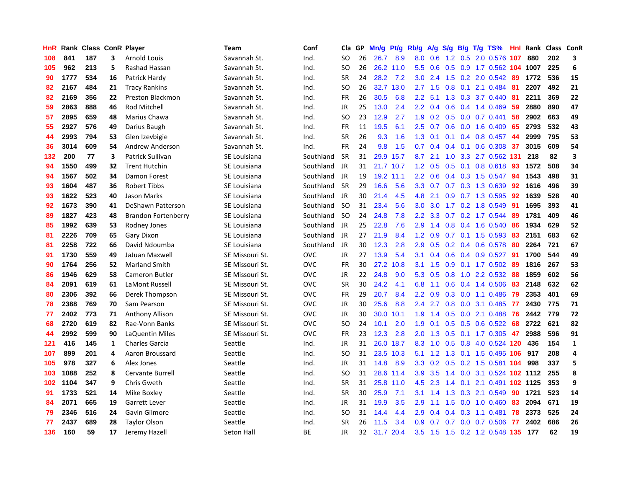| HnR | Rank |     |    | <b>Class ConR Player</b>   | Team                | Conf       | Cla.          | <b>GP</b> | Mn/g      | Pt/g | Rb/g             | A/g       | S/g              |     | B/g T/g TS%                    | Hnl | Rank | Class | <b>ConR</b>  |
|-----|------|-----|----|----------------------------|---------------------|------------|---------------|-----------|-----------|------|------------------|-----------|------------------|-----|--------------------------------|-----|------|-------|--------------|
| 108 | 841  | 187 | 3  | <b>Arnold Louis</b>        | Savannah St.        | Ind.       | SO.           | 26        | 26.7      | 8.9  |                  | 8.0 0.6   |                  |     | 1.2 0.5 2.0 0.576 107          |     | 880  | 202   | 3            |
| 105 | 962  | 213 | 5  | Rashad Hassan              | Savannah St.        | Ind.       | SO            | 26        | 26.2      | 11.0 | 5.5              |           |                  |     | 0.6 0.5 0.9 1.7 0.562 104 1007 |     |      | 225   | 6            |
| 90  | 1777 | 534 | 16 | Patrick Hardy              | Savannah St.        | Ind.       | <b>SR</b>     | 24        | 28.2      | 7.2  | 3.0 <sub>2</sub> | 2.4       |                  |     | 1.5 0.2 2.0 0.542 89           |     | 1772 | 536   | 15           |
| 82  | 2167 | 484 | 21 | <b>Tracy Rankins</b>       | Savannah St.        | Ind.       | <sub>SO</sub> | 26        | 32.7      | 13.0 |                  | $2.7$ 1.5 | 0.8              | 0.1 | 2.1 0.484                      | -81 | 2207 | 492   | 21           |
| 82  | 2169 | 356 | 22 | Preston Blackmon           | Savannah St.        | Ind.       | <b>FR</b>     | 26        | 30.5      | 6.8  | 2.2              | 5.1       | 1.3              |     | $0.3$ 3.7 $0.440$              | -81 | 2211 | 369   | 22           |
| 59  | 2863 | 888 | 46 | Rod Mitchell               | Savannah St.        | Ind.       | JR            | 25        | 13.0      | 2.4  | 2.2              | 0.4       |                  |     | $0.6$ 0.4 1.4 0.469            | -59 | 2880 | 890   | 47           |
| 57  | 2895 | 659 | 48 | Marius Chawa               | Savannah St.        | Ind.       | <b>SO</b>     | 23        | 12.9      | 2.7  | 1.9              | 0.2       |                  |     | $0.5$ 0.0 0.7 0.441            | -58 | 2902 | 663   | 49           |
| 55  | 2927 | 576 | 49 | Darius Baugh               | Savannah St.        | Ind.       | <b>FR</b>     | 11        | 19.5      | 6.1  | $2.5^{\circ}$    | 0.7       | 0.6              |     | 0.0 1.6 0.409                  | 65  | 2793 | 532   | 43           |
| 44  | 2993 | 794 | 53 | Glen Izevbigie             | Savannah St.        | Ind.       | <b>SR</b>     | 26        | 9.3       | 1.6  | 1.3              | 0.1       | 0.1              |     | 0.4 0.8 0.457                  | 44  | 2999 | 795   | 53           |
| 36  | 3014 | 609 | 54 | Andrew Anderson            | Savannah St.        | Ind.       | <b>FR</b>     | 24        | 9.8       | 1.5  | 0.7              | 0.4       |                  |     | $0.4$ 0.1 0.6 0.308 37         |     | 3015 | 609   | 54           |
| 132 | 200  | 77  | 3  | Patrick Sullivan           | SE Louisiana        | Southland  | <b>SR</b>     | 31        | 29.9      | 15.7 | 8.7              | 2.1       |                  |     | 1.0 3.3 2.7 0.562 131          |     | 218  | 82    | 3            |
| 94  | 1550 | 499 | 32 | <b>Trent Hutchin</b>       | SE Louisiana        | Southland  | JR            | 31        | 21.7 10.7 |      | 1.2 <sub>1</sub> | 0.5       |                  |     | 0.5 0.1 0.8 0.618 93           |     | 1572 | 508   | 34           |
| 94  | 1567 | 502 | 34 | Damon Forest               | SE Louisiana        | Southland  | JR            | 19        | 19.2      | 11.1 | 2.2              | 0.6       |                  |     | $0.4$ 0.3 1.5 0.547            | -94 | 1543 | 498   | 31           |
| 93  | 1604 | 487 | 36 | <b>Robert Tibbs</b>        | SE Louisiana        | Southland  | -SR           | 29        | 16.6      | 5.6  | 3.3 <sub>2</sub> | 0.7       |                  |     | 0.7 0.3 1.3 0.639              | 92  | 1616 | 496   | 39           |
| 93  | 1622 | 523 | 40 | Jason Marks                | <b>SE Louisiana</b> | Southland  | JR            | 30        | 21.4      | 4.5  | 4.8              | 2.1       | 0.9 <sub>0</sub> |     | $0.7$ 1.3 $0.595$              | 92  | 1639 | 528   | 40           |
| 92  | 1673 | 390 | 41 | DeShawn Patterson          | SE Louisiana        | Southland  | SO.           | 31        | 23.4      | 5.6  | 3.0 <sub>2</sub> | 3.0       |                  |     | 1.7 0.2 1.8 0.549              | -91 | 1695 | 393   | 41           |
| 89  | 1827 | 423 | 48 | <b>Brandon Fortenberry</b> | SE Louisiana        | Southland  | -SO           | 24        | 24.8      | 7.8  | 2.2              | 3.3       |                  |     | $0.7$ $0.2$ 1.7 $0.544$        | -89 | 1781 | 409   | 46           |
| 85  | 1992 | 639 | 53 | Rodney Jones               | SE Louisiana        | Southland  | JR            | 25        | 22.8      | 7.6  | 2.9              | 1.4       |                  |     | $0.8$ 0.4 1.6 0.540            | -86 | 1934 | 629   | 52           |
| 81  | 2226 | 709 | 65 | Gary Dixon                 | SE Louisiana        | Southland  | JR            | 27        | 21.9      | 8.4  | 1.2 <sub>1</sub> | 0.9       |                  |     | 0.7 0.1 1.5 0.593 83           |     | 2151 | 683   | 62           |
| 81  | 2258 | 722 | 66 | David Ndoumba              | SE Louisiana        | Southland  | JR            | 30        | 12.3      | 2.8  | 2.9              | 0.5       |                  |     | $0.2$ 0.4 0.6 0.578            | -80 | 2264 | 721   | 67           |
| 91  | 1730 | 559 | 49 | JaJuan Maxwell             | SE Missouri St.     | OVC        | <b>JR</b>     | 27        | 13.9      | 5.4  | 3.1              | 0.4       | 0.6              |     | $0.4$ 0.9 0.527                | -91 | 1700 | 544   | 49           |
| 90  | 1764 | 256 | 52 | <b>Marland Smith</b>       | SE Missouri St.     | <b>OVC</b> | <b>FR</b>     | 30        | 27.2      | 10.8 | 3.1              | 1.5       | 0.9 <sup>°</sup> |     | 0.1 1.7 0.502 89               |     | 1816 | 267   | 53           |
| 86  | 1946 | 629 | 58 | <b>Cameron Butler</b>      | SE Missouri St.     | <b>OVC</b> | JR            | 22        | 24.8      | 9.0  | 5.3              | 0.5       | 0.8              |     | 1.0 2.2 0.532 88               |     | 1859 | 602   | 56           |
| 84  | 2091 | 619 | 61 | LaMont Russell             | SE Missouri St.     | <b>OVC</b> | <b>SR</b>     | 30        | 24.2      | 4.1  | 6.8              | 1.1       | 0.6              |     | 0.4 1.4 0.506                  | -83 | 2148 | 632   | 62           |
| 80  | 2306 | 392 | 66 | Derek Thompson             | SE Missouri St.     | <b>OVC</b> | <b>FR</b>     | 29        | 20.7      | 8.4  | $2.2^{\circ}$    | 0.9       | 0.3              |     | $0.0$ 1.1 $0.486$              | -79 | 2353 | 401   | 69           |
| 78  | 2388 | 769 | 70 | Sam Pearson                | SE Missouri St.     | <b>OVC</b> | JR            | 30        | 25.6      | 8.8  | $2.4^{\circ}$    | 2.7       |                  |     | 0.8 0.0 3.1 0.485 77           |     | 2430 | 775   | 71           |
| 77  | 2402 | 773 | 71 | Anthony Allison            | SE Missouri St.     | <b>OVC</b> | <b>JR</b>     | 30        | 30.0      | 10.1 | 1.9              |           |                  |     | 1.4 0.5 0.0 2.1 0.488 76       |     | 2442 | 779   | 72           |
| 68  | 2720 | 619 | 82 | Rae-Vonn Banks             | SE Missouri St.     | <b>OVC</b> | <sub>SO</sub> | 24        | 10.1      | 2.0  | 1.9              | 0.1       |                  |     | 0.5 0.5 0.6 0.522 68           |     | 2722 | 621   | 82           |
| 44  | 2992 | 599 | 90 | LaQuentin Miles            | SE Missouri St.     | OVC        | <b>FR</b>     | 23        | 12.3      | 2.8  | 2.0              | 1.3       |                  |     | 0.5 0.1 1.7 0.305 47           |     | 2988 | 596   | 91           |
| 121 | 416  | 145 | 1  | <b>Charles Garcia</b>      | Seattle             | Ind.       | <b>JR</b>     | 31        | 26.0      | 18.7 | 8.3              | 1.0       | 0.5              |     | 0.8 4.0 0.524 120              |     | 436  | 154   | $\mathbf{1}$ |
| 107 | 899  | 201 | 4  | Aaron Broussard            | Seattle             | Ind.       | SO.           | 31        | 23.5      | 10.3 | 5.1              | 1.2       | 1.3              |     | 0.1 1.5 0.495 106              |     | 917  | 208   | 4            |
| 105 | 978  | 327 | 6  | Alex Jones                 | Seattle             | Ind.       | <b>JR</b>     | 31        | 14.8      | 8.9  | 3.3 <sub>2</sub> | 0.2       | 0.5              |     | 0.2 1.5 0.581 104              |     | 998  | 337   | 5            |
| 103 | 1088 | 252 | 8  | Cervante Burrell           | Seattle             | Ind.       | <b>SO</b>     | 31        | 28.6      | 11.4 | 3.9              | 3.5       |                  |     | 1.4 0.0 3.1 0.524 102 1112     |     |      | 255   | 8            |
| 102 | 1104 | 347 | 9  | Chris Gweth                | Seattle             | Ind.       | <b>SR</b>     | 31        | 25.8      | 11.0 | 4.5              | 2.3       | $1.4^{\circ}$    | 0.1 | 2.1 0.491 102 1125             |     |      | 353   | 9            |
| 91  | 1733 | 521 | 14 | Mike Boxley                | Seattle             | Ind.       | <b>SR</b>     | 30        | 25.9      | 7.1  | 3.1              | 1.4       |                  |     | 1.3 0.3 2.1 0.549              | 90  | 1721 | 523   | 14           |
| 84  | 2071 | 665 | 19 | <b>Garrett Lever</b>       | Seattle             | Ind.       | <b>JR</b>     | 31        | 19.9      | 3.5  | 2.9              | 1.1       |                  |     | 1.5 0.0 1.0 0.460              | -83 | 2094 | 671   | 19           |
| 79  | 2346 | 516 | 24 | Gavin Gilmore              | Seattle             | Ind.       | <sub>SO</sub> | 31        | 14.4      | 4.4  | 2.9              | 0.4       |                  |     | $0.4$ 0.3 1.1 0.481            | 78  | 2373 | 525   | 24           |
| 77  | 2437 | 689 | 28 | <b>Taylor Olson</b>        | Seattle             | Ind.       | <b>SR</b>     | 26        | 11.5      | 3.4  | 0.9 <sub>0</sub> | 0.7       |                  |     | 0.7 0.0 0.7 0.506              | 77  | 2402 | 686   | 26           |
| 136 | 160  | 59  | 17 | Jeremy Hazell              | Seton Hall          | <b>BE</b>  | JR            | 32        | 31.7 20.4 |      |                  |           |                  |     | 3.5 1.5 1.5 0.2 1.2 0.548 135  |     | 177  | 62    | 19           |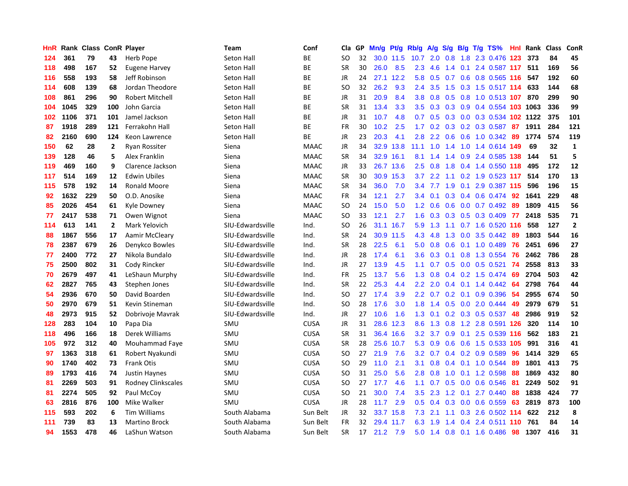| HnR | Rank | <b>Class ConR Player</b> |              |                           | <b>Team</b>      | Conf        | Cla           | GP. | Mn/g | Pt/g      | Rb/g          | A/g             |               |     | S/g B/g T/g TS%           | <b>Hnl</b> | Rank | <b>Class</b> | ConR           |
|-----|------|--------------------------|--------------|---------------------------|------------------|-------------|---------------|-----|------|-----------|---------------|-----------------|---------------|-----|---------------------------|------------|------|--------------|----------------|
| 124 | 361  | 79                       | 43           | Herb Pope                 | Seton Hall       | <b>BE</b>   | SO            | 32  |      | 30.0 11.5 | 10.7          |                 |               |     | 2.0 0.8 1.8 2.3 0.476 123 |            | 373  | 84           | 45             |
| 118 | 498  | 167                      | 52           | <b>Eugene Harvey</b>      | Seton Hall       | <b>BE</b>   | <b>SR</b>     | 30  | 26.0 | 8.5       | 2.3           | 4.6             |               |     | 1.4 0.1 2.4 0.587 117 511 |            |      | 169          | 56             |
| 116 | 558  | 193                      | 58           | Jeff Robinson             | Seton Hall       | <b>BE</b>   | JR            | 24  | 27.1 | 12.2      | 5.8           | 0.5             |               |     | 0.7 0.6 0.8 0.565 116 547 |            |      | 192          | 60             |
| 114 | 608  | 139                      | 68           | Jordan Theodore           | Seton Hall       | <b>BE</b>   | <sub>SO</sub> | 32  | 26.2 | 9.3       | 2.4           | 3.5             | $1.5^{\circ}$ |     | 0.3 1.5 0.517 114         |            | 633  | 144          | 68             |
| 108 | 861  | 296                      | 90           | <b>Robert Mitchell</b>    | Seton Hall       | ВE          | JR            | 31  | 20.9 | 8.4       | 3.8           | 0.8             | 0.5           |     | 0.8 1.0 0.513 107         |            | 870  | 299          | 90             |
| 104 | 1045 | 329                      | 100          | John Garcia               | Seton Hall       | <b>BE</b>   | <b>SR</b>     | 31  | 13.4 | 3.3       | 3.5           | 0.3             | 0.3           |     | 0.9 0.4 0.554 103 1063    |            |      | 336          | 99             |
| 102 | 1106 | 371                      | 101          | Jamel Jackson             | Seton Hall       | ВE          | JR            | 31  | 10.7 | 4.8       | 0.7           | 0.5             | 0.3           |     | 0.0 0.3 0.534 102 1122    |            |      | 375          | 101            |
| 87  | 1918 | 289                      | 121          | Ferrakohn Hall            | Seton Hall       | <b>BE</b>   | FR            | 30  | 10.2 | 2.5       | $1.7^{\circ}$ | 0.2             | 0.3           |     | 0.2 0.3 0.587             | 87         | 1911 | 284          | 121            |
| 82  | 2160 | 690                      | 124          | Keon Lawrence             | Seton Hall       | <b>BE</b>   | JR            | 23  | 20.3 | 4.1       | 2.8           | 2.2             | 0.6           |     | 0.6 1.0 0.342 89          |            | 1774 | 574          | 119            |
| 150 | 62   | 28                       | $\mathbf{2}$ | <b>Ryan Rossiter</b>      | Siena            | <b>MAAC</b> | <b>JR</b>     | 34  |      | 32.9 13.8 | 11.1          | 1.0             |               |     | 1.4 1.0 1.4 0.614 149     |            | 69   | 32           | $\mathbf{1}$   |
| 139 | 128  | 46                       | 5            | <b>Alex Franklin</b>      | Siena            | <b>MAAC</b> | <b>SR</b>     | 34  |      | 32.9 16.1 | 8.1           | 1.4             |               |     | 1.4 0.9 2.4 0.585 138     |            | 144  | 51           | 5              |
| 119 | 469  | 160                      | 9            | Clarence Jackson          | Siena            | <b>MAAC</b> | <b>JR</b>     | 33  |      | 26.7 13.6 | 2.5           | 0.8             | 1.8           |     | 0.4 1.4 0.550 118         |            | 495  | 172          | 12             |
| 117 | 514  | 169                      | 12           | <b>Edwin Ubiles</b>       | Siena            | <b>MAAC</b> | <b>SR</b>     | 30  | 30.9 | 15.3      | 3.7           | 2.2             | 1.1           |     | 0.2 1.9 0.523 117         |            | 514  | 170          | 13             |
| 115 | 578  | 192                      | 14           | <b>Ronald Moore</b>       | Siena            | <b>MAAC</b> | <b>SR</b>     | 34  | 36.0 | 7.0       | 3.4           | 7.7             | 1.9           | 0.1 | 2.9 0.387 115             |            | 596  | 196          | 15             |
| 92  | 1632 | 229                      | 50           | O.D. Anosike              | Siena            | <b>MAAC</b> | <b>FR</b>     | 34  | 12.1 | 2.7       | 3.4           | 0.1             | 0.3           |     | 0.4 0.6 0.474             | -92        | 1641 | 229          | 48             |
| 85  | 2026 | 454                      | 61           | Kyle Downey               | Siena            | <b>MAAC</b> | <b>SO</b>     | 24  | 15.0 | 5.0       | 1.2           | 0.6             | 0.6           |     | $0.0$ 0.7 0.492           | 89         | 1809 | 415          | 56             |
| 77  | 2417 | 538                      | 71           | Owen Wignot               | Siena            | <b>MAAC</b> | <sub>SO</sub> | 33  | 12.1 | 2.7       | 1.6           | 0.3             | 0.3           |     | $0.5$ 0.3 0.409           | 77         | 2418 | 535          | 71             |
| 114 | 613  | 141                      | $\mathbf{2}$ | Mark Yelovich             | SIU-Edwardsville | Ind.        | SO            | 26  |      | 31.1 16.7 | 5.9           | 1.3             |               |     | 1.1 0.7 1.6 0.520 116     |            | 558  | 127          | $\overline{2}$ |
| 88  | 1867 | 556                      | 17           | Aamir McCleary            | SIU-Edwardsville | Ind.        | <b>SR</b>     | 24  | 30.9 | 11.5      | 4.3           | 4.8             |               |     | 1.3 0.0 3.5 0.442 89      |            | 1803 | 544          | 16             |
| 78  | 2387 | 679                      | 26           | Denykco Bowles            | SIU-Edwardsville | Ind.        | <b>SR</b>     | 28  | 22.5 | 6.1       | 5.0           | 0.8             |               |     | $0.6$ 0.1 1.0 0.489       | -76        | 2451 | 696          | 27             |
| 77  | 2400 | 772                      | 27           | Nikola Bundalo            | SIU-Edwardsville | Ind.        | <b>JR</b>     | 28  | 17.4 | 6.1       | 3.6           | 0.3             | 0.1           |     | 0.8 1.3 0.554             | 76         | 2462 | 786          | 28             |
| 75  | 2500 | 802                      | 31           | Cody Rincker              | SIU-Edwardsville | Ind.        | JR            | 27  | 13.9 | 4.5       | 1.1           | 0.7             |               |     | $0.5$ 0.0 0.5 0.521       | 74         | 2558 | 813          | 33             |
| 70  | 2679 | 497                      | 41           | LeShaun Murphy            | SIU-Edwardsville | Ind.        | FR            | 25  | 13.7 | 5.6       | 1.3           | 0.8             |               |     | 0.4 0.2 1.5 0.474         | 69         | 2704 | 503          | 42             |
| 62  | 2827 | 765                      | 43           | Stephen Jones             | SIU-Edwardsville | Ind.        | <b>SR</b>     | 22  | 25.3 | 4.4       | 2.2           | 2.0             |               |     | $0.4$ 0.1 1.4 0.442       | 64         | 2798 | 764          | 44             |
| 54  | 2936 | 670                      | 50           | David Boarden             | SIU-Edwardsville | Ind.        | SO            | 27  | 17.4 | 3.9       | 2.2           | 0.7             | 0.2           | 0.1 | 0.9 0.396                 | 54         | 2955 | 674          | 50             |
| 50  | 2970 | 679                      | 51           | Kevin Stineman            | SIU-Edwardsville | Ind.        | SO            | 28  | 17.6 | 3.0       | 1.8           | 1.4             |               |     | $0.5$ 0.0 2.0 0.444       | -49        | 2979 | 679          | 51             |
| 48  | 2973 | 915                      | 52           | Dobrivoje Mavrak          | SIU-Edwardsville | Ind.        | <b>JR</b>     | 27  | 10.6 | 1.6       |               | $1.3 \quad 0.1$ |               |     | 0.2 0.3 0.5 0.537 48      |            | 2986 | 919          | 52             |
| 128 | 283  | 104                      | 10           | Papa Dia                  | SMU              | <b>CUSA</b> | JR            | 31  | 28.6 | 12.3      | 8.6           | 1.3             |               |     | 0.8 1.2 2.8 0.591 126     |            | 320  | 114          | 10             |
| 118 | 496  | 166                      | 18           | Derek Williams            | SMU              | <b>CUSA</b> | <b>SR</b>     | 31  | 36.4 | 16.6      | 3.2           | 3.7             |               |     | $0.9$ 0.1 2.5 0.539 116   |            | 562  | 183          | 21             |
| 105 | 972  | 312                      | 40           | Mouhammad Faye            | SMU              | <b>CUSA</b> | <b>SR</b>     | 28  | 25.6 | 10.7      | 5.3           | 0.9             | 0.6           |     | 0.6 1.5 0.533 105         |            | 991  | 316          | 41             |
| 97  | 1363 | 318                      | 61           | Robert Nyakundi           | SMU              | <b>CUSA</b> | SO            | 27  | 21.9 | 7.6       | 3.2           | 0.7             |               |     | $0.4$ 0.2 0.9 0.589       | 96         | 1414 | 329          | 65             |
| 90  | 1740 | 402                      | 73           | <b>Frank Otis</b>         | SMU              | <b>CUSA</b> | SO            | 29  | 11.0 | 2.1       | 3.1           | 0.8             | 0.4           |     | $0.1$ 1.0 $0.544$         | 89         | 1801 | 413          | 75             |
| 89  | 1793 | 416                      | 74           | <b>Justin Haynes</b>      | SMU              | <b>CUSA</b> | SO            | 31  | 25.0 | 5.6       | 2.8           | 0.8             | 1.0           |     | $0.1$ 1.2 0.598           | -88        | 1869 | 432          | 80             |
| 81  | 2269 | 503                      | 91           | <b>Rodney Clinkscales</b> | SMU              | <b>CUSA</b> | <sub>SO</sub> | 27  | 17.7 | 4.6       | 1.1           | 0.7             | 0.5           |     | $0.0$ 0.6 0.546           | -81        | 2249 | 502          | 91             |
| 81  | 2274 | 505                      | 92           | Paul McCoy                | SMU              | <b>CUSA</b> | SO            | 21  | 30.0 | 7.4       | 3.5           | 2.3             |               |     | 1.2 0.1 2.7 0.440         | 88         | 1838 | 424          | 77             |
| 63  | 2816 | 876                      | 100          | Mike Walker               | SMU              | <b>CUSA</b> | <b>JR</b>     | 28  | 11.7 | 2.9       | 0.5           | 0.4             |               |     | 0.3 0.0 0.6 0.559         | 63         | 2819 | 873          | 100            |
| 115 | 593  | 202                      | 6            | <b>Tim Williams</b>       | South Alabama    | Sun Belt    | JR            | 32  | 33.7 | 15.8      | 7.3           | 2.1             |               |     | 1.1 0.3 2.6 0.502 114     |            | 622  | 212          | 8              |
| 111 | 739  | 83                       | 13           | <b>Martino Brock</b>      | South Alabama    | Sun Belt    | <b>FR</b>     | 32  | 29.4 | 11.7      | 6.3           | 1.9             | 1.4           | 0.4 | 2.4 0.511 110             |            | 761  | 84           | 14             |
| 94  | 1553 | 478                      | 46           | LaShun Watson             | South Alabama    | Sun Belt    | SR            | 17  | 21.2 | 7.9       | 5.0           |                 |               |     | 1.4 0.8 0.1 1.6 0.486     | 98         | 1307 | 416          | 31             |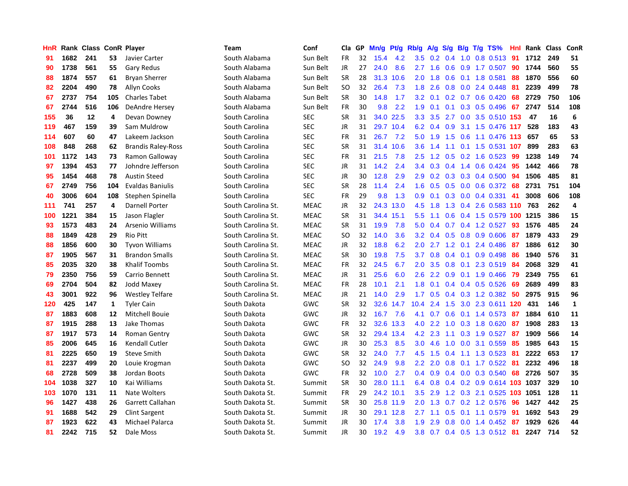| HnR |      | Rank Class ConR Player |     |                           | <b>Team</b>        | Conf        | Cla       | GP | Mn/g | <b>Pt/g</b> | Rb/g             | A/g         |               |  | $S/g$ B/g T/g TS%            | Hnl | Rank Class |     | <b>ConR</b>    |
|-----|------|------------------------|-----|---------------------------|--------------------|-------------|-----------|----|------|-------------|------------------|-------------|---------------|--|------------------------------|-----|------------|-----|----------------|
| 91  | 1682 | 241                    | 53  | Javier Carter             | South Alabama      | Sun Belt    | FR        | 32 | 15.4 | 4.2         | 3.5              | 0.2         | $0.4^{\circ}$ |  | 1.0 0.8 0.513                | -91 | 1712       | 249 | 51             |
| 90  | 1738 | 561                    | 55  | Gary Redus                | South Alabama      | Sun Belt    | JR.       | 27 | 24.0 | 8.6         |                  |             |               |  | 2.7 1.6 0.6 0.9 1.7 0.507 90 |     | 1744       | 560 | 55             |
| 88  | 1874 | 557                    | 61  | <b>Bryan Sherrer</b>      | South Alabama      | Sun Belt    | <b>SR</b> | 28 |      | 31.3 10.6   | 2.0              | 1.8         |               |  | $0.6$ 0.1 1.8 0.581          | -88 | 1870       | 556 | 60             |
| 82  | 2204 | 490                    | 78  | Allyn Cooks               | South Alabama      | Sun Belt    | SO        | 32 | 26.4 | 7.3         | 1.8              | 2.6         |               |  | $0.8$ 0.0 2.4 0.448          | -81 | 2239       | 499 | 78             |
| 67  | 2737 | 754                    | 105 | <b>Charles Tabet</b>      | South Alabama      | Sun Belt    | <b>SR</b> | 30 | 14.8 | 1.7         | 3.2              | 0.1         |               |  | 0.2 0.7 0.6 0.420            | 68  | 2729       | 750 | 106            |
| 67  | 2744 | 516                    | 106 | <b>DeAndre Hersey</b>     | South Alabama      | Sun Belt    | <b>FR</b> | 30 | 9.8  | 2.2         | 1.9              | 0.1         |               |  | $0.1$ $0.3$ $0.5$ $0.496$    | 67  | 2747       | 514 | 108            |
| 155 | 36   | $12 \,$                | 4   | Devan Downey              | South Carolina     | <b>SEC</b>  | <b>SR</b> | 31 |      | 34.0 22.5   | 3.3 <sub>2</sub> | 3.5         |               |  | 2.7 0.0 3.5 0.510 153        |     | 47         | 16  | 6              |
| 119 | 467  | 159                    | 39  | Sam Muldrow               | South Carolina     | <b>SEC</b>  | JR        | 31 | 29.7 | 10.4        | 6.2              | 0.4         | 0.9           |  | 3.1 1.5 0.476 117            |     | 528        | 183 | 43             |
| 114 | 607  | 60                     | 47  | Lakeem Jackson            | South Carolina     | <b>SEC</b>  | <b>FR</b> | 31 | 26.7 | 7.2         | 5.0              | 1.9         | 1.5           |  | 0.6 1.1 0.476 113            |     | 657        | 65  | 53             |
| 108 | 848  | 268                    | 62  | <b>Brandis Raley-Ross</b> | South Carolina     | <b>SEC</b>  | <b>SR</b> | 31 | 31.4 | 10.6        | 3.6              | 1.4         |               |  | 1.1 0.1 1.5 0.531 107        |     | 899        | 283 | 63             |
| 101 | 1172 | 143                    | 73  | Ramon Galloway            | South Carolina     | <b>SEC</b>  | <b>FR</b> | 31 | 21.5 | 7.8         | $2.5^{\circ}$    |             |               |  | 1.2 0.5 0.2 1.6 0.523 99     |     | 1238       | 149 | 74             |
| 97  | 1394 | 453                    | 77  | Johndre Jefferson         | South Carolina     | <b>SEC</b>  | JR        | 31 | 14.2 | 2.4         | $3.4^{\circ}$    | 0.3         |               |  | 0.4 1.4 0.6 0.424 95         |     | 1442       | 466 | 78             |
| 95  | 1454 | 468                    | 78  | <b>Austin Steed</b>       | South Carolina     | <b>SEC</b>  | <b>JR</b> | 30 | 12.8 | 2.9         | 2.9              | 0.2         |               |  | 0.3 0.3 0.4 0.500 94         |     | 1506       | 485 | 81             |
| 67  | 2749 | 756                    | 104 | <b>Evaldas Baniulis</b>   | South Carolina     | <b>SEC</b>  | <b>SR</b> | 28 | 11.4 | 2.4         | 1.6              | 0.5         | 0.5           |  | 0.0 0.6 0.372 68             |     | 2731       | 751 | 104            |
| 40  | 3006 | 604                    | 108 | Stephen Spinella          | South Carolina     | <b>SEC</b>  | FR        | 29 | 9.8  | 1.3         | 0.9              | 0.1         |               |  | $0.3$ 0.0 0.4 0.331          | 41  | 3008       | 606 | 108            |
| 111 | 741  | 257                    | 4   | <b>Darnell Porter</b>     | South Carolina St. | <b>MEAC</b> | JR        | 32 | 24.3 | 13.0        | 4.5              | 1.8         | 1.3           |  | 0.4 2.6 0.583 110 763        |     |            | 262 | $\overline{4}$ |
| 100 | 1221 | 384                    | 15  | Jason Flagler             | South Carolina St. | <b>MEAC</b> | <b>SR</b> | 31 | 34.4 | 15.1        | 5.5              | 1.1         | 0.6           |  | 0.4 1.5 0.579 100 1215       |     |            | 386 | 15             |
| 93  | 1573 | 483                    | 24  | Arsenio Williams          | South Carolina St. | <b>MEAC</b> | <b>SR</b> | 31 | 19.9 | 7.8         | 5.0              | 0.4         | 0.7           |  | 0.4 1.2 0.527                | 93  | 1576       | 485 | 24             |
| 88  | 1849 | 428                    | 29  | <b>Rio Pitt</b>           | South Carolina St. | <b>MEAC</b> | <b>SO</b> | 32 | 14.0 | 3.6         | 3.2              | 0.4         |               |  | 0.5 0.8 0.9 0.606 87         |     | 1879       | 433 | 29             |
| 88  | 1856 | 600                    | 30  | <b>Tyvon Williams</b>     | South Carolina St. | <b>MEAC</b> | JR        | 32 | 18.8 | 6.2         | 2.0 <sub>2</sub> |             |               |  | 2.7 1.2 0.1 2.4 0.486 87     |     | 1886       | 612 | 30             |
| 87  | 1905 | 567                    | 31  | <b>Brandon Smalls</b>     | South Carolina St. | <b>MEAC</b> | <b>SR</b> | 30 | 19.8 | 7.5         | 3.7              | 0.8         |               |  | $0.4$ 0.1 0.9 0.498          | 86  | 1940       | 576 | 31             |
| 85  | 2035 | 320                    | 38  | <b>Khalif Toombs</b>      | South Carolina St. | MEAC        | <b>FR</b> | 32 | 24.5 | 6.7         | 2.0              | 3.5         | 0.8           |  | 0.1 2.3 0.519                | -84 | 2068       | 329 | 41             |
| 79  | 2350 | 756                    | 59  | Carrio Bennett            | South Carolina St. | <b>MEAC</b> | JR        | 31 | 25.6 | 6.0         | 2.6              | 2.2         | 0.9           |  | 0.1 1.9 0.466                | 79  | 2349       | 755 | 61             |
| 69  | 2704 | 504                    | 82  | <b>Jodd Maxey</b>         | South Carolina St. | <b>MEAC</b> | <b>FR</b> | 28 | 10.1 | 2.1         | 1.8              | 0.1         |               |  | 0.4 0.4 0.5 0.526            | 69  | 2689       | 499 | 83             |
| 43  | 3001 | 922                    | 96  | <b>Westley Telfare</b>    | South Carolina St. | <b>MEAC</b> | JR        | 21 | 14.0 | 2.9         | 1.7              | 0.5         |               |  | 0.4 0.3 1.2 0.382            | -50 | 2975       | 915 | 96             |
| 120 | 425  | 147                    | 1   | <b>Tyler Cain</b>         | South Dakota       | GWC         | <b>SR</b> | 32 | 32.6 | 14.7        | 10.4             | 2.4         | 1.5           |  | 3.0 2.3 0.611 120            |     | 431        | 146 | $\mathbf{1}$   |
| 87  | 1883 | 608                    | 12  | Mitchell Bouie            | South Dakota       | <b>GWC</b>  | JR        | 32 | 16.7 | 7.6         | 4.1              | 0.7         |               |  | 0.6 0.1 1.4 0.573 87         |     | 1884       | 610 | 11             |
| 87  | 1915 | 288                    | 13  | Jake Thomas               | South Dakota       | GWC         | <b>FR</b> | 32 |      | 32.6 13.3   |                  | $4.0$ 2.2   |               |  | 1.0 0.3 1.8 0.620 87         |     | 1908       | 283 | 13             |
| 87  | 1917 | 573                    | 14  | Roman Gentry              | South Dakota       | <b>GWC</b>  | <b>SR</b> | 32 | 29.4 | 13.4        | 4.2              | 2.3         |               |  | 1.1 0.3 1.9 0.527 87         |     | 1909       | 566 | 14             |
| 85  | 2006 | 645                    | 16  | Kendall Cutler            | South Dakota       | GWC         | JR        | 30 | 25.3 | 8.5         | 3.0 <sub>2</sub> | 4.6         | 1.0           |  | $0.0$ 3.1 $0.559$            | -85 | 1985       | 643 | 15             |
| 81  | 2225 | 650                    | 19  | <b>Steve Smith</b>        | South Dakota       | GWC         | <b>SR</b> | 32 | 24.0 | 7.7         | 4.5              | 1.5         | $0.4^{\circ}$ |  | 1.1 1.3 0.523 81             |     | 2222       | 653 | 17             |
| 81  | 2237 | 499                    | 20  | Louie Krogman             | South Dakota       | GWC         | SO        | 32 | 24.9 | 9.8         | 2.2              | 2.0         | 0.8           |  | 0.1 1.7 0.522 81             |     | 2232       | 496 | 18             |
| 68  | 2728 | 509                    | 38  | Jordan Boots              | South Dakota       | GWC         | <b>FR</b> | 32 | 10.0 | 2.7         | 0.4              | 0.9         |               |  | 0.4 0.0 0.3 0.540            | 68  | 2726       | 507 | 35             |
| 104 | 1038 | 327                    | 10  | Kai Williams              | South Dakota St.   | Summit      | <b>SR</b> | 30 | 28.0 | 11.1        | 6.4              | 0.8         |               |  | 0.4 0.2 0.9 0.614 103 1037   |     |            | 329 | 10             |
| 103 | 1070 | 131                    | 11  | Nate Wolters              | South Dakota St.   | Summit      | <b>FR</b> | 29 |      | 24.2 10.1   | $3.5^{\circ}$    | 2.9         |               |  | 1.2 0.3 2.1 0.525 103 1051   |     |            | 128 | 11             |
| 96  | 1427 | 438                    | 26  | Garrett Callahan          | South Dakota St.   | Summit      | <b>SR</b> | 30 |      | 25.8 11.9   |                  | $2.0 \t1.3$ |               |  | 0.7 0.2 1.2 0.576 96         |     | 1427       | 442 | 25             |
| 91  | 1688 | 542                    | 29  | <b>Clint Sargent</b>      | South Dakota St.   | Summit      | JR        | 30 |      | 29.1 12.8   | $2.7^{\circ}$    | 1.1         |               |  | 0.5 0.1 1.1 0.579 91         |     | 1692       | 543 | 29             |
| 87  | 1923 | 622                    | 43  | Michael Palarca           | South Dakota St.   | Summit      | JR        | 30 | 17.4 | 3.8         | 1.9              | 2.9         |               |  | 0.8 0.0 1.4 0.452 87         |     | 1929       | 626 | 44             |
| 81  | 2242 | 715                    | 52  | Dale Moss                 | South Dakota St.   | Summit      | <b>JR</b> | 30 | 19.2 | 4.9         | 3.8              |             |               |  | 0.7 0.4 0.5 1.3 0.512 81     |     | 2247       | 714 | 52             |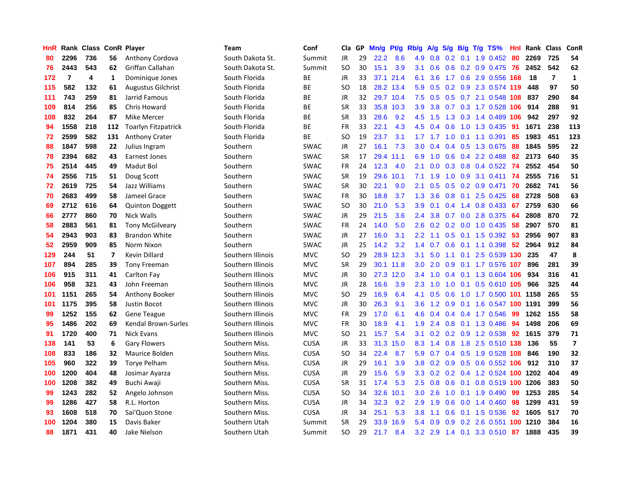| HnR |                | Rank Class ConR Player |                |                            | <b>Team</b>       | Conf        | Cla       | GP | Mn/g | <b>Pt/g</b> | Rb/g             | A/g       | S/g              |     | $B/g$ T/g TS%                 | Hnl |      | Rank Class              | ConR                    |
|-----|----------------|------------------------|----------------|----------------------------|-------------------|-------------|-----------|----|------|-------------|------------------|-----------|------------------|-----|-------------------------------|-----|------|-------------------------|-------------------------|
| 80  | 2296           | 736                    | 56             | Anthony Cordova            | South Dakota St.  | Summit      | <b>JR</b> | 29 | 22.2 | 8.6         | 4.9              | 0.8       | 0.2              | 0.1 | 1.9 0.452                     | -80 | 2269 | 725                     | 54                      |
| 76  | 2443           | 543                    | 62             | Griffan Callahan           | South Dakota St.  | Summit      | <b>SO</b> | 30 | 15.1 | 3.9         | 3.1              | 0.6       |                  |     | $0.6$ $0.2$ $0.9$ $0.475$ 76  |     | 2452 | 542                     | 62                      |
| 172 | $\overline{7}$ | 4                      | 1              | Dominique Jones            | South Florida     | ВE          | JR        | 33 |      | 37.1 21.4   | 6.1              | 3.6       |                  |     | 1.7 0.6 2.9 0.556 168         |     | 18   | $\overline{\mathbf{r}}$ | $\mathbf{1}$            |
| 115 | 582            | 132                    | 61             | <b>Augustus Gilchrist</b>  | South Florida     | ВE          | SO        | 18 |      | 28.2 13.4   | 5.9              | 0.5       |                  |     | $0.2$ $0.9$ $2.3$ $0.574$ 119 |     | 448  | 97                      | 50                      |
| 111 | 743            | 259                    | 81             | Jarrid Famous              | South Florida     | BE          | JR        | 32 |      | 29.7 10.4   | 7.5              | 0.5       |                  |     | $0.5$ 0.7 2.1 0.548 108       |     | 837  | 290                     | 84                      |
| 109 | 814            | 256                    | 85             | Chris Howard               | South Florida     | BE          | <b>SR</b> | 33 | 35.8 | 10.3        | 3.9              | 3.8       |                  |     | 0.7 0.3 1.7 0.528 106         |     | 914  | 288                     | 91                      |
| 108 | 832            | 264                    | 87             | Mike Mercer                | South Florida     | BE          | SR        | 33 | 28.6 | 9.2         | 4.5              | 1.5       |                  |     | 1.3 0.3 1.4 0.489 106         |     | 942  | 297                     | 92                      |
| 94  | 1558           | 218                    | 112            | <b>Toarlyn Fitzpatrick</b> | South Florida     | ВE          | FR        | 33 | 22.1 | 4.3         | 4.5              | 0.4       | 0.6              |     | 1.0 1.3 0.435                 | -91 | 1671 | 238                     | 113                     |
| 72  | 2599           | 582                    | 131            | <b>Anthony Crater</b>      | South Florida     | ВE          | SO        | 19 | 23.7 | 3.1         |                  | $1.7$ 1.7 | 1.0              |     | $0.1$ 1.1 0.391               | 85  | 1983 | 451                     | 123                     |
| 88  | 1847           | 598                    | 22             | Julius Ingram              | Southern          | <b>SWAC</b> | JR        | 27 | 16.1 | 7.3         | 3.0 <sub>2</sub> | 0.4       |                  |     | 0.4 0.5 1.3 0.675             | -88 | 1845 | 595                     | 22                      |
| 78  | 2394           | 682                    | 43             | Earnest Jones              | Southern          | <b>SWAC</b> | SR        | 17 | 29.4 | 11.1        | 6.9              |           |                  |     | 1.0 0.6 0.4 2.2 0.488 82      |     | 2173 | 640                     | 35                      |
| 75  | 2514           | 445                    | 49             | Madut Bol                  | Southern          | <b>SWAC</b> | <b>FR</b> | 24 | 12.3 | 4.0         | 2.1              | 0.0       |                  |     | 0.3 0.8 0.4 0.522 74          |     | 2552 | 454                     | 50                      |
| 74  | 2556           | 715                    | 51             | Doug Scott                 | Southern          | SWAC        | <b>SR</b> | 19 | 29.6 | 10.1        | 7.1              | 1.9       | 1.0              |     | 0.9 3.1 0.411                 | 74  | 2555 | 716                     | 51                      |
| 72  | 2619           | 725                    | 54             | Jazz Williams              | Southern          | SWAC        | <b>SR</b> | 30 | 22.1 | 9.0         | 2.1              | 0.5       | 0.5              |     | $0.2$ 0.9 0.471               | 70  | 2682 | 741                     | 56                      |
| 70  | 2683           | 499                    | 58             | Jameel Grace               | Southern          | SWAC        | <b>FR</b> | 30 | 18.8 | 3.7         | 1.3              | 3.6       |                  |     | 0.8 0.1 2.5 0.425             | 68  | 2728 | 508                     | 63                      |
| 69  | 2712           | 616                    | 64             | <b>Quinton Doggett</b>     | Southern          | <b>SWAC</b> | SO.       | 30 | 21.0 | 5.3         | 3.9 <sup>°</sup> | 0.1       | 0.4              |     | 1.4 0.8 0.433                 | 67  | 2759 | 630                     | 66                      |
| 66  | 2777           | 860                    | 70             | Nick Walls                 | Southern          | <b>SWAC</b> | JR        | 29 | 21.5 | 3.6         | $2.4^{\circ}$    | 3.8       |                  |     | $0.7$ $0.0$ 2.8 $0.375$       | -64 | 2808 | 870                     | 72                      |
| 58  | 2883           | 561                    | 81             | <b>Tony McGilveary</b>     | Southern          | <b>SWAC</b> | <b>FR</b> | 24 | 14.0 | 5.0         | 2.6              | 0.2       | 0.2              |     | $0.0$ 1.0 0.435               | 58  | 2907 | 570                     | 81                      |
| 54  | 2943           | 903                    | 83             | <b>Brandon White</b>       | Southern          | <b>SWAC</b> | JR        | 27 | 16.0 | 3.1         | $2.2^{\circ}$    | 1.1       |                  |     | $0.5$ 0.1 1.5 0.392 53        |     | 2956 | 907                     | 83                      |
| 52  | 2959           | 909                    | 85             | Norm Nixon                 | Southern          | <b>SWAC</b> | JR        | 25 | 14.2 | 3.2         | $1.4^{\circ}$    | 0.7       |                  |     | 0.6 0.1 1.1 0.398 52          |     | 2964 | 912                     | 84                      |
| 129 | 244            | 51                     | $\overline{7}$ | Kevin Dillard              | Southern Illinois | <b>MVC</b>  | SO.       | 29 |      | 28.9 12.3   | 3.1              | 5.0       |                  |     | 1.1 0.1 2.5 0.539 130 235     |     |      | 47                      | 8                       |
| 107 | 894            | 285                    | 39             | <b>Tony Freeman</b>        | Southern Illinois | <b>MVC</b>  | <b>SR</b> | 29 | 30.1 | 11.8        | 3.0 <sub>2</sub> | 2.0       | 0.9              |     | 0.1 1.7 0.576 107             |     | 896  | 281                     | 39                      |
| 106 | 915            | 311                    | 41             | Carlton Fay                | Southern Illinois | <b>MVC</b>  | JR        | 30 | 27.3 | 12.0        | $3.4^{\circ}$    | 1.0       |                  |     | 0.4 0.1 1.3 0.604 106         |     | 934  | 316                     | 41                      |
| 106 | 958            | 321                    | 43             | John Freeman               | Southern Illinois | <b>MVC</b>  | JR        | 28 | 16.6 | 3.9         | 2.3              | 1.0       | 1.0              |     | 0.1 0.5 0.610 105             |     | 966  | 325                     | 44                      |
| 101 | 1151           | 265                    | 54             | Anthony Booker             | Southern Illinois | <b>MVC</b>  | SO.       | 29 | 16.9 | 6.4         | 4.1              | 0.5       | 0.6              |     | 1.0 1.7 0.500 101 1158        |     |      | 265                     | 55                      |
| 101 | 1175           | 395                    | 58             | Justin Bocot               | Southern Illinois | <b>MVC</b>  | JR        | 30 | 26.3 | 9.1         | 3.6              | 1.2       | 0.9 <sup>°</sup> |     | 0.1 1.6 0.547 100 1191        |     |      | 399                     | 56                      |
| 99  | 1252           | 155                    | 62             | <b>Gene Teague</b>         | Southern Illinois | <b>MVC</b>  | <b>FR</b> | 29 | 17.0 | 6.1         | 4.6              | 0.4       |                  |     | $0.4$ 0.4 1.7 0.546           | -99 | 1262 | 155                     | 58                      |
| 95  | 1486           | 202                    | 69             | Kendal Brown-Surles        | Southern Illinois | <b>MVC</b>  | <b>FR</b> | 30 | 18.9 | 4.1         | 1.9              | 2.4       |                  |     | 0.8 0.1 1.3 0.486 94          |     | 1498 | 206                     | 69                      |
| 91  | 1720           | 400                    | 71             | <b>Nick Evans</b>          | Southern Illinois | <b>MVC</b>  | SO.       | 21 | 15.7 | 5.4         | 3.1              | 0.2       |                  |     | 0.2 0.9 1.2 0.538 92          |     | 1615 | 379                     | 71                      |
| 138 | 141            | 53                     | 6              | <b>Gary Flowers</b>        | Southern Miss.    | <b>CUSA</b> | JR        | 33 | 31.3 | 15.0        | 8.3              | 1.4       |                  |     | 0.8 1.8 2.5 0.510 138 136     |     |      | 55                      | $\overline{\mathbf{z}}$ |
| 108 | 833            | 186                    | 32             | Maurice Bolden             | Southern Miss.    | <b>CUSA</b> | <b>SO</b> | 34 | 22.4 | 8.7         | 5.9              | 0.7       |                  |     | 0.4 0.5 1.9 0.528 108         |     | 846  | 190                     | 32                      |
| 105 | 960            | 322                    | 39             | Torye Pelham               | Southern Miss.    | <b>CUSA</b> | JR        | 29 | 16.1 | 3.9         | 3.8 <sub>2</sub> | 0.2       | 0.9              |     | 0.5 0.6 0.552 106             |     | 912  | 310                     | 37                      |
| 100 | 1200           | 404                    | 48             | Josimar Ayarza             | Southern Miss.    | <b>CUSA</b> | JR        | 29 | 15.6 | 5.9         | 3.3 <sub>2</sub> | 0.2       | 0.2              |     | 0.4 1.2 0.524 100 1202        |     |      | 404                     | 49                      |
| 100 | 1208           | 382                    | 49             | Buchi Awaji                | Southern Miss.    | <b>CUSA</b> | <b>SR</b> | 31 | 17.4 | 5.3         | 2.5              | 0.8       | 0.6              | 0.1 | 0.8 0.519 100 1206            |     |      | 383                     | 50                      |
| 99  | 1243           | 282                    | 52             | Angelo Johnson             | Southern Miss.    | <b>CUSA</b> | SO        | 34 | 32.6 | 10.1        | 3.0 <sub>2</sub> | 2.6       | 1.0              |     | $0.1$ 1.9 0.490               | -99 | 1253 | 285                     | 54                      |
| 99  | 1286           | 427                    | 58             | R.L. Horton                | Southern Miss.    | <b>CUSA</b> | JR        | 34 | 32.3 | 9.2         | 2.9              | 1.9       |                  |     | $0.6$ 0.0 1.4 0.460           | 98  | 1299 | 431                     | 59                      |
| 93  | 1608           | 518                    | 70             | Sai'Quon Stone             | Southern Miss.    | <b>CUSA</b> | JR        | 34 | 25.1 | 5.3         | 3.8 <sub>2</sub> | 1.1       |                  |     | 0.6 0.1 1.5 0.536             | 92  | 1605 | 517                     | 70                      |
| 100 | 1204           | 380                    | 15             | Davis Baker                | Southern Utah     | Summit      | <b>SR</b> | 29 | 33.9 | 16.9        | 5.4              | 0.9       |                  |     | 0.9 0.2 2.6 0.551 100 1210    |     |      | 384                     | 16                      |
| 88  | 1871           | 431                    | 40             | Jake Nielson               | Southern Utah     | Summit      | SO.       | 29 | 21.7 | 8.4         |                  |           |                  |     | 3.2 2.9 1.4 0.1 3.3 0.510     | 87  | 1888 | 435                     | 39                      |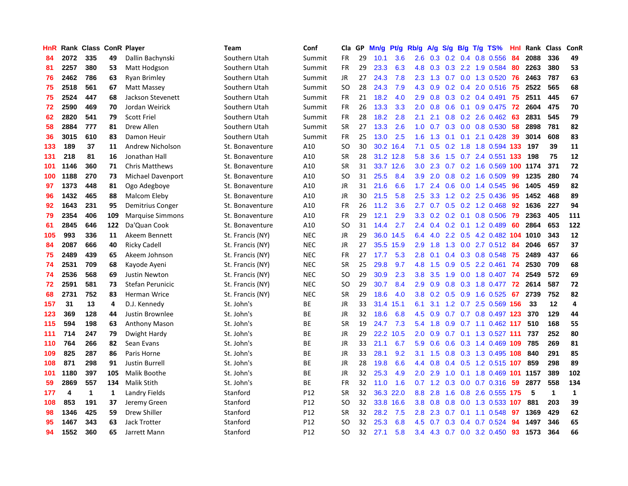| HnR |      | Rank Class ConR Player |     |                         | <b>Team</b>      | Conf       | Cla           | GP | Mn/g | Pt/g      | Rb/g             | A/g       | S/g |     | $B/g$ T/g TS%                  | Hnl | Rank | <b>Class</b> | ConR         |
|-----|------|------------------------|-----|-------------------------|------------------|------------|---------------|----|------|-----------|------------------|-----------|-----|-----|--------------------------------|-----|------|--------------|--------------|
| 84  | 2072 | 335                    | 49  | Dallin Bachynski        | Southern Utah    | Summit     | <b>FR</b>     | 29 | 10.1 | 3.6       | 2.6              | 0.3       | 0.2 | 0.4 | 0.8 0.556                      | 84  | 2088 | 336          | 49           |
| 81  | 2257 | 380                    | 53  | Matt Hodgson            | Southern Utah    | Summit     | FR            | 29 | 23.3 | 6.3       | 4.8              | 0.3       |     |     | 0.3 2.2 1.9 0.584              | -80 | 2263 | 380          | 53           |
| 76  | 2462 | 786                    | 63  | <b>Ryan Brimley</b>     | Southern Utah    | Summit     | JR            | 27 | 24.3 | 7.8       | 2.3              | 1.3       |     |     | 0.7 0.0 1.3 0.520 76           |     | 2463 | 787          | 63           |
| 75  | 2518 | 561                    | 67  | Matt Massey             | Southern Utah    | Summit     | <b>SO</b>     | 28 | 24.3 | 7.9       | 4.3              | 0.9       |     |     | $0.2$ 0.4 2.0 0.516            | -75 | 2522 | 565          | 68           |
| 75  | 2524 | 447                    | 68  | Jackson Stevenett       | Southern Utah    | Summit     | FR            | 21 | 18.2 | 4.0       | 2.9              | 0.8       |     |     | $0.3$ 0.2 0.4 0.491            | 75  | 2511 | 445          | 67           |
| 72  | 2590 | 469                    | 70  | Jordan Weirick          | Southern Utah    | Summit     | <b>FR</b>     | 26 | 13.3 | 3.3       | 2.0              | 0.8       | 0.6 |     | $0.1$ 0.9 0.475                | 72  | 2604 | 475          | 70           |
| 62  | 2820 | 541                    | 79  | <b>Scott Friel</b>      | Southern Utah    | Summit     | <b>FR</b>     | 28 | 18.2 | 2.8       | 2.1              | 2.1       |     |     | $0.8$ 0.2 2.6 0.462            | 63  | 2831 | 545          | 79           |
| 58  | 2884 | 777                    | 81  | Drew Allen              | Southern Utah    | Summit     | <b>SR</b>     | 27 | 13.3 | 2.6       | 1.0              | 0.7       |     |     | 0.3 0.0 0.8 0.530              | 58  | 2898 | 781          | 82           |
| 36  | 3015 | 610                    | 83  | Damon Heuir             | Southern Utah    | Summit     | FR            | 25 | 13.0 | 2.5       | 1.6              | 1.3       |     |     | $0.1$ 0.1 2.1 0.428            | 39  | 3014 | 608          | 83           |
| 133 | 189  | 37                     | 11  | <b>Andrew Nicholson</b> | St. Bonaventure  | A10        | <sub>SO</sub> | 30 |      | 30.2 16.4 | 7.1              | 0.5       |     |     | 0.2 1.8 1.8 0.594 133          |     | 197  | 39           | 11           |
| 131 | 218  | 81                     | 16  | Jonathan Hall           | St. Bonaventure  | A10        | <b>SR</b>     | 28 |      | 31.2 12.8 | 5.8              | 3.6       |     |     | 1.5 0.7 2.4 0.551 133          |     | 198  | 75           | 12           |
| 101 | 1146 | 360                    | 71  | <b>Chris Matthews</b>   | St. Bonaventure  | A10        | <b>SR</b>     | 31 | 33.7 | 12.6      | 3.0 <sub>2</sub> | 2.3       |     |     | 0.7 0.2 1.6 0.569 100 1174     |     |      | 371          | 72           |
| 100 | 1188 | 270                    | 73  | Michael Davenport       | St. Bonaventure  | A10        | SO            | 31 | 25.5 | 8.4       | 3.9 <sub>2</sub> | 2.0       | 0.8 |     | $0.2$ 1.6 $0.509$              | 99  | 1235 | 280          | 74           |
| 97  | 1373 | 448                    | 81  | Ogo Adegboye            | St. Bonaventure  | A10        | JR            | 31 | 21.6 | 6.6       | $1.7^{\circ}$    | 2.4       | 0.6 |     | 0.0 1.4 0.545                  | -96 | 1405 | 459          | 82           |
| 96  | 1432 | 465                    | 88  | Malcom Eleby            | St. Bonaventure  | A10        | JR            | 30 | 21.5 | 5.8       | 2.5              | 3.3       |     |     | 1.2 0.2 2.5 0.436              | -95 | 1452 | 468          | 89           |
| 92  | 1643 | 231                    | 95  | Demitrius Conger        | St. Bonaventure  | A10        | <b>FR</b>     | 26 | 11.2 | 3.6       | $2.7^{\circ}$    | 0.7       |     |     | 0.5 0.2 1.2 0.468              | 92  | 1636 | 227          | 94           |
| 79  | 2354 | 406                    | 109 | <b>Marquise Simmons</b> | St. Bonaventure  | A10        | <b>FR</b>     | 29 | 12.1 | 2.9       | 3.3 <sub>2</sub> | 0.2       |     |     | $0.2$ 0.1 0.8 0.506            | -79 | 2363 | 405          | 111          |
| 61  | 2845 | 646                    | 122 | Da'Quan Cook            | St. Bonaventure  | A10        | SO            | 31 | 14.4 | 2.7       | $2.4^{\circ}$    | 0.4       |     |     | 0.2 0.1 1.2 0.489              | 60  | 2864 | 653          | 122          |
| 105 | 993  | 336                    | 11  | Akeem Bennett           | St. Francis (NY) | <b>NEC</b> | JR            | 29 |      | 36.0 14.5 | 6.4              |           |     |     | 4.0 2.2 0.5 4.2 0.482 104 1010 |     |      | 343          | 12           |
| 84  | 2087 | 666                    | 40  | <b>Ricky Cadell</b>     | St. Francis (NY) | <b>NEC</b> | <b>JR</b>     | 27 | 35.5 | 15.9      | 2.9              | 1.8       |     |     | 1.3 0.0 2.7 0.512 84           |     | 2046 | 657          | 37           |
| 75  | 2489 | 439                    | 65  | Akeem Johnson           | St. Francis (NY) | <b>NEC</b> | <b>FR</b>     | 27 | 17.7 | 5.3       | 2.8              | 0.1       |     |     | $0.4$ 0.3 0.8 0.548            | 75  | 2489 | 437          | 66           |
| 74  | 2531 | 709                    | 68  | Kayode Ayeni            | St. Francis (NY) | <b>NEC</b> | <b>SR</b>     | 25 | 29.8 | 9.7       | 4.8              | 1.5       | 0.9 |     | 0.5 2.2 0.461                  | -74 | 2530 | 709          | 68           |
| 74  | 2536 | 568                    | 69  | <b>Justin Newton</b>    | St. Francis (NY) | <b>NEC</b> | SO.           | 29 | 30.9 | 2.3       | 3.8              | 3.5       | 1.9 |     | 0.0 1.8 0.407                  | 74  | 2549 | 572          | 69           |
| 72  | 2591 | 581                    | 73  | Stefan Perunicic        | St. Francis (NY) | <b>NEC</b> | SO.           | 29 | 30.7 | 8.4       | 2.9              | 0.9       | 0.8 |     | 0.3 1.8 0.477                  | 72  | 2614 | 587          | 72           |
| 68  | 2731 | 752                    | 83  | <b>Herman Wrice</b>     | St. Francis (NY) | <b>NEC</b> | <b>SR</b>     | 29 | 18.6 | 4.0       | 3.8 <sub>2</sub> | 0.2       | 0.5 |     | 0.9 1.6 0.525                  | 67  | 2739 | 752          | 82           |
| 157 | 31   | 13                     | 4   | D.J. Kennedy            | St. John's       | <b>BE</b>  | JR            | 33 | 31.4 | 15.1      | 6.1              | 3.1       |     |     | 1.2 0.7 2.5 0.569 156          |     | 33   | 12           | 4            |
| 123 | 369  | 128                    | 44  | Justin Brownlee         | St. John's       | ВE         | JR            | 32 | 18.6 | 6.8       | 4.5              | 0.9       |     |     | 0.7 0.7 0.8 0.497 123          |     | 370  | 129          | 44           |
| 115 | 594  | 198                    | 63  | <b>Anthony Mason</b>    | St. John's       | ВE         | <b>SR</b>     | 19 | 24.7 | 7.3       | 5.4              | 1.8       |     |     | 0.9 0.7 1.1 0.462 117 510      |     |      | 168          | 55           |
| 111 | 714  | 247                    | 79  | Dwight Hardy            | St. John's       | BE         | JR            | 29 | 22.2 | 10.5      | 2.0              | 0.9       |     |     | 0.7 0.1 1.3 0.527 111 737      |     |      | 252          | 80           |
| 110 | 764  | 266                    | 82  | Sean Evans              | St. John's       | ВE         | JR            | 33 | 21.1 | 6.7       | 5.9              | 0.6       | 0.6 |     | 0.3 1.4 0.469 109              |     | 785  | 269          | 81           |
| 109 | 825  | 287                    | 86  | Paris Horne             | St. John's       | ВE         | JR            | 33 | 28.1 | 9.2       | 3.1              | 1.5       |     |     | 0.8 0.3 1.3 0.495 108          |     | 840  | 291          | 85           |
| 108 | 871  | 298                    | 91  | <b>Justin Burrell</b>   | St. John's       | ВE         | JR            | 28 | 19.8 | 6.6       | 4.4              | 0.8       |     |     | 0.4 0.5 1.2 0.515 107          |     | 859  | 298          | 89           |
| 101 | 1180 | 397                    | 105 | Malik Boothe            | St. John's       | ВE         | JR            | 32 | 25.3 | 4.9       | 2.0              | 2.9       | 1.0 |     | 0.1 1.8 0.469 101 1157         |     |      | 389          | 102          |
| 59  | 2869 | 557                    | 134 | <b>Malik Stith</b>      | St. John's       | ВE         | <b>FR</b>     | 32 | 11.0 | 1.6       |                  | $0.7$ 1.2 | 0.3 |     | $0.0$ 0.7 0.316                | 59  | 2877 | 558          | 134          |
| 177 | 4    | 1                      | 1   | <b>Landry Fields</b>    | Stanford         | P12        | <b>SR</b>     | 32 |      | 36.3 22.0 | 8.8              | 2.8       |     |     | 1.6 0.8 2.6 0.555 175          |     | 5    | $\mathbf{1}$ | $\mathbf{1}$ |
| 108 | 853  | 191                    | 37  | Jeremy Green            | Stanford         | P12        | <sub>SO</sub> | 32 | 33.8 | 16.6      | 3.8              | 0.8       |     |     | 0.8 0.0 1.3 0.533 107          |     | 881  | 203          | 39           |
| 98  | 1346 | 425                    | 59  | Drew Shiller            | Stanford         | P12        | <b>SR</b>     | 32 | 28.2 | 7.5       | 2.8              | 2.3       |     |     | $0.7$ 0.1 1.1 0.548            | 97  | 1369 | 429          | 62           |
| 95  | 1467 | 343                    | 63  | <b>Jack Trotter</b>     | Stanford         | P12        | SO            | 32 | 25.3 | 6.8       | 4.5              | 0.7       | 0.3 | 0.4 | $0.7$ 0.524                    | 94  | 1497 | 346          | 65           |
| 94  | 1552 | 360                    | 65  | Jarrett Mann            | Stanford         | P12        | SO            | 32 | 27.1 | 5.8       | 3.4              |           |     |     | 4.3 0.7 0.0 3.2 0.450          | 93  | 1573 | 364          | 66           |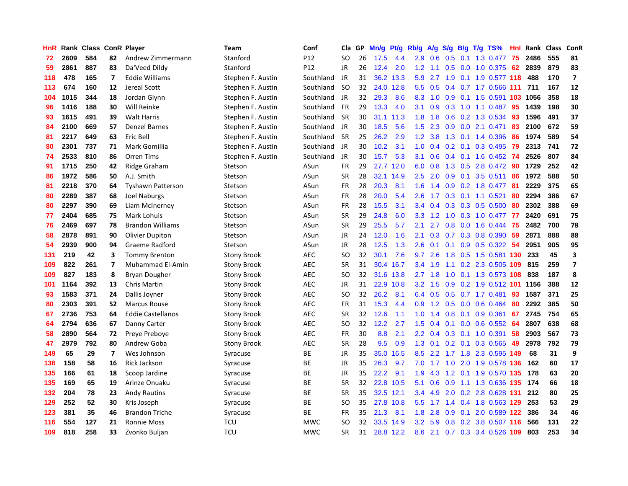| HnR |      | Rank Class ConR Player |                         |                          | Team               | Conf            | Cla       | <b>GP</b> | Mn/g | <b>Pt/g</b> | Rb/g             | A/g    |                  |     | $S/g$ B/g T/g TS%         | Hnl | Rank | <b>Class</b> | <b>ConR</b>             |
|-----|------|------------------------|-------------------------|--------------------------|--------------------|-----------------|-----------|-----------|------|-------------|------------------|--------|------------------|-----|---------------------------|-----|------|--------------|-------------------------|
| 72  | 2609 | 584                    | 82                      | Andrew Zimmermann        | Stanford           | P <sub>12</sub> | <b>SO</b> | 26        | 17.5 | 4.4         | 2.9              | 0.6    | 0.5              | 0.1 | 1.3 0.477                 | 75  | 2486 | 555          | 81                      |
| 59  | 2861 | 887                    | 83                      | Da'Veed Dildy            | Stanford           | P12             | JR        | 26        | 12.4 | 2.0         | 1.2              | $-1.1$ |                  |     | 0.5 0.0 1.0 0.375 62      |     | 2839 | 879          | 83                      |
| 118 | 478  | 165                    | $\overline{\mathbf{z}}$ | <b>Eddie Williams</b>    | Stephen F. Austin  | Southland       | JR.       | 31        |      | 36.2 13.3   | 5.9              | 2.7    |                  |     | 1.9 0.1 1.9 0.577 118     |     | 488  | 170          | $\overline{7}$          |
| 113 | 674  | 160                    | 12                      | Jereal Scott             | Stephen F. Austin  | Southland       | -SO       | 32        | 24.0 | 12.8        | 5.5              | 0.5    |                  |     | $0.4$ 0.7 1.7 0.566 111   |     | 711  | 167          | 12                      |
| 104 | 1015 | 344                    | 18                      | Jordan Glynn             | Stephen F. Austin  | Southland       | <b>JR</b> | 32        | 29.3 | 8.6         | 8.3              | 1.0    | 0.9 <sup>°</sup> |     | 0.1 1.5 0.591 103         |     | 1056 | 358          | 18                      |
| 96  | 1416 | 188                    | 30                      | Will Reinke              | Stephen F. Austin  | Southland       | <b>FR</b> | 29        | 13.3 | 4.0         | 3.1              | 0.9    | 0.3              |     | 1.0 1.1 0.487             | 95  | 1439 | 198          | 30                      |
| 93  | 1615 | 491                    | 39                      | <b>Walt Harris</b>       | Stephen F. Austin  | Southland       | <b>SR</b> | 30        | 31.1 | 11.3        | 1.8              | 1.8    | 0.6              |     | 0.2 1.3 0.534             | 93  | 1596 | 491          | 37                      |
| 84  | 2100 | 669                    | 57                      | <b>Denzel Barnes</b>     | Stephen F. Austin  | Southland       | JR        | 30        | 18.5 | 5.6         | 1.5              | 2.3    | 0.9 <sup>°</sup> |     | $0.0$ 2.1 $0.471$         | 83  | 2100 | 672          | 59                      |
| 81  | 2217 | 649                    | 63                      | Eric Bell                | Stephen F. Austin  | Southland       | <b>SR</b> | 25        | 26.2 | 2.9         | 1.2              | 3.8    | 1.3              |     | 0.1 1.4 0.396             | 86  | 1974 | 589          | 54                      |
| 80  | 2301 | 737                    | 71                      | Mark Gomillia            | Stephen F. Austin  | Southland       | JR        | 30        | 10.2 | 3.1         | 1.0              | 0.4    |                  |     | 0.2 0.1 0.3 0.495 79      |     | 2313 | 741          | 72                      |
| 74  | 2533 | 810                    | 86                      | Orren Tims               | Stephen F. Austin  | Southland       | JR        | 30        | 15.7 | 5.3         | 3.1              | 0.6    |                  |     | 0.4 0.1 1.6 0.452 74      |     | 2526 | 807          | 84                      |
| 91  | 1715 | 250                    | 42                      | Ridge Graham             | Stetson            | ASun            | <b>FR</b> | 29        | 27.7 | 12.0        | 6.0              | 0.8    |                  |     | 1.3 0.5 2.8 0.472 90      |     | 1729 | 252          | 42                      |
| 86  | 1972 | 586                    | 50                      | A.J. Smith               | Stetson            | ASun            | <b>SR</b> | 28        | 32.1 | 14.9        | 2.5              | 2.0    | 0.9 <sup>°</sup> |     | $0.1$ 3.5 0.511           | 86  | 1972 | 588          | 50                      |
| 81  | 2218 | 370                    | 64                      | <b>Tyshawn Patterson</b> | Stetson            | ASun            | <b>FR</b> | 28        | 20.3 | 8.1         | 1.6              | 1.4    | 0.9              |     | 0.2 1.8 0.477             | 81  | 2229 | 375          | 65                      |
| 80  | 2289 | 387                    | 68                      | <b>Joel Naburgs</b>      | Stetson            | ASun            | <b>FR</b> | 28        | 20.0 | 5.4         | 2.6              | 1.7    |                  |     | 0.3 0.1 1.1 0.521         | 80  | 2294 | 386          | 67                      |
| 80  | 2297 | 390                    | 69                      | Liam McInerney           | Stetson            | ASun            | <b>FR</b> | 28        | 15.5 | 3.1         | 3.4              | 0.4    | 0.3              |     | $0.3$ 0.5 0.500           | 80  | 2302 | 388          | 69                      |
| 77  | 2404 | 685                    | 75                      | Mark Lohuis              | Stetson            | ASun            | <b>SR</b> | 29        | 24.8 | 6.0         | 3.3              | 1.2    | 1.0              |     | 0.3 1.0 0.477             | 77  | 2420 | 691          | 75                      |
| 76  | 2469 | 697                    | 78                      | <b>Brandon Williams</b>  | Stetson            | ASun            | <b>SR</b> | 29        | 25.5 | 5.7         | 2.1              | 2.7    | 0.8              |     | $0.0$ 1.6 0.444           | 75  | 2482 | 700          | 78                      |
| 58  | 2878 | 891                    | 90                      | Olivier Dupiton          | Stetson            | ASun            | JR        | 24        | 12.0 | 1.6         | 2.1              | 0.3    |                  |     | 0.7 0.3 0.8 0.390         | 59  | 2871 | 888          | 88                      |
| 54  | 2939 | 900                    | 94                      | Graeme Radford           | Stetson            | ASun            | JR        | 28        | 12.5 | 1.3         | 2.6              | 0.1    |                  |     | 0.1 0.9 0.5 0.322 54      |     | 2951 | 905          | 95                      |
| 131 | 219  | 42                     | 3                       | <b>Tommy Brenton</b>     | <b>Stony Brook</b> | <b>AEC</b>      | <b>SO</b> | 32        | 30.1 | 7.6         | 9.7              | 2.6    |                  |     | 1.8 0.5 1.5 0.581 130 233 |     |      | 45           | $\overline{\mathbf{3}}$ |
| 109 | 822  | 261                    | $\overline{\mathbf{z}}$ | Muhammad El-Amin         | Stony Brook        | <b>AEC</b>      | <b>SR</b> | 31        | 30.4 | 16.7        | 3.4              | 1.9    |                  |     | 1.1 0.2 2.3 0.505         | 109 | 815  | 259          | $\overline{\mathbf{z}}$ |
| 109 | 827  | 183                    | 8                       | <b>Bryan Dougher</b>     | Stony Brook        | <b>AEC</b>      | <b>SO</b> | 32        | 31.6 | 13.8        | 2.7              | 1.8    | 1.0              |     | 0.1 1.3 0.573 108         |     | 838  | 187          | 8                       |
| 101 | 1164 | 392                    | 13                      | Chris Martin             | Stony Brook        | <b>AEC</b>      | JR        | 31        | 22.9 | 10.8        | 3.2              | 1.5    | 0.9 <sub>0</sub> |     | 0.2 1.9 0.512 101         |     | 1156 | 388          | 12                      |
| 93  | 1583 | 371                    | 24                      | Dallis Joyner            | Stony Brook        | <b>AEC</b>      | <b>SO</b> | 32        | 26.2 | 8.1         | 6.4              | 0.5    |                  |     | $0.5$ 0.7 1.7 0.481       | 93  | 1587 | 371          | 25                      |
| 80  | 2303 | 391                    | 52                      | Marcus Rouse             | <b>Stony Brook</b> | <b>AEC</b>      | FR        | 31        | 15.3 | 4.4         | 0.9              | 1.2    | 0.5              |     | $0.0$ 0.6 0.464           | 80  | 2292 | 385          | 50                      |
| 67  | 2736 | 753                    | 64                      | <b>Eddie Castellanos</b> | <b>Stony Brook</b> | <b>AEC</b>      | <b>SR</b> | 32        | 12.6 | 1.1         | 1.0              | 1.4    |                  |     | $0.8$ 0.1 0.9 0.361       | 67  | 2745 | 754          | 65                      |
| 64  | 2794 | 636                    | 67                      | Danny Carter             | Stony Brook        | <b>AEC</b>      | <b>SO</b> | 32        | 12.2 | 2.7         | 1.5              | 0.4    |                  |     | $0.1$ 0.0 0.6 0.552 64    |     | 2807 | 638          | 68                      |
| 58  | 2890 | 564                    | 72                      | Preye Preboye            | Stony Brook        | <b>AEC</b>      | <b>FR</b> | 30        | 8.8  | 2.1         | $2.2^{\circ}$    | 0.4    |                  |     | $0.3$ 0.1 1.0 0.391       | -58 | 2903 | 567          | 73                      |
| 47  | 2979 | 792                    | 80                      | Andrew Goba              | Stony Brook        | <b>AEC</b>      | <b>SR</b> | 28        | 9.5  | 0.9         | 1.3              | 0.1    |                  |     | $0.2$ 0.1 0.3 0.565       | 49  | 2978 | 792          | 79                      |
| 149 | 65   | 29                     | $\overline{7}$          | Wes Johnson              | Syracuse           | <b>BE</b>       | JR        | 35        | 35.0 | 16.5        | 8.5              | 2.2    | 1.7              |     | 1.8 2.3 0.595             | 149 | 68   | 31           | 9                       |
| 136 | 158  | 58                     | 16                      | Rick Jackson             | Syracuse           | ВE              | JR        | 35        | 26.3 | 9.7         | 7.0              | 1.7    | 1.0              |     | 2.0 1.9 0.578 136         |     | 162  | 60           | 17                      |
| 135 | 166  | 61                     | 18                      | Scoop Jardine            | Syracuse           | <b>BE</b>       | JR        | 35        | 22.2 | 9.1         | 1.9              | 4.3    | 1.2              |     | 0.1 1.9 0.570             | 135 | 178  | 63           | 20                      |
| 135 | 169  | 65                     | 19                      | Arinze Onuaku            | Syracuse           | <b>BE</b>       | <b>SR</b> | 32        | 22.8 | 10.5        | 5.1              | 0.6    | 0.9              |     | 1.1 1.3 0.636 135         |     | 174  | 66           | 18                      |
| 132 | 204  | 78                     | 23                      | <b>Andy Rautins</b>      | Syracuse           | ВE              | <b>SR</b> | 35        |      | 32.5 12.1   | $3.4^{\circ}$    | 4.9    | 2.0              |     | 0.2 2.8 0.628 131         |     | 212  | 80           | 25                      |
| 129 | 252  | 52                     | 30                      | Kris Joseph              | Syracuse           | ВE              | SO        | 35        |      | 27.8 10.8   | 5.5 <sub>1</sub> | 1.7    |                  |     | 1.4 0.4 1.8 0.563 129     |     | 253  | 53           | 29                      |
| 123 | 381  | 35                     | 46                      | <b>Brandon Triche</b>    | Syracuse           | <b>BE</b>       | <b>FR</b> | 35        | 21.3 | 8.1         | 1.8              | 2.8    | 0.9              |     | $0.1$ 2.0 0.589 122       |     | 386  | 34           | 46                      |
| 116 | 554  | 127                    | 21                      | <b>Ronnie Moss</b>       | <b>TCU</b>         | <b>MWC</b>      | SO        | 32        | 33.5 | 14.9        | 3.2              | 5.9    |                  |     | 0.8 0.2 3.8 0.507 116     |     | 566  | 131          | 22                      |
| 109 | 818  | 258                    | 33                      | Zvonko Buljan            | <b>TCU</b>         | <b>MWC</b>      | <b>SR</b> | 31        |      | 28.8 12.2   | 8.6              | 2.1    |                  |     | 0.7 0.3 3.4 0.526 109     |     | 803  | 253          | 34                      |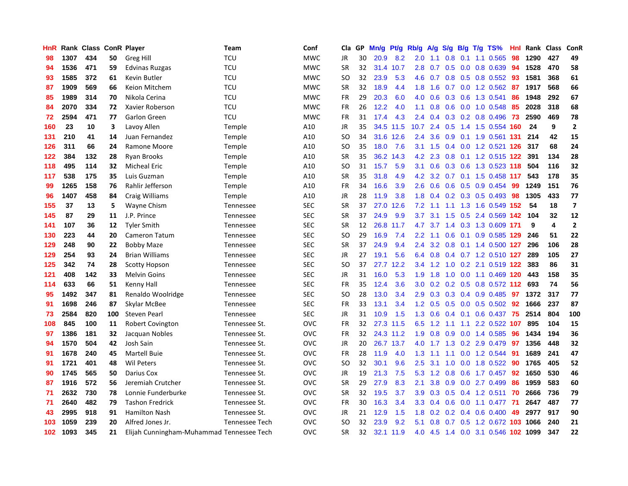| HnR              |      | Rank Class ConR Player |     |                                           | Team                  | Conf       | Cla       | <b>GP</b> | Mn/g | Pt/g      | Rb/g             | A/g             | S/g |  | B/g T/g TS%                | Hnl | Rank | <b>Class</b> | ConR                    |
|------------------|------|------------------------|-----|-------------------------------------------|-----------------------|------------|-----------|-----------|------|-----------|------------------|-----------------|-----|--|----------------------------|-----|------|--------------|-------------------------|
| 98               | 1307 | 434                    | 50  | Greg Hill                                 | <b>TCU</b>            | <b>MWC</b> | JR        | 30        | 20.9 | 8.2       | 2.0 <sub>1</sub> | 1.1             | 0.8 |  | $0.1$ 1.1 0.565            | 98  | 1290 | 427          | 49                      |
| 94               | 1536 | 471                    | 59  | Edvinas Ruzgas                            | <b>TCU</b>            | <b>MWC</b> | <b>SR</b> | 32        | 31.4 | 10.7      |                  |                 |     |  | 2.8 0.7 0.5 0.0 0.8 0.639  | 94  | 1528 | 470          | 58                      |
| 93               | 1585 | 372                    | 61  | Kevin Butler                              | <b>TCU</b>            | <b>MWC</b> | <b>SO</b> | 32        | 23.9 | 5.3       | 4.6              | 0.7             |     |  | 0.8 0.5 0.8 0.552          | -93 | 1581 | 368          | 61                      |
| 87               | 1909 | 569                    | 66  | Keion Mitchem                             | <b>TCU</b>            | <b>MWC</b> | <b>SR</b> | 32        | 18.9 | 4.4       | 1.8              | 1.6             |     |  | $0.7$ $0.0$ 1.2 $0.562$    | -87 | 1917 | 568          | 66                      |
| 85               | 1989 | 314                    | 70  | Nikola Cerina                             | <b>TCU</b>            | <b>MWC</b> | <b>FR</b> | 29        | 20.3 | 6.0       | 4.0              | 0.6             | 0.3 |  | 0.6 1.3 0.541              | 86  | 1948 | 292          | 67                      |
| 84               | 2070 | 334                    | 72  | Xavier Roberson                           | <b>TCU</b>            | <b>MWC</b> | <b>FR</b> | 26        | 12.2 | 4.0       | 1.1              | 0.8             |     |  | $0.6$ $0.0$ 1.0 $0.548$    | 85  | 2028 | 318          | 68                      |
| 72               | 2594 | 471                    | 77  | Garlon Green                              | <b>TCU</b>            | <b>MWC</b> | <b>FR</b> | 31        | 17.4 | 4.3       | $2.4^{\circ}$    | 0.4             |     |  | 0.3 0.2 0.8 0.496          | 73  | 2590 | 469          | 78                      |
| 160              | 23   | 10                     | 3   | Lavoy Allen                               | Temple                | A10        | JR        | 35        |      | 34.5 11.5 | 10.7             | 2.4             |     |  | 0.5 1.4 1.5 0.554 160      |     | 24   | 9            | $\mathbf{2}$            |
| 131              | 210  | 41                     | 14  | Juan Fernandez                            | Temple                | A10        | <b>SO</b> | 34        |      | 31.6 12.6 | $2.4^{\circ}$    | 3.6             | 0.9 |  | 0.1 1.9 0.561 131          |     | 214  | 42           | 15                      |
| 126              | 311  | 66                     | 24  | Ramone Moore                              | Temple                | A10        | <b>SO</b> | 35        | 18.0 | 7.6       |                  | $3.1 \quad 1.5$ |     |  | 0.4 0.0 1.2 0.521 126 317  |     |      | 68           | 24                      |
| 122              | 384  | 132                    | 28  | <b>Ryan Brooks</b>                        | Temple                | A10        | <b>SR</b> | 35        | 36.2 | 14.3      | 4.2              | 2.3             |     |  | 0.8 0.1 1.2 0.515 122      |     | 391  | 134          | 28                      |
| 118              | 495  | 114                    | 32  | Micheal Eric                              | Temple                | A10        | <b>SO</b> | 31        | 15.7 | 5.9       | 3.1              | 0.6             |     |  | 0.3 0.6 1.3 0.523 118      |     | 504  | 116          | 32                      |
| 117              | 538  | 175                    | 35  | Luis Guzman                               | Temple                | A10        | <b>SR</b> | 35        | 31.8 | 4.9       | 4.2              | 3.2             |     |  | 0.7 0.1 1.5 0.458 117      |     | 543  | 178          | 35                      |
| 99               | 1265 | 158                    | 76  | Rahlir Jefferson                          | Temple                | A10        | FR        | 34        | 16.6 | 3.9       | 2.6              | 0.6             |     |  | 0.6 0.5 0.9 0.454          | -99 | 1249 | 151          | 76                      |
| 96               | 1407 | 458                    | 84  | Craig Williams                            | Temple                | A10        | <b>JR</b> | 28        | 11.9 | 3.8       | 1.8              | 0.4             |     |  | $0.2$ 0.3 0.5 0.493        | 98  | 1305 | 433          | 77                      |
| 155              | 37   | 13                     | 5   | Wayne Chism                               | Tennessee             | <b>SEC</b> | <b>SR</b> | 37        | 27.0 | 12.6      | 7.2              | 1.1             |     |  | 1.1 1.3 1.6 0.549 152      |     | 54   | 18           | $\overline{\mathbf{z}}$ |
| 145              | 87   | 29                     | 11  | J.P. Prince                               | Tennessee             | <b>SEC</b> | <b>SR</b> | 37        | 24.9 | 9.9       | 3.7              | 3.1             | 1.5 |  | 0.5 2.4 0.569 142          |     | 104  | 32           | 12                      |
| 141              | 107  | 36                     | 12  | <b>Tyler Smith</b>                        | Tennessee             | <b>SEC</b> | <b>SR</b> | 12        |      | 26.8 11.7 | 4.7              | 3.7             |     |  | 1.4 0.3 1.3 0.609 171      |     | 9    | 4            | $\mathbf{2}$            |
| 130              | 223  | 44                     | 20  | Cameron Tatum                             | Tennessee             | <b>SEC</b> | <b>SO</b> | 29        | 16.9 | 7.4       | $2.2^{\circ}$    | 1.1             |     |  | 0.6 0.1 0.9 0.585 129      |     | 246  | 51           | 22                      |
| 129              | 248  | 90                     | 22  | <b>Bobby Maze</b>                         | Tennessee             | <b>SEC</b> | <b>SR</b> | 37        | 24.9 | 9.4       | $2.4^{\circ}$    | 3.2             |     |  | 0.8 0.1 1.4 0.500 127      |     | 296  | 106          | 28                      |
| 129              | 254  | 93                     | 24  | <b>Brian Williams</b>                     | Tennessee             | <b>SEC</b> | <b>JR</b> | 27        | 19.1 | 5.6       | 6.4              | 0.8             |     |  | 0.4 0.7 1.2 0.510 127      |     | 289  | 105          | 27                      |
| 125              | 342  | 74                     | 28  | <b>Scotty Hopson</b>                      | Tennessee             | <b>SEC</b> | <b>SO</b> | 37        | 27.7 | 12.2      | 3.4              | 1.2             | 1.0 |  | 0.2 2.1 0.519 122          |     | 383  | 86           | 31                      |
| 121              | 408  | 142                    | 33  | <b>Melvin Goins</b>                       | Tennessee             | <b>SEC</b> | JR        | 31        | 16.0 | 5.3       | 1.9              | 1.8             | 1.0 |  | 0.0 1.1 0.469 120          |     | 443  | 158          | 35                      |
| 114              | 633  | 66                     | 51  | Kenny Hall                                | Tennessee             | <b>SEC</b> | FR        | 35        | 12.4 | 3.6       | 3.0 <sub>2</sub> | 0.2             | 0.2 |  | 0.5 0.8 0.572 112          |     | 693  | 74           | 56                      |
| 95               | 1492 | 347                    | 81  | Renaldo Woolridge                         | Tennessee             | <b>SEC</b> | <b>SO</b> | 28        | 13.0 | 3.4       | 2.9              | 0.3             |     |  | 0.3 0.4 0.9 0.485          | 97  | 1372 | 317          | 77                      |
| 91               | 1698 | 246                    | 87  | Skylar McBee                              | Tennessee             | <b>SEC</b> | FR        | 33        | 13.1 | 3.4       |                  | $1.2 \quad 0.5$ |     |  | 0.5 0.0 0.5 0.502 92       |     | 1666 | 237          | 87                      |
| 73               | 2584 | 820                    | 100 | <b>Steven Pearl</b>                       | Tennessee             | <b>SEC</b> | <b>JR</b> | 31        | 10.9 | 1.5       |                  | $1.3 \quad 0.6$ |     |  | 0.4 0.1 0.6 0.437 75       |     | 2514 | 804          | 100                     |
| 108              | 845  | 100                    | 11  | <b>Robert Covington</b>                   | Tennessee St.         | <b>OVC</b> | FR        | 32        |      | 27.3 11.5 | 6.5              | 1.2             |     |  | 1.1 1.1 2.2 0.522 107      |     | 895  | 104          | 15                      |
| 97               | 1386 | 181                    | 32  | Jacquan Nobles                            | Tennessee St.         | <b>OVC</b> | <b>FR</b> | 32        |      | 24.3 11.2 | 1.9              | 0.8             | 0.9 |  | 0.0 1.4 0.585              | 96  | 1434 | 194          | 36                      |
| 94               | 1570 | 504                    | 42  | Josh Sain                                 | Tennessee St.         | <b>OVC</b> | JR        | 20        | 26.7 | 13.7      | 4.0              | 1.7             | 1.3 |  | 0.2 2.9 0.479              | 97  | 1356 | 448          | 32                      |
| 91               | 1678 | 240                    | 45  | Martell Buie                              | Tennessee St.         | <b>OVC</b> | FR        | 28        | 11.9 | 4.0       | 1.3              | 1.1             | 1.1 |  | $0.0$ 1.2 0.544            | -91 | 1689 | 241          | 47                      |
| 91               | 1721 | 401                    | 48  | <b>Wil Peters</b>                         | Tennessee St.         | <b>OVC</b> | <b>SO</b> | 32        | 30.1 | 9.6       | 2.5              | 3.1             | 1.0 |  | $0.0$ 1.8 $0.522$          | 90  | 1765 | 405          | 52                      |
| 90               | 1745 | 565                    | 50  | Darius Cox                                | Tennessee St.         | <b>OVC</b> | <b>JR</b> | 19        | 21.3 | 7.5       | 5.3              | 1.2             | 0.8 |  | $0.6$ 1.7 0.457            | 92  | 1650 | 530          | 46                      |
| 87               | 1916 | 572                    | 56  | Jeremiah Crutcher                         | Tennessee St.         | <b>OVC</b> | <b>SR</b> | 29        | 27.9 | 8.3       | 2.1              | 3.8             | 0.9 |  | $0.0$ 2.7 $0.499$          | 86  | 1959 | 583          | 60                      |
| 71               | 2632 | 730                    | 78  | Lonnie Funderburke                        | Tennessee St.         | <b>OVC</b> | <b>SR</b> | 32        | 19.5 | 3.7       |                  |                 |     |  | 3.9 0.3 0.5 0.4 1.2 0.511  | -70 | 2666 | 736          | 79                      |
| 71               | 2640 | 482                    | 79  | <b>Tashon Fredrick</b>                    | Tennessee St.         | <b>OVC</b> | <b>FR</b> | 30        | 16.3 | 3.4       | 3.3 <sub>2</sub> | 0.4             |     |  | 0.6 0.0 1.1 0.477 71       |     | 2647 | 487          | 77                      |
| 43               | 2995 | 918                    | 91  | Hamilton Nash                             | Tennessee St.         | <b>OVC</b> | <b>JR</b> | 21        | 12.9 | 1.5       | 1.8              | 0.2             |     |  | $0.2$ 0.4 0.6 0.400        | 49  | 2977 | 917          | 90                      |
| 103              | 1059 | 239                    | 20  | Alfred Jones Jr.                          | <b>Tennessee Tech</b> | <b>OVC</b> | <b>SO</b> | 32        | 23.9 | 9.2       | 5.1              | 0.8             | 0.7 |  | 0.5 1.2 0.672 103          |     | 1066 | 240          | 21                      |
| 102 <sub>1</sub> | 1093 | 345                    | 21  | Elijah Cunningham-Muhammad Tennessee Tech |                       | <b>OVC</b> | <b>SR</b> | 32        |      | 32.1 11.9 | 4.0              | 4.5             |     |  | 1.4 0.0 3.1 0.546 102 1099 |     |      | 347          | 22                      |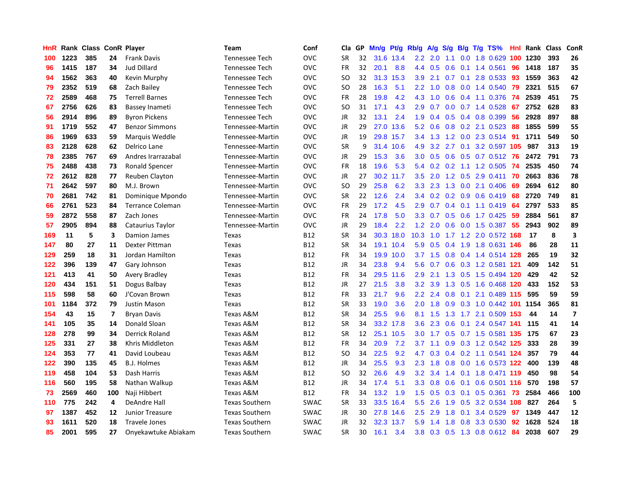| HnR |      | Rank Class ConR Player |     |                         | <b>Team</b>           | Conf        | Cla       | <b>GP</b> | Mn/g | <b>Pt/g</b> | Rb/g             | A/g             |                  |     | $S/g$ B/g T/g TS%              | <b>Hnl</b> | Rank     | Class | ConR                    |
|-----|------|------------------------|-----|-------------------------|-----------------------|-------------|-----------|-----------|------|-------------|------------------|-----------------|------------------|-----|--------------------------------|------------|----------|-------|-------------------------|
| 100 | 1223 | 385                    | 24  | <b>Frank Davis</b>      | <b>Tennessee Tech</b> | <b>OVC</b>  | <b>SR</b> | 32        |      | 31.6 13.4   |                  | $2.2$ 2.0       | 1.1              |     | $0.0$ 1.8 $0.629$              |            | 100 1230 | 393   | 26                      |
| 96  | 1415 | 187                    | 34  | <b>Jud Dillard</b>      | <b>Tennessee Tech</b> | <b>OVC</b>  | FR        | 32        | 20.1 | 8.8         | 4.4              | 0.5             |                  |     | 0.6 0.1 1.4 0.561 96           |            | 1418     | 187   | 35                      |
| 94  | 1562 | 363                    | 40  | Kevin Murphy            | <b>Tennessee Tech</b> | <b>OVC</b>  | <b>SO</b> | 32        |      | 31.3 15.3   | 3.9              | 2.1             |                  |     | $0.7$ 0.1 2.8 0.533            | -93        | 1559     | 363   | 42                      |
| 79  | 2352 | 519                    | 68  | Zach Bailey             | <b>Tennessee Tech</b> | <b>OVC</b>  | SO        | 28        | 16.3 | 5.1         | $2.2^{\circ}$    | 1.0             | 0.8              |     | $0.0$ 1.4 0.540                | -79        | 2321     | 515   | 67                      |
| 72  | 2589 | 468                    | 75  | <b>Terrell Barnes</b>   | <b>Tennessee Tech</b> | <b>OVC</b>  | <b>FR</b> | 28        | 19.8 | 4.2         | 4.3              | 1.0             | 0.6              |     | 0.4 1.1 0.376                  | -74        | 2539     | 451   | 75                      |
| 67  | 2756 | 626                    | 83  | Bassey Inameti          | <b>Tennessee Tech</b> | <b>OVC</b>  | <b>SO</b> | 31        | 17.1 | 4.3         | 2.9              | 0.7             |                  |     | $0.0$ 0.7 1.4 0.528            | 67         | 2752     | 628   | 83                      |
| 56  | 2914 | 896                    | 89  | <b>Byron Pickens</b>    | <b>Tennessee Tech</b> | <b>OVC</b>  | JR        | 32        | 13.1 | 2.4         | 1.9              | 0.4             |                  |     | 0.5 0.4 0.8 0.399              | 56         | 2928     | 897   | 88                      |
| 91  | 1719 | 552                    | 47  | <b>Benzor Simmons</b>   | Tennessee-Martin      | <b>OVC</b>  | JR        | 29        | 27.0 | 13.6        | 5.2              | 0.6             |                  |     | $0.8$ 0.2 2.1 0.523            | 88         | 1855     | 599   | 55                      |
| 86  | 1969 | 633                    | 59  | Marquis Weddle          | Tennessee-Martin      | <b>OVC</b>  | JR        | 19        | 29.8 | 15.7        | 3.4              | 1.3             |                  |     | 1.2 0.0 2.3 0.514 91           |            | 1711     | 549   | 50                      |
| 83  | 2128 | 628                    | 62  | Delrico Lane            | Tennessee-Martin      | <b>OVC</b>  | <b>SR</b> | 9         | 31.4 | 10.6        | 4.9              |                 |                  |     | 3.2 2.7 0.1 3.2 0.597 105      |            | 987      | 313   | 19                      |
| 78  | 2385 | 767                    | 69  | Andres Irarrazabal      | Tennessee-Martin      | <b>OVC</b>  | JR        | 29        | 15.3 | 3.6         | 3.0 <sub>2</sub> |                 |                  |     | 0.5 0.6 0.5 0.7 0.512 76       |            | 2472     | 791   | 73                      |
| 75  | 2488 | 438                    | 73  | Ronald Spencer          | Tennessee-Martin      | <b>OVC</b>  | <b>FR</b> | 18        | 19.6 | 5.3         | 5.4              | 0.2             |                  |     | 0.2 1.1 1.2 0.505 74           |            | 2535     | 450   | 74                      |
| 72  | 2612 | 828                    | 77  | Reuben Clayton          | Tennessee-Martin      | <b>OVC</b>  | JR        | 27        | 30.2 | 11.7        | 3.5              | 2.0             |                  |     | 1.2 0.5 2.9 0.411              | -70        | 2663     | 836   | 78                      |
| 71  | 2642 | 597                    | 80  | M.J. Brown              | Tennessee-Martin      | <b>OVC</b>  | SO.       | 29        | 25.8 | 6.2         | 3.3 <sub>2</sub> | 2.3             | 1.3              |     | $0.0$ 2.1 0.406                | 69         | 2694     | 612   | 80                      |
| 70  | 2681 | 742                    | 81  | Dominique Mpondo        | Tennessee-Martin      | <b>OVC</b>  | <b>SR</b> | 22        | 12.6 | 2.4         | $3.4^{\circ}$    | 0.2             | 0.2              |     | 0.9 0.6 0.419                  | 68         | 2720     | 749   | 81                      |
| 66  | 2761 | 523                    | 84  | <b>Terrance Coleman</b> | Tennessee-Martin      | <b>OVC</b>  | <b>FR</b> | 29        | 17.2 | 4.5         | 2.9              | 0.7             |                  |     | $0.4$ 0.1 1.1 0.419            | 64         | 2797     | 533   | 85                      |
| 59  | 2872 | 558                    | 87  | Zach Jones              | Tennessee-Martin      | <b>OVC</b>  | <b>FR</b> | 24        | 17.8 | 5.0         | 3.3 <sub>2</sub> | 0.7             | 0.5              |     | $0.6$ 1.7 0.425                | -59        | 2884     | 561   | 87                      |
| 57  | 2905 | 894                    | 88  | Cataurius Taylor        | Tennessee-Martin      | <b>OVC</b>  | JR        | 29        | 18.4 | 2.2         | 1.2              | 2.0             | 0.6              |     | 0.0 1.5 0.387                  | -55        | 2943     | 902   | 89                      |
| 169 | 11   | 5                      | 3   | Damion James            | Texas                 | <b>B12</b>  | <b>SR</b> | 34        |      | 30.3 18.0   |                  |                 |                  |     | 10.3 1.0 1.7 1.2 2.0 0.572 168 |            | -17      | 8     | $\overline{\mathbf{3}}$ |
| 147 | 80   | 27                     | 11  | Dexter Pittman          | Texas                 | <b>B12</b>  | <b>SR</b> | 34        |      | 19.1 10.4   | 5.9              | 0.5             |                  |     | 0.4 1.9 1.8 0.631 146          |            | 86       | 28    | 11                      |
| 129 | 259  | 18                     | 31  | Jordan Hamilton         | Texas                 | B12         | <b>FR</b> | 34        | 19.9 | 10.0        |                  | $3.7 \quad 1.5$ |                  |     | 0.8 0.4 1.4 0.514 128 265      |            |          | 19    | 32                      |
| 122 | 396  | 139                    | 47  | Gary Johnson            | Texas                 | <b>B12</b>  | <b>JR</b> | 34        | 23.8 | 9.4         | 5.6              | 0.7             | 0.6              |     | 0.3 1.2 0.581 121              |            | 409      | 142   | 51                      |
| 121 | 413  | 41                     | 50  | <b>Avery Bradley</b>    | Texas                 | B12         | FR        | 34        | 29.5 | 11.6        | 2.9              | 2.1             |                  |     | 1.3 0.5 1.5 0.494 120          |            | 429      | 42    | 52                      |
| 120 | 434  | 151                    | 51  | Dogus Balbay            | Texas                 | B12         | <b>JR</b> | 27        | 21.5 | 3.8         | 3.2              | 3.9             | 1.3              |     | 0.5 1.6 0.468 120              |            | 433      | 152   | 53                      |
| 115 | 598  | 58                     | 60  | J'Covan Brown           | Texas                 | B12         | <b>FR</b> | 33        | 21.7 | 9.6         | $2.2^{\circ}$    | 2.4             | 0.8              | 0.1 | 2.1 0.489 115                  |            | 595      | 59    | 59                      |
| 101 | 1184 | 372                    | 79  | <b>Justin Mason</b>     | Texas                 | B12         | <b>SR</b> | 33        | 19.0 | 3.6         | 2.0              | 1.8             | 0.9 <sub>0</sub> |     | 0.3 1.0 0.442 101 1154         |            |          | 365   | 81                      |
| 154 | 43   | 15                     | 7   | <b>Bryan Davis</b>      | Texas A&M             | B12         | SR        | 34        | 25.5 | 9.6         | 8.1              | 1.5             |                  |     | 1.3 1.7 2.1 0.509 153          |            | 44       | 14    | $\overline{\mathbf{z}}$ |
| 141 | 105  | 35                     | 14  | Donald Sloan            | Texas A&M             | <b>B12</b>  | <b>SR</b> | 34        |      | 33.2 17.8   | 3.6              | 2.3             |                  |     | $0.6$ $0.1$ 2.4 $0.547$ 141    |            | 115      | 41    | 14                      |
| 128 | 278  | 99                     | 34  | <b>Derrick Roland</b>   | Texas A&M             | <b>B12</b>  | <b>SR</b> | 12        |      | 25.1 10.5   | 3.0 <sub>2</sub> | 1.7             |                  |     | 0.5 0.7 1.5 0.581 135 175      |            |          | 67    | 23                      |
| 125 | 331  | 27                     | 38  | Khris Middleton         | Texas A&M             | <b>B12</b>  | FR        | 34        | 20.9 | 7.2         | 3.7              | 1.1             |                  |     | 0.9 0.3 1.2 0.542 125          |            | 333      | 28    | 39                      |
| 124 | 353  | 77                     | 41  | David Loubeau           | Texas A&M             | <b>B12</b>  | SO.       | 34        | 22.5 | 9.2         | 4.7              | 0.3             |                  |     | 0.4 0.2 1.1 0.541 124          |            | 357      | 79    | 44                      |
| 122 | 390  | 135                    | 45  | <b>B.J. Holmes</b>      | Texas A&M             | <b>B12</b>  | JR        | 34        | 25.5 | 9.3         | 2.3              | 1.8             |                  |     | 0.8 0.0 1.6 0.573 122          |            | 400      | 139   | 48                      |
| 119 | 458  | 104                    | 53  | Dash Harris             | Texas A&M             | <b>B12</b>  | SO.       | 32        | 26.6 | 4.9         | 3.2              | 3.4             | $1.4^{\circ}$    |     | 0.1 1.8 0.471 119              |            | 450      | 98    | 54                      |
| 116 | 560  | 195                    | 58  | Nathan Walkup           | Texas A&M             | <b>B12</b>  | <b>JR</b> | 34        | 17.4 | 5.1         | 3.3 <sub>2</sub> | 0.8             | 0.6              | 0.1 | 0.6 0.501 116                  |            | 570      | 198   | 57                      |
| 73  | 2569 | 460                    | 100 | Naji Hibbert            | Texas A&M             | <b>B12</b>  | <b>FR</b> | 34        | 13.2 | 1.9         | $1.5^{\circ}$    | 0.5             |                  |     | 0.3 0.1 0.5 0.361              | -73        | 2584     | 466   | 100                     |
| 110 | 775  | 242                    | 4   | DeAndre Hall            | <b>Texas Southern</b> | <b>SWAC</b> | <b>SR</b> | 33        | 33.5 | 16.4        | 5.5              | 2.6             |                  |     | 1.9 0.5 3.2 0.534 108          |            | 827      | 264   | 5                       |
| 97  | 1387 | 452                    | 12  | <b>Junior Treasure</b>  | <b>Texas Southern</b> | <b>SWAC</b> | <b>JR</b> | 30        | 27.8 | 14.6        | 2.5              | 2.9             | 1.8              | 0.1 | 3.4 0.529                      | 97         | 1349     | 447   | 12                      |
| 93  | 1611 | 520                    | 18  | <b>Travele Jones</b>    | <b>Texas Southern</b> | <b>SWAC</b> | <b>JR</b> | 32        | 32.3 | 13.7        | 5.9              | 1.4             | 1.8              |     | 0.8 3.3 0.530                  | 92         | 1628     | 524   | 18                      |
| 85  | 2001 | 595                    | 27  | Onyekawtuke Abiakam     | <b>Texas Southern</b> | <b>SWAC</b> | <b>SR</b> | 30        | 16.1 | 3.4         |                  |                 |                  |     | 3.8 0.3 0.5 1.3 0.8 0.612 84   |            | 2038     | 607   | 29                      |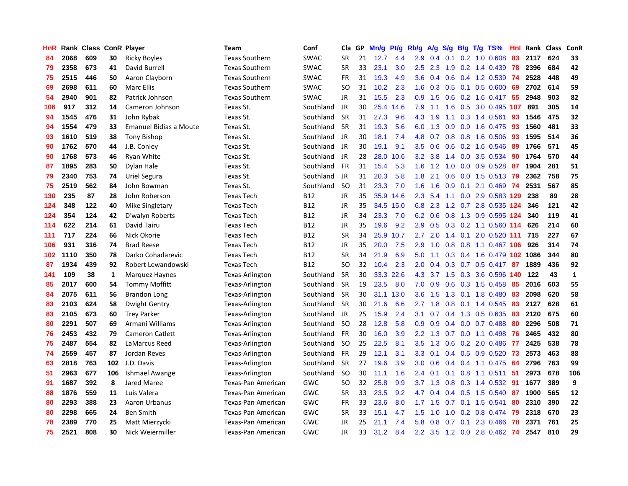| HnR |      | Rank Class ConR Player |     |                               | <b>Team</b>           | Conf        | Cla       | GP | Mn/g | <b>Pt/g</b> | Rb/g             | A/g             | S/g              |                 | $B/g$ T/g TS%                | Hnl | Rank | <b>Class</b> | ConR         |
|-----|------|------------------------|-----|-------------------------------|-----------------------|-------------|-----------|----|------|-------------|------------------|-----------------|------------------|-----------------|------------------------------|-----|------|--------------|--------------|
| 84  | 2068 | 609                    | 30  | <b>Ricky Boyles</b>           | <b>Texas Southern</b> | <b>SWAC</b> | <b>SR</b> | 21 | 12.7 | 4.4         | 2.9              | 0.4             | 0.1              |                 | $0.2$ 1.0 0.608              | 83  | 2117 | 624          | 33           |
| 79  | 2358 | 673                    | 41  | David Burrell                 | <b>Texas Southern</b> | <b>SWAC</b> | <b>SR</b> | 33 | 23.1 | 3.0         | 2.5              | 2.3             |                  |                 | 1.9 0.2 1.4 0.439            | -78 | 2396 | 684          | 42           |
| 75  | 2515 | 446                    | 50  | Aaron Clayborn                | <b>Texas Southern</b> | <b>SWAC</b> | <b>FR</b> | 31 | 19.3 | 4.9         | 3.6              | 0.4             |                  |                 | $0.6$ 0.4 1.2 0.539          | -74 | 2528 | 448          | 49           |
| 69  | 2698 | 611                    | 60  | Marc Ellis                    | <b>Texas Southern</b> | <b>SWAC</b> | SO        | 31 | 10.2 | 2.3         | 1.6              | 0.3             |                  |                 | $0.5$ 0.1 0.5 0.600          | 69  | 2702 | 614          | 59           |
| 54  | 2940 | 901                    | 82  | Patrick Johnson               | <b>Texas Southern</b> | <b>SWAC</b> | JR        | 31 | 15.5 | 2.3         | 0.9 <sub>0</sub> | 1.5             | 0.6              |                 | 0.2 1.6 0.417                | 55  | 2948 | 903          | 82           |
| 106 | 917  | 312                    | 14  | Cameron Johnson               | Texas St.             | Southland   | JR        | 30 | 25.4 | 14.6        | 7.9              | 1.1             | 1.6              |                 | 0.5 3.0 0.495 107            |     | 891  | 305          | 14           |
| 94  | 1545 | 476                    | 31  | John Rybak                    | Texas St.             | Southland   | <b>SR</b> | 31 | 27.3 | 9.6         | 4.3              | 1.9             |                  |                 | 1.1 0.3 1.4 0.561            | 93  | 1546 | 475          | 32           |
| 94  | 1554 | 479                    | 33  | <b>Emanuel Bidias a Moute</b> | Texas St.             | Southland   | <b>SR</b> | 31 | 19.3 | 5.6         | 6.0              | 1.3             | 0.9 <sub>0</sub> |                 | 0.9 1.6 0.475                | 93  | 1560 | 481          | 33           |
| 93  | 1610 | 519                    | 38  | <b>Tony Bishop</b>            | Texas St.             | Southland   | JR        | 30 | 18.1 | 7.4         | 4.8              | 0.7             | 0.8              |                 | 0.8 1.6 0.506                | 93  | 1595 | 514          | 36           |
| 90  | 1762 | 570                    | 44  | J.B. Conley                   | Texas St.             | Southland   | JR        | 30 | 19.1 | 9.1         | $3.5^{\circ}$    | 0.6             |                  |                 | $0.6$ $0.2$ 1.6 $0.546$      | -89 | 1766 | 571          | 45           |
| 90  | 1768 | 573                    | 46  | Ryan White                    | Texas St.             | Southland   | JR        | 28 | 28.0 | 10.6        | 3.2              | 3.8             |                  |                 | 1.4 0.0 3.5 0.534            | -90 | 1764 | 570          | 44           |
| 87  | 1895 | 283                    | 50  | Dylan Hale                    | Texas St.             | Southland   | <b>FR</b> | 31 | 15.4 | 5.3         | 1.6              | 1.2             |                  |                 | 1.0 0.0 0.9 0.528            | -87 | 1904 | 281          | 51           |
| 79  | 2340 | 753                    | 74  | Uriel Segura                  | Texas St.             | Southland   | <b>JR</b> | 31 | 20.3 | 5.8         | 1.8              | 2.1             | 0.6              |                 | 0.0 1.5 0.513 79             |     | 2362 | 758          | 75           |
| 75  | 2519 | 562                    | 84  | John Bowman                   | Texas St.             | Southland   | -SO       | 31 | 23.3 | 7.0         | 1.6              | 1.6             | 0.9              |                 | $0.1$ 2.1 $0.469$            | 74  | 2531 | 567          | 85           |
| 130 | 235  | 87                     | 28  | John Roberson                 | <b>Texas Tech</b>     | <b>B12</b>  | <b>JR</b> | 35 | 35.9 | 14.6        | 2.3              | 5.4             |                  |                 | 1.1 0.0 2.9 0.583 129        |     | 238  | 89           | 28           |
| 124 | 348  | 122                    | 40  | Mike Singletary               | <b>Texas Tech</b>     | <b>B12</b>  | JR        | 35 | 34.5 | 15.0        | 6.8              | 2.3             |                  |                 | 1.2 0.7 2.8 0.535 124        |     | 346  | 121          | 42           |
| 124 | 354  | 124                    | 42  | D'walyn Roberts               | <b>Texas Tech</b>     | <b>B12</b>  | JR        | 34 | 23.3 | 7.0         | 6.2              | 0.6             | 0.8              |                 | 1.3 0.9 0.595 124            |     | 340  | 119          | 41           |
| 114 | 622  | 214                    | 61  | David Tairu                   | <b>Texas Tech</b>     | <b>B12</b>  | <b>JR</b> | 35 | 19.6 | 9.2         | 2.9              | 0.5             | 0.3              |                 | $0.2$ 1.1 $0.560$            | 114 | 626  | 214          | 60           |
| 111 | 717  | 224                    | 66  | Nick Okorie                   | <b>Texas Tech</b>     | <b>B12</b>  | <b>SR</b> | 34 | 25.9 | 10.7        | 2.7              | 2.0             |                  |                 | 1.4 0.1 2.0 0.520 111        |     | 715  | 227          | 67           |
| 106 | 931  | 316                    | 74  | <b>Brad Reese</b>             | <b>Texas Tech</b>     | <b>B12</b>  | JR        | 35 | 20.0 | 7.5         | 2.9              | 1.0             |                  |                 | 0.8 0.8 1.1 0.467 106        |     | 926  | 314          | 74           |
| 102 | 1110 | 350                    | 78  | Darko Cohadarevic             | <b>Texas Tech</b>     | <b>B12</b>  | <b>SR</b> | 34 | 21.9 | 6.9         | 5.0              | 1.1             |                  |                 | 0.3 0.4 1.6 0.479 102 1086   |     |      | 344          | 80           |
| 87  | 1934 | 439                    | 92  | Robert Lewandowski            | <b>Texas Tech</b>     | <b>B12</b>  | <b>SO</b> | 32 | 10.4 | 2.3         | 2.0              | 0.4             | 0.3              |                 | $0.7$ 0.5 0.417              | 87  | 1889 | 436          | 92           |
| 141 | 109  | 38                     | 1   | Marquez Haynes                | Texas-Arlington       | Southland   | <b>SR</b> | 30 | 33.3 | 22.6        | 4.3              | 3.7             | 1.5              |                 | 0.3 3.6 0.596                | 140 | 122  | 43           | $\mathbf{1}$ |
| 85  | 2017 | 600                    | 54  | <b>Tommy Moffitt</b>          | Texas-Arlington       | Southland   | <b>SR</b> | 19 | 23.5 | 8.0         | 7.0              | 0.9             | 0.6              |                 | 0.3 1.5 0.458                | 85  | 2016 | 603          | 55           |
| 84  | 2075 | 611                    | 56  | Brandon Long                  | Texas-Arlington       | Southland   | <b>SR</b> | 30 | 31.1 | 13.0        | 3.6              | 1.5             | 1.3              |                 | $0.1$ 1.8 0.480              | 83  | 2098 | 620          | 58           |
| 83  | 2103 | 624                    | 58  | Dwight Gentry                 | Texas-Arlington       | Southland   | <b>SR</b> | 30 | 21.6 | 6.6         | 2.7              | 1.8             | 0.8              |                 | $0.1$ 1.4 0.545              | 83  | 2127 | 628          | 61           |
| 83  | 2105 | 673                    | 60  | <b>Trey Parker</b>            | Texas-Arlington       | Southland   | JR        | 25 | 15.9 | 2.4         | 3.1              | 0.7             |                  |                 | $0.4$ 1.3 0.5 0.635          | 83  | 2120 | 675          | 60           |
| 80  | 2291 | 507                    | 69  | Armani Williams               | Texas-Arlington       | Southland   | -SO       | 28 | 12.8 | 5.8         | 0.9 <sub>0</sub> | 0.9             |                  |                 | $0.4$ 0.0 0.7 0.488          | -80 | 2296 | 508          | 71           |
| 76  | 2453 | 432                    | 79  | <b>Cameron Catlett</b>        | Texas-Arlington       | Southland   | <b>FR</b> | 30 | 16.0 | 3.9         | $2.2^{\circ}$    | 1.3             |                  |                 | $0.7$ 0.0 1.1 0.498          | -76 | 2465 | 432          | 80           |
| 75  | 2487 | 554                    | 82  | LaMarcus Reed                 | Texas-Arlington       | Southland   | -SO       | 25 | 22.5 | 8.1         | 3.5              | 1.3             | 0.6              |                 | $0.2$ 2.0 0.486              | 77  | 2425 | 538          | 78           |
| 74  | 2559 | 457                    | 87  | Jordan Reves                  | Texas-Arlington       | Southland   | <b>FR</b> | 29 | 12.1 | 3.1         | 3.3 <sub>2</sub> | 0.1             | 0.4              |                 | 0.5 0.9 0.520                | 73  | 2573 | 463          | 88           |
| 63  | 2818 | 763                    |     | <b>102</b> J.D. Davis         | Texas-Arlington       | Southland   | <b>SR</b> | 27 | 19.6 | 3.9         | 3.0 <sub>2</sub> | 0.6             |                  |                 | $0.4$ 0.4 1.1 0.475          | 64  | 2796 | 763          | 99           |
| 51  | 2963 | 677                    | 106 | Ishmael Awange                | Texas-Arlington       | Southland   | -SO       | 30 | 11.1 | 1.6         | $2.4^{\circ}$    | 0.1             | 0.1              |                 | 0.8 1.1 0.511                | -51 | 2973 | 678          | 106          |
| 91  | 1687 | 392                    | 8   | Jared Maree                   | Texas-Pan American    | GWC         | SO        | 32 | 25.8 | 9.9         |                  | $3.7 \quad 1.3$ | 0.8              |                 | 0.3 1.4 0.532                | -91 | 1677 | 389          | 9            |
| 88  | 1876 | 559                    | 11  | Luis Valera                   | Texas-Pan American    | <b>GWC</b>  | <b>SR</b> | 33 | 23.5 | 9.2         | 4.7              | 0.4             | 0.4              |                 | 0.5 1.5 0.540                | 87  | 1900 | 565          | 12           |
| 80  | 2293 | 388                    | 23  | Aaron Urbanus                 | Texas-Pan American    | GWC         | <b>FR</b> | 33 | 23.6 | 8.0         |                  | $1.7$ $1.5$     |                  |                 | $0.7$ 0.1 1.5 0.541          | 80  | 2310 | 390          | 22           |
| 80  | 2298 | 665                    | 24  | <b>Ben Smith</b>              | Texas-Pan American    | GWC         | <b>SR</b> | 33 | 15.1 | 4.7         | 1.5              | 1.0             |                  |                 | $1.0$ 0.2 0.8 0.474          | -79 | 2318 | 670          | 23           |
| 78  | 2389 | 770                    | 25  | Matt Mierzycki                | Texas-Pan American    | GWC         | JR        | 25 | 21.1 | 7.4         | 5.8              | 0.8             |                  | $0.7 \quad 0.1$ | 2.3 0.466                    | -78 | 2371 | 761          | 25           |
| 75  | 2521 | 808                    | 30  | Nick Weiermiller              | Texas-Pan American    | GWC         | <b>JR</b> | 33 | 31.2 | 8.4         |                  |                 |                  |                 | 2.2 3.5 1.2 0.0 2.8 0.462 74 |     | 2547 | 810          | 29           |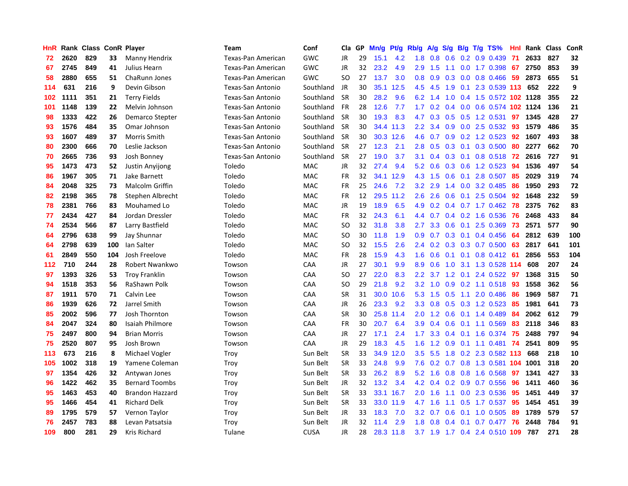| HnR |      | Rank Class ConR Player |     |                        | <b>Team</b>        | Conf        | Cla       | GP | Mn/g | <b>Pt/g</b> | Rb/g             | A/g |                  |                 | S/g B/g T/g TS%               | Hnl | Rank | <b>Class</b> | ConR       |
|-----|------|------------------------|-----|------------------------|--------------------|-------------|-----------|----|------|-------------|------------------|-----|------------------|-----------------|-------------------------------|-----|------|--------------|------------|
| 72  | 2620 | 829                    | 33  | Manny Hendrix          | Texas-Pan American | GWC         | JR        | 29 | 15.1 | 4.2         | 1.8              | 0.8 | 0.6              |                 | $0.2$ 0.9 0.439               | 71  | 2633 | 827          | 32         |
| 67  | 2745 | 849                    | 41  | Julius Hearn           | Texas-Pan American | GWC         | JR        | 32 | 23.2 | 4.9         | 2.9              | 1.5 |                  |                 | 1.1 0.0 1.7 0.398 67          |     | 2750 | 853          | 39         |
| 58  | 2880 | 655                    | 51  | ChaRunn Jones          | Texas-Pan American | GWC         | <b>SO</b> | 27 | 13.7 | 3.0         | 0.8              | 0.9 |                  |                 | $0.3$ 0.0 0.8 0.466           | -59 | 2873 | 655          | 51         |
| 114 | 631  | 216                    | 9   | Devin Gibson           | Texas-San Antonio  | Southland   | JR        | 30 | 35.1 | 12.5        | 4.5              | 4.5 | 1.9              |                 | 0.1 2.3 0.539 113 652         |     |      | 222          | 9          |
| 102 | 1111 | 351                    | 21  | <b>Terry Fields</b>    | Texas-San Antonio  | Southland   | <b>SR</b> | 30 | 28.2 | 9.6         | 6.2              | 1.4 | 1.0              |                 | 0.4 1.5 0.572 102 1128        |     |      | 355          | 22         |
| 101 | 1148 | 139                    | 22  | Melvin Johnson         | Texas-San Antonio  | Southland   | <b>FR</b> | 28 | 12.6 | 7.7         | 1.7              | 0.2 |                  |                 | 0.4 0.0 0.6 0.574 102 1124    |     |      | 136          | 21         |
| 98  | 1333 | 422                    | 26  | <b>Demarco Stepter</b> | Texas-San Antonio  | Southland   | <b>SR</b> | 30 | 19.3 | 8.3         | 4.7              | 0.3 | 0.5              |                 | 0.5 1.2 0.531                 | 97  | 1345 | 428          | 27         |
| 93  | 1576 | 484                    | 35  | Omar Johnson           | Texas-San Antonio  | Southland   | <b>SR</b> | 30 | 34.4 | 11.3        | $2.2\phantom{0}$ | 3.4 | 0.9              |                 | $0.0$ 2.5 $0.532$             | 93  | 1579 | 486          | 35         |
| 93  | 1607 | 489                    | 37  | Morris Smith           | Texas-San Antonio  | Southland   | <b>SR</b> | 30 | 30.3 | 12.6        | 4.6              | 0.7 | 0.9              |                 | 0.2 1.2 0.523                 | 92  | 1607 | 493          | 38         |
| 80  | 2300 | 666                    | 70  | Leslie Jackson         | Texas-San Antonio  | Southland   | <b>SR</b> | 27 | 12.3 | 2.1         | 2.8              | 0.5 |                  |                 | $0.3$ 0.1 0.3 0.500           | 80  | 2277 | 662          | 70         |
| 70  | 2665 | 736                    | 93  | Josh Bonney            | Texas-San Antonio  | Southland   | <b>SR</b> | 27 | 19.0 | 3.7         | 3.1              | 0.4 |                  |                 | 0.3 0.1 0.8 0.518 72          |     | 2616 | 727          | 91         |
| 95  | 1473 | 473                    | 52  | <b>Justin Anyijong</b> | Toledo             | MAC         | JR        | 32 | 27.4 | 9.4         | 5.2              | 0.6 |                  |                 | $0.3$ 0.6 1.2 0.523           | -94 | 1536 | 497          | 54         |
| 86  | 1967 | 305                    | 71  | Jake Barnett           | Toledo             | MAC         | <b>FR</b> | 32 | 34.1 | 12.9        | 4.3              | 1.5 | 0.6              | 0.1             | 2.8 0.507                     | 85  | 2029 | 319          | 74         |
| 84  | 2048 | 325                    | 73  | <b>Malcolm Griffin</b> | Toledo             | MAC         | FR        | 25 | 24.6 | 7.2         | 3.2              | 2.9 | $1.4^{\circ}$    |                 | 0.0 3.2 0.485                 | 86  | 1950 | 293          | 72         |
| 82  | 2198 | 365                    | 78  | Stephen Albrecht       | Toledo             | MAC         | <b>FR</b> | 12 | 29.5 | 11.2        | 2.6              | 2.6 | 0.6              |                 | $0.1$ 2.5 0.504               | 92  | 1648 | 232          | 59         |
| 78  | 2381 | 766                    | 83  | Mouhamed Lo            | Toledo             | MAC         | JR        | 19 | 18.9 | 6.5         | 4.9              | 0.2 |                  |                 | $0.4$ 0.7 1.7 0.462           | 78  | 2375 | 762          | 83         |
| 77  | 2434 | 427                    | 84  | Jordan Dressler        | Toledo             | <b>MAC</b>  | FR        | 32 | 24.3 | 6.1         | 4.4              | 0.7 |                  |                 | 0.4 0.2 1.6 0.536             | 76  | 2468 | 433          | 84         |
| 74  | 2534 | 566                    | 87  | Larry Bastfield        | Toledo             | <b>MAC</b>  | <b>SO</b> | 32 | 31.8 | 3.8         | 2.7              | 3.3 | 0.6              |                 | $0.1$ 2.5 0.369               | 73  | 2571 | 577          | 90         |
| 64  | 2796 | 638                    | 99  | Jay Shunnar            | Toledo             | <b>MAC</b>  | <b>SO</b> | 30 | 11.8 | 1.9         | 0.9 <sub>0</sub> | 0.7 |                  |                 | $0.3$ 0.1 0.4 0.456           | -64 | 2812 | 639          | 100        |
| 64  | 2798 | 639                    | 100 | Ian Salter             | Toledo             | <b>MAC</b>  | <b>SO</b> | 32 | 15.5 | 2.6         | $2.4^{\circ}$    | 0.2 |                  |                 | $0.3$ 0.3 0.7 0.500           | -63 | 2817 | 641          | 101        |
| 61  | 2849 | 550                    | 104 | Josh Freelove          | Toledo             | <b>MAC</b>  | FR        | 28 | 15.9 | 4.3         | 1.6              | 0.6 |                  |                 | $0.1$ 0.1 0.8 0.412           | -61 | 2856 | 553          | 104        |
| 112 | 710  | 244                    | 28  | Robert Nwankwo         | Towson             | CAA         | JR        | 27 | 30.1 | 9.9         | 8.9              | 0.6 | 1.0              |                 | 3.1 1.3 0.528 114             |     | 608  | 207          | 24         |
| 97  | 1393 | 326                    | 53  | <b>Troy Franklin</b>   | Towson             | CAA         | SO        | 27 | 22.0 | 8.3         | 2.2              | 3.7 |                  | $1.2 \quad 0.1$ | 2.4 0.522                     | -97 | 1368 | 315          | 50         |
| 94  | 1518 | 353                    | 56  | RaShawn Polk           | Towson             | CAA         | <b>SO</b> | 29 | 21.8 | 9.2         | 3.2              | 1.0 | 0.9 <sub>0</sub> |                 | $0.2$ 1.1 0.518               | 93  | 1558 | 362          | 56         |
| 87  | 1911 | 570                    | 71  | Calvin Lee             | Towson             | CAA         | <b>SR</b> | 31 | 30.0 | 10.6        | 5.3              | 1.5 | 0.5              | 1.1             | 2.0 0.486                     | -86 | 1969 | 587          | ${\bf 71}$ |
| 86  | 1939 | 626                    | 72  | Jarrel Smith           | Towson             | CAA         | JR        | 26 | 23.3 | 9.2         | 3.3 <sub>2</sub> | 0.8 |                  |                 | $0.5$ $0.3$ 1.2 $0.523$       | -85 | 1981 | 641          | 73         |
| 85  | 2002 | 596                    | 77  | Josh Thornton          | Towson             | CAA         | <b>SR</b> | 30 |      | 25.8 11.4   | 2.0 <sub>1</sub> |     |                  |                 | 1.2 0.6 0.1 1.4 0.489 84      |     | 2062 | 612          | 79         |
| 84  | 2047 | 324                    | 80  | Isaiah Philmore        | Towson             | CAA         | <b>FR</b> | 30 | 20.7 | 6.4         | 3.9              | 0.4 |                  |                 | $0.6$ 0.1 1.1 0.569           | -83 | 2118 | 346          | 83         |
| 75  | 2497 | 800                    | 94  | <b>Brian Morris</b>    | Towson             | CAA         | JR        | 27 | 17.1 | 2.4         | 1.7              | 3.3 |                  |                 | 0.4 0.1 1.6 0.374 75          |     | 2488 | 797          | 94         |
| 75  | 2520 | 807                    | 95  | Josh Brown             | Towson             | CAA         | <b>JR</b> | 29 | 18.3 | 4.5         | 1.6              | 1.2 | 0.9              |                 | $0.1$ 1.1 0.481               | 74  | 2541 | 809          | 95         |
| 113 | 673  | 216                    | 8   | Michael Vogler         | Troy               | Sun Belt    | <b>SR</b> | 33 | 34.9 | 12.0        | 3.5              | 5.5 | 1.8              |                 | 0.2 2.3 0.582 113             |     | 668  | 218          | 10         |
| 105 | 1002 | 318                    | 19  | Yamene Coleman         | Troy               | Sun Belt    | <b>SR</b> | 33 | 24.8 | 9.9         | 7.6              | 0.2 | 0.7              |                 | 0.8 1.3 0.581 104             |     | 1001 | 318          | 20         |
| 97  | 1354 | 426                    | 32  | Antywan Jones          | Troy               | Sun Belt    | <b>SR</b> | 33 | 26.2 | 8.9         | 5.2              | 1.6 | 0.8              |                 | 0.8 1.6 0.568                 | 97  | 1341 | 427          | 33         |
| 96  | 1422 | 462                    | 35  | <b>Bernard Toombs</b>  | Troy               | Sun Belt    | <b>JR</b> | 32 | 13.2 | 3.4         | 4.2              | 0.4 | 0.2              |                 | 0.9 0.7 0.556                 | 96  | 1411 | 460          | 36         |
| 95  | 1463 | 453                    | 40  | <b>Brandon Hazzard</b> | Troy               | Sun Belt    | <b>SR</b> | 33 | 33.1 | 16.7        | 2.0              | 1.6 |                  |                 | 1.1 0.0 2.3 0.536             | 95  | 1451 | 449          | 37         |
| 95  | 1466 | 454                    | 41  | <b>Richard Delk</b>    | Troy               | Sun Belt    | <b>SR</b> | 33 | 33.0 | 11.9        | 4.7              | 1.6 |                  |                 | 1.1 0.5 1.7 0.537             | 95  | 1454 | 451          | 39         |
| 89  | 1795 | 579                    | 57  | Vernon Taylor          | Troy               | Sun Belt    | JR        | 33 | 18.3 | 7.0         | 3.2              | 0.7 | 0.6              |                 | $0.1$ 1.0 0.505               | 89  | 1789 | 579          | 57         |
| 76  | 2457 | 783                    | 88  | Levan Patsatsia        | Troy               | Sun Belt    | <b>JR</b> | 32 | 11.4 | 2.9         | 1.8              | 0.8 | 0.4              | 0.1             | $0.7$ 0.477                   | 76  | 2448 | 784          | 91         |
| 109 | 800  | 281                    | 29  | Kris Richard           | Tulane             | <b>CUSA</b> | <b>JR</b> | 28 |      | 28.3 11.8   |                  |     |                  |                 | 3.7 1.9 1.7 0.4 2.4 0.510 109 |     | 787  | 271          | 28         |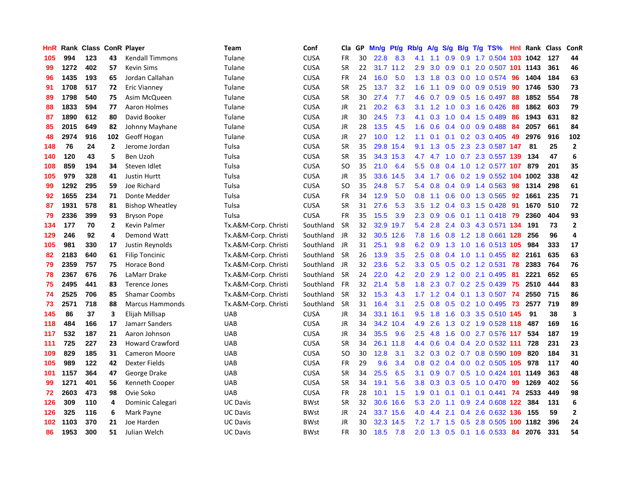| HnR |      | Rank Class ConR Player |              |                        | Team                 | Conf        | Cla       | <b>GP</b> | Mn/g | <b>Pt/g</b> | Rb/g             | A/g         |                  |  | S/g B/g T/g TS%               |     | <b>Hnl</b> Rank | <b>Class</b> | ConR                    |
|-----|------|------------------------|--------------|------------------------|----------------------|-------------|-----------|-----------|------|-------------|------------------|-------------|------------------|--|-------------------------------|-----|-----------------|--------------|-------------------------|
| 105 | 994  | 123                    | 43           | <b>Kendall Timmons</b> | Tulane               | <b>CUSA</b> | <b>FR</b> | 30        | 22.8 | 8.3         | 4.1              | 1.1         | 0.9              |  | 0.9 1.7 0.504 103 1042        |     |                 | 127          | 44                      |
| 99  | 1272 | 402                    | 57           | <b>Kevin Sims</b>      | Tulane               | <b>CUSA</b> | <b>SR</b> | 22        |      | 31.7 11.2   | 2.9              | 3.0         |                  |  | 0.9 0.1 2.0 0.507 101 1143    |     |                 | 361          | 46                      |
| 96  | 1435 | 193                    | 65           | Jordan Callahan        | Tulane               | <b>CUSA</b> | <b>FR</b> | 24        | 16.0 | 5.0         | 1.3              | 1.8         |                  |  | $0.3$ 0.0 1.0 0.574           | -96 | 1404            | 184          | 63                      |
| 91  | 1708 | 517                    | 72           | Eric Vianney           | Tulane               | <b>CUSA</b> | <b>SR</b> | 25        | 13.7 | 3.2         | 1.6              | 1.1         |                  |  | $0.9$ 0.0 0.9 0.519           | -90 | 1746            | 530          | 73                      |
| 89  | 1798 | 540                    | 75           | Asim McQueen           | Tulane               | <b>CUSA</b> | <b>SR</b> | 30        | 27.4 | 7.7         | 4.6              | 0.7         | 0.9 <sub>0</sub> |  | 0.5 1.6 0.497                 | 88  | 1852            | 554          | 78                      |
| 88  | 1833 | 594                    | 77           | Aaron Holmes           | Tulane               | <b>CUSA</b> | <b>JR</b> | 21        | 20.2 | 6.3         | 3.1              | 1.2         |                  |  | 1.0 0.3 1.6 0.426             | -88 | 1862            | 603          | 79                      |
| 87  | 1890 | 612                    | 80           | David Booker           | Tulane               | <b>CUSA</b> | <b>JR</b> | 30        | 24.5 | 7.3         | 4.1              | 0.3         | 1.0              |  | $0.4$ 1.5 0.489               | -86 | 1943            | 631          | 82                      |
| 85  | 2015 | 649                    | 82           | Johnny Mayhane         | Tulane               | <b>CUSA</b> | <b>JR</b> | 28        | 13.5 | 4.5         | 1.6              | 0.6         |                  |  | $0.4$ 0.0 0.9 0.488           | -84 | 2057            | 661          | 84                      |
| 48  | 2974 | 916                    | 102          | Geoff Hogan            | Tulane               | <b>CUSA</b> | <b>JR</b> | 27        | 10.0 | 1.2         | 1.1              | 0.1         | 0.1              |  | $0.2$ 0.3 0.405               | 49  | 2976            | 916          | 102                     |
| 148 | 76   | 24                     | $\mathbf{2}$ | Jerome Jordan          | Tulsa                | <b>CUSA</b> | <b>SR</b> | 35        | 29.8 | 15.4        | 9.1              | 1.3         |                  |  | 0.5 2.3 2.3 0.587 147         |     | -81             | 25           | $\overline{2}$          |
| 140 | 120  | 43                     | 5            | Ben Uzoh               | Tulsa                | <b>CUSA</b> | <b>SR</b> | 35        |      | 34.3 15.3   |                  |             |                  |  | 4.7 4.7 1.0 0.7 2.3 0.557 139 |     | 134             | 47           | 6                       |
| 108 | 859  | 194                    | 34           | Steven Idlet           | Tulsa                | <b>CUSA</b> | SO        | 35        | 21.0 | 6.4         | 5.5 <sub>1</sub> | 0.8         |                  |  | $0.4$ 1.0 1.2 0.577 107       |     | 879             | 201          | 35                      |
| 105 | 979  | 328                    | 41           | <b>Justin Hurtt</b>    | Tulsa                | <b>CUSA</b> | JR        | 35        | 33.6 | 14.5        | 3.4              | 1.7         | 0.6              |  | 0.2 1.9 0.552 104             |     | 1002            | 338          | 42                      |
| 99  | 1292 | 295                    | 59           | Joe Richard            | Tulsa                | <b>CUSA</b> | SO        | 35        | 24.8 | 5.7         | 5.4              | 0.8         |                  |  | $0.4$ 0.9 1.4 0.563           | 98  | 1314            | 298          | 61                      |
| 92  | 1655 | 234                    | 71           | Donte Medder           | Tulsa                | <b>CUSA</b> | <b>FR</b> | 34        | 12.9 | 5.0         | 0.8              | 1.1         |                  |  | 0.6 0.0 1.3 0.565             | -92 | 1661            | 235          | 71                      |
| 87  | 1931 | 578                    | 81           | <b>Bishop Wheatley</b> | Tulsa                | CUSA        | <b>SR</b> | 31        | 27.6 | 5.3         | 3.5              | 1.2         |                  |  | 0.4 0.3 1.5 0.428             | -91 | 1670            | 510          | 72                      |
| 79  | 2336 | 399                    | 93           | <b>Bryson Pope</b>     | Tulsa                | <b>CUSA</b> | <b>FR</b> | 35        | 15.5 | 3.9         | 2.3              | 0.9         | 0.6              |  | 0.1 1.1 0.418 79              |     | 2360            | 404          | 93                      |
| 134 | 177  | 70                     | $\mathbf{2}$ | <b>Kevin Palmer</b>    | Tx.A&M-Corp. Christi | Southland   | <b>SR</b> | 32        | 32.9 | 19.7        | 5.4              | 2.8         |                  |  | 2.4 0.3 4.3 0.571 134         |     | 191             | 73           | $\overline{2}$          |
| 129 | 246  | 92                     | 4            | <b>Demond Watt</b>     | Tx.A&M-Corp. Christi | Southland   | JR        | 32        | 30.5 | 12.6        | 7.8              | 1.6         |                  |  | 0.8 1.2 1.8 0.661 128         |     | 256             | 96           | $\overline{\mathbf{4}}$ |
| 105 | 981  | 330                    | 17           | Justin Reynolds        | Tx.A&M-Corp. Christi | Southland   | JR        | 31        | 25.1 | 9.8         | 6.2              | 0.9         |                  |  | 1.3 1.0 1.6 0.513 105         |     | 984             | 333          | 17                      |
| 82  | 2183 | 640                    | 61           | <b>Filip Toncinic</b>  | Tx.A&M-Corp. Christi | Southland   | <b>SR</b> | 26        | 13.9 | 3.5         | 2.5              | 0.8         |                  |  | $0.4$ 1.0 1.1 0.455           | -82 | 2161            | 635          | 63                      |
| 79  | 2359 | 757                    | 75           | Horace Bond            | Tx.A&M-Corp. Christi | Southland   | JR        | 32        | 23.6 | 5.2         | 3.3 <sub>2</sub> | 0.5         | 0.5              |  | $0.2$ 1.2 0.531               | 78  | 2383            | 764          | 76                      |
| 78  | 2367 | 676                    | 76           | LaMarr Drake           | Tx.A&M-Corp. Christi | Southland   | <b>SR</b> | 24        | 22.0 | 4.2         | 2.0              | 2.9         |                  |  | 1.2 0.0 2.1 0.495             | 81  | 2221            | 652          | 65                      |
| 75  | 2495 | 441                    | 83           | <b>Terence Jones</b>   | Tx.A&M-Corp. Christi | Southland   | <b>FR</b> | 32        | 21.4 | 5.8         | 1.8              | 2.3         | 0.7              |  | $0.2$ 2.5 0.439               | 75  | 2510            | 444          | 83                      |
| 74  | 2525 | 706                    | 85           | <b>Shamar Coombs</b>   | Tx.A&M-Corp. Christi | Southland   | <b>SR</b> | 32        | 15.3 | 4.3         |                  | $1.7$ $1.2$ |                  |  | 0.4 0.1 1.3 0.507             | -74 | 2550            | 715          | 86                      |
| 73  | 2571 | 718                    | 88           | <b>Marcus Hammonds</b> | Tx.A&M-Corp. Christi | Southland   | <b>SR</b> | 31        | 16.4 | 3.1         | $2.5^{\circ}$    | 0.8         |                  |  | 0.5 0.2 1.0 0.495 73          |     | 2577            | 719          | 89                      |
| 145 | 86   | 37                     | 3            | Elijah Millsap         | UAB                  | <b>CUSA</b> | <b>JR</b> | 34        | 33.1 | 16.1        | 9.5              | 1.8         |                  |  | 1.6 0.3 3.5 0.510 145         |     | 91              | 38           | 3                       |
| 118 | 484  | 166                    | 17           | Jamarr Sanders         | <b>UAB</b>           | <b>CUSA</b> | JR        | 34        | 34.2 | 10.4        | 4.9              | 2.6         |                  |  | 1.3 0.2 1.9 0.528 118         |     | 487             | 169          | 16                      |
| 117 | 532  | 187                    | 21           | Aaron Johnson          | <b>UAB</b>           | <b>CUSA</b> | <b>JR</b> | 34        | 35.5 | 9.6         | 2.5              | 4.8         | 1.6              |  | 0.0 2.7 0.576 117             |     | 534             | 187          | 19                      |
| 111 | 725  | 227                    | 23           | <b>Howard Crawford</b> | <b>UAB</b>           | <b>CUSA</b> | <b>SR</b> | 34        | 26.1 | 11.8        | 4.4              | 0.6         |                  |  | 0.4 0.4 2.0 0.532 111         |     | 728             | 231          | 23                      |
| 109 | 829  | 185                    | 31           | <b>Cameron Moore</b>   | <b>UAB</b>           | <b>CUSA</b> | SO        | 30        | 12.8 | 3.1         | 3.2              | 0.3         |                  |  | 0.2 0.7 0.8 0.590 109         |     | 820             | 184          | 31                      |
| 105 | 989  | 122                    | 42           | <b>Dexter Fields</b>   | <b>UAB</b>           | <b>CUSA</b> | <b>FR</b> | 29        | 9.6  | 3.4         | 0.8              | 0.2         |                  |  | 0.4 0.0 0.2 0.505 105         |     | 978             | 117          | 40                      |
| 101 | 1157 | 364                    | 47           | George Drake           | <b>UAB</b>           | <b>CUSA</b> | SR        | 34        | 25.5 | 6.5         | 3.1              | 0.9         |                  |  | 0.7 0.5 1.0 0.424 101 1149    |     |                 | 363          | 48                      |
| 99  | 1271 | 401                    | 56           | Kenneth Cooper         | <b>UAB</b>           | <b>CUSA</b> | <b>SR</b> | 34        | 19.1 | 5.6         | 3.8              | 0.3         | 0.3              |  | 0.5 1.0 0.470                 | -99 | 1269            | 402          | 56                      |
| 72  | 2603 | 473                    | 98           | Ovie Soko              | <b>UAB</b>           | <b>CUSA</b> | <b>FR</b> | 28        | 10.1 | 1.5         | 1.9              | 0.1         |                  |  | $0.1$ 0.1 0.1 0.441           | -74 | 2533            | 449          | 98                      |
| 126 | 309  | 110                    | 4            | Dominic Calegari       | <b>UC Davis</b>      | BWst        | <b>SR</b> | 32        | 30.6 | 16.6        | 5.3              | 2.0         |                  |  | 1.1 0.9 2.4 0.608 122         |     | 384             | 131          | 6                       |
| 126 | 325  | 116                    | 6            | Mark Payne             | <b>UC Davis</b>      | BWst        | JR        | 24        |      | 33.7 15.6   | 4.0              | 4.4         | 2.1              |  | 0.4 2.6 0.632 136 155         |     |                 | 59           | $\overline{2}$          |
| 102 | 1103 | 370                    | 21           | Joe Harden             | <b>UC Davis</b>      | <b>BWst</b> | <b>JR</b> | 30        | 32.3 | 14.5        | 7.2              | 1.7         | 1.5              |  | 0.5 2.8 0.505                 |     | 100 1182        | 396          | 24                      |
| 86  | 1953 | 300                    | 51           | Julian Welch           | <b>UC Davis</b>      | <b>BWst</b> | <b>FR</b> | 30        | 18.5 | 7.8         | 2.0              | 1.3         |                  |  | 0.5 0.1 1.6 0.533 84          |     | 2076            | 331          | 54                      |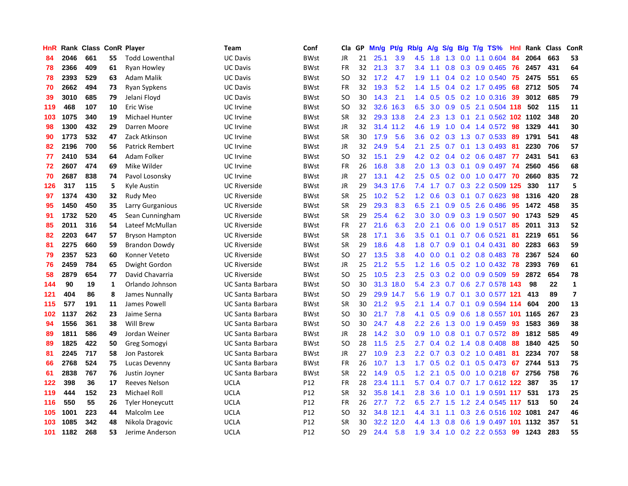| HnR |      | Rank Class ConR Player |    |                        | <b>Team</b>             | Conf        | Cla.          | <b>GP</b> | Mn/g | <b>Pt/g</b> | Rb/g             | A/g    | S/g |                 | B/g T/g TS%                   | Hnl | Rank | <b>Class</b> | ConR                    |
|-----|------|------------------------|----|------------------------|-------------------------|-------------|---------------|-----------|------|-------------|------------------|--------|-----|-----------------|-------------------------------|-----|------|--------------|-------------------------|
| 84  | 2046 | 661                    | 55 | <b>Todd Lowenthal</b>  | <b>UC Davis</b>         | <b>BWst</b> | <b>JR</b>     | 21        | 25.1 | 3.9         | 4.5              | 1.8    |     |                 | 1.3 0.0 1.1 0.604 84          |     | 2064 | 663          | 53                      |
| 78  | 2366 | 409                    | 61 | Ryan Howley            | <b>UC Davis</b>         | BWst        | <b>FR</b>     | 32        | 21.3 | 3.7         | 3.4              | $-1.1$ |     |                 | 0.8 0.3 0.9 0.465 76          |     | 2457 | 431          | 64                      |
| 78  | 2393 | 529                    | 63 | Adam Malik             | <b>UC Davis</b>         | <b>BWst</b> | SO            | 32        | 17.2 | 4.7         | 1.9              | $-1.1$ |     |                 | $0.4$ 0.2 1.0 0.540           | 75  | 2475 | 551          | 65                      |
| 70  | 2662 | 494                    | 73 | Ryan Sypkens           | <b>UC Davis</b>         | <b>BWst</b> | <b>FR</b>     | 32        | 19.3 | 5.2         | 1.4              | 1.5    |     |                 | 0.4 0.2 1.7 0.495             | 68  | 2712 | 505          | 74                      |
| 39  | 3010 | 685                    | 79 | Jelani Floyd           | <b>UC Davis</b>         | <b>BWst</b> | <b>SO</b>     | 30        | 14.3 | 2.1         | 1.4              | 0.5    | 0.5 |                 | 0.2 1.0 0.316                 | -39 | 3012 | 685          | 79                      |
| 119 | 468  | 107                    | 10 | Eric Wise              | UC Irvine               | BWst        | SO            | 32        |      | 32.6 16.3   | 6.5              | 3.0    |     |                 | 0.9 0.5 2.1 0.504 118         |     | 502  | 115          | 11                      |
| 103 | 1075 | 340                    | 19 | <b>Michael Hunter</b>  | UC Irvine               | <b>BWst</b> | <b>SR</b>     | 32        |      | 29.3 13.8   | $2.4^{\circ}$    | 2.3    | 1.3 | 0.1             | 2.1 0.562 102 1102            |     |      | 348          | 20                      |
| 98  | 1300 | 432                    | 29 | Darren Moore           | UC Irvine               | <b>BWst</b> | <b>JR</b>     | 32        |      | 31.4 11.2   | 4.6              | 1.9    | 1.0 |                 | 0.4 1.4 0.572 98              |     | 1329 | 441          | 30                      |
| 90  | 1773 | 532                    | 47 | Zack Atkinson          | UC Irvine               | <b>BWst</b> | <b>SR</b>     | 30        | 17.9 | 5.6         | 3.6              | 0.2    | 0.3 |                 | 1.3 0.7 0.533 89              |     | 1791 | 541          | 48                      |
| 82  | 2196 | 700                    | 56 | <b>Patrick Rembert</b> | UC Irvine               | <b>BWst</b> | JR            | 32        | 24.9 | 5.4         | 2.1              | 2.5    |     |                 | 0.7 0.1 1.3 0.493 81          |     | 2230 | 706          | 57                      |
| 77  | 2410 | 534                    | 64 | Adam Folker            | UC Irvine               | <b>BWst</b> | <b>SO</b>     | 32        | 15.1 | 2.9         | 4.2              | 0.2    |     |                 | 0.4 0.2 0.6 0.487 77          |     | 2431 | 541          | 63                      |
| 72  | 2607 | 474                    | 69 | Mike Wilder            | UC Irvine               | BWst        | <b>FR</b>     | 26        | 16.8 | 3.8         | 2.0              | 1.3    |     |                 | 0.3 0.1 0.9 0.497 74          |     | 2560 | 456          | 68                      |
| 70  | 2687 | 838                    | 74 | Pavol Losonsky         | <b>UC</b> Irvine        | <b>BWst</b> | <b>JR</b>     | 27        | 13.1 | 4.2         | $2.5^{\circ}$    | 0.5    |     |                 | 0.2 0.0 1.0 0.477 70          |     | 2660 | 835          | 72                      |
| 126 | 317  | 115                    | 5  | Kyle Austin            | <b>UC Riverside</b>     | <b>BWst</b> | JR            | 29        |      | 34.3 17.6   | 7.4              | 1.7    |     |                 | 0.7 0.3 2.2 0.509 125         |     | 330  | 117          | 5                       |
| 97  | 1374 | 430                    | 32 | Rudy Meo               | <b>UC Riverside</b>     | <b>BWst</b> | <b>SR</b>     | 25        | 10.2 | 5.2         | 1.2              | 0.6    | 0.3 |                 | $0.1$ 0.7 0.623               | -98 | 1316 | 420          | 28                      |
| 95  | 1450 | 450                    | 35 | Larry Gurganious       | <b>UC Riverside</b>     | BWst        | <b>SR</b>     | 29        | 29.3 | 8.3         | 6.5              | 2.1    | 0.9 |                 | 0.5 2.6 0.486                 | -95 | 1472 | 458          | 35                      |
| 91  | 1732 | 520                    | 45 | Sean Cunningham        | <b>UC Riverside</b>     | <b>BWst</b> | SR            | 29        | 25.4 | 6.2         | 3.0 <sub>2</sub> | 3.0    | 0.9 |                 | 0.3 1.9 0.507                 | 90  | 1743 | 529          | 45                      |
| 85  | 2011 | 316                    | 54 | Lateef McMullan        | <b>UC Riverside</b>     | <b>BWst</b> | <b>FR</b>     | 27        | 21.6 | 6.3         | 2.0              | 2.1    |     |                 | 0.6 0.0 1.9 0.517 85          |     | 2011 | 313          | 52                      |
| 82  | 2203 | 647                    | 57 | <b>Bryson Hampton</b>  | <b>UC Riverside</b>     | BWst        | <b>SR</b>     | 28        | 17.1 | 3.6         | 3.5              | 0.1    |     |                 | $0.1$ 0.7 0.6 0.521           | -81 | 2219 | 651          | 56                      |
| 81  | 2275 | 660                    | 59 | <b>Brandon Dowdy</b>   | <b>UC Riverside</b>     | <b>BWst</b> | <b>SR</b>     | 29        | 18.6 | 4.8         | 1.8              | 0.7    |     |                 | $0.9$ 0.1 0.4 0.431           | -80 | 2283 | 663          | 59                      |
| 79  | 2357 | 523                    | 60 | Konner Veteto          | <b>UC Riverside</b>     | <b>BWst</b> | <b>SO</b>     | 27        | 13.5 | 3.8         | 4.0              | 0.0    |     |                 | $0.1$ 0.2 0.8 0.483 78        |     | 2367 | 524          | 60                      |
| 76  | 2459 | 784                    | 65 | Dwight Gordon          | <b>UC Riverside</b>     | BWst        | JR            | 25        | 21.2 | 5.5         | $1.2^{\circ}$    | 1.6    |     |                 | $0.5$ $0.2$ 1.0 $0.432$ 78    |     | 2393 | 769          | 61                      |
| 58  | 2879 | 654                    | 77 | David Chavarria        | <b>UC Riverside</b>     | <b>BWst</b> | SO.           | 25        | 10.5 | 2.3         | 2.5              | 0.3    |     |                 | $0.2$ 0.0 0.9 0.509           | 59  | 2872 | 654          | 78                      |
| 144 | 90   | 19                     | 1  | Orlando Johnson        | <b>UC Santa Barbara</b> | BWst        | SO.           | 30        | 31.3 | 18.0        | 5.4              | 2.3    |     |                 | 0.7 0.6 2.7 0.578 143         |     | 98   | 22           | $\mathbf{1}$            |
| 121 | 404  | 86                     | 8  | James Nunnally         | UC Santa Barbara        | BWst        | SO            | 29        | 29.9 | 14.7        | 5.6              | 1.9    |     | $0.7 \quad 0.1$ | 3.0 0.577 121                 |     | 413  | 89           | $\overline{\mathbf{z}}$ |
| 115 | 577  | 191                    | 11 | James Powell           | UC Santa Barbara        | BWst        | <b>SR</b>     | 30        | 21.2 | 9.5         | 2.1              | 1.4    |     |                 | 0.7 0.1 0.9 0.594 114         |     | 604  | 200          | 13                      |
| 102 | 1137 | 262                    | 23 | Jaime Serna            | UC Santa Barbara        | <b>BWst</b> | SO.           | 30        | 21.7 | 7.8         | 4.1              | 0.5    |     |                 | 0.9 0.6 1.8 0.557 101 1165    |     |      | 267          | 23                      |
| 94  | 1556 | 361                    | 38 | Will Brew              | <b>UC Santa Barbara</b> | <b>BWst</b> | <b>SO</b>     | 30        | 24.7 | 4.8         | 2.2              | 2.6    |     |                 | 1.3 0.0 1.9 0.459             | 93  | 1583 | 369          | 38                      |
| 89  | 1811 | 586                    | 49 | Jordan Weiner          | <b>UC Santa Barbara</b> | <b>BWst</b> | <b>JR</b>     | 28        | 14.2 | 3.0         | 0.9              | 1.0    | 0.8 |                 | 0.1 0.7 0.572 89              |     | 1812 | 585          | 49                      |
| 89  | 1825 | 422                    | 50 | Greg Somogyi           | UC Santa Barbara        | BWst        | <b>SO</b>     | 28        | 11.5 | 2.5         | $2.7^{\circ}$    | 0.4    | 0.2 |                 | 1.4 0.8 0.408                 | -88 | 1840 | 425          | 50                      |
| 81  | 2245 | 717                    | 58 | Jon Pastorek           | UC Santa Barbara        | BWst        | JR            | 27        | 10.9 | 2.3         | $2.2^{\circ}$    | 0.7    |     |                 | 0.3 0.2 1.0 0.481             | -81 | 2234 | 707          | 58                      |
| 66  | 2768 | 524                    | 75 | Lucas Devenny          | <b>UC Santa Barbara</b> | <b>BWst</b> | <b>FR</b>     | 26        | 10.7 | 1.3         | 1.7              | 0.5    |     |                 | $0.2$ 0.1 0.5 0.473           | 67  | 2744 | 513          | 75                      |
| 61  | 2838 | 767                    | 76 | Justin Joyner          | <b>UC Santa Barbara</b> | <b>BWst</b> | <b>SR</b>     | 22        | 14.9 | 0.5         | 1.2              | 2.1    |     |                 | 0.5 0.0 1.0 0.218 67          |     | 2756 | 758          | 76                      |
| 122 | 398  | 36                     | 17 | Reeves Nelson          | <b>UCLA</b>             | P12         | <b>FR</b>     | 28        |      | 23.4 11.1   | 5.7              | 0.4    |     |                 | 0.7 0.7 1.7 0.612 122 387     |     |      | 35           | 17                      |
| 119 | 444  | 152                    | 23 | <b>Michael Roll</b>    | <b>UCLA</b>             | P12         | <b>SR</b>     | 32        |      | 35.8 14.1   | 2.8              | 3.6    |     |                 | 1.0 0.1 1.9 0.591 117         |     | 531  | 173          | 25                      |
| 116 | 550  | 55                     | 26 | <b>Tyler Honeycutt</b> | <b>UCLA</b>             | P12         | <b>FR</b>     | 26        | 27.7 | 7.2         | 6.5              |        |     |                 | 2.7 1.5 1.2 2.4 0.545 117 513 |     |      | 50           | 24                      |
| 105 | 1001 | 223                    | 44 | Malcolm Lee            | <b>UCLA</b>             | P12         | <sub>SO</sub> | 32        |      | 34.8 12.1   | 4.4              | 3.1    |     |                 | 1.1 0.3 2.6 0.516 102 1081    |     |      | 247          | 46                      |
| 103 | 1085 | 342                    | 48 | Nikola Dragovic        | UCLA                    | P12         | <b>SR</b>     | 30        | 32.2 | 12.0        | 4.4              | 1.3    | 0.8 |                 | 0.6 1.9 0.497 101 1132        |     |      | 357          | 51                      |
| 101 | 1182 | 268                    | 53 | Jerime Anderson        | <b>UCLA</b>             | P12         | SO            | 29        | 24.4 | 5.8         | 1.9              |        |     |                 | 3.4 1.0 0.2 2.2 0.553 99      |     | 1243 | 283          | 55                      |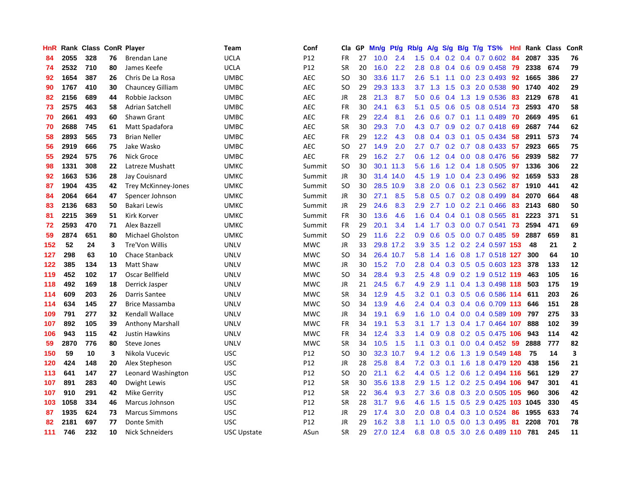| HnR |      | Rank Class ConR Player |    |                            | Team               | Conf       | Cla           | <b>GP</b> | Mn/g | <b>Pt/g</b> | Rb/g             | A/g       |                  |                 | S/g B/g T/g TS%             | Hnl | Rank | <b>Class</b> | <b>ConR</b>             |
|-----|------|------------------------|----|----------------------------|--------------------|------------|---------------|-----------|------|-------------|------------------|-----------|------------------|-----------------|-----------------------------|-----|------|--------------|-------------------------|
| 84  | 2055 | 328                    | 76 | <b>Brendan Lane</b>        | <b>UCLA</b>        | P12        | FR            | 27        | 10.0 | 2.4         | 1.5              |           |                  |                 | $0.4$ 0.2 0.4 0.7 0.602     | -84 | 2087 | 335          | 76                      |
| 74  | 2532 | 710                    | 80 | James Keefe                | <b>UCLA</b>        | P12        | <b>SR</b>     | 20        | 16.0 | 2.2         | 2.8              | 0.8       |                  |                 | 0.4 0.6 0.9 0.458 79        |     | 2338 | 674          | 79                      |
| 92  | 1654 | 387                    | 26 | Chris De La Rosa           | <b>UMBC</b>        | <b>AEC</b> | SO            | 30        |      | 33.6 11.7   | $2.6\,$          |           |                  |                 | 5.1 1.1 0.0 2.3 0.493       | 92  | 1665 | 386          | 27                      |
| 90  | 1767 | 410                    | 30 | Chauncey Gilliam           | <b>UMBC</b>        | <b>AEC</b> | <sub>SO</sub> | 29        | 29.3 | 13.3        |                  | $3.7$ 1.3 | 1.5              |                 | 0.3 2.0 0.538               | 90  | 1740 | 402          | 29                      |
| 82  | 2156 | 689                    | 44 | Robbie Jackson             | <b>UMBC</b>        | <b>AEC</b> | JR            | 28        | 21.3 | 8.7         | 5.0              | 0.6       | 0.4              |                 | 1.3 1.9 0.536               | 83  | 2129 | 678          | 41                      |
| 73  | 2575 | 463                    | 58 | <b>Adrian Satchell</b>     | <b>UMBC</b>        | <b>AEC</b> | FR            | 30        | 24.1 | 6.3         | 5.1              | 0.5       |                  |                 | 0.6 0.5 0.8 0.514           | 73  | 2593 | 470          | 58                      |
| 70  | 2661 | 493                    | 60 | Shawn Grant                | UMBC               | <b>AEC</b> | <b>FR</b>     | 29        | 22.4 | 8.1         | 2.6              | 0.6       |                  |                 | $0.7$ 0.1 1.1 0.489         | 70  | 2669 | 495          | 61                      |
| 70  | 2688 | 745                    | 61 | Matt Spadafora             | <b>UMBC</b>        | <b>AEC</b> | <b>SR</b>     | 30        | 29.3 | 7.0         | 4.3              | 0.7       | 0.9              |                 | $0.2$ 0.7 0.418             | -69 | 2687 | 744          | 62                      |
| 58  | 2893 | 565                    | 73 | <b>Brian Neller</b>        | <b>UMBC</b>        | <b>AEC</b> | FR            | 29        | 12.2 | 4.3         | 0.8              | 0.4       |                  |                 | $0.3$ 0.1 0.5 0.434         | -58 | 2911 | 573          | 74                      |
| 56  | 2919 | 666                    | 75 | Jake Wasko                 | UMBC               | <b>AEC</b> | <b>SO</b>     | 27        | 14.9 | 2.0         | $2.7^{\circ}$    |           |                  |                 | 0.7 0.2 0.7 0.8 0.433 57    |     | 2923 | 665          | 75                      |
| 55  | 2924 | 575                    | 76 | Nick Groce                 | <b>UMBC</b>        | <b>AEC</b> | FR            | 29        | 16.2 | 2.7         | 0.6              | 1.2       |                  |                 | 0.4 0.0 0.8 0.476 56        |     | 2939 | 582          | 77                      |
| 98  | 1331 | 308                    | 22 | Latreze Mushatt            | <b>UMKC</b>        | Summit     | <b>SO</b>     | 30        |      | 30.1 11.3   | 5.6              | 1.6       |                  |                 | 1.2 0.4 1.8 0.505 97        |     | 1336 | 306          | 22                      |
| 92  | 1663 | 536                    | 28 | Jay Couisnard              | <b>UMKC</b>        | Summit     | JR            | 30        | 31.4 | 14.0        | 4.5              | 1.9       | 1.0              |                 | 0.4 2.3 0.496               | 92  | 1659 | 533          | 28                      |
| 87  | 1904 | 435                    | 42 | <b>Trey McKinney-Jones</b> | <b>UMKC</b>        | Summit     | <b>SO</b>     | 30        | 28.5 | 10.9        | 3.8              | 2.0       |                  |                 | 0.6 0.1 2.3 0.562 87        |     | 1910 | 441          | 42                      |
| 84  | 2064 | 664                    | 47 | Spencer Johnson            | <b>UMKC</b>        | Summit     | JR            | 30        | 27.1 | 8.5         | 5.8              | 0.5       |                  |                 | 0.7 0.2 0.8 0.499           | -84 | 2070 | 664          | 48                      |
| 83  | 2136 | 683                    | 50 | Bakari Lewis               | UMKC               | Summit     | JR            | 29        | 24.6 | 8.3         | 2.9              |           | $2.7 \t1.0$      |                 | $0.2$ 2.1 $0.466$           | -83 | 2143 | 680          | 50                      |
| 81  | 2215 | 369                    | 51 | Kirk Korver                | <b>UMKC</b>        | Summit     | <b>FR</b>     | 30        | 13.6 | 4.6         | 1.6              | 0.4       |                  | $0.4 \quad 0.1$ | 0.8 0.565                   | -81 | 2223 | 371          | 51                      |
| 72  | 2593 | 470                    | 71 | <b>Alex Bazzell</b>        | UMKC               | Summit     | FR            | 29        | 20.1 | 3.4         | $1.4^{\circ}$    | 1.7       |                  |                 | $0.3$ 0.0 0.7 0.541         | 73  | 2594 | 471          | 69                      |
| 59  | 2874 | 651                    | 80 | <b>Michael Gholston</b>    | <b>UMKC</b>        | Summit     | <b>SO</b>     | 29        | 11.6 | 2.2         | 0.9 <sub>0</sub> | 0.6       |                  |                 | 0.5 0.0 0.7 0.485 59        |     | 2887 | 659          | 81                      |
| 152 | 52   | 24                     | 3  | Tre'Von Willis             | <b>UNLV</b>        | <b>MWC</b> | JR            | 33        |      | 29.8 17.2   | 3.9              | 3.5       |                  |                 | 1.2 0.2 2.4 0.597 153       |     | 48   | 21           | $\overline{2}$          |
| 127 | 298  | 63                     | 10 | Chace Stanback             | <b>UNLV</b>        | <b>MWC</b> | <b>SO</b>     | 34        |      | 26.4 10.7   | 5.8              | 1.4       | 1.6              |                 | 0.8 1.7 0.518 127           |     | 300  | 64           | 10                      |
| 122 | 385  | 134                    | 13 | Matt Shaw                  | <b>UNLV</b>        | <b>MWC</b> | JR            | 30        | 15.2 | 7.0         | 2.8              | 0.4       |                  |                 | 0.3 0.5 0.5 0.603 123       |     | 378  | 133          | 12                      |
| 119 | 452  | 102                    | 17 | Oscar Bellfield            | <b>UNLV</b>        | <b>MWC</b> | <b>SO</b>     | 34        | 28.4 | 9.3         | 2.5              | 4.8       | 0.9 <sub>0</sub> |                 | 0.2 1.9 0.512 119           |     | 463  | 105          | 16                      |
| 118 | 492  | 169                    | 18 | Derrick Jasper             | <b>UNLV</b>        | <b>MWC</b> | JR            | 21        | 24.5 | 6.7         | 4.9              | 2.9       |                  |                 | 1.1 0.4 1.3 0.498 118       |     | 503  | 175          | 19                      |
| 114 | 609  | 203                    | 26 | Darris Santee              | <b>UNLV</b>        | <b>MWC</b> | <b>SR</b>     | 34        | 12.9 | 4.5         | 3.2              | 0.1       |                  |                 | 0.3 0.5 0.6 0.586 114       |     | 611  | 203          | 26                      |
| 114 | 634  | 145                    | 27 | <b>Brice Massamba</b>      | <b>UNLV</b>        | <b>MWC</b> | <sub>SO</sub> | 34        | 13.9 | 4.6         | 2.4              |           |                  |                 | $0.4$ 0.3 0.4 0.6 0.709 113 |     | 646  | 151          | 28                      |
| 109 | 791  | 277                    | 32 | Kendall Wallace            | UNLV               | <b>MWC</b> | JR            | 34        | 19.1 | 6.9         | 1.6              | 1.0       |                  |                 | 0.4 0.0 0.4 0.589 109 797   |     |      | 275          | 33                      |
| 107 | 892  | 105                    | 39 | <b>Anthony Marshall</b>    | <b>UNLV</b>        | <b>MWC</b> | FR            | 34        | 19.1 | 5.3         | 3.1              | 1.7       |                  |                 | 1.3 0.4 1.7 0.464 107       |     | 888  | 102          | 39                      |
| 106 | 943  | 115                    | 42 | Justin Hawkins             | <b>UNLV</b>        | <b>MWC</b> | <b>FR</b>     | 34        | 12.4 | 3.3         | 1.4              | 0.9       |                  |                 | 0.8 0.2 0.5 0.475 106       |     | 943  | 114          | 42                      |
| 59  | 2870 | 776                    | 80 | Steve Jones                | <b>UNLV</b>        | <b>MWC</b> | <b>SR</b>     | 34        | 10.5 | 1.5         | 1.1              | 0.3       |                  |                 | $0.1$ 0.0 0.4 0.452 59      |     | 2888 | 777          | 82                      |
| 150 | 59   | 10                     | 3  | Nikola Vucevic             | <b>USC</b>         | P12        | <b>SO</b>     | 30        | 32.3 | 10.7        | 9.4              | 1.2       | 0.6              |                 | 1.3 1.9 0.549               | 148 | 75   | 14           | $\overline{\mathbf{3}}$ |
| 120 | 424  | 148                    | 20 | Alex Stepheson             | <b>USC</b>         | P12        | <b>JR</b>     | 28        | 25.8 | 8.4         | 7.2              | 0.3       |                  |                 | 0.1 1.6 1.8 0.479 120       |     | 438  | 156          | 21                      |
| 113 | 641  | 147                    | 27 | Leonard Washington         | <b>USC</b>         | P12        | <b>SO</b>     | 20        | 21.1 | 6.2         | 4.4              | 0.5       | 1.2              |                 | 0.6 1.2 0.494 116           |     | 561  | 129          | 27                      |
| 107 | 891  | 283                    | 40 | Dwight Lewis               | <b>USC</b>         | P12        | <b>SR</b>     | 30        | 35.6 | 13.8        | 2.9              | 1.5       |                  |                 | 1.2 0.2 2.5 0.494 106       |     | 947  | 301          | 41                      |
| 107 | 910  | 291                    | 42 | <b>Mike Gerrity</b>        | <b>USC</b>         | P12        | <b>SR</b>     | 22        | 36.4 | 9.3         | $2.7^{\circ}$    | 3.6       |                  |                 | 0.8 0.3 2.0 0.505 105       |     | 960  | 306          | 42                      |
| 103 | 1058 | 334                    | 46 | Marcus Johnson             | <b>USC</b>         | P12        | <b>SR</b>     | 28        | 31.7 | 9.6         | 4.6              | 1.5       |                  |                 | 1.5 0.5 2.9 0.425 103 1045  |     |      | 330          | 45                      |
| 87  | 1935 | 624                    | 73 | <b>Marcus Simmons</b>      | <b>USC</b>         | P12        | JR            | 29        | 17.4 | 3.0         | 2.0              | 0.8       |                  |                 | 0.4 0.3 1.0 0.524           | -86 | 1955 | 633          | 74                      |
| 82  | 2181 | 697                    | 77 | Donte Smith                | <b>USC</b>         | P12        | JR            | 29        | 16.2 | 3.8         | 1.1              | 1.0       | 0.5              |                 | 0.0 1.3 0.495               | 81  | 2208 | 701          | 78                      |
| 111 | 746  | 232                    | 10 | Nick Schneiders            | <b>USC Upstate</b> | ASun       | <b>SR</b>     | 29        |      | 27.0 12.4   | 6.8              | 0.8       |                  |                 | 0.5 3.0 2.6 0.489 110       |     | 781  | 245          | 11                      |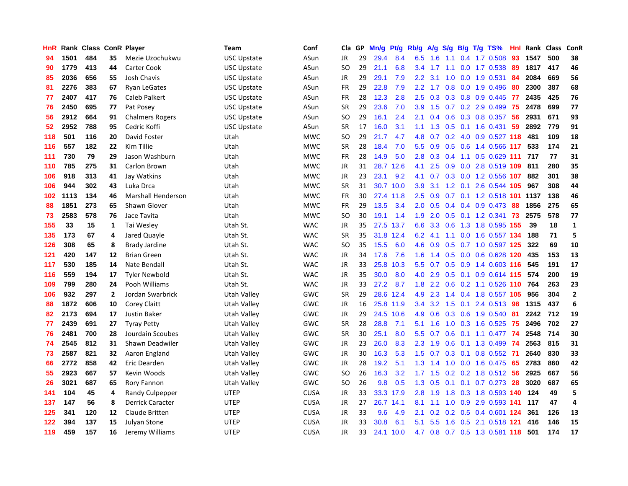| HnR |      | Rank Class ConR Player |              |                           | Team               | Conf        | Cla.          | <b>GP</b> | Mn/g | <b>Pt/g</b> | Rb/g             | A/g           | S/g |  | B/g T/g TS%               | Hnl | Rank | <b>Class</b> | ConR           |
|-----|------|------------------------|--------------|---------------------------|--------------------|-------------|---------------|-----------|------|-------------|------------------|---------------|-----|--|---------------------------|-----|------|--------------|----------------|
| 94  | 1501 | 484                    | 35           | Mezie Uzochukwu           | <b>USC Upstate</b> | ASun        | <b>JR</b>     | 29        | 29.4 | 8.4         | 6.5              | 1.6           | 1.1 |  | $0.4$ 1.7 0.508           | 93  | 1547 | 500          | 38             |
| 90  | 1779 | 413                    | 44           | Carter Cook               | USC Upstate        | ASun        | SO            | 29        | 21.1 | 6.8         | 3.4              |               |     |  | 1.7 1.1 0.0 1.7 0.538 89  |     | 1817 | 417          | 46             |
| 85  | 2036 | 656                    | 55           | Josh Chavis               | USC Upstate        | ASun        | <b>JR</b>     | 29        | 29.1 | 7.9         | $2.2^{\circ}$    | 3.1           |     |  | 1.0 0.0 1.9 0.531         | -84 | 2084 | 669          | 56             |
| 81  | 2276 | 383                    | 67           | <b>Ryan LeGates</b>       | USC Upstate        | ASun        | <b>FR</b>     | 29        | 22.8 | 7.9         | 2.2              | 1.7           | 0.8 |  | 0.0 1.9 0.496             | 80  | 2300 | 387          | 68             |
| 77  | 2407 | 417                    | 76           | Caleb Palkert             | USC Upstate        | ASun        | <b>FR</b>     | 28        | 12.3 | 2.8         | 2.5              | 0.3           |     |  | 0.3 0.8 0.9 0.445         | -77 | 2435 | 425          | 76             |
| 76  | 2450 | 695                    | 77           | Pat Posey                 | USC Upstate        | ASun        | <b>SR</b>     | 29        | 23.6 | 7.0         | 3.9              | 1.5           |     |  | 0.7 0.2 2.9 0.499         | 75  | 2478 | 699          | 77             |
| 56  | 2912 | 664                    | 91           | <b>Chalmers Rogers</b>    | USC Upstate        | ASun        | SO.           | 29        | 16.1 | 2.4         | 2.1              | 0.4           | 0.6 |  | $0.3$ 0.8 0.357           | -56 | 2931 | 671          | 93             |
| 52  | 2952 | 788                    | 95           | Cedric Koffi              | USC Upstate        | ASun        | <b>SR</b>     | 17        | 16.0 | 3.1         | 1.1              | 1.3           |     |  | $0.5$ $0.1$ $1.6$ $0.431$ | 59  | 2892 | 779          | 91             |
| 118 | 501  | 116                    | 20           | David Foster              | Utah               | <b>MWC</b>  | <b>SO</b>     | 29        | 21.7 | 4.7         | 4.8              | 0.7           |     |  | $0.2$ 4.0 0.9 0.527 118   |     | 481  | 109          | 18             |
| 116 | 557  | 182                    | 22           | Kim Tillie                | Utah               | <b>MWC</b>  | SR            | 28        | 18.4 | 7.0         | 5.5              | 0.9           |     |  | 0.5 0.6 1.4 0.566 117     |     | 533  | 174          | 21             |
| 111 | 730  | 79                     | 29           | Jason Washburn            | Utah               | <b>MWC</b>  | <b>FR</b>     | 28        | 14.9 | 5.0         | 2.8              | 0.3           |     |  | 0.4 1.1 0.5 0.629 111 717 |     |      | 77           | 31             |
| 110 | 785  | 275                    | 31           | Carlon Brown              | Utah               | <b>MWC</b>  | <b>JR</b>     | 31        | 28.7 | 12.6        | 4.1              | 2.5           |     |  | 0.9 0.0 2.8 0.519 109 811 |     |      | 280          | 35             |
| 106 | 918  | 313                    | 41           | Jay Watkins               | Utah               | <b>MWC</b>  | <b>JR</b>     | 23        | 23.1 | 9.2         | 4.1              | 0.7           |     |  | 0.3 0.0 1.2 0.556 107     |     | 882  | 301          | 38             |
| 106 | 944  | 302                    | 43           | Luka Drca                 | Utah               | <b>MWC</b>  | <b>SR</b>     | 31        | 30.7 | 10.0        | 3.9 <sup>°</sup> | 3.1           |     |  | 1.2 0.1 2.6 0.544 105     |     | 967  | 308          | 44             |
| 102 | 1113 | 134                    | 46           | <b>Marshall Henderson</b> | Utah               | <b>MWC</b>  | <b>FR</b>     | 30        | 27.4 | 11.8        | 2.5              | 0.9           | 0.7 |  | 0.1 1.2 0.518 101         |     | 1137 | 138          | 46             |
| 88  | 1851 | 273                    | 65           | Shawn Glover              | Utah               | <b>MWC</b>  | <b>FR</b>     | 29        | 13.5 | 3.4         | 2.0 <sub>1</sub> | 0.5           |     |  | $0.4$ 0.4 0.9 0.473       | 88  | 1856 | 275          | 65             |
| 73  | 2583 | 578                    | 76           | Jace Tavita               | Utah               | <b>MWC</b>  | <sub>SO</sub> | 30        | 19.1 | 1.4         | 1.9              | 2.0           | 0.5 |  | 0.1 1.2 0.341             | 73  | 2575 | 578          | 77             |
| 155 | 33   | 15                     | 1            | Tai Wesley                | Utah St.           | <b>WAC</b>  | <b>JR</b>     | 35        |      | 27.5 13.7   | 6.6              | 3.3           |     |  | 0.6 1.3 1.8 0.595 155     |     | 39   | 18           | $\mathbf{1}$   |
| 135 | 173  | 67                     | 4            | Jared Quayle              | Utah St.           | <b>WAC</b>  | <b>SR</b>     | 35        |      | 31.8 12.4   | 6.2              | 4.1           |     |  | 1.1 0.0 1.6 0.557 134     |     | 188  | 71           | 5              |
| 126 | 308  | 65                     | 8            | <b>Brady Jardine</b>      | Utah St.           | <b>WAC</b>  | SO            | 35        | 15.5 | 6.0         | 4.6              | 0.9           |     |  | 0.5 0.7 1.0 0.597 125     |     | 322  | 69           | 10             |
| 121 | 420  | 147                    | 12           | <b>Brian Green</b>        | Utah St.           | <b>WAC</b>  | JR            | 34        | 17.6 | 7.6         | 1.6              | 1.4           |     |  | $0.5$ 0.0 0.6 0.628 120   |     | 435  | 153          | 13             |
| 117 | 530  | 185                    | 14           | Nate Bendall              | Utah St.           | <b>WAC</b>  | JR            | 33        | 25.8 | 10.3        | 5.5 <sub>1</sub> | 0.7           |     |  | 0.5 0.9 1.4 0.603 116     |     | 545  | 191          | 17             |
| 116 | 559  | 194                    | 17           | <b>Tyler Newbold</b>      | Utah St.           | <b>WAC</b>  | JR            | 35        | 30.0 | 8.0         | 4.0              | 2.9           |     |  | 0.5 0.1 0.9 0.614 115     |     | 574  | 200          | 19             |
| 109 | 799  | 280                    | 24           | Pooh Williams             | Utah St.           | <b>WAC</b>  | JR            | 33        | 27.2 | 8.7         | 1.8              | $2.2^{\circ}$ | 0.6 |  | 0.2 1.1 0.526 110         |     | 764  | 263          | 23             |
| 106 | 932  | 297                    | $\mathbf{2}$ | Jordan Swarbrick          | Utah Valley        | GWC         | <b>SR</b>     | 29        | 28.6 | 12.4        | 4.9              | 2.3           |     |  | 1.4 0.4 1.8 0.557 105     |     | 956  | 304          | $\overline{2}$ |
| 88  | 1872 | 606                    | 10           | Corey Claitt              | Utah Valley        | GWC         | JR            | 16        |      | 25.8 11.9   | $3.4^{\circ}$    | 3.2           |     |  | 1.5 0.1 2.4 0.513 98      |     | 1315 | 437          | 6              |
| 82  | 2173 | 694                    | 17           | <b>Justin Baker</b>       | Utah Valley        | GWC         | <b>JR</b>     | 29        |      | 24.5 10.6   | 4.9              | 0.6           |     |  | 0.3 0.6 1.9 0.540 81      |     | 2242 | 712          | 19             |
| 77  | 2439 | 691                    | 27           | <b>Tyray Petty</b>        | Utah Valley        | GWC         | <b>SR</b>     | 28        | 28.8 | 7.1         | 5.1              | 1.6           |     |  | 1.0 0.3 1.6 0.525 75      |     | 2496 | 702          | 27             |
| 76  | 2481 | 700                    | 28           | Jourdain Scoubes          | Utah Valley        | GWC         | <b>SR</b>     | 30        | 25.1 | 8.0         | 5.5              | 0.7           |     |  | 0.6 0.1 1.1 0.477 74      |     | 2548 | 714          | 30             |
| 74  | 2545 | 812                    | 31           | Shawn Deadwiler           | Utah Valley        | GWC         | <b>JR</b>     | 23        | 26.0 | 8.3         | 2.3              | 1.9           | 0.6 |  | 0.1 1.3 0.499             | -74 | 2563 | 815          | 31             |
| 73  | 2587 | 821                    | 32           | Aaron England             | Utah Valley        | GWC         | JR            | 30        | 16.3 | 5.3         | 1.5              | 0.7           |     |  | 0.3 0.1 0.8 0.552         | -71 | 2640 | 830          | 33             |
| 66  | 2772 | 858                    | 42           | Eric Dearden              | Utah Valley        | GWC         | <b>JR</b>     | 28        | 19.2 | 5.1         | 1.3              | 1.4           | 1.0 |  | 0.0 1.6 0.475             | 65  | 2783 | 860          | 42             |
| 55  | 2923 | 667                    | 57           | Kevin Woods               | Utah Valley        | GWC         | <sub>SO</sub> | 26        | 16.3 | 3.2         |                  | $1.7$ $1.5$   |     |  | 0.2 0.2 1.8 0.512 56      |     | 2925 | 667          | 56             |
| 26  | 3021 | 687                    | 65           | Rory Fannon               | Utah Valley        | GWC         | <sub>SO</sub> | 26        | 9.8  | 0.5         | 1.3              | 0.5           | 0.1 |  | $0.1$ 0.7 0.273           | 28  | 3020 | 687          | 65             |
| 141 | 104  | 45                     | 4            | <b>Randy Culpepper</b>    | <b>UTEP</b>        | <b>CUSA</b> | JR            | 33        |      | 33.3 17.9   | 2.8              | 1.9           |     |  | 1.8 0.3 1.8 0.593 140 124 |     |      | 49           | 5              |
| 137 | 147  | 56                     | 8            | <b>Derrick Caracter</b>   | <b>UTEP</b>        | <b>CUSA</b> | <b>JR</b>     | 27        |      | 26.7 14.1   | 8.1              | 1.1           |     |  | 1.0 0.9 2.9 0.593 141     |     | 117  | 47           | $\overline{a}$ |
| 125 | 341  | 120                    | 12           | <b>Claude Britten</b>     | <b>UTEP</b>        | <b>CUSA</b> | JR            | 33        | 9.6  | 4.9         | 2.1              | 0.2           |     |  | 0.2 0.5 0.4 0.601 124     |     | 361  | 126          | 13             |
| 122 | 394  | 137                    | 15           | <b>Julyan Stone</b>       | <b>UTEP</b>        | <b>CUSA</b> | <b>JR</b>     | 33        | 30.8 | 6.1         | 5.1              | 5.5           | 1.6 |  | 0.5 2.1 0.518 121         |     | 416  | 146          | 15             |
| 119 | 459  | 157                    | 16           | Jeremy Williams           | <b>UTEP</b>        | <b>CUSA</b> | JR            | 33        | 24.1 | 10.0        | 4.7              | 0.8           |     |  | 0.7 0.5 1.3 0.581 118     |     | 501  | 174          | 17             |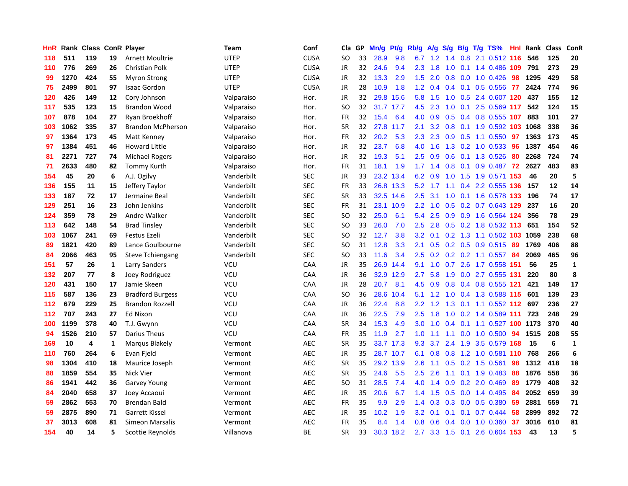| HnR |      | <b>Rank Class</b> |    | <b>ConR Player</b>       | <b>Team</b> | Conf        | Cla           | GP | Mn/g | <b>Pt/g</b> | Rb/g             | A/g       | S/g           |  | B/g T/g TS%                | Hnl | Rank | <b>Class</b> | ConR         |
|-----|------|-------------------|----|--------------------------|-------------|-------------|---------------|----|------|-------------|------------------|-----------|---------------|--|----------------------------|-----|------|--------------|--------------|
| 118 | 511  | 119               | 19 | <b>Arnett Moultrie</b>   | <b>UTEP</b> | <b>CUSA</b> | <b>SO</b>     | 33 | 28.9 | 9.8         | 6.7              | 1.2       | 1.4           |  | 0.8 2.1 0.512 116          |     | 546  | 125          | 20           |
| 110 | 776  | 269               | 26 | Christian Polk           | <b>UTEP</b> | <b>CUSA</b> | JR            | 32 | 24.6 | 9.4         | 2.3              | 1.8       |               |  | 1.0 0.1 1.4 0.486 109      |     | 791  | 273          | 29           |
| 99  | 1270 | 424               | 55 | <b>Myron Strong</b>      | <b>UTEP</b> | <b>CUSA</b> | JR            | 32 | 13.3 | 2.9         | 1.5              | 2.0       |               |  | $0.8$ 0.0 1.0 0.426        | -98 | 1295 | 429          | 58           |
| 75  | 2499 | 801               | 97 | <b>Isaac Gordon</b>      | <b>UTEP</b> | <b>CUSA</b> | JR            | 28 | 10.9 | 1.8         | 1.2              | 0.4       |               |  | $0.4$ 0.1 0.5 0.556        | -77 | 2424 | 774          | 96           |
| 120 | 426  | 149               | 12 | Cory Johnson             | Valparaiso  | Hor.        | JR            | 32 | 29.8 | 15.6        | 5.8              | 1.5       | 1.0           |  | 0.5 2.4 0.607 120          |     | 437  | 155          | 12           |
| 117 | 535  | 123               | 15 | <b>Brandon Wood</b>      | Valparaiso  | Hor.        | SO            | 32 | 31.7 | 17.7        | 4.5              | 2.3       | 1.0           |  | 0.1 2.5 0.569 117          |     | 542  | 124          | 15           |
| 107 | 878  | 104               | 27 | Ryan Broekhoff           | Valparaiso  | Hor.        | FR            | 32 | 15.4 | 6.4         | 4.0              | 0.9       | 0.5           |  | 0.4 0.8 0.555 107          |     | 883  | 101          | 27           |
| 103 | 1062 | 335               | 37 | <b>Brandon McPherson</b> | Valparaiso  | Hor.        | <b>SR</b>     | 32 | 27.8 | 11.7        | 2.1              | 3.2       | 0.8           |  | 0.1 1.9 0.592 103 1068     |     |      | 338          | 36           |
| 97  | 1364 | 173               | 45 | Matt Kenney              | Valparaiso  | Hor.        | FR            | 32 | 20.2 | 5.3         | 2.3              | 2.3       |               |  | $0.9$ $0.5$ 1.1 $0.550$    | 97  | 1363 | 173          | 45           |
| 97  | 1384 | 451               | 46 | <b>Howard Little</b>     | Valparaiso  | Hor.        | JR            | 32 | 23.7 | 6.8         | 4.0              | 1.6       |               |  | 1.3 0.2 1.0 0.533 96       |     | 1387 | 454          | 46           |
| 81  | 2271 | 727               | 74 | <b>Michael Rogers</b>    | Valparaiso  | Hor.        | JR            | 32 | 19.3 | 5.1         | $2.5^{\circ}$    | 0.9       |               |  | $0.6$ 0.1 1.3 0.526        | -80 | 2268 | 724          | 74           |
| 71  | 2633 | 480               | 82 | Tommy Kurth              | Valparaiso  | Hor.        | FR            | 31 | 18.1 | 1.9         |                  | $1.7$ 1.4 | 0.8           |  | 0.1 0.9 0.487 72           |     | 2627 | 483          | 83           |
| 154 | 45   | 20                | 6  | A.J. Ogilvy              | Vanderbilt  | <b>SEC</b>  | JR            | 33 | 23.2 | 13.4        | 6.2              | 0.9       | 1.0           |  | 1.5 1.9 0.571 153          |     | 46   | 20           | 5            |
| 136 | 155  | 11                | 15 | Jeffery Taylor           | Vanderbilt  | <b>SEC</b>  | FR            | 33 |      | 26.8 13.3   | 5.2              | 1.7       |               |  | 1.1 0.4 2.2 0.555 136      |     | 157  | 12           | 14           |
| 133 | 187  | 72                | 17 | Jermaine Beal            | Vanderbilt  | <b>SEC</b>  | <b>SR</b>     | 33 | 32.5 | 14.6        | 2.5              | 3.1       | 1.0           |  | 0.1 1.6 0.578 133          |     | 196  | 74           | 17           |
| 129 | 251  | 16                | 23 | John Jenkins             | Vanderbilt  | <b>SEC</b>  | FR            | 31 | 23.1 | 10.9        | 2.2              | 1.0       | 0.5           |  | 0.2 0.7 0.643 129          |     | 237  | 16           | 20           |
| 124 | 359  | 78                | 29 | Andre Walker             | Vanderbilt  | <b>SEC</b>  | <b>SO</b>     | 32 | 25.0 | 6.1         | 5.4              | 2.5       | 0.9           |  | 0.9 1.6 0.564 124          |     | 356  | 78           | 29           |
| 113 | 642  | 148               | 54 | <b>Brad Tinsley</b>      | Vanderbilt  | <b>SEC</b>  | <b>SO</b>     | 33 | 26.0 | 7.0         | 2.5              | 2.8       |               |  | $0.5$ 0.2 1.8 0.532 113    |     | 651  | 154          | 52           |
| 103 | 1067 | 241               | 69 | Festus Ezeli             | Vanderbilt  | <b>SEC</b>  | <b>SO</b>     | 32 | 12.7 | 3.8         | 3.2              | 0.1       |               |  | 0.2 1.3 1.1 0.502 103 1059 |     |      | 238          | 68           |
| 89  | 1821 | 420               | 89 | Lance Goulbourne         | Vanderbilt  | SEC         | <b>SO</b>     | 31 | 12.8 | 3.3         | 2.1              | 0.5       |               |  | $0.2$ 0.5 0.9 0.515        | -89 | 1769 | 406          | 88           |
| 84  | 2066 | 463               | 95 | <b>Steve Tchiengang</b>  | Vanderbilt  | <b>SEC</b>  | <b>SO</b>     | 33 | 11.6 | 3.4         | 2.5              | 0.2       |               |  | $0.2$ 0.2 1.1 0.557        | -84 | 2069 | 465          | 96           |
| 151 | 57   | 26                | 1  | Larry Sanders            | VCU         | CAA         | JR            | 35 | 26.9 | 14.4        | 9.1              | 1.0       | 0.7           |  | 2.6 1.7 0.558 151          |     | 56   | 25           | $\mathbf{1}$ |
| 132 | 207  | 77                | 8  | Joey Rodriguez           | VCU         | CAA         | JR            | 36 | 32.9 | 12.9        | 2.7              | 5.8       | 1.9           |  | 0.0 2.7 0.555 131          |     | 220  | 80           | 8            |
| 120 | 431  | 150               | 17 | Jamie Skeen              | VCU         | CAA         | JR            | 28 | 20.7 | 8.1         | 4.5              | 0.9       | 0.8           |  | 0.4 0.8 0.555 121          |     | 421  | 149          | 17           |
| 115 | 587  | 136               | 23 | <b>Bradford Burgess</b>  | VCU         | CAA         | <sub>SO</sub> | 36 | 28.6 | 10.4        | 5.1              | 1.2       | 1.0           |  | 0.4 1.3 0.588 115 601      |     |      | 139          | 23           |
| 112 | 679  | 229               | 25 | <b>Brandon Rozzell</b>   | VCU         | CAA         | JR            | 36 | 22.4 | 8.8         | $2.2^{\circ}$    | 1.2       |               |  | 1.3 0.1 1.1 0.552 112      |     | 697  | 236          | 27           |
| 112 | 707  | 243               | 27 | Ed Nixon                 | VCU         | CAA         | JR            | 36 | 22.5 | 7.9         | 2.5              | 1.8       |               |  | 1.0 0.2 1.4 0.589 111      |     | 723  | 248          | 29           |
| 100 | 1199 | 378               | 40 | T.J. Gwynn               | VCU         | CAA         | <b>SR</b>     | 34 | 15.3 | 4.9         | 3.0 <sub>2</sub> | 1.0       |               |  | 0.4 0.1 1.1 0.527 100 1173 |     |      | 370          | 40           |
| 94  | 1526 | 210               | 57 | Darius Theus             | VCU         | CAA         | FR            | 35 | 11.9 | 2.7         | 1.0              | 1.1       |               |  | 1.1 0.0 1.0 0.500          | 94  | 1515 | 208          | 55           |
| 169 | 10   | 4                 | 1  | Marqus Blakely           | Vermont     | <b>AEC</b>  | <b>SR</b>     | 35 | 33.7 | 17.3        | 9.3              | 3.7       | $2.4^{\circ}$ |  | 1.9 3.5 0.579 168          |     | 15   | 6            | $\mathbf{1}$ |
| 110 | 760  | 264               | 6  | Evan Fjeld               | Vermont     | <b>AEC</b>  | JR            | 35 |      | 28.7 10.7   | 6.1              | 0.8       | 0.8           |  | 1.2 1.0 0.581 110          |     | 768  | 266          | 6            |
| 98  | 1304 | 410               | 18 | Maurice Joseph           | Vermont     | <b>AEC</b>  | <b>SR</b>     | 35 | 29.2 | 13.9        | 2.6              | 1.1       | 0.5           |  | $0.2$ 1.5 0.561            | 98  | 1312 | 418          | 18           |
| 88  | 1859 | 554               | 35 | Nick Vier                | Vermont     | <b>AEC</b>  | <b>SR</b>     | 35 | 24.6 | 5.5         | 2.5              | 2.6       | 1.1           |  | $0.1$ 1.9 0.483            | 88  | 1876 | 558          | 36           |
| 86  | 1941 | 442               | 36 | <b>Garvey Young</b>      | Vermont     | <b>AEC</b>  | <sub>SO</sub> | 31 | 28.5 | 7.4         | 4.0              | 1.4       | 0.9           |  | $0.2$ 2.0 $0.469$          | -89 | 1779 | 408          | 32           |
| 84  | 2040 | 658               | 37 | Joey Accaoui             | Vermont     | <b>AEC</b>  | JR            | 35 | 20.6 | 6.7         | 1.4              | 1.5       |               |  | $0.5$ 0.0 1.4 0.495        | -84 | 2052 | 659          | 39           |
| 59  | 2862 | 553               | 70 | Brendan Bald             | Vermont     | <b>AEC</b>  | <b>FR</b>     | 35 | 9.9  | 2.9         | 1.4              | 0.3       |               |  | $0.3$ 0.0 0.5 0.380        | 59  | 2881 | 559          | 71           |
| 59  | 2875 | 890               | 71 | Garrett Kissel           | Vermont     | <b>AEC</b>  | JR            | 35 | 10.2 | 1.9         | 3.2              | 0.1       | 0.1           |  | $0.1$ 0.7 0.444            | 58  | 2899 | 892          | 72           |
| 37  | 3013 | 608               | 81 | Simeon Marsalis          | Vermont     | <b>AEC</b>  | FR            | 35 | 8.4  | 1.4         | 0.8              | 0.6       | 0.4           |  | $0.0$ 1.0 $0.360$          | 37  | 3016 | 610          | 81           |
| 154 | 40   | 14                | 5  | Scottie Reynolds         | Villanova   | <b>BE</b>   | SR            | 33 |      | 30.3 18.2   | 2.7              |           |               |  | 3.3 1.5 0.1 2.6 0.604 153  |     | 43   | 13           | 5            |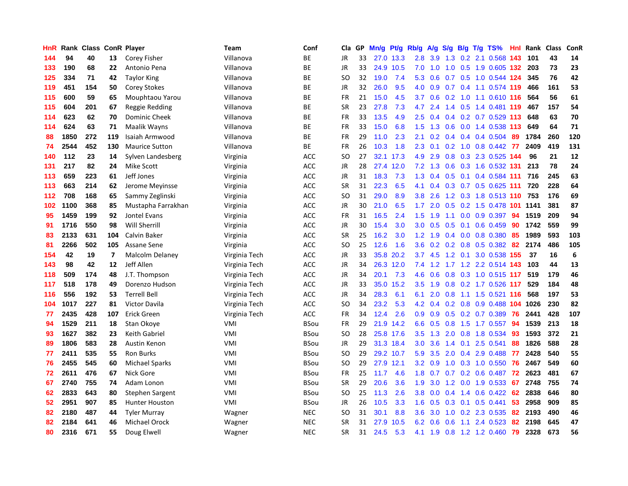| HnR | Rank | <b>Class</b> |                         | <b>ConR Player</b>     | Team          | Conf        | Cla           | GP. | Mn/g | Pt/g      | Rb/g             | A/g |                  |                 | S/g B/g T/g TS%            | <b>Hnl</b> | Rank | <b>Class</b> | ConR             |
|-----|------|--------------|-------------------------|------------------------|---------------|-------------|---------------|-----|------|-----------|------------------|-----|------------------|-----------------|----------------------------|------------|------|--------------|------------------|
| 144 | 94   | 40           | 13                      | Corey Fisher           | Villanova     | <b>BE</b>   | <b>JR</b>     | 33  |      | 27.0 13.3 | 2.8              | 3.9 |                  |                 | 1.3 0.2 2.1 0.568 143      |            | 101  | 43           | 14               |
| 133 | 190  | 68           | 22                      | Antonio Pena           | Villanova     | <b>BE</b>   | <b>JR</b>     | 33  |      | 24.9 10.5 | 7.0              | 1.0 |                  |                 | 1.0 0.5 1.9 0.605 132      |            | 203  | 73           | 23               |
| 125 | 334  | 71           | 42                      | <b>Taylor King</b>     | Villanova     | <b>BE</b>   | SO            | 32  | 19.0 | 7.4       | 5.3              | 0.6 |                  |                 | 0.7 0.5 1.0 0.544 124      |            | 345  | 76           | 42               |
| 119 | 451  | 154          | 50                      | <b>Corey Stokes</b>    | Villanova     | <b>BE</b>   | <b>JR</b>     | 32  | 26.0 | 9.5       | 4.0              | 0.9 |                  |                 | 0.7 0.4 1.1 0.574 119      |            | 466  | 161          | 53               |
| 115 | 600  | 59           | 65                      | Mouphtaou Yarou        | Villanova     | ВE          | FR            | 21  | 15.0 | 4.5       | 3.7              | 0.6 |                  |                 | 0.2 1.0 1.1 0.610 116      |            | 564  | 56           | 61               |
| 115 | 604  | 201          | 67                      | Reggie Redding         | Villanova     | <b>BE</b>   | <b>SR</b>     | 23  | 27.8 | 7.3       | 4.7              | 2.4 |                  |                 | 1.4 0.5 1.4 0.481 119      |            | 467  | 157          | 54               |
| 114 | 623  | 62           | 70                      | <b>Dominic Cheek</b>   | Villanova     | ВE          | <b>FR</b>     | 33  | 13.5 | 4.9       | 2.5              | 0.4 |                  |                 | $0.4$ 0.2 0.7 0.529 113    |            | 648  | 63           | 70               |
| 114 | 624  | 63           | 71                      | Maalik Wayns           | Villanova     | <b>BE</b>   | <b>FR</b>     | 33  | 15.0 | 6.8       | $1.5^{\circ}$    | 1.3 | 0.6              |                 | 0.0 1.4 0.538 113          |            | 649  | 64           | 71               |
| 88  | 1850 | 272          | 119                     | Isaiah Armwood         | Villanova     | ВE          | <b>FR</b>     | 29  | 11.0 | 2.3       | 2.1              | 0.2 |                  |                 | 0.4 0.4 0.4 0.504 89       |            | 1784 | 260          | 120              |
| 74  | 2544 | 452          | 130                     | <b>Maurice Sutton</b>  | Villanova     | <b>BE</b>   | <b>FR</b>     | 26  | 10.3 | 1.8       | 2.3              | 0.1 |                  |                 | 0.2 1.0 0.8 0.442 77       |            | 2409 | 419          | 131              |
| 140 | 112  | 23           | 14                      | Sylven Landesberg      | Virginia      | ACC         | SO            | 27  |      | 32.1 17.3 | 4.9              | 2.9 |                  |                 | 0.8 0.3 2.3 0.525 144      |            | 96   | 21           | 12               |
| 131 | 217  | 82           | 24                      | Mike Scott             | Virginia      | ACC         | JR            | 28  | 27.4 | 12.0      | 7.2              | 1.3 | 0.6              |                 | 0.3 1.6 0.532 131          |            | 213  | 78           | 24               |
| 113 | 659  | 223          | 61                      | Jeff Jones             | Virginia      | ACC         | JR            | 31  | 18.3 | 7.3       | 1.3              | 0.4 | 0.5              |                 | $0.1$ 0.4 0.584 111        |            | 716  | 245          | 63               |
| 113 | 663  | 214          | 62                      | Jerome Meyinsse        | Virginia      | ACC         | <b>SR</b>     | 31  | 22.3 | 6.5       | 4.1              | 0.4 |                  |                 | 0.3 0.7 0.5 0.625 111      |            | 720  | 228          | 64               |
| 112 | 708  | 168          | 65                      | Sammy Zeglinski        | Virginia      | <b>ACC</b>  | SO            | 31  | 29.0 | 8.9       | 3.8 <sub>2</sub> | 2.6 |                  |                 | 1.2 0.3 1.8 0.513 110 753  |            |      | 176          | 69               |
| 102 | 1100 | 368          | 85                      | Mustapha Farrakhan     | Virginia      | ACC         | <b>JR</b>     | 30  | 21.0 | 6.5       | 1.7 <sup>2</sup> | 2.0 | 0.5              |                 | 0.2 1.5 0.478 101 1141     |            |      | 381          | 87               |
| 95  | 1459 | 199          | 92                      | Jontel Evans           | Virginia      | <b>ACC</b>  | <b>FR</b>     | 31  | 16.5 | 2.4       | 1.5              | 1.9 | 1.1              |                 | 0.0 0.9 0.397              | 94         | 1519 | 209          | 94               |
| 91  | 1716 | 550          | 98                      | Will Sherrill          | Virginia      | <b>ACC</b>  | <b>JR</b>     | 30  | 15.4 | 3.0       | 3.0 <sub>2</sub> | 0.5 |                  |                 | $0.5$ 0.1 0.6 0.459        | 90         | 1742 | 559          | 99               |
| 83  | 2133 | 631          | 104                     | Calvin Baker           | Virginia      | <b>ACC</b>  | <b>SR</b>     | 25  | 16.2 | 3.0       | $1.2^{\circ}$    | 1.9 |                  |                 | $0.4$ 0.0 0.8 0.380        | -85        | 1989 | 593          | 103              |
| 81  | 2266 | 502          | 105                     | Assane Sene            | Virginia      | <b>ACC</b>  | SO            | 25  | 12.6 | 1.6       | 3.6              | 0.2 |                  |                 | 0.2 0.8 0.5 0.382          | -82        | 2174 | 486          | 105              |
| 154 | 42   | 19           | $\overline{\mathbf{z}}$ | <b>Malcolm Delaney</b> | Virginia Tech | ACC         | <b>JR</b>     | 33  | 35.8 | 20.2      | 3.7              | 4.5 |                  | $1.2 \quad 0.1$ | 3.0 0.538 155              |            | 37   | 16           | $\boldsymbol{6}$ |
| 143 | 98   | 42           | 12                      | Jeff Allen             | Virginia Tech | <b>ACC</b>  | JR            | 34  |      | 26.3 12.0 | 7.4              | 1.2 | 1.7 <sub>z</sub> |                 | 1.2 2.2 0.514 143          |            | 103  | 44           | 13               |
| 118 | 509  | 174          | 48                      | J.T. Thompson          | Virginia Tech | <b>ACC</b>  | JR            | 34  | 20.1 | 7.3       | 4.6              | 0.6 | 0.8              |                 | 0.3 1.0 0.515 117          |            | 519  | 179          | 46               |
| 117 | 518  | 178          | 49                      | Dorenzo Hudson         | Virginia Tech | <b>ACC</b>  | JR            | 33  | 35.0 | 15.2      | 3.5              | 1.9 | 0.8              |                 | 0.2 1.7 0.526 117          |            | 529  | 184          | 48               |
| 116 | 556  | 192          | 53                      | <b>Terrell Bell</b>    | Virginia Tech | <b>ACC</b>  | <b>JR</b>     | 34  | 28.3 | 6.1       | 6.1              | 2.0 | 0.8              |                 | 1.1 1.5 0.521 116          |            | 568  | 197          | 53               |
| 104 | 1017 | 227          | 81                      | <b>Victor Davila</b>   | Virginia Tech | <b>ACC</b>  | <sub>SO</sub> | 34  | 23.2 | 5.3       | 4.2              | 0.4 |                  |                 | 0.2 0.8 0.9 0.488 104 1026 |            |      | 230          | 82               |
| 77  | 2435 | 428          | 107                     | <b>Erick Green</b>     | Virginia Tech | <b>ACC</b>  | <b>FR</b>     | 34  | 12.4 | 2.6       | 0.9 <sub>0</sub> | 0.9 |                  |                 | $0.5$ $0.2$ $0.7$ $0.389$  | -76        | 2441 | 428          | 107              |
| 94  | 1529 | 211          | 18                      | Stan Okove             | VMI           | <b>BSou</b> | <b>FR</b>     | 29  |      | 21.9 14.2 | 6.6              | 0.5 |                  |                 | 0.8 1.5 1.7 0.557          | -94        | 1539 | 213          | 18               |
| 93  | 1627 | 382          | 23                      | Keith Gabriel          | VMI           | <b>BSou</b> | <sub>SO</sub> | 28  |      | 25.8 17.6 | 3.5              | 1.3 | 2.0              |                 | 0.8 1.8 0.534              | 93         | 1593 | 372          | 21               |
| 89  | 1806 | 583          | 28                      | Austin Kenon           | VMI           | <b>BSou</b> | JR            | 29  |      | 31.3 18.4 | 3.0 <sub>2</sub> | 3.6 | $1.4^{\circ}$    |                 | $0.1$ 2.5 0.541            | 88         | 1826 | 588          | 28               |
| 77  | 2411 | 535          | 55                      | <b>Ron Burks</b>       | VMI           | <b>BSou</b> | SO            | 29  |      | 29.2 10.7 | 5.9              | 3.5 | 2.0              |                 | 0.4 2.9 0.488              | -77        | 2428 | 540          | 55               |
| 76  | 2455 | 545          | 60                      | <b>Michael Sparks</b>  | VMI           | <b>BSou</b> | SO.           | 29  | 27.9 | 12.1      | 3.2              | 0.9 | 1.0              |                 | 0.3 1.0 0.550              | 76         | 2467 | 549          | 60               |
| 72  | 2611 | 476          | 67                      | Nick Gore              | VMI           | <b>BSou</b> | <b>FR</b>     | 25  | 11.7 | 4.6       | 1.8              | 0.7 |                  |                 | 0.7 0.2 0.6 0.487          | 72         | 2623 | 481          | 67               |
| 67  | 2740 | 755          | 74                      | Adam Lonon             | VMI           | <b>BSou</b> | <b>SR</b>     | 29  | 20.6 | 3.6       | 1.9              | 3.0 |                  |                 | 1.2 0.0 1.9 0.533          | 67         | 2748 | 755          | 74               |
| 62  | 2833 | 643          | 80                      | Stephen Sargent        | VMI           | <b>BSou</b> | SO            | 25  | 11.3 | 2.6       | 3.8              | 0.0 |                  |                 | 0.4 1.4 0.6 0.422 62       |            | 2838 | 646          | 80               |
| 52  | 2951 | 907          | 85                      | <b>Hunter Houston</b>  | VMI           | <b>BSou</b> | <b>JR</b>     | 26  | 10.5 | 3.3       | 1.6              | 0.5 |                  |                 | $0.3$ 0.1 0.5 0.441        | 53         | 2958 | 909          | 85               |
| 82  | 2180 | 487          | 44                      | <b>Tyler Murray</b>    | Wagner        | <b>NEC</b>  | <sub>SO</sub> | 31  | 30.1 | 8.8       | 3.6              | 3.0 | 1.0              |                 | 0.2 2.3 0.535              | 82         | 2193 | 490          | 46               |
| 82  | 2184 | 641          | 46                      | Michael Orock          | Wagner        | <b>NEC</b>  | <b>SR</b>     | 31  | 27.9 | 10.5      | 6.2              | 0.6 | 0.6              | 1.1             | 2.4 0.523                  | 82         | 2198 | 645          | 47               |
| 80  | 2316 | 671          | 55                      | Doug Elwell            | Wagner        | <b>NEC</b>  | SR            | 31  | 24.5 | 5.3       | 4.1              | 1.9 |                  |                 | 0.8 1.2 1.2 0.460          | 79         | 2328 | 673          | 56               |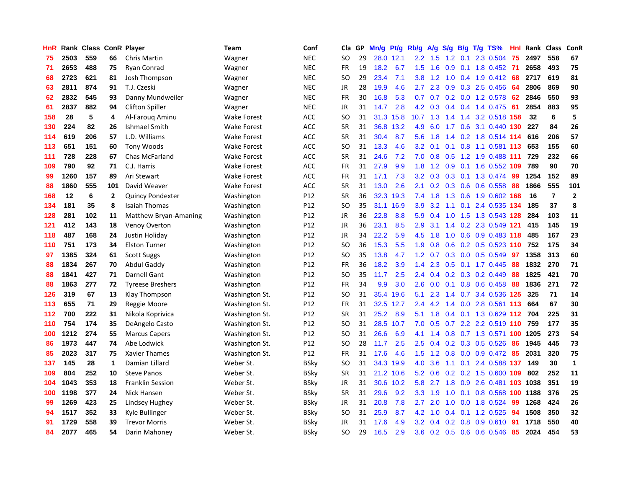| HnR | Rank | Class |              | <b>ConR Player</b>      | Team               | Conf        | Cla           | <b>GP</b> | Mn/g | Pt/g      | Rb/g          | A/g       | S/g           | B/g             | $T/g$ TS%                  | Hnl | Rank | <b>Class</b>   | ConR           |
|-----|------|-------|--------------|-------------------------|--------------------|-------------|---------------|-----------|------|-----------|---------------|-----------|---------------|-----------------|----------------------------|-----|------|----------------|----------------|
| 75  | 2503 | 559   | 66           | Chris Martin            | Wagner             | <b>NEC</b>  | SO            | 29        |      | 28.0 12.1 | 2.2           | 1.5       |               | $1.2 \quad 0.1$ | 2.3 0.504                  | 75  | 2497 | 558            | 67             |
| 71  | 2653 | 488   | 75           | Ryan Conrad             | Wagner             | <b>NEC</b>  | <b>FR</b>     | 19        | 18.2 | 6.7       | 1.5           | 1.6       |               |                 | 0.9 0.1 1.8 0.452 71       |     | 2658 | 493            | 75             |
| 68  | 2723 | 621   | 81           | Josh Thompson           | Wagner             | <b>NEC</b>  | SO            | 29        | 23.4 | 7.1       | 3.8           | 1.2       |               |                 | 1.0 0.4 1.9 0.412          | -68 | 2717 | 619            | 81             |
| 63  | 2811 | 874   | 91           | T.J. Czeski             | Wagner             | <b>NEC</b>  | JR            | 28        | 19.9 | 4.6       | 2.7           | 2.3       |               |                 | 0.9 0.3 2.5 0.456          | 64  | 2806 | 869            | 90             |
| 62  | 2832 | 545   | 93           | Danny Mundweiler        | Wagner             | <b>NEC</b>  | <b>FR</b>     | 30        | 16.8 | 5.3       | 0.7           | 0.7       |               |                 | 0.2 0.0 1.2 0.578          | 62  | 2846 | 550            | 93             |
| 61  | 2837 | 882   | 94           | <b>Clifton Spiller</b>  | Wagner             | <b>NEC</b>  | JR            | 31        | 14.7 | 2.8       | 4.2           | 0.3       |               |                 | $0.4$ 0.4 1.4 0.475        | 61  | 2854 | 883            | 95             |
| 158 | 28   | 5     | 4            | Al-Faroug Aminu         | <b>Wake Forest</b> | <b>ACC</b>  | <sub>SO</sub> | 31        | 31.3 | 15.8      | 10.7          | 1.3       | $1.4^{\circ}$ | 1.4             | 3.2 0.518                  | 158 | 32   | 6              | 5              |
| 130 | 224  | 82    | 26           | Ishmael Smith           | <b>Wake Forest</b> | <b>ACC</b>  | <b>SR</b>     | 31        | 36.8 | 13.2      | 4.9           | 6.0       | 1.7           |                 | 0.6 3.1 0.440 130          |     | 227  | 84             | 26             |
| 114 | 619  | 206   | 57           | L.D. Williams           | <b>Wake Forest</b> | <b>ACC</b>  | <b>SR</b>     | 31        | 30.4 | 8.7       | 5.6           | 1.8       |               |                 | 1.4 0.2 1.8 0.514 114      |     | 616  | 206            | 57             |
| 113 | 651  | 151   | 60           | <b>Tony Woods</b>       | <b>Wake Forest</b> | <b>ACC</b>  | <sub>SO</sub> | 31        | 13.3 | 4.6       | 3.2           | 0.1       |               |                 | $0.1$ 0.8 1.1 0.581 113    |     | 653  | 155            | 60             |
| 111 | 728  | 228   | 67           | Chas McFarland          | <b>Wake Forest</b> | <b>ACC</b>  | <b>SR</b>     | 31        | 24.6 | 7.2       | 7.0           | 0.8       |               |                 | 0.5 1.2 1.9 0.488 111      |     | 729  | 232            | 66             |
| 109 | 790  | 92    | 71           | C.J. Harris             | <b>Wake Forest</b> | <b>ACC</b>  | FR            | 31        | 27.9 | 9.9       | 1.8           | 1.2       | 0.9           |                 | 0.1 1.6 0.552 109          |     | 789  | 90             | 70             |
| 99  | 1260 | 157   | 89           | Ari Stewart             | <b>Wake Forest</b> | <b>ACC</b>  | FR            | 31        | 17.1 | 7.3       | 3.2           | 0.3       | 0.3           |                 | 0.1 1.3 0.474              | -99 | 1254 | 152            | 89             |
| 88  | 1860 | 555   | 101          | David Weaver            | <b>Wake Forest</b> | <b>ACC</b>  | SR            | 31        | 13.0 | 2.6       | 2.1           | 0.2       |               |                 | 0.3 0.6 0.6 0.558          | 88  | 1866 | 555            | 101            |
| 168 | 12   | 6     | $\mathbf{2}$ | <b>Quincy Pondexter</b> | Washington         | P12         | <b>SR</b>     | 36        | 32.3 | 19.3      | 7.4           | 1.8       | 1.3           |                 | 0.6 1.9 0.602 168          |     | 16   | $\overline{7}$ | $\overline{2}$ |
| 134 | 181  | 35    | 8            | <b>Isaiah Thomas</b>    | Washington         | P12         | <sub>SO</sub> | 35        | 31.1 | 16.9      | 3.9           | 3.2       | 1.1           | 0.1             | 2.4 0.535 134              |     | 185  | 37             | 8              |
| 128 | 281  | 102   | 11           | Matthew Bryan-Amaning   | Washington         | P12         | <b>JR</b>     | 36        | 22.8 | 8.8       | 5.9           | 0.4       | 1.0           |                 | 1.5 1.3 0.543 128          |     | 284  | 103            | 11             |
| 121 | 412  | 143   | 18           | Venoy Overton           | Washington         | P12         | JR            | 36        | 23.1 | 8.5       | 2.9           | 3.1       |               |                 | 1.4 0.2 2.3 0.549 121      |     | 415  | 145            | 19             |
| 118 | 487  | 168   | 24           | Justin Holiday          | Washington         | P12         | JR            | 34        | 22.2 | 5.9       | 4.5           | 1.8       |               |                 | 1.0 0.6 0.9 0.483 118      |     | 485  | 167            | 23             |
| 110 | 751  | 173   | 34           | <b>Elston Turner</b>    | Washington         | P12         | <sub>SO</sub> | 36        | 15.3 | 5.5       | 1.9           | 0.8       |               |                 | 0.6 0.2 0.5 0.523 110 752  |     |      | 175            | 34             |
| 97  | 1385 | 324   | 61           | <b>Scott Suggs</b>      | Washington         | P12         | <sub>SO</sub> | 35        | 13.8 | 4.7       | 1.2           | 0.7       |               |                 | 0.3 0.0 0.5 0.549          | 97  | 1358 | 313            | 60             |
| 88  | 1834 | 267   | 70           | Abdul Gaddy             | Washington         | P12         | FR            | 36        | 18.2 | 3.9       | 1.4           | 2.3       | 0.5           |                 | $0.1$ 1.7 0.445            | 88  | 1832 | 270            | 71             |
| 88  | 1841 | 427   | 71           | <b>Darnell Gant</b>     | Washington         | P12         | SO            | 35        | 11.7 | 2.5       | 2.4           | 0.4       |               |                 | $0.2$ 0.3 0.2 0.449        | 88  | 1825 | 421            | 70             |
| 88  | 1863 | 277   | 72           | <b>Tyreese Breshers</b> | Washington         | P12         | FR            | 34        | 9.9  | 3.0       | 2.6           | 0.0       |               |                 | 0.1 0.8 0.6 0.458          | 88  | 1836 | 271            | 72             |
| 126 | 319  | 67    | 13           | Klay Thompson           | Washington St.     | P12         | <sub>SO</sub> | 31        | 35.4 | 19.6      | 5.1           | 2.3       |               |                 | 1.4 0.7 3.4 0.536          | 125 | 325  | 71             | 14             |
| 113 | 655  | 71    | 29           | Reggie Moore            | Washington St.     | P12         | FR            | 31        | 32.5 | 12.7      | $2.4^{\circ}$ | 4.2       |               |                 | 1.4 0.0 2.8 0.561 113      |     | 664  | 67             | 30             |
| 112 | 700  | 222   | 31           | Nikola Koprivica        | Washington St.     | P12         | <b>SR</b>     | 31        | 25.2 | 8.9       | 5.1           | 1.8       |               |                 | 0.4 0.1 1.3 0.629 112 704  |     |      | 225            | 31             |
| 110 | 754  | 174   | 35           | DeAngelo Casto          | Washington St.     | P12         | <sub>SO</sub> | 31        | 28.5 | 10.7      | 7.0           | 0.5       |               |                 | 0.7 2.2 2.2 0.519 110 759  |     |      | 177            | 35             |
| 100 | 1212 | 274   | 55           | <b>Marcus Capers</b>    | Washington St.     | P12         | <b>SO</b>     | 31        | 26.6 | 6.9       | 4.1           | 1.4       |               |                 | 0.8 0.7 1.3 0.571 100 1205 |     |      | 273            | 54             |
| 86  | 1973 | 447   | 74           | Abe Lodwick             | Washington St.     | P12         | <b>SO</b>     | 28        | 11.7 | 2.5       | 2.5           | 0.4       |               |                 | 0.2 0.3 0.5 0.526          | 86  | 1945 | 445            | 73             |
| 85  | 2023 | 317   | 75           | <b>Xavier Thames</b>    | Washington St.     | P12         | FR            | 31        | 17.6 | 4.6       | 1.5           | 1.2       |               |                 | $0.8$ 0.0 0.9 0.472        | 85  | 2031 | 320            | 75             |
| 137 | 145  | 28    | $\mathbf{1}$ | Damian Lillard          | Weber St.          | BSky        | <b>SO</b>     | 31        | 34.3 | 19.9      | 4.0           | 3.6       |               |                 | 1.1 0.1 2.4 0.588 137      |     | 149  | 30             | $\mathbf 1$    |
| 109 | 804  | 252   | 10           | <b>Steve Panos</b>      | Weber St.          | BSky        | <b>SR</b>     | 31        | 21.2 | 10.6      | 5.2           | 0.6       | 0.2           |                 | $0.2$ 1.5 $0.600$          | 109 | 802  | 252            | ${\bf 11}$     |
| 104 | 1043 | 353   | 18           | <b>Franklin Session</b> | Weber St.          | <b>BSky</b> | JR            | 31        | 30.6 | 10.2      | 5.8           | 2.7       | 1.8           |                 | 0.9 2.6 0.481 103 1038     |     |      | 351            | 19             |
| 100 | 1198 | 377   | 24           | Nick Hansen             | Weber St.          | BSky        | <b>SR</b>     | 31        | 29.6 | 9.2       |               | $3.3$ 1.9 |               |                 | 1.0 0.1 0.8 0.568 100 1188 |     |      | 376            | 25             |
| 99  | 1269 | 423   | 25           | Lindsey Hughey          | Weber St.          | BSky        | JR            | 31        | 20.8 | 7.8       | $2.7^{\circ}$ | 2.0       | 1.0           |                 | 0.0 1.8 0.524              | 99  | 1268 | 424            | 26             |
| 94  | 1517 | 352   | 33           | Kyle Bullinger          | Weber St.          | BSky        | SO            | 31        | 25.9 | 8.7       | 4.2           | 1.0       | 0.4           |                 | 0.1 1.2 0.525              | 94  | 1508 | 350            | 32             |
| 91  | 1729 | 558   | 39           | <b>Trevor Morris</b>    | Weber St.          | BSky        | JR            | 31        | 17.6 | 4.9       | 3.2           | 0.4       | 0.2           |                 | 0.8 0.9 0.610              | 91  | 1718 | 550            | 40             |
| 84  | 2077 | 465   | 54           | Darin Mahoney           | Weber St.          | <b>BSky</b> | SO            | 29        | 16.5 | 2.9       | 3.6           |           |               |                 | 0.2 0.5 0.6 0.6 0.546      | 85  | 2024 | 454            | 53             |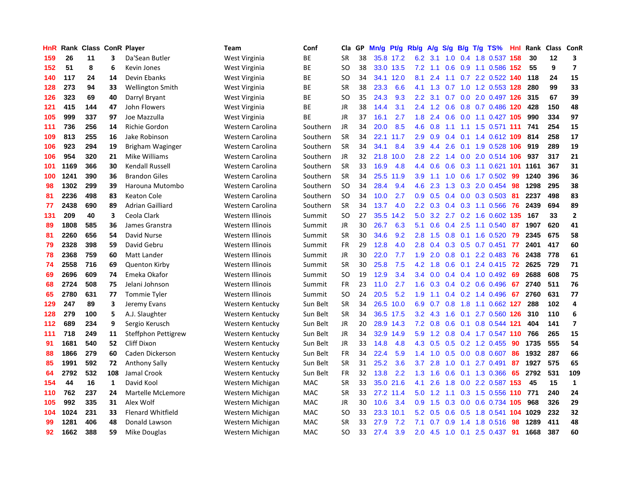| HnR | Rank | <b>Class ConR Player</b> |     |                          | Team             | Conf       | Cla           | GP | Mn/g | <b>Pt/g</b> | Rb/g             | A/g             | S/g           |  | $B/g$ T/g TS%                 | Hnl | Rank | Class | <b>ConR</b>    |
|-----|------|--------------------------|-----|--------------------------|------------------|------------|---------------|----|------|-------------|------------------|-----------------|---------------|--|-------------------------------|-----|------|-------|----------------|
| 159 | 26   | 11                       | 3   | Da'Sean Butler           | West Virginia    | ВE         | <b>SR</b>     | 38 |      | 35.8 17.2   | 6.2              | 3.1             | 1.0           |  | 0.4 1.8 0.537                 | 158 | 30   | 12    | 3              |
| 152 | 51   | 8                        | 6   | Kevin Jones              | West Virginia    | ВE         | SO            | 38 |      | 33.0 13.5   |                  | $7.2$ 1.1       |               |  | 0.6 0.9 1.1 0.586 152         |     | 55   | 9     | $\overline{7}$ |
| 140 | 117  | 24                       | 14  | Devin Ebanks             | West Virginia    | ВE         | SO            | 34 | 34.1 | 12.0        | 8.1              | 2.4             |               |  | 1.1 0.7 2.2 0.522 140 118     |     |      | 24    | 15             |
| 128 | 273  | 94                       | 33  | Wellington Smith         | West Virginia    | ВE         | <b>SR</b>     | 38 | 23.3 | 6.6         |                  | 4.1 1.3         |               |  | 0.7 1.0 1.2 0.553 128         |     | 280  | 99    | 33             |
| 126 | 323  | 69                       | 40  | Darryl Bryant            | West Virginia    | ВE         | SO            | 35 | 24.3 | 9.3         | 2.2              | 3.1             |               |  | 0.7 0.0 2.0 0.497 126         |     | 315  | 67    | 39             |
| 121 | 415  | 144                      | 47  | John Flowers             | West Virginia    | ВE         | JR            | 38 | 14.4 | 3.1         | $2.4^{\circ}$    | 1.2             | 0.6           |  | 0.8 0.7 0.486 120             |     | 428  | 150   | 48             |
| 105 | 999  | 337                      | 97  | Joe Mazzulla             | West Virginia    | <b>BE</b>  | <b>JR</b>     | 37 | 16.1 | 2.7         | 1.8              | 2.4             | 0.6           |  | 0.0 1.1 0.427 105             |     | 990  | 334   | 97             |
| 111 | 736  | 256                      | 14  | <b>Richie Gordon</b>     | Western Carolina | Southern   | JR            | 34 | 20.0 | 8.5         | 4.6              | 0.8             |               |  | 1.1 1.1 1.5 0.571 111         |     | 741  | 254   | 15             |
| 109 | 813  | 255                      | 16  | Jake Robinson            | Western Carolina | Southern   | <b>SR</b>     | 34 | 22.1 | 11.7        | 2.9              | 0.9             | $0.4^{\circ}$ |  | 0.1 1.4 0.612 109             |     | 814  | 258   | 17             |
| 106 | 923  | 294                      | 19  | Brigham Waginger         | Western Carolina | Southern   | <b>SR</b>     | 34 | 34.1 | 8.4         | 3.9 <sup>°</sup> | 4.4             | 2.6           |  | 0.1 1.9 0.528 106             |     | 919  | 289   | 19             |
| 106 | 954  | 320                      | 21  | Mike Williams            | Western Carolina | Southern   | JR            | 32 | 21.8 | 10.0        | 2.8              | 2.2             |               |  | 1.4 0.0 2.0 0.514 106 937     |     |      | 317   | 21             |
| 101 | 1169 | 366                      | 30  | <b>Kendall Russell</b>   | Western Carolina | Southern   | <b>SR</b>     | 33 | 16.9 | 4.8         | $4.4^{\circ}$    | 0.6             |               |  | 0.6 0.3 1.1 0.621 101 1161    |     |      | 367   | 31             |
| 100 | 1241 | 390                      | 36  | <b>Brandon Giles</b>     | Western Carolina | Southern   | <b>SR</b>     | 34 | 25.5 | 11.9        | 3.9              | 1.1             | 1.0           |  | 0.6 1.7 0.502 99              |     | 1240 | 396   | 36             |
| 98  | 1302 | 299                      | 39  | Harouna Mutombo          | Western Carolina | Southern   | <sub>SO</sub> | 34 | 28.4 | 9.4         | 4.6              | 2.3             | 1.3           |  | 0.3 2.0 0.454 98              |     | 1298 | 295   | 38             |
| 81  | 2236 | 498                      | 83  | <b>Keaton Cole</b>       | Western Carolina | Southern   | <b>SO</b>     | 34 | 10.0 | 2.7         | 0.9              | 0.5             |               |  | $0.4$ 0.0 0.3 0.503           | -81 | 2237 | 498   | 83             |
| 77  | 2438 | 690                      | 89  | Adrian Gailliard         | Western Carolina | Southern   | <b>SR</b>     | 34 | 13.7 | 4.0         | $2.2^{\circ}$    | 0.3             | 0.4           |  | 0.3 1.1 0.566                 | 76  | 2439 | 694   | 89             |
| 131 | 209  | 40                       | 3   | Ceola Clark              | Western Illinois | Summit     | <b>SO</b>     | 27 | 35.5 | 14.2        | 5.0              | 3.2             | 2.7           |  | 0.2 1.6 0.602 135             |     | 167  | 33    | $\overline{2}$ |
| 89  | 1808 | 585                      | 36  | James Granstra           | Western Illinois | Summit     | <b>JR</b>     | 30 | 26.7 | 6.3         | 5.1              | 0.6             | 0.4           |  | 2.5 1.1 0.540                 | 87  | 1907 | 620   | 41             |
| 81  | 2260 | 656                      | 54  | David Nurse              | Western Illinois | Summit     | <b>SR</b>     | 30 | 34.6 | 9.2         | 2.8              | 1.5             |               |  | 0.8 0.1 1.6 0.520             | 79  | 2345 | 675   | 58             |
| 79  | 2328 | 398                      | 59  | David Gebru              | Western Illinois | Summit     | FR            | 29 | 12.8 | 4.0         | 2.8              | 0.4             |               |  | $0.3$ $0.5$ $0.7$ $0.451$     | 77  | 2401 | 417   | 60             |
| 78  | 2368 | 759                      | 60  | Matt Lander              | Western Illinois | Summit     | JR            | 30 | 22.0 | 7.7         | 1.9              | 2.0             |               |  | $0.8$ 0.1 2.2 0.483           | -76 | 2438 | 778   | 61             |
| 74  | 2558 | 716                      | 69  | <b>Quenton Kirby</b>     | Western Illinois | Summit     | <b>SR</b>     | 30 | 25.8 | 7.5         | 4.2              | 1.8             | 0.6           |  | $0.1$ 2.4 0.415               | 72  | 2625 | 729   | 71             |
| 69  | 2696 | 609                      | 74  | Emeka Okafor             | Western Illinois | Summit     | <b>SO</b>     | 19 | 12.9 | 3.4         | 3.4              | 0.0             |               |  | $0.4$ 0.4 1.0 0.492           | 69  | 2688 | 608   | 75             |
| 68  | 2724 | 508                      | 75  | Jelani Johnson           | Western Illinois | Summit     | FR            | 23 | 11.0 | 2.7         | 1.6              | 0.3             |               |  | 0.4 0.2 0.6 0.496             | 67  | 2740 | 511   | 76             |
| 65  | 2780 | 631                      | 77  | Tommie Tyler             | Western Illinois | Summit     | <b>SO</b>     | 24 | 20.5 | 5.2         | 1.9              | 1.1             | 0.4           |  | 0.2 1.4 0.496                 | 67  | 2760 | 631   | 77             |
| 129 | 247  | 89                       | 3   | Jeremy Evans             | Western Kentucky | Sun Belt   | <b>SR</b>     | 34 | 26.5 | 10.0        | 6.9              | 0.7             | 0.8           |  | 1.8 1.1 0.662 127             |     | 288  | 102   | 4              |
| 128 | 279  | 100                      | 5   | A.J. Slaughter           | Western Kentucky | Sun Belt   | <b>SR</b>     | 34 |      | 36.5 17.5   | 3.2              | 4.3             | 1.6           |  | 0.1 2.7 0.560 126             |     | 310  | 110   | $\bf 6$        |
| 112 | 689  | 234                      | 9   | Sergio Kerusch           | Western Kentucky | Sun Belt   | <b>JR</b>     | 20 |      | 28.9 14.3   |                  | $7.2 \quad 0.8$ |               |  | 0.6 0.1 0.8 0.544 121         |     | 404  | 141   | $\overline{7}$ |
| 111 | 718  | 249                      | 11  | Steffphon Pettigrew      | Western Kentucky | Sun Belt   | <b>JR</b>     | 34 | 32.9 | 14.9        | 5.9              | 1.2             |               |  | 0.8 0.4 1.7 0.547 110 766     |     |      | 265   | 15             |
| 91  | 1681 | 540                      | 52  | Cliff Dixon              | Western Kentucky | Sun Belt   | JR            | 33 | 14.8 | 4.8         | 4.3              | 0.5             |               |  | $0.5$ 0.2 1.2 0.455           | 90  | 1735 | 555   | 54             |
| 88  | 1866 | 279                      | 60  | Caden Dickerson          | Western Kentucky | Sun Belt   | <b>FR</b>     | 34 | 22.4 | 5.9         | 1.4              | 1.0             | 0.5           |  | 0.0 0.8 0.607                 | 86  | 1932 | 287   | 66             |
| 85  | 1991 | 592                      | 72  | <b>Anthony Sally</b>     | Western Kentucky | Sun Belt   | <b>SR</b>     | 31 | 25.2 | 3.6         | 3.7              | 2.8             | 1.0           |  | $0.1$ 2.7 0.491               | 87  | 1927 | 575   | 65             |
| 64  | 2792 | 532                      | 108 | Jamal Crook              | Western Kentucky | Sun Belt   | <b>FR</b>     | 32 | 13.8 | 2.2         | 1.3              | 1.6             | 0.6           |  | $0.1$ 1.3 0.366               | 65  | 2792 | 531   | 109            |
| 154 | 44   | 16                       | 1   | David Kool               | Western Michigan | MAC        | <b>SR</b>     | 33 | 35.0 | 21.6        | 4.1              | 2.6             | 1.8           |  | 0.0 2.2 0.587 153             |     | 45   | 15    | $\mathbf{1}$   |
| 110 | 762  | 237                      | 24  | Martelle McLemore        | Western Michigan | <b>MAC</b> | <b>SR</b>     | 33 |      | 27.2 11.4   | 5.0              | 1.2             | 1.1           |  | 0.3 1.5 0.556 110 771         |     |      | 240   | 24             |
| 105 | 992  | 335                      | 31  | Alex Wolf                | Western Michigan | <b>MAC</b> | JR            | 30 | 10.6 | 3.4         | 0.9 <sub>0</sub> | 1.5             | 0.3           |  | 0.0 0.6 0.734 105             |     | 968  | 326   | 29             |
| 104 | 1024 | 231                      | 33  | <b>Flenard Whitfield</b> | Western Michigan | MAC        | SO            | 33 | 23.3 | 10.1        | 5.2              | 0.5             | 0.6           |  | 0.5 1.8 0.541 <b>104 1029</b> |     |      | 232   | 32             |
| 99  | 1281 | 406                      | 48  | Donald Lawson            | Western Michigan | MAC        | SR            | 33 | 27.9 | 7.2         | 7.1              | 0.7             |               |  | $0.9$ 1.4 1.8 0.516           | -98 | 1289 | 411   | 48             |
| 92  | 1662 | 388                      | 59  | Mike Douglas             | Western Michigan | MAC        | <b>SO</b>     | 33 | 27.4 | 3.9         | 2.0              |                 |               |  | 4.5 1.0 0.1 2.5 0.437         | 91  | 1668 | 387   | 60             |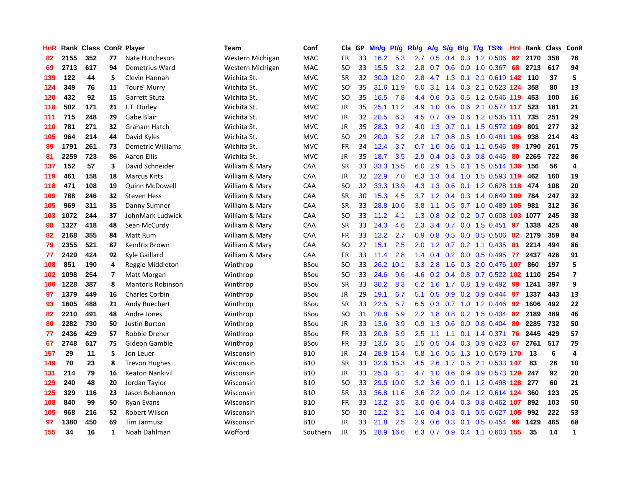| HnR | Rank | Class |    | <b>ConR Player</b>       | Team             | Conf        | Cla       | <b>GP</b> | Mn/g | <b>Pt/g</b> | Rb/g             | A/g           | S/g              |     | B/g T/g TS%                   | Hnl | Rank | <b>Class</b> | <b>ConR</b>             |
|-----|------|-------|----|--------------------------|------------------|-------------|-----------|-----------|------|-------------|------------------|---------------|------------------|-----|-------------------------------|-----|------|--------------|-------------------------|
| 82  | 2155 | 352   | 77 | Nate Hutcheson           | Western Michigan | <b>MAC</b>  | <b>FR</b> | 33        | 16.2 | 5.3         | 2.7              | 0.5           |                  |     | $0.4$ 0.3 1.2 0.506           | 82  | 2170 | 358          | 78                      |
| 69  | 2713 | 617   | 94 | Demetrius Ward           | Western Michigan | <b>MAC</b>  | SO        | 33        | 15.5 | 3.2         | 2.8              | 0.7           |                  |     | $0.6$ $0.0$ $1.0$ $0.367$     | 68  | 2713 | 617          | 94                      |
| 139 | 122  | 44    | 5  | Clevin Hannah            | Wichita St.      | <b>MVC</b>  | <b>SR</b> | 32        |      | 30.0 12.0   | 2.8              |               |                  |     | 4.7 1.3 0.1 2.1 0.619 142 110 |     |      | 37           | 5                       |
| 124 | 349  | 76    | 11 | Toure' Murry             | Wichita St.      | <b>MVC</b>  | <b>SO</b> | 35        | 31.6 | 11.9        | 5.0              | 3.1           |                  |     | 1.4 0.3 2.1 0.523 124         |     | 358  | 80           | 13                      |
| 120 | 432  | 92    | 15 | <b>Garrett Stutz</b>     | Wichita St.      | <b>MVC</b>  | <b>SO</b> | 35        | 16.5 | 7.8         | 4.4              | 0.6           |                  |     | $0.3$ $0.5$ 1.2 $0.546$ 119   |     | 453  | 100          | 16                      |
| 118 | 502  | 171   | 21 | J.T. Durley              | Wichita St.      | <b>MVC</b>  | JR        | 35        | 25.1 | 11.2        | 4.9              | 1.0           | 0.6              |     | 0.6 2.1 0.577 117             |     | 523  | 181          | 21                      |
| 111 | 715  | 248   | 29 | Gabe Blair               | Wichita St.      | <b>MVC</b>  | JR        | 32        | 20.5 | 6.3         | 4.5              | 0.7           | 0.9 <sub>0</sub> |     | 0.6 1.2 0.535 111             |     | 735  | 251          | 29                      |
| 110 | 781  | 271   | 32 | Graham Hatch             | Wichita St.      | <b>MVC</b>  | <b>JR</b> | 35        | 28.3 | 9.2         | 4.0              | 1.3           | 0.7              |     | 0.1 1.5 0.572 109             |     | 801  | 277          | 32                      |
| 105 | 964  | 214   | 44 | David Kyles              | Wichita St.      | <b>MVC</b>  | <b>SO</b> | 29        | 20.0 | 5.2         | 2.8              | 1.7           | 0.8              |     | 0.5 1.0 0.481 106             |     | 938  | 214          | 43                      |
| 89  | 1791 | 261   | 73 | <b>Demetric Williams</b> | Wichita St.      | <b>MVC</b>  | FR        | 34        | 12.4 | 3.7         | 0.7              |               |                  |     | 1.0 0.6 0.1 1.1 0.546         | -89 | 1790 | 261          | 75                      |
| 81  | 2259 | 723   | 86 | <b>Aaron Ellis</b>       | Wichita St.      | <b>MVC</b>  | JR        | 35        | 18.7 | 3.5         | 2.9 <sup>°</sup> | 0.4           |                  |     | 0.3 0.3 0.8 0.445 80          |     | 2265 | 722          | 86                      |
| 137 | 152  | 57    | 3  | David Schneider          | William & Mary   | CAA         | <b>SR</b> | 33        | 33.3 | 15.5        | 6.0              | 2.9           |                  |     | 1.5 0.1 1.5 0.514 136         |     | 156  | 56           | $\overline{\mathbf{4}}$ |
| 119 | 461  | 158   | 18 | <b>Marcus Kitts</b>      | William & Mary   | CAA         | JR        | 32        | 22.9 | 7.0         | 6.3              | 1.3           | $0.4^{\circ}$    |     | 1.0 1.5 0.593 119             |     | 462  | 160          | 19                      |
| 118 | 471  | 108   | 19 | <b>Quinn McDowell</b>    | William & Mary   | CAA         | SO        | 32        | 33.3 | 13.9        | 4.3              | 1.3           | 0.6              |     | 0.1 1.2 0.628 118             |     | 474  | 108          | 20                      |
| 109 | 788  | 246   | 32 | <b>Steven Hess</b>       | William & Mary   | CAA         | <b>SR</b> | 30        | 15.3 | 4.5         | 3.7              | 1.2           | $0.4^{\circ}$    |     | $0.3$ 1.4 0.649               | 109 | 784  | 247          | 32                      |
| 105 | 969  | 311   | 35 | Danny Sumner             | William & Mary   | CAA         | <b>SR</b> | 33        | 28.8 | 10.6        | 3.8 <sub>2</sub> | 1.1           | 0.5              |     | 0.7 1.0 0.489 105             |     | 981  | 312          | 36                      |
| 103 | 1072 | 244   | 37 | JohnMark Ludwick         | William & Mary   | CAA         | SO        | 33        | 11.2 | 4.1         | 1.3              | 0.8           | 0.2              |     | 0.2 0.7 0.608 103 1077        |     |      | 245          | 38                      |
| 98  | 1327 | 418   | 48 | Sean McCurdy             | William & Mary   | CAA         | <b>SR</b> | 33        | 24.3 | 4.6         | 2.3              | 3.4           |                  |     | $0.7$ 0.0 1.5 0.451           | 97  | 1338 | 425          | 48                      |
| 82  | 2168 | 355   | 84 | Matt Rum                 | William & Mary   | CAA         | <b>FR</b> | 33        | 12.2 | 2.7         | 0.9 <sub>0</sub> | 0.8           |                  |     | $0.5$ 0.0 0.5 0.506 82        |     | 2179 | 359          | 84                      |
| 79  | 2355 | 521   | 87 | Kendrix Brown            | William & Mary   | CAA         | SO        | 27        | 15.1 | 2.5         | 2.0 <sub>2</sub> | $1.2^{\circ}$ |                  |     | $0.7$ $0.2$ 1.1 $0.435$       | -81 | 2214 | 494          | 86                      |
| 77  | 2429 | 424   | 92 | Kyle Gaillard            | William & Mary   | CAA         | FR        | 33        | 11.4 | 2.8         | 1.4              | 0.4           |                  |     | $0.2$ 0.0 0.5 0.495           | 77  | 2437 | 426          | 91                      |
| 108 | 851  | 190   | 4  | Reggie Middleton         | Winthrop         | <b>BSou</b> | <b>SO</b> | 33        | 26.2 | 10.1        | 3.3 <sub>2</sub> | 2.8           | 1.6              |     | 0.3 2.0 0.476 107             |     | 860  | 197          | 5                       |
| 102 | 1098 | 254   | 7  | Matt Morgan              | Winthrop         | BSou        | SO        | 33        | 24.6 | 9.6         | 4.6              | 0.2           |                  |     | 0.4 0.8 0.7 0.522 102 1110    |     |      | 254          | $\overline{7}$          |
| 100 | 1228 | 387   | 8  | <b>Mantoris Robinson</b> | Winthrop         | <b>BSou</b> | <b>SR</b> | 33        | 30.2 | 8.3         | 6.2              | 1.6           | 1.7              |     | 0.8 1.9 0.492                 | 99  | 1241 | 397          | 9                       |
| 97  | 1379 | 449   | 16 | <b>Charles Corbin</b>    | Winthrop         | <b>BSou</b> | <b>JR</b> | 29        | 19.1 | 6.7         | 5.1              | 0.5           | 0.9              |     | 0.2 0.9 0.444                 | 97  | 1337 | 443          | 13                      |
| 93  | 1605 | 488   | 21 | Andy Buechert            | Winthrop         | <b>BSou</b> | <b>SR</b> | 33        | 22.5 | 5.7         | 6.5              | 0.3           |                  |     | 0.7 1.0 1.2 0.446             | 92  | 1606 | 492          | 22                      |
| 82  | 2210 | 491   | 48 | Andre Jones              | Winthrop         | <b>BSou</b> | SO        | 31        | 20.8 | 5.9         | $2.2^{\circ}$    |               |                  |     | 1.8 0.8 0.2 1.5 0.404 82      |     | 2189 | 489          | 46                      |
| 80  | 2282 | 730   | 50 | <b>Justin Burton</b>     | Winthrop         | <b>BSou</b> | JR        | 33        | 13.6 | 3.9         | 0.9 <sub>0</sub> | 1.3           |                  |     | $0.6$ $0.0$ $0.8$ $0.404$     | 80  | 2285 | 732          | 50                      |
| 77  | 2436 | 429   | 57 | Robbie Dreher            | Winthrop         | BSou        | <b>FR</b> | 33        | 20.8 | 5.9         | 2.5              | 1.1           |                  |     | 1.1 0.1 1.4 0.371             | 76  | 2445 | 429          | 57                      |
| 67  | 2748 | 517   | 75 | Gideon Gamble            | Winthrop         | <b>BSou</b> | <b>FR</b> | 33        | 13.5 | 3.5         | 1.5              | 0.5           | 0.4              |     | $0.3$ 0.9 0.423               | 67  | 2761 | 517          | 75                      |
| 157 | 29   | 11    | 5  | Jon Leuer                | Wisconsin        | <b>B10</b>  | JR        | 24        | 28.8 | 15.4        | 5.8              | 1.6           | 0.5              |     | 1.3 1.0 0.579 170             |     | -13  | 6            | $\overline{a}$          |
| 149 | 70   | 23    | 8  | <b>Trevon Hughes</b>     | Wisconsin        | <b>B10</b>  | <b>SR</b> | 33        | 32.6 | 15.3        | 4.5              | 2.6           | 1.7              |     | 0.5 2.1 0.533 147             |     | 83   | 26           | 10                      |
| 131 | 214  | 79    | 16 | <b>Keaton Nankivil</b>   | Wisconsin        | <b>B10</b>  | <b>JR</b> | 33        | 25.0 | 8.1         |                  | 4.7 1.0       | 0.6              |     | 0.9 0.9 0.573 129             |     | 247  | 92           | 20                      |
| 129 | 240  | 48    | 20 | Jordan Taylor            | Wisconsin        | <b>B10</b>  | <b>SO</b> | 33        | 29.5 | 10.0        | 3.2              | 3.6           | 0.9              |     | 0.1 1.2 0.498 128             |     | 277  | 60           | 21                      |
| 125 | 329  | 116   | 23 | Jason Bohannon           | Wisconsin        | <b>B10</b>  | <b>SR</b> | 33        | 36.8 | 11.6        | 3.6              | $2.2^{\circ}$ | 0.9              |     | 0.4 1.2 0.614 124             |     | 360  | 123          | 25                      |
| 108 | 840  | 99    | 50 | <b>Ryan Evans</b>        | Wisconsin        | <b>B10</b>  | FR        | 33        | 13.2 | 3.5         | 3.0 <sub>2</sub> | 0.6           |                  |     | 0.4 0.3 0.8 0.462 107         |     | 892  | 103          | 50                      |
| 105 | 968  | 216   | 52 | Robert Wilson            | Wisconsin        | <b>B10</b>  | SO        | 30        | 12.2 | 3.1         | 1.6              | 0.4           | 0.3              |     | $0.1$ 0.5 0.627 105           |     | 992  | 222          | 53                      |
| 97  | 1380 | 450   | 69 | Tim Jarmusz              | Wisconsin        | <b>B10</b>  | <b>JR</b> | 33        | 21.8 | 2.5         | 2.9              | 0.6           | 0.3              | 0.1 | $0.5$ 0.454                   | 96  | 1429 | 465          | 68                      |
| 155 | 34   | 16    | 1  | Noah Dahlman             | Wofford          | Southern    | JR        | 35        | 28.9 | 16.6        | 6.3              | 0.7           |                  |     | 0.9 0.4 1.1 0.603 155         |     | 35   | 14           | $\mathbf{1}$            |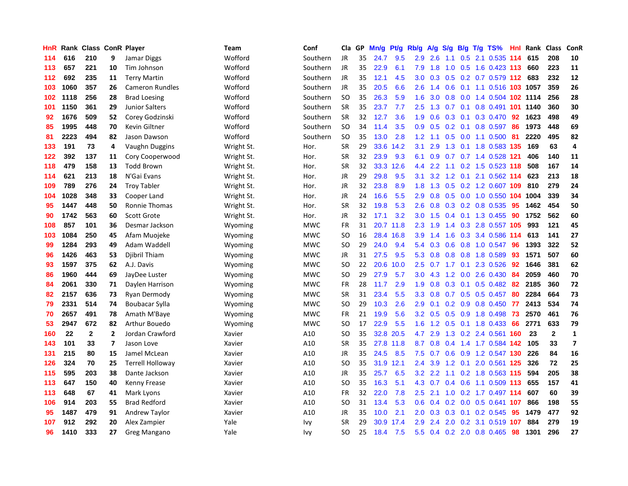| HnR |      | Rank Class ConR Player |                |                         | <b>Team</b> | Conf       | Cla       | GP | Mn/g | <b>Pt/g</b> | Rb/g             | A/g | S/g |                 | $B/g$ T/g TS%              | Hnl | Rank | <b>Class</b> | ConR           |
|-----|------|------------------------|----------------|-------------------------|-------------|------------|-----------|----|------|-------------|------------------|-----|-----|-----------------|----------------------------|-----|------|--------------|----------------|
| 114 | 616  | 210                    | 9              | Jamar Diggs             | Wofford     | Southern   | <b>JR</b> | 35 | 24.7 | 9.5         | 2.9              | 2.6 | 1.1 | 0.5             | 2.1 0.535                  | 114 | 615  | 208          | 10             |
| 113 | 657  | 221                    | 10             | Tim Johnson             | Wofford     | Southern   | JR        | 35 | 22.9 | 6.1         | 7.9              | 1.8 |     |                 | 1.0 0.5 1.6 0.423 113      |     | 660  | 223          | 11             |
| 112 | 692  | 235                    | 11             | <b>Terry Martin</b>     | Wofford     | Southern   | JR        | 35 | 12.1 | 4.5         | 3.0 <sub>2</sub> | 0.3 |     |                 | 0.5 0.2 0.7 0.579 112 683  |     |      | 232          | 12             |
| 103 | 1060 | 357                    | 26             | <b>Cameron Rundles</b>  | Wofford     | Southern   | <b>JR</b> | 35 | 20.5 | 6.6         | 2.6              | 1.4 |     |                 | 0.6 0.1 1.1 0.516 103 1057 |     |      | 359          | 26             |
| 102 | 1118 | 256                    | 28             | <b>Brad Loesing</b>     | Wofford     | Southern   | <b>SO</b> | 35 | 26.3 | 5.9         | 1.6              | 3.0 | 0.8 |                 | 0.0 1.4 0.504 102 1114     |     |      | 256          | 28             |
| 101 | 1150 | 361                    | 29             | <b>Junior Salters</b>   | Wofford     | Southern   | <b>SR</b> | 35 | 23.7 | 7.7         | 2.5              | 1.3 | 0.7 |                 | 0.1 0.8 0.491 101 1140     |     |      | 360          | 30             |
| 92  | 1676 | 509                    | 52             | Corey Godzinski         | Wofford     | Southern   | <b>SR</b> | 32 | 12.7 | 3.6         | 1.9              | 0.6 | 0.3 |                 | $0.1$ 0.3 0.470            | 92  | 1623 | 498          | 49             |
| 85  | 1995 | 448                    | 70             | Kevin Giltner           | Wofford     | Southern   | SO.       | 34 | 11.4 | 3.5         | 0.9 <sub>0</sub> | 0.5 |     | $0.2 \quad 0.1$ | 0.8 0.597                  | -86 | 1973 | 448          | 69             |
| 81  | 2223 | 494                    | 82             | Jason Dawson            | Wofford     | Southern   | <b>SO</b> | 35 | 13.0 | 2.8         | 1.2              | 1.1 | 0.5 |                 | $0.0$ 1.1 $0.500$          | 81  | 2220 | 495          | 82             |
| 133 | 191  | 73                     | 4              | Vaughn Duggins          | Wright St.  | Hor.       | <b>SR</b> | 29 | 33.6 | 14.2        | 3.1              | 2.9 |     |                 | 1.3 0.1 1.8 0.583 135      |     | 169  | 63           | 4              |
| 122 | 392  | 137                    | 11             | Cory Cooperwood         | Wright St.  | Hor.       | <b>SR</b> | 32 | 23.9 | 9.3         | 6.1              | 0.9 |     |                 | 0.7 0.7 1.4 0.528 121      |     | 406  | 140          | 11             |
| 118 | 479  | 158                    | 13             | <b>Todd Brown</b>       | Wright St.  | Hor.       | <b>SR</b> | 32 | 33.3 | 12.6        | 4.4              | 2.2 |     |                 | 1.1 0.2 1.5 0.523 118      |     | 508  | 167          | 14             |
| 114 | 621  | 213                    | 18             | N'Gai Evans             | Wright St.  | Hor.       | JR        | 29 | 29.8 | 9.5         | 3.1              | 3.2 | 1.2 | 0.1             | 2.1 0.562 114              |     | 623  | 213          | 18             |
| 109 | 789  | 276                    | 24             | <b>Troy Tabler</b>      | Wright St.  | Hor.       | JR        | 32 | 23.8 | 8.9         | 1.8              | 1.3 | 0.5 |                 | 0.2 1.2 0.607 109          |     | 810  | 279          | 24             |
| 104 | 1028 | 348                    | 33             | Cooper Land             | Wright St.  | Hor.       | JR        | 24 | 16.6 | 5.5         | 2.9              | 0.8 | 0.5 |                 | 0.0 1.0 0.550 104          |     | 1004 | 339          | 34             |
| 95  | 1447 | 448                    | 50             | Ronnie Thomas           | Wright St.  | Hor.       | <b>SR</b> | 32 | 19.8 | 5.3         | 2.6              | 0.8 |     |                 | 0.3 0.2 0.8 0.535          | 95  | 1462 | 454          | 50             |
| 90  | 1742 | 563                    | 60             | <b>Scott Grote</b>      | Wright St.  | Hor.       | JR        | 32 | 17.1 | 3.2         | 3.0              | 1.5 | 0.4 |                 | $0.1$ 1.3 0.455            | 90  | 1752 | 562          | 60             |
| 108 | 857  | 101                    | 36             | Desmar Jackson          | Wyoming     | <b>MWC</b> | <b>FR</b> | 31 | 20.7 | 11.8        | 2.3              | 1.9 | 1.4 |                 | 0.3 2.8 0.557 105          |     | 993  | 121          | 45             |
| 103 | 1084 | 250                    | 45             | Afam Muojeke            | Wyoming     | <b>MWC</b> | <b>SO</b> | 16 | 28.4 | 16.8        | 3.9              | 1.4 |     |                 | 1.6 0.3 3.4 0.586 114      |     | 613  | 141          | 27             |
| 99  | 1284 | 293                    | 49             | Adam Waddell            | Wyoming     | <b>MWC</b> | <b>SO</b> | 29 | 24.0 | 9.4         | 5.4              | 0.3 |     |                 | 0.6 0.8 1.0 0.547          | -96 | 1393 | 322          | 52             |
| 96  | 1426 | 463                    | 53             | Djibril Thiam           | Wyoming     | <b>MWC</b> | <b>JR</b> | 31 | 27.5 | 9.5         | 5.3              | 0.8 | 0.8 |                 | 0.8 1.8 0.589              | 93  | 1571 | 507          | 60             |
| 93  | 1597 | 375                    | 62             | A.J. Davis              | Wyoming     | <b>MWC</b> | <b>SO</b> | 22 | 20.6 | 10.0        | 2.5              | 0.7 | 1.7 | 0.1             | 2.3 0.526                  | 92  | 1646 | 381          | 62             |
| 86  | 1960 | 444                    | 69             | JayDee Luster           | Wyoming     | <b>MWC</b> | <b>SO</b> | 29 | 27.9 | 5.7         | 3.0              | 4.3 | 1.2 |                 | $0.0$ 2.6 $0.430$          | 84  | 2059 | 460          | 70             |
| 84  | 2061 | 330                    | 71             | Daylen Harrison         | Wyoming     | <b>MWC</b> | <b>FR</b> | 28 | 11.7 | 2.9         | 1.9              | 0.8 | 0.3 |                 | $0.1$ 0.5 0.482            | 82  | 2185 | 360          | 72             |
| 82  | 2157 | 636                    | 73             | Ryan Dermody            | Wyoming     | <b>MWC</b> | <b>SR</b> | 31 | 23.4 | 5.5         | 3.3 <sub>2</sub> | 0.8 |     |                 | 0.7 0.5 0.5 0.457          | 80  | 2284 | 664          | 73             |
| 79  | 2331 | 514                    | 74             | <b>Boubacar Sylla</b>   | Wyoming     | <b>MWC</b> | SO.       | 29 | 10.3 | 2.6         | 2.9              | 0.1 |     |                 | $0.2$ 0.9 0.8 0.450        | 77  | 2413 | 534          | 74             |
| 70  | 2657 | 491                    | 78             | Amath M'Baye            | Wyoming     | <b>MWC</b> | <b>FR</b> | 21 | 19.9 | 5.6         | 3.2              | 0.5 |     |                 | 0.5 0.9 1.8 0.498 73       |     | 2570 | 461          | 76             |
| 53  | 2947 | 672                    | 82             | Arthur Bouedo           | Wyoming     | <b>MWC</b> | SO        | 17 | 22.9 | 5.5         | 1.6              | 1.2 |     |                 | $0.5$ 0.1 1.8 0.433        | -66 | 2771 | 633          | 79             |
| 160 | 22   | $\mathbf{2}$           | $\overline{2}$ | Jordan Crawford         | Xavier      | A10        | SO        | 35 | 32.8 | 20.5        | 4.7              | 2.9 |     |                 | 1.3 0.2 2.4 0.561 160      |     | 23   | $\mathbf{2}$ | $\mathbf{1}$   |
| 143 | 101  | 33                     | $\overline{7}$ | Jason Love              | Xavier      | A10        | <b>SR</b> | 35 | 27.8 | 11.8        | 8.7              | 0.8 | 0.4 |                 | 1.4 1.7 0.584 142          |     | 105  | 33           | $\overline{7}$ |
| 131 | 215  | 80                     | 15             | Jamel McLean            | Xavier      | A10        | JR        | 35 | 24.5 | 8.5         | 7.5              | 0.7 | 0.6 |                 | 0.9 1.2 0.547 130          |     | 226  | 84           | 16             |
| 126 | 324  | 70                     | 25             | <b>Terrell Holloway</b> | Xavier      | A10        | SO        | 35 | 31.9 | 12.1        | 2.4              | 3.9 | 1.2 | 0.1             | 2.0 0.561 125              |     | 326  | 72           | 25             |
| 115 | 595  | 203                    | 38             | Dante Jackson           | Xavier      | A10        | JR        | 35 | 25.7 | 6.5         | 3.2              | 2.2 | 1.1 |                 | 0.2 1.8 0.563 115          |     | 594  | 205          | 38             |
| 113 | 647  | 150                    | 40             | Kenny Frease            | Xavier      | A10        | <b>SO</b> | 35 | 16.3 | 5.1         | 4.3              | 0.7 |     |                 | $0.4$ 0.6 1.1 0.509 113    |     | 655  | 157          | 41             |
| 113 | 648  | 67                     | 41             | Mark Lyons              | Xavier      | A10        | FR        | 32 | 22.0 | 7.8         | 2.5              | 2.1 |     |                 | 1.0 0.2 1.7 0.497 114      |     | 607  | 60           | 39             |
| 106 | 914  | 203                    | 55             | <b>Brad Redford</b>     | Xavier      | A10        | <b>SO</b> | 31 | 13.4 | 5.3         | 0.6              | 0.4 |     |                 | $0.2$ 0.0 0.5 0.641 107    |     | 866  | 198          | 55             |
| 95  | 1487 | 479                    | 91             | Andrew Taylor           | Xavier      | A10        | JR        | 35 | 10.0 | 2.1         | 2.0              | 0.3 | 0.3 |                 | $0.1$ 0.2 0.545            | -95 | 1479 | 477          | 92             |
| 107 | 912  | 292                    | 20             | Alex Zampier            | Yale        | Ivy        | <b>SR</b> | 29 | 30.9 | 17.4        | 2.9              | 2.4 | 2.0 |                 | 0.2 3.1 0.519              | 107 | 884  | 279          | 19             |
| 96  | 1410 | 333                    | 27             | Greg Mangano            | Yale        | Ivy        | SO        | 25 | 18.4 | 7.5         | 5.5              | 0.4 |     |                 | 0.2 2.0 0.8 0.465          | 98  | 1301 | 296          | 27             |